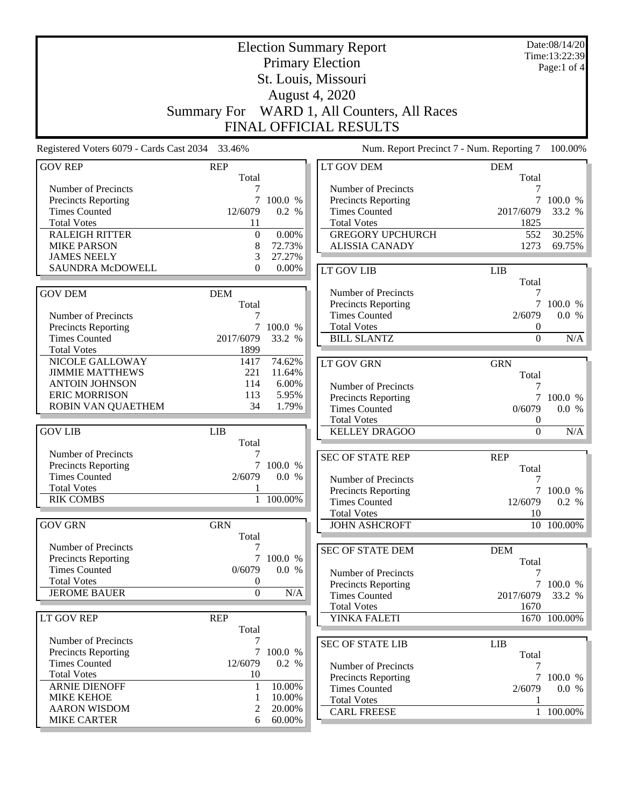|                                                 |                     |                | <b>Election Summary Report</b>             |                            | Date:08/14/20<br>Time:13:22:39 |
|-------------------------------------------------|---------------------|----------------|--------------------------------------------|----------------------------|--------------------------------|
|                                                 |                     |                | <b>Primary Election</b>                    |                            | Page:1 of 4                    |
|                                                 |                     |                | St. Louis, Missouri                        |                            |                                |
|                                                 |                     |                | August 4, 2020                             |                            |                                |
|                                                 | <b>Summary For</b>  |                | WARD 1, All Counters, All Races            |                            |                                |
|                                                 |                     |                | <b>FINAL OFFICIAL RESULTS</b>              |                            |                                |
| Registered Voters 6079 - Cards Cast 2034 33.46% |                     |                | Num. Report Precinct 7 - Num. Reporting 7  |                            | 100.00%                        |
| <b>GOV REP</b>                                  | <b>REP</b>          |                | LT GOV DEM                                 | <b>DEM</b>                 |                                |
| Number of Precincts                             | Total               |                | Number of Precincts                        | Total                      |                                |
| <b>Precincts Reporting</b>                      | $\tau$              | 100.0 %        | Precincts Reporting                        | $\overline{7}$             | 100.0 %                        |
| <b>Times Counted</b>                            | 12/6079             | 0.2 %          | <b>Times Counted</b>                       | 2017/6079                  | 33.2 %                         |
| <b>Total Votes</b>                              | 11                  |                | <b>Total Votes</b>                         | 1825                       |                                |
| <b>RALEIGH RITTER</b>                           | $\mathbf{0}$        | 0.00%          | <b>GREGORY UPCHURCH</b>                    | 552                        | 30.25%                         |
| <b>MIKE PARSON</b>                              | 8                   | 72.73%         | <b>ALISSIA CANADY</b>                      | 1273                       | 69.75%                         |
| <b>JAMES NEELY</b>                              | 3                   | 27.27%         |                                            |                            |                                |
| SAUNDRA McDOWELL                                | $\mathbf{0}$        | $0.00\%$       | <b>LT GOV LIB</b>                          | <b>LIB</b>                 |                                |
| <b>GOV DEM</b>                                  |                     |                |                                            | Total                      |                                |
|                                                 | <b>DEM</b><br>Total |                | Number of Precincts<br>Precincts Reporting | 7<br>$7\overline{ }$       | 100.0 %                        |
| Number of Precincts                             | 7                   |                | <b>Times Counted</b>                       | 2/6079                     | 0.0 %                          |
| <b>Precincts Reporting</b>                      | $\tau$              | 100.0 %        | <b>Total Votes</b>                         | $\boldsymbol{0}$           |                                |
| <b>Times Counted</b>                            | 2017/6079           | 33.2 %         | <b>BILL SLANTZ</b>                         | $\mathbf{0}$               | N/A                            |
| <b>Total Votes</b>                              | 1899                |                |                                            |                            |                                |
| NICOLE GALLOWAY                                 | 1417                | 74.62%         | <b>LT GOV GRN</b>                          | <b>GRN</b>                 |                                |
| <b>JIMMIE MATTHEWS</b>                          | 221                 | 11.64%         |                                            | Total                      |                                |
| <b>ANTOIN JOHNSON</b>                           | 114                 | 6.00%          | Number of Precincts                        | 7                          |                                |
| <b>ERIC MORRISON</b><br>ROBIN VAN QUAETHEM      | 113<br>34           | 5.95%<br>1.79% | Precincts Reporting                        | $\tau$                     | 100.0 %                        |
|                                                 |                     |                | <b>Times Counted</b><br><b>Total Votes</b> | 0/6079<br>$\boldsymbol{0}$ | 0.0 %                          |
| <b>GOV LIB</b>                                  | <b>LIB</b>          |                | <b>KELLEY DRAGOO</b>                       | $\theta$                   | N/A                            |
|                                                 | Total               |                |                                            |                            |                                |
| Number of Precincts                             | 7                   |                | <b>SEC OF STATE REP</b>                    | <b>REP</b>                 |                                |
| <b>Precincts Reporting</b>                      | 7                   | 100.0 %        |                                            | Total                      |                                |
| <b>Times Counted</b>                            | 2/6079              | 0.0 %          | Number of Precincts                        | 7                          |                                |
| <b>Total Votes</b><br><b>RIK COMBS</b>          | 1                   | 1 100.00%      | <b>Precincts Reporting</b>                 |                            | 7 100.0 %                      |
|                                                 |                     |                | <b>Times Counted</b><br><b>Total Votes</b> | 12/6079                    | 0.2 %                          |
| <b>GOV GRN</b>                                  | <b>GRN</b>          |                | <b>JOHN ASHCROFT</b>                       | 10                         | 10 100.00%                     |
|                                                 | Total               |                |                                            |                            |                                |
| Number of Precincts                             | 7                   |                | SEC OF STATE DEM                           | <b>DEM</b>                 |                                |
| Precincts Reporting                             | 7                   | 100.0 %        |                                            | Total                      |                                |
| <b>Times Counted</b>                            | 0/6079              | 0.0 %          | Number of Precincts                        | 7                          |                                |
| <b>Total Votes</b>                              | $\boldsymbol{0}$    |                | Precincts Reporting                        | $\tau$                     | 100.0 %                        |
| <b>JEROME BAUER</b>                             | $\boldsymbol{0}$    | $\rm N/A$      | <b>Times Counted</b>                       | 2017/6079                  | 33.2 %                         |
|                                                 |                     |                | <b>Total Votes</b>                         | 1670                       |                                |
| LT GOV REP                                      | <b>REP</b><br>Total |                | YINKA FALETI                               |                            | 1670 100.00%                   |
| Number of Precincts                             | 7                   |                |                                            |                            |                                |
| Precincts Reporting                             | $\overline{7}$      | 100.0 %        | <b>SEC OF STATE LIB</b>                    | <b>LIB</b>                 |                                |
| <b>Times Counted</b>                            | 12/6079             | 0.2 %          | Number of Precincts                        | Total<br>7                 |                                |
| <b>Total Votes</b>                              | 10                  |                | Precincts Reporting                        |                            | 7 100.0 %                      |
| <b>ARNIE DIENOFF</b>                            | $\mathbf{1}$        | 10.00%         | <b>Times Counted</b>                       | 2/6079                     | 0.0 %                          |
| <b>MIKE KEHOE</b>                               | 1                   | 10.00%         | <b>Total Votes</b>                         |                            |                                |
| <b>AARON WISDOM</b>                             | 2                   | 20.00%         | <b>CARL FREESE</b>                         |                            | 1 100.00%                      |
| <b>MIKE CARTER</b>                              | 6                   | 60.00%         |                                            |                            |                                |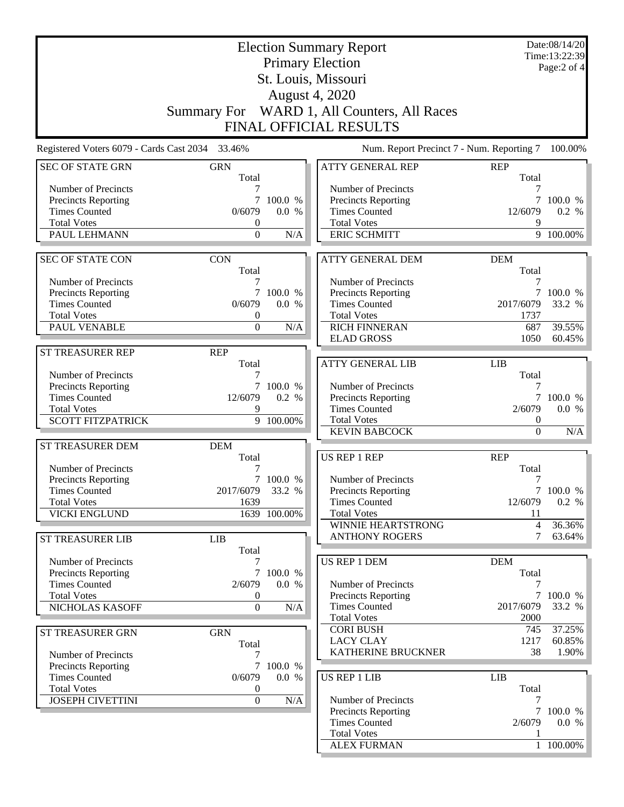|                                                 | Date:08/14/20<br><b>Election Summary Report</b> |              |                                            |                              |                              |
|-------------------------------------------------|-------------------------------------------------|--------------|--------------------------------------------|------------------------------|------------------------------|
|                                                 |                                                 |              | <b>Primary Election</b>                    |                              | Time:13:22:39<br>Page:2 of 4 |
|                                                 |                                                 |              | St. Louis, Missouri                        |                              |                              |
|                                                 |                                                 |              | <b>August 4, 2020</b>                      |                              |                              |
|                                                 |                                                 |              |                                            |                              |                              |
|                                                 | <b>Summary For</b>                              |              | WARD 1, All Counters, All Races            |                              |                              |
|                                                 |                                                 |              | FINAL OFFICIAL RESULTS                     |                              |                              |
| Registered Voters 6079 - Cards Cast 2034 33.46% |                                                 |              | Num. Report Precinct 7 - Num. Reporting 7  |                              | 100.00%                      |
| <b>SEC OF STATE GRN</b>                         | <b>GRN</b><br>Total                             |              | <b>ATTY GENERAL REP</b>                    | <b>REP</b><br>Total          |                              |
| Number of Precincts                             |                                                 |              | Number of Precincts                        |                              |                              |
| <b>Precincts Reporting</b>                      | 7                                               | 100.0 %      | Precincts Reporting                        |                              | 7 100.0 %                    |
| <b>Times Counted</b>                            | 0/6079                                          | 0.0 %        | <b>Times Counted</b>                       | 12/6079                      | 0.2 %                        |
| <b>Total Votes</b><br>PAUL LEHMANN              | $\boldsymbol{0}$<br>$\boldsymbol{0}$            | N/A          | <b>Total Votes</b><br><b>ERIC SCHMITT</b>  | 9<br>9                       | 100.00%                      |
|                                                 |                                                 |              |                                            |                              |                              |
| <b>SEC OF STATE CON</b>                         | <b>CON</b>                                      |              | <b>ATTY GENERAL DEM</b>                    | <b>DEM</b>                   |                              |
|                                                 | Total                                           |              |                                            | Total                        |                              |
| Number of Precincts                             | 7                                               |              | Number of Precincts                        | 7                            |                              |
| <b>Precincts Reporting</b>                      |                                                 | 7 100.0 %    | Precincts Reporting                        |                              | 7 100.0 %                    |
| <b>Times Counted</b>                            | 0/6079                                          | 0.0 %        | <b>Times Counted</b><br><b>Total Votes</b> | 2017/6079                    | 33.2 %                       |
| <b>Total Votes</b><br>PAUL VENABLE              | $\boldsymbol{0}$<br>$\mathbf{0}$                | N/A          | <b>RICH FINNERAN</b>                       | 1737<br>687                  | 39.55%                       |
|                                                 |                                                 |              | <b>ELAD GROSS</b>                          | 1050                         | 60.45%                       |
| <b>ST TREASURER REP</b>                         | <b>REP</b>                                      |              |                                            |                              |                              |
|                                                 | Total                                           |              | <b>ATTY GENERAL LIB</b>                    | <b>LIB</b>                   |                              |
| Number of Precincts                             | 7                                               |              |                                            | Total                        |                              |
| <b>Precincts Reporting</b>                      |                                                 | 7 100.0 %    | Number of Precincts                        | 7                            |                              |
| <b>Times Counted</b>                            | 12/6079                                         | 0.2 %        | Precincts Reporting                        |                              | 7 100.0 %                    |
| <b>Total Votes</b>                              | 9                                               |              | <b>Times Counted</b>                       | 2/6079                       | 0.0 %                        |
| <b>SCOTT FITZPATRICK</b>                        |                                                 | 9 100.00%    | <b>Total Votes</b><br><b>KEVIN BABCOCK</b> | $\boldsymbol{0}$<br>$\Omega$ | N/A                          |
| ST TREASURER DEM                                | <b>DEM</b>                                      |              |                                            |                              |                              |
|                                                 | Total                                           |              | <b>US REP 1 REP</b>                        | <b>REP</b>                   |                              |
| Number of Precincts                             |                                                 |              |                                            | Total                        |                              |
| <b>Precincts Reporting</b>                      |                                                 | 7 100.0 %    | Number of Precincts                        | 7                            |                              |
| <b>Times Counted</b>                            | 2017/6079                                       | 33.2 %       | <b>Precincts Reporting</b>                 |                              | 7 100.0 %                    |
| <b>Total Votes</b>                              | 1639                                            |              | <b>Times Counted</b>                       | 12/6079                      | 0.2 %                        |
| <b>VICKI ENGLUND</b>                            |                                                 | 1639 100.00% | <b>Total Votes</b><br>WINNIE HEARTSTRONG   | 11<br>$\overline{4}$         | 36.36%                       |
| <b>ST TREASURER LIB</b>                         | LIB                                             |              | <b>ANTHONY ROGERS</b>                      | 7                            | $63.64\%$                    |
|                                                 | Total                                           |              |                                            |                              |                              |
| Number of Precincts                             |                                                 |              | <b>US REP 1 DEM</b>                        | <b>DEM</b>                   |                              |
| Precincts Reporting                             | 7                                               | 100.0 %      |                                            | Total                        |                              |
| <b>Times Counted</b>                            | 2/6079                                          | 0.0 %        | Number of Precincts                        | 7                            |                              |
| <b>Total Votes</b>                              | $\boldsymbol{0}$                                |              | <b>Precincts Reporting</b>                 |                              | 7 100.0 %                    |
| NICHOLAS KASOFF                                 | $\boldsymbol{0}$                                | N/A          | <b>Times Counted</b>                       | 2017/6079                    | 33.2 %                       |
|                                                 |                                                 |              | <b>Total Votes</b><br><b>CORI BUSH</b>     | 2000<br>745                  | 37.25%                       |
| ST TREASURER GRN                                | <b>GRN</b><br>Total                             |              | <b>LACY CLAY</b>                           | 1217                         | $60.85\%$                    |
| Number of Precincts                             | 7                                               |              | KATHERINE BRUCKNER                         | 38                           | $1.90\%$                     |
| Precincts Reporting                             |                                                 | 7 100.0 %    |                                            |                              |                              |
| <b>Times Counted</b>                            | 0/6079                                          | 0.0 %        | <b>US REP 1 LIB</b>                        | <b>LIB</b>                   |                              |
| <b>Total Votes</b>                              | $\boldsymbol{0}$                                |              |                                            | Total                        |                              |
| <b>JOSEPH CIVETTINI</b>                         | $\boldsymbol{0}$                                | $\rm N/A$    | Number of Precincts                        | 7                            |                              |
|                                                 |                                                 |              | Precincts Reporting                        |                              | 7 100.0 %                    |
|                                                 |                                                 |              | <b>Times Counted</b><br><b>Total Votes</b> | 2/6079                       | 0.0 %                        |
|                                                 |                                                 |              | <b>ALEX FURMAN</b>                         |                              | 1 100.00%                    |
|                                                 |                                                 |              |                                            |                              |                              |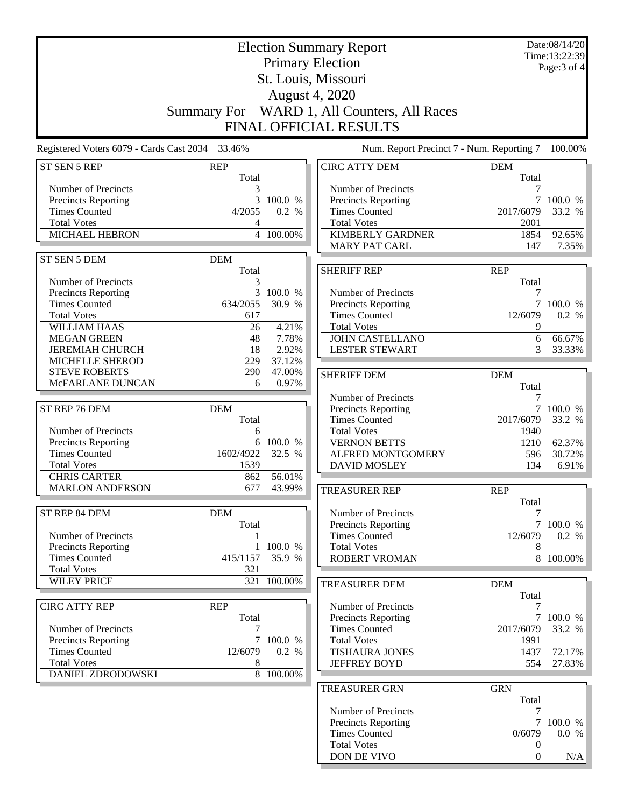|                                                 |                     | Date:08/14/20<br>Time:13:22:39 |                                              |                     |                  |
|-------------------------------------------------|---------------------|--------------------------------|----------------------------------------------|---------------------|------------------|
|                                                 |                     |                                | <b>Primary Election</b>                      |                     | Page: 3 of 4     |
|                                                 |                     |                                | St. Louis, Missouri                          |                     |                  |
|                                                 |                     |                                | August 4, 2020                               |                     |                  |
|                                                 |                     |                                |                                              |                     |                  |
|                                                 | <b>Summary For</b>  |                                | WARD 1, All Counters, All Races              |                     |                  |
|                                                 |                     |                                | <b>FINAL OFFICIAL RESULTS</b>                |                     |                  |
| Registered Voters 6079 - Cards Cast 2034 33.46% |                     |                                | Num. Report Precinct 7 - Num. Reporting 7    |                     | 100.00%          |
| ST SEN 5 REP                                    | <b>REP</b><br>Total |                                | <b>CIRC ATTY DEM</b>                         | <b>DEM</b><br>Total |                  |
| Number of Precincts                             | 3                   |                                | Number of Precincts                          |                     |                  |
| Precincts Reporting                             | 3                   | 100.0 %                        | Precincts Reporting                          |                     | 7 100.0 %        |
| <b>Times Counted</b>                            | 4/2055              | 0.2 %                          | <b>Times Counted</b>                         | 2017/6079           | 33.2 %           |
| <b>Total Votes</b>                              | 4                   |                                | <b>Total Votes</b>                           | 2001                |                  |
| MICHAEL HEBRON                                  |                     | 4 100.00%                      | <b>KIMBERLY GARDNER</b>                      | 1854                | 92.65%           |
|                                                 |                     |                                | <b>MARY PAT CARL</b>                         | 147                 | 7.35%            |
| ST SEN 5 DEM                                    | <b>DEM</b>          |                                |                                              |                     |                  |
|                                                 | Total               |                                | <b>SHERIFF REP</b>                           | <b>REP</b>          |                  |
| Number of Precincts                             | 3                   |                                |                                              | Total               |                  |
| Precincts Reporting                             | 3<br>634/2055       | 100.0 %<br>30.9 %              | Number of Precincts                          | 7                   | 7 100.0 %        |
| <b>Times Counted</b><br><b>Total Votes</b>      | 617                 |                                | Precincts Reporting<br><b>Times Counted</b>  | 12/6079             | 0.2 %            |
| <b>WILLIAM HAAS</b>                             | 26                  | 4.21%                          | <b>Total Votes</b>                           | 9                   |                  |
| <b>MEGAN GREEN</b>                              | 48                  | 7.78%                          | <b>JOHN CASTELLANO</b>                       | 6                   | 66.67%           |
| <b>JEREMIAH CHURCH</b>                          | 18                  | 2.92%                          | <b>LESTER STEWART</b>                        | 3                   | 33.33%           |
| MICHELLE SHEROD                                 | 229                 | 37.12%                         |                                              |                     |                  |
| <b>STEVE ROBERTS</b>                            | 290                 | 47.00%                         | <b>SHERIFF DEM</b>                           | <b>DEM</b>          |                  |
| McFARLANE DUNCAN                                | 6                   | 0.97%                          |                                              | Total               |                  |
|                                                 |                     |                                | Number of Precincts                          |                     |                  |
| ST REP 76 DEM                                   | <b>DEM</b>          |                                | Precincts Reporting                          |                     | 7 100.0 %        |
|                                                 | Total               |                                | <b>Times Counted</b>                         | 2017/6079           | 33.2 %           |
| Number of Precincts                             | 6                   |                                | <b>Total Votes</b>                           | 1940                |                  |
| Precincts Reporting                             | 6                   | 100.0 %                        | <b>VERNON BETTS</b>                          | 1210                | 62.37%           |
| <b>Times Counted</b>                            | 1602/4922           | 32.5 %                         | ALFRED MONTGOMERY                            | 596                 | 30.72%           |
| <b>Total Votes</b>                              | 1539                |                                | <b>DAVID MOSLEY</b>                          | 134                 | 6.91%            |
| <b>CHRIS CARTER</b>                             | 862                 | 56.01%                         |                                              |                     |                  |
| <b>MARLON ANDERSON</b>                          | 677                 | 43.99%                         | <b>TREASURER REP</b>                         | <b>REP</b>          |                  |
| ST REP 84 DEM                                   | <b>DEM</b>          |                                | Number of Precincts                          | Total               |                  |
|                                                 | Total               |                                | <b>Precincts Reporting</b>                   |                     | 7 100.0 %        |
| Number of Precincts                             | 1                   |                                | <b>Times Counted</b>                         | 12/6079             | 0.2 %            |
| Precincts Reporting                             | $\mathbf{1}$        | 100.0 %                        | <b>Total Votes</b>                           | 8                   |                  |
| <b>Times Counted</b>                            | 415/1157            | 35.9 %                         | <b>ROBERT VROMAN</b>                         |                     | 8 100.00%        |
| <b>Total Votes</b>                              | 321                 |                                |                                              |                     |                  |
| <b>WILEY PRICE</b>                              | 321                 | 100.00%                        | <b>TREASURER DEM</b>                         | <b>DEM</b>          |                  |
|                                                 |                     |                                |                                              | Total               |                  |
| <b>CIRC ATTY REP</b>                            | <b>REP</b>          |                                | Number of Precincts                          | 7                   |                  |
|                                                 | Total               |                                | Precincts Reporting                          |                     | 7 100.0 %        |
| Number of Precincts                             | 7                   |                                | <b>Times Counted</b>                         | 2017/6079           | 33.2 %           |
| Precincts Reporting                             | $\tau$<br>12/6079   | 100.0 %<br>0.2 %               | <b>Total Votes</b>                           | 1991                |                  |
| <b>Times Counted</b><br><b>Total Votes</b>      | 8                   |                                | <b>TISHAURA JONES</b><br><b>JEFFREY BOYD</b> | 1437<br>554         | 72.17%<br>27.83% |
| DANIEL ZDRODOWSKI                               |                     | 8 100.00%                      |                                              |                     |                  |
|                                                 |                     |                                | <b>TREASURER GRN</b>                         | <b>GRN</b>          |                  |
|                                                 |                     |                                |                                              | Total               |                  |
|                                                 |                     |                                | Number of Precincts                          | 7                   |                  |
|                                                 |                     |                                | Precincts Reporting                          |                     | 7 100.0 %        |
|                                                 |                     |                                | <b>Times Counted</b>                         | 0/6079              | 0.0 %            |
|                                                 |                     |                                | <b>Total Votes</b>                           | $\boldsymbol{0}$    |                  |
|                                                 |                     |                                | DON DE VIVO                                  | $\boldsymbol{0}$    | $\rm N/A$        |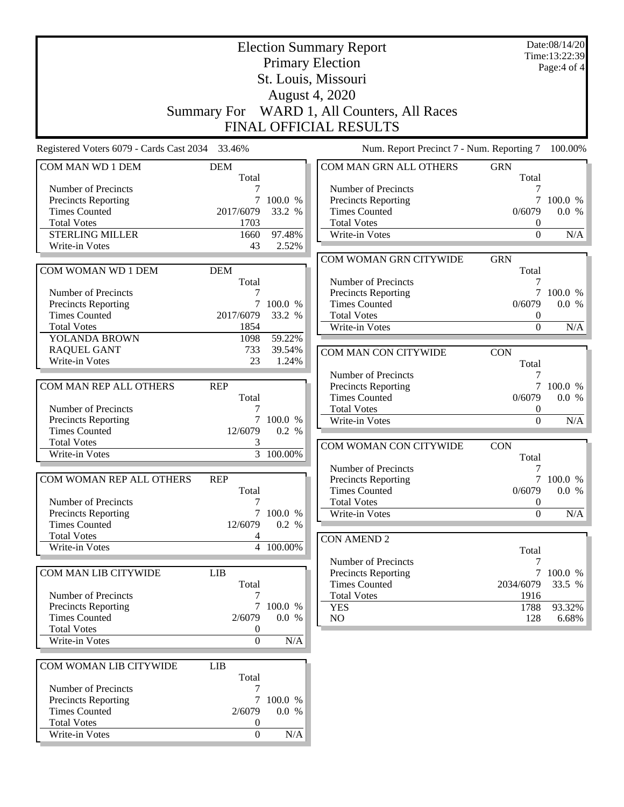|                                             | <b>Election Summary Report</b><br><b>Primary Election</b> |                  |                                            |                              |           |  |
|---------------------------------------------|-----------------------------------------------------------|------------------|--------------------------------------------|------------------------------|-----------|--|
|                                             |                                                           |                  | St. Louis, Missouri                        |                              |           |  |
| <b>August 4, 2020</b>                       |                                                           |                  |                                            |                              |           |  |
|                                             | <b>Summary For</b>                                        |                  | WARD 1, All Counters, All Races            |                              |           |  |
|                                             |                                                           |                  | <b>FINAL OFFICIAL RESULTS</b>              |                              |           |  |
| Registered Voters 6079 - Cards Cast 2034    | 33.46%                                                    |                  | Num. Report Precinct 7 - Num. Reporting 7  |                              | 100.00%   |  |
| COM MAN WD 1 DEM                            | <b>DEM</b><br>Total                                       |                  | COM MAN GRN ALL OTHERS                     | <b>GRN</b><br>Total          |           |  |
| Number of Precincts                         |                                                           |                  | Number of Precincts                        |                              |           |  |
| Precincts Reporting                         | 7                                                         | 100.0 %          | <b>Precincts Reporting</b>                 | 7                            | 100.0 %   |  |
| <b>Times Counted</b><br><b>Total Votes</b>  | 2017/6079                                                 | 33.2 %           | <b>Times Counted</b><br><b>Total Votes</b> | 0/6079                       | 0.0 %     |  |
| <b>STERLING MILLER</b>                      | 1703<br>1660                                              | 97.48%           | Write-in Votes                             | $\boldsymbol{0}$<br>$\theta$ | N/A       |  |
| Write-in Votes                              | 43                                                        | 2.52%            |                                            |                              |           |  |
|                                             |                                                           |                  | COM WOMAN GRN CITYWIDE                     | <b>GRN</b>                   |           |  |
| COM WOMAN WD 1 DEM                          | <b>DEM</b>                                                |                  |                                            | Total                        |           |  |
|                                             | Total                                                     |                  | Number of Precincts                        | 7                            |           |  |
| Number of Precincts                         |                                                           |                  | <b>Precincts Reporting</b>                 |                              | 7 100.0 % |  |
| Precincts Reporting                         | $\tau$                                                    | 100.0 %          | <b>Times Counted</b>                       | 0/6079                       | 0.0 %     |  |
| <b>Times Counted</b>                        | 2017/6079                                                 | 33.2 %           | <b>Total Votes</b>                         | $\mathbf{0}$                 |           |  |
| <b>Total Votes</b>                          | 1854                                                      |                  | Write-in Votes                             | $\mathbf{0}$                 | N/A       |  |
| YOLANDA BROWN                               | 1098<br>733                                               | 59.22%<br>39.54% |                                            |                              |           |  |
| <b>RAQUEL GANT</b><br>Write-in Votes        | 23                                                        | 1.24%            | COM MAN CON CITYWIDE                       | <b>CON</b>                   |           |  |
|                                             |                                                           |                  | Number of Precincts                        | Total<br>7                   |           |  |
| COM MAN REP ALL OTHERS                      | <b>REP</b>                                                |                  | Precincts Reporting                        | $7\overline{ }$              | 100.0 %   |  |
|                                             | Total                                                     |                  | <b>Times Counted</b>                       | 0/6079                       | 0.0 %     |  |
| Number of Precincts                         |                                                           |                  | <b>Total Votes</b>                         | $\boldsymbol{0}$             |           |  |
| Precincts Reporting                         | 7                                                         | 100.0 %          | Write-in Votes                             | $\mathbf{0}$                 | N/A       |  |
| <b>Times Counted</b>                        | 12/6079                                                   | 0.2 %            |                                            |                              |           |  |
| <b>Total Votes</b>                          | 3                                                         |                  | COM WOMAN CON CITYWIDE                     | <b>CON</b>                   |           |  |
| Write-in Votes                              | 3                                                         | 100.00%          |                                            | Total                        |           |  |
|                                             |                                                           |                  | Number of Precincts                        |                              |           |  |
| COM WOMAN REP ALL OTHERS                    | <b>REP</b>                                                |                  | <b>Precincts Reporting</b>                 |                              | 7 100.0 % |  |
| Number of Precincts                         | Total<br>7                                                |                  | <b>Times Counted</b><br><b>Total Votes</b> | 0/6079<br>0                  | 0.0 %     |  |
| Precincts Reporting                         |                                                           | 7 100.0 %        | Write-in Votes                             | $\Omega$                     | N/A       |  |
| <b>Times Counted</b>                        | 12/6079                                                   | 0.2 %            |                                            |                              |           |  |
| <b>Total Votes</b>                          | 4                                                         |                  | <b>CON AMEND 2</b>                         |                              |           |  |
| Write-in Votes                              |                                                           | 4 100.00%        |                                            | Total                        |           |  |
|                                             |                                                           |                  | Number of Precincts                        | 7                            |           |  |
| COM MAN LIB CITYWIDE                        | <b>LIB</b>                                                |                  | Precincts Reporting                        | $\tau$                       | 100.0 %   |  |
|                                             | Total                                                     |                  | <b>Times Counted</b>                       | 2034/6079                    | 33.5 %    |  |
| Number of Precincts                         |                                                           |                  | <b>Total Votes</b>                         | 1916                         |           |  |
| Precincts Reporting<br><b>Times Counted</b> | $\tau$                                                    | 100.0 %          | <b>YES</b>                                 | 1788                         | 93.32%    |  |
| <b>Total Votes</b>                          | 2/6079<br>$\theta$                                        | 0.0 %            | NO.                                        | 128                          | 6.68%     |  |
| Write-in Votes                              | $\mathbf{0}$                                              | $\rm N/A$        |                                            |                              |           |  |
|                                             |                                                           |                  |                                            |                              |           |  |
| COM WOMAN LIB CITYWIDE                      | <b>LIB</b><br>Total                                       |                  |                                            |                              |           |  |
| Number of Precincts                         | 7                                                         |                  |                                            |                              |           |  |
| Precincts Reporting                         |                                                           | 7 100.0 %        |                                            |                              |           |  |
| <b>Times Counted</b>                        | 2/6079                                                    | 0.0 %            |                                            |                              |           |  |
| <b>Total Votes</b>                          | $\boldsymbol{0}$                                          |                  |                                            |                              |           |  |
| Write-in Votes                              | $\boldsymbol{0}$                                          | N/A              |                                            |                              |           |  |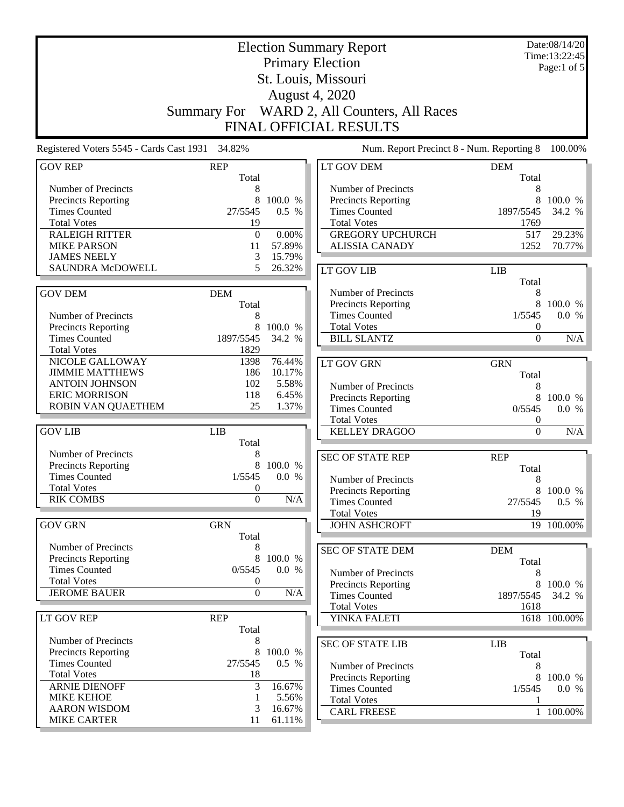|                                                 | <b>Election Summary Report</b> |           |                                                   |                  | Date:08/14/20<br>Time: 13:22:45 |
|-------------------------------------------------|--------------------------------|-----------|---------------------------------------------------|------------------|---------------------------------|
|                                                 |                                |           | <b>Primary Election</b>                           |                  | Page:1 of 5                     |
|                                                 |                                |           | St. Louis, Missouri                               |                  |                                 |
|                                                 |                                |           | <b>August 4, 2020</b>                             |                  |                                 |
|                                                 |                                |           |                                                   |                  |                                 |
|                                                 | <b>Summary For</b>             |           | WARD 2, All Counters, All Races                   |                  |                                 |
|                                                 |                                |           | FINAL OFFICIAL RESULTS                            |                  |                                 |
| Registered Voters 5545 - Cards Cast 1931 34.82% |                                |           | Num. Report Precinct 8 - Num. Reporting 8         |                  | 100.00%                         |
| <b>GOV REP</b>                                  | <b>REP</b>                     |           | LT GOV DEM                                        | <b>DEM</b>       |                                 |
| Number of Precincts                             | Total<br>8                     |           | Number of Precincts                               | Total            |                                 |
| Precincts Reporting                             | 8                              | 100.0 %   | Precincts Reporting                               | 8<br>8           | 100.0 %                         |
| <b>Times Counted</b>                            | 27/5545                        | 0.5 %     | <b>Times Counted</b>                              | 1897/5545        | 34.2 %                          |
| <b>Total Votes</b>                              | 19                             |           | <b>Total Votes</b>                                | 1769             |                                 |
| <b>RALEIGH RITTER</b>                           | $\boldsymbol{0}$               | 0.00%     | <b>GREGORY UPCHURCH</b>                           | 517              | 29.23%                          |
| <b>MIKE PARSON</b>                              | 11                             | 57.89%    | <b>ALISSIA CANADY</b>                             | 1252             | 70.77%                          |
| <b>JAMES NEELY</b>                              | 3                              | 15.79%    |                                                   |                  |                                 |
| SAUNDRA McDOWELL                                | 5                              | 26.32%    | LT GOV LIB                                        | <b>LIB</b>       |                                 |
|                                                 |                                |           |                                                   | Total            |                                 |
| <b>GOV DEM</b>                                  | <b>DEM</b>                     |           | Number of Precincts                               | 8                |                                 |
|                                                 | Total                          |           | Precincts Reporting                               | 8                | 100.0 %                         |
| Number of Precincts                             | 8                              |           | <b>Times Counted</b>                              | 1/5545           | 0.0 %                           |
| Precincts Reporting                             | 8                              | 100.0 %   | <b>Total Votes</b>                                | 0                |                                 |
| <b>Times Counted</b>                            | 1897/5545                      | 34.2 %    | <b>BILL SLANTZ</b>                                | $\boldsymbol{0}$ | N/A                             |
| <b>Total Votes</b>                              | 1829                           |           |                                                   |                  |                                 |
| NICOLE GALLOWAY                                 | 1398                           | 76.44%    | LT GOV GRN                                        | <b>GRN</b>       |                                 |
| <b>JIMMIE MATTHEWS</b>                          | 186                            | 10.17%    |                                                   | Total            |                                 |
| <b>ANTOIN JOHNSON</b>                           | 102                            | 5.58%     | Number of Precincts                               | 8                |                                 |
| <b>ERIC MORRISON</b>                            | 118                            | 6.45%     | Precincts Reporting                               | 8                | 100.0 %                         |
| ROBIN VAN QUAETHEM                              | 25                             | 1.37%     | <b>Times Counted</b>                              | 0/5545           | 0.0 %                           |
|                                                 |                                |           | <b>Total Votes</b>                                | $\boldsymbol{0}$ |                                 |
| <b>GOV LIB</b>                                  | <b>LIB</b>                     |           | <b>KELLEY DRAGOO</b>                              | $\mathbf{0}$     | N/A                             |
|                                                 | Total                          |           |                                                   |                  |                                 |
| Number of Precincts                             | 8                              |           | <b>SEC OF STATE REP</b>                           | <b>REP</b>       |                                 |
| Precincts Reporting                             | 8                              | 100.0 %   |                                                   | Total            |                                 |
| <b>Times Counted</b>                            | 1/5545                         | 0.0 %     | Number of Precincts                               | 8                |                                 |
| <b>Total Votes</b><br><b>RIK COMBS</b>          | $\mathbf{0}$                   |           | <b>Precincts Reporting</b>                        | 8                | 100.0 %                         |
|                                                 | $\boldsymbol{0}$               | N/A       | <b>Times Counted</b>                              | 27/5545          | 0.5 %                           |
|                                                 |                                |           | <b>Total Votes</b>                                | 19               |                                 |
| <b>GOV GRN</b>                                  | <b>GRN</b><br>Total            |           | <b>JOHN ASHCROFT</b>                              |                  | 19 100.00%                      |
| Number of Precincts                             | 8                              |           |                                                   |                  |                                 |
| Precincts Reporting                             | 8                              | 100.0 %   | <b>SEC OF STATE DEM</b>                           | <b>DEM</b>       |                                 |
| <b>Times Counted</b>                            | 0/5545                         | 0.0 %     |                                                   | Total            |                                 |
| <b>Total Votes</b>                              | $\boldsymbol{0}$               |           | Number of Precincts<br><b>Precincts Reporting</b> | 8                |                                 |
| <b>JEROME BAUER</b>                             | $\overline{0}$                 | $\rm N/A$ | <b>Times Counted</b>                              | 8<br>1897/5545   | 100.0 %<br>34.2 %               |
|                                                 |                                |           | <b>Total Votes</b>                                | 1618             |                                 |
| LT GOV REP                                      | <b>REP</b>                     |           | YINKA FALETI                                      |                  | $\overline{1618}$ 100.00%       |
|                                                 | Total                          |           |                                                   |                  |                                 |
| Number of Precincts                             | 8                              |           | <b>SEC OF STATE LIB</b>                           | LIB              |                                 |
| Precincts Reporting                             | 8                              | 100.0 %   |                                                   | Total            |                                 |
| <b>Times Counted</b>                            | 27/5545                        | 0.5 %     | Number of Precincts                               | 8                |                                 |
| <b>Total Votes</b>                              | 18                             |           | Precincts Reporting                               |                  | 8 100.0 %                       |
| <b>ARNIE DIENOFF</b>                            | 3                              | 16.67%    | <b>Times Counted</b>                              | 1/5545           | 0.0 %                           |
| <b>MIKE KEHOE</b>                               | 1                              | 5.56%     | <b>Total Votes</b>                                | 1                |                                 |
| <b>AARON WISDOM</b>                             | 3                              | 16.67%    | <b>CARL FREESE</b>                                |                  | 1 100.00%                       |
| <b>MIKE CARTER</b>                              | 11                             | 61.11%    |                                                   |                  |                                 |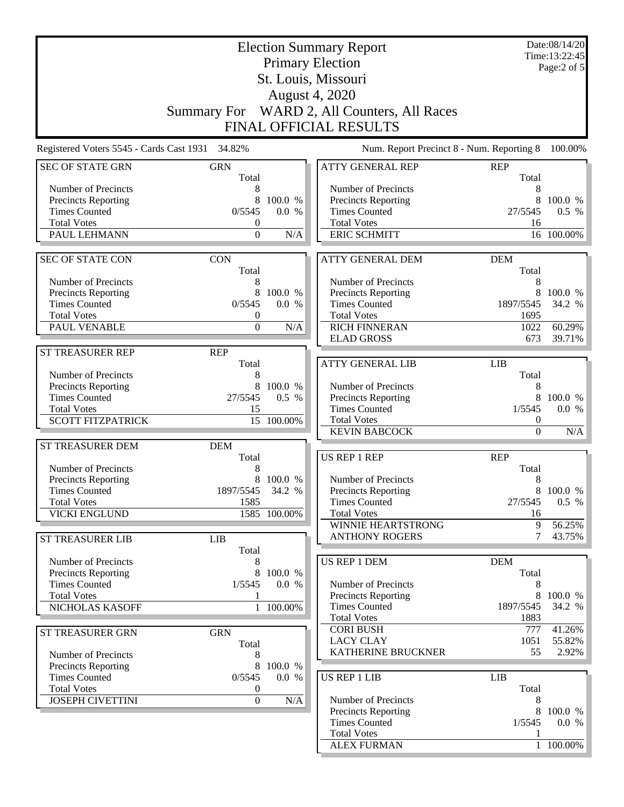|                                                    | Date:08/14/20<br><b>Election Summary Report</b> |                  |                                             |                     |                              |
|----------------------------------------------------|-------------------------------------------------|------------------|---------------------------------------------|---------------------|------------------------------|
|                                                    |                                                 |                  | <b>Primary Election</b>                     |                     | Time:13:22:45<br>Page:2 of 5 |
|                                                    |                                                 |                  | St. Louis, Missouri                         |                     |                              |
|                                                    |                                                 |                  | <b>August 4, 2020</b>                       |                     |                              |
|                                                    |                                                 |                  |                                             |                     |                              |
|                                                    | <b>Summary For</b>                              |                  | WARD 2, All Counters, All Races             |                     |                              |
|                                                    |                                                 |                  | FINAL OFFICIAL RESULTS                      |                     |                              |
| Registered Voters 5545 - Cards Cast 1931 34.82%    |                                                 |                  | Num. Report Precinct 8 - Num. Reporting 8   |                     | 100.00%                      |
| <b>SEC OF STATE GRN</b>                            | <b>GRN</b><br>Total                             |                  | <b>ATTY GENERAL REP</b>                     | <b>REP</b><br>Total |                              |
| Number of Precincts                                | 8                                               |                  | Number of Precincts                         | 8                   |                              |
| <b>Precincts Reporting</b>                         | 8                                               | 100.0 %          | Precincts Reporting                         | 8                   | 100.0 %                      |
| <b>Times Counted</b>                               | 0/5545                                          | 0.0 %            | <b>Times Counted</b>                        | 27/5545             | $0.5\%$                      |
| <b>Total Votes</b>                                 | $\boldsymbol{0}$                                |                  | <b>Total Votes</b>                          | 16                  |                              |
| PAUL LEHMANN                                       | $\boldsymbol{0}$                                | N/A              | <b>ERIC SCHMITT</b>                         |                     | 16 100.00%                   |
| <b>SEC OF STATE CON</b>                            | <b>CON</b>                                      |                  | <b>ATTY GENERAL DEM</b>                     | <b>DEM</b>          |                              |
| Number of Precincts                                | Total<br>8                                      |                  | Number of Precincts                         | Total<br>8          |                              |
| <b>Precincts Reporting</b>                         | 8                                               | 100.0 %          | Precincts Reporting                         | 8                   | 100.0 %                      |
| <b>Times Counted</b>                               | 0/5545                                          | 0.0 %            | <b>Times Counted</b>                        | 1897/5545           | 34.2 %                       |
| <b>Total Votes</b>                                 | $\boldsymbol{0}$                                |                  | <b>Total Votes</b>                          | 1695                |                              |
| PAUL VENABLE                                       | $\mathbf{0}$                                    | N/A              | <b>RICH FINNERAN</b>                        | 1022                | 60.29%                       |
|                                                    |                                                 |                  | <b>ELAD GROSS</b>                           | 673                 | 39.71%                       |
| <b>ST TREASURER REP</b>                            | <b>REP</b>                                      |                  |                                             |                     |                              |
|                                                    | Total                                           |                  | <b>ATTY GENERAL LIB</b>                     | <b>LIB</b>          |                              |
| Number of Precincts                                | 8                                               |                  |                                             | Total               |                              |
| <b>Precincts Reporting</b><br><b>Times Counted</b> | 8<br>27/5545                                    | 100.0 %<br>0.5 % | Number of Precincts                         | 8<br>8              | 100.0 %                      |
| <b>Total Votes</b>                                 | 15                                              |                  | Precincts Reporting<br><b>Times Counted</b> | 1/5545              | 0.0 %                        |
| <b>SCOTT FITZPATRICK</b>                           |                                                 | 15 100.00%       | <b>Total Votes</b>                          | $\boldsymbol{0}$    |                              |
|                                                    |                                                 |                  | <b>KEVIN BABCOCK</b>                        | $\Omega$            | N/A                          |
| ST TREASURER DEM                                   | <b>DEM</b>                                      |                  |                                             |                     |                              |
|                                                    | Total                                           |                  | <b>US REP 1 REP</b>                         | <b>REP</b>          |                              |
| Number of Precincts                                | 8                                               |                  |                                             | Total               |                              |
| Precincts Reporting                                | 8                                               | 100.0 %          | Number of Precincts                         | 8                   |                              |
| <b>Times Counted</b>                               | 1897/5545                                       | 34.2 %           | <b>Precincts Reporting</b>                  | 8                   | 100.0 %                      |
| <b>Total Votes</b><br><b>VICKI ENGLUND</b>         | 1585                                            | 1585 100.00%     | <b>Times Counted</b><br><b>Total Votes</b>  | 27/5545<br>16       | 0.5 %                        |
|                                                    |                                                 |                  | WINNIE HEARTSTRONG                          | 9                   | 56.25%                       |
| ST TREASURER LIB                                   | <b>LIB</b>                                      |                  | <b>ANTHONY ROGERS</b>                       | 7                   | 43.75%                       |
|                                                    | Total                                           |                  |                                             |                     |                              |
| Number of Precincts                                | 8                                               |                  | <b>US REP 1 DEM</b>                         | <b>DEM</b>          |                              |
| Precincts Reporting                                | 8                                               | 100.0 %          |                                             | Total               |                              |
| <b>Times Counted</b>                               | 1/5545                                          | 0.0 %            | Number of Precincts                         | 8                   |                              |
| <b>Total Votes</b>                                 | 1                                               |                  | <b>Precincts Reporting</b>                  | 8                   | 100.0 %                      |
| NICHOLAS KASOFF                                    |                                                 | 1 100.00%        | <b>Times Counted</b>                        | 1897/5545           | 34.2 %                       |
|                                                    |                                                 |                  | <b>Total Votes</b><br><b>CORI BUSH</b>      | 1883<br>777         | 41.26%                       |
| ST TREASURER GRN                                   | <b>GRN</b>                                      |                  | <b>LACY CLAY</b>                            | 1051                | 55.82%                       |
| Number of Precincts                                | Total<br>8                                      |                  | KATHERINE BRUCKNER                          | 55                  | $2.92\%$                     |
| Precincts Reporting                                | 8                                               | 100.0 %          |                                             |                     |                              |
| <b>Times Counted</b>                               | 0/5545                                          | 0.0 %            | <b>US REP 1 LIB</b>                         | <b>LIB</b>          |                              |
| <b>Total Votes</b>                                 | $\boldsymbol{0}$                                |                  |                                             | Total               |                              |
| <b>JOSEPH CIVETTINI</b>                            | $\boldsymbol{0}$                                | $\rm N/A$        | Number of Precincts                         | 8                   |                              |
|                                                    |                                                 |                  | Precincts Reporting                         | 8                   | 100.0 %                      |
|                                                    |                                                 |                  | <b>Times Counted</b>                        | 1/5545              | 0.0 %                        |
|                                                    |                                                 |                  | <b>Total Votes</b><br><b>ALEX FURMAN</b>    |                     | $1\quad100.00\%$             |
|                                                    |                                                 |                  |                                             |                     |                              |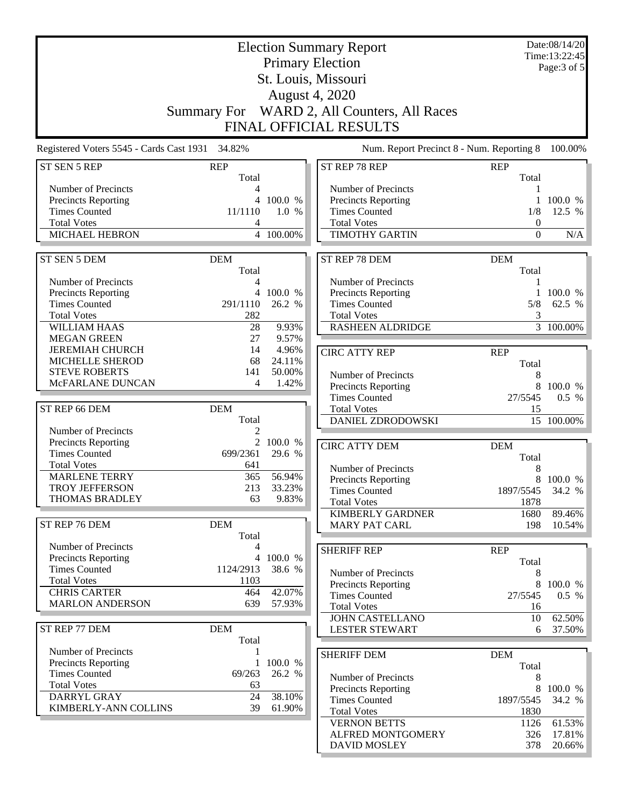| <b>Election Summary Report</b><br><b>Primary Election</b> |                               |                     |                                                    |                       |                        |  |  |
|-----------------------------------------------------------|-------------------------------|---------------------|----------------------------------------------------|-----------------------|------------------------|--|--|
|                                                           | St. Louis, Missouri           |                     |                                                    |                       |                        |  |  |
|                                                           | <b>August 4, 2020</b>         |                     |                                                    |                       |                        |  |  |
|                                                           |                               |                     | Summary For WARD 2, All Counters, All Races        |                       |                        |  |  |
|                                                           | <b>FINAL OFFICIAL RESULTS</b> |                     |                                                    |                       |                        |  |  |
| Registered Voters 5545 - Cards Cast 1931 34.82%           |                               |                     | Num. Report Precinct 8 - Num. Reporting 8          |                       | 100.00%                |  |  |
| ST SEN 5 REP                                              | <b>REP</b><br>Total           |                     | ST REP 78 REP                                      | <b>REP</b><br>Total   |                        |  |  |
| Number of Precincts                                       | 4                             |                     | Number of Precincts                                |                       |                        |  |  |
| Precincts Reporting                                       |                               | 4 100.0 %           | Precincts Reporting                                | 1                     | 100.0 %                |  |  |
| <b>Times Counted</b><br><b>Total Votes</b>                | 11/1110<br>4                  | 1.0 %               | <b>Times Counted</b><br><b>Total Votes</b>         | 1/8<br>$\overline{0}$ | 12.5 %                 |  |  |
| MICHAEL HEBRON                                            |                               | 4 100.00%           | <b>TIMOTHY GARTIN</b>                              | $\Omega$              | N/A                    |  |  |
|                                                           |                               |                     |                                                    |                       |                        |  |  |
| ST SEN 5 DEM                                              | <b>DEM</b><br>Total           |                     | ST REP 78 DEM                                      | <b>DEM</b><br>Total   |                        |  |  |
| Number of Precincts                                       | 4                             |                     | Number of Precincts                                |                       |                        |  |  |
| Precincts Reporting<br><b>Times Counted</b>               | 291/1110                      | 4 100.0 %<br>26.2 % | <b>Precincts Reporting</b><br><b>Times Counted</b> | 5/8                   | 100.0%<br>62.5 %       |  |  |
| <b>Total Votes</b>                                        | 282                           |                     | <b>Total Votes</b>                                 | 3                     |                        |  |  |
| <b>WILLIAM HAAS</b>                                       | 28                            | 9.93%               | <b>RASHEEN ALDRIDGE</b>                            |                       | $\overline{3}$ 100.00% |  |  |
| <b>MEGAN GREEN</b>                                        | 27                            | 9.57%               |                                                    |                       |                        |  |  |
| <b>JEREMIAH CHURCH</b>                                    | 14                            | 4.96%               | <b>CIRC ATTY REP</b>                               | <b>REP</b>            |                        |  |  |
| MICHELLE SHEROD                                           | 68                            | 24.11%              |                                                    | Total                 |                        |  |  |
| <b>STEVE ROBERTS</b>                                      | 141                           | 50.00%              | Number of Precincts                                | 8                     |                        |  |  |
| McFARLANE DUNCAN                                          | 4                             | 1.42%               | Precincts Reporting                                | 8                     | 100.0 %                |  |  |
|                                                           |                               |                     | <b>Times Counted</b>                               | 27/5545               | 0.5 %                  |  |  |
| ST REP 66 DEM                                             | <b>DEM</b><br>Total<br>2      |                     | <b>Total Votes</b><br>DANIEL ZDRODOWSKI            | 15                    | 15 100.00%             |  |  |
| Number of Precincts<br>Precincts Reporting                |                               | 2 100.0 %           |                                                    |                       |                        |  |  |
| <b>Times Counted</b>                                      | 699/2361                      | 29.6 %              | <b>CIRC ATTY DEM</b>                               | <b>DEM</b>            |                        |  |  |
| <b>Total Votes</b>                                        | 641                           |                     | Number of Precincts                                | Total<br>8            |                        |  |  |
| <b>MARLENE TERRY</b>                                      | 365                           | 56.94%              | Precincts Reporting                                |                       | 8 100.0 %              |  |  |
| <b>TROY JEFFERSON</b>                                     | 213                           | 33.23%              | <b>Times Counted</b>                               | 1897/5545 34.2 %      |                        |  |  |
| THOMAS BRADLEY                                            | 63                            | 9.83%               | <b>Total Votes</b>                                 | 1878                  |                        |  |  |
|                                                           |                               |                     | <b>KIMBERLY GARDNER</b>                            | 1680                  | 89.46%                 |  |  |
| ST REP 76 DEM                                             | <b>DEM</b><br>Total           |                     | <b>MARY PAT CARL</b>                               | 198                   | 10.54%                 |  |  |
| Number of Precincts                                       | 4                             | 4 100.0 %           | <b>SHERIFF REP</b>                                 | <b>REP</b>            |                        |  |  |
| <b>Precincts Reporting</b><br><b>Times Counted</b>        | 1124/2913                     | 38.6 %              |                                                    | Total                 |                        |  |  |
| <b>Total Votes</b>                                        | 1103                          |                     | Number of Precincts<br><b>Precincts Reporting</b>  | 8                     | 8 100.0 %              |  |  |
| <b>CHRIS CARTER</b>                                       | 464                           | 42.07%              | <b>Times Counted</b>                               | 27/5545               | $0.5\%$                |  |  |
| <b>MARLON ANDERSON</b>                                    | 639                           | 57.93%              | <b>Total Votes</b>                                 | 16                    |                        |  |  |
|                                                           |                               |                     | <b>JOHN CASTELLANO</b>                             | 10                    | 62.50%                 |  |  |
| ST REP 77 DEM                                             | <b>DEM</b><br>Total           |                     | <b>LESTER STEWART</b>                              | 6                     | 37.50%                 |  |  |
| Number of Precincts                                       | 1                             |                     | <b>SHERIFF DEM</b>                                 | <b>DEM</b>            |                        |  |  |
| Precincts Reporting<br><b>Times Counted</b>               | 69/263                        | 1 100.0 %<br>26.2 % |                                                    | Total                 |                        |  |  |
| <b>Total Votes</b>                                        | 63                            |                     | Number of Precincts                                | 8                     |                        |  |  |
| DARRYL GRAY                                               | 24                            | 38.10%              | <b>Precincts Reporting</b><br><b>Times Counted</b> | 8<br>1897/5545        | 100.0 %<br>34.2 %      |  |  |
| KIMBERLY-ANN COLLINS                                      | 39                            | 61.90%              | <b>Total Votes</b>                                 | 1830                  |                        |  |  |
|                                                           |                               |                     | <b>VERNON BETTS</b>                                | 1126                  | 61.53%                 |  |  |
|                                                           |                               |                     | ALFRED MONTGOMERY                                  | 326                   | 17.81%                 |  |  |
|                                                           |                               |                     | <b>DAVID MOSLEY</b>                                | 378                   | 20.66%                 |  |  |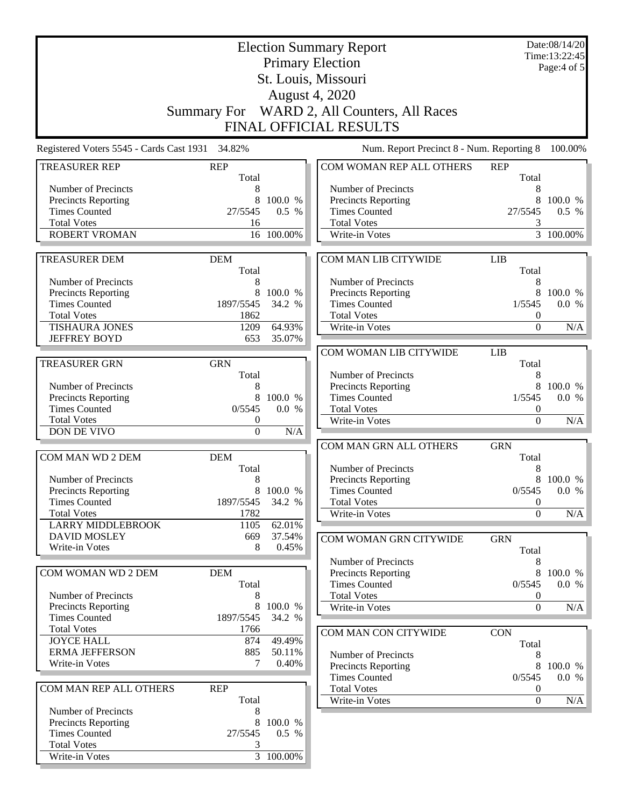|                                                    | <b>Election Summary Report</b> |                  |                                                    |                                      |                              |
|----------------------------------------------------|--------------------------------|------------------|----------------------------------------------------|--------------------------------------|------------------------------|
|                                                    |                                |                  | <b>Primary Election</b>                            |                                      | Time:13:22:45<br>Page:4 of 5 |
|                                                    |                                |                  | St. Louis, Missouri                                |                                      |                              |
|                                                    |                                |                  | <b>August 4, 2020</b>                              |                                      |                              |
|                                                    |                                |                  | Summary For WARD 2, All Counters, All Races        |                                      |                              |
|                                                    |                                |                  | FINAL OFFICIAL RESULTS                             |                                      |                              |
| Registered Voters 5545 - Cards Cast 1931           | 34.82%                         |                  | Num. Report Precinct 8 - Num. Reporting 8          |                                      | 100.00%                      |
| <b>TREASURER REP</b>                               | <b>REP</b>                     |                  | COM WOMAN REP ALL OTHERS                           | <b>REP</b>                           |                              |
| Number of Precincts                                | Total<br>8                     |                  | Number of Precincts                                | Total<br>8                           |                              |
| Precincts Reporting                                | 8                              | 100.0 %          | <b>Precincts Reporting</b>                         | 8                                    | 100.0 %                      |
| <b>Times Counted</b>                               | 27/5545                        | $0.5\%$          | <b>Times Counted</b>                               | 27/5545                              | 0.5 %                        |
| <b>Total Votes</b>                                 | 16                             |                  | <b>Total Votes</b>                                 | 3                                    |                              |
| <b>ROBERT VROMAN</b>                               |                                | 16 100.00%       | Write-in Votes                                     |                                      | $\overline{3}$ 100.00%       |
| <b>TREASURER DEM</b>                               | <b>DEM</b>                     |                  | COM MAN LIB CITYWIDE                               | <b>LIB</b>                           |                              |
|                                                    | Total                          |                  |                                                    | Total                                |                              |
| Number of Precincts                                | 8                              |                  | Number of Precincts                                | 8                                    |                              |
| Precincts Reporting                                | 8                              | 100.0 %          | <b>Precincts Reporting</b>                         | 8                                    | 100.0 %                      |
| <b>Times Counted</b>                               | 1897/5545                      | 34.2 %           | <b>Times Counted</b>                               | 1/5545                               | 0.0 %                        |
| <b>Total Votes</b><br><b>TISHAURA JONES</b>        | 1862<br>1209                   | 64.93%           | <b>Total Votes</b><br>Write-in Votes               | $\boldsymbol{0}$<br>$\mathbf{0}$     | N/A                          |
| <b>JEFFREY BOYD</b>                                | 653                            | 35.07%           |                                                    |                                      |                              |
|                                                    |                                |                  | COM WOMAN LIB CITYWIDE                             | <b>LIB</b>                           |                              |
| <b>TREASURER GRN</b>                               | <b>GRN</b>                     |                  |                                                    | Total                                |                              |
|                                                    | Total                          |                  | Number of Precincts                                | 8                                    |                              |
| Number of Precincts                                | 8                              |                  | Precincts Reporting                                | 8                                    | 100.0 %                      |
| <b>Precincts Reporting</b><br><b>Times Counted</b> | 8<br>0/5545                    | 100.0 %<br>0.0 % | <b>Times Counted</b><br><b>Total Votes</b>         | 1/5545                               | 0.0 %                        |
| <b>Total Votes</b>                                 | $\boldsymbol{0}$               |                  | Write-in Votes                                     | $\boldsymbol{0}$<br>$\boldsymbol{0}$ | N/A                          |
| <b>DON DE VIVO</b>                                 | $\boldsymbol{0}$               | N/A              |                                                    |                                      |                              |
|                                                    |                                |                  | COM MAN GRN ALL OTHERS                             | <b>GRN</b>                           |                              |
| COM MAN WD 2 DEM                                   | <b>DEM</b>                     |                  |                                                    | Total                                |                              |
|                                                    | Total                          |                  | Number of Precincts                                | 8                                    |                              |
| Number of Precincts<br><b>Precincts Reporting</b>  | 8                              | 8 100.0 %        | <b>Precincts Reporting</b><br><b>Times Counted</b> | 0/5545                               | 8 100.0 %<br>0.0 %           |
| <b>Times Counted</b>                               | 1897/5545                      | 34.2 %           | <b>Total Votes</b>                                 | $\theta$                             |                              |
| <b>Total Votes</b>                                 | 1782                           |                  | Write-in Votes                                     | $\theta$                             | N/A                          |
| <b>LARRY MIDDLEBROOK</b>                           | 1105                           | 62.01%           |                                                    |                                      |                              |
| <b>DAVID MOSLEY</b>                                | 669                            | 37.54%           | COM WOMAN GRN CITYWIDE                             | <b>GRN</b>                           |                              |
| Write-in Votes                                     | 8                              | 0.45%            |                                                    | Total                                |                              |
| COM WOMAN WD 2 DEM                                 | <b>DEM</b>                     |                  | Number of Precincts<br><b>Precincts Reporting</b>  | 8<br>8                               | 100.0 %                      |
|                                                    | Total                          |                  | <b>Times Counted</b>                               | 0/5545                               | 0.0 %                        |
| Number of Precincts                                | 8                              |                  | <b>Total Votes</b>                                 | $\boldsymbol{0}$                     |                              |
| Precincts Reporting                                | 8                              | 100.0 %          | Write-in Votes                                     | $\Omega$                             | N/A                          |
| <b>Times Counted</b>                               | 1897/5545                      | 34.2 %           |                                                    |                                      |                              |
| <b>Total Votes</b><br><b>JOYCE HALL</b>            | 1766<br>874                    | 49.49%           | COM MAN CON CITYWIDE                               | <b>CON</b>                           |                              |
| <b>ERMA JEFFERSON</b>                              | 885                            | 50.11%           | Number of Precincts                                | Total<br>8                           |                              |
| Write-in Votes                                     | 7                              | 0.40%            | <b>Precincts Reporting</b>                         | 8                                    | 100.0 %                      |
|                                                    |                                |                  | <b>Times Counted</b>                               | 0/5545                               | 0.0 %                        |
| COM MAN REP ALL OTHERS                             | <b>REP</b>                     |                  | <b>Total Votes</b>                                 | $\boldsymbol{0}$                     |                              |
|                                                    | Total                          |                  | Write-in Votes                                     | $\boldsymbol{0}$                     | N/A                          |
| Number of Precincts<br>Precincts Reporting         | 8<br>8                         | 100.0 %          |                                                    |                                      |                              |
| <b>Times Counted</b>                               | 27/5545                        | $0.5\%$          |                                                    |                                      |                              |
| <b>Total Votes</b>                                 | 3                              |                  |                                                    |                                      |                              |
| Write-in Votes                                     |                                | 3 100.00%        |                                                    |                                      |                              |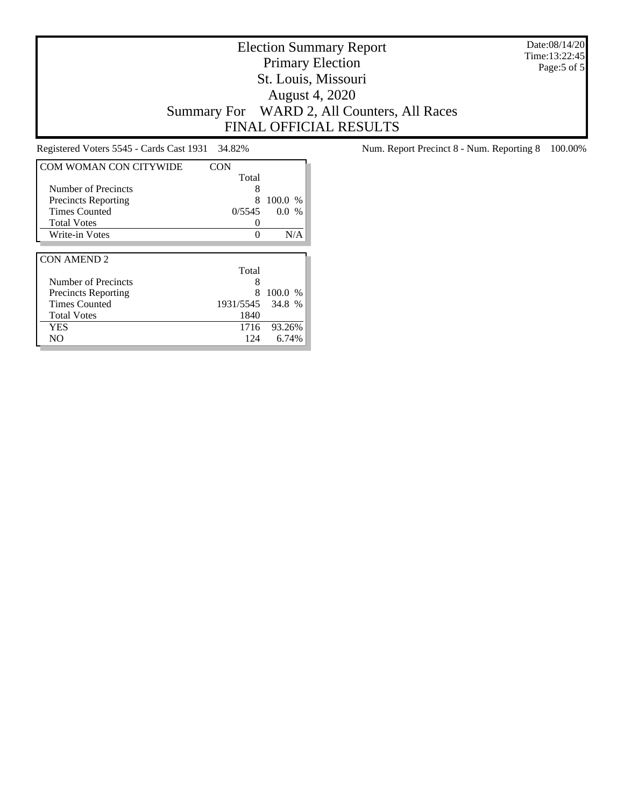Date:08/14/20 Time:13:22:45 Page:5 of 5

## Election Summary Report Primary Election St. Louis, Missouri August 4, 2020 Summary For WARD 2, All Counters, All Races FINAL OFFICIAL RESULTS

| <b>COM WOMAN CON CITYWIDE</b> | CON       |         |
|-------------------------------|-----------|---------|
|                               | Total     |         |
| Number of Precincts           | 8         |         |
| <b>Precincts Reporting</b>    | 8         | 100.0%  |
| <b>Times Counted</b>          | 0/5545    | $0.0\%$ |
| <b>Total Votes</b>            |           |         |
| Write-in Votes                |           | N/A     |
|                               |           |         |
| <b>CON AMEND 2</b>            |           |         |
|                               |           |         |
|                               | Total     |         |
| Number of Precincts           | 8         |         |
| Precincts Reporting           | 8         | 100.0%  |
| <b>Times Counted</b>          | 1931/5545 | 34.8 %  |
| <b>Total Votes</b>            | 1840      |         |
| <b>YES</b>                    | 1716      | 93.26%  |

Registered Voters 5545 - Cards Cast 1931 34.82% Num. Report Precinct 8 - Num. Reporting 8 100.00%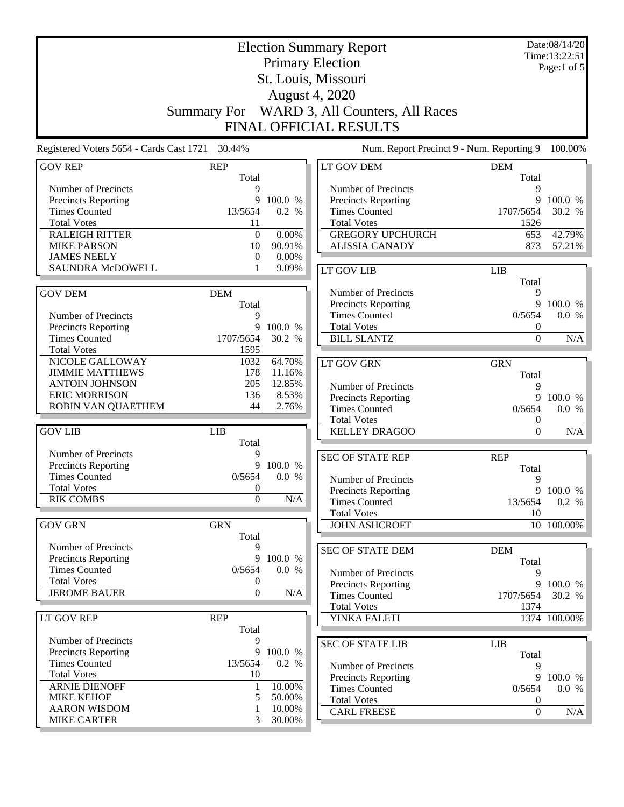|                                                 | <b>Election Summary Report</b> |         |                                                    |                     | Date:08/14/20<br>Time:13:22:51 |
|-------------------------------------------------|--------------------------------|---------|----------------------------------------------------|---------------------|--------------------------------|
|                                                 |                                |         | <b>Primary Election</b>                            |                     | Page:1 of 5                    |
|                                                 |                                |         | St. Louis, Missouri                                |                     |                                |
|                                                 |                                |         | August 4, 2020                                     |                     |                                |
|                                                 |                                |         |                                                    |                     |                                |
|                                                 | <b>Summary For</b>             |         | WARD 3, All Counters, All Races                    |                     |                                |
|                                                 |                                |         | FINAL OFFICIAL RESULTS                             |                     |                                |
| Registered Voters 5654 - Cards Cast 1721 30.44% |                                |         | Num. Report Precinct 9 - Num. Reporting 9          |                     | 100.00%                        |
| <b>GOV REP</b>                                  | <b>REP</b><br>Total            |         | <b>LT GOV DEM</b>                                  | <b>DEM</b><br>Total |                                |
| Number of Precincts                             | 9                              |         | Number of Precincts                                | 9                   |                                |
| Precincts Reporting                             | 9                              | 100.0 % | <b>Precincts Reporting</b>                         | 9                   | 100.0 %                        |
| <b>Times Counted</b>                            | 13/5654                        | 0.2 %   | <b>Times Counted</b>                               | 1707/5654           | 30.2 %                         |
| <b>Total Votes</b>                              | 11                             |         | <b>Total Votes</b>                                 | 1526                |                                |
| <b>RALEIGH RITTER</b>                           | $\boldsymbol{0}$               | 0.00%   | <b>GREGORY UPCHURCH</b>                            | 653                 | 42.79%                         |
| <b>MIKE PARSON</b>                              | 10                             | 90.91%  | <b>ALISSIA CANADY</b>                              | 873                 | 57.21%                         |
| <b>JAMES NEELY</b>                              | $\theta$                       | 0.00%   |                                                    |                     |                                |
| <b>SAUNDRA McDOWELL</b>                         | 1                              | 9.09%   | LT GOV LIB                                         | <b>LIB</b>          |                                |
|                                                 |                                |         |                                                    | Total               |                                |
| <b>GOV DEM</b>                                  | <b>DEM</b>                     |         | Number of Precincts<br><b>Precincts Reporting</b>  | 9<br>9              | 100.0 %                        |
| Number of Precincts                             | Total<br>9                     |         | <b>Times Counted</b>                               | 0/5654              | 0.0 %                          |
| Precincts Reporting                             | 9                              | 100.0 % | <b>Total Votes</b>                                 | $\boldsymbol{0}$    |                                |
| <b>Times Counted</b>                            | 1707/5654                      | 30.2 %  | <b>BILL SLANTZ</b>                                 | $\boldsymbol{0}$    | N/A                            |
| <b>Total Votes</b>                              | 1595                           |         |                                                    |                     |                                |
| NICOLE GALLOWAY                                 | 1032                           | 64.70%  | <b>LT GOV GRN</b>                                  | <b>GRN</b>          |                                |
| <b>JIMMIE MATTHEWS</b>                          | 178                            | 11.16%  |                                                    |                     |                                |
| <b>ANTOIN JOHNSON</b>                           | 205                            | 12.85%  | Number of Precincts                                | Total<br>9          |                                |
| <b>ERIC MORRISON</b>                            | 136                            | 8.53%   | Precincts Reporting                                | 9                   | 100.0 %                        |
| ROBIN VAN QUAETHEM                              | 44                             | 2.76%   | <b>Times Counted</b>                               | 0/5654              | 0.0 %                          |
|                                                 |                                |         | <b>Total Votes</b>                                 | 0                   |                                |
| <b>GOV LIB</b>                                  | <b>LIB</b>                     |         | <b>KELLEY DRAGOO</b>                               | $\boldsymbol{0}$    | N/A                            |
|                                                 | Total                          |         |                                                    |                     |                                |
| Number of Precincts                             | 9                              |         | <b>SEC OF STATE REP</b>                            | <b>REP</b>          |                                |
| Precincts Reporting                             | 9                              | 100.0 % |                                                    | Total               |                                |
| <b>Times Counted</b>                            | 0/5654                         | 0.0 %   | Number of Precincts                                | 9                   |                                |
| <b>Total Votes</b>                              | $\boldsymbol{0}$               |         | <b>Precincts Reporting</b>                         | 9                   | 100.0 %                        |
| <b>RIK COMBS</b>                                | $\boldsymbol{0}$               | N/A     | <b>Times Counted</b>                               | 13/5654             | 0.2 %                          |
|                                                 |                                |         | <b>Total Votes</b>                                 | 10                  |                                |
| <b>GOV GRN</b>                                  | <b>GRN</b>                     |         | <b>JOHN ASHCROFT</b>                               |                     | 10 100.00%                     |
| Number of Precincts                             | Total<br>9                     |         |                                                    |                     |                                |
| Precincts Reporting                             | 9                              | 100.0 % | <b>SEC OF STATE DEM</b>                            | <b>DEM</b>          |                                |
| <b>Times Counted</b>                            | 0/5654                         | 0.0 %   |                                                    | Total               |                                |
| <b>Total Votes</b>                              | 0                              |         | Number of Precincts                                | 9                   |                                |
| <b>JEROME BAUER</b>                             | $\overline{0}$                 | N/A     | <b>Precincts Reporting</b><br><b>Times Counted</b> | 9<br>1707/5654      | 100.0 %<br>30.2 %              |
|                                                 |                                |         | <b>Total Votes</b>                                 | 1374                |                                |
| LT GOV REP                                      | <b>REP</b>                     |         | YINKA FALETI                                       |                     | 1374 100.00%                   |
|                                                 | Total                          |         |                                                    |                     |                                |
| Number of Precincts                             | 9                              |         | <b>SEC OF STATE LIB</b>                            | LIB                 |                                |
| Precincts Reporting                             | 9                              | 100.0 % |                                                    | Total               |                                |
| <b>Times Counted</b>                            | 13/5654                        | 0.2 %   | Number of Precincts                                | 9                   |                                |
| <b>Total Votes</b>                              | 10                             |         | <b>Precincts Reporting</b>                         | 9                   | 100.0 %                        |
| <b>ARNIE DIENOFF</b>                            | 1                              | 10.00%  | <b>Times Counted</b>                               | 0/5654              | 0.0 %                          |
| <b>MIKE KEHOE</b>                               | 5                              | 50.00%  | <b>Total Votes</b>                                 | $\boldsymbol{0}$    |                                |
| <b>AARON WISDOM</b>                             |                                | 10.00%  | <b>CARL FREESE</b>                                 | $\boldsymbol{0}$    | N/A                            |
| <b>MIKE CARTER</b>                              | 3                              | 30.00%  |                                                    |                     |                                |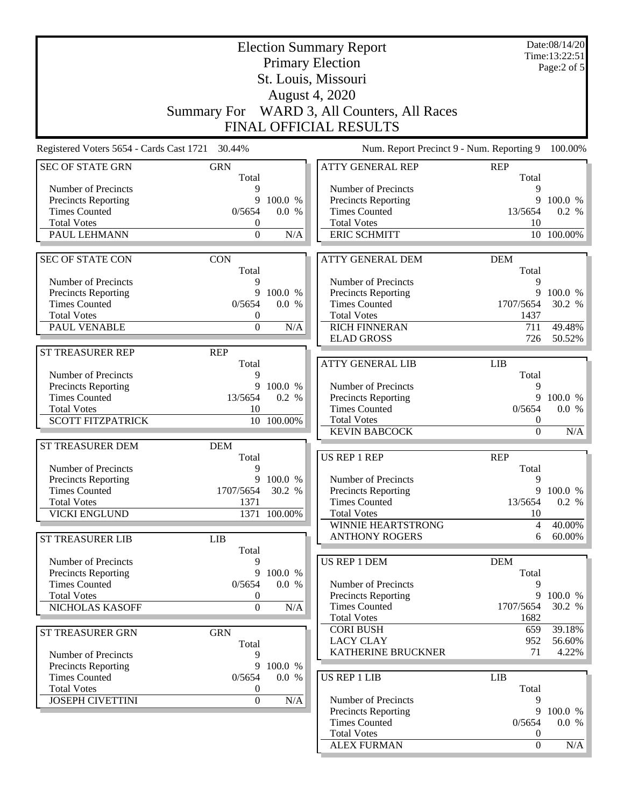|                                                   | Date:08/14/20<br><b>Election Summary Report</b> |                    |                                            |                     |                              |
|---------------------------------------------------|-------------------------------------------------|--------------------|--------------------------------------------|---------------------|------------------------------|
|                                                   |                                                 |                    | <b>Primary Election</b>                    |                     | Time:13:22:51<br>Page:2 of 5 |
|                                                   |                                                 |                    | St. Louis, Missouri                        |                     |                              |
|                                                   |                                                 |                    | <b>August 4, 2020</b>                      |                     |                              |
|                                                   |                                                 |                    |                                            |                     |                              |
|                                                   | <b>Summary For</b>                              |                    | WARD 3, All Counters, All Races            |                     |                              |
|                                                   |                                                 |                    | FINAL OFFICIAL RESULTS                     |                     |                              |
| Registered Voters 5654 - Cards Cast 1721 30.44%   |                                                 |                    | Num. Report Precinct 9 - Num. Reporting 9  |                     | 100.00%                      |
| <b>SEC OF STATE GRN</b>                           | <b>GRN</b><br>Total                             |                    | <b>ATTY GENERAL REP</b>                    | <b>REP</b><br>Total |                              |
| Number of Precincts                               | 9                                               |                    | Number of Precincts                        | 9                   |                              |
| <b>Precincts Reporting</b>                        | 9                                               | 100.0 %            | Precincts Reporting                        | 9                   | 100.0 %                      |
| <b>Times Counted</b><br><b>Total Votes</b>        | 0/5654<br>$\boldsymbol{0}$                      | 0.0 %              | <b>Times Counted</b><br><b>Total Votes</b> | 13/5654<br>10       | 0.2 %                        |
| PAUL LEHMANN                                      | $\boldsymbol{0}$                                | N/A                | <b>ERIC SCHMITT</b>                        |                     | 10 100.00%                   |
|                                                   |                                                 |                    |                                            |                     |                              |
| <b>SEC OF STATE CON</b>                           | <b>CON</b><br>Total                             |                    | <b>ATTY GENERAL DEM</b>                    | <b>DEM</b><br>Total |                              |
| Number of Precincts                               | 9                                               |                    | Number of Precincts                        | 9                   |                              |
| <b>Precincts Reporting</b>                        | 9                                               | 100.0 %            | Precincts Reporting                        | 9                   | 100.0 %                      |
| <b>Times Counted</b>                              | 0/5654                                          | 0.0 %              | <b>Times Counted</b>                       | 1707/5654           | 30.2 %                       |
| <b>Total Votes</b>                                | $\boldsymbol{0}$                                |                    | <b>Total Votes</b>                         | 1437                |                              |
| PAUL VENABLE                                      | $\mathbf{0}$                                    | N/A                | <b>RICH FINNERAN</b>                       | 711                 | 49.48%                       |
|                                                   |                                                 |                    | <b>ELAD GROSS</b>                          | 726                 | 50.52%                       |
| <b>ST TREASURER REP</b>                           | <b>REP</b><br>Total                             |                    | <b>ATTY GENERAL LIB</b>                    | <b>LIB</b>          |                              |
| Number of Precincts                               | 9                                               |                    |                                            | Total               |                              |
| <b>Precincts Reporting</b>                        |                                                 | 9 100.0 %          | Number of Precincts                        | 9                   |                              |
| <b>Times Counted</b>                              | 13/5654                                         | 0.2 %              | Precincts Reporting                        | 9                   | 100.0 %                      |
| <b>Total Votes</b>                                | 10                                              |                    | <b>Times Counted</b>                       | 0/5654              | 0.0 %                        |
| <b>SCOTT FITZPATRICK</b>                          |                                                 | 10 100.00%         | <b>Total Votes</b>                         | 0                   |                              |
|                                                   |                                                 |                    | <b>KEVIN BABCOCK</b>                       | $\Omega$            | N/A                          |
| <b>ST TREASURER DEM</b>                           | <b>DEM</b>                                      |                    |                                            |                     |                              |
|                                                   | Total                                           |                    | <b>US REP 1 REP</b>                        | <b>REP</b>          |                              |
| Number of Precincts<br><b>Precincts Reporting</b> | 9                                               | 9 100.0 %          | Number of Precincts                        | Total<br>9          |                              |
| <b>Times Counted</b>                              | 1707/5654                                       | 30.2 %             | <b>Precincts Reporting</b>                 | 9                   | 100.0 %                      |
| <b>Total Votes</b>                                | 1371                                            |                    | <b>Times Counted</b>                       | 13/5654             | 0.2 %                        |
| <b>VICKI ENGLUND</b>                              |                                                 | 1371 100.00%       | <b>Total Votes</b>                         | 10                  |                              |
|                                                   |                                                 |                    | WINNIE HEARTSTRONG                         | $\overline{4}$      | 40.00%                       |
| <b>ST TREASURER LIB</b>                           | <b>LIB</b>                                      |                    | <b>ANTHONY ROGERS</b>                      | 6                   | $60.00\%$                    |
| Number of Precincts                               | Total                                           |                    | <b>US REP 1 DEM</b>                        | <b>DEM</b>          |                              |
| Precincts Reporting                               | 9                                               | 100.0 %            |                                            | Total               |                              |
| <b>Times Counted</b>                              | 0/5654                                          | 0.0 %              | Number of Precincts                        | 9                   |                              |
| <b>Total Votes</b>                                | $\boldsymbol{0}$                                |                    | <b>Precincts Reporting</b>                 | 9                   | 100.0 %                      |
| NICHOLAS KASOFF                                   | $\boldsymbol{0}$                                | N/A                | <b>Times Counted</b>                       | 1707/5654           | 30.2 %                       |
|                                                   |                                                 |                    | <b>Total Votes</b>                         | 1682                |                              |
| ST TREASURER GRN                                  | <b>GRN</b>                                      |                    | <b>CORI BUSH</b>                           | 659                 | 39.18%                       |
|                                                   | Total                                           |                    | <b>LACY CLAY</b><br>KATHERINE BRUCKNER     | 952<br>71           | 56.60%<br>$4.22\%$           |
| Number of Precincts                               | 9                                               |                    |                                            |                     |                              |
| Precincts Reporting<br><b>Times Counted</b>       | 0/5654                                          | 9 100.0 %<br>0.0 % | <b>US REP 1 LIB</b>                        | <b>LIB</b>          |                              |
| <b>Total Votes</b>                                | $\boldsymbol{0}$                                |                    |                                            | Total               |                              |
| <b>JOSEPH CIVETTINI</b>                           | $\boldsymbol{0}$                                | $\rm N/A$          | Number of Precincts                        | 9                   |                              |
|                                                   |                                                 |                    | Precincts Reporting                        | 9                   | 100.0 %                      |
|                                                   |                                                 |                    | <b>Times Counted</b>                       | 0/5654              | 0.0 %                        |
|                                                   |                                                 |                    | <b>Total Votes</b>                         | 0                   |                              |
|                                                   |                                                 |                    | <b>ALEX FURMAN</b>                         | $\boldsymbol{0}$    | N/A                          |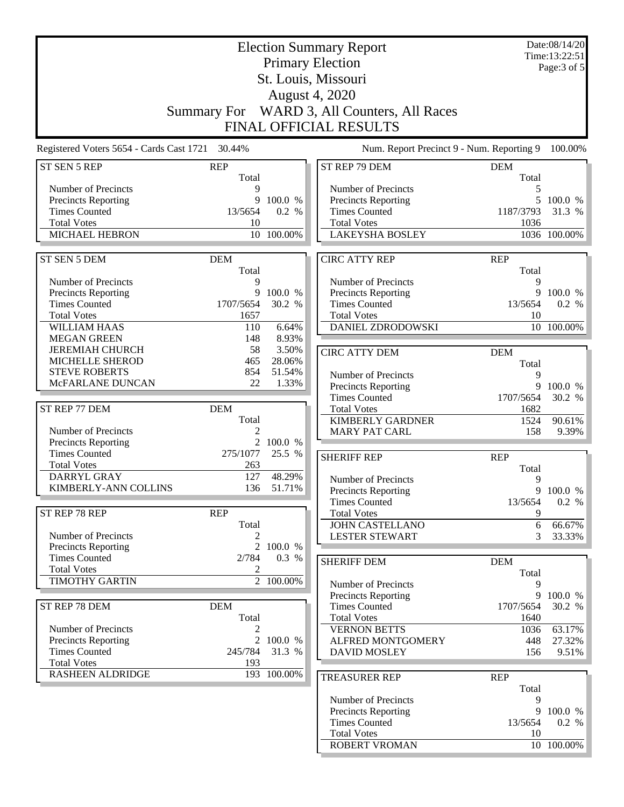| <b>Election Summary Report</b>                        |                       |             |                                                 |                     | Date:08/14/20<br>Time:13:22:51 |  |
|-------------------------------------------------------|-----------------------|-------------|-------------------------------------------------|---------------------|--------------------------------|--|
|                                                       |                       |             | <b>Primary Election</b>                         |                     | Page:3 of 5                    |  |
|                                                       |                       |             | St. Louis, Missouri                             |                     |                                |  |
|                                                       | <b>August 4, 2020</b> |             |                                                 |                     |                                |  |
| WARD 3, All Counters, All Races<br><b>Summary For</b> |                       |             |                                                 |                     |                                |  |
|                                                       |                       |             | <b>FINAL OFFICIAL RESULTS</b>                   |                     |                                |  |
|                                                       |                       |             |                                                 |                     |                                |  |
| Registered Voters 5654 - Cards Cast 1721 30.44%       |                       |             | Num. Report Precinct 9 - Num. Reporting 9       |                     | 100.00%                        |  |
| ST SEN 5 REP                                          | <b>REP</b><br>Total   |             | ST REP 79 DEM                                   | <b>DEM</b><br>Total |                                |  |
| Number of Precincts                                   | 9                     |             | Number of Precincts                             | 5                   |                                |  |
| Precincts Reporting                                   | 9                     | 100.0 %     | <b>Precincts Reporting</b>                      |                     | 5 100.0 %                      |  |
| <b>Times Counted</b>                                  | 13/5654               | 0.2 %       | <b>Times Counted</b>                            | 1187/3793           | 31.3 %                         |  |
| <b>Total Votes</b>                                    | 10                    |             | <b>Total Votes</b>                              | 1036                |                                |  |
| MICHAEL HEBRON                                        | 10                    | 100.00%     | <b>LAKEYSHA BOSLEY</b>                          |                     | 1036 100.00%                   |  |
| <b>ST SEN 5 DEM</b>                                   | <b>DEM</b>            |             | <b>CIRC ATTY REP</b>                            | <b>REP</b>          |                                |  |
|                                                       | Total                 |             |                                                 | Total               |                                |  |
| Number of Precincts                                   | 9                     |             | Number of Precincts                             | 9                   |                                |  |
| Precincts Reporting                                   | 9                     | 100.0 %     | <b>Precincts Reporting</b>                      |                     | 9 100.0 %                      |  |
| <b>Times Counted</b>                                  | 1707/5654             | 30.2 %      | <b>Times Counted</b><br><b>Total Votes</b>      | 13/5654<br>10       | 0.2 %                          |  |
| <b>Total Votes</b><br><b>WILLIAM HAAS</b>             | 1657<br>110           | 6.64%       | DANIEL ZDRODOWSKI                               |                     | 10 100.00%                     |  |
| <b>MEGAN GREEN</b>                                    | 148                   | 8.93%       |                                                 |                     |                                |  |
| <b>JEREMIAH CHURCH</b>                                | 58                    | 3.50%       | <b>CIRC ATTY DEM</b>                            | <b>DEM</b>          |                                |  |
| MICHELLE SHEROD                                       | 465                   | 28.06%      |                                                 | Total               |                                |  |
| <b>STEVE ROBERTS</b>                                  | 854                   | 51.54%      | Number of Precincts                             | 9                   |                                |  |
| McFARLANE DUNCAN                                      | 22                    | 1.33%       | <b>Precincts Reporting</b>                      | 9                   | 100.0 %                        |  |
|                                                       |                       |             | <b>Times Counted</b>                            | 1707/5654           | 30.2 %                         |  |
| ST REP 77 DEM                                         | <b>DEM</b>            |             | <b>Total Votes</b>                              | 1682                |                                |  |
| Number of Precincts                                   | Total<br>2            |             | <b>KIMBERLY GARDNER</b><br><b>MARY PAT CARL</b> | 1524<br>158         | 90.61%                         |  |
| Precincts Reporting                                   | $\overline{2}$        | 100.0 %     |                                                 |                     | 9.39%                          |  |
| <b>Times Counted</b>                                  | 275/1077              | 25.5 %      | <b>SHERIFF REP</b>                              | <b>REP</b>          |                                |  |
| <b>Total Votes</b>                                    | 263                   |             |                                                 | Total               |                                |  |
| DARRYL GRAY                                           | 127                   | 48.29%      | Number of Precincts                             | 9                   |                                |  |
| KIMBERLY-ANN COLLINS                                  | 136                   | 51.71%      | Precincts Reporting                             |                     | 9 100.0 %                      |  |
|                                                       |                       |             | <b>Times Counted</b>                            | 13/5654             | 0.2 %                          |  |
| ST REP 78 REP                                         | <b>REP</b>            |             | <b>Total Votes</b>                              | 9                   |                                |  |
| Number of Precincts                                   | Total<br>2            |             | <b>JOHN CASTELLANO</b><br><b>LESTER STEWART</b> | 6<br>3              | 66.67%<br>33.33%               |  |
| <b>Precincts Reporting</b>                            |                       | 2 100.0 %   |                                                 |                     |                                |  |
| <b>Times Counted</b>                                  | 2/784                 | 0.3 %       | <b>SHERIFF DEM</b>                              | <b>DEM</b>          |                                |  |
| <b>Total Votes</b>                                    | 2                     |             |                                                 | Total               |                                |  |
| <b>TIMOTHY GARTIN</b>                                 |                       | 2 100.00%   | Number of Precincts                             | 9                   |                                |  |
|                                                       |                       |             | Precincts Reporting                             |                     | 9 100.0 %                      |  |
| ST REP 78 DEM                                         | <b>DEM</b>            |             | <b>Times Counted</b>                            | 1707/5654           | 30.2 %                         |  |
|                                                       | Total                 |             | <b>Total Votes</b>                              | 1640                |                                |  |
| Number of Precincts<br>Precincts Reporting            | 2                     | 2 100.0 %   | <b>VERNON BETTS</b><br>ALFRED MONTGOMERY        | 1036<br>448         | 63.17%                         |  |
| <b>Times Counted</b>                                  | 245/784               | 31.3 %      | <b>DAVID MOSLEY</b>                             | 156                 | 27.32%<br>9.51%                |  |
| <b>Total Votes</b>                                    | 193                   |             |                                                 |                     |                                |  |
| <b>RASHEEN ALDRIDGE</b>                               |                       | 193 100.00% | <b>TREASURER REP</b>                            | <b>REP</b>          |                                |  |
|                                                       |                       |             |                                                 | Total               |                                |  |
|                                                       |                       |             | Number of Precincts                             | 9                   |                                |  |
|                                                       |                       |             | <b>Precincts Reporting</b>                      |                     | 9 100.0 %                      |  |
|                                                       |                       |             | <b>Times Counted</b>                            | 13/5654             | 0.2 %                          |  |
|                                                       |                       |             | <b>Total Votes</b><br>ROBERT VROMAN             | 10                  | 10 100.00%                     |  |
|                                                       |                       |             |                                                 |                     |                                |  |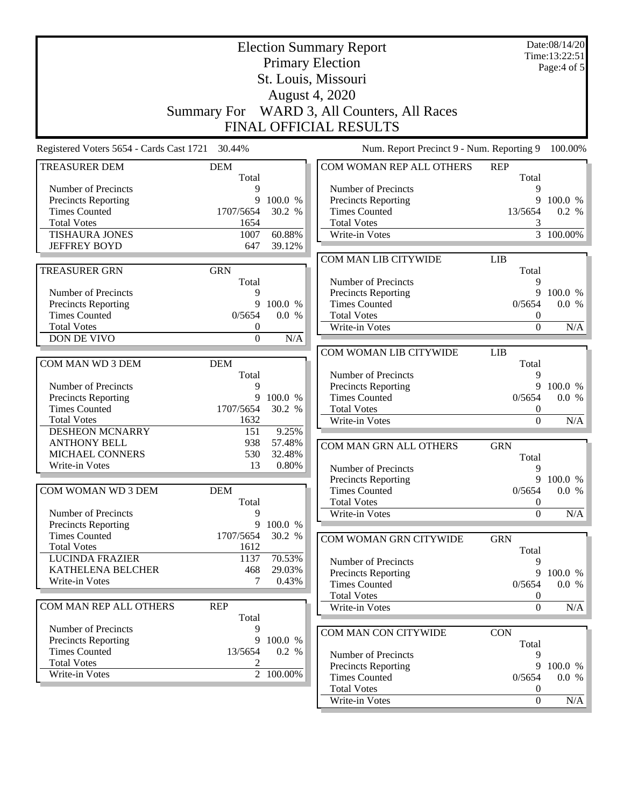| <b>Election Summary Report</b>                  |                  |           |  |                                             |                     | Date:08/14/20<br>Time:13:22:51 |
|-------------------------------------------------|------------------|-----------|--|---------------------------------------------|---------------------|--------------------------------|
| <b>Primary Election</b>                         |                  |           |  |                                             |                     | Page:4 of 5                    |
| St. Louis, Missouri                             |                  |           |  |                                             |                     |                                |
| <b>August 4, 2020</b>                           |                  |           |  |                                             |                     |                                |
|                                                 |                  |           |  |                                             |                     |                                |
|                                                 |                  |           |  | Summary For WARD 3, All Counters, All Races |                     |                                |
|                                                 |                  |           |  | <b>FINAL OFFICIAL RESULTS</b>               |                     |                                |
| Registered Voters 5654 - Cards Cast 1721 30.44% |                  |           |  | Num. Report Precinct 9 - Num. Reporting 9   |                     | 100.00%                        |
| <b>TREASURER DEM</b>                            | <b>DEM</b>       |           |  | COM WOMAN REP ALL OTHERS                    | <b>REP</b>          |                                |
|                                                 | Total            |           |  |                                             | Total               |                                |
| Number of Precincts                             | 9                |           |  | Number of Precincts                         | 9                   |                                |
| <b>Precincts Reporting</b>                      | 9                | 100.0 %   |  | Precincts Reporting                         | 9                   | 100.0 %                        |
| <b>Times Counted</b>                            | 1707/5654        | 30.2 %    |  | <b>Times Counted</b>                        | 13/5654             | 0.2 %                          |
| <b>Total Votes</b>                              | 1654             | 60.88%    |  | <b>Total Votes</b>                          | 3                   | $\overline{3}$ 100.00%         |
| <b>TISHAURA JONES</b><br><b>JEFFREY BOYD</b>    | 1007<br>647      | 39.12%    |  | Write-in Votes                              |                     |                                |
|                                                 |                  |           |  |                                             |                     |                                |
|                                                 |                  |           |  | COM MAN LIB CITYWIDE                        | <b>LIB</b>          |                                |
| <b>TREASURER GRN</b>                            | <b>GRN</b>       |           |  |                                             | Total<br>9          |                                |
| Number of Precincts                             | Total<br>9       |           |  | Number of Precincts                         | 9                   |                                |
| <b>Precincts Reporting</b>                      | 9                | 100.0 %   |  | Precincts Reporting<br><b>Times Counted</b> | 0/5654              | 100.0 %<br>0.0 %               |
| <b>Times Counted</b>                            | 0/5654           | 0.0 %     |  | <b>Total Votes</b>                          | $\boldsymbol{0}$    |                                |
| <b>Total Votes</b>                              | $\boldsymbol{0}$ |           |  | Write-in Votes                              | $\overline{0}$      | N/A                            |
| DON DE VIVO                                     | $\boldsymbol{0}$ | N/A       |  |                                             |                     |                                |
|                                                 |                  |           |  |                                             |                     |                                |
| COM MAN WD 3 DEM                                | <b>DEM</b>       |           |  | COM WOMAN LIB CITYWIDE                      | <b>LIB</b><br>Total |                                |
|                                                 | Total            |           |  | Number of Precincts                         | 9                   |                                |
| Number of Precincts                             | 9                |           |  | Precincts Reporting                         | 9                   | 100.0 %                        |
| Precincts Reporting                             | 9                | 100.0 %   |  | <b>Times Counted</b>                        | 0/5654              | 0.0 %                          |
| <b>Times Counted</b>                            | 1707/5654        | 30.2 %    |  | <b>Total Votes</b>                          | $\boldsymbol{0}$    |                                |
| <b>Total Votes</b>                              | 1632             |           |  | Write-in Votes                              | $\boldsymbol{0}$    | N/A                            |
| <b>DESHEON MCNARRY</b>                          | 151              | 9.25%     |  |                                             |                     |                                |
| <b>ANTHONY BELL</b>                             | 938              | 57.48%    |  |                                             |                     |                                |
| MICHAEL CONNERS                                 | 530              | 32.48%    |  | COM MAN GRN ALL OTHERS                      | <b>GRN</b>          |                                |
| Write-in Votes                                  | 13               | 0.80%     |  | Number of Precincts                         | Total<br>9          |                                |
|                                                 |                  |           |  | <b>Precincts Reporting</b>                  |                     | 9 100.0 %                      |
| COM WOMAN WD 3 DEM                              | <b>DEM</b>       |           |  | <b>Times Counted</b>                        |                     | $0/5654$ 0.0 %                 |
|                                                 | Total            |           |  | <b>Total Votes</b>                          | $\boldsymbol{0}$    |                                |
| Number of Precincts                             | 9                |           |  | Write-in Votes                              | $\Omega$            | N/A                            |
| <b>Precincts Reporting</b>                      | 9                | 100.0 %   |  |                                             |                     |                                |
| <b>Times Counted</b>                            | 1707/5654        | 30.2 %    |  | COM WOMAN GRN CITYWIDE                      | <b>GRN</b>          |                                |
| <b>Total Votes</b>                              | 1612             |           |  |                                             | Total               |                                |
| <b>LUCINDA FRAZIER</b>                          | 1137             | 70.53%    |  | Number of Precincts                         | 9                   |                                |
| KATHELENA BELCHER                               | 468              | 29.03%    |  | <b>Precincts Reporting</b>                  | 9                   | 100.0 %                        |
| Write-in Votes                                  | 7                | 0.43%     |  | <b>Times Counted</b>                        | 0/5654              | 0.0 %                          |
|                                                 |                  |           |  | <b>Total Votes</b>                          | $\boldsymbol{0}$    |                                |
| COM MAN REP ALL OTHERS                          | <b>REP</b>       |           |  | Write-in Votes                              | $\boldsymbol{0}$    | N/A                            |
|                                                 | Total            |           |  |                                             |                     |                                |
| Number of Precincts                             | 9                |           |  | COM MAN CON CITYWIDE                        | <b>CON</b>          |                                |
| <b>Precincts Reporting</b>                      | 9                | 100.0 %   |  |                                             | Total               |                                |
| <b>Times Counted</b>                            | 13/5654          | 0.2 %     |  | Number of Precincts                         | 9                   |                                |
| <b>Total Votes</b>                              | 2                |           |  | Precincts Reporting                         | 9                   | 100.0 %                        |
| Write-in Votes                                  |                  | 2 100.00% |  | <b>Times Counted</b>                        | 0/5654              | 0.0 %                          |
|                                                 |                  |           |  | <b>Total Votes</b>                          | $\boldsymbol{0}$    |                                |
|                                                 |                  |           |  | Write-in Votes                              | $\boldsymbol{0}$    | N/A                            |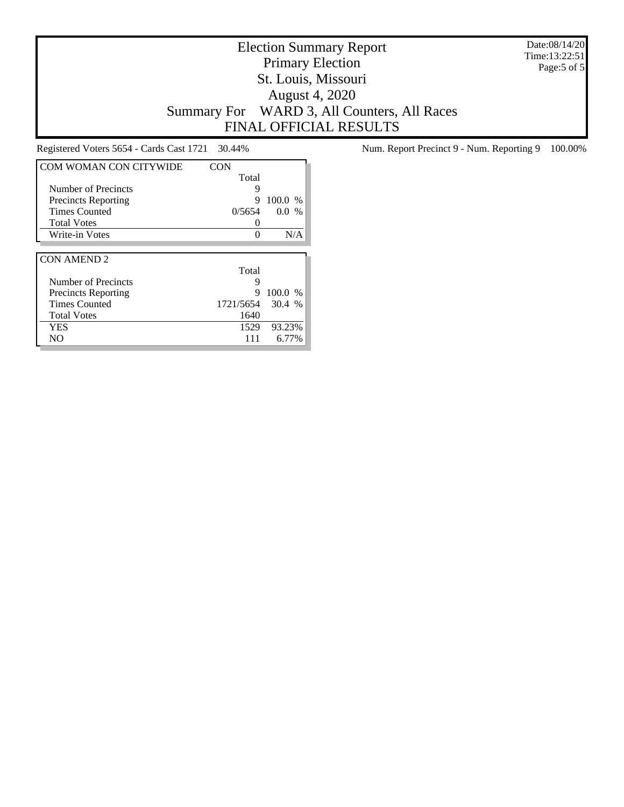Date:08/14/20 Time:13:22:51 Page:5 of 5

## Election Summary Report Primary Election St. Louis, Missouri August 4, 2020 Summary For WARD 3, All Counters, All Races FINAL OFFICIAL RESULTS

| <b>COM WOMAN CON CITYWIDE</b> | CON       |           |
|-------------------------------|-----------|-----------|
|                               | Total     |           |
| Number of Precincts           | 9         |           |
| <b>Precincts Reporting</b>    | 9         | $100.0\%$ |
| <b>Times Counted</b>          | 0/5654    | $0.0\%$   |
| <b>Total Votes</b>            |           |           |
| Write-in Votes                |           | N/A       |
|                               |           |           |
|                               |           |           |
| <b>CON AMEND 2</b>            |           |           |
|                               | Total     |           |
| Number of Precincts           | 9         |           |
| <b>Precincts Reporting</b>    | 9         | 100.0 %   |
| <b>Times Counted</b>          | 1721/5654 | 30.4%     |
| <b>Total Votes</b>            | 1640      |           |
| YES                           | 1529      | 93.23%    |

Registered Voters 5654 - Cards Cast 1721 30.44% Num. Report Precinct 9 - Num. Reporting 9 100.00%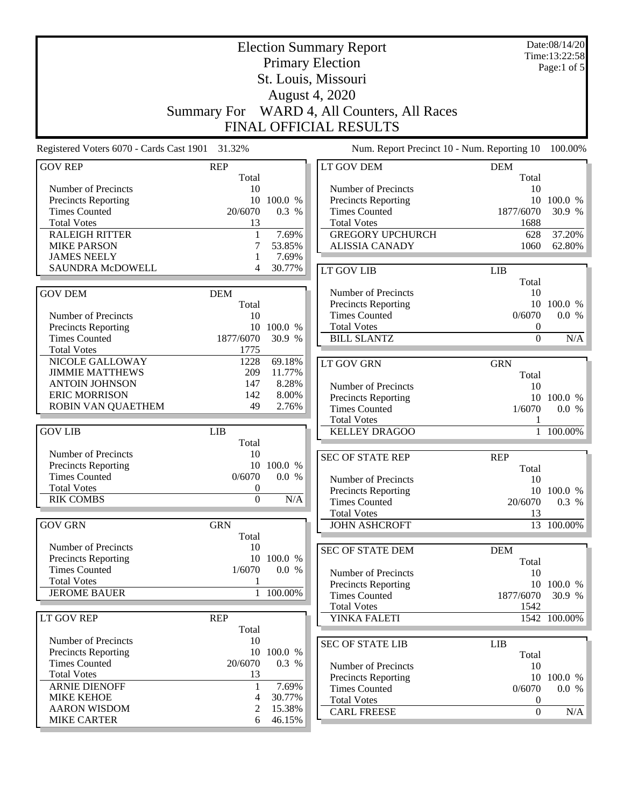|                                                 | <b>Election Summary Report</b><br><b>Primary Election</b> |            |                                             |                     | Date:08/14/20<br>Time:13:22:58 |  |
|-------------------------------------------------|-----------------------------------------------------------|------------|---------------------------------------------|---------------------|--------------------------------|--|
|                                                 |                                                           |            |                                             |                     | Page:1 of 5                    |  |
|                                                 |                                                           |            | St. Louis, Missouri                         |                     |                                |  |
|                                                 |                                                           |            | August 4, 2020                              |                     |                                |  |
|                                                 | <b>Summary For</b>                                        |            | WARD 4, All Counters, All Races             |                     |                                |  |
|                                                 |                                                           |            | <b>FINAL OFFICIAL RESULTS</b>               |                     |                                |  |
| Registered Voters 6070 - Cards Cast 1901 31.32% |                                                           |            | Num. Report Precinct 10 - Num. Reporting 10 |                     | 100.00%                        |  |
| <b>GOV REP</b>                                  | <b>REP</b><br>Total                                       |            | LT GOV DEM                                  | <b>DEM</b><br>Total |                                |  |
| Number of Precincts                             | 10                                                        |            | Number of Precincts                         | 10                  |                                |  |
| <b>Precincts Reporting</b>                      |                                                           | 10 100.0 % | <b>Precincts Reporting</b>                  | 10                  | 100.0 %                        |  |
| <b>Times Counted</b>                            | 20/6070                                                   | 0.3 %      | <b>Times Counted</b>                        | 1877/6070           | 30.9 %                         |  |
| <b>Total Votes</b>                              | 13                                                        |            | <b>Total Votes</b>                          | 1688                |                                |  |
| <b>RALEIGH RITTER</b>                           | $\mathbf{1}$                                              | 7.69%      | <b>GREGORY UPCHURCH</b>                     | 628                 | 37.20%                         |  |
| <b>MIKE PARSON</b>                              | 7                                                         | 53.85%     | <b>ALISSIA CANADY</b>                       | 1060                | 62.80%                         |  |
| <b>JAMES NEELY</b>                              | 1                                                         | 7.69%      |                                             |                     |                                |  |
| SAUNDRA McDOWELL                                | 4                                                         | 30.77%     | LT GOV LIB                                  | <b>LIB</b>          |                                |  |
|                                                 |                                                           |            |                                             | Total               |                                |  |
| <b>GOV DEM</b>                                  | <b>DEM</b>                                                |            | Number of Precincts                         | 10                  |                                |  |
|                                                 | Total                                                     |            | <b>Precincts Reporting</b>                  |                     | 10 100.0 %                     |  |
| Number of Precincts                             | 10                                                        |            | <b>Times Counted</b>                        | 0/6070              | 0.0 %                          |  |
| <b>Precincts Reporting</b>                      | 10                                                        | 100.0 %    | <b>Total Votes</b>                          | $\boldsymbol{0}$    |                                |  |
| <b>Times Counted</b>                            | 1877/6070                                                 | 30.9 %     | <b>BILL SLANTZ</b>                          | $\boldsymbol{0}$    | N/A                            |  |
| <b>Total Votes</b><br>NICOLE GALLOWAY           | 1775<br>1228                                              | 69.18%     |                                             |                     |                                |  |
| <b>JIMMIE MATTHEWS</b>                          | 209                                                       | 11.77%     | LT GOV GRN                                  | <b>GRN</b>          |                                |  |
| <b>ANTOIN JOHNSON</b>                           | 147                                                       | 8.28%      | Number of Precincts                         | Total               |                                |  |
| <b>ERIC MORRISON</b>                            | 142                                                       | 8.00%      | Precincts Reporting                         | 10                  | 10 100.0 %                     |  |
| ROBIN VAN QUAETHEM                              | 49                                                        | 2.76%      | <b>Times Counted</b>                        | 1/6070              | 0.0 %                          |  |
|                                                 |                                                           |            | <b>Total Votes</b>                          | 1                   |                                |  |
| <b>GOV LIB</b>                                  | <b>LIB</b>                                                |            | <b>KELLEY DRAGOO</b>                        | $\mathbf{1}$        | 100.00%                        |  |
|                                                 | Total                                                     |            |                                             |                     |                                |  |
| Number of Precincts                             | 10                                                        |            | <b>SEC OF STATE REP</b>                     | <b>REP</b>          |                                |  |
| Precincts Reporting                             | 10                                                        | 100.0 %    |                                             | Total               |                                |  |
| <b>Times Counted</b>                            | 0/6070                                                    | 0.0 %      | Number of Precincts                         | 10                  |                                |  |
| <b>Total Votes</b>                              | $\theta$                                                  |            | <b>Precincts Reporting</b>                  |                     | 10 100.0 %                     |  |
| <b>RIK COMBS</b>                                | $\boldsymbol{0}$                                          | N/A        | <b>Times Counted</b>                        | 20/6070             | 0.3 %                          |  |
|                                                 |                                                           |            | <b>Total Votes</b>                          | 13                  |                                |  |
| <b>GOV GRN</b>                                  | <b>GRN</b><br>Total                                       |            | <b>JOHN ASHCROFT</b>                        |                     | 13 100.00%                     |  |
| Number of Precincts                             | 10                                                        |            |                                             |                     |                                |  |
| Precincts Reporting                             |                                                           | 10 100.0 % | <b>SEC OF STATE DEM</b>                     | <b>DEM</b><br>Total |                                |  |
| <b>Times Counted</b>                            | 1/6070                                                    | 0.0 %      | Number of Precincts                         | 10                  |                                |  |
| <b>Total Votes</b>                              | 1                                                         |            | <b>Precincts Reporting</b>                  |                     | 10 100.0 %                     |  |
| <b>JEROME BAUER</b>                             | $\mathbf{1}$                                              | 100.00%    | <b>Times Counted</b>                        | 1877/6070           | 30.9 %                         |  |
|                                                 |                                                           |            | <b>Total Votes</b>                          | 1542                |                                |  |
| LT GOV REP                                      | <b>REP</b>                                                |            | YINKA FALETI                                |                     | 1542 100.00%                   |  |
|                                                 | Total                                                     |            |                                             |                     |                                |  |
| Number of Precincts                             | 10                                                        |            | <b>SEC OF STATE LIB</b>                     | <b>LIB</b>          |                                |  |
| Precincts Reporting                             |                                                           | 10 100.0 % |                                             | Total               |                                |  |
| <b>Times Counted</b>                            | 20/6070                                                   | 0.3 %      | Number of Precincts                         | 10                  |                                |  |
| <b>Total Votes</b>                              | 13                                                        |            | Precincts Reporting                         |                     | 10 100.0 %                     |  |
| <b>ARNIE DIENOFF</b>                            | $\mathbf{1}$                                              | 7.69%      | <b>Times Counted</b>                        | 0/6070              | 0.0 %                          |  |
| <b>MIKE KEHOE</b>                               | 4                                                         | 30.77%     | <b>Total Votes</b>                          | $\boldsymbol{0}$    |                                |  |
| <b>AARON WISDOM</b>                             | 2                                                         | 15.38%     | <b>CARL FREESE</b>                          | $\boldsymbol{0}$    | N/A                            |  |
| <b>MIKE CARTER</b>                              | 6                                                         | 46.15%     |                                             |                     |                                |  |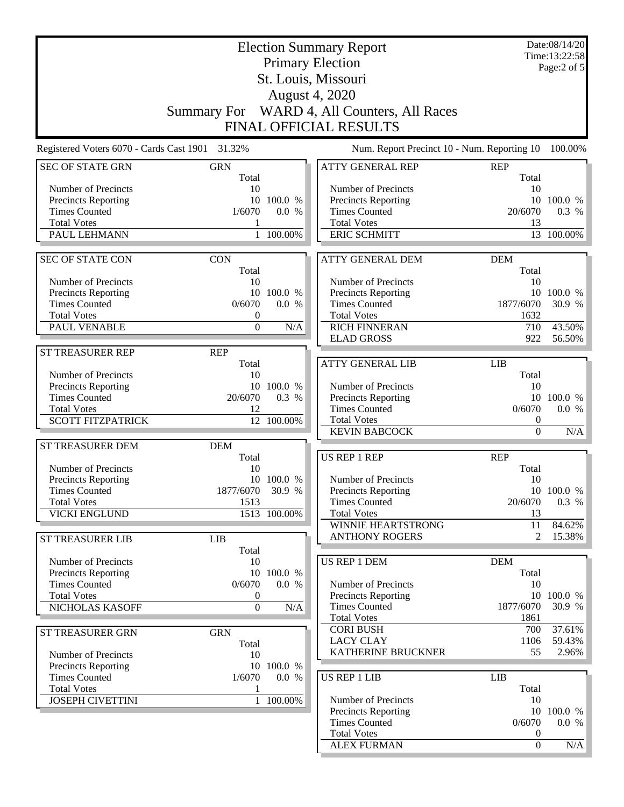|                                                   |                     |              | <b>Election Summary Report</b>                    |                     | Date:08/14/20<br>Time:13:22:58 |
|---------------------------------------------------|---------------------|--------------|---------------------------------------------------|---------------------|--------------------------------|
|                                                   |                     |              | <b>Primary Election</b>                           |                     | Page:2 of 5                    |
|                                                   |                     |              | St. Louis, Missouri                               |                     |                                |
|                                                   |                     |              | August 4, 2020                                    |                     |                                |
|                                                   | <b>Summary For</b>  |              | WARD 4, All Counters, All Races                   |                     |                                |
|                                                   |                     |              |                                                   |                     |                                |
|                                                   |                     |              | <b>FINAL OFFICIAL RESULTS</b>                     |                     |                                |
| Registered Voters 6070 - Cards Cast 1901 31.32%   |                     |              | Num. Report Precinct 10 - Num. Reporting 10       |                     | 100.00%                        |
| <b>SEC OF STATE GRN</b>                           | <b>GRN</b><br>Total |              | <b>ATTY GENERAL REP</b>                           | <b>REP</b><br>Total |                                |
| Number of Precincts                               | 10                  |              | Number of Precincts                               | 10                  |                                |
| <b>Precincts Reporting</b>                        | 10                  | 100.0 %      | <b>Precincts Reporting</b>                        |                     | 10 100.0 %                     |
| <b>Times Counted</b><br><b>Total Votes</b>        | 1/6070              | 0.0 %        | <b>Times Counted</b><br><b>Total Votes</b>        | 20/6070<br>13       | 0.3 %                          |
| PAUL LEHMANN                                      | 1<br>$\mathbf{1}$   | 100.00%      | <b>ERIC SCHMITT</b>                               | 13                  | 100.00%                        |
|                                                   |                     |              |                                                   |                     |                                |
| <b>SEC OF STATE CON</b>                           | <b>CON</b><br>Total |              | <b>ATTY GENERAL DEM</b>                           | <b>DEM</b><br>Total |                                |
| Number of Precincts                               | 10                  |              | Number of Precincts                               | 10                  |                                |
| Precincts Reporting                               |                     | 10 100.0 %   | <b>Precincts Reporting</b>                        |                     | 10 100.0 %                     |
| <b>Times Counted</b>                              | 0/6070              | 0.0 %        | <b>Times Counted</b>                              | 1877/6070           | 30.9 %                         |
| <b>Total Votes</b>                                | $\boldsymbol{0}$    |              | <b>Total Votes</b>                                | 1632                |                                |
| PAUL VENABLE                                      | $\boldsymbol{0}$    | N/A          | <b>RICH FINNERAN</b>                              | 710                 | 43.50%                         |
|                                                   |                     |              | <b>ELAD GROSS</b>                                 | 922                 | 56.50%                         |
| <b>ST TREASURER REP</b>                           | <b>REP</b><br>Total |              | <b>ATTY GENERAL LIB</b>                           | <b>LIB</b>          |                                |
| Number of Precincts                               | 10                  |              |                                                   | Total               |                                |
| <b>Precincts Reporting</b>                        |                     | 10 100.0 %   | Number of Precincts                               | 10                  |                                |
| <b>Times Counted</b>                              | 20/6070             | 0.3 %        | Precincts Reporting                               |                     | 10 100.0 %                     |
| <b>Total Votes</b>                                | 12                  |              | <b>Times Counted</b>                              | 0/6070              | 0.0 %                          |
| <b>SCOTT FITZPATRICK</b>                          |                     | 12 100.00%   | <b>Total Votes</b>                                | $\boldsymbol{0}$    |                                |
|                                                   |                     |              | <b>KEVIN BABCOCK</b>                              | $\overline{0}$      | N/A                            |
| <b>ST TREASURER DEM</b>                           | <b>DEM</b>          |              |                                                   |                     |                                |
|                                                   | Total               |              | US REP 1 REP                                      | <b>REP</b>          |                                |
| Number of Precincts<br><b>Precincts Reporting</b> | 10                  | 10 100.0 %   | Number of Precincts                               | Total<br>10         |                                |
| <b>Times Counted</b>                              | 1877/6070           | 30.9 %       | <b>Precincts Reporting</b>                        |                     | 10 100.0 %                     |
| <b>Total Votes</b>                                | 1513                |              | <b>Times Counted</b>                              | 20/6070             | 0.3 %                          |
| <b>VICKI ENGLUND</b>                              |                     | 1513 100.00% | <b>Total Votes</b>                                | 13                  |                                |
|                                                   |                     |              | <b>WINNIE HEARTSTRONG</b>                         | 11                  | 84.62%                         |
| ST TREASURER LIB                                  | <b>LIB</b>          |              | <b>ANTHONY ROGERS</b>                             | 2                   | 15.38%                         |
|                                                   | Total               |              |                                                   |                     |                                |
| Number of Precincts                               | 10                  |              | <b>US REP 1 DEM</b>                               | <b>DEM</b>          |                                |
| Precincts Reporting<br><b>Times Counted</b>       | 10<br>0/6070        | 100.0 %      |                                                   | Total               |                                |
| <b>Total Votes</b>                                | $\boldsymbol{0}$    | 0.0 %        | Number of Precincts<br><b>Precincts Reporting</b> | 10                  | 10 100.0 %                     |
| NICHOLAS KASOFF                                   | $\mathbf{0}$        | N/A          | <b>Times Counted</b>                              | 1877/6070           | 30.9 %                         |
|                                                   |                     |              | <b>Total Votes</b>                                | 1861                |                                |
| ST TREASURER GRN                                  | <b>GRN</b>          |              | <b>CORI BUSH</b>                                  | 700                 | 37.61%                         |
|                                                   | Total               |              | <b>LACY CLAY</b>                                  | 1106                | 59.43%                         |
| Number of Precincts                               | 10                  |              | KATHERINE BRUCKNER                                | 55                  | $2.96\%$                       |
| Precincts Reporting                               |                     | 10 100.0 %   |                                                   |                     |                                |
| <b>Times Counted</b>                              | 1/6070              | 0.0 %        | <b>US REP 1 LIB</b>                               | <b>LIB</b>          |                                |
| <b>Total Votes</b>                                | 1                   |              |                                                   | Total               |                                |
| <b>JOSEPH CIVETTINI</b>                           |                     | 1 100.00%    | Number of Precincts<br><b>Precincts Reporting</b> | 10                  | 10 100.0 %                     |
|                                                   |                     |              | <b>Times Counted</b>                              | 0/6070              | 0.0 %                          |
|                                                   |                     |              | <b>Total Votes</b>                                | $\boldsymbol{0}$    |                                |
|                                                   |                     |              | <b>ALEX FURMAN</b>                                | $\boldsymbol{0}$    | N/A                            |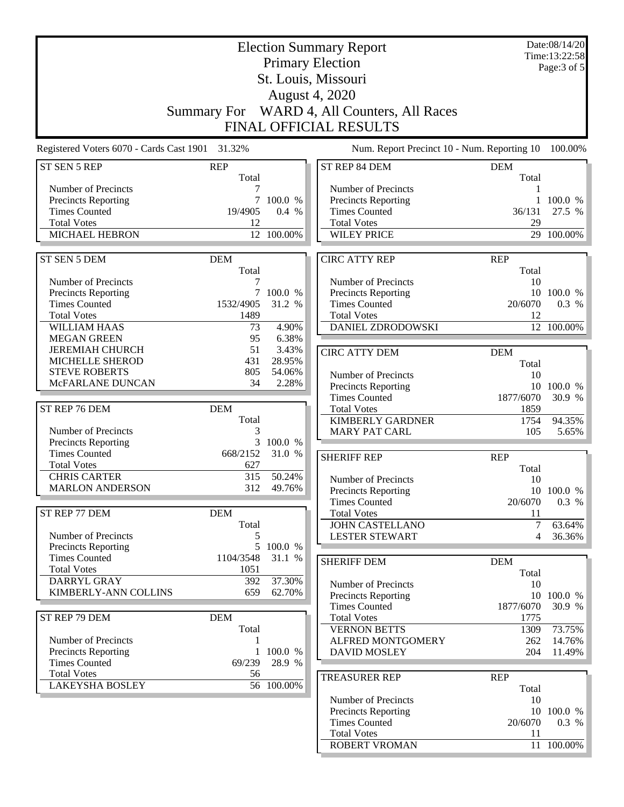|                                                 |                                | Date:08/14/20 |                                             |                                             |              |
|-------------------------------------------------|--------------------------------|---------------|---------------------------------------------|---------------------------------------------|--------------|
|                                                 | <b>Election Summary Report</b> |               |                                             |                                             |              |
|                                                 | <b>Primary Election</b>        |               |                                             |                                             |              |
|                                                 |                                |               | St. Louis, Missouri                         |                                             | Page: 3 of 5 |
|                                                 |                                |               |                                             |                                             |              |
|                                                 |                                |               |                                             |                                             |              |
|                                                 |                                |               | <b>August 4, 2020</b>                       |                                             |              |
|                                                 |                                |               | Summary For WARD 4, All Counters, All Races |                                             |              |
|                                                 |                                |               | <b>FINAL OFFICIAL RESULTS</b>               |                                             |              |
|                                                 |                                |               |                                             |                                             |              |
| Registered Voters 6070 - Cards Cast 1901 31.32% |                                |               |                                             | Num. Report Precinct 10 - Num. Reporting 10 | 100.00%      |
| ST SEN 5 REP                                    | <b>REP</b>                     |               | ST REP 84 DEM                               | <b>DEM</b>                                  |              |
|                                                 | Total                          |               |                                             | Total                                       |              |
| Number of Precincts                             |                                |               | Number of Precincts                         |                                             |              |
| <b>Precincts Reporting</b>                      | 7                              | 100.0 %       | Precincts Reporting                         | 1                                           | 100.0 %      |
| <b>Times Counted</b>                            | 19/4905                        | 0.4 %         | <b>Times Counted</b>                        | 36/131                                      | 27.5 %       |
| <b>Total Votes</b>                              | 12                             |               | <b>Total Votes</b>                          | 29                                          |              |
| <b>MICHAEL HEBRON</b>                           |                                | 12 100.00%    | <b>WILEY PRICE</b>                          |                                             | 29 100.00%   |
|                                                 |                                |               |                                             |                                             |              |
| ST SEN 5 DEM                                    | <b>DEM</b>                     |               | <b>CIRC ATTY REP</b>                        | <b>REP</b>                                  |              |
|                                                 | Total                          |               |                                             | Total                                       |              |
| Number of Precincts                             | 7                              |               | Number of Precincts                         | 10                                          |              |
| <b>Precincts Reporting</b>                      |                                | 7 100.0 %     | <b>Precincts Reporting</b>                  |                                             | 10 100.0 %   |
| <b>Times Counted</b>                            | 1532/4905                      | 31.2 %        | <b>Times Counted</b>                        | 20/6070                                     | 0.3 %        |
|                                                 |                                |               |                                             |                                             |              |
| <b>Total Votes</b>                              | 1489                           |               | <b>Total Votes</b>                          | 12                                          |              |
| WILLIAM HAAS                                    | 73                             | 4.90%         | DANIEL ZDRODOWSKI                           |                                             | 12 100.00%   |
| <b>MEGAN GREEN</b>                              | 95                             | 6.38%         |                                             |                                             |              |
| <b>JEREMIAH CHURCH</b>                          | 51                             | 3.43%         | <b>CIRC ATTY DEM</b>                        | <b>DEM</b>                                  |              |
| MICHELLE SHEROD                                 | 431                            | 28.95%        |                                             | Total                                       |              |
| <b>STEVE ROBERTS</b>                            | 805                            | 54.06%        | Number of Precincts                         | 10                                          |              |
| McFARLANE DUNCAN                                | 34                             | 2.28%         | Precincts Reporting                         | 10                                          | 100.0 %      |
|                                                 |                                |               | <b>Times Counted</b>                        | 1877/6070                                   | 30.9 %       |
| ST REP 76 DEM                                   | <b>DEM</b>                     |               | <b>Total Votes</b>                          | 1859                                        |              |
|                                                 | Total                          |               | <b>KIMBERLY GARDNER</b>                     | 1754                                        | 94.35%       |
| Number of Precincts                             | 3                              |               | <b>MARY PAT CARL</b>                        | 105                                         | 5.65%        |
| <b>Precincts Reporting</b>                      | 3                              | 100.0 %       |                                             |                                             |              |
| <b>Times Counted</b>                            | 668/2152                       |               |                                             |                                             |              |
|                                                 |                                | 31.0 %        | <b>SHERIFF REP</b>                          | <b>REP</b>                                  |              |
| <b>Total Votes</b>                              | 627                            |               |                                             | Total                                       |              |
| <b>CHRIS CARTER</b>                             | 315                            | 50.24%        | Number of Precincts                         | 10                                          |              |
| <b>MARLON ANDERSON</b>                          | 312                            | 49.76%        | Precincts Reporting                         |                                             | 10 100.0 %   |
|                                                 |                                |               | <b>Times Counted</b>                        | 20/6070                                     | 0.3 %        |
| ST REP 77 DEM                                   | <b>DEM</b>                     |               | <b>Total Votes</b>                          | 11                                          |              |
|                                                 | Total                          |               | <b>JOHN CASTELLANO</b>                      | $\tau$                                      | 63.64%       |
| Number of Precincts                             | 5                              |               | <b>LESTER STEWART</b>                       | $\overline{4}$                              | 36.36%       |
| <b>Precincts Reporting</b>                      | 5                              | 100.0 %       |                                             |                                             |              |
| <b>Times Counted</b>                            | 1104/3548                      | 31.1 %        |                                             |                                             |              |
| <b>Total Votes</b>                              | 1051                           |               | <b>SHERIFF DEM</b>                          | <b>DEM</b>                                  |              |
| DARRYL GRAY                                     | 392                            | 37.30%        |                                             | Total                                       |              |
| KIMBERLY-ANN COLLINS                            | 659                            | 62.70%        | Number of Precincts                         | 10                                          |              |
|                                                 |                                |               | <b>Precincts Reporting</b>                  | 10                                          | 100.0 %      |
|                                                 |                                |               | <b>Times Counted</b>                        | 1877/6070                                   | 30.9 %       |
| ST REP 79 DEM                                   | <b>DEM</b>                     |               | <b>Total Votes</b>                          | 1775                                        |              |
|                                                 | Total                          |               | <b>VERNON BETTS</b>                         | 1309                                        | 73.75%       |
| Number of Precincts                             | 1                              |               | ALFRED MONTGOMERY                           | 262                                         | 14.76%       |
| Precincts Reporting                             |                                | 1 100.0 %     | <b>DAVID MOSLEY</b>                         | 204                                         | 11.49%       |
| <b>Times Counted</b>                            | 69/239                         | 28.9 %        |                                             |                                             |              |
| <b>Total Votes</b>                              | 56                             |               | <b>TREASURER REP</b>                        | <b>REP</b>                                  |              |
| <b>LAKEYSHA BOSLEY</b>                          |                                | 56 100.00%    |                                             |                                             |              |
|                                                 |                                |               |                                             | Total                                       |              |
|                                                 |                                |               | Number of Precincts                         | 10                                          |              |
|                                                 |                                |               | Precincts Reporting                         |                                             | 10 100.0 %   |
|                                                 |                                |               | <b>Times Counted</b>                        | 20/6070                                     | 0.3 %        |
|                                                 |                                |               | <b>Total Votes</b>                          | 11                                          |              |
|                                                 |                                |               | ROBERT VROMAN                               |                                             | 11 100.00%   |

L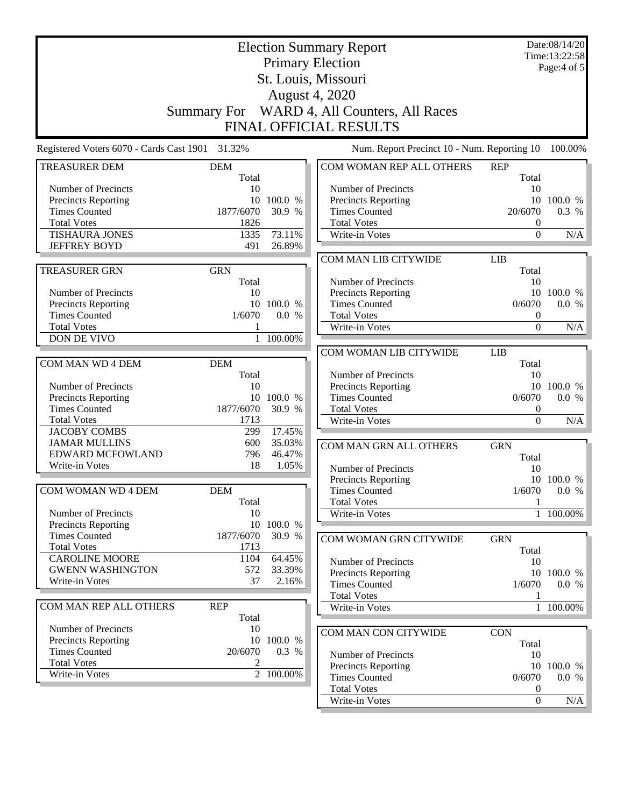| <b>Election Summary Report</b><br><b>Primary Election</b><br>St. Louis, Missouri |                   |                  |                                             |                  | Date:08/14/20<br>Time:13:22:58<br>Page:4 of 5 |
|----------------------------------------------------------------------------------|-------------------|------------------|---------------------------------------------|------------------|-----------------------------------------------|
| August 4, 2020                                                                   |                   |                  |                                             |                  |                                               |
|                                                                                  |                   |                  |                                             |                  |                                               |
|                                                                                  |                   |                  | Summary For WARD 4, All Counters, All Races |                  |                                               |
|                                                                                  |                   |                  | <b>FINAL OFFICIAL RESULTS</b>               |                  |                                               |
| Registered Voters 6070 - Cards Cast 1901 31.32%                                  |                   |                  | Num. Report Precinct 10 - Num. Reporting 10 |                  | 100.00%                                       |
| <b>TREASURER DEM</b>                                                             | <b>DEM</b>        |                  | COM WOMAN REP ALL OTHERS                    | <b>REP</b>       |                                               |
|                                                                                  | Total             |                  |                                             | Total            |                                               |
| Number of Precincts                                                              | 10                |                  | Number of Precincts                         | 10               |                                               |
| Precincts Reporting<br><b>Times Counted</b>                                      | 10                | 100.0 %          | Precincts Reporting                         |                  | 10 100.0 %                                    |
| <b>Total Votes</b>                                                               | 1877/6070<br>1826 | 30.9 %           | <b>Times Counted</b><br><b>Total Votes</b>  | 20/6070          | 0.3 %                                         |
| <b>TISHAURA JONES</b>                                                            | 1335              | 73.11%           | Write-in Votes                              | 0<br>$\Omega$    | N/A                                           |
| <b>JEFFREY BOYD</b>                                                              | 491               | 26.89%           |                                             |                  |                                               |
|                                                                                  |                   |                  | COM MAN LIB CITYWIDE                        | <b>LIB</b>       |                                               |
| <b>TREASURER GRN</b>                                                             | <b>GRN</b>        |                  |                                             | Total            |                                               |
|                                                                                  | Total             |                  | Number of Precincts                         | 10               |                                               |
| Number of Precincts                                                              | 10                |                  | <b>Precincts Reporting</b>                  | 10               | 100.0 %                                       |
| Precincts Reporting                                                              | 10                | 100.0 %          | <b>Times Counted</b>                        | 0/6070           | 0.0 %                                         |
| <b>Times Counted</b>                                                             | 1/6070            | 0.0 %            | <b>Total Votes</b>                          | $\boldsymbol{0}$ |                                               |
| <b>Total Votes</b>                                                               |                   |                  | Write-in Votes                              | $\mathbf{0}$     | N/A                                           |
| DON DE VIVO                                                                      | $\mathbf{1}$      | 100.00%          |                                             |                  |                                               |
|                                                                                  |                   |                  | COM WOMAN LIB CITYWIDE                      | LIB              |                                               |
| COM MAN WD 4 DEM                                                                 | <b>DEM</b>        |                  |                                             | Total            |                                               |
|                                                                                  | Total             |                  | Number of Precincts                         | 10               |                                               |
| Number of Precincts                                                              | 10                |                  | Precincts Reporting                         |                  | 10 100.0 %                                    |
| Precincts Reporting                                                              | 10                | 100.0 %          | <b>Times Counted</b>                        | 0/6070           | 0.0 %                                         |
| <b>Times Counted</b>                                                             | 1877/6070         | 30.9 %           | <b>Total Votes</b>                          | $\boldsymbol{0}$ |                                               |
| <b>Total Votes</b>                                                               | 1713              |                  | Write-in Votes                              | $\boldsymbol{0}$ | N/A                                           |
| <b>JACOBY COMBS</b>                                                              | 299               | 17.45%           |                                             |                  |                                               |
| <b>JAMAR MULLINS</b><br>EDWARD MCFOWLAND                                         | 600<br>796        | 35.03%<br>46.47% | COM MAN GRN ALL OTHERS                      | <b>GRN</b>       |                                               |
| Write-in Votes                                                                   | 18                | 1.05%            |                                             | Total            |                                               |
|                                                                                  |                   |                  | Number of Precincts                         | 10               |                                               |
| COM WOMAN WD 4 DEM                                                               | <b>DEM</b>        |                  | Precincts Reporting<br><b>Times Counted</b> |                  | 10 100.0 %<br>$1/6070$ 0.0 %                  |
|                                                                                  | Total             |                  | <b>Total Votes</b>                          | 1                |                                               |
| Number of Precincts                                                              | 10                |                  | Write-in Votes                              |                  | 1 100.00%                                     |
| <b>Precincts Reporting</b>                                                       |                   | 10 100.0 %       |                                             |                  |                                               |
| <b>Times Counted</b>                                                             | 1877/6070         | 30.9 %           | COM WOMAN GRN CITYWIDE                      | <b>GRN</b>       |                                               |
| <b>Total Votes</b>                                                               | 1713              |                  |                                             | Total            |                                               |
| <b>CAROLINE MOORE</b>                                                            | 1104              | 64.45%           | Number of Precincts                         | 10               |                                               |
| <b>GWENN WASHINGTON</b>                                                          | 572               | 33.39%           | <b>Precincts Reporting</b>                  |                  | 10 100.0 %                                    |
| Write-in Votes                                                                   | 37                | 2.16%            | <b>Times Counted</b>                        | 1/6070           | 0.0 %                                         |
|                                                                                  |                   |                  | <b>Total Votes</b>                          | 1                |                                               |
| COM MAN REP ALL OTHERS                                                           | <b>REP</b>        |                  | Write-in Votes                              |                  | 1 100.00%                                     |
|                                                                                  | Total             |                  |                                             |                  |                                               |
| Number of Precincts                                                              | 10                |                  | COM MAN CON CITYWIDE                        | <b>CON</b>       |                                               |
| <b>Precincts Reporting</b>                                                       |                   | 10 100.0 %       |                                             | Total            |                                               |
| <b>Times Counted</b>                                                             | 20/6070           | 0.3 %            | Number of Precincts                         | 10               |                                               |
| <b>Total Votes</b><br>Write-in Votes                                             | 2                 | $2 - 100.00\%$   | <b>Precincts Reporting</b>                  | 10               | 100.0 %                                       |
|                                                                                  |                   |                  | <b>Times Counted</b>                        | 0/6070           | 0.0 %                                         |
|                                                                                  |                   |                  | <b>Total Votes</b>                          | $\boldsymbol{0}$ |                                               |
|                                                                                  |                   |                  | Write-in Votes                              | $\mathbf{0}$     | N/A                                           |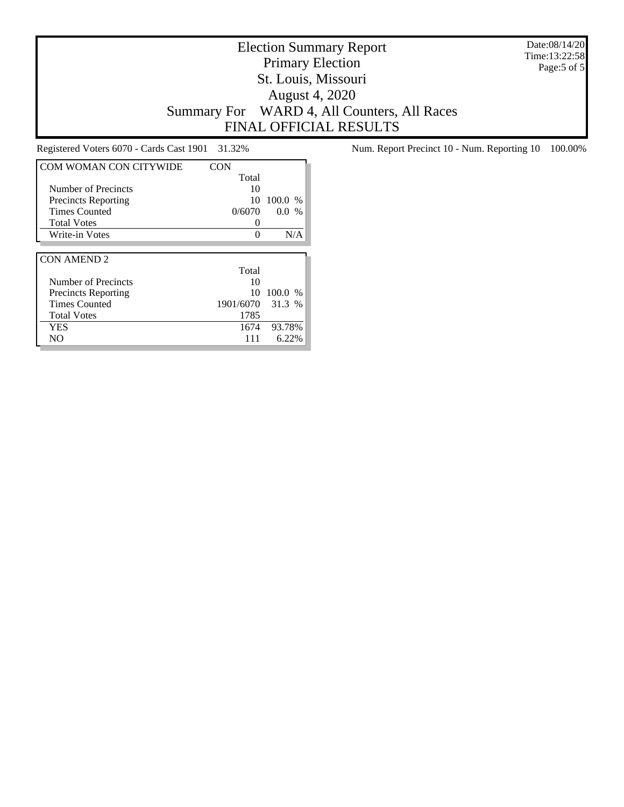Election Summary Report Primary Election St. Louis, Missouri August 4, 2020 Summary For WARD 4, All Counters, All Races FINAL OFFICIAL RESULTS

Date:08/14/20 Time:13:22:58 Page:5 of 5

| <b>COM WOMAN CON CITYWIDE</b> | CON       |         |
|-------------------------------|-----------|---------|
|                               | Total     |         |
| Number of Precincts           | 10        |         |
| <b>Precincts Reporting</b>    | 10        | 100.0 % |
| <b>Times Counted</b>          | 0/6070    | $0.0\%$ |
| <b>Total Votes</b>            |           |         |
| Write-in Votes                |           | N/A     |
|                               |           |         |
| <b>CON AMEND 2</b>            |           |         |
|                               |           |         |
|                               | Total     |         |
| Number of Precincts           | 10        |         |
| <b>Precincts Reporting</b>    | 10        | 100.0 % |
| <b>Times Counted</b>          | 1901/6070 | 31.3 %  |
| <b>Total Votes</b>            | 1785      |         |
| <b>YES</b>                    | 1674      | 93.78%  |

Registered Voters 6070 - Cards Cast 1901 31.32% Num. Report Precinct 10 - Num. Reporting 10 100.00%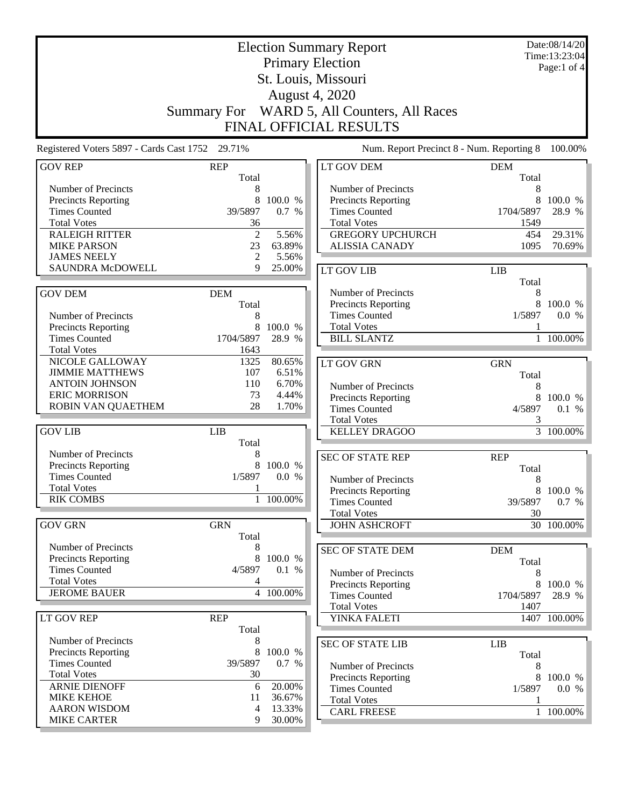|                                                 | <b>Election Summary Report</b><br><b>Primary Election</b> |                  |                                             |            | Date:08/14/20<br>Time:13:23:04 |
|-------------------------------------------------|-----------------------------------------------------------|------------------|---------------------------------------------|------------|--------------------------------|
|                                                 |                                                           |                  |                                             |            | Page:1 of 4                    |
|                                                 |                                                           |                  | St. Louis, Missouri                         |            |                                |
|                                                 |                                                           |                  | August 4, 2020                              |            |                                |
|                                                 | <b>Summary For</b>                                        |                  | WARD 5, All Counters, All Races             |            |                                |
|                                                 |                                                           |                  | <b>FINAL OFFICIAL RESULTS</b>               |            |                                |
| Registered Voters 5897 - Cards Cast 1752 29.71% |                                                           |                  | Num. Report Precinct 8 - Num. Reporting 8   |            | 100.00%                        |
| <b>GOV REP</b>                                  | <b>REP</b>                                                |                  | LT GOV DEM                                  | <b>DEM</b> |                                |
|                                                 | Total                                                     |                  |                                             | Total      |                                |
| Number of Precincts                             | 8                                                         |                  | Number of Precincts                         | 8          |                                |
| Precincts Reporting                             | 8                                                         | 100.0 %          | <b>Precincts Reporting</b>                  | 8          | 100.0 %                        |
| <b>Times Counted</b>                            | 39/5897                                                   | 0.7 %            | <b>Times Counted</b>                        | 1704/5897  | 28.9 %                         |
| <b>Total Votes</b>                              | 36                                                        |                  | <b>Total Votes</b>                          | 1549       |                                |
| <b>RALEIGH RITTER</b>                           | $\overline{2}$                                            | 5.56%            | <b>GREGORY UPCHURCH</b>                     | 454        | 29.31%                         |
| <b>MIKE PARSON</b>                              | 23                                                        | 63.89%           | <b>ALISSIA CANADY</b>                       | 1095       | 70.69%                         |
| <b>JAMES NEELY</b>                              | $\overline{2}$                                            | 5.56%            |                                             |            |                                |
| <b>SAUNDRA McDOWELL</b>                         | 9                                                         | 25.00%           | LT GOV LIB                                  | <b>LIB</b> |                                |
|                                                 |                                                           |                  |                                             | Total      |                                |
| <b>GOV DEM</b>                                  | <b>DEM</b>                                                |                  | Number of Precincts                         | 8          |                                |
|                                                 | Total                                                     |                  | Precincts Reporting                         | 8          | 100.0 %                        |
| Number of Precincts                             | 8                                                         |                  | <b>Times Counted</b>                        | 1/5897     | 0.0 %                          |
| Precincts Reporting                             | 8                                                         | 100.0 %          | <b>Total Votes</b>                          |            |                                |
| <b>Times Counted</b>                            | 1704/5897                                                 | 28.9 %           | <b>BILL SLANTZ</b>                          |            | 1 100.00%                      |
| <b>Total Votes</b><br>NICOLE GALLOWAY           | 1643<br>1325                                              | 80.65%           |                                             |            |                                |
| <b>JIMMIE MATTHEWS</b>                          | 107                                                       | 6.51%            | <b>LT GOV GRN</b>                           | <b>GRN</b> |                                |
| <b>ANTOIN JOHNSON</b>                           | 110                                                       | 6.70%            |                                             | Total      |                                |
| <b>ERIC MORRISON</b>                            | 73                                                        | 4.44%            | Number of Precincts                         | 8<br>8     |                                |
| ROBIN VAN QUAETHEM                              | 28                                                        | 1.70%            | Precincts Reporting<br><b>Times Counted</b> | 4/5897     | 100.0 %<br>0.1 %               |
|                                                 |                                                           |                  | <b>Total Votes</b>                          | 3          |                                |
| <b>GOV LIB</b>                                  | <b>LIB</b>                                                |                  | <b>KELLEY DRAGOO</b>                        |            | 3 100.00%                      |
|                                                 | Total                                                     |                  |                                             |            |                                |
| Number of Precincts                             | 8                                                         |                  | <b>SEC OF STATE REP</b>                     | <b>REP</b> |                                |
| Precincts Reporting                             | 8                                                         | 100.0 %          |                                             | Total      |                                |
| <b>Times Counted</b>                            | 1/5897                                                    | 0.0 %            | Number of Precincts                         | 8          |                                |
| <b>Total Votes</b>                              | 1                                                         |                  | <b>Precincts Reporting</b>                  |            | 8 100.0 %                      |
| <b>RIK COMBS</b>                                |                                                           | 1 100.00%        | <b>Times Counted</b>                        | 39/5897    | 0.7 %                          |
|                                                 |                                                           |                  | <b>Total Votes</b>                          | 30         |                                |
| <b>GOV GRN</b>                                  | <b>GRN</b>                                                |                  | <b>JOHN ASHCROFT</b>                        |            | 30 100.00%                     |
|                                                 | Total                                                     |                  |                                             |            |                                |
| Number of Precincts                             | 8                                                         |                  | SEC OF STATE DEM                            | <b>DEM</b> |                                |
| <b>Precincts Reporting</b>                      | 8                                                         | 100.0 %          |                                             | Total      |                                |
| <b>Times Counted</b>                            | 4/5897                                                    | 0.1 %            | Number of Precincts                         | 8          |                                |
| <b>Total Votes</b>                              | 4                                                         |                  | <b>Precincts Reporting</b>                  | 8          | 100.0 %                        |
| <b>JEROME BAUER</b>                             |                                                           | 4 100.00%        | <b>Times Counted</b>                        | 1704/5897  | 28.9 %                         |
|                                                 |                                                           |                  | <b>Total Votes</b>                          | 1407       |                                |
| <b>LT GOV REP</b>                               | <b>REP</b>                                                |                  | YINKA FALETI                                |            | 1407 100.00%                   |
|                                                 | Total                                                     |                  |                                             |            |                                |
| Number of Precincts                             | 8                                                         |                  | <b>SEC OF STATE LIB</b>                     | <b>LIB</b> |                                |
| Precincts Reporting<br><b>Times Counted</b>     | 8<br>39/5897                                              | 100.0 %<br>0.7 % |                                             | Total      |                                |
| <b>Total Votes</b>                              | 30                                                        |                  | Number of Precincts                         | 8          |                                |
| <b>ARNIE DIENOFF</b>                            | 6                                                         | 20.00%           | Precincts Reporting                         |            | 8 100.0 %                      |
| <b>MIKE KEHOE</b>                               | 11                                                        | 36.67%           | <b>Times Counted</b>                        | 1/5897     | 0.0 %                          |
| <b>AARON WISDOM</b>                             | 4                                                         | 13.33%           | <b>Total Votes</b>                          |            |                                |
| <b>MIKE CARTER</b>                              | 9                                                         | 30.00%           | <b>CARL FREESE</b>                          |            | 1 100.00%                      |
|                                                 |                                                           |                  |                                             |            |                                |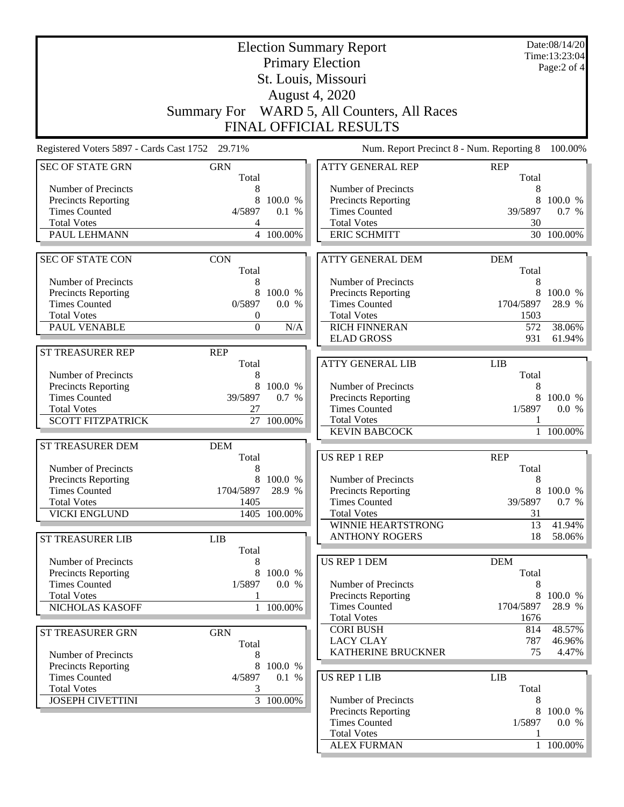|                                                   |                     |                       | <b>Election Summary Report</b>                    |                     | Date:08/14/20<br>Time:13:23:04 |
|---------------------------------------------------|---------------------|-----------------------|---------------------------------------------------|---------------------|--------------------------------|
|                                                   |                     |                       | <b>Primary Election</b>                           |                     | Page:2 of 4                    |
|                                                   |                     |                       | St. Louis, Missouri                               |                     |                                |
|                                                   |                     |                       | <b>August 4, 2020</b>                             |                     |                                |
|                                                   |                     |                       |                                                   |                     |                                |
|                                                   | <b>Summary For</b>  |                       | WARD 5, All Counters, All Races                   |                     |                                |
|                                                   |                     |                       | FINAL OFFICIAL RESULTS                            |                     |                                |
| Registered Voters 5897 - Cards Cast 1752 29.71%   |                     |                       | Num. Report Precinct 8 - Num. Reporting 8         |                     | 100.00%                        |
| <b>SEC OF STATE GRN</b>                           | <b>GRN</b><br>Total |                       | <b>ATTY GENERAL REP</b>                           | <b>REP</b><br>Total |                                |
| Number of Precincts                               | 8                   |                       | Number of Precincts                               | 8                   |                                |
| <b>Precincts Reporting</b>                        | 8                   | 100.0 %               | Precincts Reporting                               | 8                   | 100.0 %                        |
| <b>Times Counted</b>                              | 4/5897              | 0.1 %                 | <b>Times Counted</b>                              | 39/5897             | 0.7 %                          |
| <b>Total Votes</b><br>PAUL LEHMANN                | 4                   | 4 100.00%             | <b>Total Votes</b><br><b>ERIC SCHMITT</b>         | 30                  | 30 100.00%                     |
|                                                   |                     |                       |                                                   |                     |                                |
| <b>SEC OF STATE CON</b>                           | <b>CON</b><br>Total |                       | <b>ATTY GENERAL DEM</b>                           | <b>DEM</b><br>Total |                                |
| Number of Precincts                               | 8                   |                       | Number of Precincts                               | 8                   |                                |
| <b>Precincts Reporting</b>                        | 8                   | 100.0 %               | Precincts Reporting                               | 8                   | 100.0 %                        |
| <b>Times Counted</b>                              | 0/5897              | 0.0 %                 | <b>Times Counted</b>                              | 1704/5897           | 28.9 %                         |
| <b>Total Votes</b>                                | $\boldsymbol{0}$    |                       | <b>Total Votes</b>                                | 1503                |                                |
| PAUL VENABLE                                      | $\boldsymbol{0}$    | N/A                   | <b>RICH FINNERAN</b>                              | 572                 | 38.06%                         |
|                                                   |                     |                       | <b>ELAD GROSS</b>                                 | 931                 | 61.94%                         |
| <b>ST TREASURER REP</b>                           | <b>REP</b>          |                       |                                                   |                     |                                |
|                                                   | Total               |                       | <b>ATTY GENERAL LIB</b>                           | <b>LIB</b>          |                                |
| Number of Precincts<br><b>Precincts Reporting</b> | 8<br>8              | 100.0 %               | Number of Precincts                               | Total<br>8          |                                |
| <b>Times Counted</b>                              | 39/5897             | 0.7 %                 | Precincts Reporting                               | 8                   | 100.0 %                        |
| <b>Total Votes</b>                                | 27                  |                       | <b>Times Counted</b>                              | 1/5897              | 0.0 %                          |
| <b>SCOTT FITZPATRICK</b>                          |                     | 27 100.00%            | <b>Total Votes</b>                                |                     |                                |
|                                                   |                     |                       | <b>KEVIN BABCOCK</b>                              |                     | 100.00%                        |
| ST TREASURER DEM                                  | <b>DEM</b>          |                       |                                                   |                     |                                |
|                                                   | Total               |                       | <b>US REP 1 REP</b>                               | <b>REP</b>          |                                |
| Number of Precincts                               | 8                   |                       |                                                   | Total               |                                |
| Precincts Reporting<br><b>Times Counted</b>       | 8<br>1704/5897      | 100.0 %<br>28.9 %     | Number of Precincts<br><b>Precincts Reporting</b> | 8<br>8              | 100.0 %                        |
| <b>Total Votes</b>                                | 1405                |                       | <b>Times Counted</b>                              | 39/5897             | 0.7 %                          |
| <b>VICKI ENGLUND</b>                              |                     | 1405 100.00%          | <b>Total Votes</b>                                | 31                  |                                |
|                                                   |                     |                       | WINNIE HEARTSTRONG                                | 13                  | 41.94%                         |
| ST TREASURER LIB                                  | LIB                 |                       | <b>ANTHONY ROGERS</b>                             | 18                  | 58.06%                         |
|                                                   | Total               |                       |                                                   |                     |                                |
| Number of Precincts                               | 8                   |                       | <b>US REP 1 DEM</b>                               | <b>DEM</b>          |                                |
| Precincts Reporting                               | 8                   | 100.0 %               |                                                   | Total               |                                |
| <b>Times Counted</b><br><b>Total Votes</b>        | 1/5897<br>1         | 0.0 %                 | Number of Precincts<br>Precincts Reporting        | 8<br>8              | 100.0 %                        |
| NICHOLAS KASOFF                                   |                     | 1 100.00%             | <b>Times Counted</b>                              | 1704/5897           | 28.9 %                         |
|                                                   |                     |                       | <b>Total Votes</b>                                | 1676                |                                |
| ST TREASURER GRN                                  | <b>GRN</b>          |                       | <b>CORI BUSH</b>                                  | 814                 | 48.57%                         |
|                                                   | Total               |                       | <b>LACY CLAY</b>                                  | 787                 | 46.96%                         |
| Number of Precincts                               | 8                   |                       | KATHERINE BRUCKNER                                | 75                  | 4.47%                          |
| Precincts Reporting                               | 8                   | 100.0 %               |                                                   |                     |                                |
| <b>Times Counted</b>                              | 4/5897              | 0.1 %                 | <b>US REP 1 LIB</b>                               | <b>LIB</b>          |                                |
| <b>Total Votes</b><br><b>JOSEPH CIVETTINI</b>     | 3                   | $\frac{1}{3}$ 100.00% | Number of Precincts                               | Total<br>8          |                                |
|                                                   |                     |                       | <b>Precincts Reporting</b>                        | 8                   | 100.0 %                        |
|                                                   |                     |                       | <b>Times Counted</b>                              | 1/5897              | 0.0 %                          |
|                                                   |                     |                       | <b>Total Votes</b>                                |                     |                                |
|                                                   |                     |                       | <b>ALEX FURMAN</b>                                |                     | $1\quad100.00\%$               |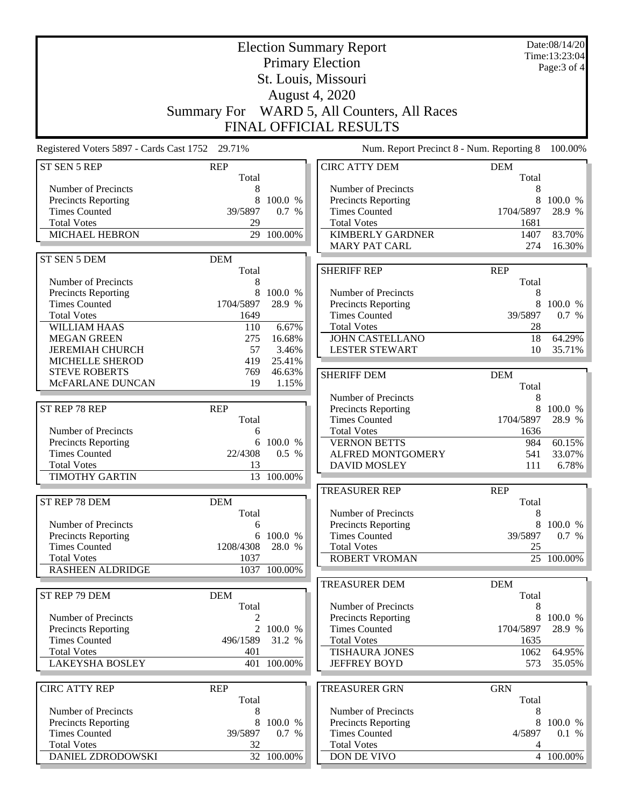| <b>Election Summary Report</b>                  |                     |                 |                                           |                     | Date:08/14/20<br>Time:13:23:04 |  |
|-------------------------------------------------|---------------------|-----------------|-------------------------------------------|---------------------|--------------------------------|--|
|                                                 |                     |                 | <b>Primary Election</b>                   |                     | Page: 3 of 4                   |  |
| St. Louis, Missouri                             |                     |                 |                                           |                     |                                |  |
| <b>August 4, 2020</b>                           |                     |                 |                                           |                     |                                |  |
|                                                 |                     |                 |                                           |                     |                                |  |
|                                                 | <b>Summary For</b>  |                 | WARD 5, All Counters, All Races           |                     |                                |  |
|                                                 |                     |                 | FINAL OFFICIAL RESULTS                    |                     |                                |  |
| Registered Voters 5897 - Cards Cast 1752 29.71% |                     |                 | Num. Report Precinct 8 - Num. Reporting 8 |                     | 100.00%                        |  |
| ST SEN 5 REP                                    | <b>REP</b><br>Total |                 | <b>CIRC ATTY DEM</b>                      | <b>DEM</b><br>Total |                                |  |
| Number of Precincts                             | 8                   |                 | Number of Precincts                       | 8                   |                                |  |
| Precincts Reporting                             | 8                   | 100.0 %         | Precincts Reporting                       | 8                   | 100.0 %                        |  |
| <b>Times Counted</b>                            | 39/5897             | 0.7 %           | <b>Times Counted</b>                      | 1704/5897           | 28.9 %                         |  |
| <b>Total Votes</b>                              | 29                  |                 | <b>Total Votes</b>                        | 1681                |                                |  |
| <b>MICHAEL HEBRON</b>                           | 29                  | 100.00%         | <b>KIMBERLY GARDNER</b>                   | 1407                | 83.70%                         |  |
|                                                 |                     |                 | <b>MARY PAT CARL</b>                      | 274                 | 16.30%                         |  |
| ST SEN 5 DEM                                    | <b>DEM</b>          |                 |                                           |                     |                                |  |
|                                                 | Total               |                 | <b>SHERIFF REP</b>                        | <b>REP</b>          |                                |  |
| Number of Precincts                             | 8                   |                 |                                           | Total               |                                |  |
| Precincts Reporting                             | 8                   | 100.0 %         | Number of Precincts                       | 8                   |                                |  |
| <b>Times Counted</b>                            | 1704/5897           | 28.9 %          | Precincts Reporting                       |                     | 8 100.0 %                      |  |
| <b>Total Votes</b>                              | 1649                |                 | <b>Times Counted</b>                      | 39/5897             | 0.7 %                          |  |
| <b>WILLIAM HAAS</b>                             | 110                 | 6.67%           | <b>Total Votes</b>                        | 28                  |                                |  |
| <b>MEGAN GREEN</b>                              | 275                 | 16.68%          | <b>JOHN CASTELLANO</b>                    | 18                  | 64.29%                         |  |
| <b>JEREMIAH CHURCH</b><br>MICHELLE SHEROD       | 57<br>419           | 3.46%<br>25.41% | <b>LESTER STEWART</b>                     | 10                  | 35.71%                         |  |
| <b>STEVE ROBERTS</b>                            | 769                 | 46.63%          |                                           |                     |                                |  |
| McFARLANE DUNCAN                                | 19                  | 1.15%           | <b>SHERIFF DEM</b>                        | <b>DEM</b>          |                                |  |
|                                                 |                     |                 | Number of Precincts                       | Total<br>8          |                                |  |
| ST REP 78 REP                                   | <b>REP</b>          |                 | Precincts Reporting                       | 8                   | 100.0 %                        |  |
|                                                 | Total               |                 | <b>Times Counted</b>                      | 1704/5897           | 28.9 %                         |  |
| Number of Precincts                             | 6                   |                 | <b>Total Votes</b>                        | 1636                |                                |  |
| <b>Precincts Reporting</b>                      | 6                   | 100.0 %         | <b>VERNON BETTS</b>                       | 984                 | 60.15%                         |  |
| <b>Times Counted</b>                            | 22/4308             | 0.5 %           | <b>ALFRED MONTGOMERY</b>                  | 541                 | 33.07%                         |  |
| <b>Total Votes</b>                              | 13                  |                 | <b>DAVID MOSLEY</b>                       | 111                 | 6.78%                          |  |
| <b>TIMOTHY GARTIN</b>                           | 13                  | 100.00%         |                                           |                     |                                |  |
| ST REP 78 DEM                                   | <b>DEM</b>          |                 | <b>TREASURER REP</b>                      | <b>REP</b><br>Total |                                |  |
|                                                 | Total               |                 | Number of Precincts                       | 8                   |                                |  |
| Number of Precincts                             | 6                   |                 | <b>Precincts Reporting</b>                | 8                   | 100.0 %                        |  |
| <b>Precincts Reporting</b>                      |                     | 6 100.0 %       | <b>Times Counted</b>                      | 39/5897             | 0.7 %                          |  |
| <b>Times Counted</b>                            | 1208/4308           | 28.0 %          | <b>Total Votes</b>                        | 25                  |                                |  |
| <b>Total Votes</b>                              | 1037                |                 | <b>ROBERT VROMAN</b>                      |                     | 25 100.00%                     |  |
| <b>RASHEEN ALDRIDGE</b>                         |                     | 1037 100.00%    |                                           |                     |                                |  |
|                                                 |                     |                 | <b>TREASURER DEM</b>                      | <b>DEM</b>          |                                |  |
| ST REP 79 DEM                                   | <b>DEM</b>          |                 |                                           | Total               |                                |  |
|                                                 | Total               |                 | Number of Precincts                       | 8                   |                                |  |
| Number of Precincts                             | 2                   |                 | Precincts Reporting                       | 8                   | 100.0 %                        |  |
| Precincts Reporting                             |                     | 2 100.0 %       | <b>Times Counted</b>                      | 1704/5897           | 28.9 %                         |  |
| <b>Times Counted</b>                            | 496/1589            | 31.2 %          | <b>Total Votes</b>                        | 1635                |                                |  |
| <b>Total Votes</b>                              | 401                 |                 | <b>TISHAURA JONES</b>                     | 1062                | 64.95%                         |  |
| <b>LAKEYSHA BOSLEY</b>                          |                     | 401 100.00%     | <b>JEFFREY BOYD</b>                       | 573                 | 35.05%                         |  |
| <b>CIRC ATTY REP</b>                            | <b>REP</b>          |                 | <b>TREASURER GRN</b>                      | <b>GRN</b>          |                                |  |
|                                                 | Total               |                 |                                           | Total               |                                |  |
| Number of Precincts                             | 8                   |                 | Number of Precincts                       | 8                   |                                |  |
| <b>Precincts Reporting</b>                      | 8                   | 100.0 %         | <b>Precincts Reporting</b>                | 8                   | 100.0 %                        |  |
| <b>Times Counted</b>                            | 39/5897             | 0.7 %           | <b>Times Counted</b>                      | 4/5897              | 0.1 %                          |  |
| <b>Total Votes</b>                              | 32                  |                 | <b>Total Votes</b>                        | 4                   |                                |  |
| DANIEL ZDRODOWSKI                               |                     | 32 100.00%      | DON DE VIVO                               |                     | 4 100.00%                      |  |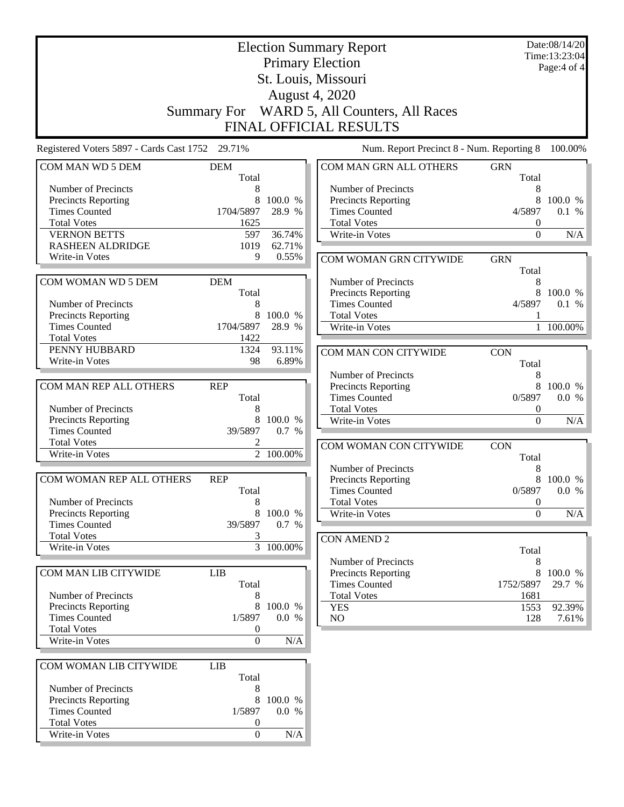| <b>Election Summary Report</b>                  |                                  |                        |                                                    |                  | Date:08/14/20<br>Time:13:23:04 |  |
|-------------------------------------------------|----------------------------------|------------------------|----------------------------------------------------|------------------|--------------------------------|--|
|                                                 |                                  |                        | <b>Primary Election</b>                            |                  | Page:4 of 4                    |  |
|                                                 |                                  |                        | St. Louis, Missouri                                |                  |                                |  |
|                                                 |                                  |                        | <b>August 4, 2020</b>                              |                  |                                |  |
|                                                 | <b>Summary For</b>               |                        | WARD 5, All Counters, All Races                    |                  |                                |  |
| FINAL OFFICIAL RESULTS                          |                                  |                        |                                                    |                  |                                |  |
| Registered Voters 5897 - Cards Cast 1752 29.71% |                                  |                        | Num. Report Precinct 8 - Num. Reporting 8          |                  | 100.00%                        |  |
| COM MAN WD 5 DEM                                | <b>DEM</b>                       |                        | COM MAN GRN ALL OTHERS                             | <b>GRN</b>       |                                |  |
|                                                 | Total                            |                        |                                                    | Total            |                                |  |
| Number of Precincts                             | 8                                |                        | Number of Precincts                                | 8                |                                |  |
| Precincts Reporting                             | 8                                | 100.0 %                | <b>Precincts Reporting</b>                         | 8                | 100.0 %                        |  |
| <b>Times Counted</b>                            | 1704/5897                        | 28.9 %                 | <b>Times Counted</b>                               | 4/5897           | 0.1 %                          |  |
| <b>Total Votes</b>                              | 1625                             |                        | <b>Total Votes</b>                                 | $\boldsymbol{0}$ |                                |  |
| <b>VERNON BETTS</b>                             | 597                              | 36.74%                 | Write-in Votes                                     | $\Omega$         | N/A                            |  |
| <b>RASHEEN ALDRIDGE</b>                         | 1019                             | 62.71%                 |                                                    |                  |                                |  |
| Write-in Votes                                  | 9                                | 0.55%                  | COM WOMAN GRN CITYWIDE                             | <b>GRN</b>       |                                |  |
|                                                 |                                  |                        |                                                    | Total            |                                |  |
| COM WOMAN WD 5 DEM                              | <b>DEM</b>                       |                        | Number of Precincts                                | 8                |                                |  |
|                                                 | Total                            |                        | <b>Precincts Reporting</b><br><b>Times Counted</b> | 8                | 100.0 %                        |  |
| Number of Precincts                             | 8<br>8                           | 100.0 %                |                                                    | 4/5897           | 0.1 %                          |  |
| Precincts Reporting<br><b>Times Counted</b>     | 1704/5897                        | 28.9 %                 | <b>Total Votes</b><br>Write-in Votes               |                  | 1 100.00%                      |  |
| <b>Total Votes</b>                              | 1422                             |                        |                                                    |                  |                                |  |
| PENNY HUBBARD                                   | 1324                             | 93.11%                 |                                                    |                  |                                |  |
| Write-in Votes                                  | 98                               | 6.89%                  | COM MAN CON CITYWIDE                               | <b>CON</b>       |                                |  |
|                                                 |                                  |                        | Number of Precincts                                | Total<br>8       |                                |  |
| COM MAN REP ALL OTHERS                          | <b>REP</b>                       |                        | Precincts Reporting                                | 8                | 100.0 %                        |  |
|                                                 | Total                            |                        | <b>Times Counted</b>                               | 0/5897           | 0.0 %                          |  |
| Number of Precincts                             | 8                                |                        | <b>Total Votes</b>                                 | $\boldsymbol{0}$ |                                |  |
| Precincts Reporting                             | 8                                | 100.0 %                | Write-in Votes                                     | $\Omega$         | N/A                            |  |
| <b>Times Counted</b>                            | 39/5897                          | 0.7 %                  |                                                    |                  |                                |  |
| <b>Total Votes</b>                              | 2                                |                        | COM WOMAN CON CITYWIDE                             | <b>CON</b>       |                                |  |
| Write-in Votes                                  |                                  | $\overline{2}$ 100.00% |                                                    | Total            |                                |  |
|                                                 |                                  |                        | Number of Precincts                                | 8                |                                |  |
| COM WOMAN REP ALL OTHERS                        | <b>REP</b>                       |                        | Precincts Reporting                                | 8                | 100.0 %                        |  |
|                                                 | Total                            |                        | <b>Times Counted</b>                               | 0/5897           | 0.0 %                          |  |
| Number of Precincts                             | 8                                |                        | <b>Total Votes</b>                                 | 0                |                                |  |
| Precincts Reporting                             |                                  | 8 100.0 %              | Write-in Votes                                     | $\Omega$         | N/A                            |  |
| <b>Times Counted</b>                            | 39/5897                          | 0.7 %                  |                                                    |                  |                                |  |
| <b>Total Votes</b>                              | 3                                |                        | <b>CON AMEND 2</b>                                 |                  |                                |  |
| Write-in Votes                                  |                                  | $\overline{3}$ 100.00% |                                                    | Total            |                                |  |
|                                                 |                                  |                        | Number of Precincts                                | 8                |                                |  |
| COM MAN LIB CITYWIDE                            | LIB                              |                        | Precincts Reporting                                | 8                | 100.0 %                        |  |
|                                                 | Total                            |                        | <b>Times Counted</b>                               | 1752/5897        | 29.7 %                         |  |
| Number of Precincts                             | 8                                |                        | <b>Total Votes</b>                                 | 1681             |                                |  |
| Precincts Reporting                             | 8                                | 100.0 %                | <b>YES</b>                                         | 1553             | 92.39%                         |  |
| <b>Times Counted</b><br><b>Total Votes</b>      | 1/5897                           | 0.0 %                  | NO                                                 | 128              | 7.61%                          |  |
| Write-in Votes                                  | $\boldsymbol{0}$<br>$\mathbf{0}$ | $\rm N/A$              |                                                    |                  |                                |  |
|                                                 |                                  |                        |                                                    |                  |                                |  |
|                                                 |                                  |                        |                                                    |                  |                                |  |
| COM WOMAN LIB CITYWIDE                          | <b>LIB</b><br>Total              |                        |                                                    |                  |                                |  |
| Number of Precincts                             | 8                                |                        |                                                    |                  |                                |  |
| Precincts Reporting                             | 8                                | 100.0 %                |                                                    |                  |                                |  |
| <b>Times Counted</b>                            | 1/5897                           | 0.0 %                  |                                                    |                  |                                |  |
| <b>Total Votes</b>                              | $\boldsymbol{0}$                 |                        |                                                    |                  |                                |  |
| Write-in Votes                                  | $\boldsymbol{0}$                 | N/A                    |                                                    |                  |                                |  |
|                                                 |                                  |                        |                                                    |                  |                                |  |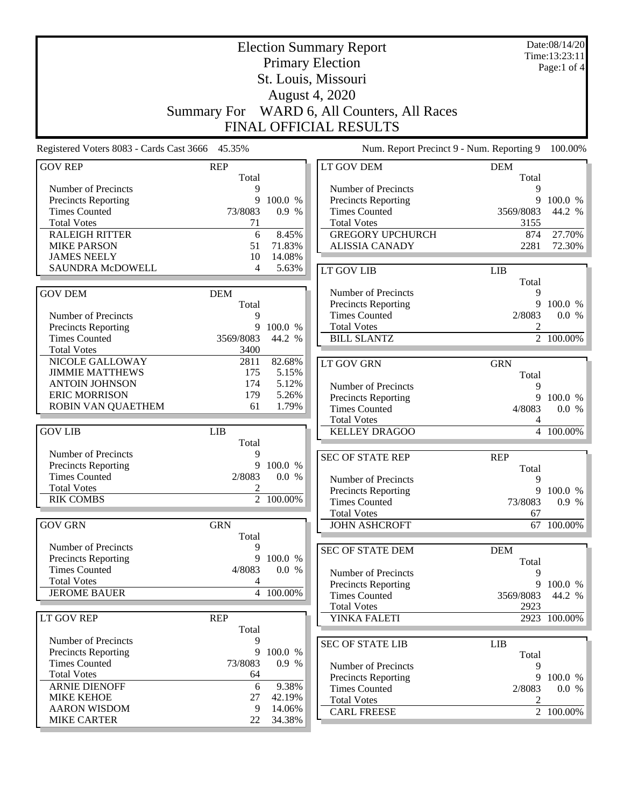| <b>Election Summary Report</b>                  |                     |           |                                                   |                     | Date:08/14/20<br>Time:13:23:11 |
|-------------------------------------------------|---------------------|-----------|---------------------------------------------------|---------------------|--------------------------------|
|                                                 |                     |           | <b>Primary Election</b>                           |                     | Page:1 of 4                    |
|                                                 |                     |           | St. Louis, Missouri                               |                     |                                |
|                                                 |                     |           | August 4, 2020                                    |                     |                                |
|                                                 |                     |           |                                                   |                     |                                |
|                                                 | <b>Summary For</b>  |           | WARD 6, All Counters, All Races                   |                     |                                |
|                                                 |                     |           | FINAL OFFICIAL RESULTS                            |                     |                                |
| Registered Voters 8083 - Cards Cast 3666 45.35% |                     |           | Num. Report Precinct 9 - Num. Reporting 9         |                     | 100.00%                        |
| <b>GOV REP</b>                                  | <b>REP</b><br>Total |           | <b>LT GOV DEM</b>                                 | <b>DEM</b><br>Total |                                |
| Number of Precincts                             | 9                   |           | Number of Precincts                               | 9                   |                                |
| Precincts Reporting                             | 9                   | 100.0 %   | <b>Precincts Reporting</b>                        | 9                   | 100.0 %                        |
| <b>Times Counted</b>                            | 73/8083             | 0.9 %     | <b>Times Counted</b>                              | 3569/8083           | 44.2 %                         |
| <b>Total Votes</b>                              | 71                  |           | <b>Total Votes</b>                                | 3155                |                                |
| <b>RALEIGH RITTER</b>                           | 6                   | 8.45%     | <b>GREGORY UPCHURCH</b>                           | 874                 | 27.70%                         |
| <b>MIKE PARSON</b>                              | 51                  | 71.83%    | <b>ALISSIA CANADY</b>                             | 2281                | 72.30%                         |
| <b>JAMES NEELY</b>                              | 10                  | 14.08%    |                                                   |                     |                                |
| <b>SAUNDRA McDOWELL</b>                         | 4                   | 5.63%     | LT GOV LIB                                        | <b>LIB</b>          |                                |
|                                                 |                     |           |                                                   | Total               |                                |
| <b>GOV DEM</b>                                  | <b>DEM</b><br>Total |           | Number of Precincts<br><b>Precincts Reporting</b> | 9<br>9              | 100.0 %                        |
| Number of Precincts                             | 9                   |           | <b>Times Counted</b>                              | 2/8083              | 0.0 %                          |
| Precincts Reporting                             | 9                   | 100.0 %   | <b>Total Votes</b>                                | 2                   |                                |
| <b>Times Counted</b>                            | 3569/8083           | 44.2 %    | <b>BILL SLANTZ</b>                                |                     | 2 100.00%                      |
| <b>Total Votes</b>                              | 3400                |           |                                                   |                     |                                |
| NICOLE GALLOWAY                                 | 2811                | 82.68%    | <b>LT GOV GRN</b>                                 | <b>GRN</b>          |                                |
| <b>JIMMIE MATTHEWS</b>                          | 175                 | 5.15%     |                                                   | Total               |                                |
| <b>ANTOIN JOHNSON</b>                           | 174                 | 5.12%     | Number of Precincts                               | 9                   |                                |
| <b>ERIC MORRISON</b>                            | 179                 | 5.26%     | Precincts Reporting                               |                     | 9 100.0 %                      |
| ROBIN VAN QUAETHEM                              | 61                  | 1.79%     | <b>Times Counted</b>                              | 4/8083              | 0.0 %                          |
|                                                 |                     |           | <b>Total Votes</b>                                | 4                   |                                |
| <b>GOV LIB</b>                                  | <b>LIB</b>          |           | <b>KELLEY DRAGOO</b>                              |                     | 4 100.00%                      |
|                                                 | Total               |           |                                                   |                     |                                |
| Number of Precincts                             | 9                   |           | <b>SEC OF STATE REP</b>                           | <b>REP</b>          |                                |
| Precincts Reporting                             | 9                   | 100.0 %   |                                                   | Total               |                                |
| <b>Times Counted</b>                            | 2/8083              | 0.0 %     | Number of Precincts                               | 9                   |                                |
| <b>Total Votes</b><br><b>RIK COMBS</b>          | 2                   | 2 100.00% | <b>Precincts Reporting</b>                        | 9                   | 100.0 %                        |
|                                                 |                     |           | <b>Times Counted</b>                              | 73/8083             | 0.9 %                          |
|                                                 |                     |           | <b>Total Votes</b>                                | 67                  |                                |
| <b>GOV GRN</b>                                  | <b>GRN</b><br>Total |           | <b>JOHN ASHCROFT</b>                              |                     | 67 100.00%                     |
| Number of Precincts                             | 9                   |           |                                                   |                     |                                |
| Precincts Reporting                             | 9                   | 100.0 %   | <b>SEC OF STATE DEM</b>                           | <b>DEM</b>          |                                |
| <b>Times Counted</b>                            | 4/8083              | 0.0 %     | Number of Precincts                               | Total<br>9          |                                |
| <b>Total Votes</b>                              | 4                   |           | <b>Precincts Reporting</b>                        | 9                   | 100.0 %                        |
| <b>JEROME BAUER</b>                             |                     | 4 100.00% | <b>Times Counted</b>                              | 3569/8083           | 44.2 %                         |
|                                                 |                     |           | <b>Total Votes</b>                                | 2923                |                                |
| LT GOV REP                                      | <b>REP</b>          |           | YINKA FALETI                                      |                     | $\overline{2923}^-$ 100.00%    |
|                                                 | Total               |           |                                                   |                     |                                |
| Number of Precincts                             | 9                   |           | <b>SEC OF STATE LIB</b>                           | <b>LIB</b>          |                                |
| Precincts Reporting                             | 9                   | 100.0 %   |                                                   | Total               |                                |
| <b>Times Counted</b>                            | 73/8083             | 0.9 %     | Number of Precincts                               | 9                   |                                |
| <b>Total Votes</b>                              | 64                  |           | <b>Precincts Reporting</b>                        | 9                   | 100.0 %                        |
| <b>ARNIE DIENOFF</b>                            | 6                   | 9.38%     | <b>Times Counted</b>                              | 2/8083              | 0.0 %                          |
| <b>MIKE KEHOE</b>                               | 27                  | 42.19%    | <b>Total Votes</b>                                | 2                   |                                |
| <b>AARON WISDOM</b>                             | 9                   | 14.06%    | <b>CARL FREESE</b>                                |                     | 2 100.00%                      |
| <b>MIKE CARTER</b>                              | 22                  | 34.38%    |                                                   |                     |                                |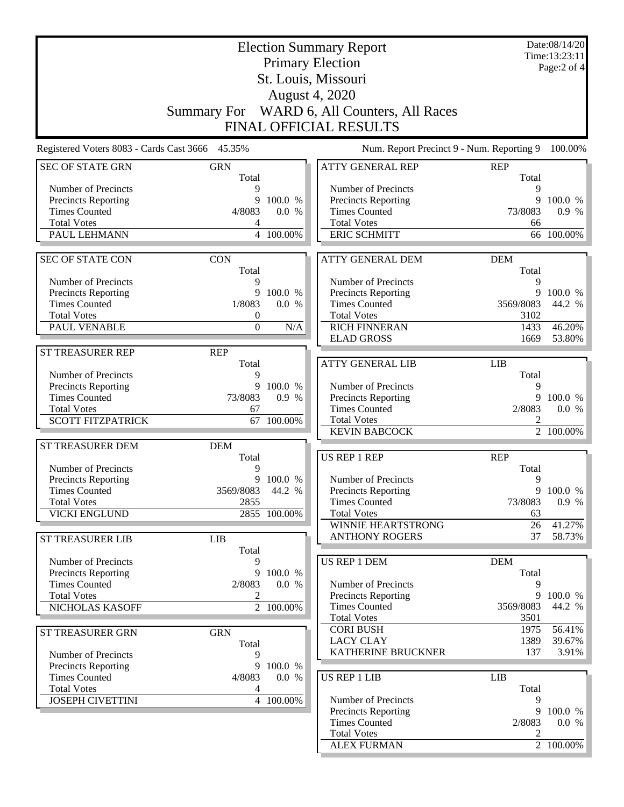|                                                 | Date:08/14/20<br><b>Election Summary Report</b> |              |                                                    |                     |                               |  |  |
|-------------------------------------------------|-------------------------------------------------|--------------|----------------------------------------------------|---------------------|-------------------------------|--|--|
|                                                 |                                                 |              | <b>Primary Election</b>                            |                     | Time:13:23:11<br>Page: 2 of 4 |  |  |
| St. Louis, Missouri                             |                                                 |              |                                                    |                     |                               |  |  |
|                                                 |                                                 |              | <b>August 4, 2020</b>                              |                     |                               |  |  |
| WARD 6, All Counters, All Races                 |                                                 |              |                                                    |                     |                               |  |  |
|                                                 | <b>Summary For</b><br>FINAL OFFICIAL RESULTS    |              |                                                    |                     |                               |  |  |
|                                                 |                                                 |              |                                                    |                     |                               |  |  |
| Registered Voters 8083 - Cards Cast 3666 45.35% |                                                 |              | Num. Report Precinct 9 - Num. Reporting 9          |                     | 100.00%                       |  |  |
| <b>SEC OF STATE GRN</b>                         | <b>GRN</b><br>Total                             |              | <b>ATTY GENERAL REP</b>                            | <b>REP</b><br>Total |                               |  |  |
| Number of Precincts                             | 9                                               |              | Number of Precincts                                | 9                   |                               |  |  |
| Precincts Reporting                             | 9                                               | 100.0 %      | <b>Precincts Reporting</b>                         | 9                   | 100.0 %                       |  |  |
| <b>Times Counted</b><br><b>Total Votes</b>      | 4/8083<br>4                                     | 0.0 %        | <b>Times Counted</b><br><b>Total Votes</b>         | 73/8083<br>66       | 0.9 %                         |  |  |
| PAUL LEHMANN                                    |                                                 | 4 100.00%    | <b>ERIC SCHMITT</b>                                |                     | 66 100.00%                    |  |  |
|                                                 |                                                 |              |                                                    |                     |                               |  |  |
| <b>SEC OF STATE CON</b>                         | <b>CON</b><br>Total                             |              | <b>ATTY GENERAL DEM</b>                            | <b>DEM</b><br>Total |                               |  |  |
| Number of Precincts                             | 9                                               |              | Number of Precincts                                | 9                   |                               |  |  |
| Precincts Reporting                             | 9                                               | 100.0 %      | <b>Precincts Reporting</b>                         | 9                   | 100.0 %                       |  |  |
| <b>Times Counted</b>                            | 1/8083                                          | 0.0 %        | <b>Times Counted</b>                               | 3569/8083           | 44.2 %                        |  |  |
| <b>Total Votes</b>                              | 0                                               |              | <b>Total Votes</b>                                 | 3102                |                               |  |  |
| PAUL VENABLE                                    | $\boldsymbol{0}$                                | N/A          | <b>RICH FINNERAN</b><br><b>ELAD GROSS</b>          | 1433<br>1669        | 46.20%<br>53.80%              |  |  |
|                                                 | <b>REP</b>                                      |              |                                                    |                     |                               |  |  |
| <b>ST TREASURER REP</b>                         | Total                                           |              | <b>ATTY GENERAL LIB</b>                            | <b>LIB</b>          |                               |  |  |
| Number of Precincts                             | 9                                               |              |                                                    | Total               |                               |  |  |
| Precincts Reporting                             | 9                                               | 100.0 %      | Number of Precincts                                | 9                   |                               |  |  |
| <b>Times Counted</b>                            | 73/8083                                         | 0.9 %        | <b>Precincts Reporting</b>                         | 9                   | 100.0 %                       |  |  |
| <b>Total Votes</b>                              | 67                                              |              | <b>Times Counted</b>                               | 2/8083              | 0.0 %                         |  |  |
| <b>SCOTT FITZPATRICK</b>                        |                                                 | 67 100.00%   | <b>Total Votes</b><br><b>KEVIN BABCOCK</b>         | 2                   | 2 100.00%                     |  |  |
| ST TREASURER DEM                                | <b>DEM</b>                                      |              |                                                    |                     |                               |  |  |
|                                                 | Total                                           |              | <b>US REP 1 REP</b>                                | <b>REP</b>          |                               |  |  |
| Number of Precincts                             | 9                                               |              |                                                    | Total               |                               |  |  |
| Precincts Reporting                             |                                                 | 9 100.0 %    | Number of Precincts                                | 9                   |                               |  |  |
| <b>Times Counted</b>                            | 3569/8083                                       | 44.2 %       | <b>Precincts Reporting</b>                         | 9                   | 100.0 %                       |  |  |
| <b>Total Votes</b><br><b>VICKI ENGLUND</b>      | 2855                                            | 2855 100.00% | <b>Times Counted</b><br><b>Total Votes</b>         | 73/8083<br>63       | 0.9 %                         |  |  |
|                                                 |                                                 |              | WINNIE HEARTSTRONG                                 | 26                  | 41.27%                        |  |  |
| ST TREASURER LIB                                | <b>LIB</b>                                      |              | <b>ANTHONY ROGERS</b>                              | 37                  | 58.73%                        |  |  |
|                                                 | Total                                           |              |                                                    |                     |                               |  |  |
| Number of Precincts                             |                                                 |              | <b>US REP 1 DEM</b>                                | <b>DEM</b>          |                               |  |  |
| Precincts Reporting                             | 9                                               | 100.0 %      |                                                    | Total               |                               |  |  |
| <b>Times Counted</b>                            | 2/8083                                          | 0.0 %        | Number of Precincts                                | 9                   |                               |  |  |
| <b>Total Votes</b>                              | 2                                               | 2 100.00%    | <b>Precincts Reporting</b><br><b>Times Counted</b> | 9<br>3569/8083      | 100.0 %<br>44.2 %             |  |  |
| NICHOLAS KASOFF                                 |                                                 |              | <b>Total Votes</b>                                 | 3501                |                               |  |  |
| <b>ST TREASURER GRN</b>                         | <b>GRN</b>                                      |              | <b>CORI BUSH</b>                                   | 1975                | 56.41%                        |  |  |
|                                                 | Total                                           |              | <b>LACY CLAY</b>                                   | 1389                | 39.67%                        |  |  |
| Number of Precincts                             | 9                                               |              | KATHERINE BRUCKNER                                 | 137                 | $3.91\%$                      |  |  |
| Precincts Reporting                             |                                                 | 9 100.0 %    |                                                    |                     |                               |  |  |
| <b>Times Counted</b>                            | 4/8083                                          | 0.0 %        | US REP 1 LIB                                       | <b>LIB</b>          |                               |  |  |
| <b>Total Votes</b><br><b>JOSEPH CIVETTINI</b>   | 4                                               | 4 100.00%    | Number of Precincts                                | Total<br>9          |                               |  |  |
|                                                 |                                                 |              | <b>Precincts Reporting</b>                         | 9                   | 100.0 %                       |  |  |
|                                                 |                                                 |              | <b>Times Counted</b>                               | 2/8083              | 0.0 %                         |  |  |
|                                                 |                                                 |              | <b>Total Votes</b>                                 | 2                   |                               |  |  |
|                                                 |                                                 |              | <b>ALEX FURMAN</b>                                 |                     | 2 100.00%                     |  |  |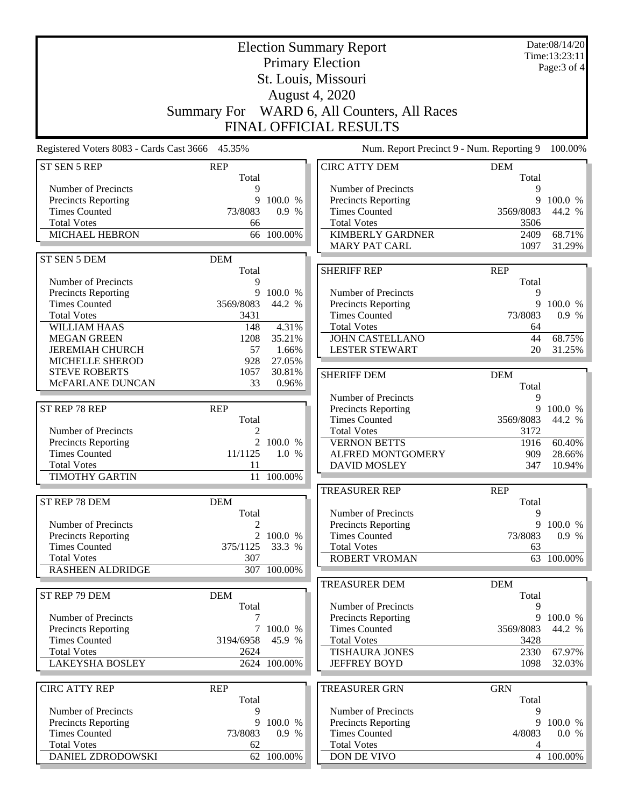| <b>Election Summary Report</b>                  |                     |              |                                             |                     | Date:08/14/20<br>Time:13:23:11 |  |  |
|-------------------------------------------------|---------------------|--------------|---------------------------------------------|---------------------|--------------------------------|--|--|
| <b>Primary Election</b>                         |                     |              |                                             |                     | Page: 3 of 4                   |  |  |
|                                                 |                     |              | St. Louis, Missouri                         |                     |                                |  |  |
|                                                 | August 4, 2020      |              |                                             |                     |                                |  |  |
|                                                 |                     |              |                                             |                     |                                |  |  |
|                                                 | <b>Summary For</b>  |              | WARD 6, All Counters, All Races             |                     |                                |  |  |
|                                                 |                     |              | <b>FINAL OFFICIAL RESULTS</b>               |                     |                                |  |  |
| Registered Voters 8083 - Cards Cast 3666 45.35% |                     |              | Num. Report Precinct 9 - Num. Reporting 9   |                     | 100.00%                        |  |  |
| ST SEN 5 REP                                    | <b>REP</b><br>Total |              | <b>CIRC ATTY DEM</b>                        | <b>DEM</b><br>Total |                                |  |  |
| Number of Precincts                             | 9                   |              | Number of Precincts                         | 9                   |                                |  |  |
| Precincts Reporting                             | 9                   | 100.0 %      | Precincts Reporting                         | 9                   | 100.0 %                        |  |  |
| <b>Times Counted</b>                            | 73/8083             | 0.9 %        | <b>Times Counted</b>                        | 3569/8083           | 44.2 %                         |  |  |
| <b>Total Votes</b>                              | 66                  |              | <b>Total Votes</b>                          | 3506                |                                |  |  |
| MICHAEL HEBRON                                  | 66                  | 100.00%      | <b>KIMBERLY GARDNER</b>                     | 2409                | 68.71%                         |  |  |
|                                                 |                     |              | <b>MARY PAT CARL</b>                        | 1097                | 31.29%                         |  |  |
| ST SEN 5 DEM                                    | <b>DEM</b>          |              |                                             |                     |                                |  |  |
|                                                 | Total               |              | <b>SHERIFF REP</b>                          | <b>REP</b>          |                                |  |  |
| Number of Precincts                             | 9                   |              |                                             | Total               |                                |  |  |
| Precincts Reporting                             | 9                   | 100.0 %      | Number of Precincts                         | 9                   |                                |  |  |
| <b>Times Counted</b>                            | 3569/8083           | 44.2 %       | Precincts Reporting<br><b>Times Counted</b> | 9<br>73/8083        | 100.0 %                        |  |  |
| <b>Total Votes</b><br><b>WILLIAM HAAS</b>       | 3431<br>148         | 4.31%        | <b>Total Votes</b>                          | 64                  | 0.9 %                          |  |  |
| <b>MEGAN GREEN</b>                              | 1208                | 35.21%       | <b>JOHN CASTELLANO</b>                      | 44                  | 68.75%                         |  |  |
| <b>JEREMIAH CHURCH</b>                          | 57                  | 1.66%        | <b>LESTER STEWART</b>                       | 20                  | 31.25%                         |  |  |
| MICHELLE SHEROD                                 | 928                 | 27.05%       |                                             |                     |                                |  |  |
| <b>STEVE ROBERTS</b>                            | 1057                | 30.81%       | <b>SHERIFF DEM</b>                          | <b>DEM</b>          |                                |  |  |
| McFARLANE DUNCAN                                | 33                  | 0.96%        |                                             | Total               |                                |  |  |
|                                                 |                     |              | Number of Precincts                         | 9                   |                                |  |  |
| ST REP 78 REP                                   | <b>REP</b>          |              | Precincts Reporting                         | 9                   | 100.0 %                        |  |  |
|                                                 | Total               |              | <b>Times Counted</b>                        | 3569/8083           | 44.2 %                         |  |  |
| Number of Precincts                             | $\overline{2}$      |              | <b>Total Votes</b>                          | 3172                |                                |  |  |
| Precincts Reporting                             | 2                   | 100.0 %      | <b>VERNON BETTS</b>                         | 1916                | 60.40%                         |  |  |
| <b>Times Counted</b>                            | 11/1125             | 1.0 %        | ALFRED MONTGOMERY                           | 909                 | 28.66%                         |  |  |
| <b>Total Votes</b>                              | 11                  |              | <b>DAVID MOSLEY</b>                         | 347                 | 10.94%                         |  |  |
| <b>TIMOTHY GARTIN</b>                           | 11                  | 100.00%      |                                             |                     |                                |  |  |
| ST REP 78 DEM                                   | <b>DEM</b>          |              | <b>TREASURER REP</b>                        | <b>REP</b>          |                                |  |  |
|                                                 | Total               |              | Number of Precincts                         | Total<br>9          |                                |  |  |
| Number of Precincts                             | $\mathfrak{D}$      |              | <b>Precincts Reporting</b>                  | 9                   | 100.0 %                        |  |  |
| <b>Precincts Reporting</b>                      |                     | 2 100.0 %    | <b>Times Counted</b>                        | 73/8083             | 0.9%                           |  |  |
| <b>Times Counted</b>                            | 375/1125            | 33.3 %       | <b>Total Votes</b>                          | 63                  |                                |  |  |
| <b>Total Votes</b>                              | 307                 |              | <b>ROBERT VROMAN</b>                        | 63                  | 100.00%                        |  |  |
| <b>RASHEEN ALDRIDGE</b>                         |                     | 307 100.00%  |                                             |                     |                                |  |  |
|                                                 |                     |              | <b>TREASURER DEM</b>                        | <b>DEM</b>          |                                |  |  |
| ST REP 79 DEM                                   | <b>DEM</b>          |              |                                             | Total               |                                |  |  |
|                                                 | Total               |              | Number of Precincts                         | 9                   |                                |  |  |
| Number of Precincts                             | 7                   |              | Precincts Reporting                         | 9                   | 100.0 %                        |  |  |
| Precincts Reporting                             |                     | 7 100.0 %    | <b>Times Counted</b>                        | 3569/8083           | 44.2 %                         |  |  |
| <b>Times Counted</b>                            | 3194/6958           | 45.9 %       | <b>Total Votes</b>                          | 3428                |                                |  |  |
| <b>Total Votes</b>                              | 2624                |              | <b>TISHAURA JONES</b>                       | 2330                | 67.97%                         |  |  |
| <b>LAKEYSHA BOSLEY</b>                          |                     | 2624 100.00% | <b>JEFFREY BOYD</b>                         | 1098                | 32.03%                         |  |  |
| <b>CIRC ATTY REP</b>                            | <b>REP</b>          |              | <b>TREASURER GRN</b>                        | <b>GRN</b>          |                                |  |  |
|                                                 | Total               |              |                                             | Total               |                                |  |  |
| Number of Precincts                             | 9                   |              | Number of Precincts                         | 9                   |                                |  |  |
| <b>Precincts Reporting</b>                      | 9                   | 100.0 %      | <b>Precincts Reporting</b>                  | 9                   | 100.0 %                        |  |  |
| <b>Times Counted</b>                            | 73/8083             | 0.9 %        | <b>Times Counted</b>                        | 4/8083              | 0.0 %                          |  |  |
| <b>Total Votes</b>                              | 62                  |              | <b>Total Votes</b>                          | 4                   |                                |  |  |
| DANIEL ZDRODOWSKI                               |                     | 62 100.00%   | DON DE VIVO                                 |                     | 4 100.00%                      |  |  |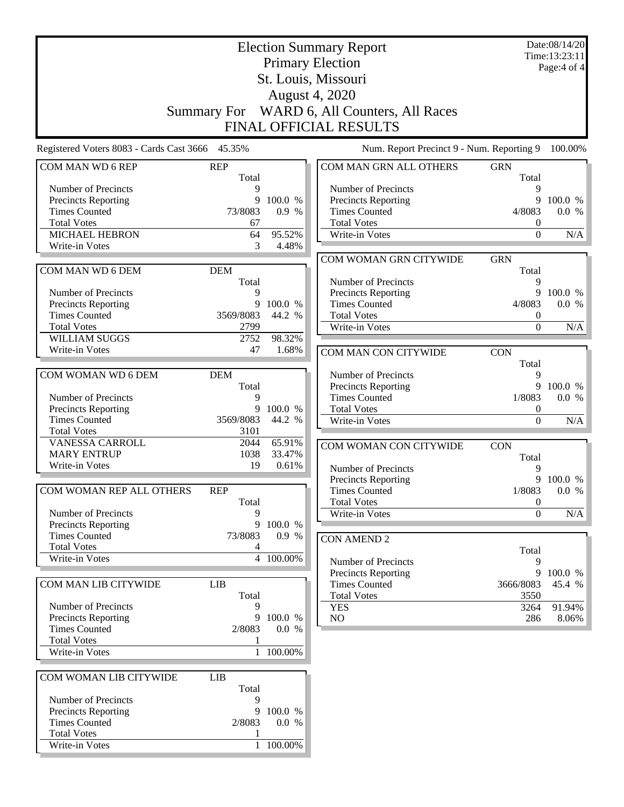|                                                 | <b>Election Summary Report</b> |                 |                                            |                     |                              |  |  |
|-------------------------------------------------|--------------------------------|-----------------|--------------------------------------------|---------------------|------------------------------|--|--|
|                                                 |                                |                 | <b>Primary Election</b>                    |                     | Time:13:23:11<br>Page:4 of 4 |  |  |
|                                                 |                                |                 | St. Louis, Missouri                        |                     |                              |  |  |
|                                                 | <b>August 4, 2020</b>          |                 |                                            |                     |                              |  |  |
|                                                 | <b>Summary For</b>             |                 | WARD 6, All Counters, All Races            |                     |                              |  |  |
|                                                 |                                |                 | <b>FINAL OFFICIAL RESULTS</b>              |                     |                              |  |  |
| Registered Voters 8083 - Cards Cast 3666 45.35% |                                |                 | Num. Report Precinct 9 - Num. Reporting 9  |                     | 100.00%                      |  |  |
| COM MAN WD 6 REP                                | <b>REP</b>                     |                 | COM MAN GRN ALL OTHERS                     | <b>GRN</b>          |                              |  |  |
| Number of Precincts                             | Total<br>9                     |                 | Number of Precincts                        | Total<br>9          |                              |  |  |
| Precincts Reporting                             | 9                              | 100.0 %         | Precincts Reporting                        | 9                   | 100.0 %                      |  |  |
| <b>Times Counted</b>                            | 73/8083                        | 0.9 %           | <b>Times Counted</b>                       | 4/8083              | 0.0 %                        |  |  |
| <b>Total Votes</b>                              | 67                             |                 | <b>Total Votes</b>                         | $\boldsymbol{0}$    |                              |  |  |
| MICHAEL HEBRON                                  | 64                             | 95.52%          | Write-in Votes                             | $\boldsymbol{0}$    | N/A                          |  |  |
| Write-in Votes                                  | 3                              | 4.48%           |                                            |                     |                              |  |  |
| COM MAN WD 6 DEM                                | <b>DEM</b>                     |                 | COM WOMAN GRN CITYWIDE                     | <b>GRN</b><br>Total |                              |  |  |
|                                                 | Total                          |                 | Number of Precincts                        | 9                   |                              |  |  |
| Number of Precincts                             | 9                              |                 | <b>Precincts Reporting</b>                 | 9                   | 100.0 %                      |  |  |
| Precincts Reporting                             | 9                              | 100.0 %         | <b>Times Counted</b>                       | 4/8083              | 0.0 %                        |  |  |
| <b>Times Counted</b>                            | 3569/8083                      | 44.2 %          | <b>Total Votes</b>                         | $\boldsymbol{0}$    |                              |  |  |
| <b>Total Votes</b>                              | 2799                           |                 | Write-in Votes                             | $\boldsymbol{0}$    | N/A                          |  |  |
| <b>WILLIAM SUGGS</b>                            | 2752                           | 98.32%          |                                            |                     |                              |  |  |
| Write-in Votes                                  | 47                             | 1.68%           | COM MAN CON CITYWIDE                       | <b>CON</b>          |                              |  |  |
| COM WOMAN WD 6 DEM                              | <b>DEM</b>                     |                 | Number of Precincts                        | Total<br>9          |                              |  |  |
|                                                 | Total                          |                 | <b>Precincts Reporting</b>                 | 9                   | 100.0 %                      |  |  |
| Number of Precincts                             | 9                              |                 | <b>Times Counted</b>                       | 1/8083              | 0.0 %                        |  |  |
| Precincts Reporting                             |                                | 9 100.0 %       | <b>Total Votes</b>                         | $\boldsymbol{0}$    |                              |  |  |
| <b>Times Counted</b>                            | 3569/8083                      | 44.2 %          | Write-in Votes                             | $\Omega$            | N/A                          |  |  |
| <b>Total Votes</b>                              | 3101                           |                 |                                            |                     |                              |  |  |
| <b>VANESSA CARROLL</b><br><b>MARY ENTRUP</b>    | 2044                           | 65.91%          | COM WOMAN CON CITYWIDE                     | <b>CON</b>          |                              |  |  |
| Write-in Votes                                  | 1038<br>19                     | 33.47%<br>0.61% |                                            | Total               |                              |  |  |
|                                                 |                                |                 | Number of Precincts<br>Precincts Reporting | 9<br>9              | 100.0 %                      |  |  |
| COM WOMAN REP ALL OTHERS                        | <b>REP</b>                     |                 | <b>Times Counted</b>                       | 1/8083              | 0.0 %                        |  |  |
|                                                 | Total                          |                 | <b>Total Votes</b>                         | $\boldsymbol{0}$    |                              |  |  |
| Number of Precincts                             | 9                              |                 | Write-in Votes                             | $\theta$            | N/A                          |  |  |
| Precincts Reporting                             |                                | 9 100.0 %       |                                            |                     |                              |  |  |
| <b>Times Counted</b>                            | 73/8083                        | 0.9 %           | <b>CON AMEND 2</b>                         |                     |                              |  |  |
| <b>Total Votes</b>                              | 4                              |                 |                                            | Total               |                              |  |  |
| Write-in Votes                                  |                                | 4 100.00%       | Number of Precincts                        | 9                   |                              |  |  |
| COM MAN LIB CITYWIDE                            | <b>LIB</b>                     |                 | <b>Precincts Reporting</b>                 | 9                   | 100.0 %                      |  |  |
|                                                 | Total                          |                 | <b>Times Counted</b><br><b>Total Votes</b> | 3666/8083<br>3550   | 45.4 %                       |  |  |
| Number of Precincts                             | 9                              |                 | <b>YES</b>                                 | 3264                | 91.94%                       |  |  |
| Precincts Reporting                             | 9                              | 100.0 %         | NO                                         | 286                 | 8.06%                        |  |  |
| <b>Times Counted</b>                            | 2/8083                         | 0.0 %           |                                            |                     |                              |  |  |
| <b>Total Votes</b>                              | 1                              |                 |                                            |                     |                              |  |  |
| Write-in Votes                                  |                                | 1 100.00%       |                                            |                     |                              |  |  |
| COM WOMAN LIB CITYWIDE                          | LIB                            |                 |                                            |                     |                              |  |  |
| Number of Precincts                             | Total<br>9                     |                 |                                            |                     |                              |  |  |
| Precincts Reporting                             | 9                              | 100.0 %         |                                            |                     |                              |  |  |
| <b>Times Counted</b>                            | 2/8083                         | 0.0 %           |                                            |                     |                              |  |  |
| <b>Total Votes</b>                              |                                |                 |                                            |                     |                              |  |  |
| Write-in Votes                                  | 1                              | 100.00%         |                                            |                     |                              |  |  |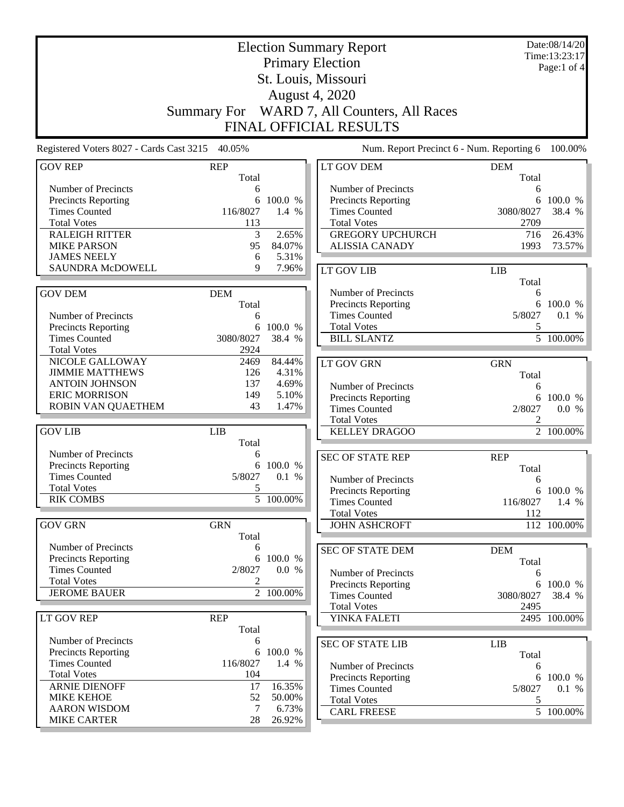|                                                 |                     |                  | <b>Election Summary Report</b>             |                 | Date:08/14/20<br>Time:13:23:17 |
|-------------------------------------------------|---------------------|------------------|--------------------------------------------|-----------------|--------------------------------|
|                                                 |                     |                  | <b>Primary Election</b>                    |                 | Page:1 of 4                    |
|                                                 |                     |                  | St. Louis, Missouri                        |                 |                                |
|                                                 |                     |                  | <b>August 4, 2020</b>                      |                 |                                |
|                                                 | <b>Summary For</b>  |                  | WARD 7, All Counters, All Races            |                 |                                |
|                                                 |                     |                  | <b>FINAL OFFICIAL RESULTS</b>              |                 |                                |
| Registered Voters 8027 - Cards Cast 3215 40.05% |                     |                  | Num. Report Precinct 6 - Num. Reporting 6  |                 | 100.00%                        |
| <b>GOV REP</b>                                  | <b>REP</b>          |                  | LT GOV DEM                                 | <b>DEM</b>      |                                |
|                                                 | Total               |                  |                                            | Total           |                                |
| Number of Precincts                             | 6                   |                  | Number of Precincts                        | 6               |                                |
| <b>Precincts Reporting</b>                      | 6                   | 100.0 %          | <b>Precincts Reporting</b>                 | 6               | 100.0 %                        |
| <b>Times Counted</b>                            | 116/8027            | 1.4 %            | <b>Times Counted</b>                       | 3080/8027       | 38.4 %                         |
| <b>Total Votes</b>                              | 113                 |                  | <b>Total Votes</b>                         | 2709            |                                |
| <b>RALEIGH RITTER</b>                           | 3                   | 2.65%            | <b>GREGORY UPCHURCH</b>                    | 716             | 26.43%                         |
| <b>MIKE PARSON</b>                              | 95                  | 84.07%           | <b>ALISSIA CANADY</b>                      | 1993            | 73.57%                         |
| <b>JAMES NEELY</b><br>SAUNDRA McDOWELL          | 6<br>9              | 5.31%            |                                            |                 |                                |
|                                                 |                     | 7.96%            | <b>LT GOV LIB</b>                          | <b>LIB</b>      |                                |
|                                                 |                     |                  | Number of Precincts                        | Total           |                                |
| <b>GOV DEM</b>                                  | <b>DEM</b><br>Total |                  | Precincts Reporting                        | 6<br>6          | 100.0 %                        |
| Number of Precincts                             | 6                   |                  | <b>Times Counted</b>                       | 5/8027          | 0.1 %                          |
| <b>Precincts Reporting</b>                      | 6                   | 100.0 %          | <b>Total Votes</b>                         | 5               |                                |
| <b>Times Counted</b>                            | 3080/8027           | 38.4 %           | <b>BILL SLANTZ</b>                         |                 | 5 100.00%                      |
| <b>Total Votes</b>                              | 2924                |                  |                                            |                 |                                |
| NICOLE GALLOWAY                                 | 2469                | 84.44%           | <b>LT GOV GRN</b>                          | <b>GRN</b>      |                                |
| <b>JIMMIE MATTHEWS</b>                          | 126                 | 4.31%            |                                            | Total           |                                |
| <b>ANTOIN JOHNSON</b>                           | 137                 | 4.69%            | Number of Precincts                        | 6               |                                |
| <b>ERIC MORRISON</b>                            | 149                 | 5.10%            | <b>Precincts Reporting</b>                 | 6               | 100.0 %                        |
| ROBIN VAN QUAETHEM                              | 43                  | 1.47%            | <b>Times Counted</b>                       | 2/8027          | 0.0 %                          |
|                                                 |                     |                  | <b>Total Votes</b>                         | $\overline{c}$  |                                |
| <b>GOV LIB</b>                                  | LIB                 |                  | <b>KELLEY DRAGOO</b>                       |                 | 2 100.00%                      |
|                                                 | Total               |                  |                                            |                 |                                |
| Number of Precincts                             | 6                   |                  | <b>SEC OF STATE REP</b>                    | <b>REP</b>      |                                |
| Precincts Reporting<br><b>Times Counted</b>     | 6<br>5/8027         | 100.0 %<br>0.1 % |                                            | Total           |                                |
| <b>Total Votes</b>                              | 5                   |                  | Number of Precincts                        | 6               |                                |
| <b>RIK COMBS</b>                                |                     | 5 100.00%        | <b>Precincts Reporting</b>                 |                 | 6 100.0 %                      |
|                                                 |                     |                  | <b>Times Counted</b><br><b>Total Votes</b> | 116/8027<br>112 | 1.4 %                          |
| <b>GOV GRN</b>                                  | <b>GRN</b>          |                  | <b>JOHN ASHCROFT</b>                       |                 | 112 100.00%                    |
|                                                 | Total               |                  |                                            |                 |                                |
| Number of Precincts                             | 6                   |                  | <b>SEC OF STATE DEM</b>                    | <b>DEM</b>      |                                |
| <b>Precincts Reporting</b>                      |                     | 6 100.0 %        |                                            | Total           |                                |
| <b>Times Counted</b>                            | 2/8027              | 0.0 %            | Number of Precincts                        | 6               |                                |
| <b>Total Votes</b>                              | 2                   |                  | Precincts Reporting                        |                 | 6 100.0 %                      |
| <b>JEROME BAUER</b>                             |                     | 2 100.00%        | <b>Times Counted</b>                       | 3080/8027       | 38.4 %                         |
|                                                 |                     |                  | <b>Total Votes</b>                         | 2495            |                                |
| LT GOV REP                                      | <b>REP</b>          |                  | YINKA FALETI                               |                 | $\overline{2495}$ 100.00%      |
|                                                 | Total               |                  |                                            |                 |                                |
| Number of Precincts                             | 6                   |                  | <b>SEC OF STATE LIB</b>                    | <b>LIB</b>      |                                |
| Precincts Reporting                             | 6                   | 100.0 %          |                                            | Total           |                                |
| <b>Times Counted</b>                            | 116/8027            | 1.4 %            | Number of Precincts                        | 6               |                                |
| <b>Total Votes</b>                              | 104                 |                  | Precincts Reporting                        |                 | 6 100.0 %                      |
| <b>ARNIE DIENOFF</b><br><b>MIKE KEHOE</b>       | 17<br>52            | 16.35%<br>50.00% | <b>Times Counted</b>                       | 5/8027          | 0.1 %                          |
| <b>AARON WISDOM</b>                             | $\tau$              | 6.73%            | <b>Total Votes</b>                         | 5               |                                |
| <b>MIKE CARTER</b>                              | 28                  | 26.92%           | <b>CARL FREESE</b>                         |                 | $\overline{5}$ 100.00%         |
|                                                 |                     |                  |                                            |                 |                                |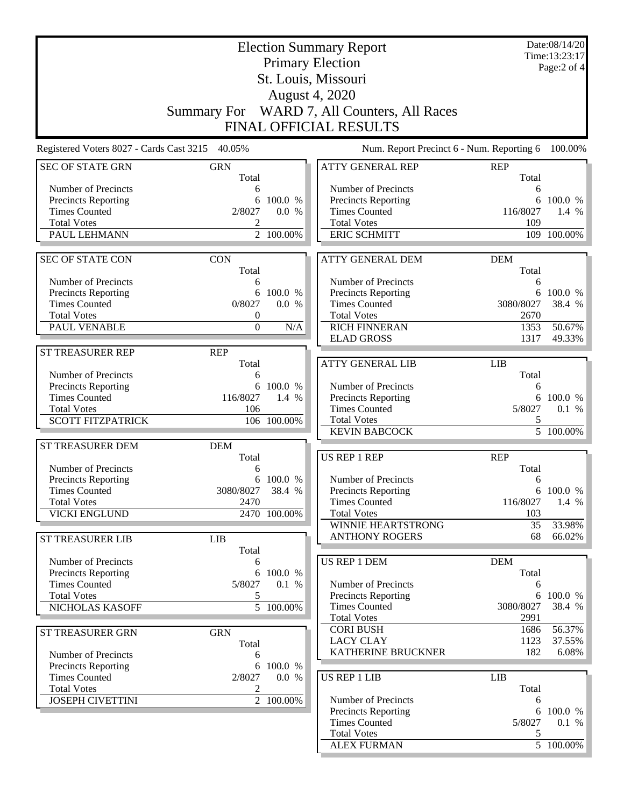|                                                    |                     | Date:08/14/20<br>Time:13:23:17 |                                             |                     |                        |  |
|----------------------------------------------------|---------------------|--------------------------------|---------------------------------------------|---------------------|------------------------|--|
|                                                    |                     |                                | <b>Primary Election</b>                     |                     | Page:2 of 4            |  |
|                                                    | St. Louis, Missouri |                                |                                             |                     |                        |  |
|                                                    |                     |                                | <b>August 4, 2020</b>                       |                     |                        |  |
|                                                    | <b>Summary For</b>  |                                | WARD 7, All Counters, All Races             |                     |                        |  |
|                                                    |                     |                                |                                             |                     |                        |  |
|                                                    |                     |                                | FINAL OFFICIAL RESULTS                      |                     |                        |  |
| Registered Voters 8027 - Cards Cast 3215 40.05%    |                     |                                | Num. Report Precinct 6 - Num. Reporting 6   |                     | 100.00%                |  |
| <b>SEC OF STATE GRN</b>                            | <b>GRN</b><br>Total |                                | <b>ATTY GENERAL REP</b>                     | <b>REP</b><br>Total |                        |  |
| Number of Precincts                                | 6                   |                                | Number of Precincts                         | 6                   |                        |  |
| <b>Precincts Reporting</b><br><b>Times Counted</b> | 6<br>2/8027         | 100.0 %<br>0.0 %               | Precincts Reporting<br><b>Times Counted</b> | 6<br>116/8027       | 100.0 %<br>1.4 %       |  |
| <b>Total Votes</b>                                 | 2                   |                                | <b>Total Votes</b>                          | 109                 |                        |  |
| PAUL LEHMANN                                       |                     | 2 100.00%                      | <b>ERIC SCHMITT</b>                         | 109                 | 100.00%                |  |
|                                                    |                     |                                |                                             |                     |                        |  |
| <b>SEC OF STATE CON</b>                            | <b>CON</b><br>Total |                                | <b>ATTY GENERAL DEM</b>                     | <b>DEM</b><br>Total |                        |  |
| Number of Precincts                                | 6                   |                                | Number of Precincts                         | 6                   |                        |  |
| <b>Precincts Reporting</b>                         |                     | 6 100.0 %                      | Precincts Reporting                         |                     | 6 100.0 %              |  |
| <b>Times Counted</b>                               | 0/8027              | 0.0 %                          | <b>Times Counted</b>                        | 3080/8027           | 38.4 %                 |  |
| <b>Total Votes</b>                                 | $\boldsymbol{0}$    |                                | <b>Total Votes</b>                          | 2670                |                        |  |
| PAUL VENABLE                                       | $\mathbf{0}$        | N/A                            | <b>RICH FINNERAN</b><br><b>ELAD GROSS</b>   | 1353<br>1317        | 50.67%<br>49.33%       |  |
| <b>ST TREASURER REP</b>                            | <b>REP</b>          |                                |                                             |                     |                        |  |
|                                                    | Total               |                                | <b>ATTY GENERAL LIB</b>                     | <b>LIB</b>          |                        |  |
| Number of Precincts                                | 6                   |                                |                                             | Total               |                        |  |
| <b>Precincts Reporting</b>                         |                     | 6 100.0 %                      | Number of Precincts                         | 6                   |                        |  |
| <b>Times Counted</b>                               | 116/8027            | 1.4 %                          | Precincts Reporting                         |                     | 6 100.0 %              |  |
| <b>Total Votes</b>                                 | 106                 |                                | <b>Times Counted</b>                        | 5/8027              | 0.1 %                  |  |
| <b>SCOTT FITZPATRICK</b>                           |                     | 106 100.00%                    | <b>Total Votes</b>                          | 5                   |                        |  |
|                                                    |                     |                                | <b>KEVIN BABCOCK</b>                        |                     | $\overline{5}$ 100.00% |  |
| ST TREASURER DEM                                   | <b>DEM</b><br>Total |                                | <b>US REP 1 REP</b>                         | <b>REP</b>          |                        |  |
| Number of Precincts                                | 6                   |                                |                                             | Total               |                        |  |
| Precincts Reporting                                |                     | 6 100.0 %                      | Number of Precincts                         | 6                   |                        |  |
| <b>Times Counted</b>                               | 3080/8027           | 38.4 %                         | <b>Precincts Reporting</b>                  |                     | 6 100.0 %              |  |
| <b>Total Votes</b>                                 | 2470                |                                | <b>Times Counted</b>                        | 116/8027            | 1.4 %                  |  |
| <b>VICKI ENGLUND</b>                               |                     | 2470 100.00%                   | <b>Total Votes</b>                          | 103                 |                        |  |
|                                                    |                     |                                | WINNIE HEARTSTRONG<br><b>ANTHONY ROGERS</b> | 35<br>68            | 33.98%                 |  |
| <b>ST TREASURER LIB</b>                            | <b>LIB</b>          |                                |                                             |                     | $66.02\%$              |  |
| Number of Precincts                                | Total<br>6          |                                | <b>US REP 1 DEM</b>                         | <b>DEM</b>          |                        |  |
| Precincts Reporting                                | 6                   | 100.0 %                        |                                             | Total               |                        |  |
| <b>Times Counted</b>                               | 5/8027              | 0.1 %                          | Number of Precincts                         | 6                   |                        |  |
| <b>Total Votes</b>                                 | 5                   |                                | Precincts Reporting                         |                     | 6 100.0 %              |  |
| NICHOLAS KASOFF                                    |                     | $\overline{5}$ 100.00%         | <b>Times Counted</b>                        | 3080/8027           | 38.4 %                 |  |
|                                                    |                     |                                | <b>Total Votes</b>                          | 2991                |                        |  |
| ST TREASURER GRN                                   | <b>GRN</b>          |                                | <b>CORI BUSH</b><br><b>LACY CLAY</b>        | 1686<br>1123        | 56.37%                 |  |
|                                                    | Total               |                                | KATHERINE BRUCKNER                          | 182                 | 37.55%<br>$6.08\%$     |  |
| Number of Precincts<br>Precincts Reporting         | 6                   | 6 100.0 %                      |                                             |                     |                        |  |
| <b>Times Counted</b>                               | 2/8027              | 0.0 %                          | <b>US REP 1 LIB</b>                         | <b>LIB</b>          |                        |  |
| <b>Total Votes</b>                                 | 2                   |                                |                                             | Total               |                        |  |
| <b>JOSEPH CIVETTINI</b>                            |                     | $2^-100.00\%$                  | Number of Precincts                         | 6                   |                        |  |
|                                                    |                     |                                | Precincts Reporting                         |                     | 6 100.0 %              |  |
|                                                    |                     |                                | <b>Times Counted</b>                        | 5/8027              | 0.1 %                  |  |
|                                                    |                     |                                | <b>Total Votes</b>                          | 5                   |                        |  |
|                                                    |                     |                                | <b>ALEX FURMAN</b>                          |                     | 5 100.00%              |  |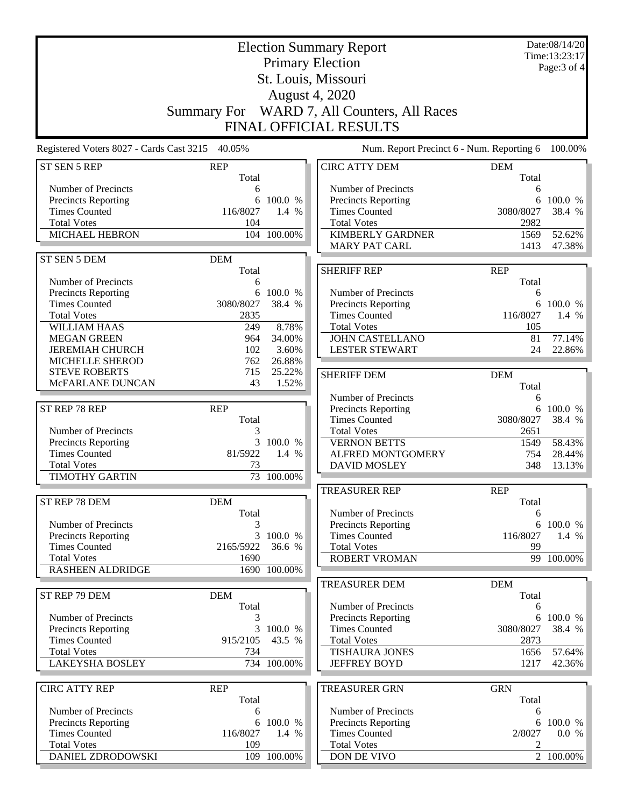| <b>Election Summary Report</b>                     |                       |              |                                             |                     | Date:08/14/20<br>Time:13:23:17 |  |  |
|----------------------------------------------------|-----------------------|--------------|---------------------------------------------|---------------------|--------------------------------|--|--|
|                                                    |                       |              | <b>Primary Election</b>                     |                     | Page: 3 of 4                   |  |  |
|                                                    | St. Louis, Missouri   |              |                                             |                     |                                |  |  |
|                                                    | <b>August 4, 2020</b> |              |                                             |                     |                                |  |  |
|                                                    |                       |              |                                             |                     |                                |  |  |
|                                                    |                       |              | Summary For WARD 7, All Counters, All Races |                     |                                |  |  |
|                                                    |                       |              | <b>FINAL OFFICIAL RESULTS</b>               |                     |                                |  |  |
| Registered Voters 8027 - Cards Cast 3215 40.05%    |                       |              | Num. Report Precinct 6 - Num. Reporting 6   |                     | 100.00%                        |  |  |
| ST SEN 5 REP                                       | <b>REP</b><br>Total   |              | <b>CIRC ATTY DEM</b>                        | <b>DEM</b><br>Total |                                |  |  |
| Number of Precincts                                | 6                     |              | Number of Precincts                         | 6                   |                                |  |  |
| Precincts Reporting                                |                       | 6 100.0 %    | Precincts Reporting                         | 6                   | 100.0 %                        |  |  |
| <b>Times Counted</b>                               | 116/8027              | 1.4 %        | <b>Times Counted</b>                        | 3080/8027           | 38.4 %                         |  |  |
| <b>Total Votes</b>                                 | 104                   |              | <b>Total Votes</b>                          | 2982                |                                |  |  |
| <b>MICHAEL HEBRON</b>                              |                       | 104 100.00%  | <b>KIMBERLY GARDNER</b>                     | 1569                | 52.62%                         |  |  |
|                                                    |                       |              | <b>MARY PAT CARL</b>                        | 1413                | 47.38%                         |  |  |
| ST SEN 5 DEM                                       | <b>DEM</b>            |              |                                             |                     |                                |  |  |
|                                                    | Total                 |              | <b>SHERIFF REP</b>                          | <b>REP</b>          |                                |  |  |
| Number of Precincts                                | 6                     |              |                                             | Total               |                                |  |  |
| Precincts Reporting                                | 6                     | 100.0 %      | Number of Precincts                         | 6                   |                                |  |  |
| <b>Times Counted</b>                               | 3080/8027             | 38.4 %       | Precincts Reporting                         |                     | 6 100.0 %                      |  |  |
| <b>Total Votes</b>                                 | 2835                  |              | <b>Times Counted</b>                        | 116/8027            | 1.4 %                          |  |  |
| <b>WILLIAM HAAS</b>                                | 249                   | 8.78%        | <b>Total Votes</b>                          | 105                 |                                |  |  |
| <b>MEGAN GREEN</b>                                 | 964                   | 34.00%       | <b>JOHN CASTELLANO</b>                      | 81                  | 77.14%                         |  |  |
| <b>JEREMIAH CHURCH</b>                             | 102                   | 3.60%        | <b>LESTER STEWART</b>                       | 24                  | 22.86%                         |  |  |
| MICHELLE SHEROD                                    | 762                   | 26.88%       |                                             |                     |                                |  |  |
| <b>STEVE ROBERTS</b>                               | 715                   | 25.22%       | <b>SHERIFF DEM</b>                          | <b>DEM</b>          |                                |  |  |
| McFARLANE DUNCAN                                   | 43                    | 1.52%        |                                             | Total               |                                |  |  |
|                                                    |                       |              | Number of Precincts                         | 6                   |                                |  |  |
| ST REP 78 REP                                      | <b>REP</b>            |              | Precincts Reporting                         | 6                   | 100.0 %                        |  |  |
| Number of Precincts                                | Total<br>3            |              | <b>Times Counted</b><br><b>Total Votes</b>  | 3080/8027<br>2651   | 38.4 %                         |  |  |
|                                                    | 3                     | 100.0 %      | <b>VERNON BETTS</b>                         | 1549                | 58.43%                         |  |  |
| <b>Precincts Reporting</b><br><b>Times Counted</b> | 81/5922               | 1.4 %        | <b>ALFRED MONTGOMERY</b>                    | 754                 | 28.44%                         |  |  |
| <b>Total Votes</b>                                 | 73                    |              | <b>DAVID MOSLEY</b>                         | 348                 | 13.13%                         |  |  |
| <b>TIMOTHY GARTIN</b>                              | 73                    | 100.00%      |                                             |                     |                                |  |  |
|                                                    |                       |              | <b>TREASURER REP</b>                        | <b>REP</b>          |                                |  |  |
| ST REP 78 DEM                                      | <b>DEM</b>            |              |                                             | Total               |                                |  |  |
|                                                    | Total                 |              | Number of Precincts                         | 6                   |                                |  |  |
| Number of Precincts                                |                       |              | Precincts Reporting                         | 6                   | 100.0 %                        |  |  |
| <b>Precincts Reporting</b>                         | 3                     | 100.0 %      | <b>Times Counted</b>                        | 116/8027            | 1.4 %                          |  |  |
| <b>Times Counted</b>                               | 2165/5922             | 36.6 %       | <b>Total Votes</b>                          | 99                  |                                |  |  |
| <b>Total Votes</b>                                 | 1690                  |              | <b>ROBERT VROMAN</b>                        | 99                  | 100.00%                        |  |  |
| <b>RASHEEN ALDRIDGE</b>                            |                       | 1690 100.00% |                                             |                     |                                |  |  |
|                                                    |                       |              | <b>TREASURER DEM</b>                        | <b>DEM</b>          |                                |  |  |
| ST REP 79 DEM                                      | <b>DEM</b>            |              |                                             | Total               |                                |  |  |
|                                                    | Total                 |              | Number of Precincts                         | 6                   |                                |  |  |
| Number of Precincts                                | 3                     |              | Precincts Reporting                         | 6                   | 100.0 %                        |  |  |
| Precincts Reporting                                | 3                     | 100.0 %      | <b>Times Counted</b>                        | 3080/8027           | 38.4 %                         |  |  |
| <b>Times Counted</b>                               | 915/2105              | 43.5 %       | <b>Total Votes</b>                          | 2873                |                                |  |  |
| <b>Total Votes</b>                                 | 734                   |              | <b>TISHAURA JONES</b>                       | 1656                | 57.64%                         |  |  |
| <b>LAKEYSHA BOSLEY</b>                             |                       | 734 100.00%  | <b>JEFFREY BOYD</b>                         | 1217                | 42.36%                         |  |  |
| <b>CIRC ATTY REP</b>                               | <b>REP</b>            |              | <b>TREASURER GRN</b>                        | <b>GRN</b>          |                                |  |  |
|                                                    | Total                 |              |                                             | Total               |                                |  |  |
| Number of Precincts                                | 6                     |              | Number of Precincts                         | 6                   |                                |  |  |
| Precincts Reporting                                |                       | 6 100.0 %    | <b>Precincts Reporting</b>                  | 6                   | 100.0 %                        |  |  |
| <b>Times Counted</b>                               | 116/8027              | 1.4 %        | <b>Times Counted</b>                        | 2/8027              | 0.0 %                          |  |  |
| <b>Total Votes</b>                                 | 109                   |              | <b>Total Votes</b>                          | 2                   |                                |  |  |
| DANIEL ZDRODOWSKI                                  |                       | 109 100.00%  | DON DE VIVO                                 |                     | $2 - 100.00\%$                 |  |  |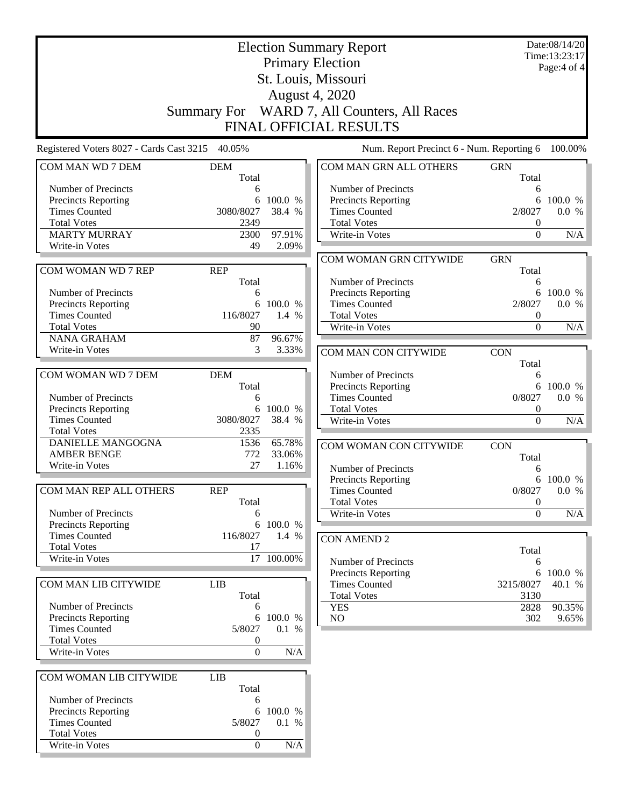|                                                 | Date:08/14/20<br><b>Election Summary Report</b><br>Time:13:23:17 |            |                                            |                              |           |  |  |
|-------------------------------------------------|------------------------------------------------------------------|------------|--------------------------------------------|------------------------------|-----------|--|--|
|                                                 | <b>Primary Election</b>                                          |            |                                            |                              |           |  |  |
|                                                 | Page:4 of 4<br>St. Louis, Missouri                               |            |                                            |                              |           |  |  |
|                                                 | <b>August 4, 2020</b>                                            |            |                                            |                              |           |  |  |
|                                                 |                                                                  |            |                                            |                              |           |  |  |
|                                                 | <b>Summary For</b>                                               |            | WARD 7, All Counters, All Races            |                              |           |  |  |
|                                                 |                                                                  |            | <b>FINAL OFFICIAL RESULTS</b>              |                              |           |  |  |
| Registered Voters 8027 - Cards Cast 3215 40.05% |                                                                  |            | Num. Report Precinct 6 - Num. Reporting 6  |                              | 100.00%   |  |  |
| COM MAN WD 7 DEM                                | <b>DEM</b><br>Total                                              |            | COM MAN GRN ALL OTHERS                     | <b>GRN</b><br>Total          |           |  |  |
| Number of Precincts                             | 6                                                                |            | Number of Precincts                        | 6                            |           |  |  |
| <b>Precincts Reporting</b>                      | 6                                                                | 100.0 %    | Precincts Reporting                        |                              | 6 100.0 % |  |  |
| <b>Times Counted</b>                            | 3080/8027                                                        | 38.4 %     | <b>Times Counted</b>                       | 2/8027                       | 0.0 %     |  |  |
| <b>Total Votes</b><br><b>MARTY MURRAY</b>       | 2349                                                             | 97.91%     | <b>Total Votes</b><br>Write-in Votes       | $\boldsymbol{0}$<br>$\Omega$ | N/A       |  |  |
| Write-in Votes                                  | 2300<br>49                                                       | 2.09%      |                                            |                              |           |  |  |
|                                                 |                                                                  |            | COM WOMAN GRN CITYWIDE                     | <b>GRN</b>                   |           |  |  |
| COM WOMAN WD 7 REP                              | <b>REP</b>                                                       |            |                                            | Total                        |           |  |  |
|                                                 | Total                                                            |            | Number of Precincts                        | 6                            |           |  |  |
| Number of Precincts                             | 6                                                                |            | Precincts Reporting                        | 6                            | 100.0 %   |  |  |
| Precincts Reporting                             | 6                                                                | 100.0 %    | <b>Times Counted</b>                       | 2/8027                       | 0.0 %     |  |  |
| <b>Times Counted</b>                            | 116/8027                                                         | 1.4 %      | <b>Total Votes</b>                         | $\boldsymbol{0}$             |           |  |  |
| <b>Total Votes</b><br><b>NANA GRAHAM</b>        | 90<br>87                                                         | 96.67%     | Write-in Votes                             | $\boldsymbol{0}$             | N/A       |  |  |
| Write-in Votes                                  | 3                                                                | 3.33%      |                                            |                              |           |  |  |
|                                                 |                                                                  |            | COM MAN CON CITYWIDE                       | <b>CON</b><br>Total          |           |  |  |
| COM WOMAN WD 7 DEM                              | <b>DEM</b>                                                       |            | Number of Precincts                        | 6                            |           |  |  |
|                                                 | Total                                                            |            | <b>Precincts Reporting</b>                 | 6                            | 100.0 %   |  |  |
| Number of Precincts                             | 6                                                                |            | <b>Times Counted</b>                       | 0/8027                       | 0.0 %     |  |  |
| Precincts Reporting                             | 6                                                                | 100.0 %    | <b>Total Votes</b>                         | $\boldsymbol{0}$             |           |  |  |
| <b>Times Counted</b>                            | 3080/8027                                                        | 38.4 %     | Write-in Votes                             | $\boldsymbol{0}$             | N/A       |  |  |
| <b>Total Votes</b><br><b>DANIELLE MANGOGNA</b>  | 2335<br>1536                                                     | 65.78%     |                                            |                              |           |  |  |
| <b>AMBER BENGE</b>                              | 772                                                              | 33.06%     | COM WOMAN CON CITYWIDE                     | <b>CON</b>                   |           |  |  |
| Write-in Votes                                  | 27                                                               | 1.16%      | Number of Precincts                        | Total<br>6                   |           |  |  |
|                                                 |                                                                  |            | Precincts Reporting                        | 6                            | 100.0 %   |  |  |
| <b>COM MAN REP ALL OTHERS</b>                   | <b>REP</b>                                                       |            | Times Counted                              | 0/8027                       | 0.0 %     |  |  |
|                                                 | Total                                                            |            | <b>Total Votes</b>                         | $\boldsymbol{0}$             |           |  |  |
| Number of Precincts                             | 6                                                                |            | Write-in Votes                             | $\Omega$                     | N/A       |  |  |
| Precincts Reporting                             |                                                                  | 6 100.0 %  |                                            |                              |           |  |  |
| <b>Times Counted</b><br><b>Total Votes</b>      | 116/8027<br>17                                                   | 1.4 %      | <b>CON AMEND 2</b>                         |                              |           |  |  |
| Write-in Votes                                  |                                                                  | 17 100.00% |                                            | Total                        |           |  |  |
|                                                 |                                                                  |            | Number of Precincts<br>Precincts Reporting | 6<br>6                       | 100.0 %   |  |  |
| COM MAN LIB CITYWIDE                            | <b>LIB</b>                                                       |            | <b>Times Counted</b>                       | 3215/8027                    | 40.1 %    |  |  |
|                                                 | Total                                                            |            | <b>Total Votes</b>                         | 3130                         |           |  |  |
| Number of Precincts                             | 6                                                                |            | <b>YES</b>                                 | 2828                         | 90.35%    |  |  |
| Precincts Reporting                             | 6                                                                | 100.0 %    | NO                                         | 302                          | 9.65%     |  |  |
| <b>Times Counted</b>                            | 5/8027                                                           | 0.1 %      |                                            |                              |           |  |  |
| <b>Total Votes</b><br>Write-in Votes            | $\boldsymbol{0}$<br>$\boldsymbol{0}$                             | $\rm N/A$  |                                            |                              |           |  |  |
|                                                 |                                                                  |            |                                            |                              |           |  |  |
| COM WOMAN LIB CITYWIDE                          | <b>LIB</b><br>Total                                              |            |                                            |                              |           |  |  |
| Number of Precincts                             | 6                                                                |            |                                            |                              |           |  |  |
| Precincts Reporting                             |                                                                  | 6 100.0 %  |                                            |                              |           |  |  |
| <b>Times Counted</b>                            | 5/8027                                                           | 0.1 %      |                                            |                              |           |  |  |
| <b>Total Votes</b>                              | $\boldsymbol{0}$                                                 |            |                                            |                              |           |  |  |
| Write-in Votes                                  | $\boldsymbol{0}$                                                 | $\rm N/A$  |                                            |                              |           |  |  |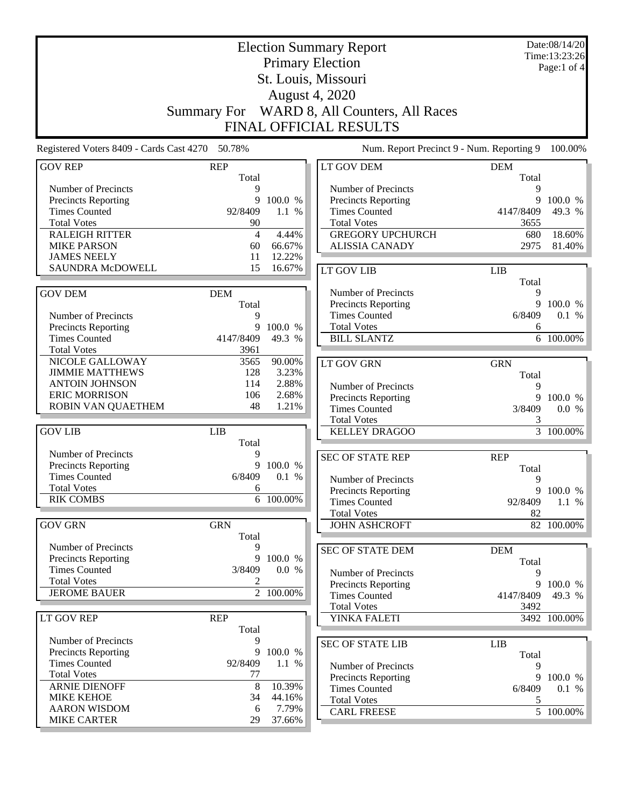|                                                 |                     |           | <b>Election Summary Report</b>            |            | Date:08/14/20<br>Time:13:23:26 |
|-------------------------------------------------|---------------------|-----------|-------------------------------------------|------------|--------------------------------|
|                                                 |                     |           | <b>Primary Election</b>                   |            | Page:1 of 4                    |
|                                                 |                     |           | St. Louis, Missouri                       |            |                                |
|                                                 |                     |           | August 4, 2020                            |            |                                |
|                                                 | <b>Summary For</b>  |           | WARD 8, All Counters, All Races           |            |                                |
|                                                 |                     |           | <b>FINAL OFFICIAL RESULTS</b>             |            |                                |
| Registered Voters 8409 - Cards Cast 4270 50.78% |                     |           | Num. Report Precinct 9 - Num. Reporting 9 |            | 100.00%                        |
| <b>GOV REP</b>                                  | <b>REP</b>          |           | LT GOV DEM                                | <b>DEM</b> |                                |
| Number of Precincts                             | Total<br>9          |           | Number of Precincts                       | Total<br>9 |                                |
| Precincts Reporting                             | 9                   | 100.0 %   | Precincts Reporting                       | 9          | 100.0 %                        |
| <b>Times Counted</b>                            | 92/8409             | 1.1 %     | <b>Times Counted</b>                      | 4147/8409  | 49.3 %                         |
| <b>Total Votes</b>                              | 90                  |           | <b>Total Votes</b>                        | 3655       |                                |
| <b>RALEIGH RITTER</b>                           | $\overline{4}$      | 4.44%     | <b>GREGORY UPCHURCH</b>                   | 680        | 18.60%                         |
| <b>MIKE PARSON</b>                              | 60                  | 66.67%    | <b>ALISSIA CANADY</b>                     | 2975       | 81.40%                         |
| <b>JAMES NEELY</b>                              | 11                  | 12.22%    |                                           |            |                                |
| SAUNDRA McDOWELL                                | 15                  | 16.67%    | <b>LT GOV LIB</b>                         | <b>LIB</b> |                                |
|                                                 |                     |           |                                           | Total      |                                |
| <b>GOV DEM</b>                                  | <b>DEM</b>          |           | Number of Precincts                       | 9          |                                |
|                                                 | Total               |           | Precincts Reporting                       | 9          | 100.0 %                        |
| Number of Precincts                             | 9                   |           | <b>Times Counted</b>                      | 6/8409     | 0.1 %                          |
| Precincts Reporting                             | 9                   | 100.0 %   | <b>Total Votes</b>                        | 6          |                                |
| <b>Times Counted</b>                            | 4147/8409           | 49.3 %    | <b>BILL SLANTZ</b>                        |            | 6 100.00%                      |
| <b>Total Votes</b>                              | 3961                |           |                                           |            |                                |
| NICOLE GALLOWAY                                 | 3565                | 90.00%    | <b>LT GOV GRN</b>                         | <b>GRN</b> |                                |
| <b>JIMMIE MATTHEWS</b>                          | 128                 | 3.23%     |                                           | Total      |                                |
| <b>ANTOIN JOHNSON</b>                           | 114                 | 2.88%     | Number of Precincts                       | 9          |                                |
| <b>ERIC MORRISON</b>                            | 106                 | 2.68%     | Precincts Reporting                       | 9          | 100.0 %                        |
| ROBIN VAN QUAETHEM                              | 48                  | 1.21%     | <b>Times Counted</b>                      | 3/8409     | 0.0 %                          |
|                                                 |                     |           | <b>Total Votes</b>                        | 3          |                                |
| <b>GOV LIB</b>                                  | LIB                 |           | <b>KELLEY DRAGOO</b>                      |            | $\frac{1}{3}$ 100.00%          |
|                                                 | Total               |           |                                           |            |                                |
| Number of Precincts                             | 9                   |           | <b>SEC OF STATE REP</b>                   | <b>REP</b> |                                |
| Precincts Reporting                             | 9                   | 100.0 %   |                                           | Total      |                                |
| <b>Times Counted</b>                            | 6/8409              | 0.1 %     | Number of Precincts                       | 9          |                                |
| <b>Total Votes</b>                              | 6                   |           | <b>Precincts Reporting</b>                |            | 9 100.0 %                      |
| <b>RIK COMBS</b>                                |                     | 6 100.00% | <b>Times Counted</b>                      | 92/8409    | 1.1 %                          |
|                                                 |                     |           | <b>Total Votes</b>                        | 82         |                                |
| <b>GOV GRN</b>                                  | <b>GRN</b><br>Total |           | <b>JOHN ASHCROFT</b>                      |            | 82 100.00%                     |
| Number of Precincts                             | 9                   |           | <b>SEC OF STATE DEM</b>                   | <b>DEM</b> |                                |
| <b>Precincts Reporting</b>                      | 9                   | 100.0 %   |                                           | Total      |                                |
| <b>Times Counted</b>                            | 3/8409              | 0.0 %     | Number of Precincts                       | 9          |                                |
| <b>Total Votes</b>                              | 2                   |           | Precincts Reporting                       |            | 9 100.0 %                      |
| <b>JEROME BAUER</b>                             |                     | 2 100.00% | <b>Times Counted</b>                      | 4147/8409  | 49.3 %                         |
|                                                 |                     |           | <b>Total Votes</b>                        | 3492       |                                |
| LT GOV REP                                      | <b>REP</b>          |           | YINKA FALETI                              |            | 3492 100.00%                   |
|                                                 | Total               |           |                                           |            |                                |
| Number of Precincts                             | 9                   |           | <b>SEC OF STATE LIB</b>                   | <b>LIB</b> |                                |
| Precincts Reporting                             | 9                   | 100.0 %   |                                           | Total      |                                |
| <b>Times Counted</b>                            | 92/8409             | 1.1 %     | Number of Precincts                       | 9          |                                |
| <b>Total Votes</b>                              | 77                  |           | Precincts Reporting                       | 9          | 100.0 %                        |
| <b>ARNIE DIENOFF</b>                            | 8                   | 10.39%    | <b>Times Counted</b>                      | 6/8409     | 0.1 %                          |
| <b>MIKE KEHOE</b>                               | 34                  | 44.16%    | <b>Total Votes</b>                        | 5          |                                |
| <b>AARON WISDOM</b>                             | 6                   | 7.79%     | <b>CARL FREESE</b>                        |            | 5 100.00%                      |
| <b>MIKE CARTER</b>                              | 29                  | 37.66%    |                                           |            |                                |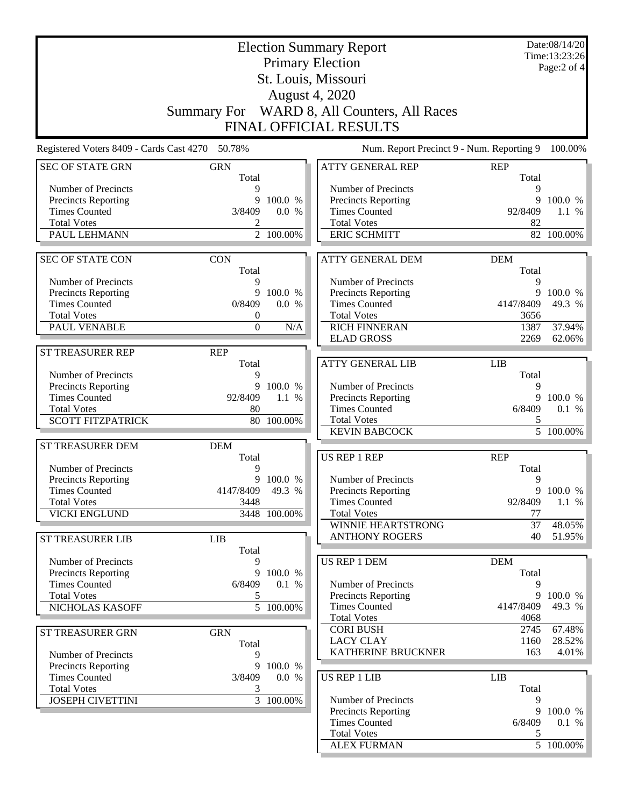|                                                 | Date:08/14/20<br><b>Election Summary Report</b> |                        |                                                    |                     |                              |  |
|-------------------------------------------------|-------------------------------------------------|------------------------|----------------------------------------------------|---------------------|------------------------------|--|
|                                                 |                                                 |                        | <b>Primary Election</b>                            |                     | Time:13:23:26<br>Page:2 of 4 |  |
| St. Louis, Missouri                             |                                                 |                        |                                                    |                     |                              |  |
|                                                 |                                                 |                        | <b>August 4, 2020</b>                              |                     |                              |  |
|                                                 | <b>Summary For</b>                              |                        | WARD 8, All Counters, All Races                    |                     |                              |  |
|                                                 |                                                 |                        |                                                    |                     |                              |  |
|                                                 |                                                 |                        | FINAL OFFICIAL RESULTS                             |                     |                              |  |
| Registered Voters 8409 - Cards Cast 4270 50.78% |                                                 |                        | Num. Report Precinct 9 - Num. Reporting 9          |                     | 100.00%                      |  |
| <b>SEC OF STATE GRN</b>                         | <b>GRN</b><br>Total                             |                        | <b>ATTY GENERAL REP</b>                            | <b>REP</b><br>Total |                              |  |
| Number of Precincts                             | 9                                               |                        | Number of Precincts                                | 9                   |                              |  |
| <b>Precincts Reporting</b>                      | 9                                               | 100.0 %                | Precincts Reporting                                | 9                   | 100.0 %                      |  |
| <b>Times Counted</b><br><b>Total Votes</b>      | 3/8409<br>2                                     | 0.0 %                  | <b>Times Counted</b><br><b>Total Votes</b>         | 92/8409<br>82       | 1.1%                         |  |
| PAUL LEHMANN                                    |                                                 | 2 100.00%              | <b>ERIC SCHMITT</b>                                |                     | 82 100.00%                   |  |
|                                                 |                                                 |                        |                                                    |                     |                              |  |
| <b>SEC OF STATE CON</b>                         | <b>CON</b><br>Total                             |                        | <b>ATTY GENERAL DEM</b>                            | <b>DEM</b><br>Total |                              |  |
| Number of Precincts                             | 9                                               |                        | Number of Precincts                                | 9                   |                              |  |
| <b>Precincts Reporting</b>                      | 9                                               | 100.0 %                | Precincts Reporting                                | 9                   | 100.0 %                      |  |
| <b>Times Counted</b>                            | 0/8409                                          | 0.0 %                  | <b>Times Counted</b>                               | 4147/8409           | 49.3 %                       |  |
| <b>Total Votes</b>                              | $\boldsymbol{0}$                                |                        | <b>Total Votes</b>                                 | 3656                |                              |  |
| PAUL VENABLE                                    | $\mathbf{0}$                                    | N/A                    | <b>RICH FINNERAN</b>                               | 1387                | 37.94%                       |  |
|                                                 |                                                 |                        | <b>ELAD GROSS</b>                                  | 2269                | 62.06%                       |  |
| <b>ST TREASURER REP</b>                         | <b>REP</b><br>Total                             |                        | <b>ATTY GENERAL LIB</b>                            | <b>LIB</b>          |                              |  |
| Number of Precincts                             | 9                                               |                        |                                                    | Total               |                              |  |
| <b>Precincts Reporting</b>                      | 9                                               | 100.0 %                | Number of Precincts                                | 9                   |                              |  |
| <b>Times Counted</b><br><b>Total Votes</b>      | 92/8409<br>80                                   | 1.1 %                  | <b>Precincts Reporting</b><br><b>Times Counted</b> | 9<br>6/8409         | 100.0 %<br>0.1 %             |  |
| <b>SCOTT FITZPATRICK</b>                        |                                                 | 80 100.00%             | <b>Total Votes</b>                                 | 5                   |                              |  |
|                                                 |                                                 |                        | <b>KEVIN BABCOCK</b>                               |                     | $\overline{5}$ 100.00%       |  |
| <b>ST TREASURER DEM</b>                         | <b>DEM</b>                                      |                        |                                                    |                     |                              |  |
|                                                 | Total                                           |                        | <b>US REP 1 REP</b>                                | <b>REP</b>          |                              |  |
| Number of Precincts                             | 9                                               |                        |                                                    | Total               |                              |  |
| <b>Precincts Reporting</b>                      |                                                 | 9 100.0 %              | Number of Precincts                                | 9                   |                              |  |
| <b>Times Counted</b>                            | 4147/8409                                       | 49.3 %                 | <b>Precincts Reporting</b>                         | 9                   | 100.0 %                      |  |
| <b>Total Votes</b><br><b>VICKI ENGLUND</b>      | 3448                                            | 3448 100.00%           | <b>Times Counted</b><br><b>Total Votes</b>         | 92/8409<br>77       | 1.1 %                        |  |
|                                                 |                                                 |                        | WINNIE HEARTSTRONG                                 | 37                  | 48.05%                       |  |
| ST TREASURER LIB                                | <b>LIB</b>                                      |                        | <b>ANTHONY ROGERS</b>                              | 40                  | 51.95%                       |  |
|                                                 | Total                                           |                        |                                                    |                     |                              |  |
| Number of Precincts                             | 9                                               |                        | <b>US REP 1 DEM</b>                                | <b>DEM</b>          |                              |  |
| Precincts Reporting                             | 9                                               | 100.0 %                |                                                    | Total               |                              |  |
| <b>Times Counted</b>                            | 6/8409                                          | 0.1 %                  | Number of Precincts                                | 9                   |                              |  |
| <b>Total Votes</b>                              | 5                                               |                        | <b>Precincts Reporting</b>                         | 9                   | 100.0 %                      |  |
| NICHOLAS KASOFF                                 |                                                 | $\overline{5}$ 100.00% | <b>Times Counted</b>                               | 4147/8409           | 49.3 %                       |  |
|                                                 |                                                 |                        | <b>Total Votes</b><br><b>CORI BUSH</b>             | 4068<br>2745        | 67.48%                       |  |
| ST TREASURER GRN                                | <b>GRN</b><br>Total                             |                        | <b>LACY CLAY</b>                                   | 1160                | 28.52%                       |  |
| Number of Precincts                             | 9                                               |                        | KATHERINE BRUCKNER                                 | 163                 | $4.01\%$                     |  |
| Precincts Reporting                             |                                                 | 9 100.0 %              |                                                    |                     |                              |  |
| <b>Times Counted</b>                            | 3/8409                                          | 0.0 %                  | <b>US REP 1 LIB</b>                                | <b>LIB</b>          |                              |  |
| <b>Total Votes</b>                              | 3                                               |                        |                                                    | Total               |                              |  |
| <b>JOSEPH CIVETTINI</b>                         |                                                 | $\frac{1}{3}$ 100.00%  | Number of Precincts                                | 9                   |                              |  |
|                                                 |                                                 |                        | <b>Precincts Reporting</b>                         | 9                   | 100.0 %                      |  |
|                                                 |                                                 |                        | <b>Times Counted</b><br><b>Total Votes</b>         | 6/8409<br>5         | 0.1 %                        |  |
|                                                 |                                                 |                        | <b>ALEX FURMAN</b>                                 |                     | 5 100.00%                    |  |
|                                                 |                                                 |                        |                                                    |                     |                              |  |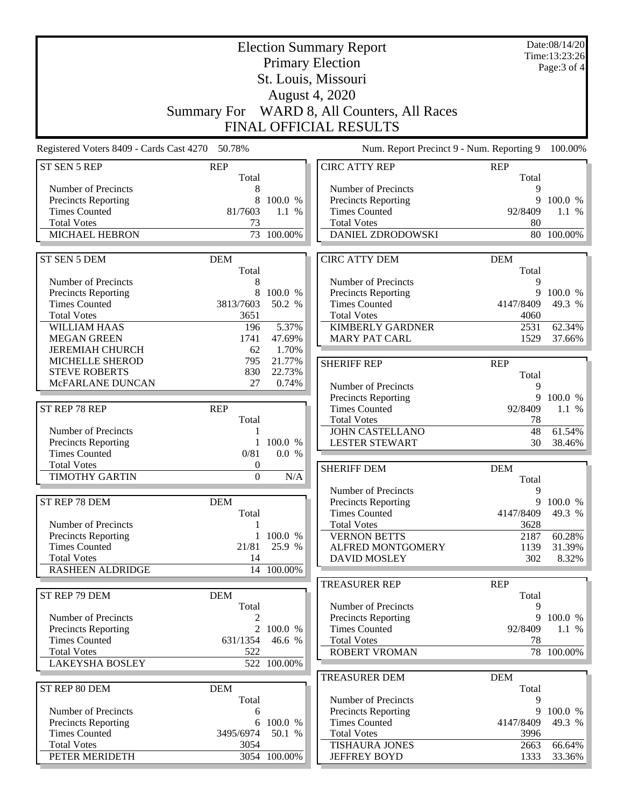|                                                 | Date:08/14/20<br><b>Election Summary Report</b><br>Time:13:23:26 |              |                                                   |                     |                      |  |
|-------------------------------------------------|------------------------------------------------------------------|--------------|---------------------------------------------------|---------------------|----------------------|--|
|                                                 |                                                                  |              | <b>Primary Election</b>                           |                     | Page: 3 of 4         |  |
| St. Louis, Missouri                             |                                                                  |              |                                                   |                     |                      |  |
|                                                 |                                                                  |              | <b>August 4, 2020</b>                             |                     |                      |  |
|                                                 | <b>Summary For</b>                                               |              | WARD 8, All Counters, All Races                   |                     |                      |  |
|                                                 |                                                                  |              | <b>FINAL OFFICIAL RESULTS</b>                     |                     |                      |  |
| Registered Voters 8409 - Cards Cast 4270 50.78% |                                                                  |              | Num. Report Precinct 9 - Num. Reporting 9         |                     | 100.00%              |  |
| ST SEN 5 REP                                    | <b>REP</b>                                                       |              | <b>CIRC ATTY REP</b>                              | <b>REP</b>          |                      |  |
|                                                 | Total                                                            |              |                                                   | Total               |                      |  |
| Number of Precincts                             | 8                                                                |              | Number of Precincts                               | 9                   |                      |  |
| <b>Precincts Reporting</b>                      | 8                                                                | 100.0 %      | Precincts Reporting                               | 9                   | 100.0 %              |  |
| <b>Times Counted</b><br><b>Total Votes</b>      | 81/7603<br>73                                                    | 1.1 %        | <b>Times Counted</b><br><b>Total Votes</b>        | 92/8409<br>80       | 1.1%                 |  |
| <b>MICHAEL HEBRON</b>                           | 73                                                               | 100.00%      | DANIEL ZDRODOWSKI                                 | 80                  | 100.00%              |  |
|                                                 |                                                                  |              |                                                   |                     |                      |  |
| ST SEN 5 DEM                                    | <b>DEM</b>                                                       |              | <b>CIRC ATTY DEM</b>                              | <b>DEM</b>          |                      |  |
|                                                 | Total                                                            |              |                                                   | Total               |                      |  |
| Number of Precincts                             | 8                                                                |              | Number of Precincts                               | 9                   |                      |  |
| <b>Precincts Reporting</b>                      | 8                                                                | 100.0 %      | Precincts Reporting                               | 9                   | 100.0 %              |  |
| <b>Times Counted</b><br><b>Total Votes</b>      | 3813/7603<br>3651                                                | 50.2 %       | <b>Times Counted</b><br><b>Total Votes</b>        | 4147/8409<br>4060   | 49.3 %               |  |
| <b>WILLIAM HAAS</b>                             | 196                                                              | 5.37%        | <b>KIMBERLY GARDNER</b>                           | 2531                | $\overline{62.34\%}$ |  |
| <b>MEGAN GREEN</b>                              | 1741                                                             | 47.69%       | <b>MARY PAT CARL</b>                              | 1529                | 37.66%               |  |
| <b>JEREMIAH CHURCH</b>                          | 62                                                               | 1.70%        |                                                   |                     |                      |  |
| MICHELLE SHEROD                                 | 795                                                              | 21.77%       | <b>SHERIFF REP</b>                                | <b>REP</b>          |                      |  |
| <b>STEVE ROBERTS</b>                            | 830                                                              | 22.73%       |                                                   | Total               |                      |  |
| McFARLANE DUNCAN                                | 27                                                               | 0.74%        | Number of Precincts                               | 9                   |                      |  |
|                                                 |                                                                  |              | Precincts Reporting                               | 9                   | 100.0 %              |  |
| ST REP 78 REP                                   | <b>REP</b><br>Total                                              |              | <b>Times Counted</b><br><b>Total Votes</b>        | 92/8409<br>78       | 1.1%                 |  |
| Number of Precincts                             | 1                                                                |              | <b>JOHN CASTELLANO</b>                            | 48                  | 61.54%               |  |
| Precincts Reporting                             | 1                                                                | 100.0 %      | <b>LESTER STEWART</b>                             | 30                  | 38.46%               |  |
| <b>Times Counted</b>                            | 0/81                                                             | 0.0 %        |                                                   |                     |                      |  |
| <b>Total Votes</b>                              | 0                                                                |              | <b>SHERIFF DEM</b>                                | <b>DEM</b>          |                      |  |
| <b>TIMOTHY GARTIN</b>                           | $\mathbf{0}$                                                     | N/A          |                                                   | Total               |                      |  |
| ST REP 78 DEM                                   | <b>DEM</b>                                                       |              | Number of Precincts<br><b>Precincts Reporting</b> | Q                   | 9 100.0 %            |  |
|                                                 | Total                                                            |              | <b>Times Counted</b>                              | 4147/8409           | 49.3 %               |  |
| Number of Precincts                             |                                                                  |              | <b>Total Votes</b>                                | 3628                |                      |  |
| <b>Precincts Reporting</b>                      | $\mathbf{1}$                                                     | 100.0 %      | <b>VERNON BETTS</b>                               | 2187                | 60.28%               |  |
| <b>Times Counted</b>                            | 21/81                                                            | 25.9 %       | <b>ALFRED MONTGOMERY</b>                          | 1139                | 31.39%               |  |
| <b>Total Votes</b>                              | 14                                                               |              | <b>DAVID MOSLEY</b>                               | 302                 | 8.32%                |  |
| <b>RASHEEN ALDRIDGE</b>                         |                                                                  | 14 100.00%   |                                                   |                     |                      |  |
| ST REP 79 DEM                                   | <b>DEM</b>                                                       |              | <b>TREASURER REP</b>                              | <b>REP</b><br>Total |                      |  |
|                                                 | Total                                                            |              | Number of Precincts                               | 9                   |                      |  |
| Number of Precincts                             | 2                                                                |              | Precincts Reporting                               | 9                   | 100.0 %              |  |
| <b>Precincts Reporting</b>                      | $\overline{2}$                                                   | 100.0 %      | <b>Times Counted</b>                              | 92/8409             | 1.1%                 |  |
| <b>Times Counted</b>                            | 631/1354                                                         | 46.6 %       | <b>Total Votes</b>                                | 78                  |                      |  |
| <b>Total Votes</b>                              | 522                                                              |              | <b>ROBERT VROMAN</b>                              |                     | 78 100.00%           |  |
| <b>LAKEYSHA BOSLEY</b>                          |                                                                  | 522 100.00%  | <b>TREASURER DEM</b>                              | <b>DEM</b>          |                      |  |
| ST REP 80 DEM                                   | <b>DEM</b>                                                       |              |                                                   | Total               |                      |  |
|                                                 | Total                                                            |              | Number of Precincts                               | 9                   |                      |  |
| Number of Precincts                             | 6                                                                |              | Precincts Reporting                               | 9                   | 100.0 %              |  |
| <b>Precincts Reporting</b>                      | 6                                                                | 100.0 %      | <b>Times Counted</b>                              | 4147/8409           | 49.3 %               |  |
| <b>Times Counted</b>                            | 3495/6974                                                        | 50.1 %       | <b>Total Votes</b>                                | 3996                |                      |  |
| <b>Total Votes</b>                              | 3054                                                             |              | <b>TISHAURA JONES</b>                             | 2663                | 66.64%               |  |
| PETER MERIDETH                                  |                                                                  | 3054 100.00% | <b>JEFFREY BOYD</b>                               | 1333                | 33.36%               |  |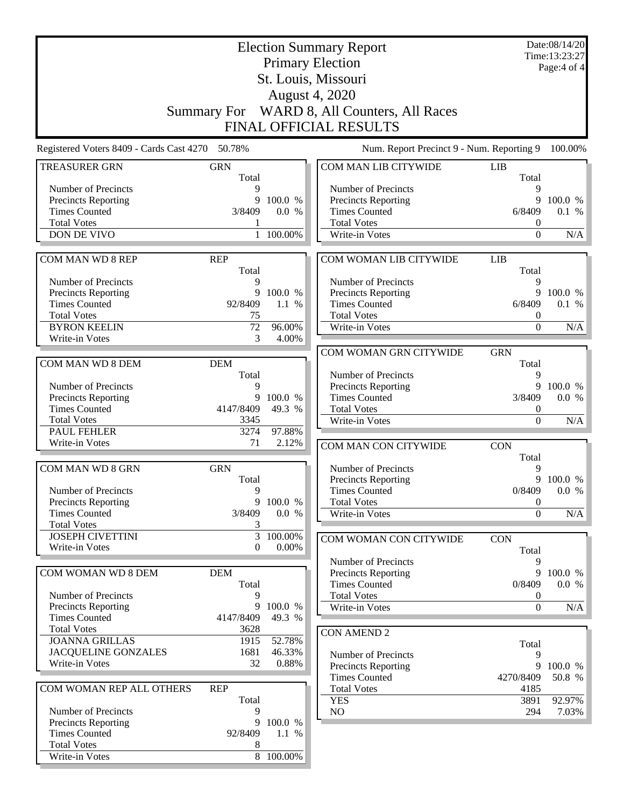| <b>Election Summary Report</b>           |                         |            |                                             |                  | Date:08/14/20<br>Time:13:23:27 |  |  |
|------------------------------------------|-------------------------|------------|---------------------------------------------|------------------|--------------------------------|--|--|
|                                          | <b>Primary Election</b> |            |                                             |                  |                                |  |  |
|                                          |                         |            |                                             |                  | Page:4 of 4                    |  |  |
|                                          | St. Louis, Missouri     |            |                                             |                  |                                |  |  |
|                                          |                         |            |                                             |                  |                                |  |  |
|                                          | <b>August 4, 2020</b>   |            |                                             |                  |                                |  |  |
|                                          |                         |            |                                             |                  |                                |  |  |
|                                          |                         |            | Summary For WARD 8, All Counters, All Races |                  |                                |  |  |
|                                          |                         |            | <b>FINAL OFFICIAL RESULTS</b>               |                  |                                |  |  |
|                                          |                         |            |                                             |                  |                                |  |  |
| Registered Voters 8409 - Cards Cast 4270 | 50.78%                  |            | Num. Report Precinct 9 - Num. Reporting 9   |                  | 100.00%                        |  |  |
|                                          |                         |            |                                             |                  |                                |  |  |
| <b>TREASURER GRN</b>                     | <b>GRN</b>              |            | COM MAN LIB CITYWIDE                        | LIB              |                                |  |  |
|                                          | Total                   |            |                                             | Total            |                                |  |  |
| Number of Precincts                      | 9                       |            | Number of Precincts                         | 9                |                                |  |  |
| Precincts Reporting                      | 9                       | 100.0 %    | Precincts Reporting                         | 9                | 100.0 %                        |  |  |
| <b>Times Counted</b>                     | 3/8409                  | 0.0 %      | <b>Times Counted</b>                        | 6/8409           | 0.1 %                          |  |  |
| <b>Total Votes</b>                       |                         |            | <b>Total Votes</b>                          | $\boldsymbol{0}$ |                                |  |  |
| <b>DON DE VIVO</b>                       | 1                       | 100.00%    | Write-in Votes                              | $\theta$         | N/A                            |  |  |
|                                          |                         |            |                                             |                  |                                |  |  |
|                                          |                         |            |                                             |                  |                                |  |  |
| COM MAN WD 8 REP                         | <b>REP</b>              |            | COM WOMAN LIB CITYWIDE                      | <b>LIB</b>       |                                |  |  |
|                                          | Total                   |            |                                             | Total            |                                |  |  |
| Number of Precincts                      | 9                       |            | Number of Precincts                         | 9                |                                |  |  |
| Precincts Reporting                      | 9                       | 100.0 %    | Precincts Reporting                         | 9                | 100.0 %                        |  |  |
| <b>Times Counted</b>                     | 92/8409                 | 1.1 %      | <b>Times Counted</b>                        | 6/8409           | 0.1 %                          |  |  |
| <b>Total Votes</b>                       | 75                      |            | <b>Total Votes</b>                          | $\theta$         |                                |  |  |
|                                          |                         |            |                                             |                  |                                |  |  |
| <b>BYRON KEELIN</b>                      | 72                      | 96.00%     | Write-in Votes                              | $\boldsymbol{0}$ | N/A                            |  |  |
| Write-in Votes                           | 3                       | 4.00%      |                                             |                  |                                |  |  |
|                                          |                         |            | COM WOMAN GRN CITYWIDE                      | <b>GRN</b>       |                                |  |  |
| COM MAN WD 8 DEM                         | <b>DEM</b>              |            |                                             | Total            |                                |  |  |
|                                          | Total                   |            | Number of Precincts                         | 9                |                                |  |  |
| Number of Precincts                      | 9                       |            | Precincts Reporting                         | 9                | 100.0 %                        |  |  |
|                                          |                         |            |                                             |                  |                                |  |  |
| Precincts Reporting                      | 9                       | 100.0 %    | <b>Times Counted</b>                        | 3/8409           | 0.0 %                          |  |  |
| <b>Times Counted</b>                     | 4147/8409               | 49.3 %     | <b>Total Votes</b>                          | 0                |                                |  |  |
| <b>Total Votes</b>                       | 3345                    |            | Write-in Votes                              | $\mathbf{0}$     | N/A                            |  |  |
| <b>PAUL FEHLER</b>                       | 3274                    | 97.88%     |                                             |                  |                                |  |  |
| Write-in Votes                           | 71                      | 2.12%      | COM MAN CON CITYWIDE                        | <b>CON</b>       |                                |  |  |
|                                          |                         |            |                                             | Total            |                                |  |  |
| COM MAN WD 8 GRN                         | <b>GRN</b>              |            | Number of Precincts                         | 9                |                                |  |  |
|                                          |                         |            |                                             |                  |                                |  |  |
|                                          | Total                   |            | Precincts Reporting                         | 9                | 100.0 %                        |  |  |
| Number of Precincts                      | 9                       |            | <b>Times Counted</b>                        | 0/8409           | 0.0 %                          |  |  |
| <b>Precincts Reporting</b>               |                         | 9 100.0 %  | <b>Total Votes</b>                          | $\overline{0}$   |                                |  |  |
| <b>Times Counted</b>                     | 3/8409                  | 0.0 %      | Write-in Votes                              | $\Omega$         | N/A                            |  |  |
| <b>Total Votes</b>                       | 3                       |            |                                             |                  |                                |  |  |
| <b>JOSEPH CIVETTINI</b>                  | 3                       | $100.00\%$ | COM WOMAN CON CITYWIDE                      | <b>CON</b>       |                                |  |  |
| Write-in Votes                           | $\mathbf{0}$            | $0.00\%$   |                                             |                  |                                |  |  |
|                                          |                         |            |                                             | Total            |                                |  |  |
|                                          |                         |            | Number of Precincts                         | 9                |                                |  |  |
| COM WOMAN WD 8 DEM                       | <b>DEM</b>              |            | Precincts Reporting                         | 9                | 100.0 %                        |  |  |
|                                          | Total                   |            | <b>Times Counted</b>                        | 0/8409           | 0.0 %                          |  |  |
| Number of Precincts                      | 9                       |            | <b>Total Votes</b>                          | $\boldsymbol{0}$ |                                |  |  |
| Precincts Reporting                      | 9                       | 100.0 %    | Write-in Votes                              | $\Omega$         | N/A                            |  |  |
| <b>Times Counted</b>                     | 4147/8409               | 49.3 %     |                                             |                  |                                |  |  |
| <b>Total Votes</b>                       | 3628                    |            |                                             |                  |                                |  |  |
| <b>JOANNA GRILLAS</b>                    | 1915                    | 52.78%     | <b>CON AMEND 2</b>                          |                  |                                |  |  |
|                                          |                         |            |                                             | Total            |                                |  |  |
| JACQUELINE GONZALES                      | 1681                    | 46.33%     | Number of Precincts                         | 9                |                                |  |  |
| Write-in Votes                           | 32                      | 0.88%      | <b>Precincts Reporting</b>                  | 9                | 100.0 %                        |  |  |
|                                          |                         |            | <b>Times Counted</b>                        | 4270/8409        | 50.8 %                         |  |  |
| COM WOMAN REP ALL OTHERS                 | <b>REP</b>              |            | <b>Total Votes</b>                          | 4185             |                                |  |  |
|                                          | Total                   |            | <b>YES</b>                                  | 3891             | 92.97%                         |  |  |
| Number of Precincts                      | 9                       |            | NO                                          | 294              | 7.03%                          |  |  |
| Precincts Reporting                      | 9                       | 100.0 %    |                                             |                  |                                |  |  |
| <b>Times Counted</b>                     | 92/8409                 | 1.1 %      |                                             |                  |                                |  |  |
|                                          |                         |            |                                             |                  |                                |  |  |
| <b>Total Votes</b>                       | 8                       |            |                                             |                  |                                |  |  |
| Write-in Votes                           |                         | 8 100.00%  |                                             |                  |                                |  |  |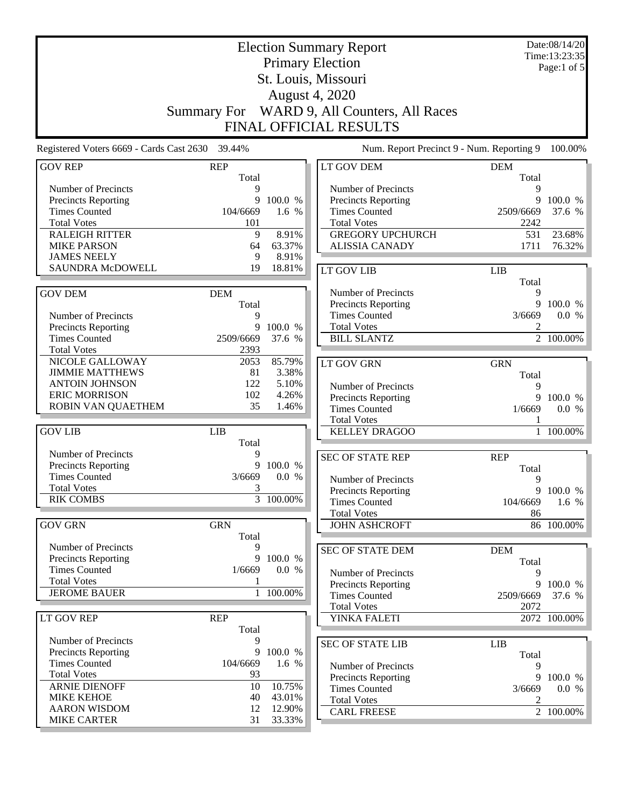|                                                 | <b>Election Summary Report</b> |                   |                                            |              | Date:08/14/20<br>Time:13:23:35 |
|-------------------------------------------------|--------------------------------|-------------------|--------------------------------------------|--------------|--------------------------------|
|                                                 |                                |                   | <b>Primary Election</b>                    |              | Page:1 of 5                    |
|                                                 |                                |                   | St. Louis, Missouri                        |              |                                |
|                                                 |                                |                   | <b>August 4, 2020</b>                      |              |                                |
|                                                 |                                |                   |                                            |              |                                |
|                                                 | <b>Summary For</b>             |                   | WARD 9, All Counters, All Races            |              |                                |
|                                                 |                                |                   | FINAL OFFICIAL RESULTS                     |              |                                |
| Registered Voters 6669 - Cards Cast 2630 39.44% |                                |                   | Num. Report Precinct 9 - Num. Reporting 9  |              | 100.00%                        |
| <b>GOV REP</b>                                  | <b>REP</b>                     |                   | LT GOV DEM                                 | <b>DEM</b>   |                                |
| Number of Precincts                             | Total<br>9                     |                   | Number of Precincts                        | Total<br>9   |                                |
| <b>Precincts Reporting</b>                      | 9                              | 100.0 %           | <b>Precincts Reporting</b>                 | 9            | 100.0 %                        |
| <b>Times Counted</b>                            | 104/6669                       | 1.6 %             | <b>Times Counted</b>                       | 2509/6669    | 37.6 %                         |
| <b>Total Votes</b>                              | 101                            |                   | <b>Total Votes</b>                         | 2242         |                                |
| <b>RALEIGH RITTER</b>                           | 9                              | 8.91%             | <b>GREGORY UPCHURCH</b>                    | 531          | 23.68%                         |
| <b>MIKE PARSON</b>                              | 64                             | 63.37%            | <b>ALISSIA CANADY</b>                      | 1711         | 76.32%                         |
| <b>JAMES NEELY</b>                              | 9                              | 8.91%             |                                            |              |                                |
| SAUNDRA McDOWELL                                | 19                             | 18.81%            | LT GOV LIB                                 | LIB          |                                |
|                                                 |                                |                   |                                            | Total        |                                |
| <b>GOV DEM</b>                                  | <b>DEM</b>                     |                   | Number of Precincts                        | 9            |                                |
|                                                 | Total                          |                   | Precincts Reporting                        | 9            | 100.0 %                        |
| Number of Precincts                             | 9<br>9                         |                   | <b>Times Counted</b>                       | 3/6669       | 0.0 %                          |
| Precincts Reporting<br><b>Times Counted</b>     | 2509/6669                      | 100.0 %<br>37.6 % | <b>Total Votes</b><br><b>BILL SLANTZ</b>   | 2            | 2 100.00%                      |
| <b>Total Votes</b>                              | 2393                           |                   |                                            |              |                                |
| NICOLE GALLOWAY                                 | 2053                           | 85.79%            | <b>LT GOV GRN</b>                          | <b>GRN</b>   |                                |
| <b>JIMMIE MATTHEWS</b>                          | 81                             | 3.38%             |                                            | Total        |                                |
| <b>ANTOIN JOHNSON</b>                           | 122                            | 5.10%             | Number of Precincts                        | 9            |                                |
| <b>ERIC MORRISON</b>                            | 102                            | 4.26%             | Precincts Reporting                        |              | 9 100.0 %                      |
| ROBIN VAN QUAETHEM                              | 35                             | 1.46%             | <b>Times Counted</b>                       | 1/6669       | 0.0 %                          |
|                                                 |                                |                   | <b>Total Votes</b>                         | 1            |                                |
| <b>GOV LIB</b>                                  | <b>LIB</b>                     |                   | <b>KELLEY DRAGOO</b>                       | $\mathbf{1}$ | 100.00%                        |
|                                                 | Total                          |                   |                                            |              |                                |
| Number of Precincts                             | 9                              |                   | <b>SEC OF STATE REP</b>                    | <b>REP</b>   |                                |
| Precincts Reporting                             | 9                              | 100.0 %           |                                            | Total        |                                |
| <b>Times Counted</b>                            | 3/6669                         | 0.0 %             | Number of Precincts                        | 9            |                                |
| <b>Total Votes</b><br><b>RIK COMBS</b>          | 3                              | 3 100.00%         | <b>Precincts Reporting</b>                 | 9            | 100.0 %                        |
|                                                 |                                |                   | <b>Times Counted</b>                       | 104/6669     | 1.6 %                          |
| <b>GOV GRN</b>                                  | <b>GRN</b>                     |                   | <b>Total Votes</b><br><b>JOHN ASHCROFT</b> | 86           | 86 100.00%                     |
|                                                 | Total                          |                   |                                            |              |                                |
| Number of Precincts                             | 9                              |                   |                                            | <b>DEM</b>   |                                |
| Precincts Reporting                             | 9                              | 100.0 %           | <b>SEC OF STATE DEM</b>                    | Total        |                                |
| <b>Times Counted</b>                            | 1/6669                         | 0.0 %             | Number of Precincts                        | 9            |                                |
| <b>Total Votes</b>                              |                                |                   | <b>Precincts Reporting</b>                 | 9            | 100.0 %                        |
| <b>JEROME BAUER</b>                             | $\mathbf{1}$                   | 100.00%           | <b>Times Counted</b>                       | 2509/6669    | 37.6 %                         |
|                                                 |                                |                   | <b>Total Votes</b>                         | 2072         |                                |
| LT GOV REP                                      | <b>REP</b>                     |                   | YINKA FALETI                               |              | $\overline{2072}^{-100.00\%}$  |
|                                                 | Total                          |                   |                                            |              |                                |
| Number of Precincts                             | 9                              |                   | <b>SEC OF STATE LIB</b>                    | <b>LIB</b>   |                                |
| Precincts Reporting                             | 9                              | 100.0 %           |                                            | Total        |                                |
| <b>Times Counted</b>                            | 104/6669                       | 1.6 %             | Number of Precincts                        | 9            |                                |
| <b>Total Votes</b><br><b>ARNIE DIENOFF</b>      | 93<br>10                       | 10.75%            | Precincts Reporting                        | 9            | 100.0 %                        |
| <b>MIKE KEHOE</b>                               | 40                             | 43.01%            | <b>Times Counted</b>                       | 3/6669       | 0.0 %                          |
| <b>AARON WISDOM</b>                             | 12                             | 12.90%            | <b>Total Votes</b>                         | 2            |                                |
| <b>MIKE CARTER</b>                              | 31                             | 33.33%            | <b>CARL FREESE</b>                         |              | 2 100.00%                      |
|                                                 |                                |                   |                                            |              |                                |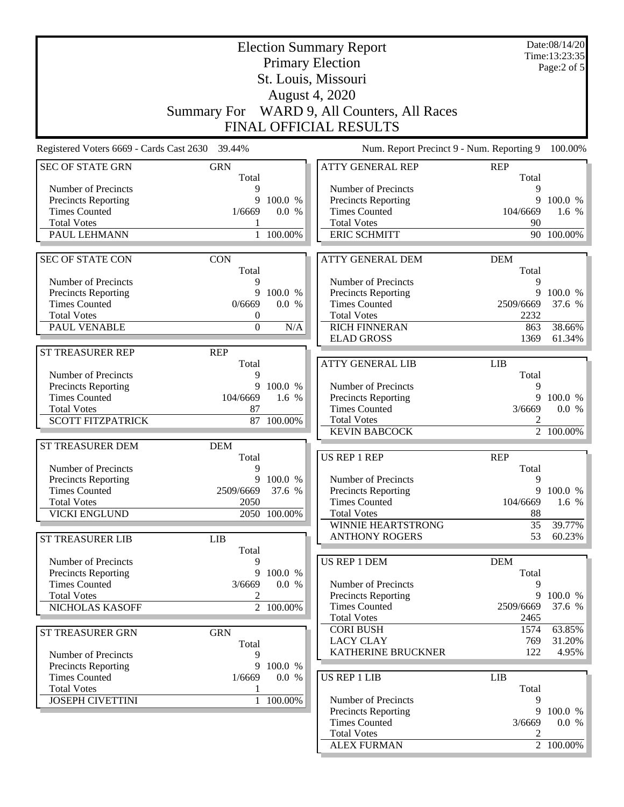|                                                 | Date:08/14/20<br><b>Election Summary Report</b><br>Time:13:23:35 |              |                                             |                     |                     |
|-------------------------------------------------|------------------------------------------------------------------|--------------|---------------------------------------------|---------------------|---------------------|
|                                                 | <b>Primary Election</b>                                          |              |                                             |                     |                     |
|                                                 |                                                                  |              | St. Louis, Missouri                         |                     | Page: $2$ of $5$    |
|                                                 |                                                                  |              | <b>August 4, 2020</b>                       |                     |                     |
|                                                 |                                                                  |              |                                             |                     |                     |
|                                                 | <b>Summary For</b>                                               |              | WARD 9, All Counters, All Races             |                     |                     |
|                                                 |                                                                  |              | FINAL OFFICIAL RESULTS                      |                     |                     |
| Registered Voters 6669 - Cards Cast 2630 39.44% |                                                                  |              | Num. Report Precinct 9 - Num. Reporting 9   |                     | 100.00%             |
| <b>SEC OF STATE GRN</b>                         | <b>GRN</b><br>Total                                              |              | <b>ATTY GENERAL REP</b>                     | <b>REP</b><br>Total |                     |
| Number of Precincts                             | 9                                                                |              | Number of Precincts                         | 9                   |                     |
| <b>Precincts Reporting</b>                      | 9                                                                | 100.0 %      | <b>Precincts Reporting</b>                  | 9                   | 100.0 %             |
| <b>Times Counted</b>                            | 1/6669                                                           | 0.0 %        | <b>Times Counted</b>                        | 104/6669            | 1.6 $%$             |
| <b>Total Votes</b>                              | 1                                                                |              | <b>Total Votes</b>                          | 90                  |                     |
| PAUL LEHMANN                                    | 1                                                                | 100.00%      | <b>ERIC SCHMITT</b>                         |                     | 90 100.00%          |
| <b>SEC OF STATE CON</b>                         | <b>CON</b>                                                       |              | <b>ATTY GENERAL DEM</b>                     | <b>DEM</b>          |                     |
| Number of Precincts                             | Total                                                            |              | Number of Precincts                         | Total<br>9          |                     |
| <b>Precincts Reporting</b>                      | 9<br>9                                                           | 100.0 %      | <b>Precincts Reporting</b>                  | 9                   | 100.0 %             |
| <b>Times Counted</b>                            | 0/6669                                                           | 0.0 %        | <b>Times Counted</b>                        | 2509/6669           | 37.6 %              |
| <b>Total Votes</b>                              | 0                                                                |              | <b>Total Votes</b>                          | 2232                |                     |
| PAUL VENABLE                                    | $\boldsymbol{0}$                                                 | N/A          | <b>RICH FINNERAN</b>                        | 863                 | 38.66%              |
|                                                 |                                                                  |              | <b>ELAD GROSS</b>                           | 1369                | 61.34%              |
| <b>ST TREASURER REP</b>                         | <b>REP</b>                                                       |              |                                             |                     |                     |
|                                                 | Total                                                            |              | <b>ATTY GENERAL LIB</b>                     | <b>LIB</b>          |                     |
| Number of Precincts                             | 9                                                                |              |                                             | Total               |                     |
| Precincts Reporting                             | 9                                                                | 100.0 %      | Number of Precincts                         | 9<br>9              |                     |
| <b>Times Counted</b><br><b>Total Votes</b>      | 104/6669<br>87                                                   | 1.6 %        | Precincts Reporting<br><b>Times Counted</b> | 3/6669              | 100.0 %<br>0.0 %    |
| <b>SCOTT FITZPATRICK</b>                        |                                                                  | 87 100.00%   | <b>Total Votes</b>                          | 2                   |                     |
|                                                 |                                                                  |              | <b>KEVIN BABCOCK</b>                        |                     | 2 100.00%           |
| ST TREASURER DEM                                | <b>DEM</b>                                                       |              |                                             |                     |                     |
|                                                 | Total                                                            |              | US REP 1 REP                                | <b>REP</b>          |                     |
| Number of Precincts                             | 9                                                                |              |                                             | Total               |                     |
| <b>Precincts Reporting</b>                      | 9                                                                | 100.0 %      | Number of Precincts                         | 9                   |                     |
| <b>Times Counted</b>                            | 2509/6669 37.6 %<br>2050                                         |              | <b>Precincts Reporting</b>                  |                     | 9 100.0 %           |
| <b>Total Votes</b><br><b>VICKI ENGLUND</b>      |                                                                  | 2050 100.00% | <b>Times Counted</b><br><b>Total Votes</b>  | 104/6669<br>88      | 1.6 %               |
|                                                 |                                                                  |              | WINNIE HEARTSTRONG                          | 35                  | 39.77%              |
| <b>ST TREASURER LIB</b>                         | LIB                                                              |              | <b>ANTHONY ROGERS</b>                       | 53                  | 60.23%              |
|                                                 | Total                                                            |              |                                             |                     |                     |
| Number of Precincts                             |                                                                  |              | <b>US REP 1 DEM</b>                         | <b>DEM</b>          |                     |
| <b>Precincts Reporting</b>                      | 9                                                                | 100.0 %      |                                             | Total               |                     |
| <b>Times Counted</b>                            | 3/6669                                                           | 0.0 %        | Number of Precincts                         | 9                   |                     |
| <b>Total Votes</b>                              | 2                                                                |              | <b>Precincts Reporting</b>                  | 9                   | 100.0 %             |
| NICHOLAS KASOFF                                 |                                                                  | 2 100.00%    | <b>Times Counted</b><br><b>Total Votes</b>  | 2509/6669<br>2465   | 37.6 %              |
|                                                 |                                                                  |              | <b>CORI BUSH</b>                            | 1574                | 63.85%              |
| <b>ST TREASURER GRN</b>                         | <b>GRN</b><br>Total                                              |              | <b>LACY CLAY</b>                            | 769                 | 31.20%              |
| Number of Precincts                             | 9                                                                |              | KATHERINE BRUCKNER                          | 122                 | 4.95%               |
| Precincts Reporting                             |                                                                  | 9 100.0 %    |                                             |                     |                     |
| <b>Times Counted</b>                            | 1/6669                                                           | 0.0 %        | <b>US REP 1 LIB</b>                         | <b>LIB</b>          |                     |
| <b>Total Votes</b>                              |                                                                  |              |                                             | Total               |                     |
| <b>JOSEPH CIVETTINI</b>                         |                                                                  | 1 100.00%    | Number of Precincts                         | 9                   |                     |
|                                                 |                                                                  |              | <b>Precincts Reporting</b>                  | 9                   | 100.0 %             |
|                                                 |                                                                  |              | <b>Times Counted</b><br><b>Total Votes</b>  | 3/6669              | 0.0 %               |
|                                                 |                                                                  |              | <b>ALEX FURMAN</b>                          |                     | $\boxed{2}$ 100.00% |
|                                                 |                                                                  |              |                                             |                     |                     |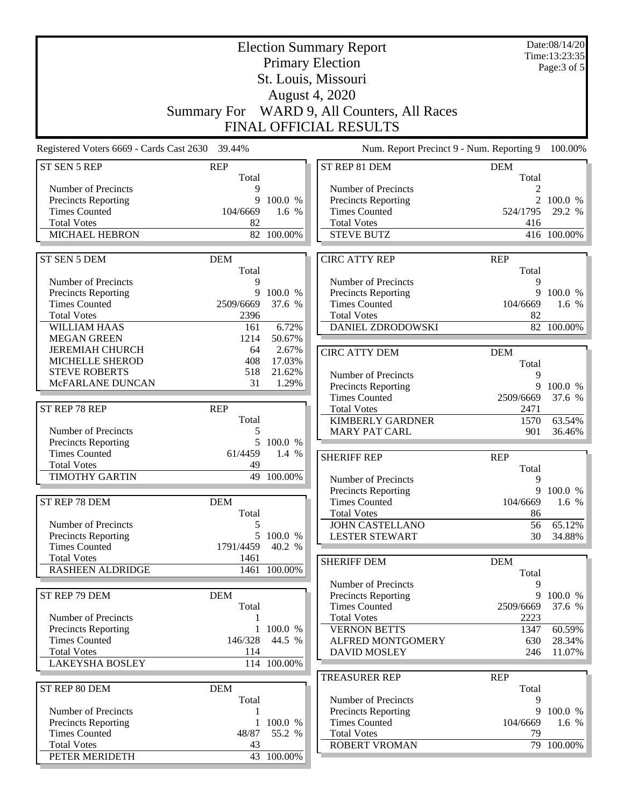| <b>Election Summary Report</b><br><b>Primary Election</b> |                     |                 |                                             |                     | Date:08/14/20<br>Time:13:23:35 |
|-----------------------------------------------------------|---------------------|-----------------|---------------------------------------------|---------------------|--------------------------------|
|                                                           |                     | Page:3 of 5     |                                             |                     |                                |
|                                                           |                     |                 | St. Louis, Missouri                         |                     |                                |
|                                                           |                     |                 | <b>August 4, 2020</b>                       |                     |                                |
|                                                           | <b>Summary For</b>  |                 | WARD 9, All Counters, All Races             |                     |                                |
|                                                           |                     |                 | FINAL OFFICIAL RESULTS                      |                     |                                |
|                                                           |                     |                 |                                             |                     |                                |
| Registered Voters 6669 - Cards Cast 2630                  | 39.44%              |                 | Num. Report Precinct 9 - Num. Reporting 9   |                     | 100.00%                        |
| ST SEN 5 REP                                              | <b>REP</b><br>Total |                 | ST REP 81 DEM                               | <b>DEM</b><br>Total |                                |
| Number of Precincts                                       | 9                   |                 | Number of Precincts                         | 2                   |                                |
| Precincts Reporting                                       | 9                   | 100.0 %         | Precincts Reporting                         | $\overline{2}$      | 100.0 %                        |
| <b>Times Counted</b>                                      | 104/6669            | 1.6 %           | <b>Times Counted</b>                        | 524/1795            | 29.2 %                         |
| <b>Total Votes</b>                                        | 82                  |                 | <b>Total Votes</b>                          | 416                 |                                |
| MICHAEL HEBRON                                            |                     | 82 100.00%      | <b>STEVE BUTZ</b>                           |                     | 416 100.00%                    |
| ST SEN 5 DEM                                              | <b>DEM</b>          |                 | <b>CIRC ATTY REP</b>                        | <b>REP</b>          |                                |
|                                                           | Total               |                 |                                             | Total               |                                |
| Number of Precincts                                       | 9                   |                 | Number of Precincts                         | 9                   |                                |
| Precincts Reporting                                       | 9                   | 100.0 %         | Precincts Reporting                         | 9                   | 100.0 %                        |
| <b>Times Counted</b>                                      | 2509/6669           | 37.6 %          | <b>Times Counted</b>                        | 104/6669            | 1.6 %                          |
| <b>Total Votes</b>                                        | 2396                |                 | <b>Total Votes</b>                          | 82                  |                                |
| WILLIAM HAAS                                              | 161                 | 6.72%           | <b>DANIEL ZDRODOWSKI</b>                    |                     | 82 100.00%                     |
| <b>MEGAN GREEN</b>                                        | 1214                | 50.67%          |                                             |                     |                                |
| <b>JEREMIAH CHURCH</b><br>MICHELLE SHEROD                 | 64<br>408           | 2.67%<br>17.03% | <b>CIRC ATTY DEM</b>                        | <b>DEM</b>          |                                |
| <b>STEVE ROBERTS</b>                                      | 518                 | 21.62%          |                                             | Total               |                                |
| McFARLANE DUNCAN                                          | 31                  | 1.29%           | Number of Precincts                         | 9<br>9              |                                |
|                                                           |                     |                 | Precincts Reporting<br><b>Times Counted</b> | 2509/6669           | 100.0 %<br>37.6 %              |
| ST REP 78 REP                                             | <b>REP</b>          |                 | <b>Total Votes</b>                          | 2471                |                                |
|                                                           | Total               |                 | <b>KIMBERLY GARDNER</b>                     | 1570                | 63.54%                         |
| Number of Precincts                                       | 5                   |                 | <b>MARY PAT CARL</b>                        | 901                 | 36.46%                         |
| <b>Precincts Reporting</b>                                | 5                   | 100.0 %         |                                             |                     |                                |
| <b>Times Counted</b>                                      | 61/4459             | 1.4 %           | <b>SHERIFF REP</b>                          | <b>REP</b>          |                                |
| <b>Total Votes</b>                                        | 49                  |                 |                                             | Total               |                                |
| <b>TIMOTHY GARTIN</b>                                     | 49                  | 100.00%         | Number of Precincts                         | 9                   |                                |
|                                                           |                     |                 | Precincts Reporting                         |                     | 9 100.0 %                      |
| ST REP 78 DEM                                             | <b>DEM</b><br>Total |                 | <b>Times Counted</b><br><b>Total Votes</b>  | 104/6669<br>86      | $1.6\%$                        |
| Number of Precincts                                       | 5                   |                 | <b>JOHN CASTELLANO</b>                      | 56                  | 65.12%                         |
| Precincts Reporting                                       |                     | 5 100.0 %       | <b>LESTER STEWART</b>                       | 30                  | 34.88%                         |
| <b>Times Counted</b>                                      | 1791/4459           | 40.2 %          |                                             |                     |                                |
| <b>Total Votes</b>                                        | 1461                |                 | <b>SHERIFF DEM</b>                          | <b>DEM</b>          |                                |
| <b>RASHEEN ALDRIDGE</b>                                   |                     | 1461 100.00%    |                                             | Total               |                                |
|                                                           |                     |                 | Number of Precincts                         | 9                   |                                |
| ST REP 79 DEM                                             | <b>DEM</b>          |                 | Precincts Reporting                         | 9                   | 100.0 %                        |
|                                                           | Total               |                 | <b>Times Counted</b>                        | 2509/6669           | 37.6 %                         |
| Number of Precincts<br>Precincts Reporting                | $\mathbf{1}$        | 100.0 %         | <b>Total Votes</b>                          | 2223                |                                |
| <b>Times Counted</b>                                      | 146/328             | 44.5 %          | <b>VERNON BETTS</b><br>ALFRED MONTGOMERY    | 1347<br>630         | 60.59%<br>28.34%               |
| <b>Total Votes</b>                                        | 114                 |                 | <b>DAVID MOSLEY</b>                         | 246                 | 11.07%                         |
| <b>LAKEYSHA BOSLEY</b>                                    |                     | 114 100.00%     |                                             |                     |                                |
|                                                           |                     |                 | <b>TREASURER REP</b>                        | <b>REP</b>          |                                |
| ST REP 80 DEM                                             | <b>DEM</b>          |                 |                                             | Total               |                                |
|                                                           | Total               |                 | Number of Precincts                         | 9                   |                                |
| Number of Precincts                                       | 1                   |                 | Precincts Reporting                         | 9                   | 100.0 %                        |
| Precincts Reporting                                       | 1                   | 100.0 %         | <b>Times Counted</b>                        | 104/6669            | 1.6 %                          |
| <b>Times Counted</b><br><b>Total Votes</b>                | 48/87<br>43         | 55.2 %          | <b>Total Votes</b><br><b>ROBERT VROMAN</b>  | 79                  | 79 100.00%                     |
| PETER MERIDETH                                            |                     | 43 100.00%      |                                             |                     |                                |
|                                                           |                     |                 |                                             |                     |                                |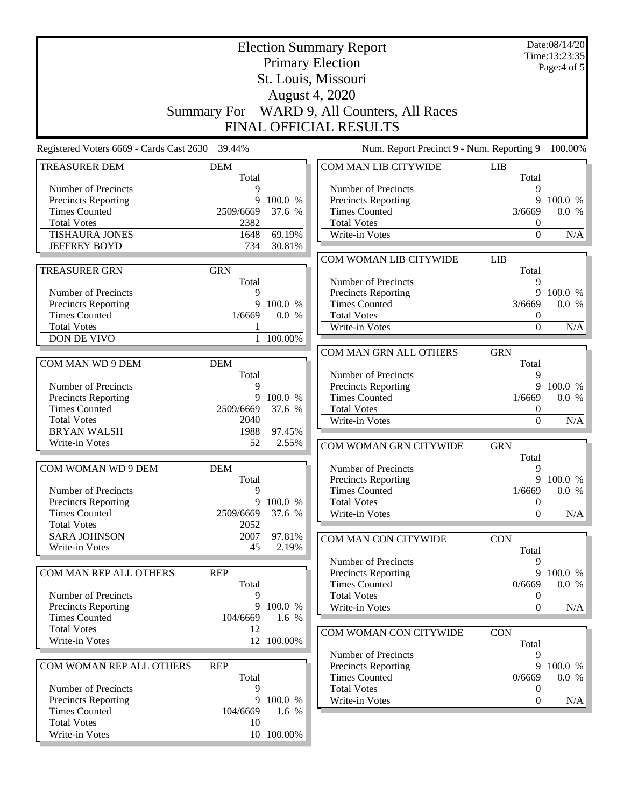|                                                    | <b>Election Summary Report</b><br><b>Primary Election</b> |                  |                                                    |                  |                  |
|----------------------------------------------------|-----------------------------------------------------------|------------------|----------------------------------------------------|------------------|------------------|
|                                                    |                                                           |                  | St. Louis, Missouri<br>August 4, 2020              |                  |                  |
|                                                    |                                                           |                  |                                                    |                  |                  |
|                                                    | Summary For                                               |                  | WARD 9, All Counters, All Races                    |                  |                  |
|                                                    |                                                           |                  | FINAL OFFICIAL RESULTS                             |                  |                  |
| Registered Voters 6669 - Cards Cast 2630           | 39.44%                                                    |                  | Num. Report Precinct 9 - Num. Reporting 9          |                  | 100.00%          |
| <b>TREASURER DEM</b>                               | <b>DEM</b>                                                |                  | COM MAN LIB CITYWIDE                               | LIB              |                  |
|                                                    | Total                                                     |                  |                                                    | Total            |                  |
| Number of Precincts                                | 9                                                         |                  | Number of Precincts                                | 9                |                  |
| <b>Precincts Reporting</b>                         | 9                                                         | 100.0 %          | <b>Precincts Reporting</b>                         | 9                | 100.0 %          |
| <b>Times Counted</b>                               | 2509/6669                                                 | 37.6 %           | <b>Times Counted</b>                               | 3/6669           | 0.0 %            |
| <b>Total Votes</b>                                 | 2382                                                      |                  | <b>Total Votes</b>                                 | $\boldsymbol{0}$ |                  |
| <b>TISHAURA JONES</b><br><b>JEFFREY BOYD</b>       | 1648<br>734                                               | 69.19%<br>30.81% | Write-in Votes                                     | $\mathbf{0}$     | N/A              |
|                                                    |                                                           |                  |                                                    |                  |                  |
|                                                    |                                                           |                  | COM WOMAN LIB CITYWIDE                             | <b>LIB</b>       |                  |
| <b>TREASURER GRN</b>                               | <b>GRN</b>                                                |                  |                                                    | Total<br>9       |                  |
|                                                    | Total                                                     |                  | Number of Precincts                                | 9                |                  |
| Number of Precincts                                | 9<br>9                                                    | 100.0 %          | <b>Precincts Reporting</b><br><b>Times Counted</b> | 3/6669           | 100.0 %<br>0.0 % |
| <b>Precincts Reporting</b><br><b>Times Counted</b> | 1/6669                                                    | 0.0 %            | <b>Total Votes</b>                                 | $\boldsymbol{0}$ |                  |
| <b>Total Votes</b>                                 |                                                           |                  | Write-in Votes                                     | $\boldsymbol{0}$ | N/A              |
| DON DE VIVO                                        |                                                           | 1 100.00%        |                                                    |                  |                  |
|                                                    |                                                           |                  |                                                    |                  |                  |
|                                                    |                                                           |                  | COM MAN GRN ALL OTHERS                             | <b>GRN</b>       |                  |
| COM MAN WD 9 DEM                                   | <b>DEM</b>                                                |                  |                                                    | Total            |                  |
|                                                    | Total                                                     |                  | Number of Precincts                                | 9                |                  |
| Number of Precincts                                | 9                                                         |                  | Precincts Reporting                                | 9                | 100.0 %          |
| <b>Precincts Reporting</b>                         | 9                                                         | 100.0 %          | <b>Times Counted</b>                               | 1/6669           | 0.0 %            |
| <b>Times Counted</b>                               | 2509/6669                                                 | 37.6 %           | <b>Total Votes</b>                                 | 0                |                  |
| <b>Total Votes</b><br><b>BRYAN WALSH</b>           | 2040                                                      | 97.45%           | Write-in Votes                                     | $\mathbf{0}$     | N/A              |
| Write-in Votes                                     | 1988<br>52                                                | 2.55%            |                                                    |                  |                  |
|                                                    |                                                           |                  | COM WOMAN GRN CITYWIDE                             | <b>GRN</b>       |                  |
|                                                    |                                                           |                  |                                                    | Total            |                  |
| COM WOMAN WD 9 DEM                                 | <b>DEM</b>                                                |                  | Number of Precincts                                | 9                |                  |
|                                                    | Total                                                     |                  | Precincts Reporting                                |                  | 9 100.0 %        |
| Number of Precincts                                | 9                                                         |                  | <b>Times Counted</b>                               |                  | $1/6669$ 0.0 %   |
| <b>Precincts Reporting</b>                         |                                                           | 9 100.0 %        | <b>Total Votes</b>                                 | $\boldsymbol{0}$ |                  |
| <b>Times Counted</b>                               | 2509/6669                                                 | 37.6 %           | Write-in Votes                                     | $\theta$         | N/A              |
| <b>Total Votes</b><br><b>SARA JOHNSON</b>          | 2052<br>2007                                              | 97.81%           |                                                    |                  |                  |
| Write-in Votes                                     | 45                                                        | 2.19%            | COM MAN CON CITYWIDE                               | <b>CON</b>       |                  |
|                                                    |                                                           |                  |                                                    | Total            |                  |
|                                                    |                                                           |                  | Number of Precincts                                | 9                |                  |
| COM MAN REP ALL OTHERS                             | <b>REP</b>                                                |                  | <b>Precincts Reporting</b>                         | 9                | 100.0 %          |
|                                                    | Total                                                     |                  | <b>Times Counted</b>                               | 0/6669           | 0.0 %            |
| Number of Precincts                                | 9<br>9                                                    | 100.0 %          | <b>Total Votes</b><br>Write-in Votes               | $\boldsymbol{0}$ |                  |
| <b>Precincts Reporting</b><br><b>Times Counted</b> | 104/6669                                                  | 1.6%             |                                                    | $\boldsymbol{0}$ | N/A              |
| <b>Total Votes</b>                                 | 12                                                        |                  |                                                    |                  |                  |
| Write-in Votes                                     |                                                           | 12 100.00%       | COM WOMAN CON CITYWIDE                             | <b>CON</b>       |                  |
|                                                    |                                                           |                  |                                                    | Total            |                  |
|                                                    |                                                           |                  | Number of Precincts                                | 9                |                  |
| COM WOMAN REP ALL OTHERS                           | <b>REP</b>                                                |                  | Precincts Reporting                                | 9                | 100.0 %          |
|                                                    | Total                                                     |                  | <b>Times Counted</b>                               | 0/6669           | 0.0 %            |
| <b>Number of Precincts</b>                         | 9                                                         | 9 100.0 %        | <b>Total Votes</b>                                 | $\boldsymbol{0}$ |                  |
| Precincts Reporting<br><b>Times Counted</b>        | 104/6669                                                  | 1.6 %            | Write-in Votes                                     | $\boldsymbol{0}$ | N/A              |
| <b>Total Votes</b>                                 | 10                                                        |                  |                                                    |                  |                  |
| Write-in Votes                                     |                                                           | 10 100.00%       |                                                    |                  |                  |
|                                                    |                                                           |                  |                                                    |                  |                  |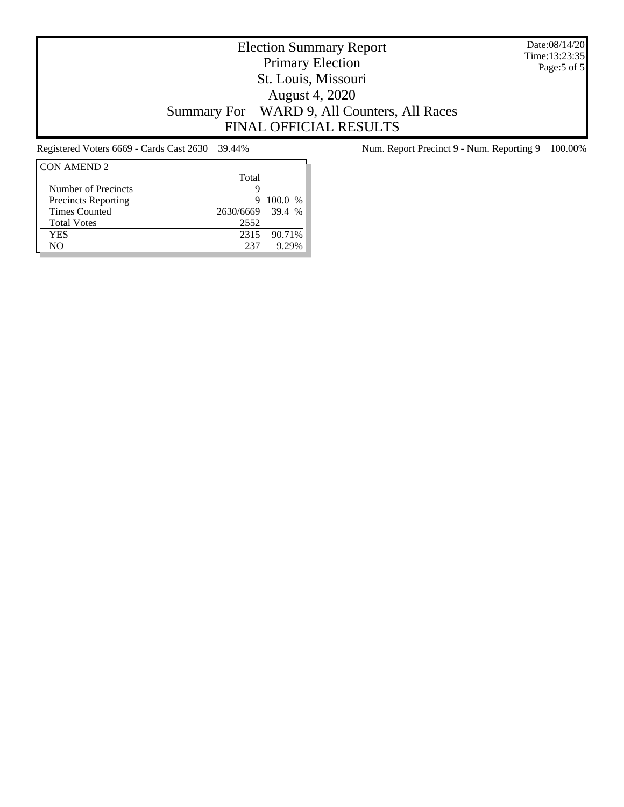Date:08/14/20 Time:13:23:35 Page:5 of 5

## Election Summary Report Primary Election St. Louis, Missouri August 4, 2020 Summary For WARD 9, All Counters, All Races FINAL OFFICIAL RESULTS

| Total                                      |       |
|--------------------------------------------|-------|
| Number of Precincts<br>g                   |       |
| <b>Precincts Reporting</b><br>100.0 %<br>9 |       |
| 2630/6669 39.4 %<br><b>Times Counted</b>   |       |
| <b>Total Votes</b><br>2552                 |       |
| 90.71%<br>YES<br>2315                      |       |
| NO.<br>237                                 | 9 29% |

Registered Voters 6669 - Cards Cast 2630 39.44% Num. Report Precinct 9 - Num. Reporting 9 100.00%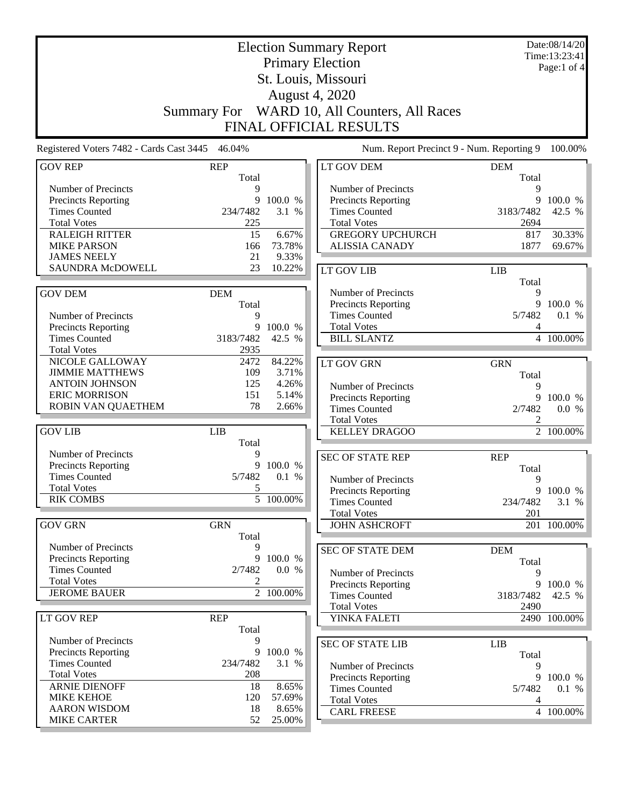|                                                 | <b>Election Summary Report</b><br><b>Primary Election</b> |                        | Date:08/14/20<br>Time:13:23:41                   |                     |                     |
|-------------------------------------------------|-----------------------------------------------------------|------------------------|--------------------------------------------------|---------------------|---------------------|
|                                                 |                                                           | Page:1 of 4            |                                                  |                     |                     |
|                                                 |                                                           |                        | St. Louis, Missouri                              |                     |                     |
|                                                 |                                                           |                        | August 4, 2020                                   |                     |                     |
|                                                 |                                                           |                        | WARD 10, All Counters, All Races                 |                     |                     |
|                                                 | <b>Summary For</b>                                        |                        | <b>FINAL OFFICIAL RESULTS</b>                    |                     |                     |
|                                                 |                                                           |                        |                                                  |                     |                     |
| Registered Voters 7482 - Cards Cast 3445 46.04% |                                                           |                        | Num. Report Precinct 9 - Num. Reporting 9        |                     | 100.00%             |
| <b>GOV REP</b>                                  | <b>REP</b><br>Total                                       |                        | LT GOV DEM                                       | <b>DEM</b><br>Total |                     |
| Number of Precincts                             | 9                                                         |                        | Number of Precincts                              | 9                   |                     |
| <b>Precincts Reporting</b>                      | 9                                                         | 100.0 %                | <b>Precincts Reporting</b>                       | 9                   | 100.0 %             |
| <b>Times Counted</b>                            | 234/7482                                                  | 3.1 %                  | <b>Times Counted</b>                             | 3183/7482           | 42.5 %              |
| <b>Total Votes</b>                              | 225<br>15                                                 |                        | <b>Total Votes</b>                               | 2694                |                     |
| <b>RALEIGH RITTER</b><br><b>MIKE PARSON</b>     | 166                                                       | 6.67%<br>73.78%        | <b>GREGORY UPCHURCH</b><br><b>ALISSIA CANADY</b> | 817<br>1877         | 30.33%<br>69.67%    |
| <b>JAMES NEELY</b>                              | 21                                                        | 9.33%                  |                                                  |                     |                     |
| SAUNDRA McDOWELL                                | 23                                                        | 10.22%                 | <b>LT GOV LIB</b>                                | <b>LIB</b>          |                     |
|                                                 |                                                           |                        |                                                  | Total               |                     |
| <b>GOV DEM</b>                                  | <b>DEM</b>                                                |                        | Number of Precincts                              | 9                   |                     |
|                                                 | Total                                                     |                        | Precincts Reporting                              | 9                   | 100.0 %             |
| Number of Precincts                             | 9                                                         |                        | <b>Times Counted</b>                             | 5/7482              | 0.1 %               |
| <b>Precincts Reporting</b>                      | 9                                                         | 100.0 %                | <b>Total Votes</b>                               | 4                   |                     |
| <b>Times Counted</b>                            | 3183/7482                                                 | 42.5 %                 | <b>BILL SLANTZ</b>                               |                     | 4 100.00%           |
| <b>Total Votes</b>                              | 2935                                                      |                        |                                                  |                     |                     |
| NICOLE GALLOWAY                                 | 2472                                                      | 84.22%                 | <b>LT GOV GRN</b>                                | <b>GRN</b>          |                     |
| <b>JIMMIE MATTHEWS</b>                          | 109                                                       | 3.71%                  |                                                  | Total               |                     |
| <b>ANTOIN JOHNSON</b>                           | 125                                                       | 4.26%                  | Number of Precincts                              | 9                   |                     |
| <b>ERIC MORRISON</b>                            | 151                                                       | 5.14%                  | <b>Precincts Reporting</b>                       | 9                   | 100.0 %             |
| ROBIN VAN QUAETHEM                              | 78                                                        | 2.66%                  | <b>Times Counted</b>                             | 2/7482              | 0.0 %               |
|                                                 |                                                           |                        | <b>Total Votes</b>                               | 2                   |                     |
| <b>GOV LIB</b>                                  | LIB                                                       |                        | <b>KELLEY DRAGOO</b>                             |                     | 2 100.00%           |
|                                                 | Total                                                     |                        |                                                  |                     |                     |
| Number of Precincts                             | 9                                                         |                        | <b>SEC OF STATE REP</b>                          | <b>REP</b>          |                     |
| Precincts Reporting                             | 9                                                         | 100.0 %                |                                                  | Total               |                     |
| <b>Times Counted</b>                            | 5/7482                                                    | 0.1 %                  | Number of Precincts                              | 9                   |                     |
| <b>Total Votes</b><br><b>RIK COMBS</b>          | 5                                                         | $\overline{5}$ 100.00% | <b>Precincts Reporting</b>                       |                     | 9 100.0 %           |
|                                                 |                                                           |                        | <b>Times Counted</b>                             | 234/7482            | 3.1 %               |
| <b>GOV GRN</b>                                  | <b>GRN</b>                                                |                        | <b>Total Votes</b>                               | 201                 |                     |
|                                                 | Total                                                     |                        | <b>JOHN ASHCROFT</b>                             |                     | 201 100.00%         |
| Number of Precincts                             | 9                                                         |                        |                                                  |                     |                     |
| <b>Precincts Reporting</b>                      | 9                                                         | 100.0 %                | <b>SEC OF STATE DEM</b>                          | <b>DEM</b>          |                     |
| <b>Times Counted</b>                            | 2/7482                                                    | 0.0 %                  |                                                  | Total<br>9          |                     |
| <b>Total Votes</b>                              | 2                                                         |                        | Number of Precincts                              |                     |                     |
| <b>JEROME BAUER</b>                             |                                                           | 2 100.00%              | Precincts Reporting<br><b>Times Counted</b>      | 3183/7482           | 9 100.0 %<br>42.5 % |
|                                                 |                                                           |                        | <b>Total Votes</b>                               | 2490                |                     |
| LT GOV REP                                      | <b>REP</b>                                                |                        | YINKA FALETI                                     |                     | 2490 100.00%        |
|                                                 | Total                                                     |                        |                                                  |                     |                     |
| Number of Precincts                             | 9                                                         |                        | <b>SEC OF STATE LIB</b>                          | <b>LIB</b>          |                     |
| Precincts Reporting                             | 9                                                         | 100.0 %                |                                                  | Total               |                     |
| <b>Times Counted</b>                            | 234/7482                                                  | 3.1 %                  | Number of Precincts                              | 9                   |                     |
| <b>Total Votes</b>                              | 208                                                       |                        | Precincts Reporting                              | 9                   | 100.0 %             |
| <b>ARNIE DIENOFF</b>                            | 18                                                        | 8.65%                  | <b>Times Counted</b>                             | 5/7482              | 0.1 %               |
| <b>MIKE KEHOE</b>                               | 120                                                       | 57.69%                 | <b>Total Votes</b>                               | 4                   |                     |
| <b>AARON WISDOM</b>                             | 18                                                        | 8.65%                  | <b>CARL FREESE</b>                               |                     | 4 100.00%           |
| <b>MIKE CARTER</b>                              | 52                                                        | 25.00%                 |                                                  |                     |                     |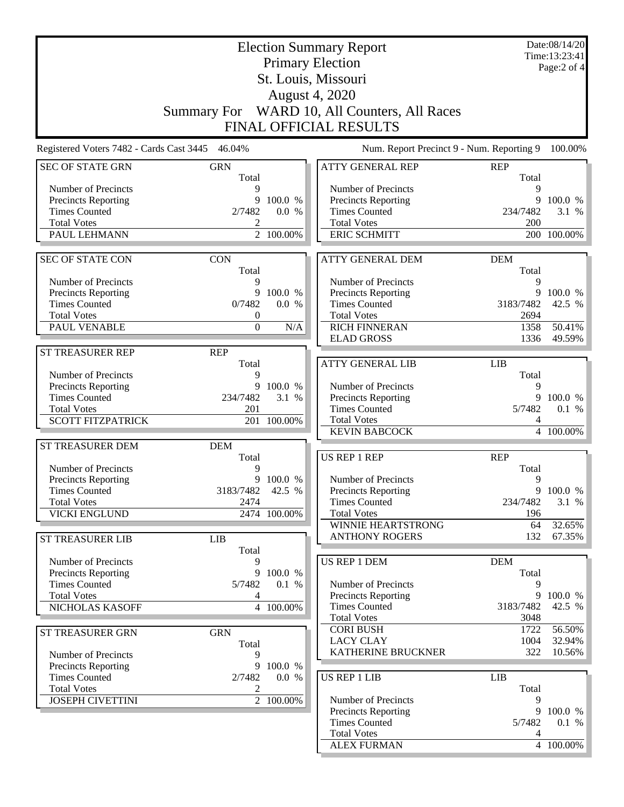|                                                    | Date:08/14/20<br><b>Election Summary Report</b><br>Time:13:23:41 |                    |                                              |                     |                  |  |
|----------------------------------------------------|------------------------------------------------------------------|--------------------|----------------------------------------------|---------------------|------------------|--|
| <b>Primary Election</b><br>Page:2 of 4             |                                                                  |                    |                                              |                     |                  |  |
|                                                    | St. Louis, Missouri                                              |                    |                                              |                     |                  |  |
|                                                    |                                                                  |                    | <b>August 4, 2020</b>                        |                     |                  |  |
|                                                    |                                                                  |                    | Summary For WARD 10, All Counters, All Races |                     |                  |  |
|                                                    |                                                                  |                    |                                              |                     |                  |  |
|                                                    |                                                                  |                    | FINAL OFFICIAL RESULTS                       |                     |                  |  |
| Registered Voters 7482 - Cards Cast 3445 46.04%    |                                                                  |                    | Num. Report Precinct 9 - Num. Reporting 9    |                     | 100.00%          |  |
| <b>SEC OF STATE GRN</b>                            | <b>GRN</b><br>Total                                              |                    | <b>ATTY GENERAL REP</b>                      | <b>REP</b><br>Total |                  |  |
| Number of Precincts                                | 9                                                                |                    | Number of Precincts                          | 9                   |                  |  |
| <b>Precincts Reporting</b><br><b>Times Counted</b> | 9<br>2/7482                                                      | 100.0 %<br>0.0 %   | Precincts Reporting<br><b>Times Counted</b>  | 9<br>234/7482       | 100.0 %<br>3.1 % |  |
| <b>Total Votes</b>                                 | 2                                                                |                    | <b>Total Votes</b>                           | 200                 |                  |  |
| PAUL LEHMANN                                       |                                                                  | 2 100.00%          | <b>ERIC SCHMITT</b>                          |                     | 200 100.00%      |  |
|                                                    |                                                                  |                    |                                              |                     |                  |  |
| <b>SEC OF STATE CON</b>                            | <b>CON</b><br>Total                                              |                    | <b>ATTY GENERAL DEM</b>                      | <b>DEM</b><br>Total |                  |  |
| Number of Precincts                                | 9                                                                |                    | Number of Precincts                          | 9                   |                  |  |
| <b>Precincts Reporting</b>                         | 9                                                                | 100.0 %            | <b>Precincts Reporting</b>                   | 9                   | 100.0 %          |  |
| <b>Times Counted</b>                               | 0/7482                                                           | 0.0 %              | <b>Times Counted</b>                         | 3183/7482           | 42.5 %           |  |
| <b>Total Votes</b>                                 | $\boldsymbol{0}$                                                 |                    | <b>Total Votes</b>                           | 2694                |                  |  |
| PAUL VENABLE                                       | $\mathbf{0}$                                                     | N/A                | <b>RICH FINNERAN</b>                         | 1358                | 50.41%           |  |
|                                                    |                                                                  |                    | <b>ELAD GROSS</b>                            | 1336                | 49.59%           |  |
| ST TREASURER REP                                   | <b>REP</b><br>Total                                              |                    | <b>ATTY GENERAL LIB</b>                      | <b>LIB</b>          |                  |  |
| Number of Precincts                                | 9                                                                |                    |                                              | Total               |                  |  |
| <b>Precincts Reporting</b><br><b>Times Counted</b> | 234/7482                                                         | 9 100.0 %<br>3.1 % | Number of Precincts<br>Precincts Reporting   | 9<br>9              | 100.0 %          |  |
| <b>Total Votes</b>                                 | 201                                                              |                    | <b>Times Counted</b>                         | 5/7482              | $0.1 \%$         |  |
| <b>SCOTT FITZPATRICK</b>                           |                                                                  | 201 100.00%        | <b>Total Votes</b>                           | 4                   |                  |  |
|                                                    |                                                                  |                    | <b>KEVIN BABCOCK</b>                         |                     | 4 100.00%        |  |
| ST TREASURER DEM                                   | <b>DEM</b>                                                       |                    |                                              |                     |                  |  |
|                                                    | Total                                                            |                    | <b>US REP 1 REP</b>                          | <b>REP</b>          |                  |  |
| Number of Precincts                                | 9                                                                |                    |                                              | Total               |                  |  |
| <b>Precincts Reporting</b>                         |                                                                  | 9 100.0 %          | Number of Precincts                          | 9                   |                  |  |
| <b>Times Counted</b>                               | 3183/7482                                                        | 42.5 %             | <b>Precincts Reporting</b>                   | 9                   | 100.0 %          |  |
| <b>Total Votes</b><br><b>VICKI ENGLUND</b>         | 2474                                                             | 2474 100.00%       | <b>Times Counted</b><br><b>Total Votes</b>   | 234/7482<br>196     | 3.1 %            |  |
|                                                    |                                                                  |                    | WINNIE HEARTSTRONG                           | 64                  | 32.65%           |  |
| <b>ST TREASURER LIB</b>                            | LIB                                                              |                    | <b>ANTHONY ROGERS</b>                        | 132                 | 67.35%           |  |
|                                                    | Total                                                            |                    |                                              |                     |                  |  |
| Number of Precincts                                | 9                                                                |                    | <b>US REP 1 DEM</b>                          | <b>DEM</b>          |                  |  |
| Precincts Reporting                                | 9                                                                | 100.0 %            |                                              | Total               |                  |  |
| <b>Times Counted</b>                               | 5/7482                                                           | 0.1 %              | Number of Precincts                          | 9                   |                  |  |
| <b>Total Votes</b>                                 | 4                                                                |                    | Precincts Reporting                          | 9                   | 100.0 %          |  |
| NICHOLAS KASOFF                                    |                                                                  | 4 100.00%          | <b>Times Counted</b>                         | 3183/7482           | 42.5 %           |  |
|                                                    |                                                                  |                    | <b>Total Votes</b>                           | 3048                |                  |  |
| ST TREASURER GRN                                   | <b>GRN</b>                                                       |                    | <b>CORI BUSH</b><br><b>LACY CLAY</b>         | 1722<br>1004        | 56.50%<br>32.94% |  |
|                                                    | Total                                                            |                    | KATHERINE BRUCKNER                           | 322                 | 10.56%           |  |
| <b>Number of Precincts</b><br>Precincts Reporting  | 9                                                                | 9 100.0 %          |                                              |                     |                  |  |
| <b>Times Counted</b>                               | 2/7482                                                           | 0.0 %              | <b>US REP 1 LIB</b>                          | <b>LIB</b>          |                  |  |
| <b>Total Votes</b>                                 | 2                                                                |                    |                                              | Total               |                  |  |
| <b>JOSEPH CIVETTINI</b>                            |                                                                  | 2 100.00%          | Number of Precincts                          | 9                   |                  |  |
|                                                    |                                                                  |                    | Precincts Reporting                          | 9                   | 100.0 %          |  |
|                                                    |                                                                  |                    | <b>Times Counted</b>                         | 5/7482              | 0.1 %            |  |
|                                                    |                                                                  |                    | <b>Total Votes</b>                           | 4                   |                  |  |
|                                                    |                                                                  |                    | <b>ALEX FURMAN</b>                           |                     | 4 100.00%        |  |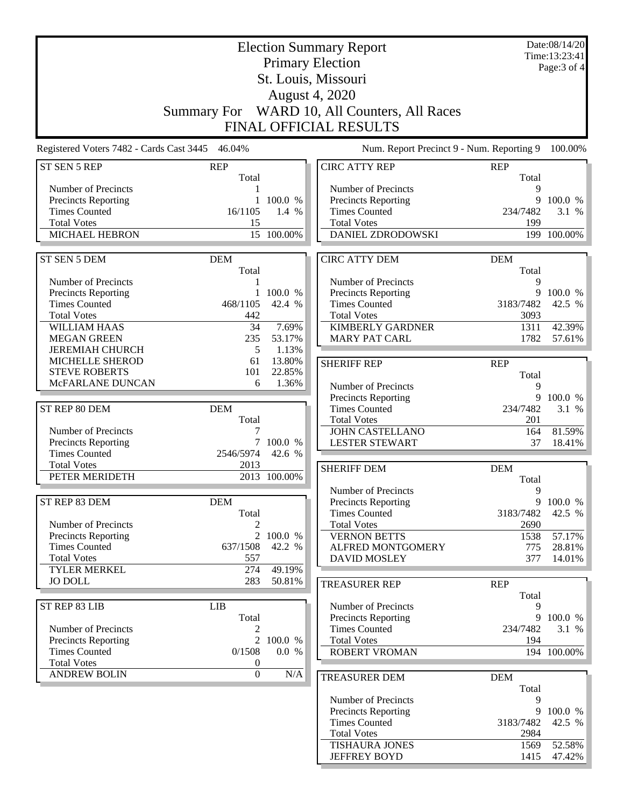|                                                 | Date:08/14/20<br><b>Election Summary Report</b><br>Time:13:23:41 |                     |                                                |                     |             |  |  |
|-------------------------------------------------|------------------------------------------------------------------|---------------------|------------------------------------------------|---------------------|-------------|--|--|
|                                                 | <b>Primary Election</b><br>Page: 3 of 4                          |                     |                                                |                     |             |  |  |
| St. Louis, Missouri                             |                                                                  |                     |                                                |                     |             |  |  |
|                                                 |                                                                  |                     |                                                |                     |             |  |  |
| <b>August 4, 2020</b>                           |                                                                  |                     |                                                |                     |             |  |  |
|                                                 | <b>Summary For</b>                                               |                     | WARD 10, All Counters, All Races               |                     |             |  |  |
| FINAL OFFICIAL RESULTS                          |                                                                  |                     |                                                |                     |             |  |  |
| Registered Voters 7482 - Cards Cast 3445 46.04% |                                                                  |                     | Num. Report Precinct 9 - Num. Reporting 9      |                     | 100.00%     |  |  |
| ST SEN 5 REP                                    | <b>REP</b>                                                       |                     | <b>CIRC ATTY REP</b>                           | <b>REP</b>          |             |  |  |
|                                                 | Total                                                            |                     |                                                | Total               |             |  |  |
| Number of Precincts                             | 1                                                                |                     | Number of Precincts                            | 9                   |             |  |  |
| Precincts Reporting                             | 1                                                                | 100.0 %             | Precincts Reporting                            | 9                   | 100.0 %     |  |  |
| <b>Times Counted</b>                            | 16/1105                                                          | 1.4 %               | <b>Times Counted</b>                           | 234/7482            | 3.1 %       |  |  |
| <b>Total Votes</b><br><b>MICHAEL HEBRON</b>     | 15                                                               | 15 100.00%          | <b>Total Votes</b><br><b>DANIEL ZDRODOWSKI</b> | 199                 | 199 100.00% |  |  |
|                                                 |                                                                  |                     |                                                |                     |             |  |  |
| ST SEN 5 DEM                                    | <b>DEM</b>                                                       |                     | <b>CIRC ATTY DEM</b>                           | <b>DEM</b>          |             |  |  |
|                                                 | Total                                                            |                     |                                                | Total               |             |  |  |
| Number of Precincts                             | 1                                                                |                     | Number of Precincts                            | 9                   |             |  |  |
| Precincts Reporting                             |                                                                  | 1 100.0 %           | <b>Precincts Reporting</b>                     |                     | 9 100.0 %   |  |  |
| <b>Times Counted</b>                            | 468/1105                                                         | 42.4 %              | <b>Times Counted</b>                           | 3183/7482           | 42.5 %      |  |  |
| <b>Total Votes</b>                              | 442                                                              |                     | <b>Total Votes</b>                             | 3093                |             |  |  |
| <b>WILLIAM HAAS</b>                             | 34                                                               | 7.69%               | <b>KIMBERLY GARDNER</b>                        | 1311                | 42.39%      |  |  |
| <b>MEGAN GREEN</b>                              | 235                                                              | 53.17%              | <b>MARY PAT CARL</b>                           | 1782                | 57.61%      |  |  |
| <b>JEREMIAH CHURCH</b>                          | 5                                                                | 1.13%               |                                                |                     |             |  |  |
| MICHELLE SHEROD                                 | 61                                                               | 13.80%              | <b>SHERIFF REP</b>                             | <b>REP</b>          |             |  |  |
| <b>STEVE ROBERTS</b>                            | 101                                                              | 22.85%              |                                                | Total               |             |  |  |
| McFARLANE DUNCAN                                | 6                                                                | 1.36%               | Number of Precincts                            | 9                   |             |  |  |
|                                                 |                                                                  |                     | Precincts Reporting                            |                     | 9 100.0 %   |  |  |
| ST REP 80 DEM                                   | <b>DEM</b>                                                       |                     | <b>Times Counted</b>                           | 234/7482            | 3.1 %       |  |  |
|                                                 | Total                                                            |                     | <b>Total Votes</b>                             | 201                 |             |  |  |
| Number of Precincts                             | 7                                                                |                     | <b>JOHN CASTELLANO</b>                         | 164                 | 81.59%      |  |  |
| Precincts Reporting<br><b>Times Counted</b>     | 2546/5974                                                        | 7 100.0 %<br>42.6 % | <b>LESTER STEWART</b>                          | 37                  | 18.41%      |  |  |
| <b>Total Votes</b>                              | 2013                                                             |                     |                                                |                     |             |  |  |
| PETER MERIDETH                                  |                                                                  | 2013 100.00%        | <b>SHERIFF DEM</b>                             | <b>DEM</b>          |             |  |  |
|                                                 |                                                                  |                     | Number of Precincts                            | Total<br>9          |             |  |  |
| ST REP 83 DEM                                   | <b>DEM</b>                                                       |                     | Precincts Reporting                            |                     | 9 100.0 %   |  |  |
|                                                 | Total                                                            |                     | <b>Times Counted</b>                           | 3183/7482           | 42.5 %      |  |  |
| Number of Precincts                             | 2                                                                |                     | <b>Total Votes</b>                             | 2690                |             |  |  |
| Precincts Reporting                             | $\overline{2}$                                                   | 100.0 %             | <b>VERNON BETTS</b>                            | 1538                | 57.17%      |  |  |
| <b>Times Counted</b>                            | 637/1508                                                         | 42.2 %              | ALFRED MONTGOMERY                              | 775                 | 28.81%      |  |  |
| <b>Total Votes</b>                              | 557                                                              |                     | <b>DAVID MOSLEY</b>                            | 377                 | 14.01%      |  |  |
| <b>TYLER MERKEL</b>                             | 274                                                              | 49.19%              |                                                |                     |             |  |  |
| <b>JO DOLL</b>                                  | 283                                                              | 50.81%              | <b>TREASURER REP</b>                           | <b>REP</b>          |             |  |  |
|                                                 |                                                                  |                     |                                                | Total               |             |  |  |
| ST REP 83 LIB                                   | <b>LIB</b>                                                       |                     | Number of Precincts                            | 9                   |             |  |  |
|                                                 | Total                                                            |                     | Precincts Reporting                            |                     | 9 100.0 %   |  |  |
| Number of Precincts                             | 2                                                                |                     | <b>Times Counted</b>                           | 234/7482            | 3.1 %       |  |  |
| Precincts Reporting                             | $\overline{2}$                                                   | 100.0 %             | <b>Total Votes</b>                             | 194                 |             |  |  |
| <b>Times Counted</b>                            | 0/1508                                                           | 0.0 %               | <b>ROBERT VROMAN</b>                           |                     | 194 100.00% |  |  |
| <b>Total Votes</b><br><b>ANDREW BOLIN</b>       | 0<br>$\boldsymbol{0}$                                            | $\rm N/A$           |                                                |                     |             |  |  |
|                                                 |                                                                  |                     | TREASURER DEM                                  | <b>DEM</b><br>Total |             |  |  |
|                                                 |                                                                  |                     | Number of Precincts                            | 9                   |             |  |  |
|                                                 |                                                                  |                     | Precincts Reporting                            | 9                   | 100.0 %     |  |  |
|                                                 |                                                                  |                     | <b>Times Counted</b>                           | 3183/7482           | 42.5 %      |  |  |
|                                                 |                                                                  |                     | <b>Total Votes</b>                             | 2984                |             |  |  |
|                                                 |                                                                  |                     | <b>TISHAURA JONES</b>                          | 1569                | 52.58%      |  |  |
|                                                 |                                                                  |                     | <b>JEFFREY BOYD</b>                            | 1415                | 47.42%      |  |  |
|                                                 |                                                                  |                     |                                                |                     |             |  |  |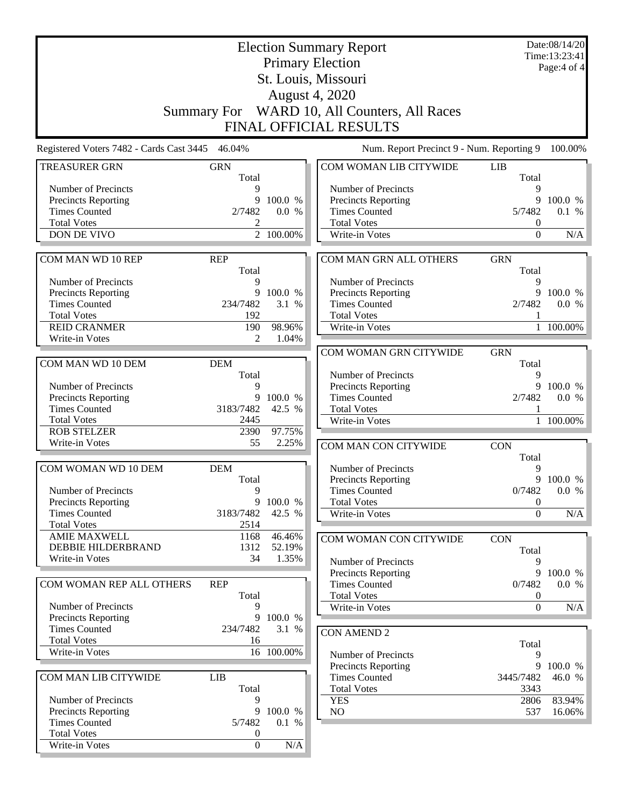|                                                 | <b>Election Summary Report</b><br><b>Primary Election</b> |            |                                              |                              |                    |  |
|-------------------------------------------------|-----------------------------------------------------------|------------|----------------------------------------------|------------------------------|--------------------|--|
|                                                 | St. Louis, Missouri                                       |            |                                              |                              |                    |  |
|                                                 |                                                           |            | <b>August 4, 2020</b>                        |                              |                    |  |
|                                                 |                                                           |            |                                              |                              |                    |  |
|                                                 |                                                           |            | Summary For WARD 10, All Counters, All Races |                              |                    |  |
|                                                 |                                                           |            | <b>FINAL OFFICIAL RESULTS</b>                |                              |                    |  |
| Registered Voters 7482 - Cards Cast 3445 46.04% |                                                           |            | Num. Report Precinct 9 - Num. Reporting 9    |                              | 100.00%            |  |
| <b>TREASURER GRN</b>                            | <b>GRN</b><br>Total                                       |            | COM WOMAN LIB CITYWIDE                       | <b>LIB</b><br>Total          |                    |  |
| Number of Precincts                             | 9                                                         |            | Number of Precincts                          | 9                            |                    |  |
| <b>Precincts Reporting</b>                      | 9                                                         | 100.0 %    | <b>Precincts Reporting</b>                   | 9                            | 100.0 %            |  |
| <b>Times Counted</b>                            | 2/7482                                                    | 0.0 %      | <b>Times Counted</b>                         | 5/7482                       | 0.1 %              |  |
| <b>Total Votes</b>                              | 2                                                         |            | <b>Total Votes</b>                           | $\boldsymbol{0}$             |                    |  |
| <b>DON DE VIVO</b>                              |                                                           | 2 100.00%  | Write-in Votes                               | $\theta$                     | N/A                |  |
| COM MAN WD 10 REP                               | <b>REP</b>                                                |            | COM MAN GRN ALL OTHERS                       | <b>GRN</b>                   |                    |  |
| Number of Precincts                             | Total<br>9                                                |            | Number of Precincts                          | Total<br>9                   |                    |  |
| <b>Precincts Reporting</b>                      | 9                                                         | 100.0 %    | <b>Precincts Reporting</b>                   | 9                            | 100.0 %            |  |
| <b>Times Counted</b>                            | 234/7482                                                  | 3.1 %      | <b>Times Counted</b>                         | 2/7482                       | 0.0 %              |  |
| <b>Total Votes</b>                              | 192                                                       |            | <b>Total Votes</b>                           | 1                            |                    |  |
| <b>REID CRANMER</b>                             | 190                                                       | 98.96%     | Write-in Votes                               |                              | 1 100.00%          |  |
| Write-in Votes                                  | $\overline{2}$                                            | 1.04%      |                                              |                              |                    |  |
|                                                 |                                                           |            | COM WOMAN GRN CITYWIDE                       | <b>GRN</b>                   |                    |  |
| COM MAN WD 10 DEM                               | <b>DEM</b>                                                |            |                                              | Total                        |                    |  |
| Number of Precincts                             | Total<br>9                                                |            | Number of Precincts<br>Precincts Reporting   | 9<br>9                       | 100.0 %            |  |
| Precincts Reporting                             | 9                                                         | 100.0 %    | <b>Times Counted</b>                         | 2/7482                       | 0.0 %              |  |
| <b>Times Counted</b>                            | 3183/7482                                                 | 42.5 %     | <b>Total Votes</b>                           |                              |                    |  |
| <b>Total Votes</b>                              | 2445                                                      |            | Write-in Votes                               |                              | 1 100.00%          |  |
| <b>ROB STELZER</b>                              | 2390                                                      | 97.75%     |                                              |                              |                    |  |
| Write-in Votes                                  | 55                                                        | 2.25%      | COM MAN CON CITYWIDE                         | <b>CON</b>                   |                    |  |
|                                                 |                                                           |            |                                              | Total                        |                    |  |
| COM WOMAN WD 10 DEM                             | <b>DEM</b>                                                |            | Number of Precincts                          | 9                            |                    |  |
| Number of Precincts                             | Total<br>9                                                |            | Precincts Reporting<br><b>Times Counted</b>  | 0/7482                       | 9 100.0 %<br>0.0 % |  |
| <b>Precincts Reporting</b>                      |                                                           | 9 100.0 %  | <b>Total Votes</b>                           | $\theta$                     |                    |  |
| <b>Times Counted</b>                            | 3183/7482                                                 | 42.5 %     | Write-in Votes                               | $\Omega$                     | N/A                |  |
| <b>Total Votes</b>                              | 2514                                                      |            |                                              |                              |                    |  |
| <b>AMIE MAXWELL</b>                             | 1168                                                      | 46.46%     | COM WOMAN CON CITYWIDE                       | <b>CON</b>                   |                    |  |
| DEBBIE HILDERBRAND                              | 1312                                                      | 52.19%     |                                              | Total                        |                    |  |
| Write-in Votes                                  | 34                                                        | 1.35%      | Number of Precincts                          | 9                            |                    |  |
|                                                 |                                                           |            | <b>Precincts Reporting</b>                   | 9                            | 100.0 %            |  |
| COM WOMAN REP ALL OTHERS                        | <b>REP</b>                                                |            | <b>Times Counted</b><br><b>Total Votes</b>   | 0/7482                       | 0.0 %              |  |
| Number of Precincts                             | Total<br>9                                                |            | Write-in Votes                               | $\boldsymbol{0}$<br>$\Omega$ | N/A                |  |
| Precincts Reporting                             |                                                           | 9 100.0 %  |                                              |                              |                    |  |
| <b>Times Counted</b>                            | 234/7482                                                  | 3.1 %      | <b>CON AMEND 2</b>                           |                              |                    |  |
| <b>Total Votes</b>                              | 16                                                        |            |                                              | Total                        |                    |  |
| Write-in Votes                                  |                                                           | 16 100.00% | Number of Precincts                          | 9                            |                    |  |
|                                                 |                                                           |            | <b>Precincts Reporting</b>                   | 9                            | 100.0 %            |  |
| COM MAN LIB CITYWIDE                            | LIB                                                       |            | <b>Times Counted</b>                         | 3445/7482                    | 46.0 %             |  |
| Number of Precincts                             | Total<br>9                                                |            | <b>Total Votes</b><br><b>YES</b>             | 3343<br>2806                 | 83.94%             |  |
| <b>Precincts Reporting</b>                      | 9                                                         | 100.0 %    | NO                                           | 537                          | 16.06%             |  |
| <b>Times Counted</b>                            | 5/7482                                                    | 0.1 %      |                                              |                              |                    |  |
| <b>Total Votes</b>                              | $\theta$                                                  |            |                                              |                              |                    |  |
| Write-in Votes                                  | $\boldsymbol{0}$                                          | N/A        |                                              |                              |                    |  |
|                                                 |                                                           |            |                                              |                              |                    |  |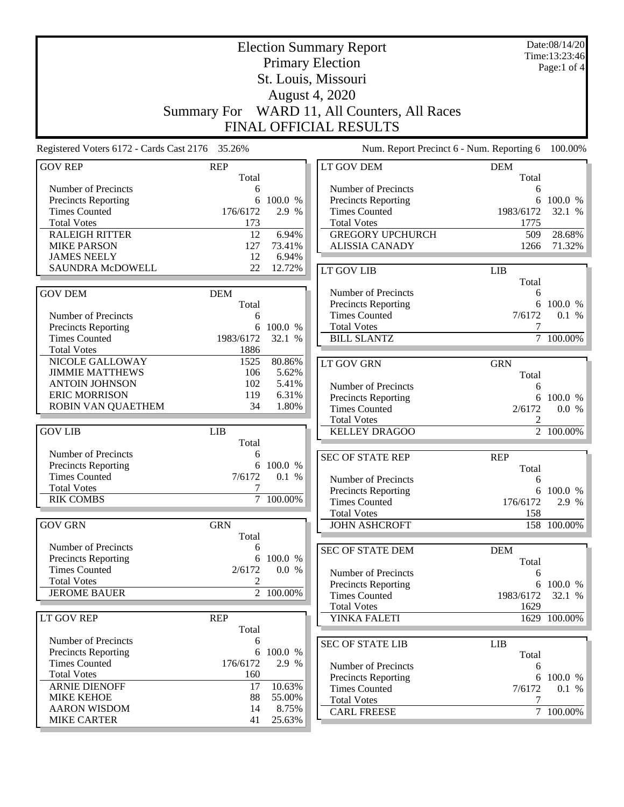|                                                 | <b>Election Summary Report</b> |                |                                            |                 | Date:08/14/20<br>Time:13:23:46 |
|-------------------------------------------------|--------------------------------|----------------|--------------------------------------------|-----------------|--------------------------------|
|                                                 | <b>Primary Election</b>        |                |                                            |                 |                                |
|                                                 |                                |                | St. Louis, Missouri                        |                 | Page:1 of 4                    |
|                                                 |                                |                |                                            |                 |                                |
|                                                 |                                |                | <b>August 4, 2020</b>                      |                 |                                |
|                                                 | <b>Summary For</b>             |                | WARD 11, All Counters, All Races           |                 |                                |
|                                                 |                                |                | FINAL OFFICIAL RESULTS                     |                 |                                |
| Registered Voters 6172 - Cards Cast 2176 35.26% |                                |                | Num. Report Precinct 6 - Num. Reporting 6  |                 | 100.00%                        |
| <b>GOV REP</b>                                  | <b>REP</b>                     |                | LT GOV DEM                                 | <b>DEM</b>      |                                |
|                                                 | Total                          |                |                                            | Total           |                                |
| Number of Precincts                             | 6                              |                | Number of Precincts                        | 6               |                                |
| Precincts Reporting                             | 6                              | 100.0 %        | Precincts Reporting                        | 6               | 100.0 %                        |
| <b>Times Counted</b>                            | 176/6172                       | 2.9 %          | <b>Times Counted</b>                       | 1983/6172       | 32.1 %                         |
| <b>Total Votes</b>                              | 173                            |                | <b>Total Votes</b>                         | 1775            |                                |
| <b>RALEIGH RITTER</b>                           | 12                             | 6.94%          | <b>GREGORY UPCHURCH</b>                    | 509             | 28.68%                         |
| <b>MIKE PARSON</b>                              | 127                            | 73.41%         | <b>ALISSIA CANADY</b>                      | 1266            | 71.32%                         |
| <b>JAMES NEELY</b>                              | 12                             | 6.94%          |                                            |                 |                                |
| SAUNDRA McDOWELL                                | 22                             | 12.72%         | LT GOV LIB                                 | <b>LIB</b>      |                                |
|                                                 |                                |                |                                            | Total           |                                |
| <b>GOV DEM</b>                                  | <b>DEM</b>                     |                | Number of Precincts                        | 6               |                                |
|                                                 | Total                          |                | Precincts Reporting                        | 6               | 100.0 %                        |
| Number of Precincts                             | 6                              |                | <b>Times Counted</b>                       | 7/6172          | 0.1 %                          |
| Precincts Reporting                             |                                | 6 100.0 %      | <b>Total Votes</b>                         | 7               |                                |
| <b>Times Counted</b>                            | 1983/6172                      | 32.1 %         | <b>BILL SLANTZ</b>                         |                 | 7 100.00%                      |
| <b>Total Votes</b>                              | 1886                           |                |                                            |                 |                                |
| NICOLE GALLOWAY                                 | 1525                           | 80.86%         | <b>LT GOV GRN</b>                          | <b>GRN</b>      |                                |
| <b>JIMMIE MATTHEWS</b>                          | 106                            | 5.62%          |                                            | Total           |                                |
| <b>ANTOIN JOHNSON</b><br><b>ERIC MORRISON</b>   | 102<br>119                     | 5.41%<br>6.31% | Number of Precincts                        | 6               |                                |
| ROBIN VAN QUAETHEM                              | 34                             | 1.80%          | Precincts Reporting                        | 6               | 100.0 %                        |
|                                                 |                                |                | <b>Times Counted</b>                       | 2/6172          | 0.0 %                          |
|                                                 |                                |                | <b>Total Votes</b>                         | $\overline{c}$  |                                |
| <b>GOV LIB</b>                                  | <b>LIB</b>                     |                | <b>KELLEY DRAGOO</b>                       |                 | 2 100.00%                      |
| Number of Precincts                             | Total<br>6                     |                |                                            |                 |                                |
| Precincts Reporting                             | 6                              | 100.0 %        | <b>SEC OF STATE REP</b>                    | <b>REP</b>      |                                |
| <b>Times Counted</b>                            | 7/6172                         | 0.1 %          |                                            | Total           |                                |
| <b>Total Votes</b>                              | 7                              |                | Number of Precincts                        | 6               |                                |
| <b>RIK COMBS</b>                                |                                | 7 100.00%      | <b>Precincts Reporting</b>                 |                 | 6 100.0 %                      |
|                                                 |                                |                | <b>Times Counted</b><br><b>Total Votes</b> | 176/6172<br>158 | 2.9 %                          |
| <b>GOV GRN</b>                                  | <b>GRN</b>                     |                | <b>JOHN ASHCROFT</b>                       |                 | 158 100.00%                    |
|                                                 | Total                          |                |                                            |                 |                                |
| Number of Precincts                             | 6                              |                |                                            |                 |                                |
| Precincts Reporting                             | 6                              | 100.0 %        | <b>SEC OF STATE DEM</b>                    | <b>DEM</b>      |                                |
| <b>Times Counted</b>                            | 2/6172                         | 0.0 %          | Number of Precincts                        | Total           |                                |
| <b>Total Votes</b>                              | 2                              |                | <b>Precincts Reporting</b>                 | 6               | 6 100.0 %                      |
| <b>JEROME BAUER</b>                             |                                | 2 100.00%      | <b>Times Counted</b>                       | 1983/6172       | 32.1 %                         |
|                                                 |                                |                | <b>Total Votes</b>                         | 1629            |                                |
| LT GOV REP                                      | <b>REP</b>                     |                | YINKA FALETI                               |                 | 1629 100.00%                   |
|                                                 | Total                          |                |                                            |                 |                                |
| Number of Precincts                             | 6                              |                | <b>SEC OF STATE LIB</b>                    | <b>LIB</b>      |                                |
| Precincts Reporting                             | 6                              | 100.0 %        |                                            | Total           |                                |
| <b>Times Counted</b>                            | 176/6172                       | 2.9 %          | Number of Precincts                        | 6               |                                |
| <b>Total Votes</b>                              | 160                            |                | Precincts Reporting                        |                 | 6 100.0 %                      |
| <b>ARNIE DIENOFF</b>                            | 17                             | 10.63%         | <b>Times Counted</b>                       | 7/6172          | 0.1 %                          |
| <b>MIKE KEHOE</b>                               | 88                             | 55.00%         | <b>Total Votes</b>                         | 7               |                                |
| <b>AARON WISDOM</b>                             | 14                             | 8.75%          | <b>CARL FREESE</b>                         |                 | 7 100.00%                      |
| <b>MIKE CARTER</b>                              | 41                             | 25.63%         |                                            |                 |                                |
|                                                 |                                |                |                                            |                 |                                |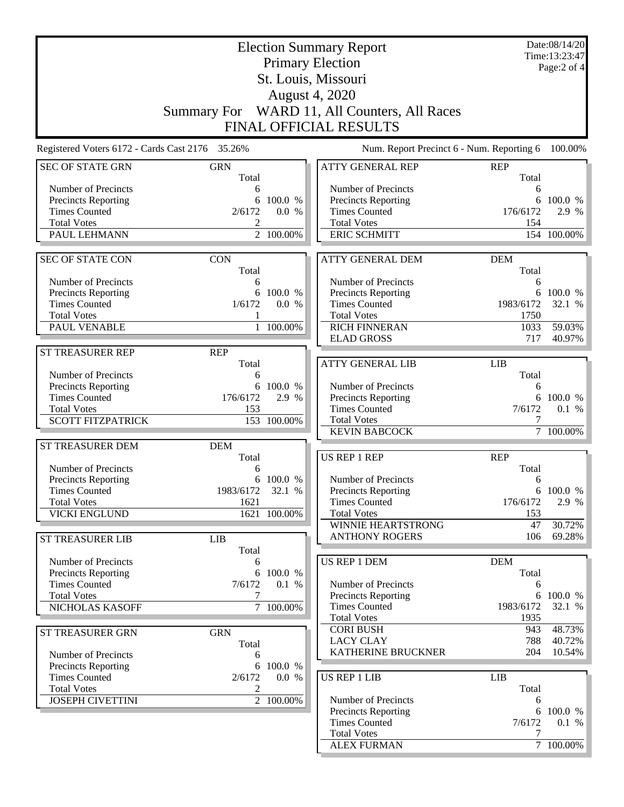|                                                 | Date:08/14/20<br><b>Election Summary Report</b>          |                        |                                           |                     |                       |  |
|-------------------------------------------------|----------------------------------------------------------|------------------------|-------------------------------------------|---------------------|-----------------------|--|
|                                                 | Time: 13:23:47<br><b>Primary Election</b><br>Page:2 of 4 |                        |                                           |                     |                       |  |
|                                                 | St. Louis, Missouri                                      |                        |                                           |                     |                       |  |
|                                                 |                                                          |                        | <b>August 4, 2020</b>                     |                     |                       |  |
|                                                 |                                                          |                        |                                           |                     |                       |  |
|                                                 | <b>Summary For</b>                                       |                        | WARD 11, All Counters, All Races          |                     |                       |  |
|                                                 |                                                          |                        | FINAL OFFICIAL RESULTS                    |                     |                       |  |
| Registered Voters 6172 - Cards Cast 2176 35.26% |                                                          |                        | Num. Report Precinct 6 - Num. Reporting 6 |                     | 100.00%               |  |
| <b>SEC OF STATE GRN</b>                         | <b>GRN</b><br>Total                                      |                        | <b>ATTY GENERAL REP</b>                   | <b>REP</b><br>Total |                       |  |
| Number of Precincts                             | 6                                                        |                        | Number of Precincts                       | 6                   |                       |  |
| <b>Precincts Reporting</b>                      | 6                                                        | 100.0 %                | <b>Precincts Reporting</b>                | 6                   | 100.0 %               |  |
| <b>Times Counted</b>                            | 2/6172                                                   | 0.0 %                  | <b>Times Counted</b>                      | 176/6172            | 2.9 %                 |  |
| <b>Total Votes</b>                              | 2                                                        | $\overline{2}$ 100.00% | <b>Total Votes</b>                        | 154                 |                       |  |
| PAUL LEHMANN                                    |                                                          |                        | <b>ERIC SCHMITT</b>                       |                     | 154 100.00%           |  |
| <b>SEC OF STATE CON</b>                         | <b>CON</b>                                               |                        | <b>ATTY GENERAL DEM</b>                   | <b>DEM</b>          |                       |  |
|                                                 | Total                                                    |                        |                                           | Total               |                       |  |
| Number of Precincts                             | 6                                                        |                        | Number of Precincts                       | 6                   |                       |  |
| <b>Precincts Reporting</b>                      |                                                          | 6 100.0 %              | Precincts Reporting                       |                     | 6 100.0 %             |  |
| <b>Times Counted</b>                            | 1/6172                                                   | 0.0 %                  | <b>Times Counted</b>                      | 1983/6172           | 32.1 %                |  |
| <b>Total Votes</b>                              |                                                          |                        | <b>Total Votes</b>                        | 1750                |                       |  |
| PAUL VENABLE                                    |                                                          | 1 100.00%              | <b>RICH FINNERAN</b>                      | 1033                | 59.03%                |  |
|                                                 |                                                          |                        | <b>ELAD GROSS</b>                         | 717                 | 40.97%                |  |
| <b>ST TREASURER REP</b>                         | <b>REP</b><br>Total                                      |                        | <b>ATTY GENERAL LIB</b>                   | <b>LIB</b>          |                       |  |
| Number of Precincts                             | 6                                                        |                        |                                           | Total               |                       |  |
| <b>Precincts Reporting</b>                      | 6                                                        | 100.0 %                | Number of Precincts                       | 6                   |                       |  |
| <b>Times Counted</b>                            | 176/6172                                                 | 2.9 %                  | <b>Precincts Reporting</b>                | 6                   | 100.0 %               |  |
| <b>Total Votes</b>                              | 153                                                      |                        | <b>Times Counted</b>                      | 7/6172              | 0.1 %                 |  |
| <b>SCOTT FITZPATRICK</b>                        |                                                          | 153 100.00%            | <b>Total Votes</b>                        | 7                   |                       |  |
|                                                 |                                                          |                        | <b>KEVIN BABCOCK</b>                      |                     | 7 100.00%             |  |
| ST TREASURER DEM                                | <b>DEM</b>                                               |                        |                                           |                     |                       |  |
|                                                 | Total                                                    |                        | <b>US REP 1 REP</b>                       | <b>REP</b>          |                       |  |
| Number of Precincts<br>Precincts Reporting      | 6                                                        | 6 100.0 %              | Number of Precincts                       | Total<br>6          |                       |  |
| <b>Times Counted</b>                            | 1983/6172                                                | 32.1 %                 | Precincts Reporting                       |                     | 6 100.0 %             |  |
| <b>Total Votes</b>                              | 1621                                                     |                        | <b>Times Counted</b>                      | 176/6172            | 2.9 %                 |  |
| <b>VICKI ENGLUND</b>                            |                                                          | 1621 100.00%           | <b>Total Votes</b>                        | 153                 |                       |  |
|                                                 |                                                          |                        | WINNIE HEARTSTRONG                        | 47                  | 30.72%                |  |
| <b>ST TREASURER LIB</b>                         | LIB                                                      |                        | <b>ANTHONY ROGERS</b>                     | 106                 | 69.28%                |  |
|                                                 | Total                                                    |                        |                                           |                     |                       |  |
| Number of Precincts                             | 6                                                        |                        | <b>US REP 1 DEM</b>                       | <b>DEM</b>          |                       |  |
| Precincts Reporting<br><b>Times Counted</b>     | 6<br>7/6172                                              | 100.0 %<br>0.1 %       | Number of Precincts                       | Total<br>6          |                       |  |
| <b>Total Votes</b>                              | 7                                                        |                        | Precincts Reporting                       | 6                   | 100.0 %               |  |
| NICHOLAS KASOFF                                 |                                                          | 7 100.00%              | <b>Times Counted</b>                      | 1983/6172           | 32.1 %                |  |
|                                                 |                                                          |                        | <b>Total Votes</b>                        | 1935                |                       |  |
| ST TREASURER GRN                                | <b>GRN</b>                                               |                        | <b>CORI BUSH</b>                          | 943                 | 48.73%                |  |
|                                                 | Total                                                    |                        | <b>LACY CLAY</b>                          | 788                 | 40.72%                |  |
| Number of Precincts                             | 6                                                        |                        | KATHERINE BRUCKNER                        | 204                 | 10.54%                |  |
| Precincts Reporting                             |                                                          | 6 100.0 %              |                                           |                     |                       |  |
| <b>Times Counted</b>                            | 2/6172                                                   | 0.0 %                  | <b>US REP 1 LIB</b>                       | <b>LIB</b>          |                       |  |
| <b>Total Votes</b><br><b>JOSEPH CIVETTINI</b>   | 2                                                        | 2 100.00%              | Number of Precincts                       | Total               |                       |  |
|                                                 |                                                          |                        | <b>Precincts Reporting</b>                | 6<br>6              | 100.0 %               |  |
|                                                 |                                                          |                        | <b>Times Counted</b>                      | 7/6172              | 0.1 %                 |  |
|                                                 |                                                          |                        | <b>Total Votes</b>                        | 7                   |                       |  |
|                                                 |                                                          |                        | <b>ALEX FURMAN</b>                        |                     | $\frac{1}{7}$ 100.00% |  |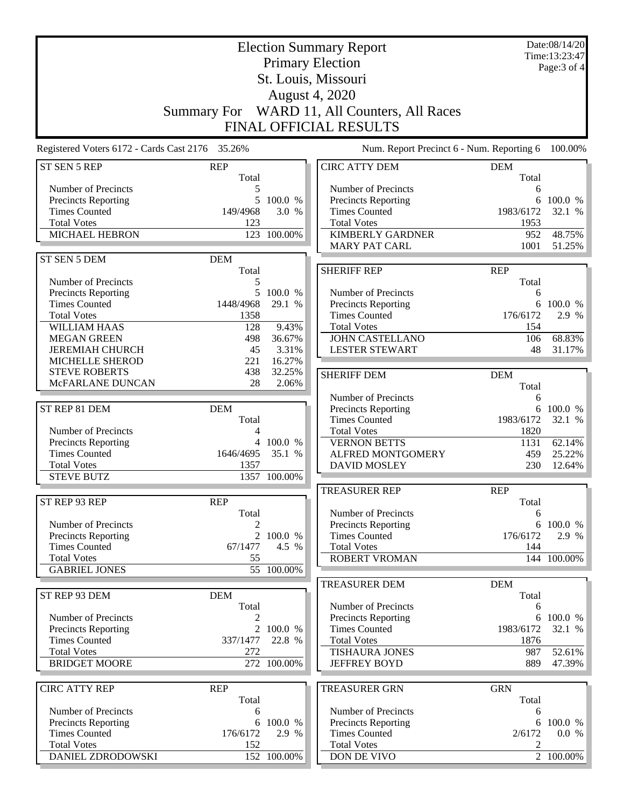|                                                    |                       | Date:08/14/20<br>Time:13:23:47 |                                              |                     |                    |  |
|----------------------------------------------------|-----------------------|--------------------------------|----------------------------------------------|---------------------|--------------------|--|
|                                                    |                       | Page: 3 of 4                   |                                              |                     |                    |  |
|                                                    | St. Louis, Missouri   |                                |                                              |                     |                    |  |
|                                                    | <b>August 4, 2020</b> |                                |                                              |                     |                    |  |
|                                                    |                       |                                | Summary For WARD 11, All Counters, All Races |                     |                    |  |
|                                                    |                       |                                |                                              |                     |                    |  |
|                                                    |                       |                                | <b>FINAL OFFICIAL RESULTS</b>                |                     |                    |  |
| Registered Voters 6172 - Cards Cast 2176 35.26%    |                       |                                | Num. Report Precinct 6 - Num. Reporting 6    |                     | 100.00%            |  |
| ST SEN 5 REP                                       | <b>REP</b><br>Total   |                                | <b>CIRC ATTY DEM</b>                         | <b>DEM</b><br>Total |                    |  |
| Number of Precincts                                | 5                     |                                | Number of Precincts                          | 6                   |                    |  |
| Precincts Reporting                                |                       | 5 100.0 %                      | Precincts Reporting                          | 6                   | 100.0 %            |  |
| <b>Times Counted</b>                               | 149/4968              | 3.0 %                          | <b>Times Counted</b>                         | 1983/6172           | 32.1 %             |  |
| <b>Total Votes</b>                                 | 123                   |                                | <b>Total Votes</b>                           | 1953                |                    |  |
| MICHAEL HEBRON                                     |                       | 123 100.00%                    | <b>KIMBERLY GARDNER</b>                      | 952                 | 48.75%             |  |
|                                                    |                       |                                | <b>MARY PAT CARL</b>                         | 1001                | 51.25%             |  |
| ST SEN 5 DEM                                       | <b>DEM</b>            |                                |                                              |                     |                    |  |
|                                                    | Total                 |                                | <b>SHERIFF REP</b>                           | <b>REP</b>          |                    |  |
| Number of Precincts                                | 5                     |                                |                                              | Total               |                    |  |
| <b>Precincts Reporting</b><br><b>Times Counted</b> | 5                     | 100.0 %                        | Number of Precincts                          | 6                   |                    |  |
| <b>Total Votes</b>                                 | 1448/4968<br>1358     | 29.1 %                         | Precincts Reporting<br><b>Times Counted</b>  | 176/6172            | 6 100.0 %<br>2.9 % |  |
| <b>WILLIAM HAAS</b>                                | 128                   | 9.43%                          | <b>Total Votes</b>                           | 154                 |                    |  |
| <b>MEGAN GREEN</b>                                 | 498                   | 36.67%                         | <b>JOHN CASTELLANO</b>                       | 106                 | 68.83%             |  |
| <b>JEREMIAH CHURCH</b>                             | 45                    | 3.31%                          | <b>LESTER STEWART</b>                        | 48                  | 31.17%             |  |
| MICHELLE SHEROD                                    | 221                   | 16.27%                         |                                              |                     |                    |  |
| <b>STEVE ROBERTS</b>                               | 438                   | 32.25%                         | <b>SHERIFF DEM</b>                           | <b>DEM</b>          |                    |  |
| McFARLANE DUNCAN                                   | 28                    | 2.06%                          |                                              | Total               |                    |  |
|                                                    |                       |                                | Number of Precincts                          | 6                   |                    |  |
| ST REP 81 DEM                                      | <b>DEM</b>            |                                | Precincts Reporting                          | 6                   | 100.0 %            |  |
|                                                    | Total                 |                                | <b>Times Counted</b>                         | 1983/6172           | 32.1 %             |  |
| Number of Precincts                                | 4                     |                                | <b>Total Votes</b>                           | 1820                |                    |  |
| <b>Precincts Reporting</b>                         |                       | 4 100.0 %                      | <b>VERNON BETTS</b>                          | 1131                | 62.14%             |  |
| <b>Times Counted</b><br><b>Total Votes</b>         | 1646/4695<br>1357     | 35.1 %                         | ALFRED MONTGOMERY<br><b>DAVID MOSLEY</b>     | 459<br>230          | 25.22%<br>12.64%   |  |
| <b>STEVE BUTZ</b>                                  |                       | 1357 100.00%                   |                                              |                     |                    |  |
|                                                    |                       |                                | <b>TREASURER REP</b>                         | <b>REP</b>          |                    |  |
| ST REP 93 REP                                      | <b>REP</b>            |                                |                                              | Total               |                    |  |
|                                                    | Total                 |                                | Number of Precincts                          | 6                   |                    |  |
| Number of Precincts                                | $\overline{2}$        |                                | <b>Precincts Reporting</b>                   | 6                   | 100.0 %            |  |
| <b>Precincts Reporting</b>                         |                       | 2 100.0 %                      | <b>Times Counted</b>                         | 176/6172            | 2.9 %              |  |
| <b>Times Counted</b>                               | 67/1477               | 4.5 %                          | <b>Total Votes</b>                           | 144                 |                    |  |
| <b>Total Votes</b>                                 | 55                    |                                | <b>ROBERT VROMAN</b>                         |                     | 144 100.00%        |  |
| <b>GABRIEL JONES</b>                               |                       | 55 100.00%                     |                                              |                     |                    |  |
| ST REP 93 DEM                                      | <b>DEM</b>            |                                | <b>TREASURER DEM</b>                         | <b>DEM</b><br>Total |                    |  |
|                                                    | Total                 |                                | Number of Precincts                          | 6                   |                    |  |
| Number of Precincts                                | 2                     |                                | Precincts Reporting                          |                     | 6 100.0 %          |  |
| Precincts Reporting                                | $\overline{2}$        | 100.0 %                        | <b>Times Counted</b>                         | 1983/6172           | 32.1 %             |  |
| <b>Times Counted</b>                               | 337/1477              | 22.8 %                         | <b>Total Votes</b>                           | 1876                |                    |  |
| <b>Total Votes</b>                                 | 272                   |                                | <b>TISHAURA JONES</b>                        | 987                 | 52.61%             |  |
| <b>BRIDGET MOORE</b>                               |                       | 272 100.00%                    | <b>JEFFREY BOYD</b>                          | 889                 | 47.39%             |  |
|                                                    |                       |                                |                                              |                     |                    |  |
| <b>CIRC ATTY REP</b>                               | <b>REP</b><br>Total   |                                | <b>TREASURER GRN</b>                         | <b>GRN</b><br>Total |                    |  |
| Number of Precincts                                | 6                     |                                | Number of Precincts                          | 6                   |                    |  |
| Precincts Reporting                                | 6                     | 100.0 %                        | <b>Precincts Reporting</b>                   | 6                   | 100.0 %            |  |
| <b>Times Counted</b>                               | 176/6172              | 2.9 %                          | <b>Times Counted</b>                         | 2/6172              | 0.0 %              |  |
| <b>Total Votes</b>                                 | 152                   |                                | <b>Total Votes</b>                           | 2                   |                    |  |
| DANIEL ZDRODOWSKI                                  |                       | 152 100.00%                    | DON DE VIVO                                  |                     | 2 100.00%          |  |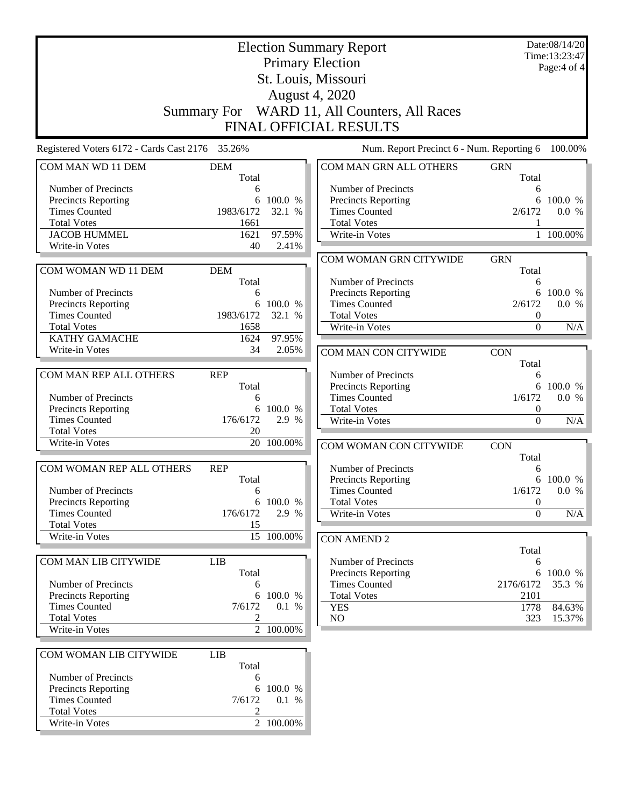|                                                 |                               | Date:08/14/20<br>Time:13:23:47 |                                              |                     |                   |  |  |
|-------------------------------------------------|-------------------------------|--------------------------------|----------------------------------------------|---------------------|-------------------|--|--|
|                                                 |                               | Page: 4 of 4                   |                                              |                     |                   |  |  |
|                                                 |                               |                                |                                              |                     |                   |  |  |
|                                                 |                               |                                | St. Louis, Missouri<br>August 4, 2020        |                     |                   |  |  |
|                                                 |                               |                                |                                              |                     |                   |  |  |
|                                                 |                               |                                | Summary For WARD 11, All Counters, All Races |                     |                   |  |  |
|                                                 | <b>FINAL OFFICIAL RESULTS</b> |                                |                                              |                     |                   |  |  |
| Registered Voters 6172 - Cards Cast 2176 35.26% |                               |                                | Num. Report Precinct 6 - Num. Reporting 6    |                     | 100.00%           |  |  |
| COM MAN WD 11 DEM                               | <b>DEM</b><br>Total           |                                | COM MAN GRN ALL OTHERS                       | <b>GRN</b><br>Total |                   |  |  |
| Number of Precincts                             | 6                             |                                | Number of Precincts                          | 6                   |                   |  |  |
| Precincts Reporting                             |                               | 6 100.0 %                      | Precincts Reporting                          | 6                   | 100.0 %           |  |  |
| <b>Times Counted</b>                            | 1983/6172                     | 32.1 %                         | <b>Times Counted</b>                         | 2/6172              | 0.0 %             |  |  |
| <b>Total Votes</b>                              | 1661                          |                                | <b>Total Votes</b>                           |                     |                   |  |  |
| <b>JACOB HUMMEL</b>                             | 1621                          | 97.59%                         | Write-in Votes                               | $\mathbf{1}$        | 100.00%           |  |  |
| Write-in Votes                                  | 40                            | 2.41%                          |                                              |                     |                   |  |  |
|                                                 |                               |                                | COM WOMAN GRN CITYWIDE                       | <b>GRN</b>          |                   |  |  |
| COM WOMAN WD 11 DEM                             | <b>DEM</b>                    |                                |                                              | Total               |                   |  |  |
|                                                 | Total                         |                                | Number of Precincts                          | 6                   |                   |  |  |
| Number of Precincts                             | 6                             |                                | <b>Precincts Reporting</b>                   | 6                   | 100.0 %           |  |  |
| Precincts Reporting<br><b>Times Counted</b>     | 1983/6172                     | 6 100.0 %<br>32.1 %            | <b>Times Counted</b><br><b>Total Votes</b>   | 2/6172              | 0.0 %             |  |  |
| <b>Total Votes</b>                              | 1658                          |                                | Write-in Votes                               | 0<br>$\theta$       |                   |  |  |
| <b>KATHY GAMACHE</b>                            | 1624                          | 97.95%                         |                                              |                     | N/A               |  |  |
| Write-in Votes                                  | 34                            | 2.05%                          |                                              |                     |                   |  |  |
|                                                 |                               |                                | COM MAN CON CITYWIDE                         | <b>CON</b><br>Total |                   |  |  |
| COM MAN REP ALL OTHERS                          | <b>REP</b>                    |                                | Number of Precincts                          | 6                   |                   |  |  |
|                                                 | Total                         |                                | Precincts Reporting                          | 6                   | 100.0 %           |  |  |
| Number of Precincts                             | 6                             |                                | <b>Times Counted</b>                         | 1/6172              | 0.0 %             |  |  |
| Precincts Reporting                             | 6                             | 100.0 %                        | <b>Total Votes</b>                           | 0                   |                   |  |  |
| <b>Times Counted</b>                            | 176/6172                      | 2.9 %                          | Write-in Votes                               | $\theta$            | N/A               |  |  |
| <b>Total Votes</b>                              | 20                            |                                |                                              |                     |                   |  |  |
| Write-in Votes                                  | 20                            | 100.00%                        | COM WOMAN CON CITYWIDE                       | <b>CON</b>          |                   |  |  |
|                                                 |                               |                                |                                              | Total               |                   |  |  |
| COM WOMAN REP ALL OTHERS                        | <b>REP</b>                    |                                | Number of Precincts                          | 6                   |                   |  |  |
|                                                 | Total                         |                                | Precincts Reporting                          | 6                   | 100.0 %           |  |  |
| Number of Precincts                             | 6                             |                                | Times Counted                                | 1/6172              | 0.0 %             |  |  |
| <b>Precincts Reporting</b>                      |                               | 6 100.0 %                      | <b>Total Votes</b>                           | $\mathbf{0}$        |                   |  |  |
| <b>Times Counted</b>                            | 176/6172                      | 2.9 %                          | Write-in Votes                               | $\Omega$            | N/A               |  |  |
| <b>Total Votes</b>                              | 15                            |                                |                                              |                     |                   |  |  |
| Write-in Votes                                  |                               | 15 100.00%                     | CON AMEND 2                                  |                     |                   |  |  |
|                                                 |                               |                                |                                              | Total               |                   |  |  |
| COM MAN LIB CITYWIDE                            | <b>LIB</b><br>Total           |                                | Number of Precincts                          | 6                   |                   |  |  |
| Number of Precincts                             | 6                             |                                | Precincts Reporting<br><b>Times Counted</b>  | 6<br>2176/6172      | 100.0 %<br>35.3 % |  |  |
| Precincts Reporting                             | 6                             | 100.0 %                        | <b>Total Votes</b>                           | 2101                |                   |  |  |
| <b>Times Counted</b>                            | 7/6172                        | 0.1 %                          | <b>YES</b>                                   | 1778                | 84.63%            |  |  |
| <b>Total Votes</b>                              | 2                             |                                | NO                                           | 323                 | $15.37\%$         |  |  |
| Write-in Votes                                  |                               | 2 100.00%                      |                                              |                     |                   |  |  |
|                                                 |                               |                                |                                              |                     |                   |  |  |
| COM WOMAN LIB CITYWIDE                          | <b>LIB</b>                    |                                |                                              |                     |                   |  |  |
|                                                 | Total                         |                                |                                              |                     |                   |  |  |
| Number of Precincts                             | 6                             |                                |                                              |                     |                   |  |  |
| Precincts Reporting                             |                               | 6 100.0 %                      |                                              |                     |                   |  |  |
| <b>Times Counted</b>                            | 7/6172                        | 0.1 %                          |                                              |                     |                   |  |  |
| <b>Total Votes</b>                              | 2                             |                                |                                              |                     |                   |  |  |
| Write-in Votes                                  |                               | 2 100.00%                      |                                              |                     |                   |  |  |
|                                                 |                               |                                |                                              |                     |                   |  |  |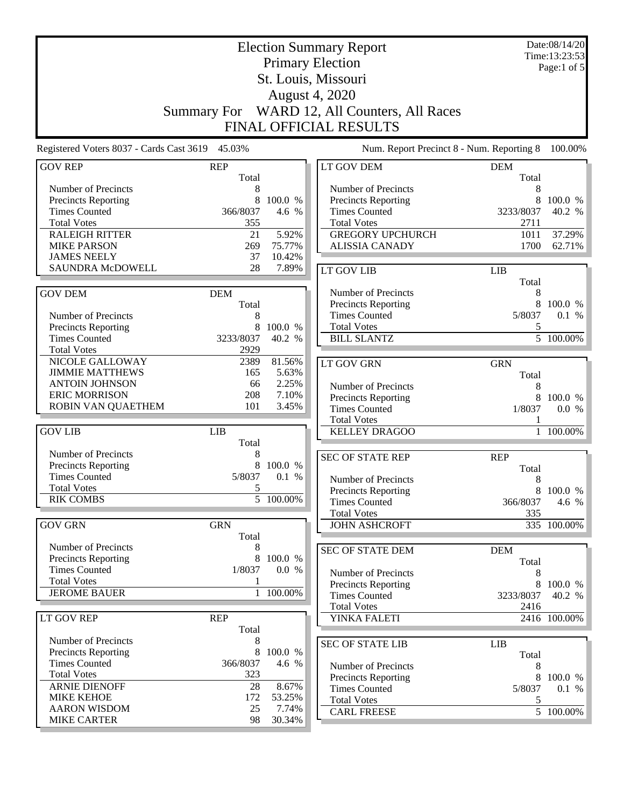|                                                 | <b>Election Summary Report</b> |                  |                                             |                     |                              |
|-------------------------------------------------|--------------------------------|------------------|---------------------------------------------|---------------------|------------------------------|
|                                                 |                                |                  | <b>Primary Election</b>                     |                     | Time:13:23:53<br>Page:1 of 5 |
|                                                 | St. Louis, Missouri            |                  |                                             |                     |                              |
|                                                 |                                |                  | <b>August 4, 2020</b>                       |                     |                              |
|                                                 |                                |                  |                                             |                     |                              |
|                                                 | <b>Summary For</b>             |                  | WARD 12, All Counters, All Races            |                     |                              |
|                                                 |                                |                  | FINAL OFFICIAL RESULTS                      |                     |                              |
| Registered Voters 8037 - Cards Cast 3619 45.03% |                                |                  | Num. Report Precinct 8 - Num. Reporting 8   |                     | 100.00%                      |
| <b>GOV REP</b>                                  | <b>REP</b><br>Total            |                  | LT GOV DEM                                  | <b>DEM</b><br>Total |                              |
| Number of Precincts                             | 8                              |                  | Number of Precincts                         | 8                   |                              |
| <b>Precincts Reporting</b>                      | 8                              | 100.0 %          | Precincts Reporting                         | 8                   | 100.0 %                      |
| <b>Times Counted</b>                            | 366/8037                       | 4.6 %            | <b>Times Counted</b>                        | 3233/8037           | 40.2 %                       |
| <b>Total Votes</b>                              | 355                            |                  | <b>Total Votes</b>                          | 2711                |                              |
| <b>RALEIGH RITTER</b>                           | 21                             | 5.92%            | <b>GREGORY UPCHURCH</b>                     | 1011                | 37.29%                       |
| <b>MIKE PARSON</b>                              | 269                            | 75.77%           | <b>ALISSIA CANADY</b>                       | 1700                | 62.71%                       |
| <b>JAMES NEELY</b>                              | 37                             | 10.42%           |                                             |                     |                              |
| SAUNDRA McDOWELL                                | 28                             | 7.89%            | LT GOV LIB                                  | <b>LIB</b>          |                              |
|                                                 |                                |                  |                                             | Total               |                              |
| <b>GOV DEM</b>                                  | <b>DEM</b>                     |                  | Number of Precincts                         | 8<br>8              | 100.0 %                      |
| Number of Precincts                             | Total<br>8                     |                  | Precincts Reporting<br><b>Times Counted</b> | 5/8037              | 0.1 %                        |
| Precincts Reporting                             | 8                              | 100.0 %          | <b>Total Votes</b>                          | 5                   |                              |
| <b>Times Counted</b>                            | 3233/8037                      | 40.2 %           | <b>BILL SLANTZ</b>                          |                     | $\overline{5}$ 100.00%       |
| <b>Total Votes</b>                              | 2929                           |                  |                                             |                     |                              |
| NICOLE GALLOWAY                                 | 2389                           | 81.56%           | LT GOV GRN                                  | <b>GRN</b>          |                              |
| <b>JIMMIE MATTHEWS</b>                          | 165                            | 5.63%            |                                             | Total               |                              |
| <b>ANTOIN JOHNSON</b>                           | 66                             | 2.25%            | Number of Precincts                         | 8                   |                              |
| <b>ERIC MORRISON</b>                            | 208                            | 7.10%            | Precincts Reporting                         | 8                   | 100.0 %                      |
| ROBIN VAN QUAETHEM                              | 101                            | 3.45%            | <b>Times Counted</b>                        | 1/8037              | 0.0 %                        |
|                                                 |                                |                  | <b>Total Votes</b>                          | 1                   |                              |
| <b>GOV LIB</b>                                  | <b>LIB</b>                     |                  | <b>KELLEY DRAGOO</b>                        | $\mathbf{1}$        | 100.00%                      |
|                                                 | Total                          |                  |                                             |                     |                              |
| Number of Precincts                             | 8                              |                  | <b>SEC OF STATE REP</b>                     | <b>REP</b>          |                              |
| Precincts Reporting<br><b>Times Counted</b>     | 8<br>5/8037                    | 100.0 %<br>0.1 % |                                             | Total               |                              |
| <b>Total Votes</b>                              | 5                              |                  | Number of Precincts                         | 8                   |                              |
| <b>RIK COMBS</b>                                |                                | 5 100.00%        | <b>Precincts Reporting</b>                  | 8                   | 100.0 %                      |
|                                                 |                                |                  | <b>Times Counted</b><br><b>Total Votes</b>  | 366/8037<br>335     | 4.6 %                        |
| <b>GOV GRN</b>                                  | <b>GRN</b>                     |                  | <b>JOHN ASHCROFT</b>                        |                     | 335 100.00%                  |
|                                                 | Total                          |                  |                                             |                     |                              |
| Number of Precincts                             | 8                              |                  | <b>SEC OF STATE DEM</b>                     | <b>DEM</b>          |                              |
| Precincts Reporting                             | 8                              | 100.0 %          |                                             | Total               |                              |
| <b>Times Counted</b>                            | 1/8037                         | 0.0 %            | Number of Precincts                         | 8                   |                              |
| <b>Total Votes</b>                              |                                |                  | <b>Precincts Reporting</b>                  |                     | 8 100.0 %                    |
| <b>JEROME BAUER</b>                             | $\mathbf{1}$                   | 100.00%          | <b>Times Counted</b>                        | 3233/8037           | 40.2 %                       |
|                                                 |                                |                  | <b>Total Votes</b>                          | 2416                |                              |
| LT GOV REP                                      | <b>REP</b>                     |                  | YINKA FALETI                                |                     | $\overline{2416}$ 100.00%    |
|                                                 | Total                          |                  |                                             |                     |                              |
| Number of Precincts                             | 8                              |                  | <b>SEC OF STATE LIB</b>                     | <b>LIB</b>          |                              |
| Precincts Reporting<br><b>Times Counted</b>     | 8<br>366/8037                  | 100.0 %<br>4.6 % |                                             | Total               |                              |
| <b>Total Votes</b>                              | 323                            |                  | Number of Precincts                         | 8                   |                              |
| <b>ARNIE DIENOFF</b>                            | 28                             | 8.67%            | Precincts Reporting                         |                     | 8 100.0 %                    |
| <b>MIKE KEHOE</b>                               | 172                            | 53.25%           | <b>Times Counted</b>                        | 5/8037              | 0.1 %                        |
| <b>AARON WISDOM</b>                             | 25                             | 7.74%            | <b>Total Votes</b><br><b>CARL FREESE</b>    | 5                   | 5 100.00%                    |
| <b>MIKE CARTER</b>                              | 98                             | 30.34%           |                                             |                     |                              |
|                                                 |                                |                  |                                             |                     |                              |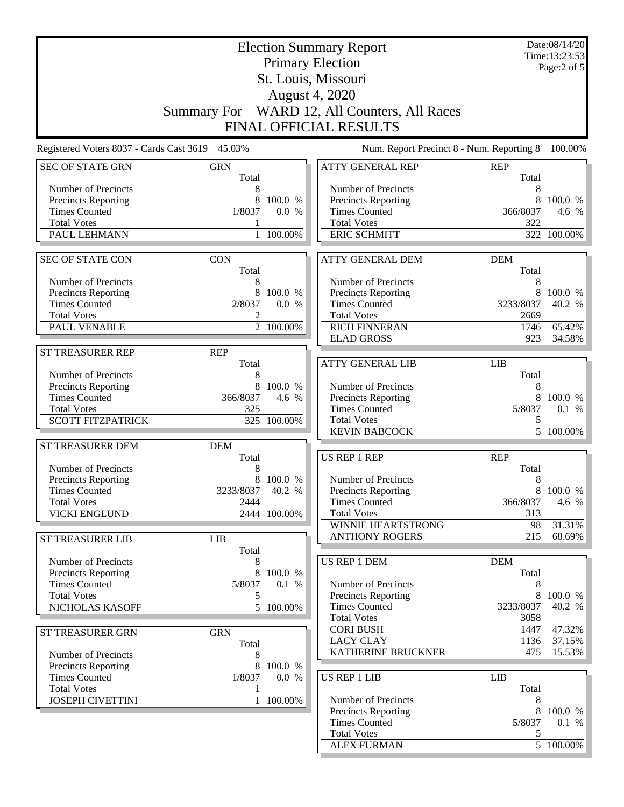|                                                    |                     |              | <b>Election Summary Report</b>                     |                     | Date:08/14/20<br>Time:13:23:53 |  |
|----------------------------------------------------|---------------------|--------------|----------------------------------------------------|---------------------|--------------------------------|--|
|                                                    |                     |              | <b>Primary Election</b>                            |                     | Page: $2$ of $5$               |  |
|                                                    | St. Louis, Missouri |              |                                                    |                     |                                |  |
|                                                    |                     |              | <b>August 4, 2020</b>                              |                     |                                |  |
|                                                    |                     |              | Summary For WARD 12, All Counters, All Races       |                     |                                |  |
|                                                    |                     |              | FINAL OFFICIAL RESULTS                             |                     |                                |  |
|                                                    |                     |              |                                                    |                     |                                |  |
| Registered Voters 8037 - Cards Cast 3619 45.03%    |                     |              | Num. Report Precinct 8 - Num. Reporting 8          |                     | 100.00%                        |  |
| <b>SEC OF STATE GRN</b>                            | <b>GRN</b><br>Total |              | <b>ATTY GENERAL REP</b>                            | <b>REP</b><br>Total |                                |  |
| Number of Precincts                                | 8                   |              | Number of Precincts                                | 8                   |                                |  |
| <b>Precincts Reporting</b>                         | 8                   | 100.0 %      | Precincts Reporting                                | 8                   | 100.0 %                        |  |
| <b>Times Counted</b>                               | 1/8037              | 0.0 %        | <b>Times Counted</b>                               | 366/8037            | 4.6 %                          |  |
| <b>Total Votes</b><br>PAUL LEHMANN                 | 1                   | 1 100.00%    | <b>Total Votes</b><br><b>ERIC SCHMITT</b>          | 322<br>322          | 100.00%                        |  |
|                                                    |                     |              |                                                    |                     |                                |  |
| <b>SEC OF STATE CON</b>                            | <b>CON</b>          |              | <b>ATTY GENERAL DEM</b>                            | <b>DEM</b>          |                                |  |
| Number of Precincts                                | Total               |              |                                                    | Total               |                                |  |
| <b>Precincts Reporting</b>                         | 8<br>8              | 100.0 %      | Number of Precincts<br><b>Precincts Reporting</b>  | 8<br>8              | 100.0 %                        |  |
| <b>Times Counted</b>                               | 2/8037              | 0.0 %        | <b>Times Counted</b>                               | 3233/8037           | 40.2 %                         |  |
| <b>Total Votes</b>                                 | 2                   |              | <b>Total Votes</b>                                 | 2669                |                                |  |
| PAUL VENABLE                                       |                     | 2 100.00%    | <b>RICH FINNERAN</b>                               | 1746                | 65.42%                         |  |
|                                                    |                     |              | <b>ELAD GROSS</b>                                  | 923                 | 34.58%                         |  |
| ST TREASURER REP                                   | <b>REP</b>          |              |                                                    |                     |                                |  |
|                                                    | Total               |              | <b>ATTY GENERAL LIB</b>                            | <b>LIB</b>          |                                |  |
| Number of Precincts                                | 8                   |              |                                                    | Total               |                                |  |
| <b>Precincts Reporting</b><br><b>Times Counted</b> | 8<br>366/8037       | 100.0 %      | Number of Precincts                                | 8<br>8              | 100.0 %                        |  |
| <b>Total Votes</b>                                 | 325                 | 4.6 %        | Precincts Reporting<br><b>Times Counted</b>        | 5/8037              | $0.1 \%$                       |  |
| <b>SCOTT FITZPATRICK</b>                           |                     | 325 100.00%  | <b>Total Votes</b>                                 | 5                   |                                |  |
|                                                    |                     |              | <b>KEVIN BABCOCK</b>                               |                     | $\overline{5}$ 100.00%         |  |
| ST TREASURER DEM                                   | <b>DEM</b>          |              |                                                    |                     |                                |  |
|                                                    | Total               |              | <b>US REP 1 REP</b>                                | <b>REP</b>          |                                |  |
| Number of Precincts                                | 8                   |              |                                                    | Total               |                                |  |
| <b>Precincts Reporting</b>                         | 8                   | 100.0 %      | Number of Precincts                                | 8                   |                                |  |
| <b>Times Counted</b><br><b>Total Votes</b>         | 3233/8037<br>2444   | 40.2 %       | <b>Precincts Reporting</b>                         | 8                   | 100.0 %                        |  |
| <b>VICKI ENGLUND</b>                               |                     | 2444 100.00% | <b>Times Counted</b><br><b>Total Votes</b>         | 366/8037<br>313     | 4.6 %                          |  |
|                                                    |                     |              | WINNIE HEARTSTRONG                                 | 98                  | $31.31\%$                      |  |
| <b>ST TREASURER LIB</b>                            | LIB                 |              | <b>ANTHONY ROGERS</b>                              | 215                 | 68.69%                         |  |
|                                                    | Total               |              |                                                    |                     |                                |  |
| Number of Precincts                                | 8                   |              | <b>US REP 1 DEM</b>                                | <b>DEM</b>          |                                |  |
| Precincts Reporting                                | 8                   | 100.0 %      |                                                    | Total               |                                |  |
| <b>Times Counted</b>                               | 5/8037              | 0.1 %        | Number of Precincts                                | 8                   |                                |  |
| <b>Total Votes</b>                                 | 5                   |              | <b>Precincts Reporting</b><br><b>Times Counted</b> | 8                   | 100.0 %<br>40.2 %              |  |
| NICHOLAS KASOFF                                    |                     | 5 100.00%    | <b>Total Votes</b>                                 | 3233/8037<br>3058   |                                |  |
| ST TREASURER GRN                                   | <b>GRN</b>          |              | <b>CORI BUSH</b>                                   | 1447                | 47.32%                         |  |
|                                                    | Total               |              | <b>LACY CLAY</b>                                   | 1136                | $37.15\%$                      |  |
| Number of Precincts                                | 8                   |              | KATHERINE BRUCKNER                                 | 475                 | $15.53\%$                      |  |
| Precincts Reporting                                | 8                   | 100.0 %      |                                                    |                     |                                |  |
| <b>Times Counted</b>                               | 1/8037              | 0.0 %        | <b>US REP 1 LIB</b>                                | <b>LIB</b>          |                                |  |
| <b>Total Votes</b>                                 | 1                   |              |                                                    | Total               |                                |  |
| <b>JOSEPH CIVETTINI</b>                            |                     | 1 100.00%    | Number of Precincts                                | 8<br>8              | 100.0 %                        |  |
|                                                    |                     |              | <b>Precincts Reporting</b><br><b>Times Counted</b> | 5/8037              | 0.1 %                          |  |
|                                                    |                     |              | <b>Total Votes</b>                                 | 5                   |                                |  |
|                                                    |                     |              | <b>ALEX FURMAN</b>                                 |                     | $\frac{1}{5}$ 100.00%          |  |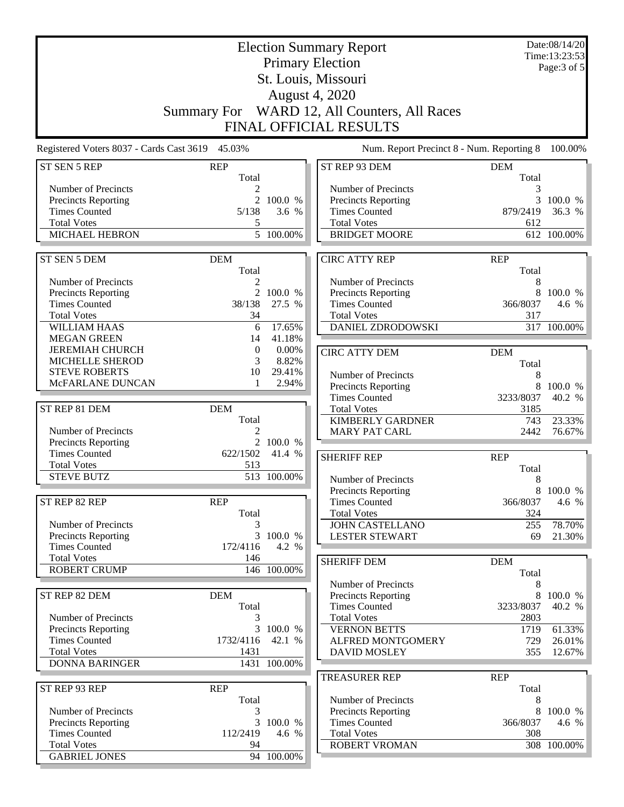| <b>Election Summary Report</b>                  |              |                        |                                                |                     | Date:08/14/20<br>Time:13:23:53 |
|-------------------------------------------------|--------------|------------------------|------------------------------------------------|---------------------|--------------------------------|
|                                                 |              |                        | <b>Primary Election</b>                        |                     | Page:3 of 5                    |
|                                                 |              |                        | St. Louis, Missouri                            |                     |                                |
|                                                 |              |                        |                                                |                     |                                |
|                                                 |              |                        | August 4, 2020                                 |                     |                                |
|                                                 |              |                        | Summary For WARD 12, All Counters, All Races   |                     |                                |
|                                                 |              |                        | FINAL OFFICIAL RESULTS                         |                     |                                |
| Registered Voters 8037 - Cards Cast 3619 45.03% |              |                        | Num. Report Precinct 8 - Num. Reporting 8      |                     | 100.00%                        |
| ST SEN 5 REP                                    | <b>REP</b>   |                        | ST REP 93 DEM                                  | <b>DEM</b>          |                                |
|                                                 | Total        |                        |                                                | Total               |                                |
| Number of Precincts                             | 2            |                        | Number of Precincts                            | 3                   |                                |
| <b>Precincts Reporting</b>                      | 2            | 100.0 %                | Precincts Reporting                            | 3                   | 100.0 %                        |
| <b>Times Counted</b><br><b>Total Votes</b>      | 5/138        | 3.6 %                  | <b>Times Counted</b><br><b>Total Votes</b>     | 879/2419<br>612     | 36.3 %                         |
| <b>MICHAEL HEBRON</b>                           | 5            | $\overline{5}$ 100.00% | <b>BRIDGET MOORE</b>                           |                     | 612 100.00%                    |
|                                                 |              |                        |                                                |                     |                                |
| ST SEN 5 DEM                                    | <b>DEM</b>   |                        | <b>CIRC ATTY REP</b>                           | <b>REP</b>          |                                |
|                                                 | Total        |                        |                                                | Total               |                                |
| Number of Precincts                             | 2            |                        | Number of Precincts                            | 8                   |                                |
| Precincts Reporting                             | 2            | 100.0 %                | Precincts Reporting                            | 8                   | 100.0 %                        |
| <b>Times Counted</b>                            | 38/138       | 27.5 %                 | <b>Times Counted</b>                           | 366/8037            | 4.6 %                          |
| <b>Total Votes</b><br><b>WILLIAM HAAS</b>       | 34           | 17.65%                 | <b>Total Votes</b><br><b>DANIEL ZDRODOWSKI</b> | 317                 | 317 100.00%                    |
| <b>MEGAN GREEN</b>                              | 6<br>14      | 41.18%                 |                                                |                     |                                |
| <b>JEREMIAH CHURCH</b>                          | $\theta$     | 0.00%                  |                                                |                     |                                |
| <b>MICHELLE SHEROD</b>                          | 3            | 8.82%                  | <b>CIRC ATTY DEM</b>                           | <b>DEM</b>          |                                |
| <b>STEVE ROBERTS</b>                            | 10           | 29.41%                 |                                                | Total               |                                |
| McFARLANE DUNCAN                                | $\mathbf{1}$ | 2.94%                  | Number of Precincts                            | 8                   |                                |
|                                                 |              |                        | Precincts Reporting<br><b>Times Counted</b>    | 8<br>3233/8037      | 100.0 %<br>40.2 %              |
| ST REP 81 DEM                                   | <b>DEM</b>   |                        | <b>Total Votes</b>                             | 3185                |                                |
|                                                 | Total        |                        | <b>KIMBERLY GARDNER</b>                        | 743                 | 23.33%                         |
| Number of Precincts                             | 2            |                        | <b>MARY PAT CARL</b>                           | 2442                | 76.67%                         |
| <b>Precincts Reporting</b>                      | 2            | 100.0 %                |                                                |                     |                                |
| <b>Times Counted</b>                            | 622/1502     | 41.4 %                 | <b>SHERIFF REP</b>                             | <b>REP</b>          |                                |
| <b>Total Votes</b>                              | 513          |                        |                                                | Total               |                                |
| <b>STEVE BUTZ</b>                               |              | 513 100.00%            | Number of Precincts                            | 8                   |                                |
|                                                 |              |                        | <b>Precincts Reporting</b>                     |                     | 8 100.0 %                      |
| ST REP 82 REP                                   | <b>REP</b>   |                        | <b>Times Counted</b>                           | 366/8037            | 4.6 %                          |
|                                                 | Total        |                        | <b>Total Votes</b>                             | 324                 |                                |
| Number of Precincts                             | 3            |                        | JOHN CASTELLANO                                | 255                 | 78.70%                         |
| Precincts Reporting                             | 3            | 100.0 %                | <b>LESTER STEWART</b>                          | 69                  | 21.30%                         |
| <b>Times Counted</b>                            | 172/4116     | 4.2 %                  |                                                |                     |                                |
| <b>Total Votes</b>                              | 146          |                        | <b>SHERIFF DEM</b>                             | <b>DEM</b>          |                                |
| <b>ROBERT CRUMP</b>                             |              | 146 100.00%            |                                                | Total               |                                |
|                                                 |              |                        | Number of Precincts                            | 8                   |                                |
| ST REP 82 DEM                                   | <b>DEM</b>   |                        | <b>Precincts Reporting</b>                     | 8                   | 100.0 %                        |
|                                                 | Total        |                        | <b>Times Counted</b>                           | 3233/8037           | 40.2 %                         |
| Number of Precincts                             | 3            |                        | <b>Total Votes</b>                             | 2803                |                                |
| Precincts Reporting                             | 3            | 100.0 %                | <b>VERNON BETTS</b>                            | 1719                | 61.33%                         |
| <b>Times Counted</b><br><b>Total Votes</b>      | 1732/4116    | 42.1 %                 | ALFRED MONTGOMERY                              | 729                 | 26.01%                         |
| <b>DONNA BARINGER</b>                           | 1431         | 1431 100.00%           | <b>DAVID MOSLEY</b>                            | 355                 | 12.67%                         |
|                                                 |              |                        | <b>TREASURER REP</b>                           |                     |                                |
| ST REP 93 REP                                   | <b>REP</b>   |                        |                                                | <b>REP</b><br>Total |                                |
|                                                 | Total        |                        | Number of Precincts                            | 8                   |                                |
| Number of Precincts                             | 3            |                        | Precincts Reporting                            |                     | 8 100.0 %                      |
| Precincts Reporting                             | 3            | 100.0 %                | <b>Times Counted</b>                           | 366/8037            | 4.6 %                          |
| <b>Times Counted</b>                            | 112/2419     | 4.6 %                  | <b>Total Votes</b>                             | 308                 |                                |
| <b>Total Votes</b>                              | 94           |                        | ROBERT VROMAN                                  |                     | 308 100.00%                    |
| <b>GABRIEL JONES</b>                            |              | 94 100.00%             |                                                |                     |                                |
|                                                 |              |                        |                                                |                     |                                |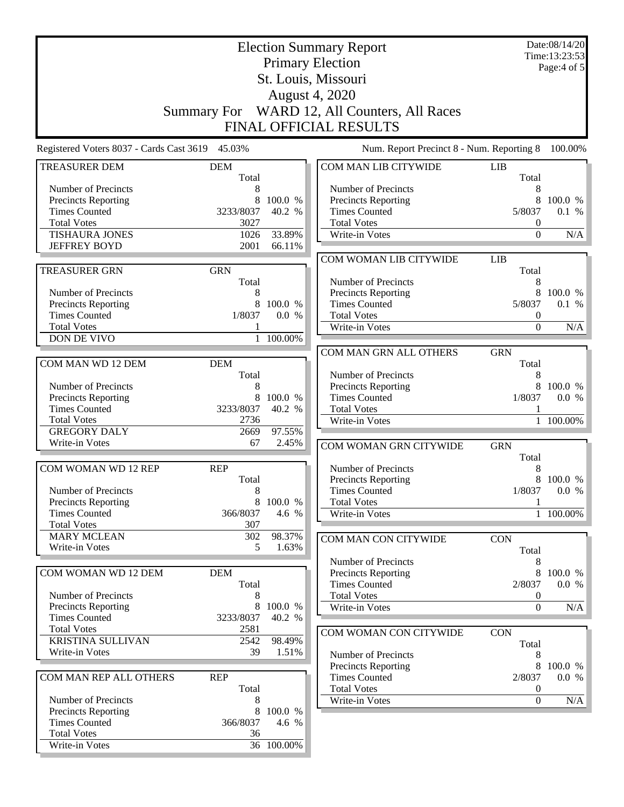|                                                 | Date:08/14/20<br><b>Election Summary Report</b><br>Time:13:23:53 |                 |                                              |                     |                                |  |
|-------------------------------------------------|------------------------------------------------------------------|-----------------|----------------------------------------------|---------------------|--------------------------------|--|
|                                                 |                                                                  |                 | <b>Primary Election</b>                      |                     | Page:4 of 5                    |  |
| St. Louis, Missouri                             |                                                                  |                 |                                              |                     |                                |  |
|                                                 |                                                                  |                 | <b>August 4, 2020</b>                        |                     |                                |  |
|                                                 |                                                                  |                 | Summary For WARD 12, All Counters, All Races |                     |                                |  |
|                                                 |                                                                  |                 |                                              |                     |                                |  |
|                                                 |                                                                  |                 | FINAL OFFICIAL RESULTS                       |                     |                                |  |
| Registered Voters 8037 - Cards Cast 3619 45.03% |                                                                  |                 | Num. Report Precinct 8 - Num. Reporting 8    |                     | 100.00%                        |  |
| <b>TREASURER DEM</b>                            | <b>DEM</b>                                                       |                 | COM MAN LIB CITYWIDE                         | <b>LIB</b>          |                                |  |
| Number of Precincts                             | Total<br>8                                                       |                 | Number of Precincts                          | Total<br>8          |                                |  |
| Precincts Reporting                             | 8                                                                | 100.0 %         | <b>Precincts Reporting</b>                   | 8                   | 100.0 %                        |  |
| <b>Times Counted</b>                            | 3233/8037                                                        | 40.2 %          | <b>Times Counted</b>                         | 5/8037              | 0.1 %                          |  |
| <b>Total Votes</b>                              | 3027                                                             |                 | <b>Total Votes</b>                           | $\boldsymbol{0}$    |                                |  |
| <b>TISHAURA JONES</b>                           | 1026                                                             | 33.89%          | Write-in Votes                               | $\boldsymbol{0}$    | N/A                            |  |
| <b>JEFFREY BOYD</b>                             | 2001                                                             | 66.11%          |                                              |                     |                                |  |
|                                                 |                                                                  |                 | COM WOMAN LIB CITYWIDE                       | <b>LIB</b>          |                                |  |
| <b>TREASURER GRN</b>                            | <b>GRN</b>                                                       |                 |                                              | Total               |                                |  |
|                                                 | Total                                                            |                 | Number of Precincts                          | 8                   |                                |  |
| Number of Precincts<br>Precincts Reporting      | 8<br>8                                                           | 100.0 %         | Precincts Reporting<br><b>Times Counted</b>  | 8<br>5/8037         | 100.0 %<br>0.1 %               |  |
| <b>Times Counted</b>                            | 1/8037                                                           | 0.0 %           | <b>Total Votes</b>                           | $\boldsymbol{0}$    |                                |  |
| <b>Total Votes</b>                              |                                                                  |                 | Write-in Votes                               | $\boldsymbol{0}$    | N/A                            |  |
| DON DE VIVO                                     | $\mathbf{1}$                                                     | 100.00%         |                                              |                     |                                |  |
|                                                 |                                                                  |                 | COM MAN GRN ALL OTHERS                       | <b>GRN</b>          |                                |  |
| COM MAN WD 12 DEM                               | <b>DEM</b>                                                       |                 |                                              | Total               |                                |  |
|                                                 | Total                                                            |                 | Number of Precincts                          | 8                   |                                |  |
| Number of Precincts                             | 8                                                                |                 | Precincts Reporting                          |                     | 8 100.0 %                      |  |
| Precincts Reporting                             | 8                                                                | 100.0 %         | <b>Times Counted</b>                         | 1/8037              | 0.0 %                          |  |
| <b>Times Counted</b>                            | 3233/8037                                                        | 40.2 %          | <b>Total Votes</b>                           |                     |                                |  |
| <b>Total Votes</b><br><b>GREGORY DALY</b>       | 2736                                                             |                 | Write-in Votes                               |                     | 1 100.00%                      |  |
| Write-in Votes                                  | 2669<br>67                                                       | 97.55%<br>2.45% |                                              |                     |                                |  |
|                                                 |                                                                  |                 | COM WOMAN GRN CITYWIDE                       | <b>GRN</b><br>Total |                                |  |
| <b>COM WOMAN WD 12 REP</b>                      | <b>REP</b>                                                       |                 | Number of Precincts                          | 8                   |                                |  |
|                                                 | Total                                                            |                 | Precincts Reporting                          |                     | 8 100.0 %                      |  |
| Number of Precincts                             | 8                                                                |                 | <b>Times Counted</b>                         | 1/8037              | 0.0 %                          |  |
| <b>Precincts Reporting</b>                      |                                                                  | 8 100.0 %       | <b>Total Votes</b>                           | 1                   |                                |  |
| <b>Times Counted</b>                            | 366/8037                                                         | 4.6 %           | Write-in Votes                               |                     | 1 100.00%                      |  |
| <b>Total Votes</b>                              | 307                                                              |                 |                                              |                     |                                |  |
| <b>MARY MCLEAN</b>                              | 302                                                              | 98.37%          | COM MAN CON CITYWIDE                         | <b>CON</b>          |                                |  |
| Write-in Votes                                  | 5                                                                | 1.63%           |                                              | Total               |                                |  |
|                                                 |                                                                  |                 | Number of Precincts                          | 8                   |                                |  |
| COM WOMAN WD 12 DEM                             | <b>DEM</b><br>Total                                              |                 | Precincts Reporting                          | 8<br>2/8037         | 100.0 %                        |  |
| Number of Precincts                             | 8                                                                |                 | <b>Times Counted</b><br><b>Total Votes</b>   | $\boldsymbol{0}$    | 0.0 %                          |  |
| Precincts Reporting                             | 8                                                                | 100.0 %         | Write-in Votes                               | $\boldsymbol{0}$    | $\overline{\text{N}}/\text{A}$ |  |
| <b>Times Counted</b>                            | 3233/8037                                                        | 40.2 %          |                                              |                     |                                |  |
| <b>Total Votes</b>                              | 2581                                                             |                 | COM WOMAN CON CITYWIDE                       | <b>CON</b>          |                                |  |
| <b>KRISTINA SULLIVAN</b>                        | 2542                                                             | 98.49%          |                                              | Total               |                                |  |
| Write-in Votes                                  | 39                                                               | 1.51%           | Number of Precincts                          | 8                   |                                |  |
|                                                 |                                                                  |                 | Precincts Reporting                          | 8                   | 100.0 %                        |  |
| COM MAN REP ALL OTHERS                          | <b>REP</b>                                                       |                 | <b>Times Counted</b>                         | 2/8037              | 0.0 %                          |  |
|                                                 | Total                                                            |                 | <b>Total Votes</b>                           | $\boldsymbol{0}$    |                                |  |
| Number of Precincts                             | 8                                                                |                 | Write-in Votes                               | $\boldsymbol{0}$    | N/A                            |  |
| Precincts Reporting                             | 8                                                                | 100.0 %         |                                              |                     |                                |  |
| <b>Times Counted</b><br><b>Total Votes</b>      | 366/8037<br>36                                                   | 4.6 %           |                                              |                     |                                |  |
| Write-in Votes                                  |                                                                  | 36 100.00%      |                                              |                     |                                |  |
|                                                 |                                                                  |                 |                                              |                     |                                |  |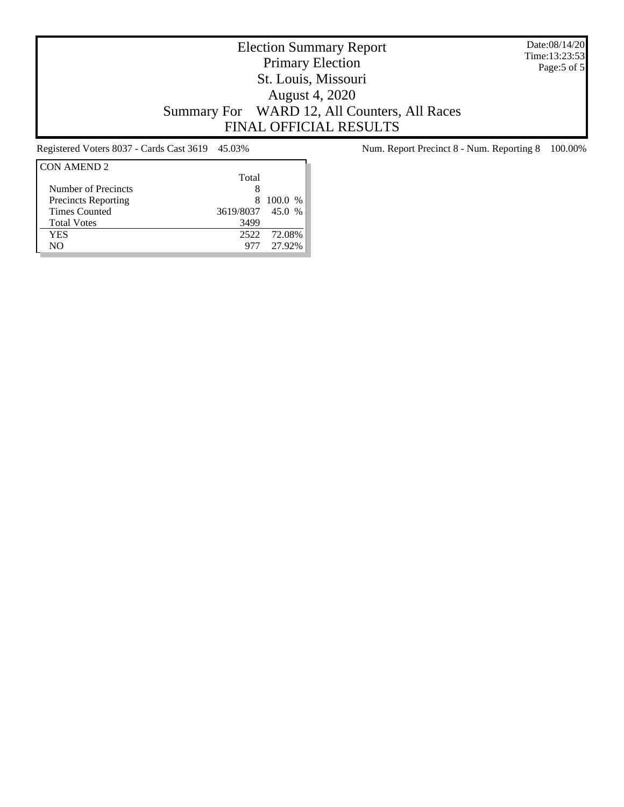Date:08/14/20 Time:13:23:53 Page:5 of 5

## Election Summary Report Primary Election St. Louis, Missouri August 4, 2020 Summary For WARD 12, All Counters, All Races FINAL OFFICIAL RESULTS

| Total<br>Number of Precincts<br><b>Precincts Reporting</b><br>100.0 %<br>8.<br><b>Times Counted</b><br>3619/8037 45.0 %<br><b>Total Votes</b><br>3499<br>72.08%<br>YES<br>2522 | CON AMEND 2 |        |
|--------------------------------------------------------------------------------------------------------------------------------------------------------------------------------|-------------|--------|
|                                                                                                                                                                                |             |        |
|                                                                                                                                                                                |             |        |
|                                                                                                                                                                                |             |        |
|                                                                                                                                                                                |             |        |
|                                                                                                                                                                                |             |        |
|                                                                                                                                                                                |             |        |
|                                                                                                                                                                                | NO.         | 27.92% |

Registered Voters 8037 - Cards Cast 3619 45.03% Num. Report Precinct 8 - Num. Reporting 8 100.00%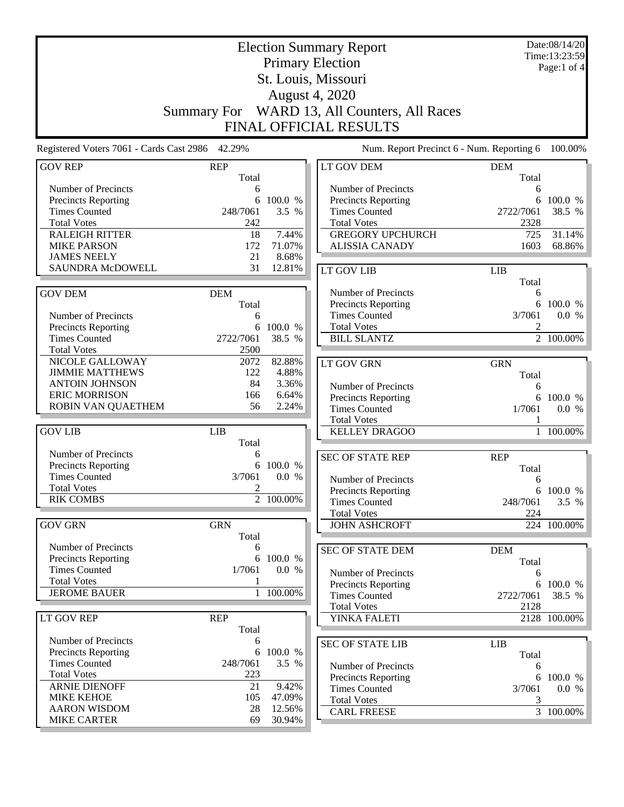| Time:13:23:59<br><b>Primary Election</b><br>Page:1 of 4<br>St. Louis, Missouri<br>August 4, 2020<br>WARD 13, All Counters, All Races<br><b>Summary For</b><br>FINAL OFFICIAL RESULTS<br>Registered Voters 7061 - Cards Cast 2986 42.29%<br>Num. Report Precinct 6 - Num. Reporting 6<br>LT GOV DEM<br><b>GOV REP</b><br><b>REP</b><br><b>DEM</b><br>Total<br>Total<br>Number of Precincts<br>Number of Precincts<br>6<br>6<br>100.0 %<br>6<br>100.0 %<br><b>Precincts Reporting</b><br><b>Precincts Reporting</b><br>6<br>3.5 %<br>38.5 %<br><b>Times Counted</b><br>248/7061<br><b>Times Counted</b><br>2722/7061<br><b>Total Votes</b><br><b>Total Votes</b><br>242<br>2328<br>725<br>7.44%<br><b>GREGORY UPCHURCH</b><br>31.14%<br><b>RALEIGH RITTER</b><br>18<br>172<br>71.07%<br><b>ALISSIA CANADY</b><br>1603<br>68.86%<br><b>MIKE PARSON</b><br><b>JAMES NEELY</b><br>21<br>8.68%<br>SAUNDRA McDOWELL<br>31<br>12.81%<br>LT GOV LIB<br><b>LIB</b><br>Total<br><b>GOV DEM</b><br>Number of Precincts<br><b>DEM</b><br>6<br>Precincts Reporting<br>100.0 %<br>6<br>Total<br><b>Times Counted</b><br>3/7061<br>0.0 %<br>Number of Precincts<br>6<br><b>Total Votes</b><br>Precincts Reporting<br>100.0 %<br>2<br>6<br><b>BILL SLANTZ</b><br>2 100.00%<br><b>Times Counted</b><br>38.5 %<br>2722/7061<br><b>Total Votes</b><br>2500<br>2072<br>82.88%<br>NICOLE GALLOWAY<br><b>LT GOV GRN</b><br><b>GRN</b><br><b>JIMMIE MATTHEWS</b><br>122<br>4.88%<br>Total<br><b>ANTOIN JOHNSON</b><br>84<br>3.36%<br>Number of Precincts<br>6<br><b>ERIC MORRISON</b><br>6.64%<br>166<br>Precincts Reporting<br>6<br>100.0 %<br>ROBIN VAN QUAETHEM<br>56<br>2.24%<br><b>Times Counted</b><br>1/7061<br>0.0 %<br><b>Total Votes</b><br>1<br><b>GOV LIB</b><br><b>LIB</b><br>$\mathbf{1}$<br>100.00%<br><b>KELLEY DRAGOO</b><br>Total<br>Number of Precincts<br>6<br><b>SEC OF STATE REP</b><br><b>REP</b><br>Precincts Reporting<br>6<br>100.0 %<br>Total<br><b>Times Counted</b><br>3/7061<br>0.0 %<br>Number of Precincts<br>6<br>2<br><b>Total Votes</b><br>6 100.0 %<br><b>Precincts Reporting</b><br>2 100.00%<br><b>RIK COMBS</b><br><b>Times Counted</b><br>248/7061<br><b>Total Votes</b><br>224<br><b>GOV GRN</b><br><b>GRN</b><br><b>JOHN ASHCROFT</b><br>Total<br>Number of Precincts<br>6<br><b>SEC OF STATE DEM</b><br><b>DEM</b><br>Precincts Reporting<br>6 100.0 %<br>Total<br><b>Times Counted</b><br>1/7061<br>0.0 %<br>Number of Precincts<br>6<br><b>Total Votes</b><br><b>Precincts Reporting</b><br>6<br><b>JEROME BAUER</b><br>100.00%<br>$\mathbf{1}$<br><b>Times Counted</b><br>38.5 %<br>2722/7061<br><b>Total Votes</b><br>2128<br>LT GOV REP<br>YINKA FALETI<br><b>REP</b><br>Total<br>Number of Precincts<br>6<br><b>SEC OF STATE LIB</b><br><b>LIB</b><br>Precincts Reporting<br>6<br>100.0 %<br>Total<br><b>Times Counted</b><br>248/7061<br>3.5 %<br>Number of Precincts<br>6<br><b>Total Votes</b><br>223<br>Precincts Reporting<br>6 100.0 %<br><b>ARNIE DIENOFF</b><br>21<br>9.42%<br><b>Times Counted</b><br>3/7061<br><b>MIKE KEHOE</b><br>105<br>47.09%<br><b>Total Votes</b><br>3<br><b>AARON WISDOM</b><br>28<br>12.56%<br><b>CARL FREESE</b><br><b>MIKE CARTER</b><br>69<br>30.94% | <b>Election Summary Report</b> |  |  |  |  |
|--------------------------------------------------------------------------------------------------------------------------------------------------------------------------------------------------------------------------------------------------------------------------------------------------------------------------------------------------------------------------------------------------------------------------------------------------------------------------------------------------------------------------------------------------------------------------------------------------------------------------------------------------------------------------------------------------------------------------------------------------------------------------------------------------------------------------------------------------------------------------------------------------------------------------------------------------------------------------------------------------------------------------------------------------------------------------------------------------------------------------------------------------------------------------------------------------------------------------------------------------------------------------------------------------------------------------------------------------------------------------------------------------------------------------------------------------------------------------------------------------------------------------------------------------------------------------------------------------------------------------------------------------------------------------------------------------------------------------------------------------------------------------------------------------------------------------------------------------------------------------------------------------------------------------------------------------------------------------------------------------------------------------------------------------------------------------------------------------------------------------------------------------------------------------------------------------------------------------------------------------------------------------------------------------------------------------------------------------------------------------------------------------------------------------------------------------------------------------------------------------------------------------------------------------------------------------------------------------------------------------------------------------------------------------------------------------------------------------------------------------------------------------------------------------------------------------------------------------------------------------------------------------------------------------------------------------------------------------------------------------------------------------------------------------------------------------------------------------------------------------------------------------------------------------------------------------------------------|--------------------------------|--|--|--|--|
| 100.00%                                                                                                                                                                                                                                                                                                                                                                                                                                                                                                                                                                                                                                                                                                                                                                                                                                                                                                                                                                                                                                                                                                                                                                                                                                                                                                                                                                                                                                                                                                                                                                                                                                                                                                                                                                                                                                                                                                                                                                                                                                                                                                                                                                                                                                                                                                                                                                                                                                                                                                                                                                                                                                                                                                                                                                                                                                                                                                                                                                                                                                                                                                                                                                                                            |                                |  |  |  |  |
|                                                                                                                                                                                                                                                                                                                                                                                                                                                                                                                                                                                                                                                                                                                                                                                                                                                                                                                                                                                                                                                                                                                                                                                                                                                                                                                                                                                                                                                                                                                                                                                                                                                                                                                                                                                                                                                                                                                                                                                                                                                                                                                                                                                                                                                                                                                                                                                                                                                                                                                                                                                                                                                                                                                                                                                                                                                                                                                                                                                                                                                                                                                                                                                                                    |                                |  |  |  |  |
|                                                                                                                                                                                                                                                                                                                                                                                                                                                                                                                                                                                                                                                                                                                                                                                                                                                                                                                                                                                                                                                                                                                                                                                                                                                                                                                                                                                                                                                                                                                                                                                                                                                                                                                                                                                                                                                                                                                                                                                                                                                                                                                                                                                                                                                                                                                                                                                                                                                                                                                                                                                                                                                                                                                                                                                                                                                                                                                                                                                                                                                                                                                                                                                                                    |                                |  |  |  |  |
|                                                                                                                                                                                                                                                                                                                                                                                                                                                                                                                                                                                                                                                                                                                                                                                                                                                                                                                                                                                                                                                                                                                                                                                                                                                                                                                                                                                                                                                                                                                                                                                                                                                                                                                                                                                                                                                                                                                                                                                                                                                                                                                                                                                                                                                                                                                                                                                                                                                                                                                                                                                                                                                                                                                                                                                                                                                                                                                                                                                                                                                                                                                                                                                                                    |                                |  |  |  |  |
|                                                                                                                                                                                                                                                                                                                                                                                                                                                                                                                                                                                                                                                                                                                                                                                                                                                                                                                                                                                                                                                                                                                                                                                                                                                                                                                                                                                                                                                                                                                                                                                                                                                                                                                                                                                                                                                                                                                                                                                                                                                                                                                                                                                                                                                                                                                                                                                                                                                                                                                                                                                                                                                                                                                                                                                                                                                                                                                                                                                                                                                                                                                                                                                                                    |                                |  |  |  |  |
|                                                                                                                                                                                                                                                                                                                                                                                                                                                                                                                                                                                                                                                                                                                                                                                                                                                                                                                                                                                                                                                                                                                                                                                                                                                                                                                                                                                                                                                                                                                                                                                                                                                                                                                                                                                                                                                                                                                                                                                                                                                                                                                                                                                                                                                                                                                                                                                                                                                                                                                                                                                                                                                                                                                                                                                                                                                                                                                                                                                                                                                                                                                                                                                                                    |                                |  |  |  |  |
|                                                                                                                                                                                                                                                                                                                                                                                                                                                                                                                                                                                                                                                                                                                                                                                                                                                                                                                                                                                                                                                                                                                                                                                                                                                                                                                                                                                                                                                                                                                                                                                                                                                                                                                                                                                                                                                                                                                                                                                                                                                                                                                                                                                                                                                                                                                                                                                                                                                                                                                                                                                                                                                                                                                                                                                                                                                                                                                                                                                                                                                                                                                                                                                                                    |                                |  |  |  |  |
|                                                                                                                                                                                                                                                                                                                                                                                                                                                                                                                                                                                                                                                                                                                                                                                                                                                                                                                                                                                                                                                                                                                                                                                                                                                                                                                                                                                                                                                                                                                                                                                                                                                                                                                                                                                                                                                                                                                                                                                                                                                                                                                                                                                                                                                                                                                                                                                                                                                                                                                                                                                                                                                                                                                                                                                                                                                                                                                                                                                                                                                                                                                                                                                                                    |                                |  |  |  |  |
| 3.5%<br>224 100.00%<br>100.0 %<br>2128 100.00%<br>0.0 %<br>3 100.00%                                                                                                                                                                                                                                                                                                                                                                                                                                                                                                                                                                                                                                                                                                                                                                                                                                                                                                                                                                                                                                                                                                                                                                                                                                                                                                                                                                                                                                                                                                                                                                                                                                                                                                                                                                                                                                                                                                                                                                                                                                                                                                                                                                                                                                                                                                                                                                                                                                                                                                                                                                                                                                                                                                                                                                                                                                                                                                                                                                                                                                                                                                                                               |                                |  |  |  |  |
|                                                                                                                                                                                                                                                                                                                                                                                                                                                                                                                                                                                                                                                                                                                                                                                                                                                                                                                                                                                                                                                                                                                                                                                                                                                                                                                                                                                                                                                                                                                                                                                                                                                                                                                                                                                                                                                                                                                                                                                                                                                                                                                                                                                                                                                                                                                                                                                                                                                                                                                                                                                                                                                                                                                                                                                                                                                                                                                                                                                                                                                                                                                                                                                                                    |                                |  |  |  |  |
|                                                                                                                                                                                                                                                                                                                                                                                                                                                                                                                                                                                                                                                                                                                                                                                                                                                                                                                                                                                                                                                                                                                                                                                                                                                                                                                                                                                                                                                                                                                                                                                                                                                                                                                                                                                                                                                                                                                                                                                                                                                                                                                                                                                                                                                                                                                                                                                                                                                                                                                                                                                                                                                                                                                                                                                                                                                                                                                                                                                                                                                                                                                                                                                                                    |                                |  |  |  |  |
|                                                                                                                                                                                                                                                                                                                                                                                                                                                                                                                                                                                                                                                                                                                                                                                                                                                                                                                                                                                                                                                                                                                                                                                                                                                                                                                                                                                                                                                                                                                                                                                                                                                                                                                                                                                                                                                                                                                                                                                                                                                                                                                                                                                                                                                                                                                                                                                                                                                                                                                                                                                                                                                                                                                                                                                                                                                                                                                                                                                                                                                                                                                                                                                                                    |                                |  |  |  |  |
|                                                                                                                                                                                                                                                                                                                                                                                                                                                                                                                                                                                                                                                                                                                                                                                                                                                                                                                                                                                                                                                                                                                                                                                                                                                                                                                                                                                                                                                                                                                                                                                                                                                                                                                                                                                                                                                                                                                                                                                                                                                                                                                                                                                                                                                                                                                                                                                                                                                                                                                                                                                                                                                                                                                                                                                                                                                                                                                                                                                                                                                                                                                                                                                                                    |                                |  |  |  |  |
|                                                                                                                                                                                                                                                                                                                                                                                                                                                                                                                                                                                                                                                                                                                                                                                                                                                                                                                                                                                                                                                                                                                                                                                                                                                                                                                                                                                                                                                                                                                                                                                                                                                                                                                                                                                                                                                                                                                                                                                                                                                                                                                                                                                                                                                                                                                                                                                                                                                                                                                                                                                                                                                                                                                                                                                                                                                                                                                                                                                                                                                                                                                                                                                                                    |                                |  |  |  |  |
|                                                                                                                                                                                                                                                                                                                                                                                                                                                                                                                                                                                                                                                                                                                                                                                                                                                                                                                                                                                                                                                                                                                                                                                                                                                                                                                                                                                                                                                                                                                                                                                                                                                                                                                                                                                                                                                                                                                                                                                                                                                                                                                                                                                                                                                                                                                                                                                                                                                                                                                                                                                                                                                                                                                                                                                                                                                                                                                                                                                                                                                                                                                                                                                                                    |                                |  |  |  |  |
|                                                                                                                                                                                                                                                                                                                                                                                                                                                                                                                                                                                                                                                                                                                                                                                                                                                                                                                                                                                                                                                                                                                                                                                                                                                                                                                                                                                                                                                                                                                                                                                                                                                                                                                                                                                                                                                                                                                                                                                                                                                                                                                                                                                                                                                                                                                                                                                                                                                                                                                                                                                                                                                                                                                                                                                                                                                                                                                                                                                                                                                                                                                                                                                                                    |                                |  |  |  |  |
|                                                                                                                                                                                                                                                                                                                                                                                                                                                                                                                                                                                                                                                                                                                                                                                                                                                                                                                                                                                                                                                                                                                                                                                                                                                                                                                                                                                                                                                                                                                                                                                                                                                                                                                                                                                                                                                                                                                                                                                                                                                                                                                                                                                                                                                                                                                                                                                                                                                                                                                                                                                                                                                                                                                                                                                                                                                                                                                                                                                                                                                                                                                                                                                                                    |                                |  |  |  |  |
|                                                                                                                                                                                                                                                                                                                                                                                                                                                                                                                                                                                                                                                                                                                                                                                                                                                                                                                                                                                                                                                                                                                                                                                                                                                                                                                                                                                                                                                                                                                                                                                                                                                                                                                                                                                                                                                                                                                                                                                                                                                                                                                                                                                                                                                                                                                                                                                                                                                                                                                                                                                                                                                                                                                                                                                                                                                                                                                                                                                                                                                                                                                                                                                                                    |                                |  |  |  |  |
|                                                                                                                                                                                                                                                                                                                                                                                                                                                                                                                                                                                                                                                                                                                                                                                                                                                                                                                                                                                                                                                                                                                                                                                                                                                                                                                                                                                                                                                                                                                                                                                                                                                                                                                                                                                                                                                                                                                                                                                                                                                                                                                                                                                                                                                                                                                                                                                                                                                                                                                                                                                                                                                                                                                                                                                                                                                                                                                                                                                                                                                                                                                                                                                                                    |                                |  |  |  |  |
|                                                                                                                                                                                                                                                                                                                                                                                                                                                                                                                                                                                                                                                                                                                                                                                                                                                                                                                                                                                                                                                                                                                                                                                                                                                                                                                                                                                                                                                                                                                                                                                                                                                                                                                                                                                                                                                                                                                                                                                                                                                                                                                                                                                                                                                                                                                                                                                                                                                                                                                                                                                                                                                                                                                                                                                                                                                                                                                                                                                                                                                                                                                                                                                                                    |                                |  |  |  |  |
|                                                                                                                                                                                                                                                                                                                                                                                                                                                                                                                                                                                                                                                                                                                                                                                                                                                                                                                                                                                                                                                                                                                                                                                                                                                                                                                                                                                                                                                                                                                                                                                                                                                                                                                                                                                                                                                                                                                                                                                                                                                                                                                                                                                                                                                                                                                                                                                                                                                                                                                                                                                                                                                                                                                                                                                                                                                                                                                                                                                                                                                                                                                                                                                                                    |                                |  |  |  |  |
|                                                                                                                                                                                                                                                                                                                                                                                                                                                                                                                                                                                                                                                                                                                                                                                                                                                                                                                                                                                                                                                                                                                                                                                                                                                                                                                                                                                                                                                                                                                                                                                                                                                                                                                                                                                                                                                                                                                                                                                                                                                                                                                                                                                                                                                                                                                                                                                                                                                                                                                                                                                                                                                                                                                                                                                                                                                                                                                                                                                                                                                                                                                                                                                                                    |                                |  |  |  |  |
|                                                                                                                                                                                                                                                                                                                                                                                                                                                                                                                                                                                                                                                                                                                                                                                                                                                                                                                                                                                                                                                                                                                                                                                                                                                                                                                                                                                                                                                                                                                                                                                                                                                                                                                                                                                                                                                                                                                                                                                                                                                                                                                                                                                                                                                                                                                                                                                                                                                                                                                                                                                                                                                                                                                                                                                                                                                                                                                                                                                                                                                                                                                                                                                                                    |                                |  |  |  |  |
|                                                                                                                                                                                                                                                                                                                                                                                                                                                                                                                                                                                                                                                                                                                                                                                                                                                                                                                                                                                                                                                                                                                                                                                                                                                                                                                                                                                                                                                                                                                                                                                                                                                                                                                                                                                                                                                                                                                                                                                                                                                                                                                                                                                                                                                                                                                                                                                                                                                                                                                                                                                                                                                                                                                                                                                                                                                                                                                                                                                                                                                                                                                                                                                                                    |                                |  |  |  |  |
|                                                                                                                                                                                                                                                                                                                                                                                                                                                                                                                                                                                                                                                                                                                                                                                                                                                                                                                                                                                                                                                                                                                                                                                                                                                                                                                                                                                                                                                                                                                                                                                                                                                                                                                                                                                                                                                                                                                                                                                                                                                                                                                                                                                                                                                                                                                                                                                                                                                                                                                                                                                                                                                                                                                                                                                                                                                                                                                                                                                                                                                                                                                                                                                                                    |                                |  |  |  |  |
|                                                                                                                                                                                                                                                                                                                                                                                                                                                                                                                                                                                                                                                                                                                                                                                                                                                                                                                                                                                                                                                                                                                                                                                                                                                                                                                                                                                                                                                                                                                                                                                                                                                                                                                                                                                                                                                                                                                                                                                                                                                                                                                                                                                                                                                                                                                                                                                                                                                                                                                                                                                                                                                                                                                                                                                                                                                                                                                                                                                                                                                                                                                                                                                                                    |                                |  |  |  |  |
|                                                                                                                                                                                                                                                                                                                                                                                                                                                                                                                                                                                                                                                                                                                                                                                                                                                                                                                                                                                                                                                                                                                                                                                                                                                                                                                                                                                                                                                                                                                                                                                                                                                                                                                                                                                                                                                                                                                                                                                                                                                                                                                                                                                                                                                                                                                                                                                                                                                                                                                                                                                                                                                                                                                                                                                                                                                                                                                                                                                                                                                                                                                                                                                                                    |                                |  |  |  |  |
|                                                                                                                                                                                                                                                                                                                                                                                                                                                                                                                                                                                                                                                                                                                                                                                                                                                                                                                                                                                                                                                                                                                                                                                                                                                                                                                                                                                                                                                                                                                                                                                                                                                                                                                                                                                                                                                                                                                                                                                                                                                                                                                                                                                                                                                                                                                                                                                                                                                                                                                                                                                                                                                                                                                                                                                                                                                                                                                                                                                                                                                                                                                                                                                                                    |                                |  |  |  |  |
|                                                                                                                                                                                                                                                                                                                                                                                                                                                                                                                                                                                                                                                                                                                                                                                                                                                                                                                                                                                                                                                                                                                                                                                                                                                                                                                                                                                                                                                                                                                                                                                                                                                                                                                                                                                                                                                                                                                                                                                                                                                                                                                                                                                                                                                                                                                                                                                                                                                                                                                                                                                                                                                                                                                                                                                                                                                                                                                                                                                                                                                                                                                                                                                                                    |                                |  |  |  |  |
|                                                                                                                                                                                                                                                                                                                                                                                                                                                                                                                                                                                                                                                                                                                                                                                                                                                                                                                                                                                                                                                                                                                                                                                                                                                                                                                                                                                                                                                                                                                                                                                                                                                                                                                                                                                                                                                                                                                                                                                                                                                                                                                                                                                                                                                                                                                                                                                                                                                                                                                                                                                                                                                                                                                                                                                                                                                                                                                                                                                                                                                                                                                                                                                                                    |                                |  |  |  |  |
|                                                                                                                                                                                                                                                                                                                                                                                                                                                                                                                                                                                                                                                                                                                                                                                                                                                                                                                                                                                                                                                                                                                                                                                                                                                                                                                                                                                                                                                                                                                                                                                                                                                                                                                                                                                                                                                                                                                                                                                                                                                                                                                                                                                                                                                                                                                                                                                                                                                                                                                                                                                                                                                                                                                                                                                                                                                                                                                                                                                                                                                                                                                                                                                                                    |                                |  |  |  |  |
|                                                                                                                                                                                                                                                                                                                                                                                                                                                                                                                                                                                                                                                                                                                                                                                                                                                                                                                                                                                                                                                                                                                                                                                                                                                                                                                                                                                                                                                                                                                                                                                                                                                                                                                                                                                                                                                                                                                                                                                                                                                                                                                                                                                                                                                                                                                                                                                                                                                                                                                                                                                                                                                                                                                                                                                                                                                                                                                                                                                                                                                                                                                                                                                                                    |                                |  |  |  |  |
|                                                                                                                                                                                                                                                                                                                                                                                                                                                                                                                                                                                                                                                                                                                                                                                                                                                                                                                                                                                                                                                                                                                                                                                                                                                                                                                                                                                                                                                                                                                                                                                                                                                                                                                                                                                                                                                                                                                                                                                                                                                                                                                                                                                                                                                                                                                                                                                                                                                                                                                                                                                                                                                                                                                                                                                                                                                                                                                                                                                                                                                                                                                                                                                                                    |                                |  |  |  |  |
|                                                                                                                                                                                                                                                                                                                                                                                                                                                                                                                                                                                                                                                                                                                                                                                                                                                                                                                                                                                                                                                                                                                                                                                                                                                                                                                                                                                                                                                                                                                                                                                                                                                                                                                                                                                                                                                                                                                                                                                                                                                                                                                                                                                                                                                                                                                                                                                                                                                                                                                                                                                                                                                                                                                                                                                                                                                                                                                                                                                                                                                                                                                                                                                                                    |                                |  |  |  |  |
|                                                                                                                                                                                                                                                                                                                                                                                                                                                                                                                                                                                                                                                                                                                                                                                                                                                                                                                                                                                                                                                                                                                                                                                                                                                                                                                                                                                                                                                                                                                                                                                                                                                                                                                                                                                                                                                                                                                                                                                                                                                                                                                                                                                                                                                                                                                                                                                                                                                                                                                                                                                                                                                                                                                                                                                                                                                                                                                                                                                                                                                                                                                                                                                                                    |                                |  |  |  |  |
|                                                                                                                                                                                                                                                                                                                                                                                                                                                                                                                                                                                                                                                                                                                                                                                                                                                                                                                                                                                                                                                                                                                                                                                                                                                                                                                                                                                                                                                                                                                                                                                                                                                                                                                                                                                                                                                                                                                                                                                                                                                                                                                                                                                                                                                                                                                                                                                                                                                                                                                                                                                                                                                                                                                                                                                                                                                                                                                                                                                                                                                                                                                                                                                                                    |                                |  |  |  |  |
|                                                                                                                                                                                                                                                                                                                                                                                                                                                                                                                                                                                                                                                                                                                                                                                                                                                                                                                                                                                                                                                                                                                                                                                                                                                                                                                                                                                                                                                                                                                                                                                                                                                                                                                                                                                                                                                                                                                                                                                                                                                                                                                                                                                                                                                                                                                                                                                                                                                                                                                                                                                                                                                                                                                                                                                                                                                                                                                                                                                                                                                                                                                                                                                                                    |                                |  |  |  |  |
|                                                                                                                                                                                                                                                                                                                                                                                                                                                                                                                                                                                                                                                                                                                                                                                                                                                                                                                                                                                                                                                                                                                                                                                                                                                                                                                                                                                                                                                                                                                                                                                                                                                                                                                                                                                                                                                                                                                                                                                                                                                                                                                                                                                                                                                                                                                                                                                                                                                                                                                                                                                                                                                                                                                                                                                                                                                                                                                                                                                                                                                                                                                                                                                                                    |                                |  |  |  |  |
|                                                                                                                                                                                                                                                                                                                                                                                                                                                                                                                                                                                                                                                                                                                                                                                                                                                                                                                                                                                                                                                                                                                                                                                                                                                                                                                                                                                                                                                                                                                                                                                                                                                                                                                                                                                                                                                                                                                                                                                                                                                                                                                                                                                                                                                                                                                                                                                                                                                                                                                                                                                                                                                                                                                                                                                                                                                                                                                                                                                                                                                                                                                                                                                                                    |                                |  |  |  |  |
|                                                                                                                                                                                                                                                                                                                                                                                                                                                                                                                                                                                                                                                                                                                                                                                                                                                                                                                                                                                                                                                                                                                                                                                                                                                                                                                                                                                                                                                                                                                                                                                                                                                                                                                                                                                                                                                                                                                                                                                                                                                                                                                                                                                                                                                                                                                                                                                                                                                                                                                                                                                                                                                                                                                                                                                                                                                                                                                                                                                                                                                                                                                                                                                                                    |                                |  |  |  |  |
|                                                                                                                                                                                                                                                                                                                                                                                                                                                                                                                                                                                                                                                                                                                                                                                                                                                                                                                                                                                                                                                                                                                                                                                                                                                                                                                                                                                                                                                                                                                                                                                                                                                                                                                                                                                                                                                                                                                                                                                                                                                                                                                                                                                                                                                                                                                                                                                                                                                                                                                                                                                                                                                                                                                                                                                                                                                                                                                                                                                                                                                                                                                                                                                                                    |                                |  |  |  |  |
|                                                                                                                                                                                                                                                                                                                                                                                                                                                                                                                                                                                                                                                                                                                                                                                                                                                                                                                                                                                                                                                                                                                                                                                                                                                                                                                                                                                                                                                                                                                                                                                                                                                                                                                                                                                                                                                                                                                                                                                                                                                                                                                                                                                                                                                                                                                                                                                                                                                                                                                                                                                                                                                                                                                                                                                                                                                                                                                                                                                                                                                                                                                                                                                                                    |                                |  |  |  |  |
|                                                                                                                                                                                                                                                                                                                                                                                                                                                                                                                                                                                                                                                                                                                                                                                                                                                                                                                                                                                                                                                                                                                                                                                                                                                                                                                                                                                                                                                                                                                                                                                                                                                                                                                                                                                                                                                                                                                                                                                                                                                                                                                                                                                                                                                                                                                                                                                                                                                                                                                                                                                                                                                                                                                                                                                                                                                                                                                                                                                                                                                                                                                                                                                                                    |                                |  |  |  |  |
|                                                                                                                                                                                                                                                                                                                                                                                                                                                                                                                                                                                                                                                                                                                                                                                                                                                                                                                                                                                                                                                                                                                                                                                                                                                                                                                                                                                                                                                                                                                                                                                                                                                                                                                                                                                                                                                                                                                                                                                                                                                                                                                                                                                                                                                                                                                                                                                                                                                                                                                                                                                                                                                                                                                                                                                                                                                                                                                                                                                                                                                                                                                                                                                                                    |                                |  |  |  |  |
|                                                                                                                                                                                                                                                                                                                                                                                                                                                                                                                                                                                                                                                                                                                                                                                                                                                                                                                                                                                                                                                                                                                                                                                                                                                                                                                                                                                                                                                                                                                                                                                                                                                                                                                                                                                                                                                                                                                                                                                                                                                                                                                                                                                                                                                                                                                                                                                                                                                                                                                                                                                                                                                                                                                                                                                                                                                                                                                                                                                                                                                                                                                                                                                                                    |                                |  |  |  |  |
|                                                                                                                                                                                                                                                                                                                                                                                                                                                                                                                                                                                                                                                                                                                                                                                                                                                                                                                                                                                                                                                                                                                                                                                                                                                                                                                                                                                                                                                                                                                                                                                                                                                                                                                                                                                                                                                                                                                                                                                                                                                                                                                                                                                                                                                                                                                                                                                                                                                                                                                                                                                                                                                                                                                                                                                                                                                                                                                                                                                                                                                                                                                                                                                                                    |                                |  |  |  |  |
|                                                                                                                                                                                                                                                                                                                                                                                                                                                                                                                                                                                                                                                                                                                                                                                                                                                                                                                                                                                                                                                                                                                                                                                                                                                                                                                                                                                                                                                                                                                                                                                                                                                                                                                                                                                                                                                                                                                                                                                                                                                                                                                                                                                                                                                                                                                                                                                                                                                                                                                                                                                                                                                                                                                                                                                                                                                                                                                                                                                                                                                                                                                                                                                                                    |                                |  |  |  |  |
|                                                                                                                                                                                                                                                                                                                                                                                                                                                                                                                                                                                                                                                                                                                                                                                                                                                                                                                                                                                                                                                                                                                                                                                                                                                                                                                                                                                                                                                                                                                                                                                                                                                                                                                                                                                                                                                                                                                                                                                                                                                                                                                                                                                                                                                                                                                                                                                                                                                                                                                                                                                                                                                                                                                                                                                                                                                                                                                                                                                                                                                                                                                                                                                                                    |                                |  |  |  |  |
|                                                                                                                                                                                                                                                                                                                                                                                                                                                                                                                                                                                                                                                                                                                                                                                                                                                                                                                                                                                                                                                                                                                                                                                                                                                                                                                                                                                                                                                                                                                                                                                                                                                                                                                                                                                                                                                                                                                                                                                                                                                                                                                                                                                                                                                                                                                                                                                                                                                                                                                                                                                                                                                                                                                                                                                                                                                                                                                                                                                                                                                                                                                                                                                                                    |                                |  |  |  |  |
|                                                                                                                                                                                                                                                                                                                                                                                                                                                                                                                                                                                                                                                                                                                                                                                                                                                                                                                                                                                                                                                                                                                                                                                                                                                                                                                                                                                                                                                                                                                                                                                                                                                                                                                                                                                                                                                                                                                                                                                                                                                                                                                                                                                                                                                                                                                                                                                                                                                                                                                                                                                                                                                                                                                                                                                                                                                                                                                                                                                                                                                                                                                                                                                                                    |                                |  |  |  |  |
|                                                                                                                                                                                                                                                                                                                                                                                                                                                                                                                                                                                                                                                                                                                                                                                                                                                                                                                                                                                                                                                                                                                                                                                                                                                                                                                                                                                                                                                                                                                                                                                                                                                                                                                                                                                                                                                                                                                                                                                                                                                                                                                                                                                                                                                                                                                                                                                                                                                                                                                                                                                                                                                                                                                                                                                                                                                                                                                                                                                                                                                                                                                                                                                                                    |                                |  |  |  |  |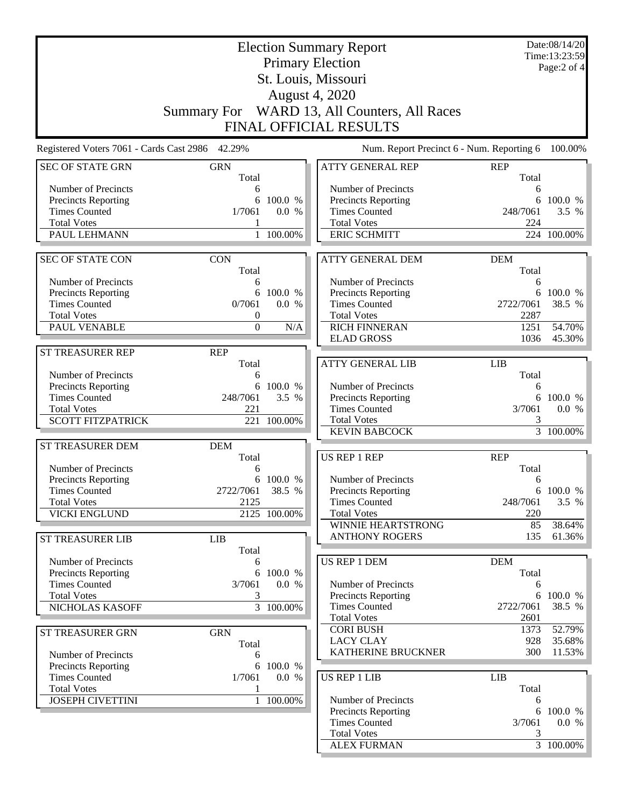|                                                 | Date:08/14/20<br><b>Election Summary Report</b> |                        |                                              |                     |                              |  |  |
|-------------------------------------------------|-------------------------------------------------|------------------------|----------------------------------------------|---------------------|------------------------------|--|--|
|                                                 |                                                 |                        | <b>Primary Election</b>                      |                     | Time:13:23:59<br>Page:2 of 4 |  |  |
|                                                 | St. Louis, Missouri                             |                        |                                              |                     |                              |  |  |
|                                                 | <b>August 4, 2020</b>                           |                        |                                              |                     |                              |  |  |
|                                                 |                                                 |                        |                                              |                     |                              |  |  |
|                                                 |                                                 |                        | Summary For WARD 13, All Counters, All Races |                     |                              |  |  |
|                                                 |                                                 |                        | FINAL OFFICIAL RESULTS                       |                     |                              |  |  |
| Registered Voters 7061 - Cards Cast 2986 42.29% |                                                 |                        | Num. Report Precinct 6 - Num. Reporting 6    |                     | 100.00%                      |  |  |
| <b>SEC OF STATE GRN</b>                         | <b>GRN</b><br>Total                             |                        | <b>ATTY GENERAL REP</b>                      | <b>REP</b><br>Total |                              |  |  |
| Number of Precincts                             | 6                                               |                        | Number of Precincts                          | 6                   |                              |  |  |
| Precincts Reporting                             | 6                                               | 100.0 %                | <b>Precincts Reporting</b>                   | 6                   | 100.0 %                      |  |  |
| <b>Times Counted</b>                            | 1/7061                                          | 0.0 %                  | <b>Times Counted</b>                         | 248/7061            | 3.5 %                        |  |  |
| <b>Total Votes</b><br>PAUL LEHMANN              | 1                                               | 1 100.00%              | <b>Total Votes</b><br><b>ERIC SCHMITT</b>    | 224<br>224          | 100.00%                      |  |  |
|                                                 |                                                 |                        |                                              |                     |                              |  |  |
| <b>SEC OF STATE CON</b>                         | <b>CON</b>                                      |                        | <b>ATTY GENERAL DEM</b>                      | <b>DEM</b>          |                              |  |  |
|                                                 | Total                                           |                        |                                              | Total               |                              |  |  |
| Number of Precincts                             | 6                                               |                        | Number of Precincts                          | 6                   |                              |  |  |
| Precincts Reporting                             |                                                 | 6 100.0 %              | <b>Precincts Reporting</b>                   |                     | 6 100.0 %                    |  |  |
| <b>Times Counted</b><br><b>Total Votes</b>      | 0/7061                                          | 0.0 %                  | <b>Times Counted</b><br><b>Total Votes</b>   | 2722/7061           | 38.5 %                       |  |  |
| PAUL VENABLE                                    | 0<br>$\mathbf{0}$                               | N/A                    | <b>RICH FINNERAN</b>                         | 2287<br>1251        | 54.70%                       |  |  |
|                                                 |                                                 |                        | <b>ELAD GROSS</b>                            | 1036                | 45.30%                       |  |  |
| <b>ST TREASURER REP</b>                         | <b>REP</b>                                      |                        |                                              |                     |                              |  |  |
|                                                 | Total                                           |                        | <b>ATTY GENERAL LIB</b>                      | <b>LIB</b>          |                              |  |  |
| Number of Precincts                             | 6                                               |                        |                                              | Total               |                              |  |  |
| <b>Precincts Reporting</b>                      | 6                                               | 100.0 %                | Number of Precincts                          | 6                   |                              |  |  |
| <b>Times Counted</b>                            | 248/7061                                        | 3.5 %                  | <b>Precincts Reporting</b>                   | 6                   | 100.0 %                      |  |  |
| <b>Total Votes</b>                              | 221                                             |                        | <b>Times Counted</b>                         | 3/7061              | 0.0 %                        |  |  |
| <b>SCOTT FITZPATRICK</b>                        |                                                 | 221 100.00%            | <b>Total Votes</b><br><b>KEVIN BABCOCK</b>   | 3                   | $\overline{3}$ 100.00%       |  |  |
| ST TREASURER DEM                                | <b>DEM</b>                                      |                        |                                              |                     |                              |  |  |
|                                                 | Total                                           |                        | <b>US REP 1 REP</b>                          | <b>REP</b>          |                              |  |  |
| Number of Precincts                             | 6                                               |                        |                                              | Total               |                              |  |  |
| <b>Precincts Reporting</b>                      |                                                 | 6 100.0 %              | Number of Precincts                          | 6                   |                              |  |  |
| <b>Times Counted</b>                            | 2722/7061                                       | 38.5 %                 | <b>Precincts Reporting</b>                   |                     | 6 100.0 %                    |  |  |
| <b>Total Votes</b>                              | 2125                                            |                        | <b>Times Counted</b>                         | 248/7061            | 3.5 %                        |  |  |
| <b>VICKI ENGLUND</b>                            |                                                 | 2125 100.00%           | <b>Total Votes</b>                           | 220                 |                              |  |  |
|                                                 |                                                 |                        | WINNIE HEARTSTRONG<br><b>ANTHONY ROGERS</b>  | 85<br>135           | 38.64%<br>61.36%             |  |  |
| <b>ST TREASURER LIB</b>                         | <b>LIB</b>                                      |                        |                                              |                     |                              |  |  |
| Number of Precincts                             | Total<br>6                                      |                        | <b>US REP 1 DEM</b>                          | <b>DEM</b>          |                              |  |  |
| <b>Precincts Reporting</b>                      | 6                                               | 100.0 %                |                                              | Total               |                              |  |  |
| <b>Times Counted</b>                            | 3/7061                                          | 0.0 %                  | Number of Precincts                          | 6                   |                              |  |  |
| <b>Total Votes</b>                              | 3                                               |                        | Precincts Reporting                          | 6                   | 100.0 %                      |  |  |
| NICHOLAS KASOFF                                 |                                                 | $\overline{3}$ 100.00% | <b>Times Counted</b>                         | 2722/7061           | 38.5 %                       |  |  |
|                                                 |                                                 |                        | <b>Total Votes</b>                           | 2601                |                              |  |  |
| ST TREASURER GRN                                | <b>GRN</b>                                      |                        | <b>CORI BUSH</b><br><b>LACY CLAY</b>         | 1373<br>928         | 52.79%<br>35.68%             |  |  |
|                                                 | Total                                           |                        | KATHERINE BRUCKNER                           | 300                 | 11.53%                       |  |  |
| Number of Precincts<br>Precincts Reporting      | 6                                               | 6 100.0 %              |                                              |                     |                              |  |  |
| <b>Times Counted</b>                            | 1/7061                                          | 0.0 %                  | <b>US REP 1 LIB</b>                          | <b>LIB</b>          |                              |  |  |
| <b>Total Votes</b>                              | 1                                               |                        |                                              | Total               |                              |  |  |
| <b>JOSEPH CIVETTINI</b>                         |                                                 | 1 100.00%              | Number of Precincts                          | 6                   |                              |  |  |
|                                                 |                                                 |                        | <b>Precincts Reporting</b>                   | 6                   | 100.0 %                      |  |  |
|                                                 |                                                 |                        | <b>Times Counted</b>                         | 3/7061              | 0.0 %                        |  |  |
|                                                 |                                                 |                        | <b>Total Votes</b>                           | 3                   |                              |  |  |
|                                                 |                                                 |                        | <b>ALEX FURMAN</b>                           |                     | $\frac{1}{3}$ 100.00%        |  |  |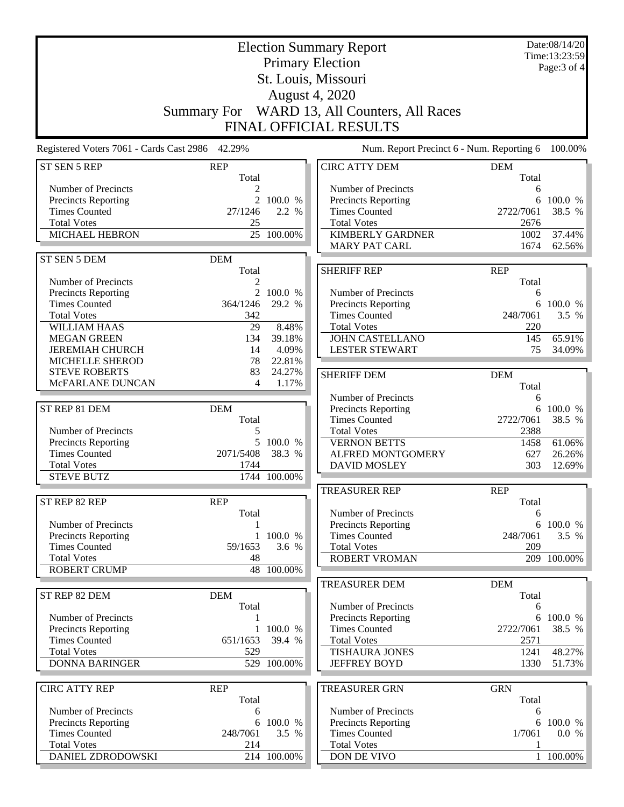| <b>Election Summary Report</b>                     |                       |                   |                                              |            | Date:08/14/20<br>Time:13:23:59 |  |  |
|----------------------------------------------------|-----------------------|-------------------|----------------------------------------------|------------|--------------------------------|--|--|
|                                                    |                       |                   | <b>Primary Election</b>                      |            | Page: 3 of 4                   |  |  |
| St. Louis, Missouri                                |                       |                   |                                              |            |                                |  |  |
|                                                    | <b>August 4, 2020</b> |                   |                                              |            |                                |  |  |
|                                                    |                       |                   |                                              |            |                                |  |  |
|                                                    |                       |                   | Summary For WARD 13, All Counters, All Races |            |                                |  |  |
|                                                    |                       |                   | <b>FINAL OFFICIAL RESULTS</b>                |            |                                |  |  |
| Registered Voters 7061 - Cards Cast 2986 42.29%    |                       |                   | Num. Report Precinct 6 - Num. Reporting 6    |            | 100.00%                        |  |  |
| <b>ST SEN 5 REP</b>                                | <b>REP</b>            |                   | <b>CIRC ATTY DEM</b>                         | <b>DEM</b> |                                |  |  |
| Number of Precincts                                | Total<br>2            |                   | Number of Precincts                          | Total<br>6 |                                |  |  |
| Precincts Reporting                                |                       | 2 100.0 %         | Precincts Reporting                          |            | 6 100.0 %                      |  |  |
| <b>Times Counted</b>                               | 27/1246               | 2.2 %             | <b>Times Counted</b>                         | 2722/7061  | 38.5 %                         |  |  |
| <b>Total Votes</b>                                 | 25                    |                   | <b>Total Votes</b>                           | 2676       |                                |  |  |
| MICHAEL HEBRON                                     | 25                    | 100.00%           | <b>KIMBERLY GARDNER</b>                      | 1002       | 37.44%                         |  |  |
|                                                    |                       |                   | <b>MARY PAT CARL</b>                         | 1674       | 62.56%                         |  |  |
| ST SEN 5 DEM                                       | <b>DEM</b>            |                   |                                              |            |                                |  |  |
|                                                    | Total                 |                   | <b>SHERIFF REP</b>                           | <b>REP</b> |                                |  |  |
| Number of Precincts                                | 2                     |                   |                                              | Total      |                                |  |  |
| Precincts Reporting                                |                       | 2 100.0 %         | Number of Precincts                          | 6          |                                |  |  |
| <b>Times Counted</b><br><b>Total Votes</b>         | 364/1246<br>342       | 29.2 %            | Precincts Reporting<br><b>Times Counted</b>  | 248/7061   | 6 100.0 %<br>3.5 %             |  |  |
| <b>WILLIAM HAAS</b>                                | 29                    | 8.48%             | <b>Total Votes</b>                           | 220        |                                |  |  |
| <b>MEGAN GREEN</b>                                 | 134                   | 39.18%            | <b>JOHN CASTELLANO</b>                       | 145        | 65.91%                         |  |  |
| <b>JEREMIAH CHURCH</b>                             | 14                    | 4.09%             | <b>LESTER STEWART</b>                        | 75         | 34.09%                         |  |  |
| MICHELLE SHEROD                                    | 78                    | 22.81%            |                                              |            |                                |  |  |
| <b>STEVE ROBERTS</b>                               | 83                    | 24.27%            | <b>SHERIFF DEM</b>                           | <b>DEM</b> |                                |  |  |
| McFARLANE DUNCAN                                   | 4                     | 1.17%             |                                              | Total      |                                |  |  |
|                                                    |                       |                   | Number of Precincts                          | 6          |                                |  |  |
| ST REP 81 DEM                                      | <b>DEM</b>            |                   | Precincts Reporting                          | 6          | 100.0 %                        |  |  |
|                                                    | Total                 |                   | <b>Times Counted</b>                         | 2722/7061  | 38.5 %                         |  |  |
| Number of Precincts                                | 5                     |                   | <b>Total Votes</b>                           | 2388       |                                |  |  |
| <b>Precincts Reporting</b><br><b>Times Counted</b> | 5<br>2071/5408        | 100.0 %<br>38.3 % | <b>VERNON BETTS</b><br>ALFRED MONTGOMERY     | 1458       | 61.06%                         |  |  |
| <b>Total Votes</b>                                 | 1744                  |                   | <b>DAVID MOSLEY</b>                          | 627<br>303 | 26.26%<br>12.69%               |  |  |
| <b>STEVE BUTZ</b>                                  |                       | 1744 100.00%      |                                              |            |                                |  |  |
|                                                    |                       |                   | <b>TREASURER REP</b>                         | <b>REP</b> |                                |  |  |
| ST REP 82 REP                                      | <b>REP</b>            |                   |                                              | Total      |                                |  |  |
|                                                    | Total                 |                   | Number of Precincts                          | 6          |                                |  |  |
| Number of Precincts                                |                       |                   | <b>Precincts Reporting</b>                   | 6          | 100.0 %                        |  |  |
| <b>Precincts Reporting</b>                         |                       | 1 100.0 %         | <b>Times Counted</b>                         | 248/7061   | 3.5 %                          |  |  |
| <b>Times Counted</b>                               | 59/1653               | 3.6 %             | <b>Total Votes</b>                           | 209        |                                |  |  |
| <b>Total Votes</b><br><b>ROBERT CRUMP</b>          | 48                    | 48 100.00%        | <b>ROBERT VROMAN</b>                         |            | 209 100.00%                    |  |  |
|                                                    |                       |                   | <b>TREASURER DEM</b>                         | <b>DEM</b> |                                |  |  |
| ST REP 82 DEM                                      | <b>DEM</b>            |                   |                                              | Total      |                                |  |  |
|                                                    | Total                 |                   | Number of Precincts                          | 6          |                                |  |  |
| Number of Precincts                                | 1                     |                   | Precincts Reporting                          | 6          | 100.0 %                        |  |  |
| Precincts Reporting                                |                       | 1 100.0 %         | <b>Times Counted</b>                         | 2722/7061  | 38.5 %                         |  |  |
| <b>Times Counted</b>                               | 651/1653              | 39.4 %            | <b>Total Votes</b>                           | 2571       |                                |  |  |
| <b>Total Votes</b>                                 | 529                   |                   | <b>TISHAURA JONES</b>                        | 1241       | 48.27%                         |  |  |
| <b>DONNA BARINGER</b>                              |                       | 529 100.00%       | <b>JEFFREY BOYD</b>                          | 1330       | 51.73%                         |  |  |
| <b>CIRC ATTY REP</b>                               | <b>REP</b>            |                   | <b>TREASURER GRN</b>                         | <b>GRN</b> |                                |  |  |
|                                                    | Total                 |                   |                                              | Total      |                                |  |  |
| Number of Precincts                                | 6                     |                   | Number of Precincts                          | 6          |                                |  |  |
| <b>Precincts Reporting</b>                         | 6                     | 100.0 %           | <b>Precincts Reporting</b>                   | 6          | 100.0 %                        |  |  |
| <b>Times Counted</b>                               | 248/7061              | 3.5 %             | <b>Times Counted</b>                         | 1/7061     | 0.0 %                          |  |  |
| <b>Total Votes</b>                                 | 214                   |                   | <b>Total Votes</b>                           |            |                                |  |  |
| DANIEL ZDRODOWSKI                                  |                       | 214 100.00%       | DON DE VIVO                                  |            | 1 100.00%                      |  |  |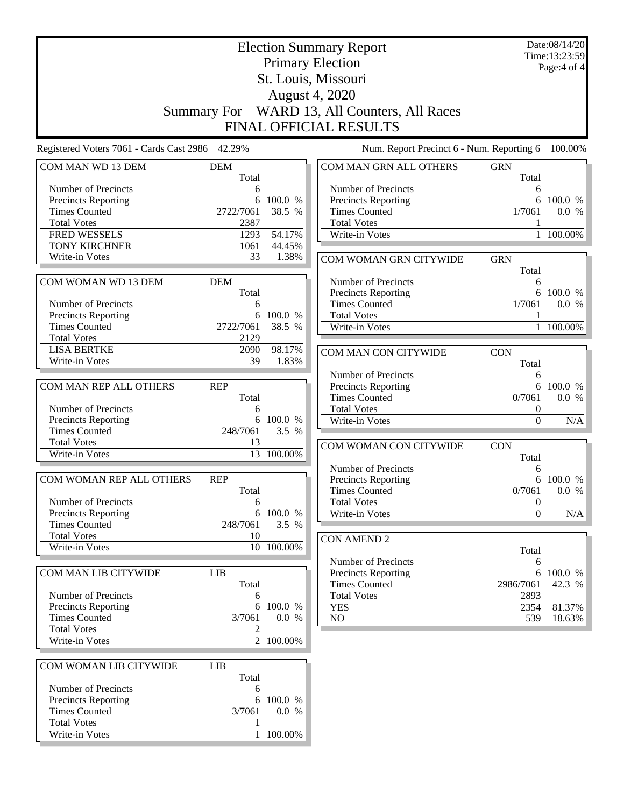| Date:08/14/20<br><b>Election Summary Report</b><br>Time:13:23:59 |                     |                        |                                              |                     |              |  |
|------------------------------------------------------------------|---------------------|------------------------|----------------------------------------------|---------------------|--------------|--|
| <b>Primary Election</b>                                          |                     |                        |                                              |                     | Page: 4 of 4 |  |
|                                                                  | St. Louis, Missouri |                        |                                              |                     |              |  |
|                                                                  |                     |                        | August 4, 2020                               |                     |              |  |
|                                                                  |                     |                        |                                              |                     |              |  |
|                                                                  |                     |                        | Summary For WARD 13, All Counters, All Races |                     |              |  |
|                                                                  |                     |                        | FINAL OFFICIAL RESULTS                       |                     |              |  |
| Registered Voters 7061 - Cards Cast 2986                         | 42.29%              |                        | Num. Report Precinct 6 - Num. Reporting 6    |                     | 100.00%      |  |
| COM MAN WD 13 DEM                                                | <b>DEM</b><br>Total |                        | COM MAN GRN ALL OTHERS                       | <b>GRN</b><br>Total |              |  |
| Number of Precincts                                              | 6                   |                        | Number of Precincts                          | 6                   |              |  |
| Precincts Reporting                                              | 6                   | 100.0 %                | <b>Precincts Reporting</b>                   | 6                   | 100.0 %      |  |
| <b>Times Counted</b>                                             | 2722/7061           | 38.5 %                 | <b>Times Counted</b>                         | 1/7061              | 0.0 %        |  |
| <b>Total Votes</b>                                               | 2387                |                        | <b>Total Votes</b>                           |                     |              |  |
| <b>FRED WESSELS</b>                                              | 1293                | 54.17%                 | Write-in Votes                               | $\mathbf{1}$        | 100.00%      |  |
| <b>TONY KIRCHNER</b>                                             | 1061                | 44.45%                 |                                              |                     |              |  |
| Write-in Votes                                                   | 33                  | 1.38%                  | COM WOMAN GRN CITYWIDE                       | <b>GRN</b><br>Total |              |  |
| COM WOMAN WD 13 DEM                                              | <b>DEM</b>          |                        | Number of Precincts                          | 6                   |              |  |
|                                                                  | Total               |                        | Precincts Reporting                          | 6                   | 100.0 %      |  |
| Number of Precincts                                              | 6                   |                        | <b>Times Counted</b>                         | 1/7061              | 0.0 %        |  |
| Precincts Reporting                                              |                     | 6 100.0 %              | <b>Total Votes</b>                           |                     |              |  |
| <b>Times Counted</b>                                             | 2722/7061           | 38.5 %                 | Write-in Votes                               |                     | 1 100.00%    |  |
| <b>Total Votes</b>                                               | 2129                |                        |                                              |                     |              |  |
| <b>LISA BERTKE</b>                                               | 2090                | 98.17%                 | COM MAN CON CITYWIDE                         | <b>CON</b>          |              |  |
| Write-in Votes                                                   | 39                  | 1.83%                  |                                              | Total               |              |  |
|                                                                  |                     |                        | Number of Precincts                          | 6                   |              |  |
| COM MAN REP ALL OTHERS                                           | <b>REP</b>          |                        | <b>Precincts Reporting</b>                   | 6                   | 100.0 %      |  |
|                                                                  | Total               |                        | <b>Times Counted</b>                         | 0/7061              | 0.0 %        |  |
| Number of Precincts                                              | 6                   |                        | <b>Total Votes</b>                           | 0                   |              |  |
| <b>Precincts Reporting</b>                                       | 6                   | 100.0 %                | Write-in Votes                               | $\theta$            | N/A          |  |
| <b>Times Counted</b>                                             | 248/7061            | 3.5 %                  |                                              |                     |              |  |
| <b>Total Votes</b>                                               | 13                  |                        | COM WOMAN CON CITYWIDE                       | <b>CON</b>          |              |  |
| Write-in Votes                                                   | 13                  | 100.00%                |                                              | Total               |              |  |
|                                                                  |                     |                        | Number of Precincts                          | 6                   |              |  |
| COM WOMAN REP ALL OTHERS                                         | <b>REP</b>          |                        | <b>Precincts Reporting</b>                   | 6                   | 100.0 %      |  |
|                                                                  | Total               |                        | <b>Times Counted</b>                         | 0/7061              | 0.0 %        |  |
| Number of Precincts                                              | 6                   |                        | <b>Total Votes</b>                           | 0                   |              |  |
| <b>Precincts Reporting</b>                                       |                     | 6 100.0 %              | Write-in Votes                               | $\Omega$            | N/A          |  |
| <b>Times Counted</b>                                             | 248/7061            | 3.5 %                  |                                              |                     |              |  |
| <b>Total Votes</b>                                               | 10                  |                        | <b>CON AMEND 2</b>                           |                     |              |  |
| Write-in Votes                                                   |                     | 10 100.00%             |                                              | Total               |              |  |
|                                                                  |                     |                        | Number of Precincts                          | 6                   |              |  |
| COM MAN LIB CITYWIDE                                             | <b>LIB</b>          |                        | Precincts Reporting                          | 6                   | 100.0 %      |  |
|                                                                  | Total               |                        | <b>Times Counted</b>                         | 2986/7061           | 42.3 %       |  |
| Number of Precincts                                              | 6                   |                        | <b>Total Votes</b>                           | 2893                |              |  |
| <b>Precincts Reporting</b>                                       | 6                   | 100.0 %                | <b>YES</b>                                   | 2354                | 81.37%       |  |
| <b>Times Counted</b>                                             | 3/7061              | 0.0 %                  | NO                                           | 539                 | $18.63\%$    |  |
| <b>Total Votes</b>                                               | 2                   |                        |                                              |                     |              |  |
| Write-in Votes                                                   |                     | $\overline{2}$ 100.00% |                                              |                     |              |  |
| COM WOMAN LIB CITYWIDE                                           | LIB                 |                        |                                              |                     |              |  |
|                                                                  | Total               |                        |                                              |                     |              |  |
| Number of Precincts                                              | 6                   |                        |                                              |                     |              |  |
| Precincts Reporting                                              |                     | 6 100.0 %              |                                              |                     |              |  |
| <b>Times Counted</b>                                             | 3/7061              | 0.0 %                  |                                              |                     |              |  |
| <b>Total Votes</b>                                               | 1                   |                        |                                              |                     |              |  |
| Write-in Votes                                                   |                     | 1 100.00%              |                                              |                     |              |  |
|                                                                  |                     |                        |                                              |                     |              |  |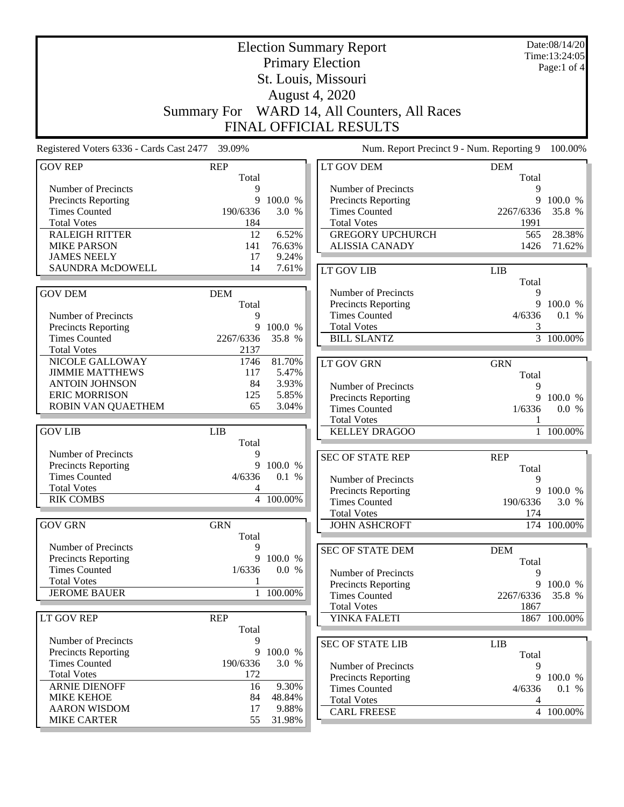|                                             | <b>Election Summary Report</b> |                  |                                            |                     |                               |
|---------------------------------------------|--------------------------------|------------------|--------------------------------------------|---------------------|-------------------------------|
|                                             |                                |                  | <b>Primary Election</b>                    |                     | Time: 13:24:05<br>Page:1 of 4 |
|                                             | St. Louis, Missouri            |                  |                                            |                     |                               |
|                                             |                                |                  | <b>August 4, 2020</b>                      |                     |                               |
|                                             |                                |                  |                                            |                     |                               |
|                                             | <b>Summary For</b>             |                  | WARD 14, All Counters, All Races           |                     |                               |
|                                             |                                |                  | FINAL OFFICIAL RESULTS                     |                     |                               |
| Registered Voters 6336 - Cards Cast 2477    | 39.09%                         |                  | Num. Report Precinct 9 - Num. Reporting 9  |                     | 100.00%                       |
| <b>GOV REP</b>                              | <b>REP</b><br>Total            |                  | LT GOV DEM                                 | <b>DEM</b><br>Total |                               |
| Number of Precincts                         | 9                              |                  | Number of Precincts                        | 9                   |                               |
| <b>Precincts Reporting</b>                  | 9                              | 100.0 %          | <b>Precincts Reporting</b>                 | 9                   | 100.0 %                       |
| <b>Times Counted</b>                        | 190/6336                       | 3.0 %            | <b>Times Counted</b>                       | 2267/6336           | 35.8 %                        |
| <b>Total Votes</b>                          | 184                            |                  | <b>Total Votes</b>                         | 1991                |                               |
| <b>RALEIGH RITTER</b>                       | 12                             | 6.52%            | <b>GREGORY UPCHURCH</b>                    | 565                 | 28.38%                        |
| <b>MIKE PARSON</b>                          | 141                            | 76.63%           | <b>ALISSIA CANADY</b>                      | 1426                | 71.62%                        |
| <b>JAMES NEELY</b><br>SAUNDRA McDOWELL      | 17<br>14                       | 9.24%            |                                            |                     |                               |
|                                             |                                | 7.61%            | LT GOV LIB                                 | <b>LIB</b>          |                               |
|                                             | <b>DEM</b>                     |                  | Number of Precincts                        | Total<br>9          |                               |
| <b>GOV DEM</b>                              | Total                          |                  | Precincts Reporting                        | 9                   | 100.0 %                       |
| Number of Precincts                         | 9                              |                  | <b>Times Counted</b>                       | 4/6336              | 0.1 %                         |
| Precincts Reporting                         | 9                              | 100.0 %          | <b>Total Votes</b>                         | 3                   |                               |
| <b>Times Counted</b>                        | 2267/6336                      | 35.8 %           | <b>BILL SLANTZ</b>                         |                     | 3 100.00%                     |
| <b>Total Votes</b>                          | 2137                           |                  |                                            |                     |                               |
| NICOLE GALLOWAY                             | 1746                           | 81.70%           | <b>LT GOV GRN</b>                          | <b>GRN</b>          |                               |
| <b>JIMMIE MATTHEWS</b>                      | 117                            | 5.47%            |                                            | Total               |                               |
| <b>ANTOIN JOHNSON</b>                       | 84                             | 3.93%            | Number of Precincts                        | 9                   |                               |
| <b>ERIC MORRISON</b>                        | 125                            | 5.85%            | Precincts Reporting                        |                     | 9 100.0 %                     |
| ROBIN VAN QUAETHEM                          | 65                             | 3.04%            | <b>Times Counted</b>                       | 1/6336              | 0.0 %                         |
|                                             |                                |                  | <b>Total Votes</b>                         | 1                   |                               |
| <b>GOV LIB</b>                              | <b>LIB</b>                     |                  | <b>KELLEY DRAGOO</b>                       | $\mathbf{1}$        | 100.00%                       |
|                                             | Total                          |                  |                                            |                     |                               |
| Number of Precincts                         | 9                              |                  | <b>SEC OF STATE REP</b>                    | <b>REP</b>          |                               |
| Precincts Reporting<br><b>Times Counted</b> | 9<br>4/6336                    | 100.0 %<br>0.1 % |                                            | Total               |                               |
| <b>Total Votes</b>                          | 4                              |                  | Number of Precincts                        | 9                   |                               |
| <b>RIK COMBS</b>                            |                                | 4 100.00%        | <b>Precincts Reporting</b>                 | 9                   | 100.0 %                       |
|                                             |                                |                  | <b>Times Counted</b><br><b>Total Votes</b> | 190/6336<br>174     | 3.0 %                         |
| <b>GOV GRN</b>                              | <b>GRN</b>                     |                  | <b>JOHN ASHCROFT</b>                       |                     | 174 100.00%                   |
|                                             | Total                          |                  |                                            |                     |                               |
| Number of Precincts                         | 9                              |                  | <b>SEC OF STATE DEM</b>                    | <b>DEM</b>          |                               |
| Precincts Reporting                         | 9                              | 100.0 %          |                                            | Total               |                               |
| <b>Times Counted</b>                        | 1/6336                         | 0.0 %            | Number of Precincts                        | 9                   |                               |
| <b>Total Votes</b>                          |                                |                  | <b>Precincts Reporting</b>                 |                     | 9 100.0 %                     |
| <b>JEROME BAUER</b>                         | $\mathbf{1}$                   | 100.00%          | <b>Times Counted</b>                       | 2267/6336           | 35.8 %                        |
|                                             |                                |                  | <b>Total Votes</b>                         | 1867                |                               |
| LT GOV REP                                  | <b>REP</b>                     |                  | YINKA FALETI                               |                     | $\overline{1867}^-$ 100.00%   |
|                                             | Total                          |                  |                                            |                     |                               |
| Number of Precincts                         | 9                              |                  | <b>SEC OF STATE LIB</b>                    | LIB                 |                               |
| Precincts Reporting                         | 9                              | 100.0 %          |                                            | Total               |                               |
| <b>Times Counted</b>                        | 190/6336                       | 3.0 %            | Number of Precincts                        | 9                   |                               |
| <b>Total Votes</b>                          | 172                            |                  | Precincts Reporting                        |                     | 9 100.0 %                     |
| <b>ARNIE DIENOFF</b><br><b>MIKE KEHOE</b>   | 16<br>84                       | 9.30%<br>48.84%  | <b>Times Counted</b>                       | 4/6336              | 0.1 %                         |
| <b>AARON WISDOM</b>                         | 17                             | 9.88%            | <b>Total Votes</b>                         | 4                   |                               |
| <b>MIKE CARTER</b>                          | 55                             | 31.98%           | <b>CARL FREESE</b>                         |                     | 4 100.00%                     |
|                                             |                                |                  |                                            |                     |                               |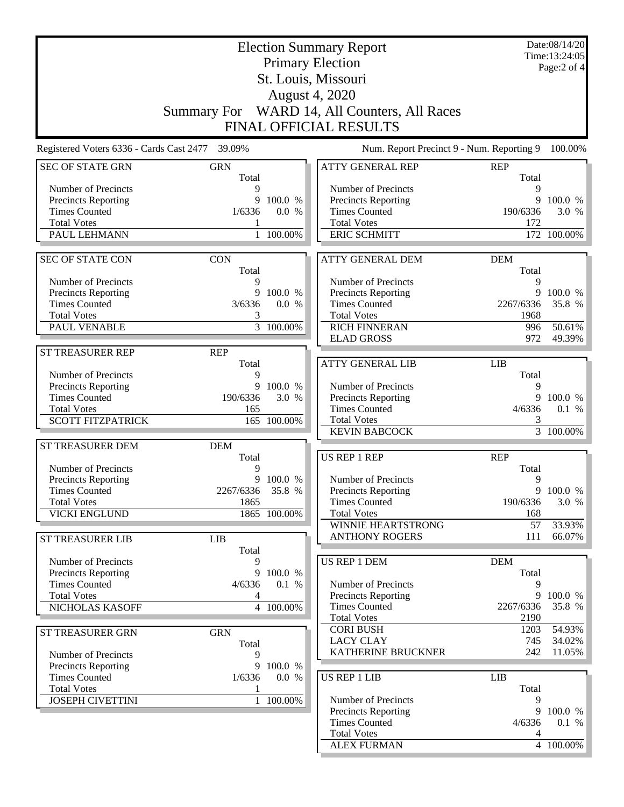|                                                   | Date:08/14/20<br><b>Election Summary Report</b> |              |                                                    |                     |                              |  |
|---------------------------------------------------|-------------------------------------------------|--------------|----------------------------------------------------|---------------------|------------------------------|--|
|                                                   |                                                 |              | <b>Primary Election</b>                            |                     | Time:13:24:05<br>Page:2 of 4 |  |
|                                                   |                                                 |              | St. Louis, Missouri                                |                     |                              |  |
|                                                   |                                                 |              | <b>August 4, 2020</b>                              |                     |                              |  |
|                                                   |                                                 |              |                                                    |                     |                              |  |
|                                                   |                                                 |              | Summary For WARD 14, All Counters, All Races       |                     |                              |  |
|                                                   |                                                 |              | FINAL OFFICIAL RESULTS                             |                     |                              |  |
| Registered Voters 6336 - Cards Cast 2477 39.09%   |                                                 |              | Num. Report Precinct 9 - Num. Reporting 9          |                     | 100.00%                      |  |
| <b>SEC OF STATE GRN</b>                           | <b>GRN</b><br>Total                             |              | <b>ATTY GENERAL REP</b>                            | <b>REP</b><br>Total |                              |  |
| Number of Precincts                               | 9                                               |              | Number of Precincts                                | 9                   |                              |  |
| <b>Precincts Reporting</b>                        | 9                                               | 100.0 %      | Precincts Reporting                                | 9                   | 100.0 %                      |  |
| <b>Times Counted</b>                              | 1/6336                                          | 0.0 %        | <b>Times Counted</b>                               | 190/6336            | 3.0 %                        |  |
| <b>Total Votes</b><br>PAUL LEHMANN                | 1                                               | 1 100.00%    | <b>Total Votes</b><br><b>ERIC SCHMITT</b>          | 172                 | 172 100.00%                  |  |
|                                                   |                                                 |              |                                                    |                     |                              |  |
| <b>SEC OF STATE CON</b>                           | <b>CON</b>                                      |              | <b>ATTY GENERAL DEM</b>                            | <b>DEM</b>          |                              |  |
|                                                   | Total                                           |              |                                                    | Total               |                              |  |
| Number of Precincts<br><b>Precincts Reporting</b> | 9<br>9                                          | 100.0 %      | Number of Precincts                                | 9<br>9              | 100.0 %                      |  |
| <b>Times Counted</b>                              | 3/6336                                          | 0.0 %        | <b>Precincts Reporting</b><br><b>Times Counted</b> | 2267/6336           | 35.8 %                       |  |
| <b>Total Votes</b>                                | 3                                               |              | <b>Total Votes</b>                                 | 1968                |                              |  |
| PAUL VENABLE                                      |                                                 | 3 100.00%    | <b>RICH FINNERAN</b>                               | 996                 | 50.61%                       |  |
|                                                   |                                                 |              | <b>ELAD GROSS</b>                                  | 972                 | 49.39%                       |  |
| ST TREASURER REP                                  | <b>REP</b>                                      |              |                                                    |                     |                              |  |
|                                                   | Total                                           |              | <b>ATTY GENERAL LIB</b>                            | <b>LIB</b>          |                              |  |
| Number of Precincts                               | 9                                               |              |                                                    | Total               |                              |  |
| <b>Precincts Reporting</b>                        |                                                 | 9 100.0 %    | Number of Precincts                                | 9                   |                              |  |
| <b>Times Counted</b><br><b>Total Votes</b>        | 190/6336<br>165                                 | 3.0 %        | Precincts Reporting<br><b>Times Counted</b>        | 9<br>4/6336         | 100.0 %<br>0.1 %             |  |
| <b>SCOTT FITZPATRICK</b>                          |                                                 | 165 100.00%  | <b>Total Votes</b>                                 | 3                   |                              |  |
|                                                   |                                                 |              | <b>KEVIN BABCOCK</b>                               |                     | $3 - 100.00\%$               |  |
| ST TREASURER DEM                                  | <b>DEM</b>                                      |              |                                                    |                     |                              |  |
|                                                   | Total                                           |              | <b>US REP 1 REP</b>                                | <b>REP</b>          |                              |  |
| Number of Precincts                               | 9                                               |              |                                                    | Total               |                              |  |
| <b>Precincts Reporting</b>                        |                                                 | 9 100.0 %    | Number of Precincts                                | 9                   |                              |  |
| <b>Times Counted</b>                              | 2267/6336                                       | 35.8 %       | <b>Precincts Reporting</b>                         | 9                   | 100.0 %                      |  |
| <b>Total Votes</b><br><b>VICKI ENGLUND</b>        | 1865                                            | 1865 100.00% | <b>Times Counted</b><br><b>Total Votes</b>         | 190/6336<br>168     | 3.0 %                        |  |
|                                                   |                                                 |              | WINNIE HEARTSTRONG                                 | 57                  | 33.93%                       |  |
| <b>ST TREASURER LIB</b>                           | LIB                                             |              | <b>ANTHONY ROGERS</b>                              | 111                 | 66.07%                       |  |
|                                                   | Total                                           |              |                                                    |                     |                              |  |
| Number of Precincts                               | 9                                               |              | <b>US REP 1 DEM</b>                                | <b>DEM</b>          |                              |  |
| Precincts Reporting                               | 9                                               | 100.0 %      |                                                    | Total               |                              |  |
| <b>Times Counted</b>                              | 4/6336                                          | 0.1 %        | Number of Precincts                                | 9                   |                              |  |
| <b>Total Votes</b>                                | 4                                               |              | <b>Precincts Reporting</b>                         | 9                   | 100.0 %                      |  |
| NICHOLAS KASOFF                                   |                                                 | 4 100.00%    | <b>Times Counted</b><br><b>Total Votes</b>         | 2267/6336<br>2190   | 35.8 %                       |  |
|                                                   |                                                 |              | <b>CORI BUSH</b>                                   | 1203                | 54.93%                       |  |
| ST TREASURER GRN                                  | <b>GRN</b><br>Total                             |              | <b>LACY CLAY</b>                                   | 745                 | $34.02\%$                    |  |
| Number of Precincts                               | 9                                               |              | KATHERINE BRUCKNER                                 | 242                 | $11.05\%$                    |  |
| Precincts Reporting                               |                                                 | 9 100.0 %    |                                                    |                     |                              |  |
| <b>Times Counted</b>                              | 1/6336                                          | 0.0 %        | <b>US REP 1 LIB</b>                                | <b>LIB</b>          |                              |  |
| <b>Total Votes</b>                                |                                                 |              |                                                    | Total               |                              |  |
| <b>JOSEPH CIVETTINI</b>                           |                                                 | 1 100.00%    | Number of Precincts                                | 9                   |                              |  |
|                                                   |                                                 |              | Precincts Reporting                                | 9                   | 100.0 %                      |  |
|                                                   |                                                 |              | <b>Times Counted</b><br><b>Total Votes</b>         | 4/6336<br>4         | 0.1 %                        |  |
|                                                   |                                                 |              | <b>ALEX FURMAN</b>                                 |                     | 4 100.00%                    |  |
|                                                   |                                                 |              |                                                    |                     |                              |  |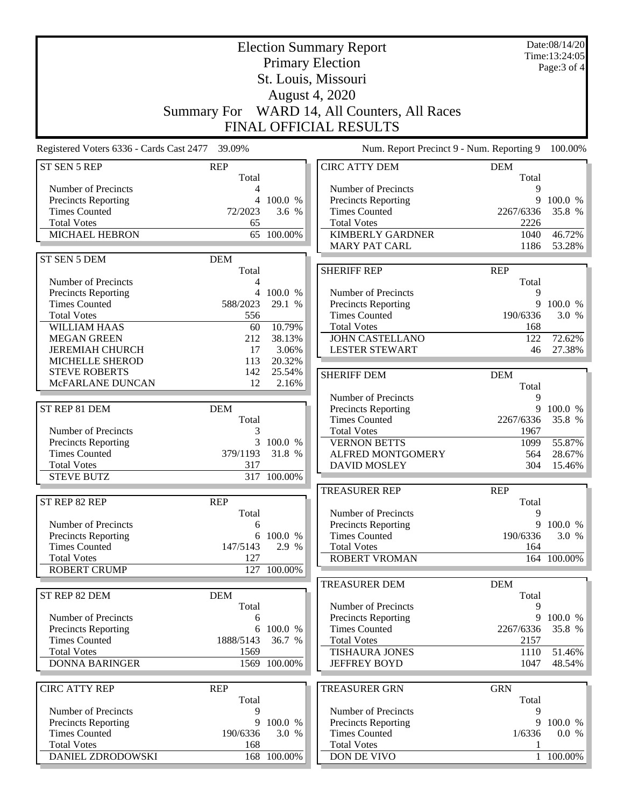| <b>Election Summary Report</b>                    |                     |                  |                                              |                     | Date:08/14/20<br>Time:13:24:05 |  |  |
|---------------------------------------------------|---------------------|------------------|----------------------------------------------|---------------------|--------------------------------|--|--|
|                                                   |                     |                  | <b>Primary Election</b>                      |                     | Page: 3 of 4                   |  |  |
|                                                   | St. Louis, Missouri |                  |                                              |                     |                                |  |  |
|                                                   | August 4, 2020      |                  |                                              |                     |                                |  |  |
|                                                   |                     |                  |                                              |                     |                                |  |  |
|                                                   |                     |                  | Summary For WARD 14, All Counters, All Races |                     |                                |  |  |
|                                                   |                     |                  | FINAL OFFICIAL RESULTS                       |                     |                                |  |  |
| Registered Voters 6336 - Cards Cast 2477          | 39.09%              |                  | Num. Report Precinct 9 - Num. Reporting 9    |                     | 100.00%                        |  |  |
| ST SEN 5 REP                                      | <b>REP</b><br>Total |                  | <b>CIRC ATTY DEM</b>                         | <b>DEM</b><br>Total |                                |  |  |
| Number of Precincts                               | 4                   |                  | Number of Precincts                          | 9                   |                                |  |  |
| <b>Precincts Reporting</b>                        |                     | 4 100.0 %        | Precincts Reporting                          | 9                   | 100.0 %                        |  |  |
| <b>Times Counted</b>                              | 72/2023             | 3.6 %            | <b>Times Counted</b>                         | 2267/6336           | 35.8 %                         |  |  |
| <b>Total Votes</b>                                | 65                  |                  | <b>Total Votes</b>                           | 2226                |                                |  |  |
| MICHAEL HEBRON                                    | 65                  | 100.00%          | <b>KIMBERLY GARDNER</b>                      | 1040                | 46.72%                         |  |  |
|                                                   |                     |                  | <b>MARY PAT CARL</b>                         | 1186                | 53.28%                         |  |  |
| ST SEN 5 DEM                                      | <b>DEM</b>          |                  |                                              |                     |                                |  |  |
| Number of Precincts                               | Total<br>4          |                  | <b>SHERIFF REP</b>                           | <b>REP</b>          |                                |  |  |
| <b>Precincts Reporting</b>                        | 4                   | 100.0 %          | Number of Precincts                          | Total<br>9          |                                |  |  |
| <b>Times Counted</b>                              | 588/2023            | 29.1 %           | Precincts Reporting                          | 9                   | 100.0 %                        |  |  |
| <b>Total Votes</b>                                | 556                 |                  | <b>Times Counted</b>                         | 190/6336            | 3.0 %                          |  |  |
| <b>WILLIAM HAAS</b>                               | 60                  | 10.79%           | <b>Total Votes</b>                           | 168                 |                                |  |  |
| <b>MEGAN GREEN</b>                                | 212                 | 38.13%           | <b>JOHN CASTELLANO</b>                       | 122                 | 72.62%                         |  |  |
| <b>JEREMIAH CHURCH</b>                            | 17                  | 3.06%            | <b>LESTER STEWART</b>                        | 46                  | 27.38%                         |  |  |
| MICHELLE SHEROD                                   | 113                 | 20.32%           |                                              |                     |                                |  |  |
| <b>STEVE ROBERTS</b>                              | 142                 | 25.54%           | <b>SHERIFF DEM</b>                           | <b>DEM</b>          |                                |  |  |
| McFARLANE DUNCAN                                  | 12                  | 2.16%            |                                              | Total               |                                |  |  |
|                                                   |                     |                  | Number of Precincts                          | 9                   |                                |  |  |
| ST REP 81 DEM                                     | <b>DEM</b>          |                  | Precincts Reporting                          | 9                   | 100.0 %                        |  |  |
|                                                   | Total<br>3          |                  | <b>Times Counted</b><br><b>Total Votes</b>   | 2267/6336           | 35.8 %                         |  |  |
| Number of Precincts<br><b>Precincts Reporting</b> | 3                   | 100.0 %          | <b>VERNON BETTS</b>                          | 1967<br>1099        | 55.87%                         |  |  |
| <b>Times Counted</b>                              | 379/1193            | 31.8 %           | <b>ALFRED MONTGOMERY</b>                     | 564                 | 28.67%                         |  |  |
| <b>Total Votes</b>                                | 317                 |                  | <b>DAVID MOSLEY</b>                          | 304                 | 15.46%                         |  |  |
| <b>STEVE BUTZ</b>                                 |                     | 317 100.00%      |                                              |                     |                                |  |  |
|                                                   |                     |                  | <b>TREASURER REP</b>                         | <b>REP</b>          |                                |  |  |
| ST REP 82 REP                                     | <b>REP</b>          |                  |                                              | Total               |                                |  |  |
|                                                   | Total               |                  | Number of Precincts                          | 9                   |                                |  |  |
| Number of Precincts                               | 6                   |                  | <b>Precincts Reporting</b>                   | 9                   | 100.0 %                        |  |  |
| Precincts Reporting                               | 6                   | 100.0 %          | <b>Times Counted</b>                         | 190/6336            | 3.0 %                          |  |  |
| <b>Times Counted</b><br><b>Total Votes</b>        | 147/5143<br>127     | 2.9 %            | <b>Total Votes</b>                           | 164                 |                                |  |  |
| <b>ROBERT CRUMP</b>                               |                     | $127 - 100.00\%$ | <b>ROBERT VROMAN</b>                         |                     | 164 100.00%                    |  |  |
|                                                   |                     |                  | <b>TREASURER DEM</b>                         | <b>DEM</b>          |                                |  |  |
| ST REP 82 DEM                                     | <b>DEM</b>          |                  |                                              | Total               |                                |  |  |
|                                                   | Total               |                  | Number of Precincts                          | 9                   |                                |  |  |
| Number of Precincts                               | 6                   |                  | <b>Precincts Reporting</b>                   | 9                   | 100.0 %                        |  |  |
| Precincts Reporting                               | 6                   | 100.0 %          | <b>Times Counted</b>                         | 2267/6336           | 35.8 %                         |  |  |
| <b>Times Counted</b>                              | 1888/5143           | 36.7 %           | <b>Total Votes</b>                           | 2157                |                                |  |  |
| <b>Total Votes</b>                                | 1569                |                  | TISHAURA JONES                               | 1110                | 51.46%                         |  |  |
| <b>DONNA BARINGER</b>                             |                     | 1569 100.00%     | <b>JEFFREY BOYD</b>                          | 1047                | 48.54%                         |  |  |
|                                                   |                     |                  |                                              |                     |                                |  |  |
| <b>CIRC ATTY REP</b>                              | <b>REP</b><br>Total |                  | <b>TREASURER GRN</b>                         | <b>GRN</b><br>Total |                                |  |  |
| Number of Precincts                               | 9                   |                  | Number of Precincts                          | 9                   |                                |  |  |
| <b>Precincts Reporting</b>                        | 9                   | 100.0 %          | Precincts Reporting                          | 9                   | 100.0 %                        |  |  |
| <b>Times Counted</b>                              | 190/6336            | 3.0 %            | <b>Times Counted</b>                         | 1/6336              | 0.0 %                          |  |  |
| <b>Total Votes</b>                                | 168                 |                  | <b>Total Votes</b>                           |                     |                                |  |  |
| DANIEL ZDRODOWSKI                                 |                     | 168 100.00%      | DON DE VIVO                                  |                     | 1 100.00%                      |  |  |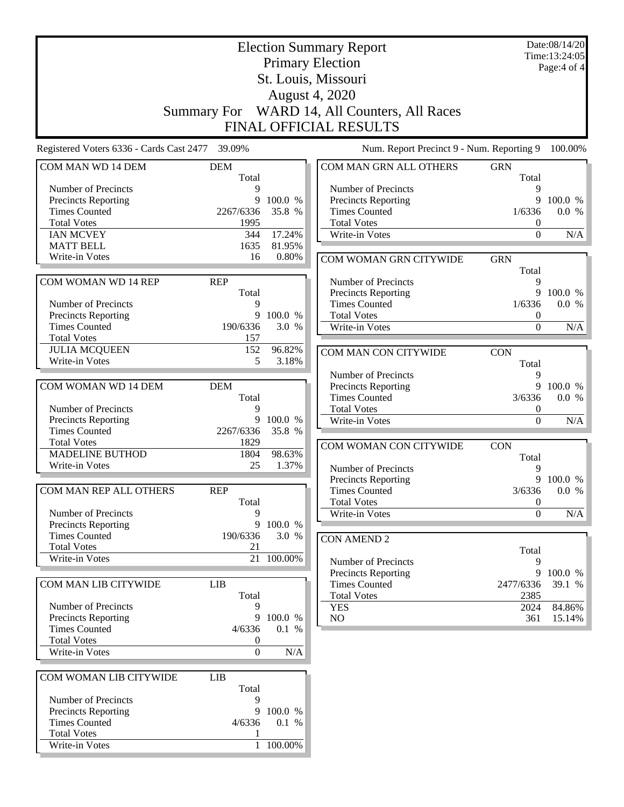|                                                    |                         |           | <b>Election Summary Report</b>               |                  | Date:08/14/20<br>Time: 13:24:05 |  |
|----------------------------------------------------|-------------------------|-----------|----------------------------------------------|------------------|---------------------------------|--|
|                                                    | <b>Primary Election</b> |           |                                              |                  |                                 |  |
|                                                    | St. Louis, Missouri     |           |                                              |                  |                                 |  |
|                                                    |                         |           |                                              |                  |                                 |  |
|                                                    |                         |           | <b>August 4, 2020</b>                        |                  |                                 |  |
|                                                    |                         |           | Summary For WARD 14, All Counters, All Races |                  |                                 |  |
|                                                    |                         |           | <b>FINAL OFFICIAL RESULTS</b>                |                  |                                 |  |
| Registered Voters 6336 - Cards Cast 2477 39.09%    |                         |           | Num. Report Precinct 9 - Num. Reporting 9    |                  | 100.00%                         |  |
| COM MAN WD 14 DEM                                  | <b>DEM</b>              |           | COM MAN GRN ALL OTHERS                       | <b>GRN</b>       |                                 |  |
|                                                    | Total                   |           |                                              | Total            |                                 |  |
| Number of Precincts                                | 9<br>9                  | 100.0 %   | Number of Precincts                          | 9<br>9           | 100.0 %                         |  |
| <b>Precincts Reporting</b><br><b>Times Counted</b> | 2267/6336               | 35.8 %    | Precincts Reporting<br><b>Times Counted</b>  | 1/6336           | 0.0 %                           |  |
| <b>Total Votes</b>                                 | 1995                    |           | <b>Total Votes</b>                           | $\boldsymbol{0}$ |                                 |  |
| <b>IAN MCVEY</b>                                   | 344                     | 17.24%    | Write-in Votes                               | $\boldsymbol{0}$ | N/A                             |  |
| <b>MATT BELL</b>                                   | 1635                    | 81.95%    |                                              |                  |                                 |  |
| Write-in Votes                                     | 16                      | 0.80%     | COM WOMAN GRN CITYWIDE                       | <b>GRN</b>       |                                 |  |
|                                                    |                         |           |                                              | Total            |                                 |  |
| COM WOMAN WD 14 REP                                | <b>REP</b>              |           | Number of Precincts                          | 9                |                                 |  |
|                                                    | Total                   |           | Precincts Reporting                          |                  | 9 100.0 %                       |  |
| Number of Precincts                                | 9                       |           | <b>Times Counted</b>                         | 1/6336           | 0.0 %                           |  |
| <b>Precincts Reporting</b>                         | 9                       | 100.0 %   | <b>Total Votes</b>                           | $\boldsymbol{0}$ |                                 |  |
| <b>Times Counted</b>                               | 190/6336                | 3.0 %     | Write-in Votes                               | $\boldsymbol{0}$ | N/A                             |  |
| <b>Total Votes</b>                                 | 157                     |           |                                              |                  |                                 |  |
| <b>JULIA MCQUEEN</b>                               | 152                     | 96.82%    | COM MAN CON CITYWIDE                         | <b>CON</b>       |                                 |  |
| Write-in Votes                                     | 5                       | 3.18%     |                                              | Total            |                                 |  |
|                                                    |                         |           | Number of Precincts                          | 9                |                                 |  |
| COM WOMAN WD 14 DEM                                | <b>DEM</b>              |           | Precincts Reporting                          | 9                | 100.0 %                         |  |
|                                                    | Total                   |           | <b>Times Counted</b>                         | 3/6336           | 0.0 %                           |  |
| Number of Precincts                                | 9                       |           | <b>Total Votes</b>                           | $\boldsymbol{0}$ |                                 |  |
| Precincts Reporting                                | 9                       | 100.0 %   | Write-in Votes                               | $\boldsymbol{0}$ | N/A                             |  |
| <b>Times Counted</b>                               | 2267/6336               | 35.8 %    |                                              |                  |                                 |  |
| <b>Total Votes</b>                                 | 1829                    |           | COM WOMAN CON CITYWIDE                       | <b>CON</b>       |                                 |  |
| <b>MADELINE BUTHOD</b>                             | 1804                    | 98.63%    |                                              | Total            |                                 |  |
| Write-in Votes                                     | 25                      | 1.37%     | Number of Precincts                          | 9                |                                 |  |
|                                                    |                         |           | Precincts Reporting                          | 9                | 100.0 %                         |  |
| COM MAN REP ALL OTHERS                             | <b>REP</b>              |           | Times Counted                                | 3/6336           | 0.0 %                           |  |
|                                                    | Total                   |           | <b>Total Votes</b>                           | $\boldsymbol{0}$ |                                 |  |
| Number of Precincts                                | 9                       |           | Write-in Votes                               | $\mathbf{0}$     | N/A                             |  |
| Precincts Reporting                                |                         | 9 100.0 % |                                              |                  |                                 |  |
| <b>Times Counted</b>                               | 190/6336                | 3.0 %     | <b>CON AMEND 2</b>                           |                  |                                 |  |
| <b>Total Votes</b>                                 | 21                      |           |                                              | Total            |                                 |  |
| Write-in Votes                                     | 21                      | 100.00%   | Number of Precincts                          | 9                |                                 |  |
|                                                    |                         |           | Precincts Reporting                          | 9                | 100.0 %                         |  |
| <b>COM MAN LIB CITYWIDE</b>                        | <b>LIB</b>              |           | <b>Times Counted</b>                         | 2477/6336        | 39.1 %                          |  |
|                                                    | Total                   |           | <b>Total Votes</b>                           | 2385             |                                 |  |
| Number of Precincts                                | 9                       |           | <b>YES</b>                                   | 2024             | 84.86%                          |  |
| Precincts Reporting                                |                         | 9 100.0 % | NO                                           | 361              | 15.14%                          |  |
| <b>Times Counted</b>                               | 4/6336                  | 0.1 %     |                                              |                  |                                 |  |
| <b>Total Votes</b>                                 | $\boldsymbol{0}$        |           |                                              |                  |                                 |  |
| Write-in Votes                                     | $\boldsymbol{0}$        | $\rm N/A$ |                                              |                  |                                 |  |
|                                                    |                         |           |                                              |                  |                                 |  |
| COM WOMAN LIB CITYWIDE                             | <b>LIB</b><br>Total     |           |                                              |                  |                                 |  |
| Number of Precincts                                | 9                       |           |                                              |                  |                                 |  |
| <b>Precincts Reporting</b>                         |                         | 9 100.0 % |                                              |                  |                                 |  |
| <b>Times Counted</b>                               | 4/6336                  | 0.1 %     |                                              |                  |                                 |  |
| <b>Total Votes</b>                                 |                         |           |                                              |                  |                                 |  |
| Write-in Votes                                     |                         | 1 100.00% |                                              |                  |                                 |  |
|                                                    |                         |           |                                              |                  |                                 |  |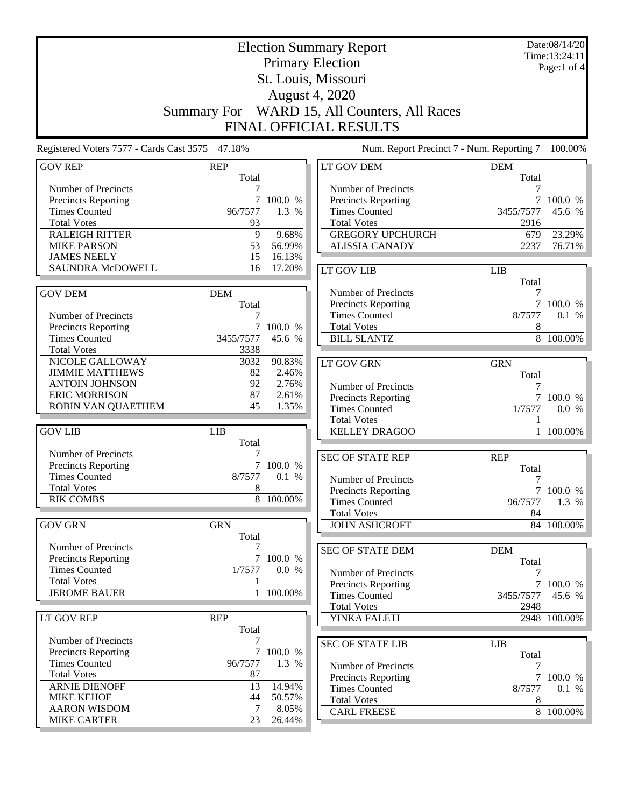|                                                 |                     |           | <b>Election Summary Report</b>            |                     | Date:08/14/20<br>Time: 13:24:11 |
|-------------------------------------------------|---------------------|-----------|-------------------------------------------|---------------------|---------------------------------|
|                                                 |                     |           | <b>Primary Election</b>                   |                     | Page:1 of 4                     |
|                                                 |                     |           | St. Louis, Missouri                       |                     |                                 |
|                                                 |                     |           | <b>August 4, 2020</b>                     |                     |                                 |
|                                                 | <b>Summary For</b>  |           | WARD 15, All Counters, All Races          |                     |                                 |
|                                                 |                     |           | FINAL OFFICIAL RESULTS                    |                     |                                 |
| Registered Voters 7577 - Cards Cast 3575 47.18% |                     |           | Num. Report Precinct 7 - Num. Reporting 7 |                     | 100.00%                         |
| <b>GOV REP</b>                                  | <b>REP</b><br>Total |           | LT GOV DEM                                | <b>DEM</b><br>Total |                                 |
| Number of Precincts                             |                     |           | Number of Precincts                       |                     |                                 |
| Precincts Reporting                             | 7                   | 100.0 %   | Precincts Reporting                       | 7                   | 100.0 %                         |
| <b>Times Counted</b>                            | 96/7577             | 1.3 %     | <b>Times Counted</b>                      | 3455/7577           | 45.6 %                          |
| <b>Total Votes</b>                              | 93                  |           | <b>Total Votes</b>                        | 2916                |                                 |
| <b>RALEIGH RITTER</b>                           | 9                   | 9.68%     | <b>GREGORY UPCHURCH</b>                   | 679                 | 23.29%                          |
| <b>MIKE PARSON</b>                              | 53                  | 56.99%    | <b>ALISSIA CANADY</b>                     | 2237                | 76.71%                          |
| <b>JAMES NEELY</b>                              | 15                  | 16.13%    |                                           |                     |                                 |
| SAUNDRA McDOWELL                                | 16                  | 17.20%    | LT GOV LIB                                | <b>LIB</b>          |                                 |
|                                                 |                     |           |                                           | Total               |                                 |
| <b>GOV DEM</b>                                  | <b>DEM</b>          |           | Number of Precincts                       | 7                   |                                 |
|                                                 | Total               |           | <b>Precincts Reporting</b>                | $\tau$              | 100.0 %                         |
| Number of Precincts                             | 7                   |           | <b>Times Counted</b>                      | 8/7577              | 0.1 %                           |
| <b>Precincts Reporting</b>                      |                     | 7 100.0 % | <b>Total Votes</b>                        | 8                   |                                 |
| <b>Times Counted</b><br><b>Total Votes</b>      | 3455/7577<br>3338   | 45.6 %    | <b>BILL SLANTZ</b>                        |                     | 8 100.00%                       |
| NICOLE GALLOWAY                                 | 3032                | 90.83%    |                                           |                     |                                 |
| <b>JIMMIE MATTHEWS</b>                          | 82                  | 2.46%     | LT GOV GRN                                | <b>GRN</b>          |                                 |
| <b>ANTOIN JOHNSON</b>                           | 92                  | 2.76%     | Number of Precincts                       | Total<br>7          |                                 |
| <b>ERIC MORRISON</b>                            | 87                  | 2.61%     | <b>Precincts Reporting</b>                |                     | 7 100.0 %                       |
| ROBIN VAN QUAETHEM                              | 45                  | 1.35%     | <b>Times Counted</b>                      | 1/7577              | 0.0 %                           |
|                                                 |                     |           | <b>Total Votes</b>                        |                     |                                 |
| <b>GOV LIB</b>                                  | <b>LIB</b>          |           | <b>KELLEY DRAGOO</b>                      | $\mathbf{1}$        | 100.00%                         |
|                                                 | Total               |           |                                           |                     |                                 |
| Number of Precincts                             | 7                   |           | <b>SEC OF STATE REP</b>                   | <b>REP</b>          |                                 |
| Precincts Reporting                             | 7                   | 100.0 %   |                                           | Total               |                                 |
| <b>Times Counted</b>                            | 8/7577              | 0.1 %     | Number of Precincts                       | 7                   |                                 |
| <b>Total Votes</b>                              | 8                   |           | <b>Precincts Reporting</b>                |                     | 7 100.0 %                       |
| <b>RIK COMBS</b>                                |                     | 8 100.00% | <b>Times Counted</b>                      | 96/7577             | 1.3 %                           |
|                                                 |                     |           | <b>Total Votes</b>                        | 84                  |                                 |
| <b>GOV GRN</b>                                  | <b>GRN</b><br>Total |           | <b>JOHN ASHCROFT</b>                      |                     | 84 100.00%                      |
| Number of Precincts                             | 7                   |           | <b>SEC OF STATE DEM</b>                   | <b>DEM</b>          |                                 |
| Precincts Reporting                             | $\tau$              | 100.0 %   |                                           | Total               |                                 |
| <b>Times Counted</b>                            | 1/7577              | 0.0 %     | Number of Precincts                       | 7                   |                                 |
| <b>Total Votes</b>                              |                     |           | <b>Precincts Reporting</b>                |                     | 7 100.0 %                       |
| <b>JEROME BAUER</b>                             |                     | 1 100.00% | <b>Times Counted</b>                      | 3455/7577           | 45.6 %                          |
|                                                 |                     |           | <b>Total Votes</b>                        | 2948                |                                 |
| LT GOV REP                                      | <b>REP</b>          |           | YINKA FALETI                              |                     | 2948 100.00%                    |
|                                                 | Total               |           |                                           |                     |                                 |
| Number of Precincts                             | 7                   |           | <b>SEC OF STATE LIB</b>                   | <b>LIB</b>          |                                 |
| Precincts Reporting                             | $\overline{7}$      | 100.0 %   |                                           | Total               |                                 |
| <b>Times Counted</b>                            | 96/7577             | 1.3 %     | Number of Precincts                       | 7                   |                                 |
| <b>Total Votes</b>                              | 87                  |           | Precincts Reporting                       |                     | 7 100.0 %                       |
| <b>ARNIE DIENOFF</b>                            | 13                  | 14.94%    | <b>Times Counted</b>                      | 8/7577              | 0.1 %                           |
| <b>MIKE KEHOE</b>                               | 44                  | 50.57%    | <b>Total Votes</b>                        | 8                   |                                 |
| <b>AARON WISDOM</b>                             | 7                   | 8.05%     | <b>CARL FREESE</b>                        |                     | 8 100.00%                       |
| <b>MIKE CARTER</b>                              | 23                  | 26.44%    |                                           |                     |                                 |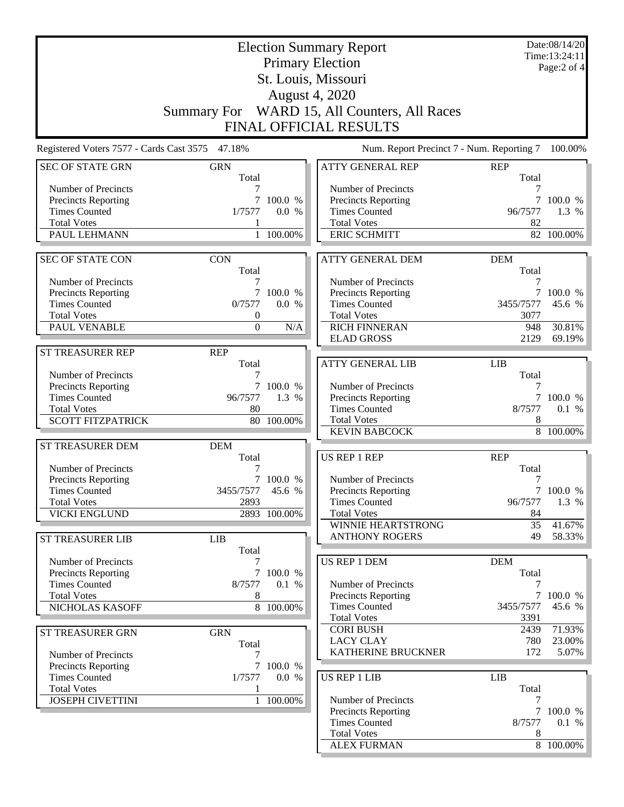|                                                   | Date:08/14/20<br><b>Election Summary Report</b> |              |                                           |                     |                              |  |  |
|---------------------------------------------------|-------------------------------------------------|--------------|-------------------------------------------|---------------------|------------------------------|--|--|
|                                                   |                                                 |              | <b>Primary Election</b>                   |                     | Time:13:24:11<br>Page:2 of 4 |  |  |
|                                                   | St. Louis, Missouri                             |              |                                           |                     |                              |  |  |
|                                                   | <b>August 4, 2020</b>                           |              |                                           |                     |                              |  |  |
|                                                   |                                                 |              |                                           |                     |                              |  |  |
|                                                   | <b>Summary For</b>                              |              | WARD 15, All Counters, All Races          |                     |                              |  |  |
|                                                   |                                                 |              | FINAL OFFICIAL RESULTS                    |                     |                              |  |  |
| Registered Voters 7577 - Cards Cast 3575 47.18%   |                                                 |              | Num. Report Precinct 7 - Num. Reporting 7 |                     | 100.00%                      |  |  |
| <b>SEC OF STATE GRN</b>                           | <b>GRN</b><br>Total                             |              | <b>ATTY GENERAL REP</b>                   | <b>REP</b><br>Total |                              |  |  |
| Number of Precincts                               | 7                                               |              | Number of Precincts                       | 7                   |                              |  |  |
| <b>Precincts Reporting</b>                        | 7                                               | 100.0 %      | <b>Precincts Reporting</b>                |                     | 100.0 %                      |  |  |
| <b>Times Counted</b>                              | 1/7577                                          | 0.0 %        | <b>Times Counted</b>                      | 96/7577             | 1.3 %                        |  |  |
| <b>Total Votes</b><br>PAUL LEHMANN                | 1<br>1                                          | 100.00%      | <b>Total Votes</b><br><b>ERIC SCHMITT</b> | 82<br>82            | 100.00%                      |  |  |
|                                                   |                                                 |              |                                           |                     |                              |  |  |
| <b>SEC OF STATE CON</b>                           | <b>CON</b><br>Total                             |              | <b>ATTY GENERAL DEM</b>                   | <b>DEM</b><br>Total |                              |  |  |
| Number of Precincts                               | 7                                               |              | Number of Precincts                       | 7                   |                              |  |  |
| <b>Precincts Reporting</b>                        |                                                 | 7 100.0 %    | Precincts Reporting                       |                     | 7 100.0 %                    |  |  |
| <b>Times Counted</b>                              | 0/7577                                          | 0.0 %        | <b>Times Counted</b>                      | 3455/7577           | 45.6 %                       |  |  |
| <b>Total Votes</b>                                | $\boldsymbol{0}$                                |              | <b>Total Votes</b>                        | 3077                |                              |  |  |
| PAUL VENABLE                                      | $\mathbf{0}$                                    | N/A          | <b>RICH FINNERAN</b>                      | 948                 | 30.81%                       |  |  |
|                                                   |                                                 |              | <b>ELAD GROSS</b>                         | 2129                | $69.19\%$                    |  |  |
| <b>ST TREASURER REP</b>                           | <b>REP</b>                                      |              |                                           |                     |                              |  |  |
|                                                   | Total                                           |              | <b>ATTY GENERAL LIB</b>                   | <b>LIB</b>          |                              |  |  |
| Number of Precincts<br><b>Precincts Reporting</b> |                                                 | 7 100.0 %    | Number of Precincts                       | Total               |                              |  |  |
| <b>Times Counted</b>                              | 96/7577                                         | 1.3 %        | <b>Precincts Reporting</b>                |                     | 7 100.0 %                    |  |  |
| <b>Total Votes</b>                                | 80                                              |              | <b>Times Counted</b>                      | 8/7577              | 0.1 %                        |  |  |
| <b>SCOTT FITZPATRICK</b>                          | 80                                              | 100.00%      | <b>Total Votes</b>                        | 8                   |                              |  |  |
|                                                   |                                                 |              | <b>KEVIN BABCOCK</b>                      | 8                   | 100.00%                      |  |  |
| ST TREASURER DEM                                  | <b>DEM</b>                                      |              |                                           |                     |                              |  |  |
|                                                   | Total                                           |              | <b>US REP 1 REP</b>                       | <b>REP</b>          |                              |  |  |
| Number of Precincts<br>Precincts Reporting        | 7                                               | 7 100.0 %    | Number of Precincts                       | Total<br>7          |                              |  |  |
| <b>Times Counted</b>                              | 3455/7577                                       | 45.6 %       | Precincts Reporting                       |                     | 7 100.0 %                    |  |  |
| <b>Total Votes</b>                                | 2893                                            |              | <b>Times Counted</b>                      | 96/7577             | 1.3 %                        |  |  |
| <b>VICKI ENGLUND</b>                              |                                                 | 2893 100.00% | <b>Total Votes</b>                        | 84                  |                              |  |  |
|                                                   |                                                 |              | WINNIE HEARTSTRONG                        | 35                  | 41.67%                       |  |  |
| ST TREASURER LIB                                  | LIB                                             |              | <b>ANTHONY ROGERS</b>                     | 49                  | 58.33%                       |  |  |
|                                                   | Total                                           |              | <b>US REP 1 DEM</b>                       |                     |                              |  |  |
| Number of Precincts<br>Precincts Reporting        | 7                                               | 7 100.0 %    |                                           | <b>DEM</b><br>Total |                              |  |  |
| <b>Times Counted</b>                              | 8/7577                                          | 0.1 %        | Number of Precincts                       | 7                   |                              |  |  |
| <b>Total Votes</b>                                | 8                                               |              | Precincts Reporting                       |                     | 7100.0%                      |  |  |
| NICHOLAS KASOFF                                   | 8                                               | 100.00%      | <b>Times Counted</b>                      | 3455/7577           | 45.6 %                       |  |  |
|                                                   |                                                 |              | <b>Total Votes</b>                        | 3391                |                              |  |  |
| ST TREASURER GRN                                  | <b>GRN</b>                                      |              | <b>CORI BUSH</b>                          | 2439                | 71.93%                       |  |  |
|                                                   | Total                                           |              | <b>LACY CLAY</b>                          | 780                 | 23.00%                       |  |  |
| Number of Precincts                               | 7                                               |              | KATHERINE BRUCKNER                        | 172                 | 5.07%                        |  |  |
| Precincts Reporting                               |                                                 | 7 100.0 %    |                                           |                     |                              |  |  |
| <b>Times Counted</b>                              | 1/7577                                          | 0.0 %        | <b>US REP 1 LIB</b>                       | <b>LIB</b>          |                              |  |  |
| <b>Total Votes</b><br><b>JOSEPH CIVETTINI</b>     | 1                                               | 1 100.00%    | Number of Precincts                       | Total<br>7          |                              |  |  |
|                                                   |                                                 |              | <b>Precincts Reporting</b>                | 7                   | 100.0 %                      |  |  |
|                                                   |                                                 |              | <b>Times Counted</b>                      | 8/7577              | 0.1 %                        |  |  |
|                                                   |                                                 |              | <b>Total Votes</b>                        | 8                   |                              |  |  |
|                                                   |                                                 |              | <b>ALEX FURMAN</b>                        |                     | 8 100.00%                    |  |  |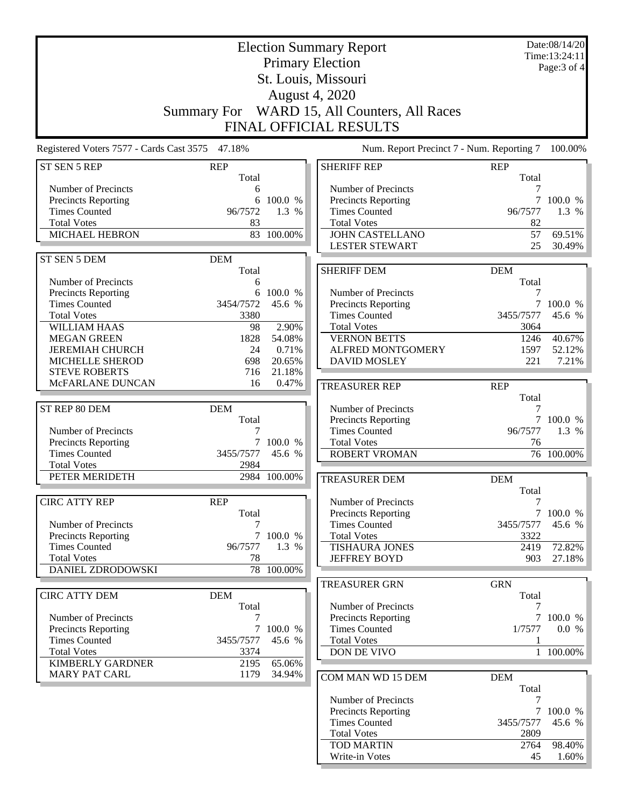|                                                 | <b>Election Summary Report</b> |                  |                                              |                           |                                |
|-------------------------------------------------|--------------------------------|------------------|----------------------------------------------|---------------------------|--------------------------------|
|                                                 |                                |                  | <b>Primary Election</b>                      |                           | Time: 13:24:11<br>Page: 3 of 4 |
|                                                 |                                |                  | St. Louis, Missouri                          |                           |                                |
|                                                 |                                |                  | August 4, 2020                               |                           |                                |
|                                                 |                                |                  |                                              |                           |                                |
|                                                 | <b>Summary For</b>             |                  | WARD 15, All Counters, All Races             |                           |                                |
|                                                 |                                |                  | FINAL OFFICIAL RESULTS                       |                           |                                |
| Registered Voters 7577 - Cards Cast 3575 47.18% |                                |                  | Num. Report Precinct 7 - Num. Reporting 7    |                           | 100.00%                        |
| ST SEN 5 REP                                    | <b>REP</b>                     |                  | <b>SHERIFF REP</b>                           | <b>REP</b>                |                                |
|                                                 | Total                          |                  |                                              | Total                     |                                |
| Number of Precincts                             | 6                              |                  | Number of Precincts                          | 7                         |                                |
| Precincts Reporting<br><b>Times Counted</b>     | 6<br>96/7572                   | 100.0 %<br>1.3 % | Precincts Reporting<br><b>Times Counted</b>  | $\overline{7}$<br>96/7577 | 100.0 %<br>1.3 %               |
| <b>Total Votes</b>                              | 83                             |                  | <b>Total Votes</b>                           | 82                        |                                |
| MICHAEL HEBRON                                  | 83                             | 100.00%          | <b>JOHN CASTELLANO</b>                       | 57                        | 69.51%                         |
|                                                 |                                |                  | <b>LESTER STEWART</b>                        | 25                        | 30.49%                         |
| ST SEN 5 DEM                                    | <b>DEM</b>                     |                  |                                              |                           |                                |
|                                                 | Total                          |                  | <b>SHERIFF DEM</b>                           | <b>DEM</b>                |                                |
| Number of Precincts                             | 6                              |                  |                                              | Total                     |                                |
| Precincts Reporting                             |                                | 6 100.0 %        | Number of Precincts                          | 7                         |                                |
| <b>Times Counted</b>                            | 3454/7572                      | 45.6 %           | Precincts Reporting                          | $\overline{7}$            | 100.0 %                        |
| <b>Total Votes</b>                              | 3380                           |                  | <b>Times Counted</b>                         | 3455/7577                 | 45.6 %                         |
| <b>WILLIAM HAAS</b>                             | 98                             | 2.90%            | <b>Total Votes</b>                           | 3064                      |                                |
| <b>MEGAN GREEN</b>                              | 1828                           | 54.08%           | <b>VERNON BETTS</b>                          | 1246                      | 40.67%                         |
| <b>JEREMIAH CHURCH</b>                          | 24                             | 0.71%            | ALFRED MONTGOMERY                            | 1597                      | 52.12%                         |
| MICHELLE SHEROD                                 | 698                            | 20.65%           | <b>DAVID MOSLEY</b>                          | 221                       | 7.21%                          |
| <b>STEVE ROBERTS</b><br>McFARLANE DUNCAN        | 716<br>16                      | 21.18%<br>0.47%  |                                              |                           |                                |
|                                                 |                                |                  | <b>TREASURER REP</b>                         | <b>REP</b>                |                                |
| ST REP 80 DEM                                   | <b>DEM</b>                     |                  | Number of Precincts                          | Total<br>7                |                                |
|                                                 | Total                          |                  | <b>Precincts Reporting</b>                   | 7                         | 100.0 %                        |
| Number of Precincts                             | 7                              |                  | <b>Times Counted</b>                         | 96/7577                   | 1.3 %                          |
| <b>Precincts Reporting</b>                      |                                | 7 100.0 %        | <b>Total Votes</b>                           | 76                        |                                |
| <b>Times Counted</b>                            | 3455/7577                      | 45.6 %           | <b>ROBERT VROMAN</b>                         |                           | 76 100.00%                     |
| <b>Total Votes</b>                              | 2984                           |                  |                                              |                           |                                |
| PETER MERIDETH                                  |                                | 2984 100.00%     | <b>TREASURER DEM</b>                         | <b>DEM</b>                |                                |
|                                                 |                                |                  |                                              | Total                     |                                |
| <b>CIRC ATTY REP</b>                            | <b>REP</b>                     |                  | Number of Precincts                          | $\boldsymbol{7}$          |                                |
|                                                 | Total                          |                  | Precincts Reporting                          |                           | 7 100.0 %                      |
| Number of Precincts                             | 7                              |                  | <b>Times Counted</b>                         | 3455/7577                 | 45.6 %                         |
| Precincts Reporting<br><b>Times Counted</b>     | $\tau$                         | 100.0 %          | <b>Total Votes</b>                           | 3322                      |                                |
| <b>Total Votes</b>                              | 96/7577<br>78                  | 1.3 %            | <b>TISHAURA JONES</b><br><b>JEFFREY BOYD</b> | 2419                      | 72.82%                         |
| <b>DANIEL ZDRODOWSKI</b>                        |                                | 78 100.00%       |                                              | 903                       | 27.18%                         |
|                                                 |                                |                  | <b>TREASURER GRN</b>                         | <b>GRN</b>                |                                |
| <b>CIRC ATTY DEM</b>                            | <b>DEM</b>                     |                  |                                              | Total                     |                                |
|                                                 | Total                          |                  | Number of Precincts                          | 7                         |                                |
| Number of Precincts                             | 7                              |                  | <b>Precincts Reporting</b>                   |                           | 7 100.0 %                      |
| Precincts Reporting                             |                                | 7 100.0 %        | <b>Times Counted</b>                         | 1/7577                    | 0.0 %                          |
| <b>Times Counted</b>                            | 3455/7577                      | 45.6 %           | <b>Total Votes</b>                           | 1                         |                                |
| <b>Total Votes</b>                              | 3374                           |                  | DON DE VIVO                                  |                           | 1 100.00%                      |
| <b>KIMBERLY GARDNER</b>                         | 2195                           | 65.06%           |                                              |                           |                                |
| <b>MARY PAT CARL</b>                            | 1179                           | 34.94%           | COM MAN WD 15 DEM                            | <b>DEM</b>                |                                |
|                                                 |                                |                  |                                              | Total                     |                                |
|                                                 |                                |                  | Number of Precincts                          | 7                         |                                |
|                                                 |                                |                  | Precincts Reporting                          | $\tau$                    | 100.0 %                        |
|                                                 |                                |                  | <b>Times Counted</b>                         | 3455/7577<br>2809         | 45.6 %                         |
|                                                 |                                |                  | <b>Total Votes</b><br><b>TOD MARTIN</b>      | 2764                      | 98.40%                         |
|                                                 |                                |                  | Write-in Votes                               | 45                        | 1.60%                          |
|                                                 |                                |                  |                                              |                           |                                |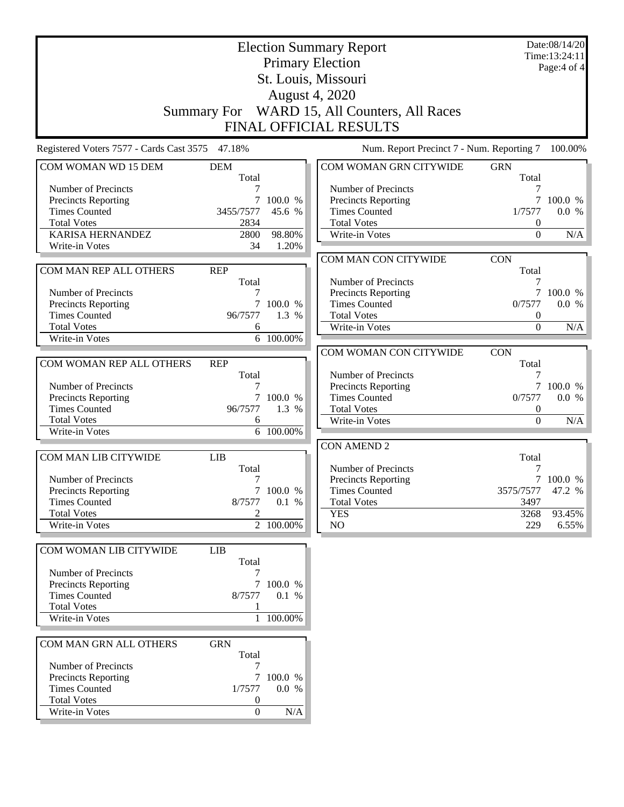| <b>Election Summary Report</b>                  |                     |           |                                              |                     | Date:08/14/20<br>Time:13:24:11 |
|-------------------------------------------------|---------------------|-----------|----------------------------------------------|---------------------|--------------------------------|
|                                                 |                     |           | <b>Primary Election</b>                      |                     | Page: 4 of 4                   |
|                                                 |                     |           | St. Louis, Missouri                          |                     |                                |
|                                                 |                     |           | <b>August 4, 2020</b>                        |                     |                                |
|                                                 |                     |           |                                              |                     |                                |
|                                                 |                     |           | Summary For WARD 15, All Counters, All Races |                     |                                |
|                                                 |                     |           | <b>FINAL OFFICIAL RESULTS</b>                |                     |                                |
| Registered Voters 7577 - Cards Cast 3575 47.18% |                     |           | Num. Report Precinct 7 - Num. Reporting 7    |                     | 100.00%                        |
| COM WOMAN WD 15 DEM                             | <b>DEM</b><br>Total |           | COM WOMAN GRN CITYWIDE                       | <b>GRN</b><br>Total |                                |
| Number of Precincts                             |                     |           | Number of Precincts                          |                     |                                |
| Precincts Reporting                             | 7                   | 100.0 %   | Precincts Reporting                          | $7\overline{ }$     | 100.0 %                        |
| <b>Times Counted</b>                            | 3455/7577           | 45.6 %    | <b>Times Counted</b>                         | 1/7577              | 0.0 %                          |
| <b>Total Votes</b>                              | 2834                |           | <b>Total Votes</b>                           | 0                   |                                |
| <b>KARISA HERNANDEZ</b>                         | 2800<br>34          | 98.80%    | Write-in Votes                               | $\theta$            | $\rm N/A$                      |
| Write-in Votes                                  |                     | 1.20%     |                                              |                     |                                |
| COM MAN REP ALL OTHERS                          | <b>REP</b>          |           | COM MAN CON CITYWIDE                         | <b>CON</b><br>Total |                                |
|                                                 | Total               |           | Number of Precincts                          | 7                   |                                |
| Number of Precincts                             | 7                   |           | Precincts Reporting                          | 7                   | 100.0 %                        |
| Precincts Reporting                             |                     | 7 100.0 % | <b>Times Counted</b>                         | 0/7577              | 0.0 %                          |
| <b>Times Counted</b>                            | 96/7577             | 1.3 %     | <b>Total Votes</b>                           | 0                   |                                |
| <b>Total Votes</b>                              | 6                   |           | Write-in Votes                               | $\boldsymbol{0}$    | N/A                            |
| Write-in Votes                                  |                     | 6 100.00% |                                              |                     |                                |
|                                                 |                     |           | COM WOMAN CON CITYWIDE                       | <b>CON</b>          |                                |
| COM WOMAN REP ALL OTHERS                        | <b>REP</b>          |           |                                              | Total               |                                |
|                                                 | Total               |           | Number of Precincts                          | 7                   |                                |
| Number of Precincts                             | 7                   |           | <b>Precincts Reporting</b>                   | $7\overline{ }$     | 100.0 %                        |
| <b>Precincts Reporting</b>                      |                     | 7 100.0 % | <b>Times Counted</b>                         | 0/7577              | 0.0 %                          |
| <b>Times Counted</b><br><b>Total Votes</b>      | 96/7577<br>6        | 1.3 %     | <b>Total Votes</b><br>Write-in Votes         | 0<br>$\overline{0}$ | N/A                            |
| Write-in Votes                                  |                     | 6 100.00% |                                              |                     |                                |
|                                                 |                     |           | <b>CON AMEND 2</b>                           |                     |                                |
| COM MAN LIB CITYWIDE                            | <b>LIB</b>          |           |                                              | Total               |                                |
|                                                 | Total               |           | Number of Precincts                          |                     |                                |
| Number of Precincts                             | 7                   |           | Precincts Reporting                          |                     | 100.0 %                        |
| <b>Precincts Reporting</b>                      |                     | 7 100.0 % | Times Counted                                | 3575/7577           | 47.2 %                         |
| <b>Times Counted</b>                            | 8/7577              | 0.1 %     | <b>Total Votes</b>                           | 3497                |                                |
| <b>Total Votes</b>                              | 2                   |           | <b>YES</b>                                   | 3268                | 93.45%                         |
| Write-in Votes                                  |                     | 2 100.00% | NO.                                          | 229                 | 6.55%                          |
| COM WOMAN LIB CITYWIDE                          | LIB                 |           |                                              |                     |                                |
|                                                 | Total               |           |                                              |                     |                                |
| Number of Precincts                             |                     |           |                                              |                     |                                |
| <b>Precincts Reporting</b>                      | 7                   | 100.0 %   |                                              |                     |                                |
| <b>Times Counted</b>                            | 8/7577              | 0.1 %     |                                              |                     |                                |
| <b>Total Votes</b>                              | 1                   |           |                                              |                     |                                |
| Write-in Votes                                  |                     | 1 100.00% |                                              |                     |                                |
| COM MAN GRN ALL OTHERS                          | <b>GRN</b>          |           |                                              |                     |                                |
|                                                 | Total               |           |                                              |                     |                                |
| Number of Precincts                             | 7                   |           |                                              |                     |                                |
| <b>Precincts Reporting</b>                      |                     | 7 100.0 % |                                              |                     |                                |
| <b>Times Counted</b>                            | 1/7577              | 0.0 %     |                                              |                     |                                |
| <b>Total Votes</b>                              | $\boldsymbol{0}$    |           |                                              |                     |                                |
| Write-in Votes                                  | $\boldsymbol{0}$    | $\rm N/A$ |                                              |                     |                                |
|                                                 |                     |           |                                              |                     |                                |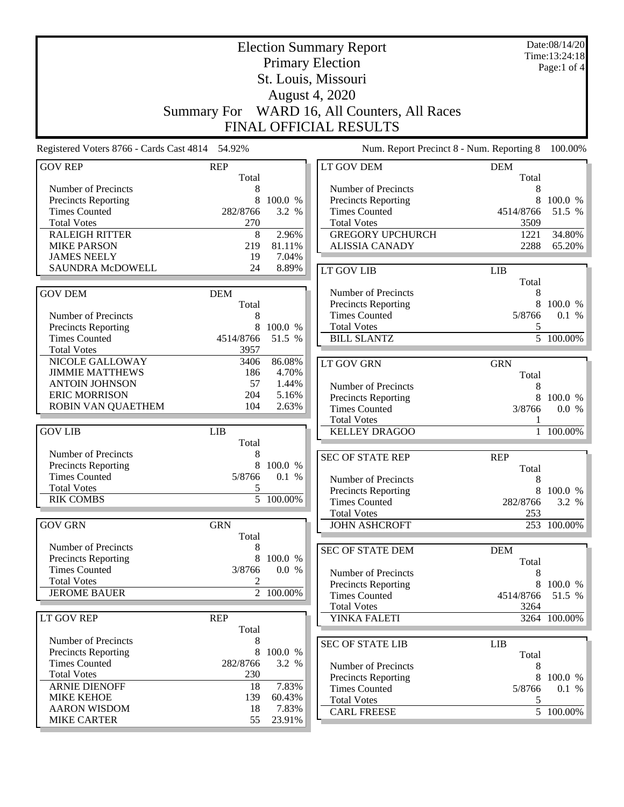|                                                 | <b>Election Summary Report</b> |                        |                                                    |                     | Date:08/14/20<br>Time: 13:24:18 |  |
|-------------------------------------------------|--------------------------------|------------------------|----------------------------------------------------|---------------------|---------------------------------|--|
|                                                 |                                |                        | <b>Primary Election</b>                            |                     | Page:1 of 4                     |  |
|                                                 |                                |                        | St. Louis, Missouri                                |                     |                                 |  |
|                                                 | August 4, 2020                 |                        |                                                    |                     |                                 |  |
|                                                 | <b>Summary For</b>             |                        | WARD 16, All Counters, All Races                   |                     |                                 |  |
|                                                 |                                |                        | <b>FINAL OFFICIAL RESULTS</b>                      |                     |                                 |  |
| Registered Voters 8766 - Cards Cast 4814 54.92% |                                |                        | Num. Report Precinct 8 - Num. Reporting 8          |                     | 100.00%                         |  |
|                                                 |                                |                        |                                                    |                     |                                 |  |
| <b>GOV REP</b>                                  | <b>REP</b><br>Total            |                        | LT GOV DEM                                         | <b>DEM</b><br>Total |                                 |  |
| Number of Precincts                             | 8                              |                        | Number of Precincts                                | 8                   |                                 |  |
| Precincts Reporting<br><b>Times Counted</b>     | 8<br>282/8766                  | 100.0 %<br>3.2 %       | <b>Precincts Reporting</b><br><b>Times Counted</b> | 8<br>4514/8766      | 100.0 %<br>51.5 %               |  |
| <b>Total Votes</b>                              | 270                            |                        | <b>Total Votes</b>                                 | 3509                |                                 |  |
| <b>RALEIGH RITTER</b>                           | 8                              | 2.96%                  | <b>GREGORY UPCHURCH</b>                            | 1221                | 34.80%                          |  |
| <b>MIKE PARSON</b>                              | 219                            | 81.11%                 | <b>ALISSIA CANADY</b>                              | 2288                | 65.20%                          |  |
| <b>JAMES NEELY</b>                              | 19                             | 7.04%                  |                                                    |                     |                                 |  |
| SAUNDRA McDOWELL                                | 24                             | 8.89%                  | LT GOV LIB                                         | <b>LIB</b>          |                                 |  |
|                                                 |                                |                        |                                                    | Total               |                                 |  |
| <b>GOV DEM</b>                                  | <b>DEM</b>                     |                        | Number of Precincts                                | 8                   |                                 |  |
|                                                 | Total                          |                        | <b>Precincts Reporting</b>                         |                     | 8 100.0 %                       |  |
| Number of Precincts                             | 8                              |                        | <b>Times Counted</b>                               | 5/8766              | 0.1 %                           |  |
| Precincts Reporting                             | 8                              | 100.0 %                | <b>Total Votes</b>                                 | 5                   |                                 |  |
| <b>Times Counted</b>                            | 4514/8766                      | 51.5 %                 | <b>BILL SLANTZ</b>                                 |                     | 5 100.00%                       |  |
| <b>Total Votes</b>                              | 3957                           |                        |                                                    |                     |                                 |  |
| NICOLE GALLOWAY                                 | 3406                           | 86.08%                 | <b>LT GOV GRN</b>                                  | <b>GRN</b>          |                                 |  |
| <b>JIMMIE MATTHEWS</b>                          | 186                            | 4.70%                  |                                                    | Total               |                                 |  |
| <b>ANTOIN JOHNSON</b><br><b>ERIC MORRISON</b>   | 57<br>204                      | 1.44%<br>5.16%         | Number of Precincts                                | 8                   |                                 |  |
| ROBIN VAN QUAETHEM                              | 104                            | 2.63%                  | Precincts Reporting                                | 8                   | 100.0 %                         |  |
|                                                 |                                |                        | <b>Times Counted</b><br><b>Total Votes</b>         | 3/8766<br>1         | 0.0 %                           |  |
| <b>GOV LIB</b>                                  | <b>LIB</b>                     |                        | <b>KELLEY DRAGOO</b>                               | $\mathbf{1}$        | 100.00%                         |  |
|                                                 | Total                          |                        |                                                    |                     |                                 |  |
| Number of Precincts                             | 8                              |                        | <b>SEC OF STATE REP</b>                            | <b>REP</b>          |                                 |  |
| <b>Precincts Reporting</b>                      | 8                              | 100.0 %                |                                                    | Total               |                                 |  |
| <b>Times Counted</b>                            | 5/8766                         | 0.1 %                  | Number of Precincts                                | 8                   |                                 |  |
| <b>Total Votes</b>                              | 5                              |                        | <b>Precincts Reporting</b>                         |                     | 8 100.0 %                       |  |
| <b>RIK COMBS</b>                                |                                | 5 100.00%              | <b>Times Counted</b>                               | 282/8766            | 3.2 %                           |  |
|                                                 |                                |                        | <b>Total Votes</b>                                 | 253                 |                                 |  |
| <b>GOV GRN</b>                                  | <b>GRN</b><br>Total            |                        | <b>JOHN ASHCROFT</b>                               |                     | 253 100.00%                     |  |
| Number of Precincts                             | 8                              |                        |                                                    |                     |                                 |  |
| <b>Precincts Reporting</b>                      | 8                              | 100.0 %                | SEC OF STATE DEM                                   | <b>DEM</b>          |                                 |  |
| <b>Times Counted</b>                            | 3/8766                         | 0.0 %                  | Number of Precincts                                | Total<br>8          |                                 |  |
| <b>Total Votes</b>                              | 2                              |                        | <b>Precincts Reporting</b>                         | 8                   | 100.0 %                         |  |
| <b>JEROME BAUER</b>                             |                                | $\overline{2}$ 100.00% | <b>Times Counted</b>                               | 4514/8766           | 51.5 %                          |  |
|                                                 |                                |                        | <b>Total Votes</b>                                 | 3264                |                                 |  |
| <b>LT GOV REP</b>                               | <b>REP</b>                     |                        | YINKA FALETI                                       |                     | 3264 100.00%                    |  |
|                                                 | Total                          |                        |                                                    |                     |                                 |  |
| Number of Precincts                             | 8                              |                        | <b>SEC OF STATE LIB</b>                            | <b>LIB</b>          |                                 |  |
| <b>Precincts Reporting</b>                      | 8                              | 100.0 %                |                                                    | Total               |                                 |  |
| <b>Times Counted</b>                            | 282/8766                       | 3.2 %                  | Number of Precincts                                | 8                   |                                 |  |
| <b>Total Votes</b>                              | 230                            |                        | <b>Precincts Reporting</b>                         |                     | 8 100.0 %                       |  |
| <b>ARNIE DIENOFF</b>                            | 18                             | 7.83%                  | <b>Times Counted</b>                               | 5/8766              | 0.1 %                           |  |
| <b>MIKE KEHOE</b><br><b>AARON WISDOM</b>        | 139<br>18                      | 60.43%<br>7.83%        | <b>Total Votes</b>                                 | 5                   |                                 |  |
| <b>MIKE CARTER</b>                              | 55                             | 23.91%                 | <b>CARL FREESE</b>                                 |                     | $\overline{5}$ 100.00%          |  |
|                                                 |                                |                        |                                                    |                     |                                 |  |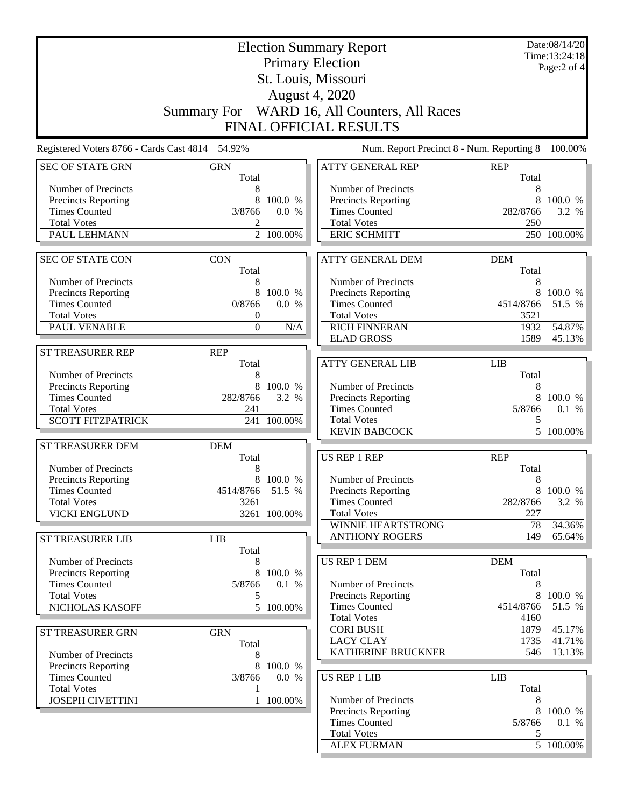|                                                 | Date:08/14/20<br><b>Election Summary Report</b> |                        |                                            |                     |                               |  |
|-------------------------------------------------|-------------------------------------------------|------------------------|--------------------------------------------|---------------------|-------------------------------|--|
|                                                 |                                                 |                        | <b>Primary Election</b>                    |                     | Time: 13:24:18<br>Page:2 of 4 |  |
|                                                 |                                                 |                        | St. Louis, Missouri                        |                     |                               |  |
|                                                 |                                                 |                        | <b>August 4, 2020</b>                      |                     |                               |  |
|                                                 |                                                 |                        |                                            |                     |                               |  |
|                                                 | <b>Summary For</b>                              |                        | WARD 16, All Counters, All Races           |                     |                               |  |
|                                                 |                                                 |                        | FINAL OFFICIAL RESULTS                     |                     |                               |  |
| Registered Voters 8766 - Cards Cast 4814 54.92% |                                                 |                        | Num. Report Precinct 8 - Num. Reporting 8  |                     | 100.00%                       |  |
| <b>SEC OF STATE GRN</b>                         | <b>GRN</b><br>Total                             |                        | <b>ATTY GENERAL REP</b>                    | <b>REP</b><br>Total |                               |  |
| Number of Precincts                             | 8                                               |                        | Number of Precincts                        | 8                   |                               |  |
| <b>Precincts Reporting</b>                      | 8                                               | 100.0 %                | <b>Precincts Reporting</b>                 | 8                   | 100.0 %                       |  |
| <b>Times Counted</b>                            | 3/8766                                          | 0.0 %                  | <b>Times Counted</b>                       | 282/8766            | 3.2 %                         |  |
| <b>Total Votes</b><br>PAUL LEHMANN              | 2                                               | $\overline{2}$ 100.00% | <b>Total Votes</b><br><b>ERIC SCHMITT</b>  | 250                 | 250 100.00%                   |  |
|                                                 |                                                 |                        |                                            |                     |                               |  |
| <b>SEC OF STATE CON</b>                         | <b>CON</b>                                      |                        | <b>ATTY GENERAL DEM</b>                    | <b>DEM</b>          |                               |  |
|                                                 | Total                                           |                        |                                            | Total               |                               |  |
| Number of Precincts                             | 8                                               |                        | Number of Precincts                        | 8                   |                               |  |
| <b>Precincts Reporting</b>                      | 8                                               | 100.0 %                | Precincts Reporting                        | 8                   | 100.0 %                       |  |
| <b>Times Counted</b><br><b>Total Votes</b>      | 0/8766                                          | 0.0 %                  | <b>Times Counted</b><br><b>Total Votes</b> | 4514/8766           | 51.5 %                        |  |
| PAUL VENABLE                                    | $\boldsymbol{0}$<br>$\mathbf{0}$                | N/A                    | <b>RICH FINNERAN</b>                       | 3521<br>1932        | 54.87%                        |  |
|                                                 |                                                 |                        | <b>ELAD GROSS</b>                          | 1589                | $45.13\%$                     |  |
| <b>ST TREASURER REP</b>                         | <b>REP</b>                                      |                        |                                            |                     |                               |  |
|                                                 | Total                                           |                        | <b>ATTY GENERAL LIB</b>                    | <b>LIB</b>          |                               |  |
| Number of Precincts                             | 8                                               |                        |                                            | Total               |                               |  |
| <b>Precincts Reporting</b>                      | 8                                               | 100.0 %                | Number of Precincts                        | 8                   |                               |  |
| <b>Times Counted</b>                            | 282/8766                                        | 3.2 %                  | <b>Precincts Reporting</b>                 | 8                   | 100.0 %                       |  |
| <b>Total Votes</b>                              | 241                                             |                        | <b>Times Counted</b>                       | 5/8766              | 0.1 %                         |  |
| <b>SCOTT FITZPATRICK</b>                        | 241                                             | 100.00%                | <b>Total Votes</b>                         | 5                   |                               |  |
|                                                 |                                                 |                        | <b>KEVIN BABCOCK</b>                       |                     | $\overline{5}$ 100.00%        |  |
| ST TREASURER DEM                                | <b>DEM</b>                                      |                        | <b>US REP 1 REP</b>                        | <b>REP</b>          |                               |  |
| Number of Precincts                             | Total<br>8                                      |                        |                                            | Total               |                               |  |
| Precincts Reporting                             | 8                                               | 100.0 %                | Number of Precincts                        | 8                   |                               |  |
| <b>Times Counted</b>                            | 4514/8766                                       | 51.5 %                 | Precincts Reporting                        | 8                   | 100.0 %                       |  |
| <b>Total Votes</b>                              | 3261                                            |                        | <b>Times Counted</b>                       | 282/8766            | 3.2 %                         |  |
| <b>VICKI ENGLUND</b>                            |                                                 | 3261 100.00%           | <b>Total Votes</b>                         | 227                 |                               |  |
|                                                 |                                                 |                        | WINNIE HEARTSTRONG                         | 78                  | 34.36%                        |  |
| <b>ST TREASURER LIB</b>                         | LIB                                             |                        | <b>ANTHONY ROGERS</b>                      | 149                 | 65.64%                        |  |
|                                                 | Total                                           |                        |                                            |                     |                               |  |
| Number of Precincts<br>Precincts Reporting      | 8<br>8                                          | 100.0 %                | <b>US REP 1 DEM</b>                        | <b>DEM</b><br>Total |                               |  |
| <b>Times Counted</b>                            | 5/8766                                          | 0.1 %                  | Number of Precincts                        | 8                   |                               |  |
| <b>Total Votes</b>                              | 5                                               |                        | <b>Precincts Reporting</b>                 | 8                   | 100.0 %                       |  |
| NICHOLAS KASOFF                                 |                                                 | 5 100.00%              | <b>Times Counted</b>                       | 4514/8766           | 51.5 %                        |  |
|                                                 |                                                 |                        | <b>Total Votes</b>                         | 4160                |                               |  |
| ST TREASURER GRN                                | <b>GRN</b>                                      |                        | <b>CORI BUSH</b>                           | 1879                | 45.17%                        |  |
|                                                 | Total                                           |                        | <b>LACY CLAY</b>                           | 1735                | 41.71%                        |  |
| Number of Precincts                             | 8                                               |                        | KATHERINE BRUCKNER                         | 546                 | $13.13\%$                     |  |
| Precincts Reporting                             | 8                                               | 100.0 %                |                                            |                     |                               |  |
| <b>Times Counted</b>                            | 3/8766                                          | 0.0 %                  | <b>US REP 1 LIB</b>                        | <b>LIB</b><br>Total |                               |  |
| <b>Total Votes</b><br><b>JOSEPH CIVETTINI</b>   | 1                                               | 1 100.00%              | Number of Precincts                        | 8                   |                               |  |
|                                                 |                                                 |                        | <b>Precincts Reporting</b>                 | 8                   | 100.0 %                       |  |
|                                                 |                                                 |                        | <b>Times Counted</b>                       | 5/8766              | 0.1 %                         |  |
|                                                 |                                                 |                        | <b>Total Votes</b>                         | 5                   |                               |  |
|                                                 |                                                 |                        | <b>ALEX FURMAN</b>                         |                     | $\overline{5}$ 100.00%        |  |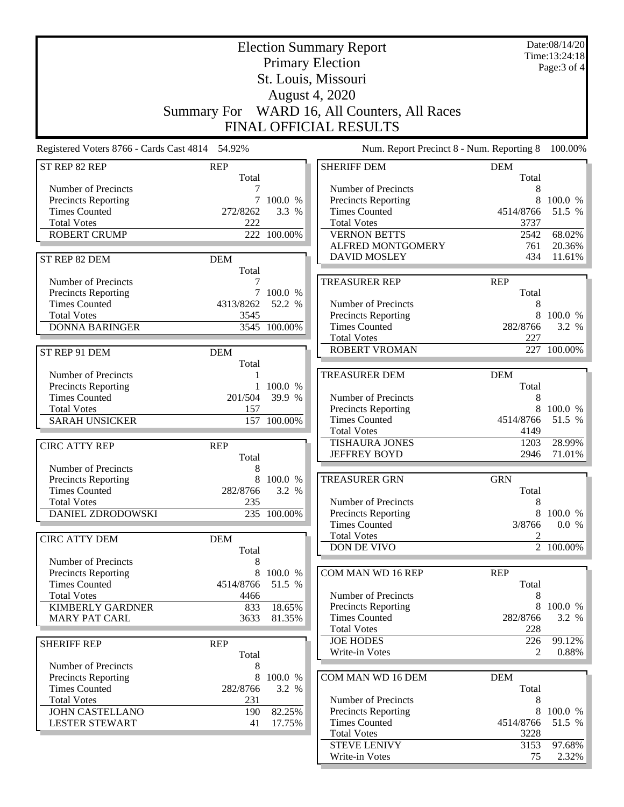|                                                   |             |              | <b>Election Summary Report</b>                     |                   | Date:08/14/20<br>Time: 13:24:18 |
|---------------------------------------------------|-------------|--------------|----------------------------------------------------|-------------------|---------------------------------|
|                                                   |             |              | <b>Primary Election</b>                            |                   | Page: 3 of 4                    |
|                                                   |             |              | St. Louis, Missouri                                |                   |                                 |
|                                                   |             |              | August 4, 2020                                     |                   |                                 |
|                                                   |             |              | WARD 16, All Counters, All Races                   |                   |                                 |
|                                                   | Summary For |              |                                                    |                   |                                 |
|                                                   |             |              | FINAL OFFICIAL RESULTS                             |                   |                                 |
| Registered Voters 8766 - Cards Cast 4814 54.92%   |             |              | Num. Report Precinct 8 - Num. Reporting 8          |                   | 100.00%                         |
| ST REP 82 REP                                     | <b>REP</b>  |              | <b>SHERIFF DEM</b>                                 | <b>DEM</b>        |                                 |
|                                                   | Total       |              |                                                    | Total             |                                 |
| Number of Precincts                               | 7           |              | Number of Precincts                                | 8                 |                                 |
| <b>Precincts Reporting</b>                        |             | 100.0 %      | Precincts Reporting                                | 8                 | 100.0 %                         |
| <b>Times Counted</b><br><b>Total Votes</b>        | 272/8262    | 3.3 %        | <b>Times Counted</b><br><b>Total Votes</b>         | 4514/8766<br>3737 | 51.5 %                          |
| <b>ROBERT CRUMP</b>                               | 222         | 222 100.00%  | <b>VERNON BETTS</b>                                | 2542              | 68.02%                          |
|                                                   |             |              | ALFRED MONTGOMERY                                  | 761               | 20.36%                          |
| ST REP 82 DEM                                     | <b>DEM</b>  |              | <b>DAVID MOSLEY</b>                                | 434               | 11.61%                          |
|                                                   | Total       |              |                                                    |                   |                                 |
| Number of Precincts                               | 7           |              | <b>TREASURER REP</b>                               | <b>REP</b>        |                                 |
| <b>Precincts Reporting</b>                        | $\tau$      | 100.0 %      |                                                    | Total             |                                 |
| <b>Times Counted</b>                              | 4313/8262   | 52.2 %       | Number of Precincts                                | 8                 |                                 |
| <b>Total Votes</b>                                | 3545        |              | Precincts Reporting                                | 8                 | 100.0 %                         |
| <b>DONNA BARINGER</b>                             |             | 3545 100.00% | <b>Times Counted</b>                               | 282/8766          | 3.2 %                           |
|                                                   |             |              | <b>Total Votes</b>                                 | 227               |                                 |
| ST REP 91 DEM                                     | <b>DEM</b>  |              | ROBERT VROMAN                                      |                   | 227 100.00%                     |
|                                                   | Total       |              | <b>TREASURER DEM</b>                               | <b>DEM</b>        |                                 |
| Number of Precincts<br><b>Precincts Reporting</b> |             | 1 100.0 %    |                                                    | Total             |                                 |
| <b>Times Counted</b>                              | 201/504     | 39.9 %       | Number of Precincts                                | 8                 |                                 |
| <b>Total Votes</b>                                | 157         |              | <b>Precincts Reporting</b>                         | 8                 | 100.0 %                         |
| <b>SARAH UNSICKER</b>                             |             | 157 100.00%  | <b>Times Counted</b>                               | 4514/8766         | 51.5 %                          |
|                                                   |             |              | <b>Total Votes</b>                                 | 4149              |                                 |
| <b>CIRC ATTY REP</b>                              | <b>REP</b>  |              | TISHAURA JONES                                     | 1203              | 28.99%                          |
|                                                   | Total       |              | <b>JEFFREY BOYD</b>                                | 2946              | 71.01%                          |
| Number of Precincts                               | 8           |              |                                                    |                   |                                 |
| <b>Precincts Reporting</b>                        | 8           | 100.0 %      | <b>TREASURER GRN</b>                               | <b>GRN</b>        |                                 |
| <b>Times Counted</b>                              | 282/8766    | 3.2 %        |                                                    | Total             |                                 |
| <b>Total Votes</b>                                | 235         |              | Number of Precincts                                | $\,8$             | 100.0 %                         |
| <b>DANIEL ZDRODOWSKI</b>                          |             | 235 100.00%  | <b>Precincts Reporting</b><br><b>Times Counted</b> | 8<br>3/8766       | 0.0 %                           |
|                                                   |             |              | <b>Total Votes</b>                                 | 2                 |                                 |
| <b>CIRC ATTY DEM</b>                              | <b>DEM</b>  |              | <b>DON DE VIVO</b>                                 |                   | 2 100.00%                       |
| Number of Precincts                               | Total<br>8  |              |                                                    |                   |                                 |
| <b>Precincts Reporting</b>                        | 8           | 100.0 %      | COM MAN WD 16 REP                                  | <b>REP</b>        |                                 |
| <b>Times Counted</b>                              | 4514/8766   | 51.5 %       |                                                    | Total             |                                 |
| <b>Total Votes</b>                                | 4466        |              | Number of Precincts                                | 8                 |                                 |
| <b>KIMBERLY GARDNER</b>                           | 833         | 18.65%       | Precincts Reporting                                | 8                 | 100.0 %                         |
| <b>MARY PAT CARL</b>                              | 3633        | 81.35%       | <b>Times Counted</b>                               | 282/8766          | 3.2 %                           |
|                                                   |             |              | <b>Total Votes</b>                                 | 228               |                                 |
| <b>SHERIFF REP</b>                                | <b>REP</b>  |              | <b>JOE HODES</b>                                   | 226               | 99.12%                          |
|                                                   | Total       |              | Write-in Votes                                     | 2                 | 0.88%                           |
| <b>Number of Precincts</b>                        | 8           |              |                                                    |                   |                                 |
| <b>Precincts Reporting</b>                        | 8           | 100.0 %      | COM MAN WD 16 DEM                                  | <b>DEM</b>        |                                 |
| <b>Times Counted</b>                              | 282/8766    | 3.2 %        | Number of Precincts                                | Total             |                                 |
| <b>Total Votes</b><br><b>JOHN CASTELLANO</b>      | 231<br>190  | 82.25%       | <b>Precincts Reporting</b>                         | 8<br>8            | 100.0 %                         |
| <b>LESTER STEWART</b>                             | 41          | 17.75%       | <b>Times Counted</b>                               | 4514/8766         | 51.5 %                          |
|                                                   |             |              | <b>Total Votes</b>                                 | 3228              |                                 |
|                                                   |             |              | <b>STEVE LENIVY</b>                                | 3153              | 97.68%                          |
|                                                   |             |              | Write-in Votes                                     | 75                | 2.32%                           |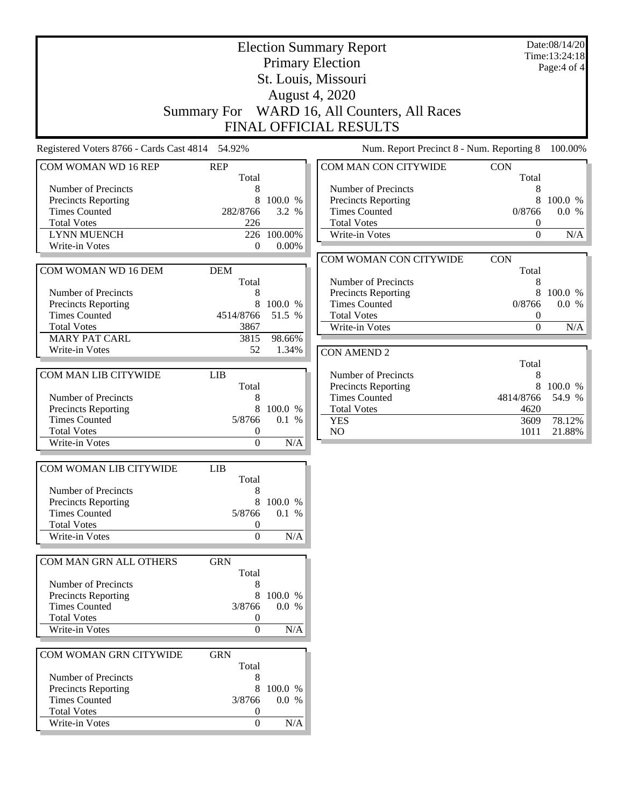| <b>Election Summary Report</b><br><b>Primary Election</b> |                     |                  |                                              |                                      | Date:08/14/20<br>Time: 13:24:18 |  |
|-----------------------------------------------------------|---------------------|------------------|----------------------------------------------|--------------------------------------|---------------------------------|--|
|                                                           |                     | Page:4 of 4      |                                              |                                      |                                 |  |
| St. Louis, Missouri                                       |                     |                  |                                              |                                      |                                 |  |
|                                                           |                     |                  | <b>August 4, 2020</b>                        |                                      |                                 |  |
|                                                           |                     |                  | Summary For WARD 16, All Counters, All Races |                                      |                                 |  |
|                                                           |                     |                  | <b>FINAL OFFICIAL RESULTS</b>                |                                      |                                 |  |
| Registered Voters 8766 - Cards Cast 4814 54.92%           |                     |                  | Num. Report Precinct 8 - Num. Reporting 8    |                                      | 100.00%                         |  |
| COM WOMAN WD 16 REP                                       | <b>REP</b>          |                  | COM MAN CON CITYWIDE                         | <b>CON</b>                           |                                 |  |
| Number of Precincts                                       | Total<br>8          |                  | Number of Precincts                          | Total<br>8                           |                                 |  |
| <b>Precincts Reporting</b>                                | 8                   | 100.0 %          | Precincts Reporting                          | 8                                    | 100.0 %                         |  |
| <b>Times Counted</b>                                      | 282/8766            | 3.2 %            | <b>Times Counted</b>                         | 0/8766                               | 0.0 %                           |  |
| <b>Total Votes</b>                                        | 226                 |                  | <b>Total Votes</b>                           | $\boldsymbol{0}$                     |                                 |  |
| <b>LYNN MUENCH</b>                                        | 226                 | 100.00%          | Write-in Votes                               | $\theta$                             | N/A                             |  |
| Write-in Votes                                            | $\theta$            | $0.00\%$         |                                              |                                      |                                 |  |
|                                                           |                     |                  | COM WOMAN CON CITYWIDE                       | <b>CON</b>                           |                                 |  |
| COM WOMAN WD 16 DEM                                       | <b>DEM</b>          |                  |                                              | Total                                |                                 |  |
|                                                           | Total               |                  | Number of Precincts                          | 8                                    |                                 |  |
| Number of Precincts                                       | 8                   |                  | <b>Precincts Reporting</b>                   | 8                                    | 100.0 %                         |  |
| <b>Precincts Reporting</b>                                | 8<br>4514/8766      | 100.0 %          | <b>Times Counted</b>                         | 0/8766                               | 0.0 %                           |  |
| <b>Times Counted</b><br><b>Total Votes</b>                | 3867                | 51.5 %           | <b>Total Votes</b><br>Write-in Votes         | $\boldsymbol{0}$<br>$\boldsymbol{0}$ | N/A                             |  |
| <b>MARY PAT CARL</b>                                      | 3815                | 98.66%           |                                              |                                      |                                 |  |
| Write-in Votes                                            | 52                  | 1.34%            | <b>CON AMEND 2</b>                           |                                      |                                 |  |
|                                                           |                     |                  |                                              | Total                                |                                 |  |
| COM MAN LIB CITYWIDE                                      | <b>LIB</b>          |                  | Number of Precincts                          | 8                                    |                                 |  |
|                                                           | Total               |                  | Precincts Reporting                          | 8                                    | 100.0 %                         |  |
| Number of Precincts                                       | 8                   |                  | <b>Times Counted</b>                         | 4814/8766                            | 54.9 %                          |  |
| <b>Precincts Reporting</b>                                | 8                   | 100.0 %          | <b>Total Votes</b>                           | 4620                                 |                                 |  |
| <b>Times Counted</b>                                      | 5/8766              | 0.1 %            | <b>YES</b>                                   | 3609                                 | 78.12%                          |  |
| <b>Total Votes</b>                                        | 0                   |                  | NO                                           | 1011                                 | 21.88%                          |  |
| Write-in Votes                                            | $\boldsymbol{0}$    | $\rm N/A$        |                                              |                                      |                                 |  |
| COM WOMAN LIB CITYWIDE                                    | <b>LIB</b><br>Total |                  |                                              |                                      |                                 |  |
| Number of Precincts                                       | 8                   |                  |                                              |                                      |                                 |  |
| <b>Precincts Reporting</b>                                |                     | 8 100.0 %        |                                              |                                      |                                 |  |
| <b>Times Counted</b>                                      | 5/8766              | 0.1 %            |                                              |                                      |                                 |  |
| <b>Total Votes</b>                                        | 0                   |                  |                                              |                                      |                                 |  |
| Write-in Votes                                            | $\boldsymbol{0}$    | N/A              |                                              |                                      |                                 |  |
| COM MAN GRN ALL OTHERS                                    | <b>GRN</b>          |                  |                                              |                                      |                                 |  |
|                                                           | Total               |                  |                                              |                                      |                                 |  |
| Number of Precincts                                       | 8                   |                  |                                              |                                      |                                 |  |
| <b>Precincts Reporting</b>                                | 8                   | 100.0 %          |                                              |                                      |                                 |  |
| <b>Times Counted</b>                                      | 3/8766              | 0.0 %            |                                              |                                      |                                 |  |
| <b>Total Votes</b>                                        | 0                   |                  |                                              |                                      |                                 |  |
| Write-in Votes                                            | $\boldsymbol{0}$    | $\rm N/A$        |                                              |                                      |                                 |  |
| COM WOMAN GRN CITYWIDE                                    | <b>GRN</b>          |                  |                                              |                                      |                                 |  |
|                                                           | Total               |                  |                                              |                                      |                                 |  |
| Number of Precincts                                       | 8                   |                  |                                              |                                      |                                 |  |
| <b>Precincts Reporting</b><br><b>Times Counted</b>        | 8<br>3/8766         | 100.0 %<br>0.0 % |                                              |                                      |                                 |  |
| <b>Total Votes</b>                                        | 0                   |                  |                                              |                                      |                                 |  |
| Write-in Votes                                            | $\boldsymbol{0}$    | N/A              |                                              |                                      |                                 |  |
|                                                           |                     |                  |                                              |                                      |                                 |  |
|                                                           |                     |                  |                                              |                                      |                                 |  |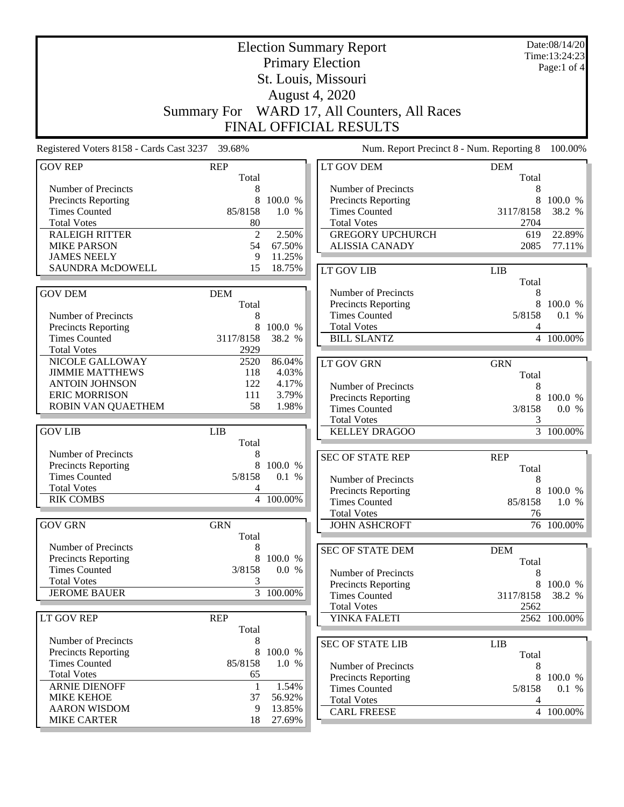|                                                 |                     |                 | <b>Election Summary Report</b>             |                     | Date:08/14/20<br>Time:13:24:23 |
|-------------------------------------------------|---------------------|-----------------|--------------------------------------------|---------------------|--------------------------------|
|                                                 |                     |                 | <b>Primary Election</b>                    |                     | Page:1 of 4                    |
|                                                 |                     |                 | St. Louis, Missouri                        |                     |                                |
|                                                 |                     |                 | <b>August 4, 2020</b>                      |                     |                                |
|                                                 |                     |                 |                                            |                     |                                |
|                                                 | <b>Summary For</b>  |                 | WARD 17, All Counters, All Races           |                     |                                |
|                                                 |                     |                 | FINAL OFFICIAL RESULTS                     |                     |                                |
| Registered Voters 8158 - Cards Cast 3237 39.68% |                     |                 | Num. Report Precinct 8 - Num. Reporting 8  |                     | 100.00%                        |
| <b>GOV REP</b>                                  | <b>REP</b><br>Total |                 | <b>LT GOV DEM</b>                          | <b>DEM</b><br>Total |                                |
| Number of Precincts                             | 8                   |                 | Number of Precincts                        | 8                   |                                |
| <b>Precincts Reporting</b>                      | 8                   | 100.0 %         | <b>Precincts Reporting</b>                 | 8                   | 100.0 %                        |
| <b>Times Counted</b>                            | 85/8158             | 1.0 %           | <b>Times Counted</b>                       | 3117/8158           | 38.2 %                         |
| <b>Total Votes</b>                              | 80                  |                 | <b>Total Votes</b>                         | 2704                |                                |
| <b>RALEIGH RITTER</b>                           | $\overline{2}$      | 2.50%           | <b>GREGORY UPCHURCH</b>                    | 619                 | 22.89%                         |
| <b>MIKE PARSON</b>                              | 54                  | 67.50%          | <b>ALISSIA CANADY</b>                      | 2085                | 77.11%                         |
| <b>JAMES NEELY</b>                              | 9                   | 11.25%          |                                            |                     |                                |
| SAUNDRA McDOWELL                                | 15                  | 18.75%          | <b>LT GOV LIB</b>                          | <b>LIB</b>          |                                |
|                                                 |                     |                 |                                            | Total               |                                |
| <b>GOV DEM</b>                                  | <b>DEM</b>          |                 | Number of Precincts                        | 8                   |                                |
|                                                 | Total               |                 | Precincts Reporting                        | 8                   | 100.0 %                        |
| Number of Precincts                             | 8                   |                 | <b>Times Counted</b>                       | 5/8158              | 0.1 %                          |
| <b>Precincts Reporting</b>                      | 8                   | 100.0 %         | <b>Total Votes</b>                         | 4                   |                                |
| <b>Times Counted</b>                            | 3117/8158           | 38.2 %          | <b>BILL SLANTZ</b>                         |                     | 4 100.00%                      |
| <b>Total Votes</b>                              | 2929                |                 |                                            |                     |                                |
| NICOLE GALLOWAY<br><b>JIMMIE MATTHEWS</b>       | 2520<br>118         | 86.04%<br>4.03% | <b>LT GOV GRN</b>                          | <b>GRN</b>          |                                |
| <b>ANTOIN JOHNSON</b>                           | 122                 | 4.17%           |                                            | Total               |                                |
| <b>ERIC MORRISON</b>                            | 111                 | 3.79%           | Number of Precincts                        | 8                   |                                |
| ROBIN VAN QUAETHEM                              | 58                  | 1.98%           | <b>Precincts Reporting</b>                 | 8                   | 100.0 %                        |
|                                                 |                     |                 | <b>Times Counted</b><br><b>Total Votes</b> | 3/8158              | 0.0 %                          |
| <b>GOV LIB</b>                                  | LIB                 |                 | <b>KELLEY DRAGOO</b>                       | 3                   | $\overline{3}$ 100.00%         |
|                                                 | Total               |                 |                                            |                     |                                |
| Number of Precincts                             | 8                   |                 | <b>SEC OF STATE REP</b>                    | <b>REP</b>          |                                |
| Precincts Reporting                             | 8                   | 100.0 %         |                                            | Total               |                                |
| <b>Times Counted</b>                            | 5/8158              | 0.1 %           | Number of Precincts                        | 8                   |                                |
| <b>Total Votes</b>                              | 4                   |                 | <b>Precincts Reporting</b>                 | 8                   | 100.0 %                        |
| <b>RIK COMBS</b>                                |                     | 4 100.00%       | <b>Times Counted</b>                       | 85/8158             | 1.0 %                          |
|                                                 |                     |                 | <b>Total Votes</b>                         | 76                  |                                |
| <b>GOV GRN</b>                                  | <b>GRN</b>          |                 | <b>JOHN ASHCROFT</b>                       |                     | 76 100.00%                     |
|                                                 | Total               |                 |                                            |                     |                                |
| Number of Precincts                             | 8                   |                 | <b>SEC OF STATE DEM</b>                    | <b>DEM</b>          |                                |
| Precincts Reporting                             | 8                   | 100.0 %         |                                            | Total               |                                |
| <b>Times Counted</b>                            | 3/8158              | 0.0 %           | Number of Precincts                        | 8                   |                                |
| <b>Total Votes</b>                              | 3                   |                 | Precincts Reporting                        |                     | 8 100.0 %                      |
| <b>JEROME BAUER</b>                             |                     | 3 100.00%       | <b>Times Counted</b>                       | 3117/8158           | 38.2 %                         |
|                                                 |                     |                 | <b>Total Votes</b>                         | 2562                |                                |
| LT GOV REP                                      | <b>REP</b>          |                 | YINKA FALETI                               |                     | 2562 100.00%                   |
|                                                 | Total               |                 |                                            |                     |                                |
| Number of Precincts                             | 8                   |                 | <b>SEC OF STATE LIB</b>                    | <b>LIB</b>          |                                |
| Precincts Reporting                             | 8                   | 100.0 %         |                                            | Total               |                                |
| <b>Times Counted</b>                            | 85/8158             | 1.0 %           | Number of Precincts                        | 8                   |                                |
| <b>Total Votes</b>                              | 65                  |                 | Precincts Reporting                        | 8                   | 100.0 %                        |
| <b>ARNIE DIENOFF</b>                            | 1                   | 1.54%           | <b>Times Counted</b>                       | 5/8158              | $0.1~\%$                       |
| <b>MIKE KEHOE</b>                               | 37                  | 56.92%          | <b>Total Votes</b>                         | 4                   |                                |
| <b>AARON WISDOM</b>                             | 9                   | 13.85%          | <b>CARL FREESE</b>                         |                     | 4 100.00%                      |
| <b>MIKE CARTER</b>                              | 18                  | 27.69%          |                                            |                     |                                |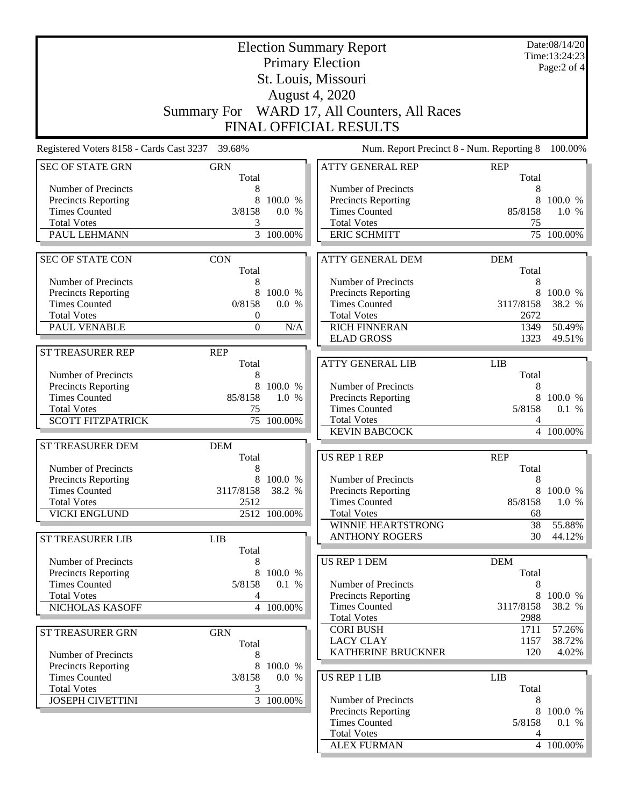|                                                    | Date:08/14/20<br><b>Election Summary Report</b> |              |                                              |                     |                               |  |
|----------------------------------------------------|-------------------------------------------------|--------------|----------------------------------------------|---------------------|-------------------------------|--|
|                                                    |                                                 |              | <b>Primary Election</b>                      |                     | Time: 13:24:23<br>Page:2 of 4 |  |
|                                                    |                                                 |              | St. Louis, Missouri                          |                     |                               |  |
|                                                    |                                                 |              | <b>August 4, 2020</b>                        |                     |                               |  |
|                                                    |                                                 |              |                                              |                     |                               |  |
|                                                    |                                                 |              | Summary For WARD 17, All Counters, All Races |                     |                               |  |
|                                                    |                                                 |              | FINAL OFFICIAL RESULTS                       |                     |                               |  |
| Registered Voters 8158 - Cards Cast 3237 39.68%    |                                                 |              | Num. Report Precinct 8 - Num. Reporting 8    |                     | 100.00%                       |  |
| <b>SEC OF STATE GRN</b>                            | <b>GRN</b><br>Total                             |              | <b>ATTY GENERAL REP</b>                      | <b>REP</b><br>Total |                               |  |
| Number of Precincts                                | 8                                               |              | Number of Precincts                          | 8                   |                               |  |
| <b>Precincts Reporting</b><br><b>Times Counted</b> | 8<br>3/8158                                     | 100.0 %      | Precincts Reporting<br><b>Times Counted</b>  | 8<br>85/8158        | 100.0 %                       |  |
| <b>Total Votes</b>                                 | 3                                               | 0.0 %        | <b>Total Votes</b>                           | 75                  | 1.0%                          |  |
| PAUL LEHMANN                                       | 3                                               | 100.00%      | <b>ERIC SCHMITT</b>                          |                     | 75 100.00%                    |  |
|                                                    |                                                 |              |                                              |                     |                               |  |
| <b>SEC OF STATE CON</b>                            | <b>CON</b><br>Total                             |              | <b>ATTY GENERAL DEM</b>                      | <b>DEM</b><br>Total |                               |  |
| Number of Precincts                                | 8                                               |              | Number of Precincts                          | 8                   |                               |  |
| <b>Precincts Reporting</b>                         | 8                                               | 100.0 %      | <b>Precincts Reporting</b>                   | 8                   | 100.0 %                       |  |
| <b>Times Counted</b>                               | 0/8158                                          | 0.0 %        | <b>Times Counted</b>                         | 3117/8158           | 38.2 %                        |  |
| <b>Total Votes</b>                                 | $\boldsymbol{0}$                                |              | <b>Total Votes</b>                           | 2672                |                               |  |
| PAUL VENABLE                                       | $\mathbf{0}$                                    | N/A          | <b>RICH FINNERAN</b><br><b>ELAD GROSS</b>    | 1349<br>1323        | 50.49%<br>49.51%              |  |
| ST TREASURER REP                                   | <b>REP</b>                                      |              |                                              |                     |                               |  |
|                                                    | Total                                           |              | <b>ATTY GENERAL LIB</b>                      | <b>LIB</b>          |                               |  |
| Number of Precincts                                | 8                                               |              |                                              | Total               |                               |  |
| <b>Precincts Reporting</b>                         | 8                                               | 100.0 %      | Number of Precincts                          | 8                   |                               |  |
| <b>Times Counted</b>                               | 85/8158                                         | 1.0 %        | Precincts Reporting                          | 8                   | 100.0 %                       |  |
| <b>Total Votes</b>                                 | 75                                              |              | <b>Times Counted</b>                         | 5/8158              | 0.1 %                         |  |
| <b>SCOTT FITZPATRICK</b>                           |                                                 | 75 100.00%   | <b>Total Votes</b>                           | 4                   |                               |  |
|                                                    |                                                 |              | <b>KEVIN BABCOCK</b>                         |                     | 4 100.00%                     |  |
| ST TREASURER DEM                                   | <b>DEM</b>                                      |              |                                              |                     |                               |  |
| Number of Precincts                                | Total<br>8                                      |              | <b>US REP 1 REP</b>                          | <b>REP</b><br>Total |                               |  |
| <b>Precincts Reporting</b>                         | 8                                               | 100.0 %      | Number of Precincts                          | 8                   |                               |  |
| <b>Times Counted</b>                               | 3117/8158                                       | 38.2 %       | <b>Precincts Reporting</b>                   | 8                   | 100.0 %                       |  |
| <b>Total Votes</b>                                 | 2512                                            |              | <b>Times Counted</b>                         | 85/8158             | 1.0 %                         |  |
| <b>VICKI ENGLUND</b>                               |                                                 | 2512 100.00% | <b>Total Votes</b>                           | 68                  |                               |  |
|                                                    |                                                 |              | WINNIE HEARTSTRONG                           | 38                  | 55.88%                        |  |
| <b>ST TREASURER LIB</b>                            | LIB                                             |              | <b>ANTHONY ROGERS</b>                        | 30                  | 44.12%                        |  |
|                                                    | Total                                           |              |                                              |                     |                               |  |
| Number of Precincts                                | 8<br>8                                          | 100.0 %      | <b>US REP 1 DEM</b>                          | <b>DEM</b><br>Total |                               |  |
| Precincts Reporting<br><b>Times Counted</b>        | 5/8158                                          | 0.1 %        | Number of Precincts                          | 8                   |                               |  |
| <b>Total Votes</b>                                 | 4                                               |              | Precincts Reporting                          | 8                   | 100.0 %                       |  |
| NICHOLAS KASOFF                                    |                                                 | 4 100.00%    | <b>Times Counted</b>                         | 3117/8158           | 38.2 %                        |  |
|                                                    |                                                 |              | <b>Total Votes</b>                           | 2988                |                               |  |
| ST TREASURER GRN                                   | <b>GRN</b>                                      |              | <b>CORI BUSH</b>                             | 1711                | 57.26%                        |  |
|                                                    | Total                                           |              | <b>LACY CLAY</b>                             | 1157                | 38.72%                        |  |
| <b>Number of Precincts</b>                         | 8                                               |              | KATHERINE BRUCKNER                           | 120                 | 4.02%                         |  |
| Precincts Reporting                                | 8                                               | 100.0 %      |                                              |                     |                               |  |
| <b>Times Counted</b>                               | 3/8158                                          | 0.0 %        | <b>US REP 1 LIB</b>                          | <b>LIB</b>          |                               |  |
| <b>Total Votes</b><br><b>JOSEPH CIVETTINI</b>      | 3                                               | 3 100.00%    | Number of Precincts                          | Total<br>8          |                               |  |
|                                                    |                                                 |              | <b>Precincts Reporting</b>                   | 8                   | 100.0 %                       |  |
|                                                    |                                                 |              | <b>Times Counted</b>                         | 5/8158              | 0.1 %                         |  |
|                                                    |                                                 |              | <b>Total Votes</b>                           | 4                   |                               |  |
|                                                    |                                                 |              | <b>ALEX FURMAN</b>                           |                     | 4 100.00%                     |  |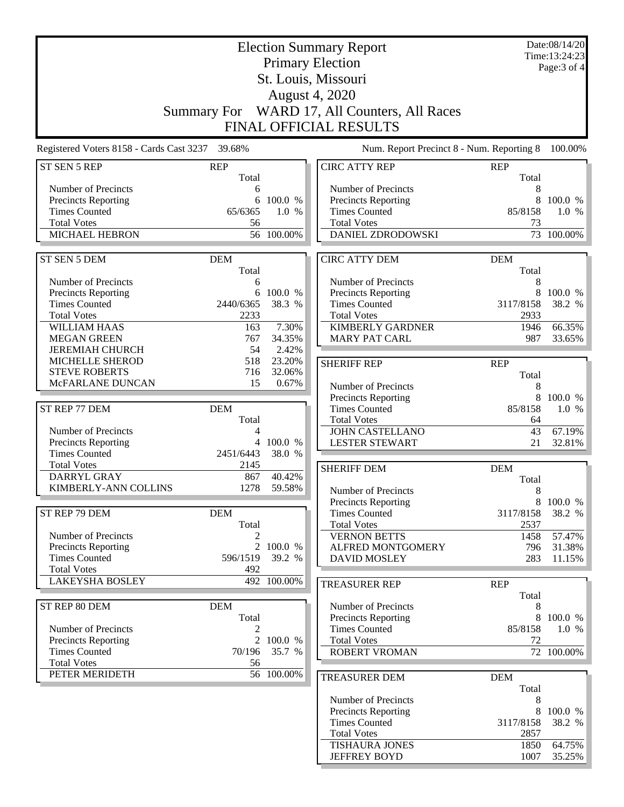|                                                    | <b>Election Summary Report</b> |                  |                                                    |                     |                               |
|----------------------------------------------------|--------------------------------|------------------|----------------------------------------------------|---------------------|-------------------------------|
|                                                    |                                |                  | <b>Primary Election</b>                            |                     | Time:13:24:23<br>Page: 3 of 4 |
|                                                    |                                |                  | St. Louis, Missouri                                |                     |                               |
|                                                    |                                |                  |                                                    |                     |                               |
|                                                    |                                |                  | August 4, 2020                                     |                     |                               |
|                                                    | <b>Summary For</b>             |                  | WARD 17, All Counters, All Races                   |                     |                               |
|                                                    |                                |                  | <b>FINAL OFFICIAL RESULTS</b>                      |                     |                               |
| Registered Voters 8158 - Cards Cast 3237 39.68%    |                                |                  | Num. Report Precinct 8 - Num. Reporting 8          |                     | 100.00%                       |
| <b>ST SEN 5 REP</b>                                | <b>REP</b>                     |                  | <b>CIRC ATTY REP</b>                               | <b>REP</b>          |                               |
|                                                    | Total                          |                  |                                                    | Total               |                               |
| Number of Precincts                                | 6                              |                  | Number of Precincts                                | 8                   |                               |
| <b>Precincts Reporting</b><br><b>Times Counted</b> | 6<br>65/6365                   | 100.0 %<br>1.0 % | <b>Precincts Reporting</b><br><b>Times Counted</b> | 8<br>85/8158        | 100.0 %                       |
| <b>Total Votes</b>                                 | 56                             |                  | <b>Total Votes</b>                                 | 73                  | 1.0 %                         |
| MICHAEL HEBRON                                     |                                | 56 100.00%       | DANIEL ZDRODOWSKI                                  |                     | 73 100.00%                    |
|                                                    |                                |                  |                                                    |                     |                               |
| ST SEN 5 DEM                                       | <b>DEM</b>                     |                  | <b>CIRC ATTY DEM</b>                               | <b>DEM</b>          |                               |
|                                                    | Total                          |                  |                                                    | Total               |                               |
| Number of Precincts                                | 6                              |                  | Number of Precincts                                | 8                   |                               |
| <b>Precincts Reporting</b>                         |                                | 6 100.0 %        | Precincts Reporting                                | 8                   | 100.0 %                       |
| <b>Times Counted</b>                               | 2440/6365                      | 38.3 %           | <b>Times Counted</b>                               | 3117/8158           | 38.2 %                        |
| <b>Total Votes</b>                                 | 2233                           |                  | <b>Total Votes</b>                                 | 2933                |                               |
| <b>WILLIAM HAAS</b>                                | 163                            | 7.30%            | <b>KIMBERLY GARDNER</b>                            | 1946                | 66.35%                        |
| <b>MEGAN GREEN</b>                                 | 767                            | 34.35%           | <b>MARY PAT CARL</b>                               | 987                 | 33.65%                        |
| <b>JEREMIAH CHURCH</b>                             | 54                             | 2.42%            |                                                    |                     |                               |
| MICHELLE SHEROD                                    | 518                            | 23.20%           | <b>SHERIFF REP</b>                                 | <b>REP</b>          |                               |
| <b>STEVE ROBERTS</b>                               | 716                            | 32.06%           |                                                    | Total               |                               |
| McFARLANE DUNCAN                                   | 15                             | 0.67%            | Number of Precincts                                | 8                   |                               |
|                                                    |                                |                  | Precincts Reporting                                | 8                   | 100.0 %                       |
| ST REP 77 DEM                                      | <b>DEM</b>                     |                  | <b>Times Counted</b>                               | 85/8158             | 1.0%                          |
|                                                    | Total                          |                  | <b>Total Votes</b>                                 | 64                  |                               |
| Number of Precincts                                | 4                              |                  | <b>JOHN CASTELLANO</b>                             | 43                  | 67.19%                        |
| <b>Precincts Reporting</b>                         |                                | 4 100.0 %        | <b>LESTER STEWART</b>                              | 21                  | 32.81%                        |
| <b>Times Counted</b>                               | 2451/6443                      | 38.0 %           |                                                    |                     |                               |
| <b>Total Votes</b>                                 | 2145                           |                  | <b>SHERIFF DEM</b>                                 | <b>DEM</b>          |                               |
| DARRYL GRAY                                        | 867                            | 40.42%           |                                                    | Total               |                               |
| KIMBERLY-ANN COLLINS                               | 1278                           | 59.58%           | Number of Precincts                                | 8                   |                               |
|                                                    |                                |                  | <b>Precincts Reporting</b>                         |                     | 8 100.0 %                     |
| ST REP 79 DEM                                      | <b>DEM</b>                     |                  | <b>Times Counted</b>                               | 3117/8158           | 38.2 %                        |
|                                                    | Total                          |                  | <b>Total Votes</b>                                 | 2537                |                               |
| Number of Precincts                                | $\mathfrak{D}$                 |                  | <b>VERNON BETTS</b>                                | 1458                | 57.47%                        |
| Precincts Reporting                                | 596/1519                       | 2 100.0 %        | ALFRED MONTGOMERY                                  | 796                 | 31.38%                        |
| <b>Times Counted</b><br><b>Total Votes</b>         | 492                            | 39.2 %           | <b>DAVID MOSLEY</b>                                | 283                 | 11.15%                        |
| <b>LAKEYSHA BOSLEY</b>                             |                                | 492 100.00%      |                                                    |                     |                               |
|                                                    |                                |                  | <b>TREASURER REP</b>                               | <b>REP</b><br>Total |                               |
| ST REP 80 DEM                                      | <b>DEM</b>                     |                  | Number of Precincts                                | 8                   |                               |
|                                                    | Total                          |                  | Precincts Reporting                                | 8                   | 100.0 %                       |
| Number of Precincts                                | 2                              |                  | <b>Times Counted</b>                               | 85/8158             | 1.0 %                         |
| <b>Precincts Reporting</b>                         |                                | 2 100.0 %        | <b>Total Votes</b>                                 | 72                  |                               |
| <b>Times Counted</b>                               | 70/196                         | 35.7 %           | ROBERT VROMAN                                      |                     | 72 100.00%                    |
| <b>Total Votes</b>                                 | 56                             |                  |                                                    |                     |                               |
| PETER MERIDETH                                     |                                | 56 100.00%       | <b>TREASURER DEM</b>                               | <b>DEM</b>          |                               |
|                                                    |                                |                  |                                                    | Total               |                               |
|                                                    |                                |                  | Number of Precincts                                | 8                   |                               |
|                                                    |                                |                  | Precincts Reporting                                | 8                   | 100.0 %                       |
|                                                    |                                |                  | <b>Times Counted</b>                               | 3117/8158           | 38.2 %                        |
|                                                    |                                |                  | <b>Total Votes</b>                                 | 2857                |                               |
|                                                    |                                |                  | <b>TISHAURA JONES</b>                              | 1850                | 64.75%                        |
|                                                    |                                |                  | <b>JEFFREY BOYD</b>                                | 1007                | 35.25%                        |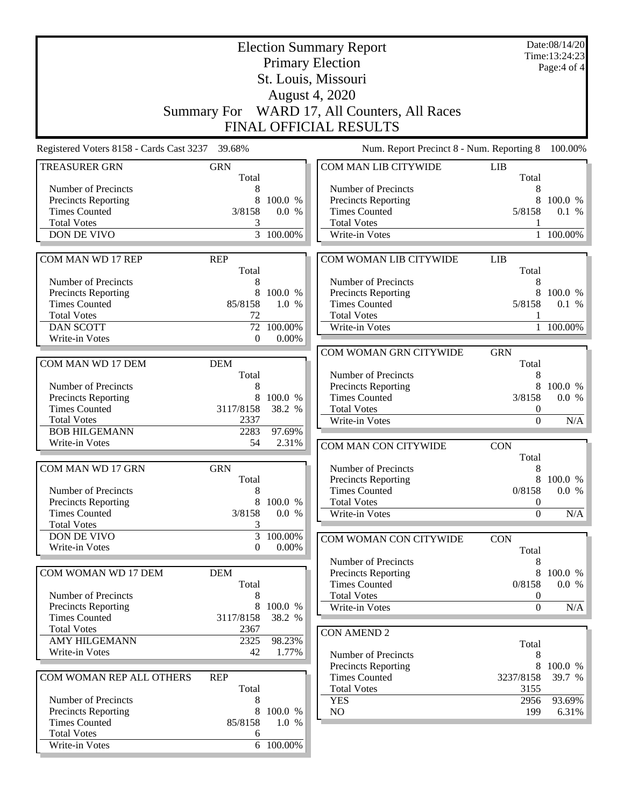|                                                    |                     |                     | <b>Election Summary Report</b><br><b>Primary Election</b> |                              |                                |  |  |
|----------------------------------------------------|---------------------|---------------------|-----------------------------------------------------------|------------------------------|--------------------------------|--|--|
|                                                    |                     |                     | St. Louis, Missouri                                       |                              | Page:4 of 4                    |  |  |
|                                                    |                     |                     | <b>August 4, 2020</b>                                     |                              |                                |  |  |
|                                                    |                     |                     |                                                           |                              |                                |  |  |
|                                                    |                     |                     | Summary For WARD 17, All Counters, All Races              |                              |                                |  |  |
|                                                    |                     |                     | FINAL OFFICIAL RESULTS                                    |                              |                                |  |  |
| Registered Voters 8158 - Cards Cast 3237           | 39.68%              |                     | Num. Report Precinct 8 - Num. Reporting 8                 |                              | 100.00%                        |  |  |
| <b>TREASURER GRN</b>                               | <b>GRN</b><br>Total |                     | COM MAN LIB CITYWIDE                                      | LIB<br>Total                 |                                |  |  |
| Number of Precincts                                | 8                   |                     | Number of Precincts                                       | 8                            |                                |  |  |
| <b>Precincts Reporting</b>                         | 8                   | 100.0 %             | Precincts Reporting                                       | 8                            | 100.0 %                        |  |  |
| <b>Times Counted</b>                               | 3/8158              | 0.0 %               | <b>Times Counted</b>                                      | 5/8158                       | 0.1 %                          |  |  |
| <b>Total Votes</b><br>DON DE VIVO                  | 3                   | 3 100.00%           | <b>Total Votes</b><br>Write-in Votes                      | 1<br>1                       | 100.00%                        |  |  |
|                                                    |                     |                     |                                                           |                              |                                |  |  |
| COM MAN WD 17 REP                                  | <b>REP</b><br>Total |                     | COM WOMAN LIB CITYWIDE                                    | <b>LIB</b><br>Total          |                                |  |  |
| Number of Precincts                                | 8                   |                     | Number of Precincts                                       | 8                            |                                |  |  |
| <b>Precincts Reporting</b>                         | 8                   | 100.0 %             | Precincts Reporting                                       | 8                            | 100.0 %                        |  |  |
| <b>Times Counted</b>                               | 85/8158             | 1.0 %               | <b>Times Counted</b>                                      | 5/8158                       | 0.1 %                          |  |  |
| <b>Total Votes</b>                                 | 72                  |                     | <b>Total Votes</b>                                        |                              |                                |  |  |
| <b>DAN SCOTT</b><br>Write-in Votes                 | 72<br>$\theta$      | 100.00%<br>$0.00\%$ | Write-in Votes                                            |                              | 1 100.00%                      |  |  |
|                                                    |                     |                     | COM WOMAN GRN CITYWIDE                                    | <b>GRN</b>                   |                                |  |  |
| COM MAN WD 17 DEM                                  | <b>DEM</b>          |                     |                                                           | Total                        |                                |  |  |
|                                                    | Total               |                     | Number of Precincts                                       | 8                            |                                |  |  |
| Number of Precincts                                | 8                   |                     | Precincts Reporting                                       | 8                            | 100.0 %                        |  |  |
| <b>Precincts Reporting</b>                         | 8                   | 100.0 %             | <b>Times Counted</b>                                      | 3/8158                       | 0.0 %                          |  |  |
| <b>Times Counted</b><br><b>Total Votes</b>         | 3117/8158<br>2337   | 38.2 %              | <b>Total Votes</b>                                        | $\theta$<br>$\mathbf{0}$     |                                |  |  |
| <b>BOB HILGEMANN</b>                               | 2283                | 97.69%              | Write-in Votes                                            |                              | N/A                            |  |  |
| Write-in Votes                                     | 54                  | 2.31%               | COM MAN CON CITYWIDE                                      | <b>CON</b>                   |                                |  |  |
|                                                    |                     |                     |                                                           | Total                        |                                |  |  |
| COM MAN WD 17 GRN                                  | <b>GRN</b>          |                     | Number of Precincts                                       | 8                            |                                |  |  |
|                                                    | Total               |                     | Precincts Reporting                                       | 8                            | 100.0 %                        |  |  |
| Number of Precincts                                | 8                   |                     | <b>Times Counted</b>                                      | 0/8158                       | 0.0 %                          |  |  |
| <b>Precincts Reporting</b><br><b>Times Counted</b> | 3/8158              | 8 100.0 %<br>0.0 %  | <b>Total Votes</b><br>Write-in Votes                      | $\boldsymbol{0}$<br>$\theta$ | N/A                            |  |  |
| <b>Total Votes</b>                                 | 3                   |                     |                                                           |                              |                                |  |  |
| DON DE VIVO                                        | 3                   | 100.00%             | COM WOMAN CON CITYWIDE                                    | <b>CON</b>                   |                                |  |  |
| Write-in Votes                                     | $\overline{0}$      | $0.00\%$            |                                                           | Total                        |                                |  |  |
|                                                    |                     |                     | Number of Precincts                                       | 8                            |                                |  |  |
| COM WOMAN WD 17 DEM                                | <b>DEM</b>          |                     | Precincts Reporting                                       | 8                            | 100.0 %                        |  |  |
| Number of Precincts                                | Total<br>8          |                     | <b>Times Counted</b><br><b>Total Votes</b>                | 0/8158<br>$\boldsymbol{0}$   | 0.0 %                          |  |  |
| Precincts Reporting                                | 8                   | 100.0 %             | Write-in Votes                                            | $\Omega$                     | $\overline{\text{N}}/\text{A}$ |  |  |
| <b>Times Counted</b>                               | 3117/8158           | 38.2 %              |                                                           |                              |                                |  |  |
| <b>Total Votes</b>                                 | 2367                |                     | <b>CON AMEND 2</b>                                        |                              |                                |  |  |
| <b>AMY HILGEMANN</b>                               | 2325                | 98.23%              |                                                           | Total                        |                                |  |  |
| Write-in Votes                                     | 42                  | 1.77%               | Number of Precincts                                       | 8                            |                                |  |  |
| COM WOMAN REP ALL OTHERS                           | <b>REP</b>          |                     | Precincts Reporting<br><b>Times Counted</b>               | 8<br>3237/8158               | 100.0 %<br>39.7 %              |  |  |
|                                                    | Total               |                     | <b>Total Votes</b>                                        | 3155                         |                                |  |  |
| Number of Precincts                                | 8                   |                     | <b>YES</b>                                                | 2956                         | 93.69%                         |  |  |
| <b>Precincts Reporting</b>                         | 8                   | 100.0 %             | NO                                                        | 199                          | 6.31%                          |  |  |
| <b>Times Counted</b>                               | 85/8158             | 1.0 %               |                                                           |                              |                                |  |  |
| <b>Total Votes</b><br>Write-in Votes               | 6                   | 6 100.00%           |                                                           |                              |                                |  |  |
|                                                    |                     |                     |                                                           |                              |                                |  |  |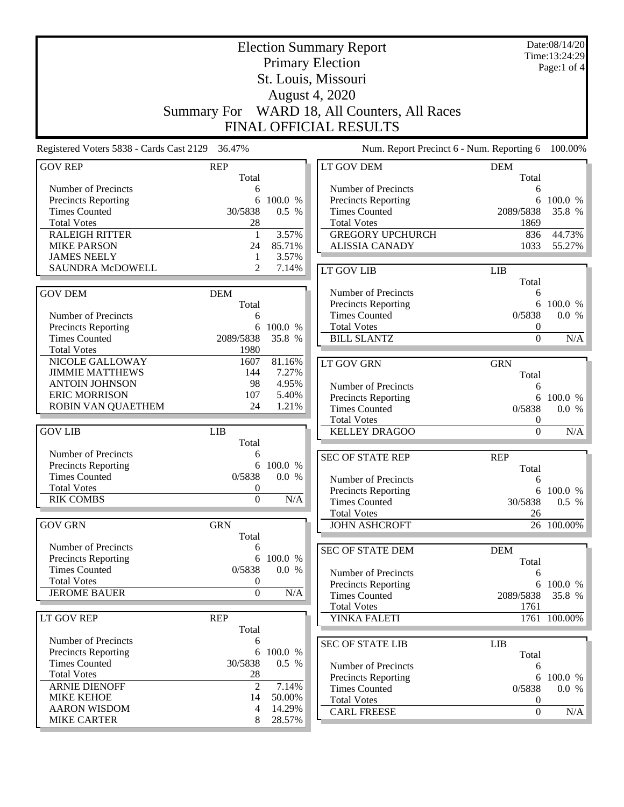|                                                 |                     |           | <b>Election Summary Report</b>                     |                     | Date:08/14/20<br>Time:13:24:29 |
|-------------------------------------------------|---------------------|-----------|----------------------------------------------------|---------------------|--------------------------------|
|                                                 |                     |           | <b>Primary Election</b>                            |                     | Page:1 of 4                    |
|                                                 |                     |           | St. Louis, Missouri                                |                     |                                |
|                                                 |                     |           | <b>August 4, 2020</b>                              |                     |                                |
|                                                 |                     |           |                                                    |                     |                                |
|                                                 | <b>Summary For</b>  |           | WARD 18, All Counters, All Races                   |                     |                                |
|                                                 |                     |           | FINAL OFFICIAL RESULTS                             |                     |                                |
| Registered Voters 5838 - Cards Cast 2129 36.47% |                     |           | Num. Report Precinct 6 - Num. Reporting 6          |                     | 100.00%                        |
| <b>GOV REP</b>                                  | <b>REP</b><br>Total |           | LT GOV DEM                                         | <b>DEM</b><br>Total |                                |
| Number of Precincts                             | 6                   |           | Number of Precincts                                | 6                   |                                |
| Precincts Reporting                             | 6                   | 100.0 %   | Precincts Reporting                                | 6                   | 100.0 %                        |
| <b>Times Counted</b>                            | 30/5838             | 0.5 %     | <b>Times Counted</b>                               | 2089/5838           | 35.8 %                         |
| <b>Total Votes</b>                              | 28                  |           | <b>Total Votes</b>                                 | 1869                |                                |
| <b>RALEIGH RITTER</b>                           | $\mathbf{1}$        | 3.57%     | <b>GREGORY UPCHURCH</b>                            | 836                 | 44.73%                         |
| <b>MIKE PARSON</b>                              | 24                  | 85.71%    | <b>ALISSIA CANADY</b>                              | 1033                | 55.27%                         |
| <b>JAMES NEELY</b>                              | 1                   | 3.57%     |                                                    |                     |                                |
| SAUNDRA McDOWELL                                | 2                   | 7.14%     | LT GOV LIB                                         | <b>LIB</b>          |                                |
| <b>GOV DEM</b>                                  | <b>DEM</b>          |           | Number of Precincts                                | Total<br>6          |                                |
|                                                 | Total               |           | Precincts Reporting                                | 6                   | 100.0 %                        |
| Number of Precincts                             | 6                   |           | <b>Times Counted</b>                               | 0/5838              | 0.0 %                          |
| Precincts Reporting                             | 6                   | 100.0 %   | <b>Total Votes</b>                                 | 0                   |                                |
| <b>Times Counted</b>                            | 2089/5838           | 35.8 %    | <b>BILL SLANTZ</b>                                 | $\boldsymbol{0}$    | N/A                            |
| <b>Total Votes</b>                              | 1980                |           |                                                    |                     |                                |
| NICOLE GALLOWAY                                 | 1607                | 81.16%    | <b>LT GOV GRN</b>                                  | <b>GRN</b>          |                                |
| <b>JIMMIE MATTHEWS</b>                          | 144                 | 7.27%     |                                                    | Total               |                                |
| <b>ANTOIN JOHNSON</b>                           | 98                  | 4.95%     | Number of Precincts                                | 6                   |                                |
| <b>ERIC MORRISON</b>                            | 107                 | 5.40%     | Precincts Reporting                                | 6                   | 100.0 %                        |
| ROBIN VAN QUAETHEM                              | 24                  | 1.21%     | <b>Times Counted</b>                               | 0/5838              | 0.0 %                          |
|                                                 |                     |           | <b>Total Votes</b>                                 | 0                   |                                |
| <b>GOV LIB</b>                                  | <b>LIB</b>          |           | <b>KELLEY DRAGOO</b>                               | $\mathbf{0}$        | N/A                            |
| Number of Precincts                             | Total<br>6          |           |                                                    |                     |                                |
| Precincts Reporting                             | 6                   | 100.0 %   | <b>SEC OF STATE REP</b>                            | <b>REP</b>          |                                |
| <b>Times Counted</b>                            | 0/5838              | 0.0 %     |                                                    | Total               |                                |
| <b>Total Votes</b>                              | $\theta$            |           | Number of Precincts                                | 6                   | 6 100.0 %                      |
| <b>RIK COMBS</b>                                | $\boldsymbol{0}$    | N/A       | <b>Precincts Reporting</b><br><b>Times Counted</b> | 30/5838             | 0.5 %                          |
|                                                 |                     |           | <b>Total Votes</b>                                 | 26                  |                                |
| <b>GOV GRN</b>                                  | <b>GRN</b>          |           | <b>JOHN ASHCROFT</b>                               |                     | 26 100.00%                     |
|                                                 | Total               |           |                                                    |                     |                                |
| Number of Precincts                             | 6                   |           | <b>SEC OF STATE DEM</b>                            | <b>DEM</b>          |                                |
| Precincts Reporting                             | 6                   | 100.0 %   |                                                    | Total               |                                |
| <b>Times Counted</b>                            | 0/5838              | 0.0 %     | Number of Precincts                                | 6                   |                                |
| <b>Total Votes</b>                              | 0                   |           | <b>Precincts Reporting</b>                         |                     | 6 100.0 %                      |
| <b>JEROME BAUER</b>                             | $\overline{0}$      | $\rm N/A$ | <b>Times Counted</b>                               | 2089/5838           | 35.8 %                         |
|                                                 |                     |           | <b>Total Votes</b>                                 | 1761                |                                |
| LT GOV REP                                      | <b>REP</b><br>Total |           | YINKA FALETI                                       |                     | $\overline{1761}^-$ 100.00%    |
| Number of Precincts                             | 6                   |           | <b>SEC OF STATE LIB</b>                            | LIB                 |                                |
| Precincts Reporting                             | 6                   | 100.0 %   |                                                    | Total               |                                |
| <b>Times Counted</b>                            | 30/5838             | 0.5 %     | Number of Precincts                                | 6                   |                                |
| <b>Total Votes</b>                              | 28                  |           | Precincts Reporting                                |                     | 6 100.0 %                      |
| <b>ARNIE DIENOFF</b>                            | $\overline{c}$      | 7.14%     | <b>Times Counted</b>                               | 0/5838              | 0.0 %                          |
| <b>MIKE KEHOE</b>                               | 14                  | 50.00%    | <b>Total Votes</b>                                 | $\boldsymbol{0}$    |                                |
| <b>AARON WISDOM</b>                             | $\overline{4}$      | 14.29%    | <b>CARL FREESE</b>                                 | $\boldsymbol{0}$    | N/A                            |
| <b>MIKE CARTER</b>                              | 8                   | 28.57%    |                                                    |                     |                                |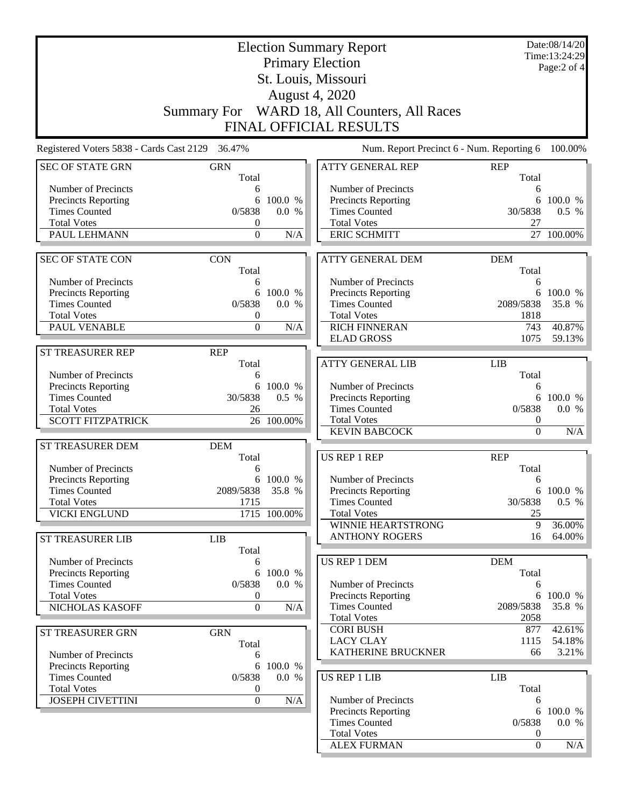|                                                    |                              |                  | <b>Election Summary Report</b>                     |                     | Date:08/14/20<br>Time:13:24:29 |
|----------------------------------------------------|------------------------------|------------------|----------------------------------------------------|---------------------|--------------------------------|
|                                                    |                              |                  | <b>Primary Election</b>                            |                     | Page:2 of 4                    |
|                                                    |                              |                  | St. Louis, Missouri                                |                     |                                |
|                                                    |                              |                  | <b>August 4, 2020</b>                              |                     |                                |
|                                                    |                              |                  | Summary For WARD 18, All Counters, All Races       |                     |                                |
|                                                    |                              |                  |                                                    |                     |                                |
|                                                    |                              |                  | FINAL OFFICIAL RESULTS                             |                     |                                |
| Registered Voters 5838 - Cards Cast 2129 36.47%    |                              |                  | Num. Report Precinct 6 - Num. Reporting 6          |                     | 100.00%                        |
| <b>SEC OF STATE GRN</b>                            | <b>GRN</b><br>Total          |                  | <b>ATTY GENERAL REP</b>                            | <b>REP</b><br>Total |                                |
| Number of Precincts                                | 6                            |                  | Number of Precincts                                | 6                   |                                |
| Precincts Reporting                                | 6                            | 100.0 %          | Precincts Reporting                                | 6                   | 100.0 %                        |
| <b>Times Counted</b>                               | 0/5838                       | 0.0 %            | <b>Times Counted</b>                               | 30/5838             | $0.5\%$                        |
| <b>Total Votes</b><br>PAUL LEHMANN                 | $\boldsymbol{0}$<br>$\Omega$ | N/A              | <b>Total Votes</b><br><b>ERIC SCHMITT</b>          | 27<br>27            |                                |
|                                                    |                              |                  |                                                    |                     | 100.00%                        |
| <b>SEC OF STATE CON</b>                            | <b>CON</b>                   |                  | <b>ATTY GENERAL DEM</b>                            | <b>DEM</b>          |                                |
| Number of Precincts                                | Total<br>6                   |                  | Number of Precincts                                | Total<br>6          |                                |
| Precincts Reporting                                | 6                            | 100.0 %          | <b>Precincts Reporting</b>                         | 6                   | 100.0 %                        |
| <b>Times Counted</b>                               | 0/5838                       | 0.0 %            | <b>Times Counted</b>                               | 2089/5838           | 35.8 %                         |
| <b>Total Votes</b>                                 | $\boldsymbol{0}$             |                  | <b>Total Votes</b>                                 | 1818                |                                |
| PAUL VENABLE                                       | $\mathbf{0}$                 | N/A              | <b>RICH FINNERAN</b>                               | 743                 | 40.87%                         |
|                                                    |                              |                  | <b>ELAD GROSS</b>                                  | 1075                | 59.13%                         |
| <b>ST TREASURER REP</b>                            | <b>REP</b>                   |                  |                                                    |                     |                                |
|                                                    | Total                        |                  | <b>ATTY GENERAL LIB</b>                            | <b>LIB</b>          |                                |
| Number of Precincts                                | 6                            |                  |                                                    | Total               |                                |
| <b>Precincts Reporting</b><br><b>Times Counted</b> | 6<br>30/5838                 | 100.0 %<br>0.5 % | Number of Precincts<br><b>Precincts Reporting</b>  | 6<br>6              | 100.0 %                        |
| <b>Total Votes</b>                                 | 26                           |                  | <b>Times Counted</b>                               | 0/5838              | 0.0 %                          |
| <b>SCOTT FITZPATRICK</b>                           |                              | 26 100.00%       | <b>Total Votes</b>                                 | 0                   |                                |
|                                                    |                              |                  | <b>KEVIN BABCOCK</b>                               | $\theta$            | N/A                            |
| ST TREASURER DEM                                   | <b>DEM</b>                   |                  |                                                    |                     |                                |
|                                                    | Total                        |                  | <b>US REP 1 REP</b>                                | <b>REP</b>          |                                |
| Number of Precincts                                | 6                            |                  |                                                    | Total               |                                |
| <b>Precincts Reporting</b>                         |                              | 6 100.0 %        | Number of Precincts                                | 6                   |                                |
| <b>Times Counted</b><br><b>Total Votes</b>         | 2089/5838<br>1715            | 35.8 %           | <b>Precincts Reporting</b><br><b>Times Counted</b> | 30/5838             | 6 100.0 %<br>0.5 %             |
| <b>VICKI ENGLUND</b>                               |                              | 1715 100.00%     | <b>Total Votes</b>                                 | 25                  |                                |
|                                                    |                              |                  | WINNIE HEARTSTRONG                                 | 9                   | 36.00%                         |
| ST TREASURER LIB                                   | <b>LIB</b>                   |                  | <b>ANTHONY ROGERS</b>                              | 16                  | $64.00\%$                      |
|                                                    | Total                        |                  |                                                    |                     |                                |
| Number of Precincts                                | 6                            |                  | <b>US REP 1 DEM</b>                                | <b>DEM</b>          |                                |
| Precincts Reporting                                | 6                            | 100.0 %          |                                                    | Total               |                                |
| <b>Times Counted</b>                               | 0/5838                       | 0.0 %            | Number of Precincts                                | 6                   |                                |
| <b>Total Votes</b><br>NICHOLAS KASOFF              | 0<br>$\boldsymbol{0}$        |                  | <b>Precincts Reporting</b><br><b>Times Counted</b> | 6<br>2089/5838      | 100.0 %<br>35.8 %              |
|                                                    |                              | N/A              | <b>Total Votes</b>                                 | 2058                |                                |
| ST TREASURER GRN                                   | <b>GRN</b>                   |                  | <b>CORI BUSH</b>                                   | 877                 | 42.61%                         |
|                                                    | Total                        |                  | <b>LACY CLAY</b>                                   | 1115                | 54.18%                         |
| Number of Precincts                                | 6                            |                  | KATHERINE BRUCKNER                                 | 66                  | $3.21\%$                       |
| Precincts Reporting                                | 6                            | 100.0 %          |                                                    |                     |                                |
| <b>Times Counted</b>                               | 0/5838                       | 0.0 %            | <b>US REP 1 LIB</b>                                | <b>LIB</b>          |                                |
| <b>Total Votes</b>                                 | $\boldsymbol{0}$             |                  |                                                    | Total               |                                |
| <b>JOSEPH CIVETTINI</b>                            | $\boldsymbol{0}$             | N/A              | Number of Precincts<br><b>Precincts Reporting</b>  | 6                   | 6 100.0 %                      |
|                                                    |                              |                  | <b>Times Counted</b>                               | 0/5838              | 0.0 %                          |
|                                                    |                              |                  | <b>Total Votes</b>                                 | $\boldsymbol{0}$    |                                |
|                                                    |                              |                  | <b>ALEX FURMAN</b>                                 | $\overline{0}$      | N/A                            |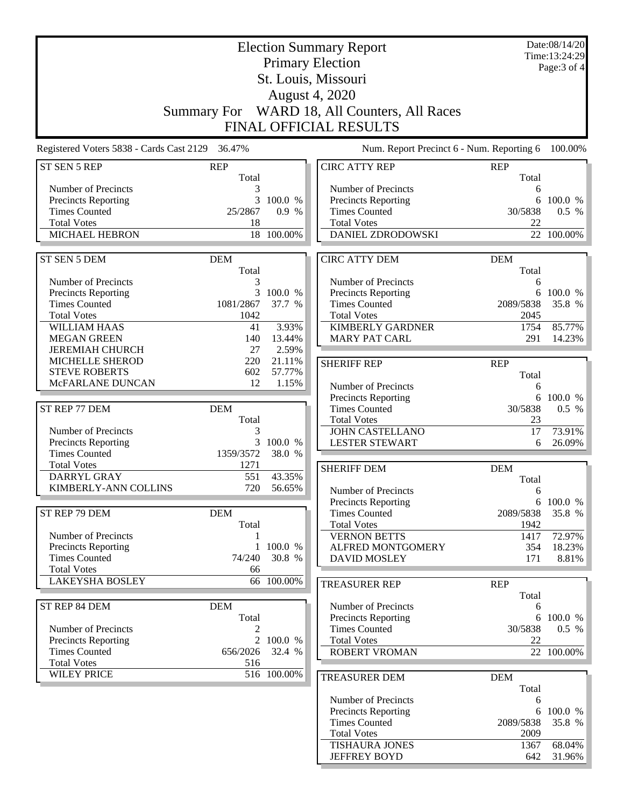|                                                 |                             | Date:08/14/20<br><b>Election Summary Report</b><br>Time: 13:24:29 |                                              |                     |              |  |  |
|-------------------------------------------------|-----------------------------|-------------------------------------------------------------------|----------------------------------------------|---------------------|--------------|--|--|
|                                                 |                             |                                                                   | <b>Primary Election</b>                      |                     | Page: 3 of 4 |  |  |
|                                                 |                             |                                                                   | St. Louis, Missouri                          |                     |              |  |  |
|                                                 |                             |                                                                   | <b>August 4, 2020</b>                        |                     |              |  |  |
|                                                 |                             |                                                                   |                                              |                     |              |  |  |
|                                                 |                             |                                                                   | Summary For WARD 18, All Counters, All Races |                     |              |  |  |
|                                                 |                             |                                                                   | <b>FINAL OFFICIAL RESULTS</b>                |                     |              |  |  |
| Registered Voters 5838 - Cards Cast 2129 36.47% |                             |                                                                   | Num. Report Precinct 6 - Num. Reporting 6    |                     | 100.00%      |  |  |
| ST SEN 5 REP                                    | <b>REP</b>                  |                                                                   | <b>CIRC ATTY REP</b>                         | <b>REP</b>          |              |  |  |
| Number of Precincts                             | Total                       |                                                                   | Number of Precincts                          | Total               |              |  |  |
| <b>Precincts Reporting</b>                      | 3<br>3                      | 100.0 %                                                           | <b>Precincts Reporting</b>                   | 6<br>6              | 100.0 %      |  |  |
| <b>Times Counted</b>                            | 25/2867                     | 0.9 %                                                             | <b>Times Counted</b>                         | 30/5838             | 0.5 %        |  |  |
| <b>Total Votes</b>                              | 18                          |                                                                   | <b>Total Votes</b>                           | 22                  |              |  |  |
| <b>MICHAEL HEBRON</b>                           |                             | 18 100.00%                                                        | DANIEL ZDRODOWSKI                            |                     | 22 100.00%   |  |  |
|                                                 |                             |                                                                   |                                              |                     |              |  |  |
| ST SEN 5 DEM                                    | <b>DEM</b>                  |                                                                   | <b>CIRC ATTY DEM</b>                         | <b>DEM</b>          |              |  |  |
|                                                 | Total                       |                                                                   |                                              | Total               |              |  |  |
| Number of Precincts                             | 3                           |                                                                   | Number of Precincts                          | 6                   |              |  |  |
| Precincts Reporting<br><b>Times Counted</b>     | $\overline{3}$<br>1081/2867 | 100.0 %<br>37.7 %                                                 | Precincts Reporting<br><b>Times Counted</b>  | 2089/5838           | 6 100.0 %    |  |  |
| <b>Total Votes</b>                              | 1042                        |                                                                   | <b>Total Votes</b>                           | 2045                | 35.8 %       |  |  |
| <b>WILLIAM HAAS</b>                             | 41                          | 3.93%                                                             | <b>KIMBERLY GARDNER</b>                      | 1754                | 85.77%       |  |  |
| <b>MEGAN GREEN</b>                              | 140                         | 13.44%                                                            | <b>MARY PAT CARL</b>                         | 291                 | 14.23%       |  |  |
| <b>JEREMIAH CHURCH</b>                          | 27                          | 2.59%                                                             |                                              |                     |              |  |  |
| MICHELLE SHEROD                                 | 220                         | 21.11%                                                            | <b>SHERIFF REP</b>                           | <b>REP</b>          |              |  |  |
| <b>STEVE ROBERTS</b>                            | 602                         | 57.77%                                                            |                                              | Total               |              |  |  |
| McFARLANE DUNCAN                                | 12                          | 1.15%                                                             | Number of Precincts                          | 6                   |              |  |  |
|                                                 |                             |                                                                   | Precincts Reporting                          | 6                   | 100.0 %      |  |  |
| ST REP 77 DEM                                   | <b>DEM</b>                  |                                                                   | <b>Times Counted</b>                         | 30/5838             | 0.5 %        |  |  |
|                                                 | Total                       |                                                                   | <b>Total Votes</b>                           | 23                  |              |  |  |
| Number of Precincts                             | 3                           |                                                                   | <b>JOHN CASTELLANO</b>                       | 17                  | 73.91%       |  |  |
| Precincts Reporting                             | 3                           | 100.0 %                                                           | <b>LESTER STEWART</b>                        | 6                   | 26.09%       |  |  |
| <b>Times Counted</b>                            | 1359/3572                   | 38.0 %                                                            |                                              |                     |              |  |  |
| <b>Total Votes</b>                              | 1271                        |                                                                   | <b>SHERIFF DEM</b>                           | <b>DEM</b>          |              |  |  |
| DARRYL GRAY                                     | 551                         | 43.35%                                                            |                                              | Total               |              |  |  |
| KIMBERLY-ANN COLLINS                            | 720                         | 56.65%                                                            | Number of Precincts                          | 6                   |              |  |  |
|                                                 |                             |                                                                   | Precincts Reporting                          |                     | 6 100.0 %    |  |  |
| ST REP 79 DEM                                   | <b>DEM</b>                  |                                                                   | <b>Times Counted</b>                         | 2089/5838           | 35.8 %       |  |  |
| Number of Precincts                             | Total<br>1                  |                                                                   | <b>Total Votes</b><br><b>VERNON BETTS</b>    | 1942<br>1417        | 72.97%       |  |  |
| Precincts Reporting                             | 1                           | 100.0 %                                                           | <b>ALFRED MONTGOMERY</b>                     | 354                 | 18.23%       |  |  |
| <b>Times Counted</b>                            | 74/240                      | 30.8 %                                                            | <b>DAVID MOSLEY</b>                          | 171                 | 8.81%        |  |  |
| <b>Total Votes</b>                              | 66                          |                                                                   |                                              |                     |              |  |  |
| <b>LAKEYSHA BOSLEY</b>                          |                             | 66 100.00%                                                        | <b>TREASURER REP</b>                         | <b>REP</b>          |              |  |  |
|                                                 |                             |                                                                   |                                              | Total               |              |  |  |
| ST REP 84 DEM                                   | <b>DEM</b>                  |                                                                   | Number of Precincts                          | 6                   |              |  |  |
|                                                 | Total                       |                                                                   | Precincts Reporting                          | 6                   | 100.0 %      |  |  |
| Number of Precincts                             | 2                           |                                                                   | <b>Times Counted</b>                         | 30/5838             | 0.5 %        |  |  |
| Precincts Reporting                             | $\overline{2}$              | 100.0 %                                                           | <b>Total Votes</b>                           | 22                  |              |  |  |
| <b>Times Counted</b>                            | 656/2026                    | 32.4 %                                                            | <b>ROBERT VROMAN</b>                         |                     | 22 100.00%   |  |  |
| <b>Total Votes</b><br><b>WILEY PRICE</b>        | 516                         | 516 100.00%                                                       |                                              |                     |              |  |  |
|                                                 |                             |                                                                   | <b>TREASURER DEM</b>                         | <b>DEM</b><br>Total |              |  |  |
|                                                 |                             |                                                                   | Number of Precincts                          | 6                   |              |  |  |
|                                                 |                             |                                                                   | Precincts Reporting                          | 6                   | 100.0 %      |  |  |
|                                                 |                             |                                                                   | <b>Times Counted</b>                         | 2089/5838           | 35.8 %       |  |  |
|                                                 |                             |                                                                   | <b>Total Votes</b>                           | 2009                |              |  |  |
|                                                 |                             |                                                                   | <b>TISHAURA JONES</b>                        | 1367                | 68.04%       |  |  |
|                                                 |                             |                                                                   | <b>JEFFREY BOYD</b>                          | 642                 | 31.96%       |  |  |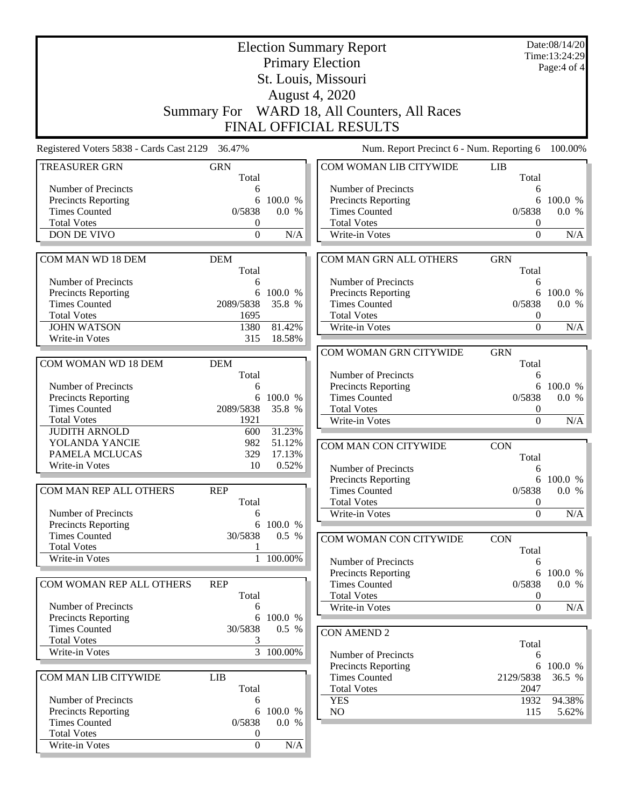|                                                 |                        |                       | <b>Election Summary Report</b><br><b>Primary Election</b> |                                      | Date:08/14/20<br>Time:13:24:29 |
|-------------------------------------------------|------------------------|-----------------------|-----------------------------------------------------------|--------------------------------------|--------------------------------|
|                                                 |                        |                       | St. Louis, Missouri                                       |                                      | Page:4 of 4                    |
|                                                 |                        |                       |                                                           |                                      |                                |
|                                                 |                        |                       | <b>August 4, 2020</b>                                     |                                      |                                |
|                                                 |                        |                       | Summary For WARD 18, All Counters, All Races              |                                      |                                |
|                                                 |                        |                       | <b>FINAL OFFICIAL RESULTS</b>                             |                                      |                                |
| Registered Voters 5838 - Cards Cast 2129 36.47% |                        |                       | Num. Report Precinct 6 - Num. Reporting 6                 |                                      | 100.00%                        |
| <b>TREASURER GRN</b>                            | <b>GRN</b><br>Total    |                       | COM WOMAN LIB CITYWIDE                                    | <b>LIB</b><br>Total                  |                                |
| Number of Precincts                             | 6                      |                       | Number of Precincts                                       | 6                                    |                                |
| <b>Precincts Reporting</b>                      | 6                      | 100.0 %               | Precincts Reporting                                       | 6                                    | 100.0 %                        |
| <b>Times Counted</b><br><b>Total Votes</b>      | 0/5838<br>$\mathbf{0}$ | 0.0 %                 | <b>Times Counted</b><br><b>Total Votes</b>                | 0/5838<br>$\boldsymbol{0}$           | $0.0\,$ %                      |
| DON DE VIVO                                     | $\boldsymbol{0}$       | N/A                   | Write-in Votes                                            | $\boldsymbol{0}$                     | N/A                            |
|                                                 |                        |                       |                                                           |                                      |                                |
| COM MAN WD 18 DEM                               | <b>DEM</b><br>Total    |                       | COM MAN GRN ALL OTHERS                                    | <b>GRN</b><br>Total                  |                                |
| Number of Precincts                             | 6                      |                       | Number of Precincts                                       | 6                                    |                                |
| Precincts Reporting                             | 6                      | 100.0 %               | Precincts Reporting                                       | 6                                    | 100.0%                         |
| <b>Times Counted</b><br><b>Total Votes</b>      | 2089/5838              | 35.8 %                | <b>Times Counted</b><br><b>Total Votes</b>                | 0/5838                               | $0.0\%$                        |
| <b>JOHN WATSON</b>                              | 1695<br>1380           | 81.42%                | Write-in Votes                                            | $\boldsymbol{0}$<br>$\bar{0}$        | N/A                            |
| Write-in Votes                                  | 315                    | 18.58%                |                                                           |                                      |                                |
|                                                 |                        |                       | COM WOMAN GRN CITYWIDE                                    | <b>GRN</b>                           |                                |
| COM WOMAN WD 18 DEM                             | <b>DEM</b>             |                       |                                                           | Total                                |                                |
|                                                 | Total                  |                       | Number of Precincts                                       | 6                                    |                                |
| Number of Precincts                             | 6                      |                       | Precincts Reporting                                       | 6                                    | 100.0 %                        |
| Precincts Reporting<br><b>Times Counted</b>     | 6<br>2089/5838         | 100.0 %<br>35.8 %     | <b>Times Counted</b><br><b>Total Votes</b>                | 0/5838                               | 0.0 %                          |
| <b>Total Votes</b>                              | 1921                   |                       | Write-in Votes                                            | $\boldsymbol{0}$<br>$\boldsymbol{0}$ | N/A                            |
| <b>JUDITH ARNOLD</b>                            | 600                    | 31.23%                |                                                           |                                      |                                |
| YOLANDA YANCIE                                  | 982                    | 51.12%                | COM MAN CON CITYWIDE                                      | <b>CON</b>                           |                                |
| PAMELA MCLUCAS                                  | 329                    | 17.13%                |                                                           | Total                                |                                |
| Write-in Votes                                  | 10                     | 0.52%                 | Number of Precincts                                       | 6                                    |                                |
|                                                 |                        |                       | <b>Precincts Reporting</b>                                |                                      | 6 100.0 %                      |
| COM MAN REP ALL OTHERS                          | <b>REP</b>             |                       | <b>Times Counted</b>                                      | 0/5838                               | 0.0 %                          |
| Number of Precincts                             | Total<br>6             |                       | <b>Total Votes</b><br>Write-in Votes                      | $\boldsymbol{0}$<br>$\Omega$         | N/A                            |
| <b>Precincts Reporting</b>                      | 6                      | 100.0 %               |                                                           |                                      |                                |
| <b>Times Counted</b>                            | 30/5838                | 0.5 %                 | COM WOMAN CON CITYWIDE                                    | <b>CON</b>                           |                                |
| <b>Total Votes</b>                              | 1                      |                       |                                                           | Total                                |                                |
| Write-in Votes                                  |                        | 1 100.00%             | Number of Precincts                                       | 6                                    |                                |
|                                                 |                        |                       | <b>Precincts Reporting</b>                                | 6                                    | 100.0 %                        |
| COM WOMAN REP ALL OTHERS                        | <b>REP</b><br>Total    |                       | <b>Times Counted</b><br><b>Total Votes</b>                | 0/5838<br>$\boldsymbol{0}$           | 0.0 %                          |
| Number of Precincts                             | 6                      |                       | Write-in Votes                                            | $\boldsymbol{0}$                     | N/A                            |
| <b>Precincts Reporting</b>                      | 6                      | 100.0 %               |                                                           |                                      |                                |
| <b>Times Counted</b>                            | 30/5838                | $0.5\%$               | <b>CON AMEND 2</b>                                        |                                      |                                |
| <b>Total Votes</b>                              | 3                      |                       |                                                           | Total                                |                                |
| Write-in Votes                                  |                        | $\frac{1}{3}$ 100.00% | Number of Precincts                                       | 6                                    |                                |
|                                                 |                        |                       | Precincts Reporting                                       | 6                                    | 100.0 %                        |
| COM MAN LIB CITYWIDE                            | <b>LIB</b><br>Total    |                       | <b>Times Counted</b><br><b>Total Votes</b>                | 2129/5838<br>2047                    | 36.5 %                         |
| Number of Precincts                             | 6                      |                       | <b>YES</b>                                                | 1932                                 | 94.38%                         |
| <b>Precincts Reporting</b>                      | 6                      | 100.0 %               | NO                                                        | 115                                  | 5.62%                          |
| <b>Times Counted</b>                            | 0/5838                 | 0.0 %                 |                                                           |                                      |                                |
| <b>Total Votes</b><br>Write-in Votes            | 0<br>$\mathbf{0}$      | N/A                   |                                                           |                                      |                                |
|                                                 |                        |                       |                                                           |                                      |                                |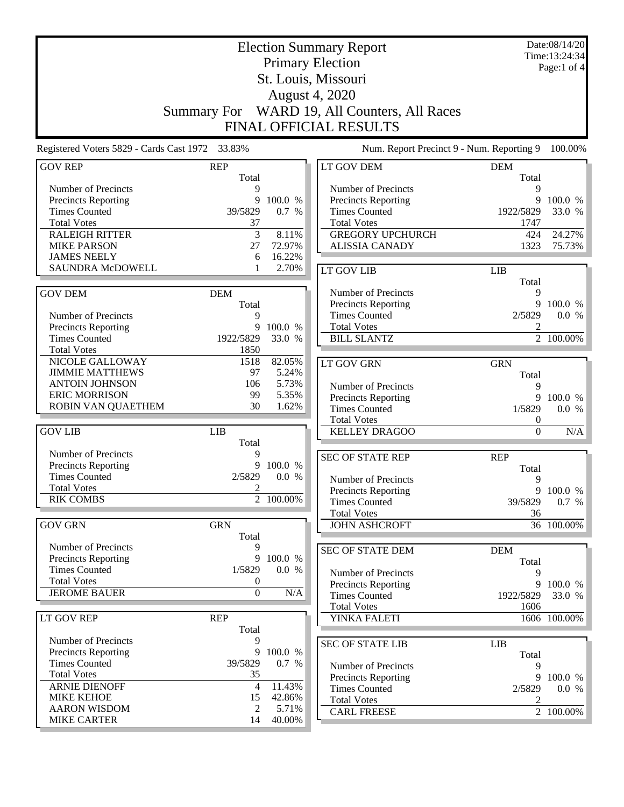|                                                 |                      |                  | <b>Election Summary Report</b>            |                     | Date:08/14/20<br>Time: 13:24:34 |
|-------------------------------------------------|----------------------|------------------|-------------------------------------------|---------------------|---------------------------------|
|                                                 |                      |                  | <b>Primary Election</b>                   |                     | Page:1 of 4                     |
|                                                 |                      |                  | St. Louis, Missouri                       |                     |                                 |
|                                                 |                      |                  | <b>August 4, 2020</b>                     |                     |                                 |
|                                                 |                      |                  |                                           |                     |                                 |
|                                                 | <b>Summary For</b>   |                  | WARD 19, All Counters, All Races          |                     |                                 |
|                                                 |                      |                  | FINAL OFFICIAL RESULTS                    |                     |                                 |
| Registered Voters 5829 - Cards Cast 1972 33.83% |                      |                  | Num. Report Precinct 9 - Num. Reporting 9 |                     | 100.00%                         |
| <b>GOV REP</b>                                  | <b>REP</b><br>Total  |                  | LT GOV DEM                                | <b>DEM</b><br>Total |                                 |
| Number of Precincts                             | 9                    |                  | Number of Precincts                       | 9                   |                                 |
| <b>Precincts Reporting</b>                      | 9                    | 100.0 %          | Precincts Reporting                       | 9                   | 100.0 %                         |
| <b>Times Counted</b>                            | 39/5829              | 0.7 %            | <b>Times Counted</b>                      | 1922/5829           | 33.0 %                          |
| <b>Total Votes</b>                              | 37                   |                  | <b>Total Votes</b>                        | 1747                |                                 |
| <b>RALEIGH RITTER</b>                           | 3                    | 8.11%            | <b>GREGORY UPCHURCH</b>                   | 424                 | 24.27%                          |
| <b>MIKE PARSON</b>                              | 27                   | 72.97%           | <b>ALISSIA CANADY</b>                     | 1323                | 75.73%                          |
| <b>JAMES NEELY</b>                              | 6                    | 16.22%           |                                           |                     |                                 |
| SAUNDRA McDOWELL                                | 1                    | 2.70%            | LT GOV LIB                                | <b>LIB</b>          |                                 |
| <b>GOV DEM</b>                                  | <b>DEM</b>           |                  | Number of Precincts                       | Total<br>9          |                                 |
|                                                 | Total                |                  | <b>Precincts Reporting</b>                | 9                   | 100.0 %                         |
| Number of Precincts                             | 9                    |                  | <b>Times Counted</b>                      | 2/5829              | 0.0 %                           |
| Precincts Reporting                             | 9                    | 100.0 %          | <b>Total Votes</b>                        | 2                   |                                 |
| <b>Times Counted</b>                            | 1922/5829            | 33.0 %           | <b>BILL SLANTZ</b>                        |                     | 2 100.00%                       |
| <b>Total Votes</b>                              | 1850                 |                  |                                           |                     |                                 |
| NICOLE GALLOWAY                                 | 1518                 | 82.05%           | <b>LT GOV GRN</b>                         | <b>GRN</b>          |                                 |
| <b>JIMMIE MATTHEWS</b>                          | 97                   | 5.24%            |                                           | Total               |                                 |
| <b>ANTOIN JOHNSON</b>                           | 106                  | 5.73%            | Number of Precincts                       | 9                   |                                 |
| <b>ERIC MORRISON</b>                            | 99                   | 5.35%            | Precincts Reporting                       | 9                   | 100.0 %                         |
| ROBIN VAN QUAETHEM                              | 30                   | 1.62%            | <b>Times Counted</b>                      | 1/5829              | 0.0 %                           |
|                                                 |                      |                  | <b>Total Votes</b>                        | $\boldsymbol{0}$    |                                 |
| <b>GOV LIB</b>                                  | <b>LIB</b><br>Total  |                  | <b>KELLEY DRAGOO</b>                      | $\mathbf{0}$        | N/A                             |
| Number of Precincts                             | 9                    |                  | <b>SEC OF STATE REP</b>                   | <b>REP</b>          |                                 |
| Precincts Reporting                             | 9                    | 100.0 %          |                                           | Total               |                                 |
| <b>Times Counted</b>                            | 2/5829               | 0.0 %            | Number of Precincts                       | 9                   |                                 |
| <b>Total Votes</b>                              | 2                    |                  | <b>Precincts Reporting</b>                | 9                   | 100.0 %                         |
| <b>RIK COMBS</b>                                |                      | 2 100.00%        | <b>Times Counted</b>                      | 39/5829             | 0.7 %                           |
|                                                 |                      |                  | <b>Total Votes</b>                        | 36                  |                                 |
| <b>GOV GRN</b>                                  | <b>GRN</b><br>Total  |                  | <b>JOHN ASHCROFT</b>                      |                     | $36 - 100.00\%$                 |
| Number of Precincts                             | 9                    |                  |                                           |                     |                                 |
| Precincts Reporting                             | 9                    | 100.0 %          | <b>SEC OF STATE DEM</b>                   | <b>DEM</b><br>Total |                                 |
| <b>Times Counted</b>                            | 1/5829               | 0.0 %            | Number of Precincts                       | 9                   |                                 |
| <b>Total Votes</b>                              | 0                    |                  | <b>Precincts Reporting</b>                | 9                   | 100.0 %                         |
| <b>JEROME BAUER</b>                             | $\overline{0}$       | N/A              | <b>Times Counted</b>                      | 1922/5829           | 33.0 %                          |
|                                                 |                      |                  | <b>Total Votes</b>                        | 1606                |                                 |
| LT GOV REP                                      | <b>REP</b>           |                  | YINKA FALETI                              |                     | $\overline{1606}$ 100.00%       |
|                                                 | Total                |                  |                                           |                     |                                 |
| Number of Precincts                             | 9                    |                  | <b>SEC OF STATE LIB</b>                   | LIB                 |                                 |
| Precincts Reporting                             | 9                    | 100.0 %          |                                           | Total               |                                 |
| <b>Times Counted</b>                            | 39/5829              | 0.7 %            | Number of Precincts                       | 9                   |                                 |
| <b>Total Votes</b>                              | 35                   |                  | Precincts Reporting                       | 9                   | 100.0 %                         |
| <b>ARNIE DIENOFF</b><br><b>MIKE KEHOE</b>       | $\overline{4}$<br>15 | 11.43%<br>42.86% | <b>Times Counted</b>                      | 2/5829              | 0.0 %                           |
| <b>AARON WISDOM</b>                             | 2                    | 5.71%            | <b>Total Votes</b>                        | 2                   |                                 |
| <b>MIKE CARTER</b>                              | 14                   | 40.00%           | <b>CARL FREESE</b>                        |                     | 2 100.00%                       |
|                                                 |                      |                  |                                           |                     |                                 |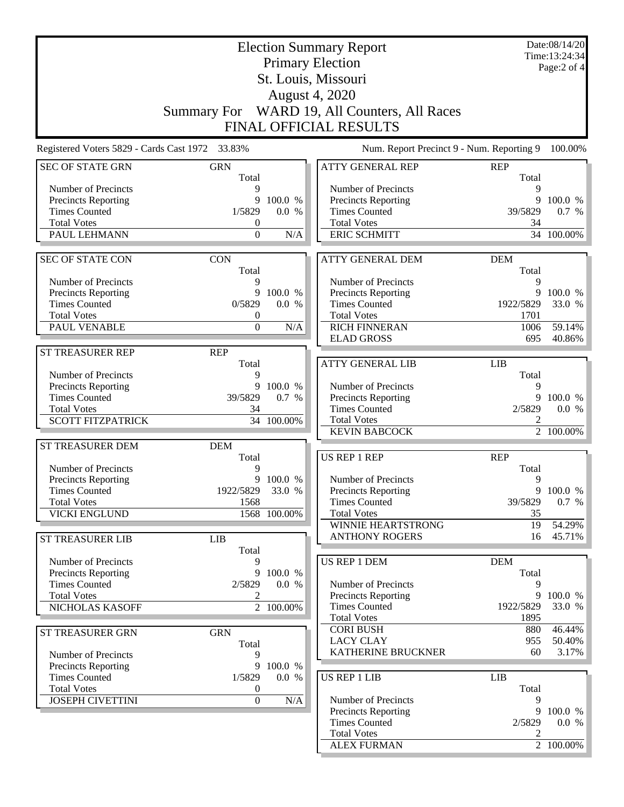| Time:13:24:34<br><b>Primary Election</b><br>Page:2 of 4<br>St. Louis, Missouri<br><b>August 4, 2020</b><br>Summary For WARD 19, All Counters, All Races<br>FINAL OFFICIAL RESULTS<br>Registered Voters 5829 - Cards Cast 1972 33.83%<br>Num. Report Precinct 9 - Num. Reporting 9<br>100.00%<br><b>ATTY GENERAL REP</b><br><b>SEC OF STATE GRN</b><br><b>GRN</b><br><b>REP</b><br>Total<br>Total<br>Number of Precincts<br>Number of Precincts<br>9<br>9<br>9<br>100.0 %<br>9<br>100.0 %<br><b>Precincts Reporting</b><br>Precincts Reporting<br><b>Times Counted</b><br>1/5829<br><b>Times Counted</b><br>39/5829<br>0.7 %<br>0.0 %<br><b>Total Votes</b><br><b>Total Votes</b><br>0<br>34<br>PAUL LEHMANN<br>$\Omega$<br>N/A<br><b>ERIC SCHMITT</b><br>34 100.00%<br><b>SEC OF STATE CON</b><br><b>CON</b><br><b>ATTY GENERAL DEM</b><br><b>DEM</b><br>Total<br>Total<br>Number of Precincts<br>9<br>Number of Precincts<br>9<br><b>Precincts Reporting</b><br>9<br>100.0 %<br>9<br>100.0 %<br><b>Precincts Reporting</b><br>0/5829<br>0.0 %<br><b>Times Counted</b><br>1922/5829<br>33.0 %<br><b>Times Counted</b><br><b>Total Votes</b><br><b>Total Votes</b><br>1701<br>$\boldsymbol{0}$<br>PAUL VENABLE<br>$\mathbf{0}$<br>N/A<br><b>RICH FINNERAN</b><br>1006<br>59.14%<br><b>ELAD GROSS</b><br>695<br>40.86%<br>ST TREASURER REP<br><b>REP</b><br><b>ATTY GENERAL LIB</b><br>Total<br><b>LIB</b><br>Number of Precincts<br>9<br>Total<br><b>Precincts Reporting</b><br>9<br>100.0 %<br>Number of Precincts<br>9<br><b>Times Counted</b><br>39/5829<br>9<br>0.7 %<br>Precincts Reporting<br>100.0 %<br><b>Total Votes</b><br><b>Times Counted</b><br>2/5829<br>34<br>0.0 %<br><b>SCOTT FITZPATRICK</b><br>34 100.00%<br><b>Total Votes</b><br>2<br>2 100.00%<br><b>KEVIN BABCOCK</b><br>ST TREASURER DEM<br><b>DEM</b><br><b>US REP 1 REP</b><br><b>REP</b><br>Total<br>Number of Precincts<br>Total<br>9<br>Number of Precincts<br><b>Precincts Reporting</b><br>9 100.0 %<br>9<br>1922/5829<br>9<br>100.0 %<br>33.0 %<br><b>Times Counted</b><br><b>Precincts Reporting</b><br><b>Total Votes</b><br>1568<br><b>Times Counted</b><br>39/5829<br>0.7 %<br><b>VICKI ENGLUND</b><br>1568 100.00%<br><b>Total Votes</b><br>35<br>WINNIE HEARTSTRONG<br>19<br>54.29%<br><b>ANTHONY ROGERS</b><br>16<br>45.71%<br><b>ST TREASURER LIB</b><br>LIB<br>Total<br><b>US REP 1 DEM</b><br><b>DEM</b><br>Number of Precincts<br>9<br>Total<br>Precincts Reporting<br>9<br>100.0 %<br><b>Times Counted</b><br>2/5829<br>0.0 %<br>Number of Precincts<br>9<br><b>Total Votes</b><br>9<br>100.0 %<br><b>Precincts Reporting</b><br>2<br><b>Times Counted</b><br>1922/5829<br>33.0 %<br>NICHOLAS KASOFF<br>2 100.00%<br><b>Total Votes</b><br>1895<br><b>CORI BUSH</b><br>880<br>ST TREASURER GRN<br><b>GRN</b><br><b>LACY CLAY</b><br>955<br>Total<br>KATHERINE BRUCKNER<br>60<br>Number of Precincts<br>9<br>9 100.0 %<br>Precincts Reporting<br><b>US REP 1 LIB</b><br><b>LIB</b><br><b>Times Counted</b><br>1/5829<br>0.0 %<br><b>Total Votes</b><br>Total<br>$\boldsymbol{0}$<br><b>JOSEPH CIVETTINI</b><br>N/A<br>Number of Precincts<br>$\boldsymbol{0}$<br>9 |  |  | <b>Election Summary Report</b> |  | Date:08/14/20 |  |
|--------------------------------------------------------------------------------------------------------------------------------------------------------------------------------------------------------------------------------------------------------------------------------------------------------------------------------------------------------------------------------------------------------------------------------------------------------------------------------------------------------------------------------------------------------------------------------------------------------------------------------------------------------------------------------------------------------------------------------------------------------------------------------------------------------------------------------------------------------------------------------------------------------------------------------------------------------------------------------------------------------------------------------------------------------------------------------------------------------------------------------------------------------------------------------------------------------------------------------------------------------------------------------------------------------------------------------------------------------------------------------------------------------------------------------------------------------------------------------------------------------------------------------------------------------------------------------------------------------------------------------------------------------------------------------------------------------------------------------------------------------------------------------------------------------------------------------------------------------------------------------------------------------------------------------------------------------------------------------------------------------------------------------------------------------------------------------------------------------------------------------------------------------------------------------------------------------------------------------------------------------------------------------------------------------------------------------------------------------------------------------------------------------------------------------------------------------------------------------------------------------------------------------------------------------------------------------------------------------------------------------------------------------------------------------------------------------------------------------------------------------------------------------------------------------------------------------------------------------------------------------------------------------------------------------------------------------------------------------------------------------------------------------------------------------------------------------------------------------------------------------------------------------------|--|--|--------------------------------|--|---------------|--|
|                                                                                                                                                                                                                                                                                                                                                                                                                                                                                                                                                                                                                                                                                                                                                                                                                                                                                                                                                                                                                                                                                                                                                                                                                                                                                                                                                                                                                                                                                                                                                                                                                                                                                                                                                                                                                                                                                                                                                                                                                                                                                                                                                                                                                                                                                                                                                                                                                                                                                                                                                                                                                                                                                                                                                                                                                                                                                                                                                                                                                                                                                                                                                              |  |  |                                |  |               |  |
|                                                                                                                                                                                                                                                                                                                                                                                                                                                                                                                                                                                                                                                                                                                                                                                                                                                                                                                                                                                                                                                                                                                                                                                                                                                                                                                                                                                                                                                                                                                                                                                                                                                                                                                                                                                                                                                                                                                                                                                                                                                                                                                                                                                                                                                                                                                                                                                                                                                                                                                                                                                                                                                                                                                                                                                                                                                                                                                                                                                                                                                                                                                                                              |  |  |                                |  |               |  |
|                                                                                                                                                                                                                                                                                                                                                                                                                                                                                                                                                                                                                                                                                                                                                                                                                                                                                                                                                                                                                                                                                                                                                                                                                                                                                                                                                                                                                                                                                                                                                                                                                                                                                                                                                                                                                                                                                                                                                                                                                                                                                                                                                                                                                                                                                                                                                                                                                                                                                                                                                                                                                                                                                                                                                                                                                                                                                                                                                                                                                                                                                                                                                              |  |  |                                |  |               |  |
|                                                                                                                                                                                                                                                                                                                                                                                                                                                                                                                                                                                                                                                                                                                                                                                                                                                                                                                                                                                                                                                                                                                                                                                                                                                                                                                                                                                                                                                                                                                                                                                                                                                                                                                                                                                                                                                                                                                                                                                                                                                                                                                                                                                                                                                                                                                                                                                                                                                                                                                                                                                                                                                                                                                                                                                                                                                                                                                                                                                                                                                                                                                                                              |  |  |                                |  |               |  |
|                                                                                                                                                                                                                                                                                                                                                                                                                                                                                                                                                                                                                                                                                                                                                                                                                                                                                                                                                                                                                                                                                                                                                                                                                                                                                                                                                                                                                                                                                                                                                                                                                                                                                                                                                                                                                                                                                                                                                                                                                                                                                                                                                                                                                                                                                                                                                                                                                                                                                                                                                                                                                                                                                                                                                                                                                                                                                                                                                                                                                                                                                                                                                              |  |  |                                |  |               |  |
|                                                                                                                                                                                                                                                                                                                                                                                                                                                                                                                                                                                                                                                                                                                                                                                                                                                                                                                                                                                                                                                                                                                                                                                                                                                                                                                                                                                                                                                                                                                                                                                                                                                                                                                                                                                                                                                                                                                                                                                                                                                                                                                                                                                                                                                                                                                                                                                                                                                                                                                                                                                                                                                                                                                                                                                                                                                                                                                                                                                                                                                                                                                                                              |  |  |                                |  |               |  |
|                                                                                                                                                                                                                                                                                                                                                                                                                                                                                                                                                                                                                                                                                                                                                                                                                                                                                                                                                                                                                                                                                                                                                                                                                                                                                                                                                                                                                                                                                                                                                                                                                                                                                                                                                                                                                                                                                                                                                                                                                                                                                                                                                                                                                                                                                                                                                                                                                                                                                                                                                                                                                                                                                                                                                                                                                                                                                                                                                                                                                                                                                                                                                              |  |  |                                |  |               |  |
|                                                                                                                                                                                                                                                                                                                                                                                                                                                                                                                                                                                                                                                                                                                                                                                                                                                                                                                                                                                                                                                                                                                                                                                                                                                                                                                                                                                                                                                                                                                                                                                                                                                                                                                                                                                                                                                                                                                                                                                                                                                                                                                                                                                                                                                                                                                                                                                                                                                                                                                                                                                                                                                                                                                                                                                                                                                                                                                                                                                                                                                                                                                                                              |  |  |                                |  |               |  |
|                                                                                                                                                                                                                                                                                                                                                                                                                                                                                                                                                                                                                                                                                                                                                                                                                                                                                                                                                                                                                                                                                                                                                                                                                                                                                                                                                                                                                                                                                                                                                                                                                                                                                                                                                                                                                                                                                                                                                                                                                                                                                                                                                                                                                                                                                                                                                                                                                                                                                                                                                                                                                                                                                                                                                                                                                                                                                                                                                                                                                                                                                                                                                              |  |  |                                |  |               |  |
|                                                                                                                                                                                                                                                                                                                                                                                                                                                                                                                                                                                                                                                                                                                                                                                                                                                                                                                                                                                                                                                                                                                                                                                                                                                                                                                                                                                                                                                                                                                                                                                                                                                                                                                                                                                                                                                                                                                                                                                                                                                                                                                                                                                                                                                                                                                                                                                                                                                                                                                                                                                                                                                                                                                                                                                                                                                                                                                                                                                                                                                                                                                                                              |  |  |                                |  |               |  |
|                                                                                                                                                                                                                                                                                                                                                                                                                                                                                                                                                                                                                                                                                                                                                                                                                                                                                                                                                                                                                                                                                                                                                                                                                                                                                                                                                                                                                                                                                                                                                                                                                                                                                                                                                                                                                                                                                                                                                                                                                                                                                                                                                                                                                                                                                                                                                                                                                                                                                                                                                                                                                                                                                                                                                                                                                                                                                                                                                                                                                                                                                                                                                              |  |  |                                |  |               |  |
|                                                                                                                                                                                                                                                                                                                                                                                                                                                                                                                                                                                                                                                                                                                                                                                                                                                                                                                                                                                                                                                                                                                                                                                                                                                                                                                                                                                                                                                                                                                                                                                                                                                                                                                                                                                                                                                                                                                                                                                                                                                                                                                                                                                                                                                                                                                                                                                                                                                                                                                                                                                                                                                                                                                                                                                                                                                                                                                                                                                                                                                                                                                                                              |  |  |                                |  |               |  |
|                                                                                                                                                                                                                                                                                                                                                                                                                                                                                                                                                                                                                                                                                                                                                                                                                                                                                                                                                                                                                                                                                                                                                                                                                                                                                                                                                                                                                                                                                                                                                                                                                                                                                                                                                                                                                                                                                                                                                                                                                                                                                                                                                                                                                                                                                                                                                                                                                                                                                                                                                                                                                                                                                                                                                                                                                                                                                                                                                                                                                                                                                                                                                              |  |  |                                |  |               |  |
|                                                                                                                                                                                                                                                                                                                                                                                                                                                                                                                                                                                                                                                                                                                                                                                                                                                                                                                                                                                                                                                                                                                                                                                                                                                                                                                                                                                                                                                                                                                                                                                                                                                                                                                                                                                                                                                                                                                                                                                                                                                                                                                                                                                                                                                                                                                                                                                                                                                                                                                                                                                                                                                                                                                                                                                                                                                                                                                                                                                                                                                                                                                                                              |  |  |                                |  |               |  |
|                                                                                                                                                                                                                                                                                                                                                                                                                                                                                                                                                                                                                                                                                                                                                                                                                                                                                                                                                                                                                                                                                                                                                                                                                                                                                                                                                                                                                                                                                                                                                                                                                                                                                                                                                                                                                                                                                                                                                                                                                                                                                                                                                                                                                                                                                                                                                                                                                                                                                                                                                                                                                                                                                                                                                                                                                                                                                                                                                                                                                                                                                                                                                              |  |  |                                |  |               |  |
|                                                                                                                                                                                                                                                                                                                                                                                                                                                                                                                                                                                                                                                                                                                                                                                                                                                                                                                                                                                                                                                                                                                                                                                                                                                                                                                                                                                                                                                                                                                                                                                                                                                                                                                                                                                                                                                                                                                                                                                                                                                                                                                                                                                                                                                                                                                                                                                                                                                                                                                                                                                                                                                                                                                                                                                                                                                                                                                                                                                                                                                                                                                                                              |  |  |                                |  |               |  |
|                                                                                                                                                                                                                                                                                                                                                                                                                                                                                                                                                                                                                                                                                                                                                                                                                                                                                                                                                                                                                                                                                                                                                                                                                                                                                                                                                                                                                                                                                                                                                                                                                                                                                                                                                                                                                                                                                                                                                                                                                                                                                                                                                                                                                                                                                                                                                                                                                                                                                                                                                                                                                                                                                                                                                                                                                                                                                                                                                                                                                                                                                                                                                              |  |  |                                |  |               |  |
|                                                                                                                                                                                                                                                                                                                                                                                                                                                                                                                                                                                                                                                                                                                                                                                                                                                                                                                                                                                                                                                                                                                                                                                                                                                                                                                                                                                                                                                                                                                                                                                                                                                                                                                                                                                                                                                                                                                                                                                                                                                                                                                                                                                                                                                                                                                                                                                                                                                                                                                                                                                                                                                                                                                                                                                                                                                                                                                                                                                                                                                                                                                                                              |  |  |                                |  |               |  |
|                                                                                                                                                                                                                                                                                                                                                                                                                                                                                                                                                                                                                                                                                                                                                                                                                                                                                                                                                                                                                                                                                                                                                                                                                                                                                                                                                                                                                                                                                                                                                                                                                                                                                                                                                                                                                                                                                                                                                                                                                                                                                                                                                                                                                                                                                                                                                                                                                                                                                                                                                                                                                                                                                                                                                                                                                                                                                                                                                                                                                                                                                                                                                              |  |  |                                |  |               |  |
|                                                                                                                                                                                                                                                                                                                                                                                                                                                                                                                                                                                                                                                                                                                                                                                                                                                                                                                                                                                                                                                                                                                                                                                                                                                                                                                                                                                                                                                                                                                                                                                                                                                                                                                                                                                                                                                                                                                                                                                                                                                                                                                                                                                                                                                                                                                                                                                                                                                                                                                                                                                                                                                                                                                                                                                                                                                                                                                                                                                                                                                                                                                                                              |  |  |                                |  |               |  |
|                                                                                                                                                                                                                                                                                                                                                                                                                                                                                                                                                                                                                                                                                                                                                                                                                                                                                                                                                                                                                                                                                                                                                                                                                                                                                                                                                                                                                                                                                                                                                                                                                                                                                                                                                                                                                                                                                                                                                                                                                                                                                                                                                                                                                                                                                                                                                                                                                                                                                                                                                                                                                                                                                                                                                                                                                                                                                                                                                                                                                                                                                                                                                              |  |  |                                |  |               |  |
|                                                                                                                                                                                                                                                                                                                                                                                                                                                                                                                                                                                                                                                                                                                                                                                                                                                                                                                                                                                                                                                                                                                                                                                                                                                                                                                                                                                                                                                                                                                                                                                                                                                                                                                                                                                                                                                                                                                                                                                                                                                                                                                                                                                                                                                                                                                                                                                                                                                                                                                                                                                                                                                                                                                                                                                                                                                                                                                                                                                                                                                                                                                                                              |  |  |                                |  |               |  |
|                                                                                                                                                                                                                                                                                                                                                                                                                                                                                                                                                                                                                                                                                                                                                                                                                                                                                                                                                                                                                                                                                                                                                                                                                                                                                                                                                                                                                                                                                                                                                                                                                                                                                                                                                                                                                                                                                                                                                                                                                                                                                                                                                                                                                                                                                                                                                                                                                                                                                                                                                                                                                                                                                                                                                                                                                                                                                                                                                                                                                                                                                                                                                              |  |  |                                |  |               |  |
|                                                                                                                                                                                                                                                                                                                                                                                                                                                                                                                                                                                                                                                                                                                                                                                                                                                                                                                                                                                                                                                                                                                                                                                                                                                                                                                                                                                                                                                                                                                                                                                                                                                                                                                                                                                                                                                                                                                                                                                                                                                                                                                                                                                                                                                                                                                                                                                                                                                                                                                                                                                                                                                                                                                                                                                                                                                                                                                                                                                                                                                                                                                                                              |  |  |                                |  |               |  |
|                                                                                                                                                                                                                                                                                                                                                                                                                                                                                                                                                                                                                                                                                                                                                                                                                                                                                                                                                                                                                                                                                                                                                                                                                                                                                                                                                                                                                                                                                                                                                                                                                                                                                                                                                                                                                                                                                                                                                                                                                                                                                                                                                                                                                                                                                                                                                                                                                                                                                                                                                                                                                                                                                                                                                                                                                                                                                                                                                                                                                                                                                                                                                              |  |  |                                |  |               |  |
|                                                                                                                                                                                                                                                                                                                                                                                                                                                                                                                                                                                                                                                                                                                                                                                                                                                                                                                                                                                                                                                                                                                                                                                                                                                                                                                                                                                                                                                                                                                                                                                                                                                                                                                                                                                                                                                                                                                                                                                                                                                                                                                                                                                                                                                                                                                                                                                                                                                                                                                                                                                                                                                                                                                                                                                                                                                                                                                                                                                                                                                                                                                                                              |  |  |                                |  |               |  |
|                                                                                                                                                                                                                                                                                                                                                                                                                                                                                                                                                                                                                                                                                                                                                                                                                                                                                                                                                                                                                                                                                                                                                                                                                                                                                                                                                                                                                                                                                                                                                                                                                                                                                                                                                                                                                                                                                                                                                                                                                                                                                                                                                                                                                                                                                                                                                                                                                                                                                                                                                                                                                                                                                                                                                                                                                                                                                                                                                                                                                                                                                                                                                              |  |  |                                |  |               |  |
|                                                                                                                                                                                                                                                                                                                                                                                                                                                                                                                                                                                                                                                                                                                                                                                                                                                                                                                                                                                                                                                                                                                                                                                                                                                                                                                                                                                                                                                                                                                                                                                                                                                                                                                                                                                                                                                                                                                                                                                                                                                                                                                                                                                                                                                                                                                                                                                                                                                                                                                                                                                                                                                                                                                                                                                                                                                                                                                                                                                                                                                                                                                                                              |  |  |                                |  |               |  |
|                                                                                                                                                                                                                                                                                                                                                                                                                                                                                                                                                                                                                                                                                                                                                                                                                                                                                                                                                                                                                                                                                                                                                                                                                                                                                                                                                                                                                                                                                                                                                                                                                                                                                                                                                                                                                                                                                                                                                                                                                                                                                                                                                                                                                                                                                                                                                                                                                                                                                                                                                                                                                                                                                                                                                                                                                                                                                                                                                                                                                                                                                                                                                              |  |  |                                |  |               |  |
|                                                                                                                                                                                                                                                                                                                                                                                                                                                                                                                                                                                                                                                                                                                                                                                                                                                                                                                                                                                                                                                                                                                                                                                                                                                                                                                                                                                                                                                                                                                                                                                                                                                                                                                                                                                                                                                                                                                                                                                                                                                                                                                                                                                                                                                                                                                                                                                                                                                                                                                                                                                                                                                                                                                                                                                                                                                                                                                                                                                                                                                                                                                                                              |  |  |                                |  |               |  |
|                                                                                                                                                                                                                                                                                                                                                                                                                                                                                                                                                                                                                                                                                                                                                                                                                                                                                                                                                                                                                                                                                                                                                                                                                                                                                                                                                                                                                                                                                                                                                                                                                                                                                                                                                                                                                                                                                                                                                                                                                                                                                                                                                                                                                                                                                                                                                                                                                                                                                                                                                                                                                                                                                                                                                                                                                                                                                                                                                                                                                                                                                                                                                              |  |  |                                |  |               |  |
|                                                                                                                                                                                                                                                                                                                                                                                                                                                                                                                                                                                                                                                                                                                                                                                                                                                                                                                                                                                                                                                                                                                                                                                                                                                                                                                                                                                                                                                                                                                                                                                                                                                                                                                                                                                                                                                                                                                                                                                                                                                                                                                                                                                                                                                                                                                                                                                                                                                                                                                                                                                                                                                                                                                                                                                                                                                                                                                                                                                                                                                                                                                                                              |  |  |                                |  |               |  |
|                                                                                                                                                                                                                                                                                                                                                                                                                                                                                                                                                                                                                                                                                                                                                                                                                                                                                                                                                                                                                                                                                                                                                                                                                                                                                                                                                                                                                                                                                                                                                                                                                                                                                                                                                                                                                                                                                                                                                                                                                                                                                                                                                                                                                                                                                                                                                                                                                                                                                                                                                                                                                                                                                                                                                                                                                                                                                                                                                                                                                                                                                                                                                              |  |  |                                |  |               |  |
|                                                                                                                                                                                                                                                                                                                                                                                                                                                                                                                                                                                                                                                                                                                                                                                                                                                                                                                                                                                                                                                                                                                                                                                                                                                                                                                                                                                                                                                                                                                                                                                                                                                                                                                                                                                                                                                                                                                                                                                                                                                                                                                                                                                                                                                                                                                                                                                                                                                                                                                                                                                                                                                                                                                                                                                                                                                                                                                                                                                                                                                                                                                                                              |  |  |                                |  |               |  |
|                                                                                                                                                                                                                                                                                                                                                                                                                                                                                                                                                                                                                                                                                                                                                                                                                                                                                                                                                                                                                                                                                                                                                                                                                                                                                                                                                                                                                                                                                                                                                                                                                                                                                                                                                                                                                                                                                                                                                                                                                                                                                                                                                                                                                                                                                                                                                                                                                                                                                                                                                                                                                                                                                                                                                                                                                                                                                                                                                                                                                                                                                                                                                              |  |  |                                |  |               |  |
|                                                                                                                                                                                                                                                                                                                                                                                                                                                                                                                                                                                                                                                                                                                                                                                                                                                                                                                                                                                                                                                                                                                                                                                                                                                                                                                                                                                                                                                                                                                                                                                                                                                                                                                                                                                                                                                                                                                                                                                                                                                                                                                                                                                                                                                                                                                                                                                                                                                                                                                                                                                                                                                                                                                                                                                                                                                                                                                                                                                                                                                                                                                                                              |  |  |                                |  |               |  |
|                                                                                                                                                                                                                                                                                                                                                                                                                                                                                                                                                                                                                                                                                                                                                                                                                                                                                                                                                                                                                                                                                                                                                                                                                                                                                                                                                                                                                                                                                                                                                                                                                                                                                                                                                                                                                                                                                                                                                                                                                                                                                                                                                                                                                                                                                                                                                                                                                                                                                                                                                                                                                                                                                                                                                                                                                                                                                                                                                                                                                                                                                                                                                              |  |  |                                |  |               |  |
|                                                                                                                                                                                                                                                                                                                                                                                                                                                                                                                                                                                                                                                                                                                                                                                                                                                                                                                                                                                                                                                                                                                                                                                                                                                                                                                                                                                                                                                                                                                                                                                                                                                                                                                                                                                                                                                                                                                                                                                                                                                                                                                                                                                                                                                                                                                                                                                                                                                                                                                                                                                                                                                                                                                                                                                                                                                                                                                                                                                                                                                                                                                                                              |  |  |                                |  |               |  |
|                                                                                                                                                                                                                                                                                                                                                                                                                                                                                                                                                                                                                                                                                                                                                                                                                                                                                                                                                                                                                                                                                                                                                                                                                                                                                                                                                                                                                                                                                                                                                                                                                                                                                                                                                                                                                                                                                                                                                                                                                                                                                                                                                                                                                                                                                                                                                                                                                                                                                                                                                                                                                                                                                                                                                                                                                                                                                                                                                                                                                                                                                                                                                              |  |  |                                |  |               |  |
| 46.44%                                                                                                                                                                                                                                                                                                                                                                                                                                                                                                                                                                                                                                                                                                                                                                                                                                                                                                                                                                                                                                                                                                                                                                                                                                                                                                                                                                                                                                                                                                                                                                                                                                                                                                                                                                                                                                                                                                                                                                                                                                                                                                                                                                                                                                                                                                                                                                                                                                                                                                                                                                                                                                                                                                                                                                                                                                                                                                                                                                                                                                                                                                                                                       |  |  |                                |  |               |  |
|                                                                                                                                                                                                                                                                                                                                                                                                                                                                                                                                                                                                                                                                                                                                                                                                                                                                                                                                                                                                                                                                                                                                                                                                                                                                                                                                                                                                                                                                                                                                                                                                                                                                                                                                                                                                                                                                                                                                                                                                                                                                                                                                                                                                                                                                                                                                                                                                                                                                                                                                                                                                                                                                                                                                                                                                                                                                                                                                                                                                                                                                                                                                                              |  |  |                                |  |               |  |
|                                                                                                                                                                                                                                                                                                                                                                                                                                                                                                                                                                                                                                                                                                                                                                                                                                                                                                                                                                                                                                                                                                                                                                                                                                                                                                                                                                                                                                                                                                                                                                                                                                                                                                                                                                                                                                                                                                                                                                                                                                                                                                                                                                                                                                                                                                                                                                                                                                                                                                                                                                                                                                                                                                                                                                                                                                                                                                                                                                                                                                                                                                                                                              |  |  |                                |  |               |  |
| $3.17\%$                                                                                                                                                                                                                                                                                                                                                                                                                                                                                                                                                                                                                                                                                                                                                                                                                                                                                                                                                                                                                                                                                                                                                                                                                                                                                                                                                                                                                                                                                                                                                                                                                                                                                                                                                                                                                                                                                                                                                                                                                                                                                                                                                                                                                                                                                                                                                                                                                                                                                                                                                                                                                                                                                                                                                                                                                                                                                                                                                                                                                                                                                                                                                     |  |  |                                |  | $50.40\%$     |  |
|                                                                                                                                                                                                                                                                                                                                                                                                                                                                                                                                                                                                                                                                                                                                                                                                                                                                                                                                                                                                                                                                                                                                                                                                                                                                                                                                                                                                                                                                                                                                                                                                                                                                                                                                                                                                                                                                                                                                                                                                                                                                                                                                                                                                                                                                                                                                                                                                                                                                                                                                                                                                                                                                                                                                                                                                                                                                                                                                                                                                                                                                                                                                                              |  |  |                                |  |               |  |
|                                                                                                                                                                                                                                                                                                                                                                                                                                                                                                                                                                                                                                                                                                                                                                                                                                                                                                                                                                                                                                                                                                                                                                                                                                                                                                                                                                                                                                                                                                                                                                                                                                                                                                                                                                                                                                                                                                                                                                                                                                                                                                                                                                                                                                                                                                                                                                                                                                                                                                                                                                                                                                                                                                                                                                                                                                                                                                                                                                                                                                                                                                                                                              |  |  |                                |  |               |  |
|                                                                                                                                                                                                                                                                                                                                                                                                                                                                                                                                                                                                                                                                                                                                                                                                                                                                                                                                                                                                                                                                                                                                                                                                                                                                                                                                                                                                                                                                                                                                                                                                                                                                                                                                                                                                                                                                                                                                                                                                                                                                                                                                                                                                                                                                                                                                                                                                                                                                                                                                                                                                                                                                                                                                                                                                                                                                                                                                                                                                                                                                                                                                                              |  |  |                                |  |               |  |
|                                                                                                                                                                                                                                                                                                                                                                                                                                                                                                                                                                                                                                                                                                                                                                                                                                                                                                                                                                                                                                                                                                                                                                                                                                                                                                                                                                                                                                                                                                                                                                                                                                                                                                                                                                                                                                                                                                                                                                                                                                                                                                                                                                                                                                                                                                                                                                                                                                                                                                                                                                                                                                                                                                                                                                                                                                                                                                                                                                                                                                                                                                                                                              |  |  |                                |  |               |  |
|                                                                                                                                                                                                                                                                                                                                                                                                                                                                                                                                                                                                                                                                                                                                                                                                                                                                                                                                                                                                                                                                                                                                                                                                                                                                                                                                                                                                                                                                                                                                                                                                                                                                                                                                                                                                                                                                                                                                                                                                                                                                                                                                                                                                                                                                                                                                                                                                                                                                                                                                                                                                                                                                                                                                                                                                                                                                                                                                                                                                                                                                                                                                                              |  |  |                                |  |               |  |
| <b>Precincts Reporting</b><br>9<br>100.0 %<br><b>Times Counted</b><br>2/5829<br>0.0 %                                                                                                                                                                                                                                                                                                                                                                                                                                                                                                                                                                                                                                                                                                                                                                                                                                                                                                                                                                                                                                                                                                                                                                                                                                                                                                                                                                                                                                                                                                                                                                                                                                                                                                                                                                                                                                                                                                                                                                                                                                                                                                                                                                                                                                                                                                                                                                                                                                                                                                                                                                                                                                                                                                                                                                                                                                                                                                                                                                                                                                                                        |  |  |                                |  |               |  |
| <b>Total Votes</b><br>2                                                                                                                                                                                                                                                                                                                                                                                                                                                                                                                                                                                                                                                                                                                                                                                                                                                                                                                                                                                                                                                                                                                                                                                                                                                                                                                                                                                                                                                                                                                                                                                                                                                                                                                                                                                                                                                                                                                                                                                                                                                                                                                                                                                                                                                                                                                                                                                                                                                                                                                                                                                                                                                                                                                                                                                                                                                                                                                                                                                                                                                                                                                                      |  |  |                                |  |               |  |
| <b>ALEX FURMAN</b><br>2 100.00%                                                                                                                                                                                                                                                                                                                                                                                                                                                                                                                                                                                                                                                                                                                                                                                                                                                                                                                                                                                                                                                                                                                                                                                                                                                                                                                                                                                                                                                                                                                                                                                                                                                                                                                                                                                                                                                                                                                                                                                                                                                                                                                                                                                                                                                                                                                                                                                                                                                                                                                                                                                                                                                                                                                                                                                                                                                                                                                                                                                                                                                                                                                              |  |  |                                |  |               |  |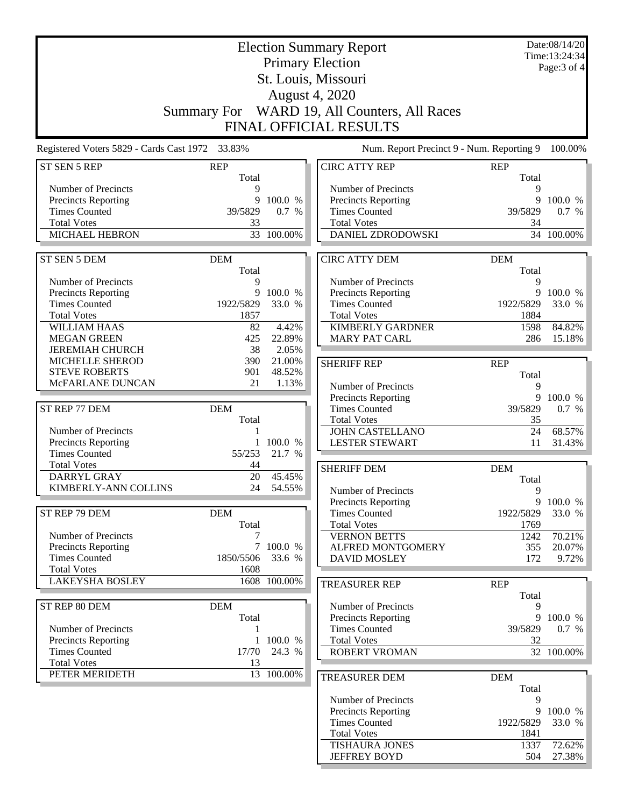|                                                    | Date:08/14/20<br><b>Election Summary Report</b> |                   |                                                    |                     |                                |  |  |
|----------------------------------------------------|-------------------------------------------------|-------------------|----------------------------------------------------|---------------------|--------------------------------|--|--|
|                                                    |                                                 |                   | <b>Primary Election</b>                            |                     | Time: 13:24:34<br>Page: 3 of 4 |  |  |
|                                                    |                                                 |                   | St. Louis, Missouri                                |                     |                                |  |  |
|                                                    | August 4, 2020                                  |                   |                                                    |                     |                                |  |  |
|                                                    |                                                 |                   |                                                    |                     |                                |  |  |
|                                                    |                                                 |                   | Summary For WARD 19, All Counters, All Races       |                     |                                |  |  |
|                                                    |                                                 |                   | <b>FINAL OFFICIAL RESULTS</b>                      |                     |                                |  |  |
| Registered Voters 5829 - Cards Cast 1972 33.83%    |                                                 |                   | Num. Report Precinct 9 - Num. Reporting 9          |                     | 100.00%                        |  |  |
| ST SEN 5 REP                                       | <b>REP</b>                                      |                   | <b>CIRC ATTY REP</b>                               | <b>REP</b>          |                                |  |  |
|                                                    | Total                                           |                   |                                                    | Total               |                                |  |  |
| Number of Precincts                                | 9<br>9                                          | 100.0 %           | Number of Precincts                                | 9<br>9              | 100.0 %                        |  |  |
| <b>Precincts Reporting</b><br><b>Times Counted</b> | 39/5829                                         | 0.7 %             | <b>Precincts Reporting</b><br><b>Times Counted</b> | 39/5829             | 0.7 %                          |  |  |
| <b>Total Votes</b>                                 | 33                                              |                   | <b>Total Votes</b>                                 | 34                  |                                |  |  |
| <b>MICHAEL HEBRON</b>                              | 33                                              | 100.00%           | DANIEL ZDRODOWSKI                                  |                     | 34 100.00%                     |  |  |
|                                                    |                                                 |                   |                                                    |                     |                                |  |  |
| ST SEN 5 DEM                                       | <b>DEM</b>                                      |                   | <b>CIRC ATTY DEM</b>                               | <b>DEM</b>          |                                |  |  |
|                                                    | Total                                           |                   |                                                    | Total               |                                |  |  |
| Number of Precincts<br>Precincts Reporting         | 9<br>9                                          | 100.0 %           | Number of Precincts<br><b>Precincts Reporting</b>  | 9<br>9              | 100.0 %                        |  |  |
| <b>Times Counted</b>                               | 1922/5829                                       | 33.0 %            | <b>Times Counted</b>                               | 1922/5829           | 33.0 %                         |  |  |
| <b>Total Votes</b>                                 | 1857                                            |                   | <b>Total Votes</b>                                 | 1884                |                                |  |  |
| <b>WILLIAM HAAS</b>                                | 82                                              | 4.42%             | <b>KIMBERLY GARDNER</b>                            | 1598                | 84.82%                         |  |  |
| <b>MEGAN GREEN</b>                                 | 425                                             | 22.89%            | <b>MARY PAT CARL</b>                               | 286                 | 15.18%                         |  |  |
| <b>JEREMIAH CHURCH</b>                             | 38                                              | 2.05%             |                                                    |                     |                                |  |  |
| MICHELLE SHEROD                                    | 390                                             | 21.00%            | <b>SHERIFF REP</b>                                 | <b>REP</b>          |                                |  |  |
| <b>STEVE ROBERTS</b>                               | 901                                             | 48.52%            |                                                    | Total               |                                |  |  |
| McFARLANE DUNCAN                                   | 21                                              | 1.13%             | Number of Precincts                                | 9                   |                                |  |  |
|                                                    |                                                 |                   | Precincts Reporting                                |                     | 9 100.0 %                      |  |  |
| ST REP 77 DEM                                      | <b>DEM</b>                                      |                   | <b>Times Counted</b>                               | 39/5829             | 0.7 %                          |  |  |
|                                                    | Total                                           |                   | <b>Total Votes</b>                                 | 35                  |                                |  |  |
| Number of Precincts                                | 1                                               |                   | <b>JOHN CASTELLANO</b>                             | 24                  | 68.57%                         |  |  |
| Precincts Reporting                                | $\mathbf{1}$                                    | 100.0 %           | <b>LESTER STEWART</b>                              | 11                  | 31.43%                         |  |  |
| <b>Times Counted</b>                               | 55/253                                          | 21.7 %            |                                                    |                     |                                |  |  |
| <b>Total Votes</b><br>DARRYL GRAY                  | 44<br>20                                        | 45.45%            | <b>SHERIFF DEM</b>                                 | <b>DEM</b>          |                                |  |  |
| KIMBERLY-ANN COLLINS                               | 24                                              | 54.55%            |                                                    | Total               |                                |  |  |
|                                                    |                                                 |                   | Number of Precincts                                | 9                   |                                |  |  |
|                                                    | <b>DEM</b>                                      |                   | <b>Precincts Reporting</b>                         |                     | 9 100.0 %                      |  |  |
| ST REP 79 DEM                                      | Total                                           |                   | <b>Times Counted</b><br><b>Total Votes</b>         | 1922/5829<br>1769   | 33.0 %                         |  |  |
| Number of Precincts                                | 7                                               |                   | <b>VERNON BETTS</b>                                | 1242                | 70.21%                         |  |  |
| Precincts Reporting                                | 7                                               | 100.0 %           | <b>ALFRED MONTGOMERY</b>                           | 355                 | 20.07%                         |  |  |
| <b>Times Counted</b>                               | 1850/5506                                       | 33.6 %            | <b>DAVID MOSLEY</b>                                | 172                 | 9.72%                          |  |  |
| <b>Total Votes</b>                                 | 1608                                            |                   |                                                    |                     |                                |  |  |
| <b>LAKEYSHA BOSLEY</b>                             | 1608                                            | 100.00%           | <b>TREASURER REP</b>                               | <b>REP</b>          |                                |  |  |
|                                                    |                                                 |                   |                                                    | Total               |                                |  |  |
| ST REP 80 DEM                                      | <b>DEM</b>                                      |                   | Number of Precincts                                | 9                   |                                |  |  |
|                                                    | Total                                           |                   | <b>Precincts Reporting</b>                         |                     | 9 100.0 %                      |  |  |
| Number of Precincts                                | 1                                               |                   | <b>Times Counted</b>                               | 39/5829             | 0.7 %                          |  |  |
| Precincts Reporting<br><b>Times Counted</b>        | $\mathbf{1}$<br>17/70                           | 100.0 %<br>24.3 % | <b>Total Votes</b><br><b>ROBERT VROMAN</b>         | 32                  |                                |  |  |
| <b>Total Votes</b>                                 | 13                                              |                   |                                                    |                     | 32 100.00%                     |  |  |
| PETER MERIDETH                                     |                                                 | 13 100.00%        |                                                    |                     |                                |  |  |
|                                                    |                                                 |                   | <b>TREASURER DEM</b>                               | <b>DEM</b><br>Total |                                |  |  |
|                                                    |                                                 |                   | Number of Precincts                                | 9                   |                                |  |  |
|                                                    |                                                 |                   | Precincts Reporting                                | 9                   | 100.0 %                        |  |  |
|                                                    |                                                 |                   | <b>Times Counted</b>                               | 1922/5829           | 33.0 %                         |  |  |
|                                                    |                                                 |                   | <b>Total Votes</b>                                 | 1841                |                                |  |  |
|                                                    |                                                 |                   | <b>TISHAURA JONES</b>                              | 1337                | 72.62%                         |  |  |
|                                                    |                                                 |                   | <b>JEFFREY BOYD</b>                                | 504                 | 27.38%                         |  |  |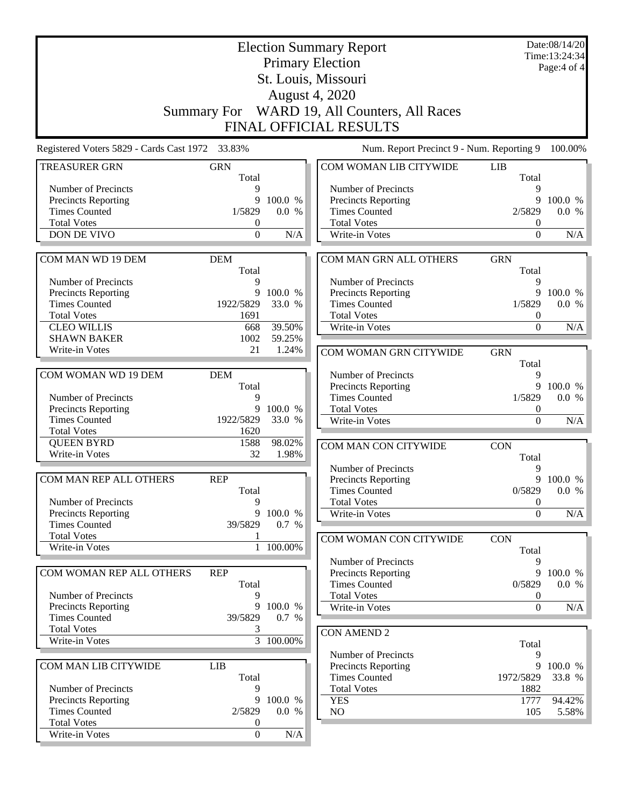| St. Louis, Missouri<br>August 4, 2020<br>Summary For WARD 19, All Counters, All Races<br><b>FINAL OFFICIAL RESULTS</b><br>33.83%<br>Registered Voters 5829 - Cards Cast 1972<br>Num. Report Precinct 9 - Num. Reporting 9<br>100.00%<br><b>GRN</b><br>COM WOMAN LIB CITYWIDE<br><b>TREASURER GRN</b><br><b>LIB</b><br>Total<br>Total<br>Number of Precincts<br>Number of Precincts<br>9<br>9<br>Precincts Reporting<br>9<br>100.0 %<br><b>Precincts Reporting</b><br>9<br>100.0 %<br><b>Times Counted</b><br>1/5829<br>0.0 %<br><b>Times Counted</b><br>2/5829<br>0.0 %<br><b>Total Votes</b><br><b>Total Votes</b><br>$\boldsymbol{0}$<br>$\boldsymbol{0}$<br><b>DON DE VIVO</b><br>$\boldsymbol{0}$<br>N/A<br>Write-in Votes<br>$\theta$<br>N/A<br><b>DEM</b><br>COM MAN WD 19 DEM<br>COM MAN GRN ALL OTHERS<br><b>GRN</b><br>Total<br>Total<br>Number of Precincts<br>9<br>Number of Precincts<br>9<br><b>Precincts Reporting</b><br>100.0 %<br><b>Precincts Reporting</b><br>9<br>9<br>100.0 %<br><b>Times Counted</b><br>1922/5829<br>33.0 %<br><b>Times Counted</b><br>1/5829<br>0.0 %<br><b>Total Votes</b><br><b>Total Votes</b><br>1691<br>$\boldsymbol{0}$<br><b>CLEO WILLIS</b><br>39.50%<br>$\boldsymbol{0}$<br>Write-in Votes<br>668<br>N/A<br><b>SHAWN BAKER</b><br>1002<br>59.25%<br>21<br>1.24%<br>Write-in Votes<br><b>COM WOMAN GRN CITYWIDE</b><br><b>GRN</b><br>Total<br>COM WOMAN WD 19 DEM<br><b>DEM</b><br>Number of Precincts<br>9<br>Total<br><b>Precincts Reporting</b><br>9<br>100.0 %<br>Number of Precincts<br><b>Times Counted</b><br>1/5829<br>0.0 %<br>9<br>Precincts Reporting<br>100.0 %<br>9<br><b>Total Votes</b><br>$\boldsymbol{0}$<br><b>Times Counted</b><br>1922/5829<br>33.0 %<br>Write-in Votes<br>$\Omega$<br>N/A<br><b>Total Votes</b><br>1620<br><b>QUEEN BYRD</b><br>98.02%<br>1588<br>COM MAN CON CITYWIDE<br><b>CON</b><br>Write-in Votes<br>32<br>1.98%<br>Total<br>Number of Precincts<br>9<br>COM MAN REP ALL OTHERS<br><b>REP</b><br>9 100.0 %<br><b>Precincts Reporting</b><br>0/5829<br>Total<br>0.0 %<br><b>Times Counted</b><br>Number of Precincts<br>9<br><b>Total Votes</b><br>$\boldsymbol{0}$<br>Precincts Reporting<br>9 100.0 %<br>Write-in Votes<br>$\Omega$<br>N/A<br><b>Times Counted</b><br>39/5829<br>0.7 %<br><b>Total Votes</b><br>COM WOMAN CON CITYWIDE<br><b>CON</b><br>Write-in Votes<br>1 100.00%<br>Total<br>Number of Precincts<br>9<br><b>REP</b><br>COM WOMAN REP ALL OTHERS<br><b>Precincts Reporting</b><br>9<br>100.0 %<br>Total<br><b>Times Counted</b><br>0/5829<br>0.0 %<br>Number of Precincts<br><b>Total Votes</b><br>$\boldsymbol{0}$<br>Precincts Reporting<br>9<br>100.0 %<br>$\boldsymbol{0}$<br>N/A<br>Write-in Votes<br><b>Times Counted</b><br>39/5829<br>0.7 %<br><b>Total Votes</b><br>3<br><b>CON AMEND 2</b><br>$\frac{1}{3}$ 100.00%<br>Write-in Votes<br>Total<br>Number of Precincts<br>9<br>COM MAN LIB CITYWIDE<br>LIB<br><b>Precincts Reporting</b><br>9<br>100.0 %<br>Total<br><b>Times Counted</b><br>1972/5829<br>33.8 %<br>Number of Precincts<br>9<br><b>Total Votes</b><br>1882<br>9<br>Precincts Reporting<br>100.0 %<br><b>YES</b><br>1777<br>94.42%<br><b>Times Counted</b><br>2/5829<br>0.0 %<br>NO<br>105<br>5.58%<br><b>Total Votes</b><br>$\boldsymbol{0}$<br>$\boldsymbol{0}$<br>Write-in Votes<br>N/A |  |  |  | <b>Election Summary Report</b><br><b>Primary Election</b> |  | Date:08/14/20<br>Time:13:24:34<br>Page:4 of 4 |  |
|--------------------------------------------------------------------------------------------------------------------------------------------------------------------------------------------------------------------------------------------------------------------------------------------------------------------------------------------------------------------------------------------------------------------------------------------------------------------------------------------------------------------------------------------------------------------------------------------------------------------------------------------------------------------------------------------------------------------------------------------------------------------------------------------------------------------------------------------------------------------------------------------------------------------------------------------------------------------------------------------------------------------------------------------------------------------------------------------------------------------------------------------------------------------------------------------------------------------------------------------------------------------------------------------------------------------------------------------------------------------------------------------------------------------------------------------------------------------------------------------------------------------------------------------------------------------------------------------------------------------------------------------------------------------------------------------------------------------------------------------------------------------------------------------------------------------------------------------------------------------------------------------------------------------------------------------------------------------------------------------------------------------------------------------------------------------------------------------------------------------------------------------------------------------------------------------------------------------------------------------------------------------------------------------------------------------------------------------------------------------------------------------------------------------------------------------------------------------------------------------------------------------------------------------------------------------------------------------------------------------------------------------------------------------------------------------------------------------------------------------------------------------------------------------------------------------------------------------------------------------------------------------------------------------------------------------------------------------------------------------------------------------------------------------------------------------------------------------------------------------------------------------------------------------------------------------------------------------------------------------------------------------------------------------------------------------------------|--|--|--|-----------------------------------------------------------|--|-----------------------------------------------|--|
|                                                                                                                                                                                                                                                                                                                                                                                                                                                                                                                                                                                                                                                                                                                                                                                                                                                                                                                                                                                                                                                                                                                                                                                                                                                                                                                                                                                                                                                                                                                                                                                                                                                                                                                                                                                                                                                                                                                                                                                                                                                                                                                                                                                                                                                                                                                                                                                                                                                                                                                                                                                                                                                                                                                                                                                                                                                                                                                                                                                                                                                                                                                                                                                                                                                                                                                                |  |  |  |                                                           |  |                                               |  |
|                                                                                                                                                                                                                                                                                                                                                                                                                                                                                                                                                                                                                                                                                                                                                                                                                                                                                                                                                                                                                                                                                                                                                                                                                                                                                                                                                                                                                                                                                                                                                                                                                                                                                                                                                                                                                                                                                                                                                                                                                                                                                                                                                                                                                                                                                                                                                                                                                                                                                                                                                                                                                                                                                                                                                                                                                                                                                                                                                                                                                                                                                                                                                                                                                                                                                                                                |  |  |  |                                                           |  |                                               |  |
|                                                                                                                                                                                                                                                                                                                                                                                                                                                                                                                                                                                                                                                                                                                                                                                                                                                                                                                                                                                                                                                                                                                                                                                                                                                                                                                                                                                                                                                                                                                                                                                                                                                                                                                                                                                                                                                                                                                                                                                                                                                                                                                                                                                                                                                                                                                                                                                                                                                                                                                                                                                                                                                                                                                                                                                                                                                                                                                                                                                                                                                                                                                                                                                                                                                                                                                                |  |  |  |                                                           |  |                                               |  |
|                                                                                                                                                                                                                                                                                                                                                                                                                                                                                                                                                                                                                                                                                                                                                                                                                                                                                                                                                                                                                                                                                                                                                                                                                                                                                                                                                                                                                                                                                                                                                                                                                                                                                                                                                                                                                                                                                                                                                                                                                                                                                                                                                                                                                                                                                                                                                                                                                                                                                                                                                                                                                                                                                                                                                                                                                                                                                                                                                                                                                                                                                                                                                                                                                                                                                                                                |  |  |  |                                                           |  |                                               |  |
|                                                                                                                                                                                                                                                                                                                                                                                                                                                                                                                                                                                                                                                                                                                                                                                                                                                                                                                                                                                                                                                                                                                                                                                                                                                                                                                                                                                                                                                                                                                                                                                                                                                                                                                                                                                                                                                                                                                                                                                                                                                                                                                                                                                                                                                                                                                                                                                                                                                                                                                                                                                                                                                                                                                                                                                                                                                                                                                                                                                                                                                                                                                                                                                                                                                                                                                                |  |  |  |                                                           |  |                                               |  |
|                                                                                                                                                                                                                                                                                                                                                                                                                                                                                                                                                                                                                                                                                                                                                                                                                                                                                                                                                                                                                                                                                                                                                                                                                                                                                                                                                                                                                                                                                                                                                                                                                                                                                                                                                                                                                                                                                                                                                                                                                                                                                                                                                                                                                                                                                                                                                                                                                                                                                                                                                                                                                                                                                                                                                                                                                                                                                                                                                                                                                                                                                                                                                                                                                                                                                                                                |  |  |  |                                                           |  |                                               |  |
|                                                                                                                                                                                                                                                                                                                                                                                                                                                                                                                                                                                                                                                                                                                                                                                                                                                                                                                                                                                                                                                                                                                                                                                                                                                                                                                                                                                                                                                                                                                                                                                                                                                                                                                                                                                                                                                                                                                                                                                                                                                                                                                                                                                                                                                                                                                                                                                                                                                                                                                                                                                                                                                                                                                                                                                                                                                                                                                                                                                                                                                                                                                                                                                                                                                                                                                                |  |  |  |                                                           |  |                                               |  |
|                                                                                                                                                                                                                                                                                                                                                                                                                                                                                                                                                                                                                                                                                                                                                                                                                                                                                                                                                                                                                                                                                                                                                                                                                                                                                                                                                                                                                                                                                                                                                                                                                                                                                                                                                                                                                                                                                                                                                                                                                                                                                                                                                                                                                                                                                                                                                                                                                                                                                                                                                                                                                                                                                                                                                                                                                                                                                                                                                                                                                                                                                                                                                                                                                                                                                                                                |  |  |  |                                                           |  |                                               |  |
|                                                                                                                                                                                                                                                                                                                                                                                                                                                                                                                                                                                                                                                                                                                                                                                                                                                                                                                                                                                                                                                                                                                                                                                                                                                                                                                                                                                                                                                                                                                                                                                                                                                                                                                                                                                                                                                                                                                                                                                                                                                                                                                                                                                                                                                                                                                                                                                                                                                                                                                                                                                                                                                                                                                                                                                                                                                                                                                                                                                                                                                                                                                                                                                                                                                                                                                                |  |  |  |                                                           |  |                                               |  |
|                                                                                                                                                                                                                                                                                                                                                                                                                                                                                                                                                                                                                                                                                                                                                                                                                                                                                                                                                                                                                                                                                                                                                                                                                                                                                                                                                                                                                                                                                                                                                                                                                                                                                                                                                                                                                                                                                                                                                                                                                                                                                                                                                                                                                                                                                                                                                                                                                                                                                                                                                                                                                                                                                                                                                                                                                                                                                                                                                                                                                                                                                                                                                                                                                                                                                                                                |  |  |  |                                                           |  |                                               |  |
|                                                                                                                                                                                                                                                                                                                                                                                                                                                                                                                                                                                                                                                                                                                                                                                                                                                                                                                                                                                                                                                                                                                                                                                                                                                                                                                                                                                                                                                                                                                                                                                                                                                                                                                                                                                                                                                                                                                                                                                                                                                                                                                                                                                                                                                                                                                                                                                                                                                                                                                                                                                                                                                                                                                                                                                                                                                                                                                                                                                                                                                                                                                                                                                                                                                                                                                                |  |  |  |                                                           |  |                                               |  |
|                                                                                                                                                                                                                                                                                                                                                                                                                                                                                                                                                                                                                                                                                                                                                                                                                                                                                                                                                                                                                                                                                                                                                                                                                                                                                                                                                                                                                                                                                                                                                                                                                                                                                                                                                                                                                                                                                                                                                                                                                                                                                                                                                                                                                                                                                                                                                                                                                                                                                                                                                                                                                                                                                                                                                                                                                                                                                                                                                                                                                                                                                                                                                                                                                                                                                                                                |  |  |  |                                                           |  |                                               |  |
|                                                                                                                                                                                                                                                                                                                                                                                                                                                                                                                                                                                                                                                                                                                                                                                                                                                                                                                                                                                                                                                                                                                                                                                                                                                                                                                                                                                                                                                                                                                                                                                                                                                                                                                                                                                                                                                                                                                                                                                                                                                                                                                                                                                                                                                                                                                                                                                                                                                                                                                                                                                                                                                                                                                                                                                                                                                                                                                                                                                                                                                                                                                                                                                                                                                                                                                                |  |  |  |                                                           |  |                                               |  |
|                                                                                                                                                                                                                                                                                                                                                                                                                                                                                                                                                                                                                                                                                                                                                                                                                                                                                                                                                                                                                                                                                                                                                                                                                                                                                                                                                                                                                                                                                                                                                                                                                                                                                                                                                                                                                                                                                                                                                                                                                                                                                                                                                                                                                                                                                                                                                                                                                                                                                                                                                                                                                                                                                                                                                                                                                                                                                                                                                                                                                                                                                                                                                                                                                                                                                                                                |  |  |  |                                                           |  |                                               |  |
|                                                                                                                                                                                                                                                                                                                                                                                                                                                                                                                                                                                                                                                                                                                                                                                                                                                                                                                                                                                                                                                                                                                                                                                                                                                                                                                                                                                                                                                                                                                                                                                                                                                                                                                                                                                                                                                                                                                                                                                                                                                                                                                                                                                                                                                                                                                                                                                                                                                                                                                                                                                                                                                                                                                                                                                                                                                                                                                                                                                                                                                                                                                                                                                                                                                                                                                                |  |  |  |                                                           |  |                                               |  |
|                                                                                                                                                                                                                                                                                                                                                                                                                                                                                                                                                                                                                                                                                                                                                                                                                                                                                                                                                                                                                                                                                                                                                                                                                                                                                                                                                                                                                                                                                                                                                                                                                                                                                                                                                                                                                                                                                                                                                                                                                                                                                                                                                                                                                                                                                                                                                                                                                                                                                                                                                                                                                                                                                                                                                                                                                                                                                                                                                                                                                                                                                                                                                                                                                                                                                                                                |  |  |  |                                                           |  |                                               |  |
|                                                                                                                                                                                                                                                                                                                                                                                                                                                                                                                                                                                                                                                                                                                                                                                                                                                                                                                                                                                                                                                                                                                                                                                                                                                                                                                                                                                                                                                                                                                                                                                                                                                                                                                                                                                                                                                                                                                                                                                                                                                                                                                                                                                                                                                                                                                                                                                                                                                                                                                                                                                                                                                                                                                                                                                                                                                                                                                                                                                                                                                                                                                                                                                                                                                                                                                                |  |  |  |                                                           |  |                                               |  |
|                                                                                                                                                                                                                                                                                                                                                                                                                                                                                                                                                                                                                                                                                                                                                                                                                                                                                                                                                                                                                                                                                                                                                                                                                                                                                                                                                                                                                                                                                                                                                                                                                                                                                                                                                                                                                                                                                                                                                                                                                                                                                                                                                                                                                                                                                                                                                                                                                                                                                                                                                                                                                                                                                                                                                                                                                                                                                                                                                                                                                                                                                                                                                                                                                                                                                                                                |  |  |  |                                                           |  |                                               |  |
|                                                                                                                                                                                                                                                                                                                                                                                                                                                                                                                                                                                                                                                                                                                                                                                                                                                                                                                                                                                                                                                                                                                                                                                                                                                                                                                                                                                                                                                                                                                                                                                                                                                                                                                                                                                                                                                                                                                                                                                                                                                                                                                                                                                                                                                                                                                                                                                                                                                                                                                                                                                                                                                                                                                                                                                                                                                                                                                                                                                                                                                                                                                                                                                                                                                                                                                                |  |  |  |                                                           |  |                                               |  |
|                                                                                                                                                                                                                                                                                                                                                                                                                                                                                                                                                                                                                                                                                                                                                                                                                                                                                                                                                                                                                                                                                                                                                                                                                                                                                                                                                                                                                                                                                                                                                                                                                                                                                                                                                                                                                                                                                                                                                                                                                                                                                                                                                                                                                                                                                                                                                                                                                                                                                                                                                                                                                                                                                                                                                                                                                                                                                                                                                                                                                                                                                                                                                                                                                                                                                                                                |  |  |  |                                                           |  |                                               |  |
|                                                                                                                                                                                                                                                                                                                                                                                                                                                                                                                                                                                                                                                                                                                                                                                                                                                                                                                                                                                                                                                                                                                                                                                                                                                                                                                                                                                                                                                                                                                                                                                                                                                                                                                                                                                                                                                                                                                                                                                                                                                                                                                                                                                                                                                                                                                                                                                                                                                                                                                                                                                                                                                                                                                                                                                                                                                                                                                                                                                                                                                                                                                                                                                                                                                                                                                                |  |  |  |                                                           |  |                                               |  |
|                                                                                                                                                                                                                                                                                                                                                                                                                                                                                                                                                                                                                                                                                                                                                                                                                                                                                                                                                                                                                                                                                                                                                                                                                                                                                                                                                                                                                                                                                                                                                                                                                                                                                                                                                                                                                                                                                                                                                                                                                                                                                                                                                                                                                                                                                                                                                                                                                                                                                                                                                                                                                                                                                                                                                                                                                                                                                                                                                                                                                                                                                                                                                                                                                                                                                                                                |  |  |  |                                                           |  |                                               |  |
|                                                                                                                                                                                                                                                                                                                                                                                                                                                                                                                                                                                                                                                                                                                                                                                                                                                                                                                                                                                                                                                                                                                                                                                                                                                                                                                                                                                                                                                                                                                                                                                                                                                                                                                                                                                                                                                                                                                                                                                                                                                                                                                                                                                                                                                                                                                                                                                                                                                                                                                                                                                                                                                                                                                                                                                                                                                                                                                                                                                                                                                                                                                                                                                                                                                                                                                                |  |  |  |                                                           |  |                                               |  |
|                                                                                                                                                                                                                                                                                                                                                                                                                                                                                                                                                                                                                                                                                                                                                                                                                                                                                                                                                                                                                                                                                                                                                                                                                                                                                                                                                                                                                                                                                                                                                                                                                                                                                                                                                                                                                                                                                                                                                                                                                                                                                                                                                                                                                                                                                                                                                                                                                                                                                                                                                                                                                                                                                                                                                                                                                                                                                                                                                                                                                                                                                                                                                                                                                                                                                                                                |  |  |  |                                                           |  |                                               |  |
|                                                                                                                                                                                                                                                                                                                                                                                                                                                                                                                                                                                                                                                                                                                                                                                                                                                                                                                                                                                                                                                                                                                                                                                                                                                                                                                                                                                                                                                                                                                                                                                                                                                                                                                                                                                                                                                                                                                                                                                                                                                                                                                                                                                                                                                                                                                                                                                                                                                                                                                                                                                                                                                                                                                                                                                                                                                                                                                                                                                                                                                                                                                                                                                                                                                                                                                                |  |  |  |                                                           |  |                                               |  |
|                                                                                                                                                                                                                                                                                                                                                                                                                                                                                                                                                                                                                                                                                                                                                                                                                                                                                                                                                                                                                                                                                                                                                                                                                                                                                                                                                                                                                                                                                                                                                                                                                                                                                                                                                                                                                                                                                                                                                                                                                                                                                                                                                                                                                                                                                                                                                                                                                                                                                                                                                                                                                                                                                                                                                                                                                                                                                                                                                                                                                                                                                                                                                                                                                                                                                                                                |  |  |  |                                                           |  |                                               |  |
|                                                                                                                                                                                                                                                                                                                                                                                                                                                                                                                                                                                                                                                                                                                                                                                                                                                                                                                                                                                                                                                                                                                                                                                                                                                                                                                                                                                                                                                                                                                                                                                                                                                                                                                                                                                                                                                                                                                                                                                                                                                                                                                                                                                                                                                                                                                                                                                                                                                                                                                                                                                                                                                                                                                                                                                                                                                                                                                                                                                                                                                                                                                                                                                                                                                                                                                                |  |  |  |                                                           |  |                                               |  |
|                                                                                                                                                                                                                                                                                                                                                                                                                                                                                                                                                                                                                                                                                                                                                                                                                                                                                                                                                                                                                                                                                                                                                                                                                                                                                                                                                                                                                                                                                                                                                                                                                                                                                                                                                                                                                                                                                                                                                                                                                                                                                                                                                                                                                                                                                                                                                                                                                                                                                                                                                                                                                                                                                                                                                                                                                                                                                                                                                                                                                                                                                                                                                                                                                                                                                                                                |  |  |  |                                                           |  |                                               |  |
|                                                                                                                                                                                                                                                                                                                                                                                                                                                                                                                                                                                                                                                                                                                                                                                                                                                                                                                                                                                                                                                                                                                                                                                                                                                                                                                                                                                                                                                                                                                                                                                                                                                                                                                                                                                                                                                                                                                                                                                                                                                                                                                                                                                                                                                                                                                                                                                                                                                                                                                                                                                                                                                                                                                                                                                                                                                                                                                                                                                                                                                                                                                                                                                                                                                                                                                                |  |  |  |                                                           |  |                                               |  |
|                                                                                                                                                                                                                                                                                                                                                                                                                                                                                                                                                                                                                                                                                                                                                                                                                                                                                                                                                                                                                                                                                                                                                                                                                                                                                                                                                                                                                                                                                                                                                                                                                                                                                                                                                                                                                                                                                                                                                                                                                                                                                                                                                                                                                                                                                                                                                                                                                                                                                                                                                                                                                                                                                                                                                                                                                                                                                                                                                                                                                                                                                                                                                                                                                                                                                                                                |  |  |  |                                                           |  |                                               |  |
|                                                                                                                                                                                                                                                                                                                                                                                                                                                                                                                                                                                                                                                                                                                                                                                                                                                                                                                                                                                                                                                                                                                                                                                                                                                                                                                                                                                                                                                                                                                                                                                                                                                                                                                                                                                                                                                                                                                                                                                                                                                                                                                                                                                                                                                                                                                                                                                                                                                                                                                                                                                                                                                                                                                                                                                                                                                                                                                                                                                                                                                                                                                                                                                                                                                                                                                                |  |  |  |                                                           |  |                                               |  |
|                                                                                                                                                                                                                                                                                                                                                                                                                                                                                                                                                                                                                                                                                                                                                                                                                                                                                                                                                                                                                                                                                                                                                                                                                                                                                                                                                                                                                                                                                                                                                                                                                                                                                                                                                                                                                                                                                                                                                                                                                                                                                                                                                                                                                                                                                                                                                                                                                                                                                                                                                                                                                                                                                                                                                                                                                                                                                                                                                                                                                                                                                                                                                                                                                                                                                                                                |  |  |  |                                                           |  |                                               |  |
|                                                                                                                                                                                                                                                                                                                                                                                                                                                                                                                                                                                                                                                                                                                                                                                                                                                                                                                                                                                                                                                                                                                                                                                                                                                                                                                                                                                                                                                                                                                                                                                                                                                                                                                                                                                                                                                                                                                                                                                                                                                                                                                                                                                                                                                                                                                                                                                                                                                                                                                                                                                                                                                                                                                                                                                                                                                                                                                                                                                                                                                                                                                                                                                                                                                                                                                                |  |  |  |                                                           |  |                                               |  |
|                                                                                                                                                                                                                                                                                                                                                                                                                                                                                                                                                                                                                                                                                                                                                                                                                                                                                                                                                                                                                                                                                                                                                                                                                                                                                                                                                                                                                                                                                                                                                                                                                                                                                                                                                                                                                                                                                                                                                                                                                                                                                                                                                                                                                                                                                                                                                                                                                                                                                                                                                                                                                                                                                                                                                                                                                                                                                                                                                                                                                                                                                                                                                                                                                                                                                                                                |  |  |  |                                                           |  |                                               |  |
|                                                                                                                                                                                                                                                                                                                                                                                                                                                                                                                                                                                                                                                                                                                                                                                                                                                                                                                                                                                                                                                                                                                                                                                                                                                                                                                                                                                                                                                                                                                                                                                                                                                                                                                                                                                                                                                                                                                                                                                                                                                                                                                                                                                                                                                                                                                                                                                                                                                                                                                                                                                                                                                                                                                                                                                                                                                                                                                                                                                                                                                                                                                                                                                                                                                                                                                                |  |  |  |                                                           |  |                                               |  |
|                                                                                                                                                                                                                                                                                                                                                                                                                                                                                                                                                                                                                                                                                                                                                                                                                                                                                                                                                                                                                                                                                                                                                                                                                                                                                                                                                                                                                                                                                                                                                                                                                                                                                                                                                                                                                                                                                                                                                                                                                                                                                                                                                                                                                                                                                                                                                                                                                                                                                                                                                                                                                                                                                                                                                                                                                                                                                                                                                                                                                                                                                                                                                                                                                                                                                                                                |  |  |  |                                                           |  |                                               |  |
|                                                                                                                                                                                                                                                                                                                                                                                                                                                                                                                                                                                                                                                                                                                                                                                                                                                                                                                                                                                                                                                                                                                                                                                                                                                                                                                                                                                                                                                                                                                                                                                                                                                                                                                                                                                                                                                                                                                                                                                                                                                                                                                                                                                                                                                                                                                                                                                                                                                                                                                                                                                                                                                                                                                                                                                                                                                                                                                                                                                                                                                                                                                                                                                                                                                                                                                                |  |  |  |                                                           |  |                                               |  |
|                                                                                                                                                                                                                                                                                                                                                                                                                                                                                                                                                                                                                                                                                                                                                                                                                                                                                                                                                                                                                                                                                                                                                                                                                                                                                                                                                                                                                                                                                                                                                                                                                                                                                                                                                                                                                                                                                                                                                                                                                                                                                                                                                                                                                                                                                                                                                                                                                                                                                                                                                                                                                                                                                                                                                                                                                                                                                                                                                                                                                                                                                                                                                                                                                                                                                                                                |  |  |  |                                                           |  |                                               |  |
|                                                                                                                                                                                                                                                                                                                                                                                                                                                                                                                                                                                                                                                                                                                                                                                                                                                                                                                                                                                                                                                                                                                                                                                                                                                                                                                                                                                                                                                                                                                                                                                                                                                                                                                                                                                                                                                                                                                                                                                                                                                                                                                                                                                                                                                                                                                                                                                                                                                                                                                                                                                                                                                                                                                                                                                                                                                                                                                                                                                                                                                                                                                                                                                                                                                                                                                                |  |  |  |                                                           |  |                                               |  |
|                                                                                                                                                                                                                                                                                                                                                                                                                                                                                                                                                                                                                                                                                                                                                                                                                                                                                                                                                                                                                                                                                                                                                                                                                                                                                                                                                                                                                                                                                                                                                                                                                                                                                                                                                                                                                                                                                                                                                                                                                                                                                                                                                                                                                                                                                                                                                                                                                                                                                                                                                                                                                                                                                                                                                                                                                                                                                                                                                                                                                                                                                                                                                                                                                                                                                                                                |  |  |  |                                                           |  |                                               |  |
|                                                                                                                                                                                                                                                                                                                                                                                                                                                                                                                                                                                                                                                                                                                                                                                                                                                                                                                                                                                                                                                                                                                                                                                                                                                                                                                                                                                                                                                                                                                                                                                                                                                                                                                                                                                                                                                                                                                                                                                                                                                                                                                                                                                                                                                                                                                                                                                                                                                                                                                                                                                                                                                                                                                                                                                                                                                                                                                                                                                                                                                                                                                                                                                                                                                                                                                                |  |  |  |                                                           |  |                                               |  |
|                                                                                                                                                                                                                                                                                                                                                                                                                                                                                                                                                                                                                                                                                                                                                                                                                                                                                                                                                                                                                                                                                                                                                                                                                                                                                                                                                                                                                                                                                                                                                                                                                                                                                                                                                                                                                                                                                                                                                                                                                                                                                                                                                                                                                                                                                                                                                                                                                                                                                                                                                                                                                                                                                                                                                                                                                                                                                                                                                                                                                                                                                                                                                                                                                                                                                                                                |  |  |  |                                                           |  |                                               |  |
|                                                                                                                                                                                                                                                                                                                                                                                                                                                                                                                                                                                                                                                                                                                                                                                                                                                                                                                                                                                                                                                                                                                                                                                                                                                                                                                                                                                                                                                                                                                                                                                                                                                                                                                                                                                                                                                                                                                                                                                                                                                                                                                                                                                                                                                                                                                                                                                                                                                                                                                                                                                                                                                                                                                                                                                                                                                                                                                                                                                                                                                                                                                                                                                                                                                                                                                                |  |  |  |                                                           |  |                                               |  |
|                                                                                                                                                                                                                                                                                                                                                                                                                                                                                                                                                                                                                                                                                                                                                                                                                                                                                                                                                                                                                                                                                                                                                                                                                                                                                                                                                                                                                                                                                                                                                                                                                                                                                                                                                                                                                                                                                                                                                                                                                                                                                                                                                                                                                                                                                                                                                                                                                                                                                                                                                                                                                                                                                                                                                                                                                                                                                                                                                                                                                                                                                                                                                                                                                                                                                                                                |  |  |  |                                                           |  |                                               |  |
|                                                                                                                                                                                                                                                                                                                                                                                                                                                                                                                                                                                                                                                                                                                                                                                                                                                                                                                                                                                                                                                                                                                                                                                                                                                                                                                                                                                                                                                                                                                                                                                                                                                                                                                                                                                                                                                                                                                                                                                                                                                                                                                                                                                                                                                                                                                                                                                                                                                                                                                                                                                                                                                                                                                                                                                                                                                                                                                                                                                                                                                                                                                                                                                                                                                                                                                                |  |  |  |                                                           |  |                                               |  |
|                                                                                                                                                                                                                                                                                                                                                                                                                                                                                                                                                                                                                                                                                                                                                                                                                                                                                                                                                                                                                                                                                                                                                                                                                                                                                                                                                                                                                                                                                                                                                                                                                                                                                                                                                                                                                                                                                                                                                                                                                                                                                                                                                                                                                                                                                                                                                                                                                                                                                                                                                                                                                                                                                                                                                                                                                                                                                                                                                                                                                                                                                                                                                                                                                                                                                                                                |  |  |  |                                                           |  |                                               |  |
|                                                                                                                                                                                                                                                                                                                                                                                                                                                                                                                                                                                                                                                                                                                                                                                                                                                                                                                                                                                                                                                                                                                                                                                                                                                                                                                                                                                                                                                                                                                                                                                                                                                                                                                                                                                                                                                                                                                                                                                                                                                                                                                                                                                                                                                                                                                                                                                                                                                                                                                                                                                                                                                                                                                                                                                                                                                                                                                                                                                                                                                                                                                                                                                                                                                                                                                                |  |  |  |                                                           |  |                                               |  |
|                                                                                                                                                                                                                                                                                                                                                                                                                                                                                                                                                                                                                                                                                                                                                                                                                                                                                                                                                                                                                                                                                                                                                                                                                                                                                                                                                                                                                                                                                                                                                                                                                                                                                                                                                                                                                                                                                                                                                                                                                                                                                                                                                                                                                                                                                                                                                                                                                                                                                                                                                                                                                                                                                                                                                                                                                                                                                                                                                                                                                                                                                                                                                                                                                                                                                                                                |  |  |  |                                                           |  |                                               |  |
|                                                                                                                                                                                                                                                                                                                                                                                                                                                                                                                                                                                                                                                                                                                                                                                                                                                                                                                                                                                                                                                                                                                                                                                                                                                                                                                                                                                                                                                                                                                                                                                                                                                                                                                                                                                                                                                                                                                                                                                                                                                                                                                                                                                                                                                                                                                                                                                                                                                                                                                                                                                                                                                                                                                                                                                                                                                                                                                                                                                                                                                                                                                                                                                                                                                                                                                                |  |  |  |                                                           |  |                                               |  |
|                                                                                                                                                                                                                                                                                                                                                                                                                                                                                                                                                                                                                                                                                                                                                                                                                                                                                                                                                                                                                                                                                                                                                                                                                                                                                                                                                                                                                                                                                                                                                                                                                                                                                                                                                                                                                                                                                                                                                                                                                                                                                                                                                                                                                                                                                                                                                                                                                                                                                                                                                                                                                                                                                                                                                                                                                                                                                                                                                                                                                                                                                                                                                                                                                                                                                                                                |  |  |  |                                                           |  |                                               |  |
|                                                                                                                                                                                                                                                                                                                                                                                                                                                                                                                                                                                                                                                                                                                                                                                                                                                                                                                                                                                                                                                                                                                                                                                                                                                                                                                                                                                                                                                                                                                                                                                                                                                                                                                                                                                                                                                                                                                                                                                                                                                                                                                                                                                                                                                                                                                                                                                                                                                                                                                                                                                                                                                                                                                                                                                                                                                                                                                                                                                                                                                                                                                                                                                                                                                                                                                                |  |  |  |                                                           |  |                                               |  |
|                                                                                                                                                                                                                                                                                                                                                                                                                                                                                                                                                                                                                                                                                                                                                                                                                                                                                                                                                                                                                                                                                                                                                                                                                                                                                                                                                                                                                                                                                                                                                                                                                                                                                                                                                                                                                                                                                                                                                                                                                                                                                                                                                                                                                                                                                                                                                                                                                                                                                                                                                                                                                                                                                                                                                                                                                                                                                                                                                                                                                                                                                                                                                                                                                                                                                                                                |  |  |  |                                                           |  |                                               |  |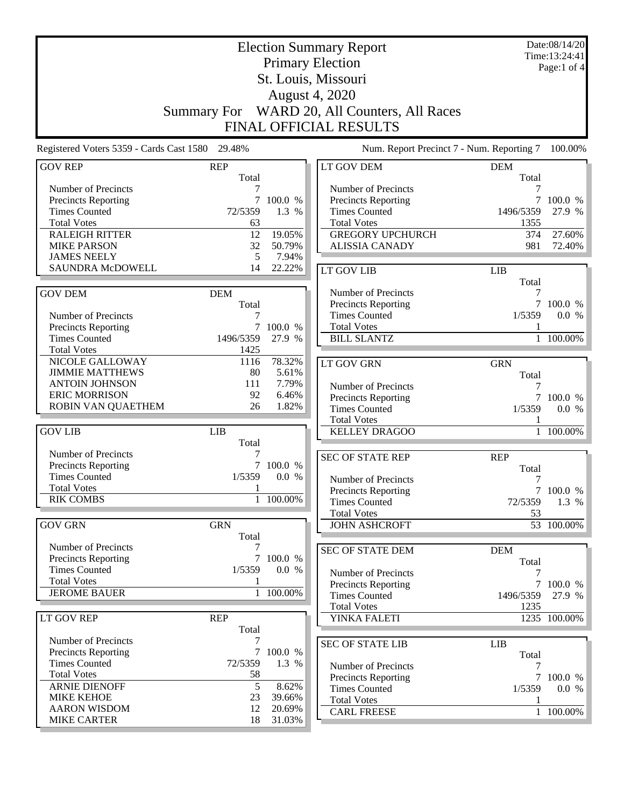|                                                 |                     |           | <b>Election Summary Report</b>             |                     | Date:08/14/20<br>Time: 13:24:41 |
|-------------------------------------------------|---------------------|-----------|--------------------------------------------|---------------------|---------------------------------|
|                                                 |                     |           | <b>Primary Election</b>                    |                     | Page:1 of 4                     |
|                                                 |                     |           | St. Louis, Missouri                        |                     |                                 |
|                                                 |                     |           | August 4, 2020                             |                     |                                 |
|                                                 |                     |           |                                            |                     |                                 |
|                                                 | <b>Summary For</b>  |           | WARD 20, All Counters, All Races           |                     |                                 |
|                                                 |                     |           | FINAL OFFICIAL RESULTS                     |                     |                                 |
| Registered Voters 5359 - Cards Cast 1580 29.48% |                     |           | Num. Report Precinct 7 - Num. Reporting 7  |                     | 100.00%                         |
| <b>GOV REP</b>                                  | <b>REP</b><br>Total |           | <b>LT GOV DEM</b>                          | <b>DEM</b><br>Total |                                 |
| Number of Precincts                             |                     |           | Number of Precincts                        |                     |                                 |
| Precincts Reporting                             | 7                   | 100.0 %   | <b>Precincts Reporting</b>                 | $\tau$              | 100.0 %                         |
| <b>Times Counted</b>                            | 72/5359             | 1.3 %     | <b>Times Counted</b>                       | 1496/5359           | 27.9 %                          |
| <b>Total Votes</b>                              | 63                  |           | <b>Total Votes</b>                         | 1355                |                                 |
| <b>RALEIGH RITTER</b>                           | 12                  | 19.05%    | <b>GREGORY UPCHURCH</b>                    | 374                 | 27.60%                          |
| <b>MIKE PARSON</b>                              | 32                  | 50.79%    | <b>ALISSIA CANADY</b>                      | 981                 | 72.40%                          |
| <b>JAMES NEELY</b><br><b>SAUNDRA McDOWELL</b>   | 5                   | 7.94%     |                                            |                     |                                 |
|                                                 | 14                  | 22.22%    | LT GOV LIB                                 | <b>LIB</b>          |                                 |
|                                                 |                     |           |                                            | Total               |                                 |
| <b>GOV DEM</b>                                  | <b>DEM</b><br>Total |           | Number of Precincts<br>Precincts Reporting | 7<br>$\tau$         | 100.0 %                         |
| Number of Precincts                             | 7                   |           | <b>Times Counted</b>                       | 1/5359              | 0.0 %                           |
| Precincts Reporting                             | $7\overline{ }$     | 100.0 %   | <b>Total Votes</b>                         |                     |                                 |
| <b>Times Counted</b>                            | 1496/5359           | 27.9 %    | <b>BILL SLANTZ</b>                         |                     | 1 100.00%                       |
| <b>Total Votes</b>                              | 1425                |           |                                            |                     |                                 |
| NICOLE GALLOWAY                                 | 1116                | 78.32%    | <b>LT GOV GRN</b>                          | <b>GRN</b>          |                                 |
| <b>JIMMIE MATTHEWS</b>                          | 80                  | 5.61%     |                                            | Total               |                                 |
| <b>ANTOIN JOHNSON</b>                           | 111                 | 7.79%     | Number of Precincts                        | 7                   |                                 |
| <b>ERIC MORRISON</b>                            | 92                  | 6.46%     | Precincts Reporting                        |                     | 7 100.0 %                       |
| ROBIN VAN QUAETHEM                              | 26                  | 1.82%     | <b>Times Counted</b>                       | 1/5359              | 0.0 %                           |
|                                                 |                     |           | <b>Total Votes</b>                         | 1                   |                                 |
| <b>GOV LIB</b>                                  | <b>LIB</b>          |           | <b>KELLEY DRAGOO</b>                       | $\mathbf{1}$        | 100.00%                         |
|                                                 | Total               |           |                                            |                     |                                 |
| Number of Precincts                             | 7                   |           | <b>SEC OF STATE REP</b>                    | <b>REP</b>          |                                 |
| Precincts Reporting                             | 7                   | 100.0 %   |                                            | Total               |                                 |
| <b>Times Counted</b>                            | 1/5359              | 0.0 %     | Number of Precincts                        | 7                   |                                 |
| <b>Total Votes</b>                              | 1                   |           | <b>Precincts Reporting</b>                 |                     | 7 100.0 %                       |
| <b>RIK COMBS</b>                                |                     | 1 100.00% | <b>Times Counted</b>                       | 72/5359             | 1.3 %                           |
|                                                 |                     |           | <b>Total Votes</b>                         | 53                  |                                 |
| <b>GOV GRN</b>                                  | <b>GRN</b><br>Total |           | <b>JOHN ASHCROFT</b>                       |                     | $53 - 100.00\%$                 |
| Number of Precincts                             | 7                   |           |                                            |                     |                                 |
| Precincts Reporting                             | $\tau$              | 100.0 %   | <b>SEC OF STATE DEM</b>                    | <b>DEM</b>          |                                 |
| <b>Times Counted</b>                            | 1/5359              | 0.0 %     | Number of Precincts                        | Total<br>7          |                                 |
| <b>Total Votes</b>                              |                     |           | <b>Precincts Reporting</b>                 |                     | 7 100.0 %                       |
| <b>JEROME BAUER</b>                             | $\mathbf{1}$        | 100.00%   | <b>Times Counted</b>                       | 1496/5359           | 27.9 %                          |
|                                                 |                     |           | <b>Total Votes</b>                         | 1235                |                                 |
| LT GOV REP                                      | <b>REP</b>          |           | YINKA FALETI                               |                     | 1235 100.00%                    |
|                                                 | Total               |           |                                            |                     |                                 |
| Number of Precincts                             | 7                   |           | <b>SEC OF STATE LIB</b>                    | LIB                 |                                 |
| Precincts Reporting                             | $\overline{7}$      | 100.0 %   |                                            | Total               |                                 |
| <b>Times Counted</b>                            | 72/5359             | 1.3 %     | Number of Precincts                        | 7                   |                                 |
| <b>Total Votes</b>                              | 58                  |           | Precincts Reporting                        |                     | 7 100.0 %                       |
| <b>ARNIE DIENOFF</b>                            | 5                   | 8.62%     | <b>Times Counted</b>                       | 1/5359              | 0.0 %                           |
| <b>MIKE KEHOE</b>                               | 23                  | 39.66%    | <b>Total Votes</b>                         |                     |                                 |
| <b>AARON WISDOM</b>                             | 12                  | 20.69%    | <b>CARL FREESE</b>                         |                     | 1 100.00%                       |
| <b>MIKE CARTER</b>                              | 18                  | 31.03%    |                                            |                     |                                 |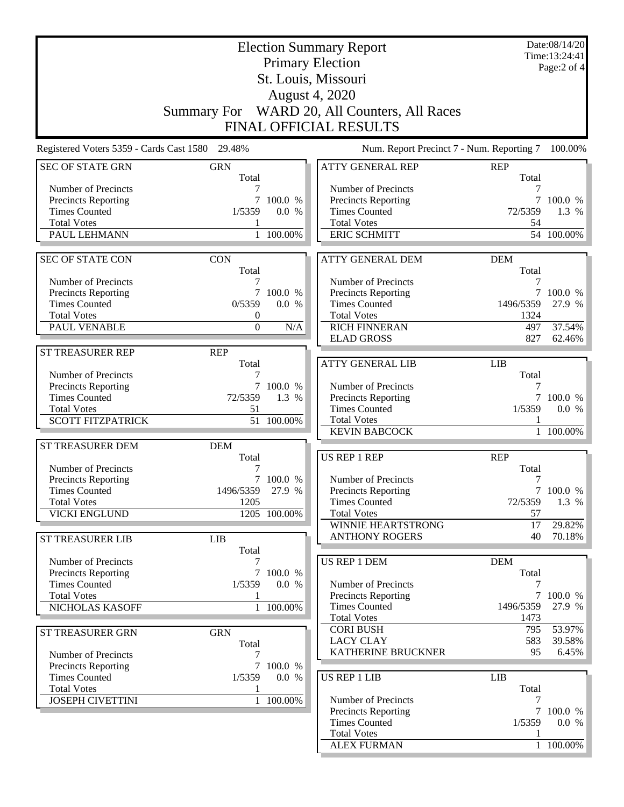|                                                 |                                  |              | <b>Election Summary Report</b>               |                     | Date:08/14/20<br>Time:13:24:41 |
|-------------------------------------------------|----------------------------------|--------------|----------------------------------------------|---------------------|--------------------------------|
|                                                 |                                  |              | <b>Primary Election</b>                      |                     | Page:2 of 4                    |
|                                                 |                                  |              | St. Louis, Missouri                          |                     |                                |
|                                                 |                                  |              | <b>August 4, 2020</b>                        |                     |                                |
|                                                 |                                  |              |                                              |                     |                                |
|                                                 |                                  |              | Summary For WARD 20, All Counters, All Races |                     |                                |
|                                                 |                                  |              | FINAL OFFICIAL RESULTS                       |                     |                                |
| Registered Voters 5359 - Cards Cast 1580 29.48% |                                  |              | Num. Report Precinct 7 - Num. Reporting 7    |                     | 100.00%                        |
| <b>SEC OF STATE GRN</b>                         | <b>GRN</b><br>Total              |              | <b>ATTY GENERAL REP</b>                      | <b>REP</b><br>Total |                                |
| Number of Precincts                             |                                  |              | Number of Precincts                          | 7                   |                                |
| <b>Precincts Reporting</b>                      | 7                                | 100.0 %      | Precincts Reporting                          |                     | 100.0 %                        |
| <b>Times Counted</b>                            | 1/5359                           | 0.0 %        | <b>Times Counted</b>                         | 72/5359             | 1.3 %                          |
| <b>Total Votes</b><br>PAUL LEHMANN              |                                  | 1 100.00%    | <b>Total Votes</b><br><b>ERIC SCHMITT</b>    | 54                  | 54 100.00%                     |
|                                                 |                                  |              |                                              |                     |                                |
| <b>SEC OF STATE CON</b>                         | <b>CON</b>                       |              | <b>ATTY GENERAL DEM</b>                      | <b>DEM</b>          |                                |
|                                                 | Total                            |              |                                              | Total               |                                |
| Number of Precincts                             | 7                                |              | Number of Precincts                          | 7                   |                                |
| <b>Precincts Reporting</b>                      |                                  | 7 100.0 %    | <b>Precincts Reporting</b>                   |                     | 7 100.0 %                      |
| <b>Times Counted</b><br><b>Total Votes</b>      | 0/5359                           | 0.0 %        | <b>Times Counted</b><br><b>Total Votes</b>   | 1496/5359<br>1324   | 27.9 %                         |
| PAUL VENABLE                                    | $\boldsymbol{0}$<br>$\mathbf{0}$ | N/A          | <b>RICH FINNERAN</b>                         | 497                 | 37.54%                         |
|                                                 |                                  |              | <b>ELAD GROSS</b>                            | 827                 | 62.46%                         |
| ST TREASURER REP                                | <b>REP</b>                       |              |                                              |                     |                                |
|                                                 | Total                            |              | <b>ATTY GENERAL LIB</b>                      | <b>LIB</b>          |                                |
| Number of Precincts                             | 7                                |              |                                              | Total               |                                |
| <b>Precincts Reporting</b>                      |                                  | 7 100.0 %    | Number of Precincts                          | 7                   |                                |
| <b>Times Counted</b>                            | 72/5359                          | 1.3 %        | Precincts Reporting                          |                     | 7 100.0 %                      |
| <b>Total Votes</b>                              | 51                               |              | <b>Times Counted</b>                         | 1/5359              | 0.0 %                          |
| <b>SCOTT FITZPATRICK</b>                        |                                  | 51 100.00%   | <b>Total Votes</b>                           |                     |                                |
|                                                 |                                  |              | <b>KEVIN BABCOCK</b>                         |                     | 100.00%                        |
| ST TREASURER DEM                                | <b>DEM</b><br>Total              |              | <b>US REP 1 REP</b>                          | <b>REP</b>          |                                |
| Number of Precincts                             | 7                                |              |                                              | Total               |                                |
| <b>Precincts Reporting</b>                      |                                  | 7 100.0 %    | Number of Precincts                          | 7                   |                                |
| <b>Times Counted</b>                            | 1496/5359                        | 27.9 %       | <b>Precincts Reporting</b>                   |                     | 7 100.0 %                      |
| <b>Total Votes</b>                              | 1205                             |              | <b>Times Counted</b>                         | 72/5359             | 1.3 %                          |
| <b>VICKI ENGLUND</b>                            |                                  | 1205 100.00% | <b>Total Votes</b>                           | 57                  |                                |
|                                                 |                                  |              | WINNIE HEARTSTRONG                           | 17                  | 29.82%                         |
| <b>ST TREASURER LIB</b>                         | LIB                              |              | <b>ANTHONY ROGERS</b>                        | 40                  | $70.18\%$                      |
|                                                 | Total                            |              |                                              |                     |                                |
| Number of Precincts<br>Precincts Reporting      | 7                                | 100.0 %      | <b>US REP 1 DEM</b>                          | <b>DEM</b><br>Total |                                |
| <b>Times Counted</b>                            | 1/5359                           | 0.0 %        | Number of Precincts                          | 7                   |                                |
| <b>Total Votes</b>                              | 1                                |              | <b>Precincts Reporting</b>                   |                     | 7100.0%                        |
| NICHOLAS KASOFF                                 | $\mathbf{1}$                     | 100.00%      | <b>Times Counted</b>                         | 1496/5359           | 27.9 %                         |
|                                                 |                                  |              | <b>Total Votes</b>                           | 1473                |                                |
| ST TREASURER GRN                                | <b>GRN</b>                       |              | <b>CORI BUSH</b>                             | 795                 | 53.97%                         |
|                                                 | Total                            |              | <b>LACY CLAY</b>                             | 583                 | 39.58%                         |
| Number of Precincts                             | 7                                |              | KATHERINE BRUCKNER                           | 95                  | $6.45\%$                       |
| Precincts Reporting                             |                                  | 7 100.0 %    |                                              |                     |                                |
| <b>Times Counted</b>                            | 1/5359                           | 0.0 %        | <b>US REP 1 LIB</b>                          | <b>LIB</b>          |                                |
| <b>Total Votes</b><br><b>JOSEPH CIVETTINI</b>   |                                  | 1 100.00%    | Number of Precincts                          | Total<br>7          |                                |
|                                                 |                                  |              | Precincts Reporting                          |                     | 7 100.0 %                      |
|                                                 |                                  |              | <b>Times Counted</b>                         | 1/5359              | 0.0 %                          |
|                                                 |                                  |              | <b>Total Votes</b>                           |                     |                                |
|                                                 |                                  |              | <b>ALEX FURMAN</b>                           |                     | 1 100.00%                      |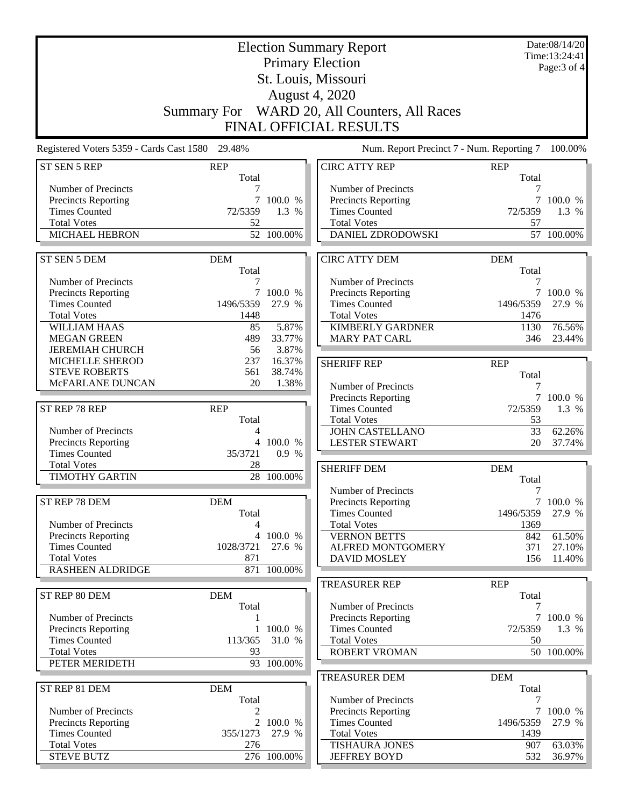|                                                 | Date:08/14/20<br><b>Election Summary Report</b><br>Time: 13:24:41 |                  |                                              |                 |              |
|-------------------------------------------------|-------------------------------------------------------------------|------------------|----------------------------------------------|-----------------|--------------|
|                                                 |                                                                   |                  | <b>Primary Election</b>                      |                 | Page: 3 of 4 |
|                                                 |                                                                   |                  | St. Louis, Missouri                          |                 |              |
|                                                 |                                                                   |                  | <b>August 4, 2020</b>                        |                 |              |
|                                                 |                                                                   |                  | Summary For WARD 20, All Counters, All Races |                 |              |
|                                                 |                                                                   |                  |                                              |                 |              |
|                                                 |                                                                   |                  | <b>FINAL OFFICIAL RESULTS</b>                |                 |              |
| Registered Voters 5359 - Cards Cast 1580 29.48% |                                                                   |                  | Num. Report Precinct 7 - Num. Reporting 7    |                 | 100.00%      |
| ST SEN 5 REP                                    | <b>REP</b>                                                        |                  | <b>CIRC ATTY REP</b>                         | <b>REP</b>      |              |
| Number of Precincts                             | Total                                                             |                  | Number of Precincts                          | Total           |              |
| <b>Precincts Reporting</b>                      | $\overline{7}$                                                    | 100.0 %          | <b>Precincts Reporting</b>                   |                 | 7 100.0 %    |
| <b>Times Counted</b>                            | 72/5359                                                           | 1.3 %            | <b>Times Counted</b>                         | 72/5359         | 1.3 %        |
| <b>Total Votes</b>                              | 52                                                                |                  | <b>Total Votes</b>                           | 57              |              |
| <b>MICHAEL HEBRON</b>                           |                                                                   | 52 100.00%       | DANIEL ZDRODOWSKI                            | 57              | 100.00%      |
|                                                 |                                                                   |                  |                                              |                 |              |
| ST SEN 5 DEM                                    | <b>DEM</b>                                                        |                  | <b>CIRC ATTY DEM</b>                         | <b>DEM</b>      |              |
| Number of Precincts                             | Total<br>7                                                        |                  | Number of Precincts                          | Total<br>7      |              |
| <b>Precincts Reporting</b>                      | $\overline{7}$                                                    | 100.0 %          | Precincts Reporting                          | $7\overline{ }$ | 100.0 %      |
| <b>Times Counted</b>                            | 1496/5359                                                         | 27.9 %           | <b>Times Counted</b>                         | 1496/5359       | 27.9 %       |
| <b>Total Votes</b>                              | 1448                                                              |                  | <b>Total Votes</b>                           | 1476            |              |
| <b>WILLIAM HAAS</b>                             | 85                                                                | 5.87%            | <b>KIMBERLY GARDNER</b>                      | 1130            | 76.56%       |
| <b>MEGAN GREEN</b>                              | 489                                                               | 33.77%           | <b>MARY PAT CARL</b>                         | 346             | 23.44%       |
| <b>JEREMIAH CHURCH</b>                          | 56                                                                | 3.87%            |                                              |                 |              |
| MICHELLE SHEROD<br><b>STEVE ROBERTS</b>         | 237<br>561                                                        | 16.37%<br>38.74% | <b>SHERIFF REP</b>                           | <b>REP</b>      |              |
| McFARLANE DUNCAN                                | 20                                                                | 1.38%            |                                              | Total           |              |
|                                                 |                                                                   |                  | Number of Precincts<br>Precincts Reporting   | 7<br>7          | 100.0 %      |
| ST REP 78 REP                                   | <b>REP</b>                                                        |                  | <b>Times Counted</b>                         | 72/5359         | 1.3 %        |
|                                                 | Total                                                             |                  | <b>Total Votes</b>                           | 53              |              |
| Number of Precincts                             | 4                                                                 |                  | <b>JOHN CASTELLANO</b>                       | 33              | 62.26%       |
| <b>Precincts Reporting</b>                      |                                                                   | 4 100.0 %        | <b>LESTER STEWART</b>                        | 20              | 37.74%       |
| <b>Times Counted</b>                            | 35/3721                                                           | 0.9%             |                                              |                 |              |
| <b>Total Votes</b><br><b>TIMOTHY GARTIN</b>     | 28<br>28                                                          | 100.00%          | <b>SHERIFF DEM</b>                           | <b>DEM</b>      |              |
|                                                 |                                                                   |                  | Number of Precincts                          | Total<br>7      |              |
| ST REP 78 DEM                                   | <b>DEM</b>                                                        |                  | <b>Precincts Reporting</b>                   |                 | 7 100.0 %    |
|                                                 | Total                                                             |                  | <b>Times Counted</b>                         | 1496/5359       | 27.9 %       |
| Number of Precincts                             | 4                                                                 |                  | <b>Total Votes</b>                           | 1369            |              |
| <b>Precincts Reporting</b>                      | $\overline{4}$                                                    | 100.0 %          | <b>VERNON BETTS</b>                          | 842             | 61.50%       |
| <b>Times Counted</b>                            | 1028/3721                                                         | 27.6 %           | <b>ALFRED MONTGOMERY</b>                     | 371             | 27.10%       |
| <b>Total Votes</b><br><b>RASHEEN ALDRIDGE</b>   | 871                                                               | 871 100.00%      | <b>DAVID MOSLEY</b>                          | 156             | $11.40\%$    |
|                                                 |                                                                   |                  | <b>TREASURER REP</b>                         | <b>REP</b>      |              |
| ST REP 80 DEM                                   | <b>DEM</b>                                                        |                  |                                              | Total           |              |
|                                                 | Total                                                             |                  | Number of Precincts                          | 7               |              |
| Number of Precincts                             |                                                                   |                  | Precincts Reporting                          |                 | 7 100.0 %    |
| <b>Precincts Reporting</b>                      | $\mathbf{1}$                                                      | 100.0 %          | <b>Times Counted</b>                         | 72/5359         | 1.3 %        |
| <b>Times Counted</b>                            | 113/365                                                           | 31.0 %           | <b>Total Votes</b>                           | 50              |              |
| <b>Total Votes</b>                              | 93                                                                |                  | <b>ROBERT VROMAN</b>                         |                 | 50 100.00%   |
| PETER MERIDETH                                  |                                                                   | 93 100.00%       | <b>TREASURER DEM</b>                         | <b>DEM</b>      |              |
| ST REP 81 DEM                                   | <b>DEM</b>                                                        |                  |                                              | Total           |              |
|                                                 | Total                                                             |                  | Number of Precincts                          | 7               |              |
| Number of Precincts                             | 2                                                                 |                  | <b>Precincts Reporting</b>                   |                 | 7 100.0 %    |
| <b>Precincts Reporting</b>                      |                                                                   | 2 100.0 %        | <b>Times Counted</b>                         | 1496/5359       | 27.9 %       |
| <b>Times Counted</b>                            | 355/1273                                                          | 27.9 %           | <b>Total Votes</b>                           | 1439            |              |
| <b>Total Votes</b><br><b>STEVE BUTZ</b>         | 276                                                               | 276 100.00%      | <b>TISHAURA JONES</b>                        | 907<br>532      | 63.03%       |
|                                                 |                                                                   |                  | <b>JEFFREY BOYD</b>                          |                 | 36.97%       |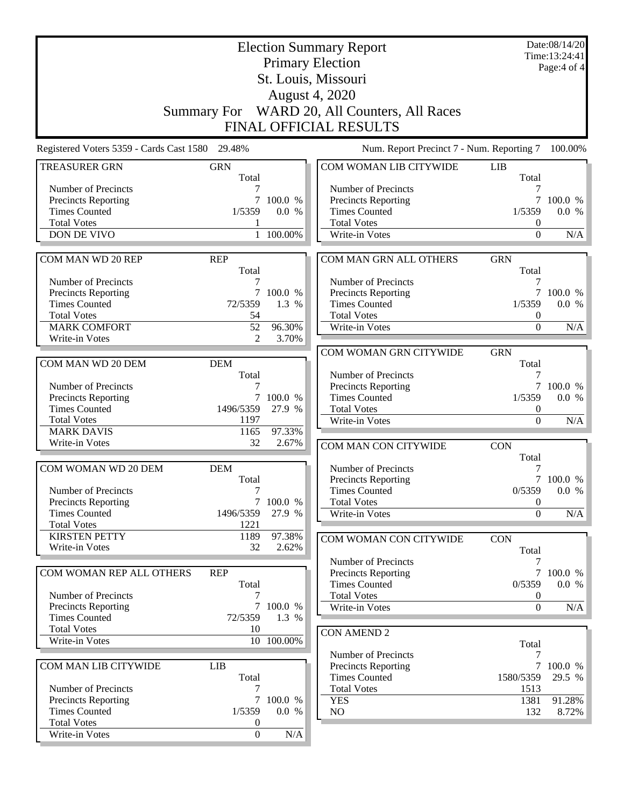|                                          | <b>Election Summary Report</b><br><b>Primary Election</b> |            |                                             |                     |                     |  |  |  |
|------------------------------------------|-----------------------------------------------------------|------------|---------------------------------------------|---------------------|---------------------|--|--|--|
|                                          |                                                           |            | St. Louis, Missouri                         |                     | Page:4 of 4         |  |  |  |
|                                          |                                                           |            | <b>August 4, 2020</b>                       |                     |                     |  |  |  |
|                                          | Summary For WARD 20, All Counters, All Races              |            |                                             |                     |                     |  |  |  |
|                                          |                                                           |            | FINAL OFFICIAL RESULTS                      |                     |                     |  |  |  |
| Registered Voters 5359 - Cards Cast 1580 | 29.48%                                                    |            | Num. Report Precinct 7 - Num. Reporting 7   |                     | 100.00%             |  |  |  |
| <b>TREASURER GRN</b>                     | <b>GRN</b><br>Total                                       |            | COM WOMAN LIB CITYWIDE                      | <b>LIB</b><br>Total |                     |  |  |  |
| Number of Precincts                      |                                                           |            | Number of Precincts                         | 7                   |                     |  |  |  |
| Precincts Reporting                      | 7                                                         | 100.0 %    | Precincts Reporting                         | $7\overline{ }$     | 100.0 %             |  |  |  |
| <b>Times Counted</b>                     | 1/5359                                                    | 0.0 %      | <b>Times Counted</b>                        | 1/5359              | 0.0 %               |  |  |  |
| <b>Total Votes</b>                       |                                                           |            | <b>Total Votes</b>                          | $\boldsymbol{0}$    |                     |  |  |  |
| <b>DON DE VIVO</b>                       |                                                           | 1 100.00%  | Write-in Votes                              | $\Omega$            | N/A                 |  |  |  |
| COM MAN WD 20 REP                        | <b>REP</b>                                                |            | COM MAN GRN ALL OTHERS                      | <b>GRN</b>          |                     |  |  |  |
| Number of Precincts                      | Total<br>7                                                |            | Number of Precincts                         | Total<br>7          |                     |  |  |  |
| Precincts Reporting                      |                                                           | 7 100.0 %  | <b>Precincts Reporting</b>                  | 7                   | 100.0 %             |  |  |  |
| <b>Times Counted</b>                     | 72/5359                                                   | 1.3 %      | <b>Times Counted</b>                        | 1/5359              | 0.0 %               |  |  |  |
| <b>Total Votes</b>                       | 54                                                        |            | <b>Total Votes</b>                          | 0                   |                     |  |  |  |
| <b>MARK COMFORT</b>                      | 52                                                        | 96.30%     | Write-in Votes                              | $\boldsymbol{0}$    | N/A                 |  |  |  |
| Write-in Votes                           | 2                                                         | 3.70%      |                                             |                     |                     |  |  |  |
|                                          |                                                           |            | COM WOMAN GRN CITYWIDE                      | <b>GRN</b>          |                     |  |  |  |
| COM MAN WD 20 DEM                        | <b>DEM</b>                                                |            |                                             | Total               |                     |  |  |  |
|                                          | Total                                                     |            | Number of Precincts                         | 7                   |                     |  |  |  |
| Number of Precincts                      | 7                                                         |            | <b>Precincts Reporting</b>                  | $\tau$              | 100.0 %             |  |  |  |
| <b>Precincts Reporting</b>               |                                                           | 7 100.0 %  | <b>Times Counted</b>                        | 1/5359              | 0.0 %               |  |  |  |
| <b>Times Counted</b>                     | 1496/5359                                                 | 27.9 %     | <b>Total Votes</b>                          | 0                   |                     |  |  |  |
| <b>Total Votes</b>                       | 1197                                                      |            | Write-in Votes                              | $\Omega$            | N/A                 |  |  |  |
| <b>MARK DAVIS</b>                        | 1165                                                      | 97.33%     |                                             |                     |                     |  |  |  |
| Write-in Votes                           | 32                                                        | 2.67%      | COM MAN CON CITYWIDE                        | <b>CON</b>          |                     |  |  |  |
| COM WOMAN WD 20 DEM                      | <b>DEM</b>                                                |            | Number of Precincts                         | Total               |                     |  |  |  |
|                                          | Total                                                     |            | Precincts Reporting                         |                     | 7 100.0 %           |  |  |  |
| Number of Precincts                      | 7                                                         |            | <b>Times Counted</b>                        | 0/5359              | 0.0 %               |  |  |  |
| <b>Precincts Reporting</b>               |                                                           | 7 100.0 %  | <b>Total Votes</b>                          | 0                   |                     |  |  |  |
| <b>Times Counted</b>                     | 1496/5359                                                 | 27.9 %     | Write-in Votes                              | $\Omega$            | N/A                 |  |  |  |
| <b>Total Votes</b>                       | 1221                                                      |            |                                             |                     |                     |  |  |  |
| <b>KIRSTEN PETTY</b>                     | 1189                                                      | 97.38%     | COM WOMAN CON CITYWIDE                      | <b>CON</b>          |                     |  |  |  |
| Write-in Votes                           | 32                                                        | 2.62%      |                                             | Total               |                     |  |  |  |
|                                          |                                                           |            | Number of Precincts                         | 7                   |                     |  |  |  |
| COM WOMAN REP ALL OTHERS                 | <b>REP</b>                                                |            | <b>Precincts Reporting</b>                  | $\tau$              | 100.0 %             |  |  |  |
|                                          | Total                                                     |            | <b>Times Counted</b>                        | 0/5359              | 0.0 %               |  |  |  |
| Number of Precincts                      |                                                           |            | <b>Total Votes</b>                          | $\boldsymbol{0}$    |                     |  |  |  |
| Precincts Reporting                      | 7                                                         | 100.0 %    | Write-in Votes                              | $\Omega$            | N/A                 |  |  |  |
| <b>Times Counted</b>                     | 72/5359                                                   | 1.3 %      |                                             |                     |                     |  |  |  |
| <b>Total Votes</b>                       | 10                                                        |            | <b>CON AMEND 2</b>                          |                     |                     |  |  |  |
| Write-in Votes                           |                                                           | 10 100.00% |                                             | Total               |                     |  |  |  |
|                                          |                                                           |            | Number of Precincts                         | 7                   |                     |  |  |  |
| COM MAN LIB CITYWIDE                     | LIB<br>Total                                              |            | Precincts Reporting<br><b>Times Counted</b> | 1580/5359           | 7 100.0 %<br>29.5 % |  |  |  |
| Number of Precincts                      | 7                                                         |            | <b>Total Votes</b>                          | 1513                |                     |  |  |  |
| Precincts Reporting                      |                                                           | 7 100.0 %  | <b>YES</b>                                  | 1381                | 91.28%              |  |  |  |
| <b>Times Counted</b>                     | 1/5359                                                    | 0.0 %      | NO.                                         | 132                 | 8.72%               |  |  |  |
| <b>Total Votes</b>                       | 0                                                         |            |                                             |                     |                     |  |  |  |
| Write-in Votes                           | $\boldsymbol{0}$                                          | N/A        |                                             |                     |                     |  |  |  |
|                                          |                                                           |            |                                             |                     |                     |  |  |  |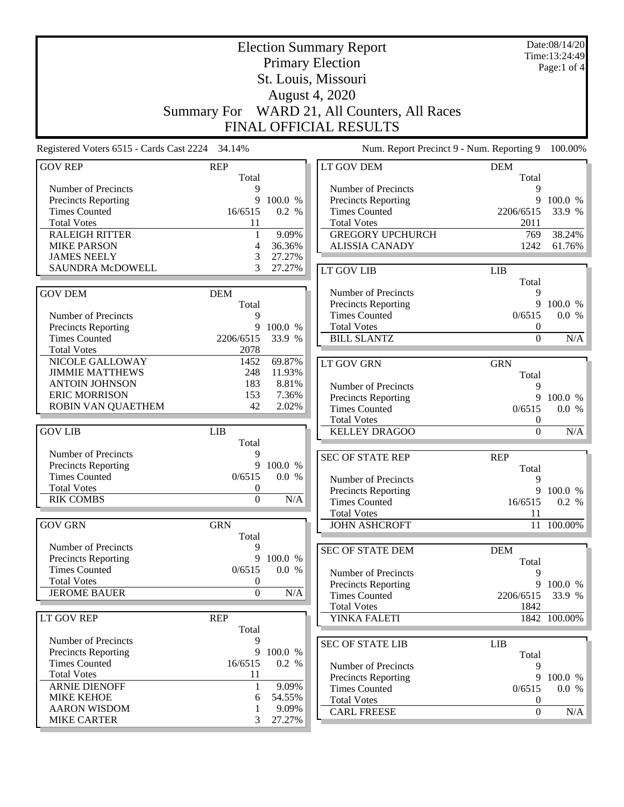|                                                 |                     |                 | <b>Election Summary Report</b>                   |                     | Date:08/14/20<br>Time: 13:24:49 |
|-------------------------------------------------|---------------------|-----------------|--------------------------------------------------|---------------------|---------------------------------|
|                                                 |                     |                 | <b>Primary Election</b>                          |                     | Page:1 of 4                     |
|                                                 | St. Louis, Missouri |                 |                                                  |                     |                                 |
|                                                 |                     |                 | August 4, 2020                                   |                     |                                 |
|                                                 | <b>Summary For</b>  |                 | WARD 21, All Counters, All Races                 |                     |                                 |
|                                                 |                     |                 | <b>FINAL OFFICIAL RESULTS</b>                    |                     |                                 |
| Registered Voters 6515 - Cards Cast 2224 34.14% |                     |                 | Num. Report Precinct 9 - Num. Reporting 9        |                     | 100.00%                         |
| <b>GOV REP</b>                                  | <b>REP</b>          |                 | LT GOV DEM                                       | <b>DEM</b>          |                                 |
|                                                 | Total               |                 |                                                  | Total               |                                 |
| Number of Precincts                             | 9                   |                 | Number of Precincts                              | 9                   |                                 |
| Precincts Reporting                             | 9                   | 100.0 %         | Precincts Reporting                              | 9                   | 100.0 %                         |
| <b>Times Counted</b>                            | 16/6515             | 0.2 %           | <b>Times Counted</b>                             | 2206/6515           | 33.9 %                          |
| <b>Total Votes</b>                              | 11                  |                 | <b>Total Votes</b>                               | 2011                |                                 |
| <b>RALEIGH RITTER</b><br><b>MIKE PARSON</b>     | $\mathbf{1}$<br>4   | 9.09%<br>36.36% | <b>GREGORY UPCHURCH</b><br><b>ALISSIA CANADY</b> | 769<br>1242         | 38.24%<br>61.76%                |
| <b>JAMES NEELY</b>                              | 3                   | 27.27%          |                                                  |                     |                                 |
| <b>SAUNDRA McDOWELL</b>                         | 3                   | 27.27%          | <b>LT GOV LIB</b>                                |                     |                                 |
|                                                 |                     |                 |                                                  | <b>LIB</b><br>Total |                                 |
| <b>GOV DEM</b>                                  | <b>DEM</b>          |                 | Number of Precincts                              | 9                   |                                 |
|                                                 | Total               |                 | Precincts Reporting                              | 9                   | 100.0 %                         |
| Number of Precincts                             | 9                   |                 | <b>Times Counted</b>                             | 0/6515              | 0.0 %                           |
| Precincts Reporting                             | 9                   | 100.0 %         | <b>Total Votes</b>                               | 0                   |                                 |
| <b>Times Counted</b>                            | 2206/6515           | 33.9 %          | <b>BILL SLANTZ</b>                               | $\Omega$            | N/A                             |
| <b>Total Votes</b>                              | 2078                |                 |                                                  |                     |                                 |
| NICOLE GALLOWAY                                 | 1452                | 69.87%          | <b>LT GOV GRN</b>                                | <b>GRN</b>          |                                 |
| <b>JIMMIE MATTHEWS</b>                          | 248                 | 11.93%          |                                                  | Total               |                                 |
| <b>ANTOIN JOHNSON</b>                           | 183                 | 8.81%           | Number of Precincts                              | 9                   |                                 |
| <b>ERIC MORRISON</b>                            | 153                 | 7.36%           | Precincts Reporting                              | 9                   | 100.0 %                         |
| ROBIN VAN QUAETHEM                              | 42                  | 2.02%           | <b>Times Counted</b>                             | 0/6515              | 0.0 %                           |
|                                                 |                     |                 | <b>Total Votes</b>                               | 0                   |                                 |
| <b>GOV LIB</b>                                  | LIB                 |                 | <b>KELLEY DRAGOO</b>                             | $\boldsymbol{0}$    | N/A                             |
|                                                 | Total               |                 |                                                  |                     |                                 |
| Number of Precincts                             | 9                   |                 | <b>SEC OF STATE REP</b>                          | <b>REP</b>          |                                 |
| Precincts Reporting                             | 9                   | 100.0 %         |                                                  | Total               |                                 |
| <b>Times Counted</b>                            | 0/6515              | 0.0 %           | Number of Precincts                              | 9                   |                                 |
| <b>Total Votes</b>                              | $\mathbf{0}$        |                 | <b>Precincts Reporting</b>                       |                     | 9 100.0 %                       |
| <b>RIK COMBS</b>                                | $\overline{0}$      | N/A             | <b>Times Counted</b>                             | 16/6515             | 0.2 %                           |
|                                                 |                     |                 | <b>Total Votes</b>                               | 11                  |                                 |
| <b>GOV GRN</b>                                  | <b>GRN</b>          |                 | <b>JOHN ASHCROFT</b>                             |                     | 11 100.00%                      |
|                                                 | Total               |                 |                                                  |                     |                                 |
| Number of Precincts<br>Precincts Reporting      | 9<br>9              | 100.0 %         | <b>SEC OF STATE DEM</b>                          | <b>DEM</b>          |                                 |
| <b>Times Counted</b>                            | 0/6515              | 0.0 %           |                                                  | Total               |                                 |
| <b>Total Votes</b>                              | $\boldsymbol{0}$    |                 | Number of Precincts                              | 9                   |                                 |
| <b>JEROME BAUER</b>                             | $\boldsymbol{0}$    | N/A             | Precincts Reporting                              |                     | 9 100.0 %                       |
|                                                 |                     |                 | <b>Times Counted</b><br><b>Total Votes</b>       | 2206/6515<br>1842   | 33.9 %                          |
| LT GOV REP                                      | <b>REP</b>          |                 | YINKA FALETI                                     |                     | 1842 100.00%                    |
|                                                 | Total               |                 |                                                  |                     |                                 |
| Number of Precincts                             | 9                   |                 | <b>SEC OF STATE LIB</b>                          |                     |                                 |
| Precincts Reporting                             | 9                   | 100.0 %         |                                                  | <b>LIB</b><br>Total |                                 |
| <b>Times Counted</b>                            | 16/6515             | 0.2 %           | Number of Precincts                              | 9                   |                                 |
| <b>Total Votes</b>                              | 11                  |                 | Precincts Reporting                              | 9                   | 100.0 %                         |
| <b>ARNIE DIENOFF</b>                            | 1                   | 9.09%           | <b>Times Counted</b>                             | 0/6515              | 0.0 %                           |
| <b>MIKE KEHOE</b>                               | 6                   | 54.55%          | <b>Total Votes</b>                               | 0                   |                                 |
| <b>AARON WISDOM</b>                             | 1                   | 9.09%           | <b>CARL FREESE</b>                               | $\boldsymbol{0}$    | N/A                             |
| <b>MIKE CARTER</b>                              | 3                   | 27.27%          |                                                  |                     |                                 |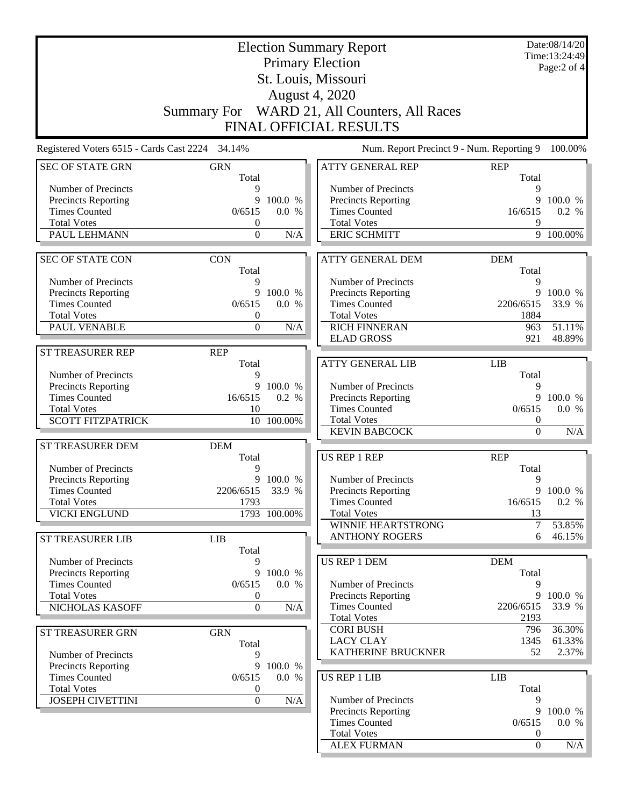|                                                 |                                  |              | <b>Election Summary Report</b>               |                                    | Date:08/14/20<br>Time: 13:24:49 |
|-------------------------------------------------|----------------------------------|--------------|----------------------------------------------|------------------------------------|---------------------------------|
|                                                 |                                  |              | <b>Primary Election</b>                      |                                    | Page:2 of 4                     |
|                                                 |                                  |              | St. Louis, Missouri                          |                                    |                                 |
|                                                 |                                  |              | <b>August 4, 2020</b>                        |                                    |                                 |
|                                                 |                                  |              |                                              |                                    |                                 |
|                                                 |                                  |              | Summary For WARD 21, All Counters, All Races |                                    |                                 |
|                                                 |                                  |              | FINAL OFFICIAL RESULTS                       |                                    |                                 |
| Registered Voters 6515 - Cards Cast 2224 34.14% |                                  |              | Num. Report Precinct 9 - Num. Reporting 9    |                                    | 100.00%                         |
| <b>SEC OF STATE GRN</b>                         | <b>GRN</b><br>Total              |              | <b>ATTY GENERAL REP</b>                      | <b>REP</b><br>Total                |                                 |
| Number of Precincts                             | 9                                |              | Number of Precincts                          | 9                                  |                                 |
| <b>Precincts Reporting</b>                      | 9                                | 100.0 %      | Precincts Reporting                          | 9                                  | 100.0 %                         |
| <b>Times Counted</b>                            | 0/6515                           | 0.0 %        | <b>Times Counted</b>                         | 16/6515                            | 0.2 %                           |
| <b>Total Votes</b><br>PAUL LEHMANN              | 0<br>$\Omega$                    | N/A          | <b>Total Votes</b><br><b>ERIC SCHMITT</b>    | 9<br>9                             |                                 |
|                                                 |                                  |              |                                              |                                    | 100.00%                         |
| <b>SEC OF STATE CON</b>                         | <b>CON</b>                       |              | <b>ATTY GENERAL DEM</b>                      | <b>DEM</b>                         |                                 |
|                                                 | Total                            |              |                                              | Total                              |                                 |
| Number of Precincts                             | 9                                |              | Number of Precincts                          | 9                                  |                                 |
| <b>Precincts Reporting</b>                      | 9                                | 100.0 %      | <b>Precincts Reporting</b>                   | 9                                  | 100.0 %                         |
| <b>Times Counted</b>                            | 0/6515                           | 0.0 %        | <b>Times Counted</b>                         | 2206/6515                          | 33.9 %                          |
| <b>Total Votes</b><br>PAUL VENABLE              | $\boldsymbol{0}$<br>$\mathbf{0}$ | N/A          | <b>Total Votes</b><br><b>RICH FINNERAN</b>   | 1884<br>963                        | 51.11%                          |
|                                                 |                                  |              | <b>ELAD GROSS</b>                            | 921                                | 48.89%                          |
| <b>ST TREASURER REP</b>                         | <b>REP</b>                       |              |                                              |                                    |                                 |
|                                                 | Total                            |              | <b>ATTY GENERAL LIB</b>                      | <b>LIB</b>                         |                                 |
| Number of Precincts                             | 9                                |              |                                              | Total                              |                                 |
| <b>Precincts Reporting</b>                      |                                  | 9 100.0 %    | Number of Precincts                          | 9                                  |                                 |
| <b>Times Counted</b>                            | 16/6515                          | 0.2 %        | Precincts Reporting                          | 9                                  | 100.0 %                         |
| <b>Total Votes</b>                              | 10                               |              | <b>Times Counted</b>                         | 0/6515                             | 0.0 %                           |
| <b>SCOTT FITZPATRICK</b>                        |                                  | 10 100.00%   | <b>Total Votes</b><br><b>KEVIN BABCOCK</b>   | 0<br>$\Omega$                      | N/A                             |
| ST TREASURER DEM                                | <b>DEM</b>                       |              |                                              |                                    |                                 |
|                                                 | Total                            |              | <b>US REP 1 REP</b>                          | <b>REP</b>                         |                                 |
| Number of Precincts                             | 9                                |              |                                              | Total                              |                                 |
| <b>Precincts Reporting</b>                      |                                  | 9 100.0 %    | Number of Precincts                          | 9                                  |                                 |
| <b>Times Counted</b>                            | 2206/6515                        | 33.9 %       | <b>Precincts Reporting</b>                   | 9                                  | 100.0 %                         |
| <b>Total Votes</b>                              | 1793                             |              | <b>Times Counted</b>                         | 16/6515                            | 0.2 %                           |
| <b>VICKI ENGLUND</b>                            |                                  | 1793 100.00% | <b>Total Votes</b><br>WINNIE HEARTSTRONG     | 13<br>$\overline{7}$               | 53.85%                          |
|                                                 |                                  |              | <b>ANTHONY ROGERS</b>                        | 6                                  | $46.15\%$                       |
| <b>ST TREASURER LIB</b>                         | LIB<br>Total                     |              |                                              |                                    |                                 |
| Number of Precincts                             | 9                                |              | <b>US REP 1 DEM</b>                          | <b>DEM</b>                         |                                 |
| Precincts Reporting                             | 9                                | 100.0 %      |                                              | Total                              |                                 |
| <b>Times Counted</b>                            | 0/6515                           | 0.0 %        | Number of Precincts                          | 9                                  |                                 |
| <b>Total Votes</b>                              | $\boldsymbol{0}$                 |              | Precincts Reporting                          | 9                                  | 100.0 %                         |
| NICHOLAS KASOFF                                 | $\boldsymbol{0}$                 | N/A          | <b>Times Counted</b>                         | 2206/6515                          | 33.9 %                          |
|                                                 |                                  |              | <b>Total Votes</b>                           | 2193                               |                                 |
| ST TREASURER GRN                                | <b>GRN</b>                       |              | <b>CORI BUSH</b><br><b>LACY CLAY</b>         | 796<br>1345                        | 36.30%<br>$61.33\%$             |
| <b>Number of Precincts</b>                      | Total<br>9                       |              | KATHERINE BRUCKNER                           | 52                                 | $2.37\%$                        |
| Precincts Reporting                             | 9                                | 100.0 %      |                                              |                                    |                                 |
| <b>Times Counted</b>                            | 0/6515                           | 0.0 %        | <b>US REP 1 LIB</b>                          | <b>LIB</b>                         |                                 |
| <b>Total Votes</b>                              | $\boldsymbol{0}$                 |              |                                              | Total                              |                                 |
| <b>JOSEPH CIVETTINI</b>                         | $\boldsymbol{0}$                 | N/A          | Number of Precincts                          | 9                                  |                                 |
|                                                 |                                  |              | Precincts Reporting                          | 9                                  | 100.0 %                         |
|                                                 |                                  |              | <b>Times Counted</b>                         | 0/6515                             | 0.0 %                           |
|                                                 |                                  |              | <b>Total Votes</b><br><b>ALEX FURMAN</b>     | $\boldsymbol{0}$<br>$\overline{0}$ | N/A                             |
|                                                 |                                  |              |                                              |                                    |                                 |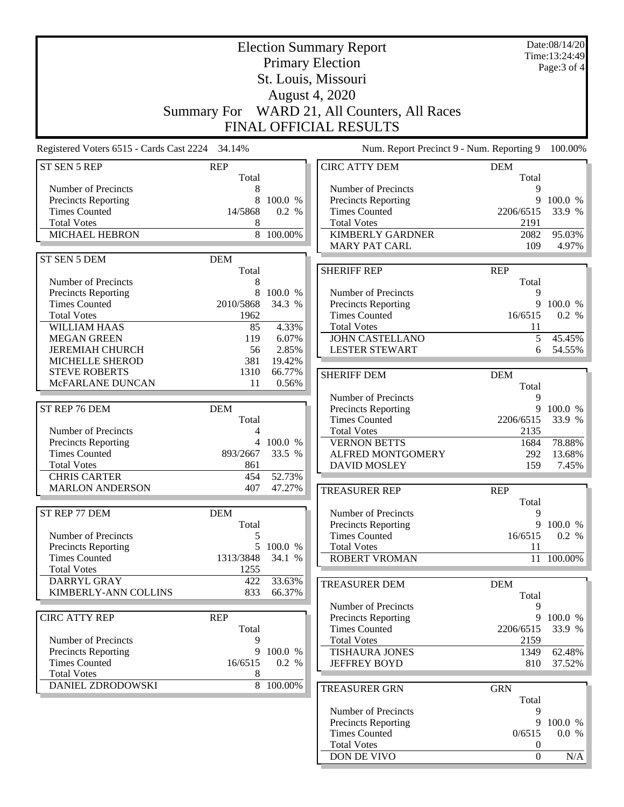|                                                    |            |                 | <b>Election Summary Report</b>               |                   | Date:08/14/20<br>Time:13:24:49 |
|----------------------------------------------------|------------|-----------------|----------------------------------------------|-------------------|--------------------------------|
|                                                    |            |                 | <b>Primary Election</b>                      |                   | Page: 3 of 4                   |
|                                                    |            |                 | St. Louis, Missouri                          |                   |                                |
|                                                    |            |                 | <b>August 4, 2020</b>                        |                   |                                |
|                                                    |            |                 |                                              |                   |                                |
|                                                    |            |                 | Summary For WARD 21, All Counters, All Races |                   |                                |
|                                                    |            |                 | <b>FINAL OFFICIAL RESULTS</b>                |                   |                                |
| Registered Voters 6515 - Cards Cast 2224 34.14%    |            |                 | Num. Report Precinct 9 - Num. Reporting 9    |                   | 100.00%                        |
| ST SEN 5 REP                                       | <b>REP</b> |                 | <b>CIRC ATTY DEM</b>                         | <b>DEM</b>        |                                |
|                                                    | Total      |                 |                                              | Total             |                                |
| Number of Precincts                                | 8          |                 | Number of Precincts                          | 9                 |                                |
| Precincts Reporting                                | 8          | 100.0 %         | Precincts Reporting                          |                   | 9 100.0 %                      |
| <b>Times Counted</b><br><b>Total Votes</b>         | 14/5868    | 0.2 %           | <b>Times Counted</b><br><b>Total Votes</b>   | 2206/6515<br>2191 | 33.9 %                         |
| <b>MICHAEL HEBRON</b>                              | 8<br>8     | 100.00%         | <b>KIMBERLY GARDNER</b>                      | 2082              | 95.03%                         |
|                                                    |            |                 | <b>MARY PAT CARL</b>                         | 109               | 4.97%                          |
| <b>ST SEN 5 DEM</b>                                | <b>DEM</b> |                 |                                              |                   |                                |
|                                                    | Total      |                 | <b>SHERIFF REP</b>                           | <b>REP</b>        |                                |
| Number of Precincts                                | 8          |                 |                                              | Total             |                                |
| <b>Precincts Reporting</b>                         | 8          | 100.0 %         | Number of Precincts                          | 9                 |                                |
| <b>Times Counted</b>                               | 2010/5868  | 34.3 %          | <b>Precincts Reporting</b>                   |                   | 9 100.0 %                      |
| <b>Total Votes</b>                                 | 1962       |                 | <b>Times Counted</b>                         | 16/6515           | 0.2 %                          |
| <b>WILLIAM HAAS</b>                                | 85         | 4.33%           | <b>Total Votes</b>                           | 11                |                                |
| <b>MEGAN GREEN</b>                                 | 119        | 6.07%           | <b>JOHN CASTELLANO</b>                       | 5                 | 45.45%                         |
| <b>JEREMIAH CHURCH</b><br>MICHELLE SHEROD          | 56<br>381  | 2.85%<br>19.42% | <b>LESTER STEWART</b>                        | 6                 | 54.55%                         |
| <b>STEVE ROBERTS</b>                               | 1310       | 66.77%          |                                              |                   |                                |
| McFARLANE DUNCAN                                   | 11         | 0.56%           | <b>SHERIFF DEM</b>                           | <b>DEM</b>        |                                |
|                                                    |            |                 | Number of Precincts                          | Total<br>9        |                                |
| ST REP 76 DEM                                      | <b>DEM</b> |                 | Precincts Reporting                          | 9                 | 100.0 %                        |
|                                                    | Total      |                 | <b>Times Counted</b>                         | 2206/6515         | 33.9 %                         |
| Number of Precincts                                | 4          |                 | <b>Total Votes</b>                           | 2135              |                                |
| Precincts Reporting                                | 4          | 100.0 %         | <b>VERNON BETTS</b>                          | 1684              | 78.88%                         |
| <b>Times Counted</b>                               | 893/2667   | 33.5 %          | <b>ALFRED MONTGOMERY</b>                     | 292               | 13.68%                         |
| <b>Total Votes</b>                                 | 861        |                 | <b>DAVID MOSLEY</b>                          | 159               | 7.45%                          |
| <b>CHRIS CARTER</b>                                | 454        | 52.73%          |                                              |                   |                                |
| <b>MARLON ANDERSON</b>                             | 407        | 47.27%          | <b>TREASURER REP</b>                         | <b>REP</b>        |                                |
| ST REP 77 DEM                                      | <b>DEM</b> |                 | Number of Precincts                          | Total<br>9        |                                |
|                                                    | Total      |                 | <b>Precincts Reporting</b>                   |                   | 9 100.0 %                      |
| Number of Precincts                                | 5          |                 | <b>Times Counted</b>                         | 16/6515           | 0.2 %                          |
| <b>Precincts Reporting</b>                         | 5          | 100.0 %         | <b>Total Votes</b>                           | 11                |                                |
| <b>Times Counted</b>                               | 1313/3848  | 34.1 %          | <b>ROBERT VROMAN</b>                         |                   | 11 100.00%                     |
| <b>Total Votes</b>                                 | 1255       |                 |                                              |                   |                                |
| DARRYL GRAY                                        | 422        | 33.63%          | <b>TREASURER DEM</b>                         | <b>DEM</b>        |                                |
| KIMBERLY-ANN COLLINS                               | 833        | 66.37%          |                                              | Total             |                                |
|                                                    |            |                 | Number of Precincts                          | 9                 |                                |
| <b>CIRC ATTY REP</b>                               | <b>REP</b> |                 | Precincts Reporting                          | 9                 | 100.0 %                        |
|                                                    | Total      |                 | <b>Times Counted</b>                         | 2206/6515         | 33.9 %                         |
| Number of Precincts                                | 9<br>9     | 100.0 %         | <b>Total Votes</b>                           | 2159              |                                |
| <b>Precincts Reporting</b><br><b>Times Counted</b> | 16/6515    | 0.2 %           | <b>TISHAURA JONES</b><br><b>JEFFREY BOYD</b> | 1349<br>810       | 62.48%<br>37.52%               |
| <b>Total Votes</b>                                 | 8          |                 |                                              |                   |                                |
| DANIEL ZDRODOWSKI                                  |            | 8 100.00%       | <b>TREASURER GRN</b>                         | <b>GRN</b>        |                                |
|                                                    |            |                 |                                              | Total             |                                |
|                                                    |            |                 | Number of Precincts                          | 9                 |                                |
|                                                    |            |                 | Precincts Reporting                          | 9                 | 100.0 %                        |
|                                                    |            |                 | <b>Times Counted</b>                         | 0/6515            | 0.0 %                          |
|                                                    |            |                 | <b>Total Votes</b>                           | $\boldsymbol{0}$  |                                |
|                                                    |            |                 | DON DE VIVO                                  | $\boldsymbol{0}$  | N/A                            |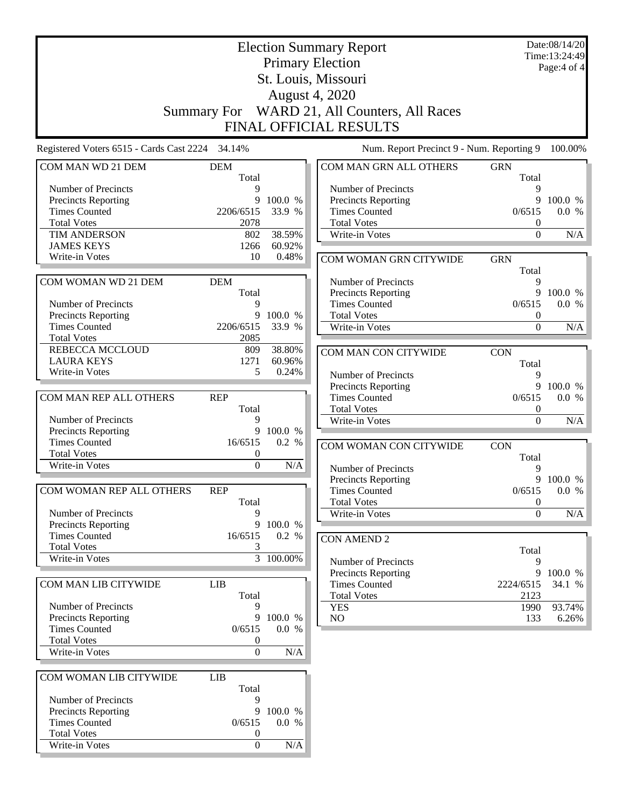|                                                    | Date:08/14/20<br><b>Election Summary Report</b><br>Time: 13:24:49 |                  |                                            |                              |             |  |
|----------------------------------------------------|-------------------------------------------------------------------|------------------|--------------------------------------------|------------------------------|-------------|--|
|                                                    | <b>Primary Election</b>                                           |                  |                                            |                              |             |  |
|                                                    |                                                                   |                  | St. Louis, Missouri                        |                              | Page:4 of 4 |  |
|                                                    | August 4, 2020                                                    |                  |                                            |                              |             |  |
|                                                    |                                                                   |                  |                                            |                              |             |  |
|                                                    | Summary For                                                       |                  | WARD 21, All Counters, All Races           |                              |             |  |
|                                                    |                                                                   |                  | FINAL OFFICIAL RESULTS                     |                              |             |  |
| Registered Voters 6515 - Cards Cast 2224 34.14%    |                                                                   |                  | Num. Report Precinct 9 - Num. Reporting 9  |                              | 100.00%     |  |
| COM MAN WD 21 DEM                                  | <b>DEM</b>                                                        |                  | COM MAN GRN ALL OTHERS                     | <b>GRN</b>                   |             |  |
|                                                    | Total                                                             |                  |                                            | Total                        |             |  |
| Number of Precincts                                | 9                                                                 |                  | Number of Precincts                        | 9                            |             |  |
| Precincts Reporting                                | 9                                                                 | 100.0 %          | <b>Precincts Reporting</b>                 | 9                            | 100.0 %     |  |
| <b>Times Counted</b>                               | 2206/6515                                                         | 33.9 %           | <b>Times Counted</b><br><b>Total Votes</b> | 0/6515                       | 0.0 %       |  |
| <b>Total Votes</b><br><b>TIM ANDERSON</b>          | 2078<br>802                                                       | 38.59%           | Write-in Votes                             | $\boldsymbol{0}$<br>$\Omega$ | N/A         |  |
| <b>JAMES KEYS</b>                                  | 1266                                                              | 60.92%           |                                            |                              |             |  |
| Write-in Votes                                     | 10                                                                | 0.48%            |                                            |                              |             |  |
|                                                    |                                                                   |                  | COM WOMAN GRN CITYWIDE                     | <b>GRN</b><br>Total          |             |  |
| COM WOMAN WD 21 DEM                                | <b>DEM</b>                                                        |                  | Number of Precincts                        | 9                            |             |  |
|                                                    | Total                                                             |                  | Precincts Reporting                        |                              | 9 100.0 %   |  |
| Number of Precincts                                | 9                                                                 |                  | <b>Times Counted</b>                       | 0/6515                       | 0.0 %       |  |
| Precincts Reporting                                | 9                                                                 | 100.0 %          | <b>Total Votes</b>                         | $\boldsymbol{0}$             |             |  |
| <b>Times Counted</b>                               | 2206/6515                                                         | 33.9 %           | Write-in Votes                             | $\boldsymbol{0}$             | N/A         |  |
| <b>Total Votes</b>                                 | 2085                                                              |                  |                                            |                              |             |  |
| REBECCA MCCLOUD                                    | 809                                                               | 38.80%           | COM MAN CON CITYWIDE                       | <b>CON</b>                   |             |  |
| <b>LAURA KEYS</b>                                  | 1271                                                              | 60.96%           |                                            | Total                        |             |  |
| Write-in Votes                                     | 5                                                                 | 0.24%            | Number of Precincts                        | 9                            |             |  |
|                                                    |                                                                   |                  | Precincts Reporting                        | 9                            | 100.0 %     |  |
| COM MAN REP ALL OTHERS                             | <b>REP</b>                                                        |                  | <b>Times Counted</b>                       | 0/6515                       | 0.0 %       |  |
|                                                    | Total<br>9                                                        |                  | <b>Total Votes</b>                         | $\boldsymbol{0}$             |             |  |
| Number of Precincts<br>Precincts Reporting         | 9                                                                 | 100.0 %          | Write-in Votes                             | $\boldsymbol{0}$             | N/A         |  |
| <b>Times Counted</b>                               | 16/6515                                                           | 0.2 %            |                                            |                              |             |  |
| <b>Total Votes</b>                                 | $\boldsymbol{0}$                                                  |                  | COM WOMAN CON CITYWIDE                     | <b>CON</b>                   |             |  |
| Write-in Votes                                     | $\boldsymbol{0}$                                                  | N/A              | Number of Precincts                        | Total<br>9                   |             |  |
|                                                    |                                                                   |                  | <b>Precincts Reporting</b>                 | 9                            | 100.0 %     |  |
| COM WOMAN REP ALL OTHERS                           | <b>REP</b>                                                        |                  | <b>Times Counted</b>                       | 0/6515                       | 0.0 %       |  |
|                                                    | Total                                                             |                  | <b>Total Votes</b>                         | $\boldsymbol{0}$             |             |  |
| Number of Precincts                                | 9                                                                 |                  | Write-in Votes                             | $\overline{0}$               | N/A         |  |
| Precincts Reporting                                | 9                                                                 | 100.0 %          |                                            |                              |             |  |
| <b>Times Counted</b>                               | 16/6515                                                           | 0.2 %            | <b>CON AMEND 2</b>                         |                              |             |  |
| <b>Total Votes</b>                                 | 3                                                                 |                  |                                            | Total                        |             |  |
| Write-in Votes                                     |                                                                   | 3 100.00%        | Number of Precincts                        | 9                            |             |  |
|                                                    |                                                                   |                  | Precincts Reporting                        | 9                            | 100.0 %     |  |
| COM MAN LIB CITYWIDE                               | LIB                                                               |                  | <b>Times Counted</b>                       | 2224/6515                    | 34.1 %      |  |
|                                                    | Total                                                             |                  | <b>Total Votes</b>                         | 2123                         |             |  |
| Number of Precincts                                | 9                                                                 |                  | <b>YES</b>                                 | 1990                         | 93.74%      |  |
| <b>Precincts Reporting</b><br><b>Times Counted</b> | 9<br>0/6515                                                       | 100.0 %<br>0.0 % | NO                                         | 133                          | 6.26%       |  |
| <b>Total Votes</b>                                 | $\boldsymbol{0}$                                                  |                  |                                            |                              |             |  |
| Write-in Votes                                     | $\boldsymbol{0}$                                                  | N/A              |                                            |                              |             |  |
|                                                    |                                                                   |                  |                                            |                              |             |  |
| COM WOMAN LIB CITYWIDE                             | <b>LIB</b>                                                        |                  |                                            |                              |             |  |
|                                                    | Total                                                             |                  |                                            |                              |             |  |
| Number of Precincts                                | 9                                                                 |                  |                                            |                              |             |  |
| Precincts Reporting                                | 9                                                                 | 100.0 %          |                                            |                              |             |  |
| <b>Times Counted</b>                               | 0/6515                                                            | 0.0 %            |                                            |                              |             |  |
| <b>Total Votes</b>                                 | $\boldsymbol{0}$                                                  |                  |                                            |                              |             |  |
| Write-in Votes                                     | $\boldsymbol{0}$                                                  | N/A              |                                            |                              |             |  |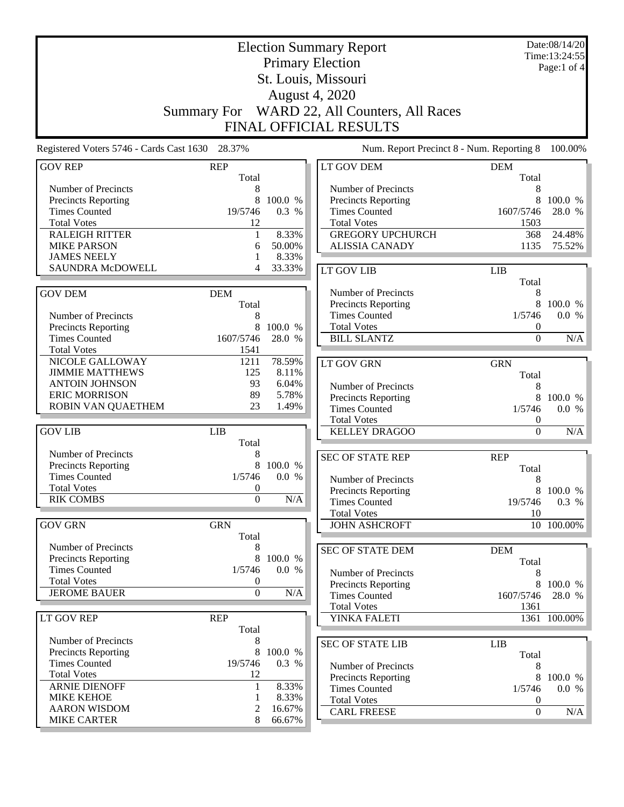| <b>Primary Election</b><br>Page:1 of 4<br>St. Louis, Missouri<br>August 4, 2020<br>WARD 22, All Counters, All Races<br><b>Summary For</b><br>FINAL OFFICIAL RESULTS<br>Registered Voters 5746 - Cards Cast 1630 28.37%<br>Num. Report Precinct 8 - Num. Reporting 8<br><b>LT GOV DEM</b><br><b>GOV REP</b><br><b>REP</b><br><b>DEM</b><br>Total<br>Total<br>Number of Precincts<br>Number of Precincts<br>8<br>8<br>100.0 %<br>8<br>8<br>100.0 %<br>Precincts Reporting<br><b>Precincts Reporting</b><br><b>Times Counted</b><br>0.3 %<br><b>Times Counted</b><br>19/5746<br>1607/5746<br>28.0 %<br><b>Total Votes</b><br><b>Total Votes</b><br>12<br>1503<br>8.33%<br><b>RALEIGH RITTER</b><br><b>GREGORY UPCHURCH</b><br>24.48%<br>1<br>368<br><b>MIKE PARSON</b><br>50.00%<br><b>ALISSIA CANADY</b><br>75.52%<br>1135<br>6<br><b>JAMES NEELY</b><br>8.33%<br>1<br><b>SAUNDRA McDOWELL</b><br>33.33%<br>4<br>LT GOV LIB<br><b>LIB</b><br>Total<br><b>GOV DEM</b><br>Number of Precincts<br>8<br><b>DEM</b><br><b>Precincts Reporting</b><br>8<br>100.0 %<br>Total<br><b>Times Counted</b><br>1/5746<br>0.0 %<br>Number of Precincts<br>8<br><b>Total Votes</b><br>Precincts Reporting<br>8<br>100.0 %<br>0<br><b>BILL SLANTZ</b><br>$\boldsymbol{0}$<br><b>Times Counted</b><br>1607/5746<br>28.0 %<br><b>Total Votes</b><br>1541<br>NICOLE GALLOWAY<br>78.59%<br>1211<br><b>LT GOV GRN</b><br><b>GRN</b><br><b>JIMMIE MATTHEWS</b><br>125<br>8.11%<br>Total<br><b>ANTOIN JOHNSON</b><br>93<br>6.04%<br>Number of Precincts<br>8<br><b>ERIC MORRISON</b><br>89<br>5.78%<br>Precincts Reporting<br>8<br>100.0 %<br>23<br>ROBIN VAN QUAETHEM<br>1.49%<br><b>Times Counted</b><br>1/5746<br>0.0 %<br><b>Total Votes</b><br>0<br><b>GOV LIB</b><br><b>LIB</b><br>$\boldsymbol{0}$<br>N/A<br><b>KELLEY DRAGOO</b><br>Total<br>Number of Precincts<br>8<br><b>SEC OF STATE REP</b><br><b>REP</b><br>Precincts Reporting<br>8<br>100.0 %<br>Total<br><b>Times Counted</b><br>1/5746<br>0.0 %<br>Number of Precincts<br>8<br><b>Total Votes</b><br>$\boldsymbol{0}$<br>8<br>100.0 %<br><b>Precincts Reporting</b><br><b>RIK COMBS</b><br>$\boldsymbol{0}$<br>N/A<br><b>Times Counted</b><br>19/5746<br><b>Total Votes</b><br>10<br><b>GOV GRN</b><br><b>GRN</b><br><b>JOHN ASHCROFT</b><br>Total<br>Number of Precincts<br>8<br><b>SEC OF STATE DEM</b><br><b>DEM</b><br><b>Precincts Reporting</b><br>100.0 %<br>8<br>Total<br><b>Times Counted</b><br>1/5746<br>0.0 %<br>Number of Precincts<br>8<br><b>Total Votes</b><br>0<br><b>Precincts Reporting</b><br>8<br>$\overline{0}$<br><b>JEROME BAUER</b><br>$\rm N/A$<br><b>Times Counted</b><br>28.0 %<br>1607/5746<br><b>Total Votes</b><br>1361<br>LT GOV REP<br>YINKA FALETI<br><b>REP</b><br>Total<br>Number of Precincts<br>8<br><b>SEC OF STATE LIB</b><br>LIB<br>100.0 %<br><b>Precincts Reporting</b><br>8<br>Total<br><b>Times Counted</b><br>19/5746<br>0.3 %<br>Number of Precincts<br>8<br><b>Total Votes</b><br>12<br>8 100.0 %<br>Precincts Reporting<br><b>ARNIE DIENOFF</b><br>8.33%<br>1<br><b>Times Counted</b><br>1/5746<br><b>MIKE KEHOE</b><br>8.33%<br>1<br><b>Total Votes</b><br>$\boldsymbol{0}$<br><b>AARON WISDOM</b><br>2<br>16.67%<br><b>CARL FREESE</b><br>$\boldsymbol{0}$<br><b>MIKE CARTER</b><br>8<br>66.67% |  | <b>Election Summary Report</b> | Date:08/14/20<br>Time: 13:24:55 |
|--------------------------------------------------------------------------------------------------------------------------------------------------------------------------------------------------------------------------------------------------------------------------------------------------------------------------------------------------------------------------------------------------------------------------------------------------------------------------------------------------------------------------------------------------------------------------------------------------------------------------------------------------------------------------------------------------------------------------------------------------------------------------------------------------------------------------------------------------------------------------------------------------------------------------------------------------------------------------------------------------------------------------------------------------------------------------------------------------------------------------------------------------------------------------------------------------------------------------------------------------------------------------------------------------------------------------------------------------------------------------------------------------------------------------------------------------------------------------------------------------------------------------------------------------------------------------------------------------------------------------------------------------------------------------------------------------------------------------------------------------------------------------------------------------------------------------------------------------------------------------------------------------------------------------------------------------------------------------------------------------------------------------------------------------------------------------------------------------------------------------------------------------------------------------------------------------------------------------------------------------------------------------------------------------------------------------------------------------------------------------------------------------------------------------------------------------------------------------------------------------------------------------------------------------------------------------------------------------------------------------------------------------------------------------------------------------------------------------------------------------------------------------------------------------------------------------------------------------------------------------------------------------------------------------------------------------------------------------------------------------------------------------------------------------------------------------------------------------------------------------------------------------------------------------------------------------------------------------------------------------------------------------------------------|--|--------------------------------|---------------------------------|
| 100.00%<br>0.3 %<br>100.0 %                                                                                                                                                                                                                                                                                                                                                                                                                                                                                                                                                                                                                                                                                                                                                                                                                                                                                                                                                                                                                                                                                                                                                                                                                                                                                                                                                                                                                                                                                                                                                                                                                                                                                                                                                                                                                                                                                                                                                                                                                                                                                                                                                                                                                                                                                                                                                                                                                                                                                                                                                                                                                                                                                                                                                                                                                                                                                                                                                                                                                                                                                                                                                                                                                                                                |  |                                |                                 |
|                                                                                                                                                                                                                                                                                                                                                                                                                                                                                                                                                                                                                                                                                                                                                                                                                                                                                                                                                                                                                                                                                                                                                                                                                                                                                                                                                                                                                                                                                                                                                                                                                                                                                                                                                                                                                                                                                                                                                                                                                                                                                                                                                                                                                                                                                                                                                                                                                                                                                                                                                                                                                                                                                                                                                                                                                                                                                                                                                                                                                                                                                                                                                                                                                                                                                            |  |                                |                                 |
|                                                                                                                                                                                                                                                                                                                                                                                                                                                                                                                                                                                                                                                                                                                                                                                                                                                                                                                                                                                                                                                                                                                                                                                                                                                                                                                                                                                                                                                                                                                                                                                                                                                                                                                                                                                                                                                                                                                                                                                                                                                                                                                                                                                                                                                                                                                                                                                                                                                                                                                                                                                                                                                                                                                                                                                                                                                                                                                                                                                                                                                                                                                                                                                                                                                                                            |  |                                |                                 |
|                                                                                                                                                                                                                                                                                                                                                                                                                                                                                                                                                                                                                                                                                                                                                                                                                                                                                                                                                                                                                                                                                                                                                                                                                                                                                                                                                                                                                                                                                                                                                                                                                                                                                                                                                                                                                                                                                                                                                                                                                                                                                                                                                                                                                                                                                                                                                                                                                                                                                                                                                                                                                                                                                                                                                                                                                                                                                                                                                                                                                                                                                                                                                                                                                                                                                            |  |                                |                                 |
|                                                                                                                                                                                                                                                                                                                                                                                                                                                                                                                                                                                                                                                                                                                                                                                                                                                                                                                                                                                                                                                                                                                                                                                                                                                                                                                                                                                                                                                                                                                                                                                                                                                                                                                                                                                                                                                                                                                                                                                                                                                                                                                                                                                                                                                                                                                                                                                                                                                                                                                                                                                                                                                                                                                                                                                                                                                                                                                                                                                                                                                                                                                                                                                                                                                                                            |  |                                |                                 |
|                                                                                                                                                                                                                                                                                                                                                                                                                                                                                                                                                                                                                                                                                                                                                                                                                                                                                                                                                                                                                                                                                                                                                                                                                                                                                                                                                                                                                                                                                                                                                                                                                                                                                                                                                                                                                                                                                                                                                                                                                                                                                                                                                                                                                                                                                                                                                                                                                                                                                                                                                                                                                                                                                                                                                                                                                                                                                                                                                                                                                                                                                                                                                                                                                                                                                            |  |                                |                                 |
|                                                                                                                                                                                                                                                                                                                                                                                                                                                                                                                                                                                                                                                                                                                                                                                                                                                                                                                                                                                                                                                                                                                                                                                                                                                                                                                                                                                                                                                                                                                                                                                                                                                                                                                                                                                                                                                                                                                                                                                                                                                                                                                                                                                                                                                                                                                                                                                                                                                                                                                                                                                                                                                                                                                                                                                                                                                                                                                                                                                                                                                                                                                                                                                                                                                                                            |  |                                |                                 |
|                                                                                                                                                                                                                                                                                                                                                                                                                                                                                                                                                                                                                                                                                                                                                                                                                                                                                                                                                                                                                                                                                                                                                                                                                                                                                                                                                                                                                                                                                                                                                                                                                                                                                                                                                                                                                                                                                                                                                                                                                                                                                                                                                                                                                                                                                                                                                                                                                                                                                                                                                                                                                                                                                                                                                                                                                                                                                                                                                                                                                                                                                                                                                                                                                                                                                            |  |                                |                                 |
| N/A<br>10 100.00%<br>1361 100.00%<br>0.0 %<br>N/A                                                                                                                                                                                                                                                                                                                                                                                                                                                                                                                                                                                                                                                                                                                                                                                                                                                                                                                                                                                                                                                                                                                                                                                                                                                                                                                                                                                                                                                                                                                                                                                                                                                                                                                                                                                                                                                                                                                                                                                                                                                                                                                                                                                                                                                                                                                                                                                                                                                                                                                                                                                                                                                                                                                                                                                                                                                                                                                                                                                                                                                                                                                                                                                                                                          |  |                                |                                 |
|                                                                                                                                                                                                                                                                                                                                                                                                                                                                                                                                                                                                                                                                                                                                                                                                                                                                                                                                                                                                                                                                                                                                                                                                                                                                                                                                                                                                                                                                                                                                                                                                                                                                                                                                                                                                                                                                                                                                                                                                                                                                                                                                                                                                                                                                                                                                                                                                                                                                                                                                                                                                                                                                                                                                                                                                                                                                                                                                                                                                                                                                                                                                                                                                                                                                                            |  |                                |                                 |
|                                                                                                                                                                                                                                                                                                                                                                                                                                                                                                                                                                                                                                                                                                                                                                                                                                                                                                                                                                                                                                                                                                                                                                                                                                                                                                                                                                                                                                                                                                                                                                                                                                                                                                                                                                                                                                                                                                                                                                                                                                                                                                                                                                                                                                                                                                                                                                                                                                                                                                                                                                                                                                                                                                                                                                                                                                                                                                                                                                                                                                                                                                                                                                                                                                                                                            |  |                                |                                 |
|                                                                                                                                                                                                                                                                                                                                                                                                                                                                                                                                                                                                                                                                                                                                                                                                                                                                                                                                                                                                                                                                                                                                                                                                                                                                                                                                                                                                                                                                                                                                                                                                                                                                                                                                                                                                                                                                                                                                                                                                                                                                                                                                                                                                                                                                                                                                                                                                                                                                                                                                                                                                                                                                                                                                                                                                                                                                                                                                                                                                                                                                                                                                                                                                                                                                                            |  |                                |                                 |
|                                                                                                                                                                                                                                                                                                                                                                                                                                                                                                                                                                                                                                                                                                                                                                                                                                                                                                                                                                                                                                                                                                                                                                                                                                                                                                                                                                                                                                                                                                                                                                                                                                                                                                                                                                                                                                                                                                                                                                                                                                                                                                                                                                                                                                                                                                                                                                                                                                                                                                                                                                                                                                                                                                                                                                                                                                                                                                                                                                                                                                                                                                                                                                                                                                                                                            |  |                                |                                 |
|                                                                                                                                                                                                                                                                                                                                                                                                                                                                                                                                                                                                                                                                                                                                                                                                                                                                                                                                                                                                                                                                                                                                                                                                                                                                                                                                                                                                                                                                                                                                                                                                                                                                                                                                                                                                                                                                                                                                                                                                                                                                                                                                                                                                                                                                                                                                                                                                                                                                                                                                                                                                                                                                                                                                                                                                                                                                                                                                                                                                                                                                                                                                                                                                                                                                                            |  |                                |                                 |
|                                                                                                                                                                                                                                                                                                                                                                                                                                                                                                                                                                                                                                                                                                                                                                                                                                                                                                                                                                                                                                                                                                                                                                                                                                                                                                                                                                                                                                                                                                                                                                                                                                                                                                                                                                                                                                                                                                                                                                                                                                                                                                                                                                                                                                                                                                                                                                                                                                                                                                                                                                                                                                                                                                                                                                                                                                                                                                                                                                                                                                                                                                                                                                                                                                                                                            |  |                                |                                 |
|                                                                                                                                                                                                                                                                                                                                                                                                                                                                                                                                                                                                                                                                                                                                                                                                                                                                                                                                                                                                                                                                                                                                                                                                                                                                                                                                                                                                                                                                                                                                                                                                                                                                                                                                                                                                                                                                                                                                                                                                                                                                                                                                                                                                                                                                                                                                                                                                                                                                                                                                                                                                                                                                                                                                                                                                                                                                                                                                                                                                                                                                                                                                                                                                                                                                                            |  |                                |                                 |
|                                                                                                                                                                                                                                                                                                                                                                                                                                                                                                                                                                                                                                                                                                                                                                                                                                                                                                                                                                                                                                                                                                                                                                                                                                                                                                                                                                                                                                                                                                                                                                                                                                                                                                                                                                                                                                                                                                                                                                                                                                                                                                                                                                                                                                                                                                                                                                                                                                                                                                                                                                                                                                                                                                                                                                                                                                                                                                                                                                                                                                                                                                                                                                                                                                                                                            |  |                                |                                 |
|                                                                                                                                                                                                                                                                                                                                                                                                                                                                                                                                                                                                                                                                                                                                                                                                                                                                                                                                                                                                                                                                                                                                                                                                                                                                                                                                                                                                                                                                                                                                                                                                                                                                                                                                                                                                                                                                                                                                                                                                                                                                                                                                                                                                                                                                                                                                                                                                                                                                                                                                                                                                                                                                                                                                                                                                                                                                                                                                                                                                                                                                                                                                                                                                                                                                                            |  |                                |                                 |
|                                                                                                                                                                                                                                                                                                                                                                                                                                                                                                                                                                                                                                                                                                                                                                                                                                                                                                                                                                                                                                                                                                                                                                                                                                                                                                                                                                                                                                                                                                                                                                                                                                                                                                                                                                                                                                                                                                                                                                                                                                                                                                                                                                                                                                                                                                                                                                                                                                                                                                                                                                                                                                                                                                                                                                                                                                                                                                                                                                                                                                                                                                                                                                                                                                                                                            |  |                                |                                 |
|                                                                                                                                                                                                                                                                                                                                                                                                                                                                                                                                                                                                                                                                                                                                                                                                                                                                                                                                                                                                                                                                                                                                                                                                                                                                                                                                                                                                                                                                                                                                                                                                                                                                                                                                                                                                                                                                                                                                                                                                                                                                                                                                                                                                                                                                                                                                                                                                                                                                                                                                                                                                                                                                                                                                                                                                                                                                                                                                                                                                                                                                                                                                                                                                                                                                                            |  |                                |                                 |
|                                                                                                                                                                                                                                                                                                                                                                                                                                                                                                                                                                                                                                                                                                                                                                                                                                                                                                                                                                                                                                                                                                                                                                                                                                                                                                                                                                                                                                                                                                                                                                                                                                                                                                                                                                                                                                                                                                                                                                                                                                                                                                                                                                                                                                                                                                                                                                                                                                                                                                                                                                                                                                                                                                                                                                                                                                                                                                                                                                                                                                                                                                                                                                                                                                                                                            |  |                                |                                 |
|                                                                                                                                                                                                                                                                                                                                                                                                                                                                                                                                                                                                                                                                                                                                                                                                                                                                                                                                                                                                                                                                                                                                                                                                                                                                                                                                                                                                                                                                                                                                                                                                                                                                                                                                                                                                                                                                                                                                                                                                                                                                                                                                                                                                                                                                                                                                                                                                                                                                                                                                                                                                                                                                                                                                                                                                                                                                                                                                                                                                                                                                                                                                                                                                                                                                                            |  |                                |                                 |
|                                                                                                                                                                                                                                                                                                                                                                                                                                                                                                                                                                                                                                                                                                                                                                                                                                                                                                                                                                                                                                                                                                                                                                                                                                                                                                                                                                                                                                                                                                                                                                                                                                                                                                                                                                                                                                                                                                                                                                                                                                                                                                                                                                                                                                                                                                                                                                                                                                                                                                                                                                                                                                                                                                                                                                                                                                                                                                                                                                                                                                                                                                                                                                                                                                                                                            |  |                                |                                 |
|                                                                                                                                                                                                                                                                                                                                                                                                                                                                                                                                                                                                                                                                                                                                                                                                                                                                                                                                                                                                                                                                                                                                                                                                                                                                                                                                                                                                                                                                                                                                                                                                                                                                                                                                                                                                                                                                                                                                                                                                                                                                                                                                                                                                                                                                                                                                                                                                                                                                                                                                                                                                                                                                                                                                                                                                                                                                                                                                                                                                                                                                                                                                                                                                                                                                                            |  |                                |                                 |
|                                                                                                                                                                                                                                                                                                                                                                                                                                                                                                                                                                                                                                                                                                                                                                                                                                                                                                                                                                                                                                                                                                                                                                                                                                                                                                                                                                                                                                                                                                                                                                                                                                                                                                                                                                                                                                                                                                                                                                                                                                                                                                                                                                                                                                                                                                                                                                                                                                                                                                                                                                                                                                                                                                                                                                                                                                                                                                                                                                                                                                                                                                                                                                                                                                                                                            |  |                                |                                 |
|                                                                                                                                                                                                                                                                                                                                                                                                                                                                                                                                                                                                                                                                                                                                                                                                                                                                                                                                                                                                                                                                                                                                                                                                                                                                                                                                                                                                                                                                                                                                                                                                                                                                                                                                                                                                                                                                                                                                                                                                                                                                                                                                                                                                                                                                                                                                                                                                                                                                                                                                                                                                                                                                                                                                                                                                                                                                                                                                                                                                                                                                                                                                                                                                                                                                                            |  |                                |                                 |
|                                                                                                                                                                                                                                                                                                                                                                                                                                                                                                                                                                                                                                                                                                                                                                                                                                                                                                                                                                                                                                                                                                                                                                                                                                                                                                                                                                                                                                                                                                                                                                                                                                                                                                                                                                                                                                                                                                                                                                                                                                                                                                                                                                                                                                                                                                                                                                                                                                                                                                                                                                                                                                                                                                                                                                                                                                                                                                                                                                                                                                                                                                                                                                                                                                                                                            |  |                                |                                 |
|                                                                                                                                                                                                                                                                                                                                                                                                                                                                                                                                                                                                                                                                                                                                                                                                                                                                                                                                                                                                                                                                                                                                                                                                                                                                                                                                                                                                                                                                                                                                                                                                                                                                                                                                                                                                                                                                                                                                                                                                                                                                                                                                                                                                                                                                                                                                                                                                                                                                                                                                                                                                                                                                                                                                                                                                                                                                                                                                                                                                                                                                                                                                                                                                                                                                                            |  |                                |                                 |
|                                                                                                                                                                                                                                                                                                                                                                                                                                                                                                                                                                                                                                                                                                                                                                                                                                                                                                                                                                                                                                                                                                                                                                                                                                                                                                                                                                                                                                                                                                                                                                                                                                                                                                                                                                                                                                                                                                                                                                                                                                                                                                                                                                                                                                                                                                                                                                                                                                                                                                                                                                                                                                                                                                                                                                                                                                                                                                                                                                                                                                                                                                                                                                                                                                                                                            |  |                                |                                 |
|                                                                                                                                                                                                                                                                                                                                                                                                                                                                                                                                                                                                                                                                                                                                                                                                                                                                                                                                                                                                                                                                                                                                                                                                                                                                                                                                                                                                                                                                                                                                                                                                                                                                                                                                                                                                                                                                                                                                                                                                                                                                                                                                                                                                                                                                                                                                                                                                                                                                                                                                                                                                                                                                                                                                                                                                                                                                                                                                                                                                                                                                                                                                                                                                                                                                                            |  |                                |                                 |
|                                                                                                                                                                                                                                                                                                                                                                                                                                                                                                                                                                                                                                                                                                                                                                                                                                                                                                                                                                                                                                                                                                                                                                                                                                                                                                                                                                                                                                                                                                                                                                                                                                                                                                                                                                                                                                                                                                                                                                                                                                                                                                                                                                                                                                                                                                                                                                                                                                                                                                                                                                                                                                                                                                                                                                                                                                                                                                                                                                                                                                                                                                                                                                                                                                                                                            |  |                                |                                 |
|                                                                                                                                                                                                                                                                                                                                                                                                                                                                                                                                                                                                                                                                                                                                                                                                                                                                                                                                                                                                                                                                                                                                                                                                                                                                                                                                                                                                                                                                                                                                                                                                                                                                                                                                                                                                                                                                                                                                                                                                                                                                                                                                                                                                                                                                                                                                                                                                                                                                                                                                                                                                                                                                                                                                                                                                                                                                                                                                                                                                                                                                                                                                                                                                                                                                                            |  |                                |                                 |
|                                                                                                                                                                                                                                                                                                                                                                                                                                                                                                                                                                                                                                                                                                                                                                                                                                                                                                                                                                                                                                                                                                                                                                                                                                                                                                                                                                                                                                                                                                                                                                                                                                                                                                                                                                                                                                                                                                                                                                                                                                                                                                                                                                                                                                                                                                                                                                                                                                                                                                                                                                                                                                                                                                                                                                                                                                                                                                                                                                                                                                                                                                                                                                                                                                                                                            |  |                                |                                 |
|                                                                                                                                                                                                                                                                                                                                                                                                                                                                                                                                                                                                                                                                                                                                                                                                                                                                                                                                                                                                                                                                                                                                                                                                                                                                                                                                                                                                                                                                                                                                                                                                                                                                                                                                                                                                                                                                                                                                                                                                                                                                                                                                                                                                                                                                                                                                                                                                                                                                                                                                                                                                                                                                                                                                                                                                                                                                                                                                                                                                                                                                                                                                                                                                                                                                                            |  |                                |                                 |
|                                                                                                                                                                                                                                                                                                                                                                                                                                                                                                                                                                                                                                                                                                                                                                                                                                                                                                                                                                                                                                                                                                                                                                                                                                                                                                                                                                                                                                                                                                                                                                                                                                                                                                                                                                                                                                                                                                                                                                                                                                                                                                                                                                                                                                                                                                                                                                                                                                                                                                                                                                                                                                                                                                                                                                                                                                                                                                                                                                                                                                                                                                                                                                                                                                                                                            |  |                                |                                 |
|                                                                                                                                                                                                                                                                                                                                                                                                                                                                                                                                                                                                                                                                                                                                                                                                                                                                                                                                                                                                                                                                                                                                                                                                                                                                                                                                                                                                                                                                                                                                                                                                                                                                                                                                                                                                                                                                                                                                                                                                                                                                                                                                                                                                                                                                                                                                                                                                                                                                                                                                                                                                                                                                                                                                                                                                                                                                                                                                                                                                                                                                                                                                                                                                                                                                                            |  |                                |                                 |
|                                                                                                                                                                                                                                                                                                                                                                                                                                                                                                                                                                                                                                                                                                                                                                                                                                                                                                                                                                                                                                                                                                                                                                                                                                                                                                                                                                                                                                                                                                                                                                                                                                                                                                                                                                                                                                                                                                                                                                                                                                                                                                                                                                                                                                                                                                                                                                                                                                                                                                                                                                                                                                                                                                                                                                                                                                                                                                                                                                                                                                                                                                                                                                                                                                                                                            |  |                                |                                 |
|                                                                                                                                                                                                                                                                                                                                                                                                                                                                                                                                                                                                                                                                                                                                                                                                                                                                                                                                                                                                                                                                                                                                                                                                                                                                                                                                                                                                                                                                                                                                                                                                                                                                                                                                                                                                                                                                                                                                                                                                                                                                                                                                                                                                                                                                                                                                                                                                                                                                                                                                                                                                                                                                                                                                                                                                                                                                                                                                                                                                                                                                                                                                                                                                                                                                                            |  |                                |                                 |
|                                                                                                                                                                                                                                                                                                                                                                                                                                                                                                                                                                                                                                                                                                                                                                                                                                                                                                                                                                                                                                                                                                                                                                                                                                                                                                                                                                                                                                                                                                                                                                                                                                                                                                                                                                                                                                                                                                                                                                                                                                                                                                                                                                                                                                                                                                                                                                                                                                                                                                                                                                                                                                                                                                                                                                                                                                                                                                                                                                                                                                                                                                                                                                                                                                                                                            |  |                                |                                 |
|                                                                                                                                                                                                                                                                                                                                                                                                                                                                                                                                                                                                                                                                                                                                                                                                                                                                                                                                                                                                                                                                                                                                                                                                                                                                                                                                                                                                                                                                                                                                                                                                                                                                                                                                                                                                                                                                                                                                                                                                                                                                                                                                                                                                                                                                                                                                                                                                                                                                                                                                                                                                                                                                                                                                                                                                                                                                                                                                                                                                                                                                                                                                                                                                                                                                                            |  |                                |                                 |
|                                                                                                                                                                                                                                                                                                                                                                                                                                                                                                                                                                                                                                                                                                                                                                                                                                                                                                                                                                                                                                                                                                                                                                                                                                                                                                                                                                                                                                                                                                                                                                                                                                                                                                                                                                                                                                                                                                                                                                                                                                                                                                                                                                                                                                                                                                                                                                                                                                                                                                                                                                                                                                                                                                                                                                                                                                                                                                                                                                                                                                                                                                                                                                                                                                                                                            |  |                                |                                 |
|                                                                                                                                                                                                                                                                                                                                                                                                                                                                                                                                                                                                                                                                                                                                                                                                                                                                                                                                                                                                                                                                                                                                                                                                                                                                                                                                                                                                                                                                                                                                                                                                                                                                                                                                                                                                                                                                                                                                                                                                                                                                                                                                                                                                                                                                                                                                                                                                                                                                                                                                                                                                                                                                                                                                                                                                                                                                                                                                                                                                                                                                                                                                                                                                                                                                                            |  |                                |                                 |
|                                                                                                                                                                                                                                                                                                                                                                                                                                                                                                                                                                                                                                                                                                                                                                                                                                                                                                                                                                                                                                                                                                                                                                                                                                                                                                                                                                                                                                                                                                                                                                                                                                                                                                                                                                                                                                                                                                                                                                                                                                                                                                                                                                                                                                                                                                                                                                                                                                                                                                                                                                                                                                                                                                                                                                                                                                                                                                                                                                                                                                                                                                                                                                                                                                                                                            |  |                                |                                 |
|                                                                                                                                                                                                                                                                                                                                                                                                                                                                                                                                                                                                                                                                                                                                                                                                                                                                                                                                                                                                                                                                                                                                                                                                                                                                                                                                                                                                                                                                                                                                                                                                                                                                                                                                                                                                                                                                                                                                                                                                                                                                                                                                                                                                                                                                                                                                                                                                                                                                                                                                                                                                                                                                                                                                                                                                                                                                                                                                                                                                                                                                                                                                                                                                                                                                                            |  |                                |                                 |
|                                                                                                                                                                                                                                                                                                                                                                                                                                                                                                                                                                                                                                                                                                                                                                                                                                                                                                                                                                                                                                                                                                                                                                                                                                                                                                                                                                                                                                                                                                                                                                                                                                                                                                                                                                                                                                                                                                                                                                                                                                                                                                                                                                                                                                                                                                                                                                                                                                                                                                                                                                                                                                                                                                                                                                                                                                                                                                                                                                                                                                                                                                                                                                                                                                                                                            |  |                                |                                 |
|                                                                                                                                                                                                                                                                                                                                                                                                                                                                                                                                                                                                                                                                                                                                                                                                                                                                                                                                                                                                                                                                                                                                                                                                                                                                                                                                                                                                                                                                                                                                                                                                                                                                                                                                                                                                                                                                                                                                                                                                                                                                                                                                                                                                                                                                                                                                                                                                                                                                                                                                                                                                                                                                                                                                                                                                                                                                                                                                                                                                                                                                                                                                                                                                                                                                                            |  |                                |                                 |
|                                                                                                                                                                                                                                                                                                                                                                                                                                                                                                                                                                                                                                                                                                                                                                                                                                                                                                                                                                                                                                                                                                                                                                                                                                                                                                                                                                                                                                                                                                                                                                                                                                                                                                                                                                                                                                                                                                                                                                                                                                                                                                                                                                                                                                                                                                                                                                                                                                                                                                                                                                                                                                                                                                                                                                                                                                                                                                                                                                                                                                                                                                                                                                                                                                                                                            |  |                                |                                 |
|                                                                                                                                                                                                                                                                                                                                                                                                                                                                                                                                                                                                                                                                                                                                                                                                                                                                                                                                                                                                                                                                                                                                                                                                                                                                                                                                                                                                                                                                                                                                                                                                                                                                                                                                                                                                                                                                                                                                                                                                                                                                                                                                                                                                                                                                                                                                                                                                                                                                                                                                                                                                                                                                                                                                                                                                                                                                                                                                                                                                                                                                                                                                                                                                                                                                                            |  |                                |                                 |
|                                                                                                                                                                                                                                                                                                                                                                                                                                                                                                                                                                                                                                                                                                                                                                                                                                                                                                                                                                                                                                                                                                                                                                                                                                                                                                                                                                                                                                                                                                                                                                                                                                                                                                                                                                                                                                                                                                                                                                                                                                                                                                                                                                                                                                                                                                                                                                                                                                                                                                                                                                                                                                                                                                                                                                                                                                                                                                                                                                                                                                                                                                                                                                                                                                                                                            |  |                                |                                 |
|                                                                                                                                                                                                                                                                                                                                                                                                                                                                                                                                                                                                                                                                                                                                                                                                                                                                                                                                                                                                                                                                                                                                                                                                                                                                                                                                                                                                                                                                                                                                                                                                                                                                                                                                                                                                                                                                                                                                                                                                                                                                                                                                                                                                                                                                                                                                                                                                                                                                                                                                                                                                                                                                                                                                                                                                                                                                                                                                                                                                                                                                                                                                                                                                                                                                                            |  |                                |                                 |
|                                                                                                                                                                                                                                                                                                                                                                                                                                                                                                                                                                                                                                                                                                                                                                                                                                                                                                                                                                                                                                                                                                                                                                                                                                                                                                                                                                                                                                                                                                                                                                                                                                                                                                                                                                                                                                                                                                                                                                                                                                                                                                                                                                                                                                                                                                                                                                                                                                                                                                                                                                                                                                                                                                                                                                                                                                                                                                                                                                                                                                                                                                                                                                                                                                                                                            |  |                                |                                 |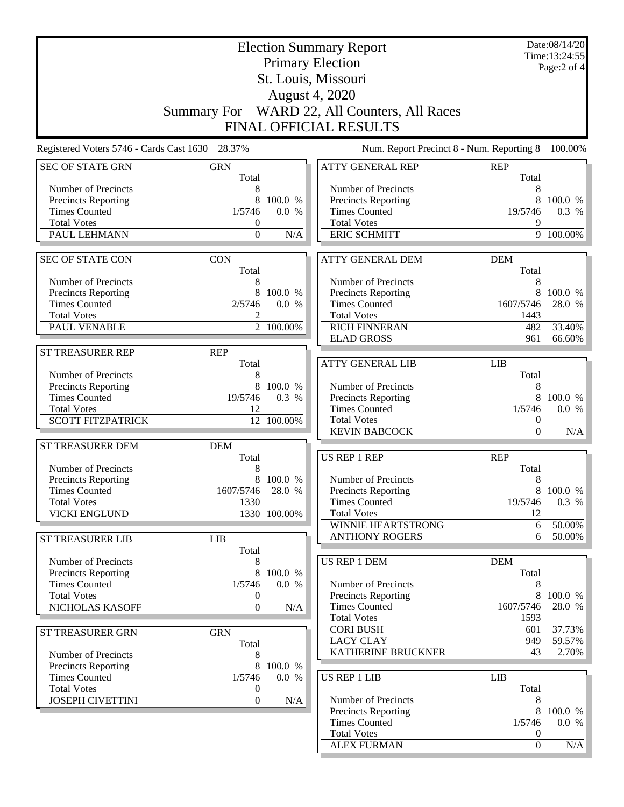|                                                 |                                      |                         | <b>Election Summary Report</b>               |                     | Date:08/14/20<br>Time:13:24:55 |  |
|-------------------------------------------------|--------------------------------------|-------------------------|----------------------------------------------|---------------------|--------------------------------|--|
|                                                 |                                      |                         | <b>Primary Election</b>                      |                     | Page:2 of 4                    |  |
|                                                 | St. Louis, Missouri                  |                         |                                              |                     |                                |  |
|                                                 |                                      |                         |                                              |                     |                                |  |
|                                                 |                                      |                         | <b>August 4, 2020</b>                        |                     |                                |  |
|                                                 |                                      |                         | Summary For WARD 22, All Counters, All Races |                     |                                |  |
|                                                 |                                      |                         | FINAL OFFICIAL RESULTS                       |                     |                                |  |
| Registered Voters 5746 - Cards Cast 1630 28.37% |                                      |                         | Num. Report Precinct 8 - Num. Reporting 8    |                     | 100.00%                        |  |
| <b>SEC OF STATE GRN</b>                         | <b>GRN</b><br>Total                  |                         | <b>ATTY GENERAL REP</b>                      | <b>REP</b><br>Total |                                |  |
| Number of Precincts                             | 8                                    |                         | Number of Precincts                          | 8                   |                                |  |
| <b>Precincts Reporting</b>                      | 8                                    | 100.0 %                 | Precincts Reporting                          | 8                   | 100.0 %                        |  |
| <b>Times Counted</b>                            | 1/5746                               | 0.0 %                   | <b>Times Counted</b>                         | 19/5746             | 0.3 %                          |  |
| <b>Total Votes</b>                              | 0<br>$\Omega$                        |                         | <b>Total Votes</b>                           | 9<br>9              |                                |  |
| PAUL LEHMANN                                    |                                      | N/A                     | <b>ERIC SCHMITT</b>                          |                     | 100.00%                        |  |
| <b>SEC OF STATE CON</b>                         | <b>CON</b>                           |                         | <b>ATTY GENERAL DEM</b>                      | <b>DEM</b>          |                                |  |
|                                                 | Total                                |                         |                                              | Total               |                                |  |
| Number of Precincts                             | 8                                    |                         | Number of Precincts                          | 8                   |                                |  |
| <b>Precincts Reporting</b>                      | 8                                    | 100.0 %                 | <b>Precincts Reporting</b>                   | 8                   | 100.0 %                        |  |
| <b>Times Counted</b><br><b>Total Votes</b>      | 2/5746<br>2                          | 0.0 %                   | <b>Times Counted</b><br><b>Total Votes</b>   | 1607/5746<br>1443   | 28.0 %                         |  |
| PAUL VENABLE                                    |                                      | 2 100.00%               | <b>RICH FINNERAN</b>                         | 482                 | 33.40%                         |  |
|                                                 |                                      |                         | <b>ELAD GROSS</b>                            | 961                 | 66.60%                         |  |
| ST TREASURER REP                                | <b>REP</b>                           |                         |                                              |                     |                                |  |
|                                                 | Total                                |                         | <b>ATTY GENERAL LIB</b>                      | <b>LIB</b>          |                                |  |
| Number of Precincts                             | 8                                    |                         |                                              | Total               |                                |  |
| <b>Precincts Reporting</b>                      | 8                                    | 100.0 %                 | Number of Precincts                          | 8                   |                                |  |
| <b>Times Counted</b>                            | 19/5746                              | 0.3 %                   | Precincts Reporting                          | 8                   | 100.0 %                        |  |
| <b>Total Votes</b>                              | 12                                   |                         | <b>Times Counted</b>                         | 1/5746              | 0.0 %                          |  |
| <b>SCOTT FITZPATRICK</b>                        |                                      | $\overline{12}$ 100.00% | <b>Total Votes</b>                           | 0                   |                                |  |
|                                                 |                                      |                         | <b>KEVIN BABCOCK</b>                         | $\Omega$            | N/A                            |  |
| ST TREASURER DEM                                | <b>DEM</b><br>Total                  |                         | <b>US REP 1 REP</b>                          | <b>REP</b>          |                                |  |
| Number of Precincts                             | 8                                    |                         |                                              | Total               |                                |  |
| <b>Precincts Reporting</b>                      | 8                                    | 100.0 %                 | Number of Precincts                          | 8                   |                                |  |
| <b>Times Counted</b>                            | 1607/5746                            | 28.0 %                  | <b>Precincts Reporting</b>                   | 8                   | 100.0 %                        |  |
| <b>Total Votes</b>                              | 1330                                 |                         | <b>Times Counted</b>                         | 19/5746             | 0.3 %                          |  |
| <b>VICKI ENGLUND</b>                            |                                      | 1330 100.00%            | <b>Total Votes</b>                           | 12                  |                                |  |
|                                                 |                                      |                         | WINNIE HEARTSTRONG                           | 6                   | 50.00%                         |  |
| <b>ST TREASURER LIB</b>                         | LIB                                  |                         | <b>ANTHONY ROGERS</b>                        | 6                   | $50.00\%$                      |  |
| Number of Precincts                             | Total                                |                         | <b>US REP 1 DEM</b>                          | <b>DEM</b>          |                                |  |
| Precincts Reporting                             | 8<br>8                               | 100.0 %                 |                                              | Total               |                                |  |
| <b>Times Counted</b>                            | 1/5746                               | 0.0 %                   | Number of Precincts                          | 8                   |                                |  |
| <b>Total Votes</b>                              | $\boldsymbol{0}$                     |                         | <b>Precincts Reporting</b>                   | 8                   | 100.0 %                        |  |
| NICHOLAS KASOFF                                 | $\boldsymbol{0}$                     | N/A                     | <b>Times Counted</b>                         | 1607/5746           | 28.0 %                         |  |
|                                                 |                                      |                         | <b>Total Votes</b>                           | 1593                |                                |  |
| ST TREASURER GRN                                | <b>GRN</b>                           |                         | <b>CORI BUSH</b>                             | 601                 | 37.73%                         |  |
|                                                 | Total                                |                         | <b>LACY CLAY</b>                             | 949                 | 59.57%                         |  |
| Number of Precincts                             | 8                                    |                         | KATHERINE BRUCKNER                           | 43                  | $2.70\%$                       |  |
| Precincts Reporting                             | 8                                    | 100.0 %                 |                                              |                     |                                |  |
| <b>Times Counted</b><br><b>Total Votes</b>      | 1/5746                               | 0.0 %                   | <b>US REP 1 LIB</b>                          | <b>LIB</b><br>Total |                                |  |
| <b>JOSEPH CIVETTINI</b>                         | $\boldsymbol{0}$<br>$\boldsymbol{0}$ | N/A                     | Number of Precincts                          | 8                   |                                |  |
|                                                 |                                      |                         | Precincts Reporting                          | 8                   | 100.0 %                        |  |
|                                                 |                                      |                         | <b>Times Counted</b>                         | 1/5746              | 0.0 %                          |  |
|                                                 |                                      |                         | <b>Total Votes</b>                           | $\boldsymbol{0}$    |                                |  |
|                                                 |                                      |                         | <b>ALEX FURMAN</b>                           | $\overline{0}$      | N/A                            |  |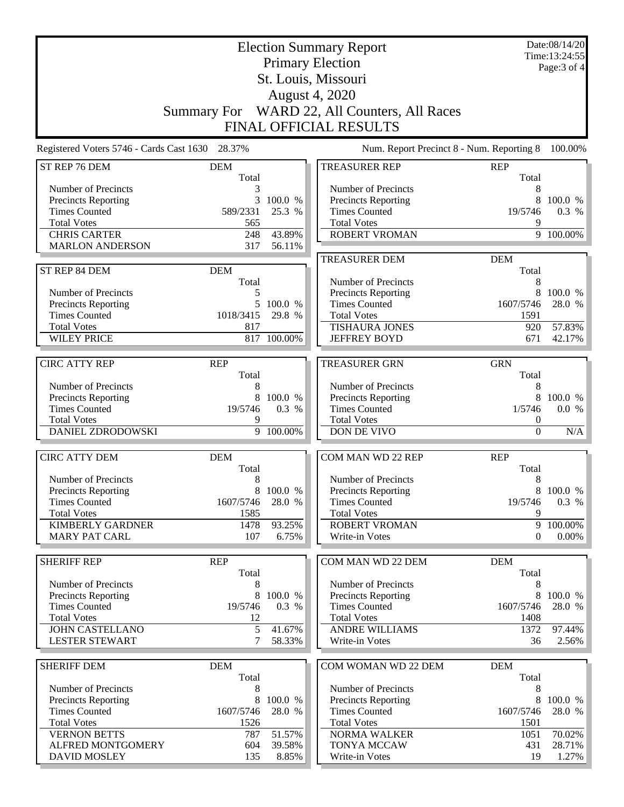|                                                 |                     |                        | <b>Election Summary Report</b>               |                  | Date:08/14/20<br>Time:13:24:55 |  |  |  |
|-------------------------------------------------|---------------------|------------------------|----------------------------------------------|------------------|--------------------------------|--|--|--|
|                                                 |                     |                        | <b>Primary Election</b>                      |                  | Page: 3 of 4                   |  |  |  |
|                                                 |                     |                        | St. Louis, Missouri                          |                  |                                |  |  |  |
|                                                 |                     |                        | August 4, 2020                               |                  |                                |  |  |  |
|                                                 |                     |                        | Summary For WARD 22, All Counters, All Races |                  |                                |  |  |  |
| FINAL OFFICIAL RESULTS                          |                     |                        |                                              |                  |                                |  |  |  |
| Registered Voters 5746 - Cards Cast 1630 28.37% |                     |                        | Num. Report Precinct 8 - Num. Reporting 8    |                  | 100.00%                        |  |  |  |
| ST REP 76 DEM                                   | <b>DEM</b>          |                        | <b>TREASURER REP</b>                         | <b>REP</b>       |                                |  |  |  |
|                                                 | Total               |                        |                                              | Total            |                                |  |  |  |
| Number of Precincts                             | 3                   |                        | Number of Precincts                          | 8                |                                |  |  |  |
| Precincts Reporting                             | 3                   | 100.0 %                | Precincts Reporting                          |                  | 8 100.0 %                      |  |  |  |
| <b>Times Counted</b><br><b>Total Votes</b>      | 589/2331<br>565     | 25.3 %                 | <b>Times Counted</b><br><b>Total Votes</b>   | 19/5746<br>9     | 0.3 %                          |  |  |  |
| <b>CHRIS CARTER</b>                             | 248                 | 43.89%                 | <b>ROBERT VROMAN</b>                         |                  | $\overline{9}$ 100.00%         |  |  |  |
| <b>MARLON ANDERSON</b>                          | 317                 | 56.11%                 |                                              |                  |                                |  |  |  |
|                                                 |                     |                        | <b>TREASURER DEM</b>                         | <b>DEM</b>       |                                |  |  |  |
| ST REP 84 DEM                                   | <b>DEM</b>          |                        |                                              | Total            |                                |  |  |  |
|                                                 | Total               |                        | Number of Precincts                          | 8                |                                |  |  |  |
| Number of Precincts                             | 5                   |                        | <b>Precincts Reporting</b>                   | 8                | 100.0 %                        |  |  |  |
| Precincts Reporting                             |                     | 5 100.0 %              | <b>Times Counted</b>                         | 1607/5746        | 28.0 %                         |  |  |  |
| <b>Times Counted</b>                            | 1018/3415           | 29.8 %                 | <b>Total Votes</b>                           | 1591             |                                |  |  |  |
| <b>Total Votes</b><br><b>WILEY PRICE</b>        | 817                 | 817 100.00%            | <b>TISHAURA JONES</b>                        | 920<br>671       | 57.83%                         |  |  |  |
|                                                 |                     |                        | <b>JEFFREY BOYD</b>                          |                  | 42.17%                         |  |  |  |
| <b>CIRC ATTY REP</b>                            | <b>REP</b>          |                        | <b>TREASURER GRN</b>                         | <b>GRN</b>       |                                |  |  |  |
|                                                 | Total               |                        |                                              | Total            |                                |  |  |  |
| Number of Precincts                             | 8                   |                        | Number of Precincts                          | 8                |                                |  |  |  |
| <b>Precincts Reporting</b>                      | 8                   | 100.0 %                | Precincts Reporting                          | 8                | 100.0 %                        |  |  |  |
| <b>Times Counted</b>                            | 19/5746             | 0.3 %                  | <b>Times Counted</b>                         | 1/5746           | 0.0 %                          |  |  |  |
| <b>Total Votes</b>                              | 9                   |                        | <b>Total Votes</b>                           | 0                |                                |  |  |  |
| <b>DANIEL ZDRODOWSKI</b>                        |                     | $\overline{9}$ 100.00% | DON DE VIVO                                  | $\boldsymbol{0}$ | N/A                            |  |  |  |
|                                                 |                     |                        |                                              |                  |                                |  |  |  |
| <b>CIRC ATTY DEM</b>                            | <b>DEM</b><br>Total |                        | COM MAN WD 22 REP                            | <b>REP</b>       |                                |  |  |  |
| Number of Precincts                             | 8                   |                        | Number of Precincts                          | Total<br>8       |                                |  |  |  |
| Precincts Reporting                             | 8                   | 100.0 %                | Precincts Reporting                          | 8                | 100.0 %                        |  |  |  |
| <b>Times Counted</b>                            | 1607/5746           | 28.0 %                 | <b>Times Counted</b>                         | 19/5746          | 0.3 %                          |  |  |  |
| <b>Total Votes</b>                              | 1585                |                        | <b>Total Votes</b>                           | 9                |                                |  |  |  |
| <b>KIMBERLY GARDNER</b>                         | 1478                | 93.25%                 | ROBERT VROMAN                                |                  | 9 100.00%                      |  |  |  |
| <b>MARY PAT CARL</b>                            | 107                 | 6.75%                  | Write-in Votes                               | $\Omega$         | $0.00\%$                       |  |  |  |
|                                                 |                     |                        |                                              |                  |                                |  |  |  |
| <b>SHERIFF REP</b>                              | <b>REP</b>          |                        | COM MAN WD 22 DEM                            | <b>DEM</b>       |                                |  |  |  |
| Number of Precincts                             | Total<br>8          |                        | Number of Precincts                          | Total<br>8       |                                |  |  |  |
| <b>Precincts Reporting</b>                      | 8                   | 100.0 %                | <b>Precincts Reporting</b>                   | 8                | 100.0 %                        |  |  |  |
| <b>Times Counted</b>                            | 19/5746             | 0.3 %                  | <b>Times Counted</b>                         | 1607/5746        | 28.0 %                         |  |  |  |
| <b>Total Votes</b>                              | 12                  |                        | <b>Total Votes</b>                           | 1408             |                                |  |  |  |
| <b>JOHN CASTELLANO</b>                          | 5                   | 41.67%                 | <b>ANDRE WILLIAMS</b>                        | 1372             | 97.44%                         |  |  |  |
| <b>LESTER STEWART</b>                           | 7                   | 58.33%                 | Write-in Votes                               | 36               | 2.56%                          |  |  |  |
|                                                 |                     |                        |                                              |                  |                                |  |  |  |
| <b>SHERIFF DEM</b>                              | <b>DEM</b>          |                        | COM WOMAN WD 22 DEM                          | <b>DEM</b>       |                                |  |  |  |
| Number of Precincts                             | Total<br>8          |                        | Number of Precincts                          | Total<br>8       |                                |  |  |  |
| Precincts Reporting                             | 8                   | 100.0 %                | Precincts Reporting                          | 8                | 100.0 %                        |  |  |  |
| <b>Times Counted</b>                            | 1607/5746           | 28.0 %                 | <b>Times Counted</b>                         | 1607/5746        | 28.0 %                         |  |  |  |
| <b>Total Votes</b>                              | 1526                |                        | <b>Total Votes</b>                           | 1501             |                                |  |  |  |
| <b>VERNON BETTS</b>                             | 787                 | 51.57%                 | <b>NORMA WALKER</b>                          | 1051             | 70.02%                         |  |  |  |
| ALFRED MONTGOMERY                               | 604                 | 39.58%                 | TONYA MCCAW                                  | 431              | 28.71%                         |  |  |  |
| <b>DAVID MOSLEY</b>                             | 135                 | 8.85%                  | Write-in Votes                               | 19               | 1.27%                          |  |  |  |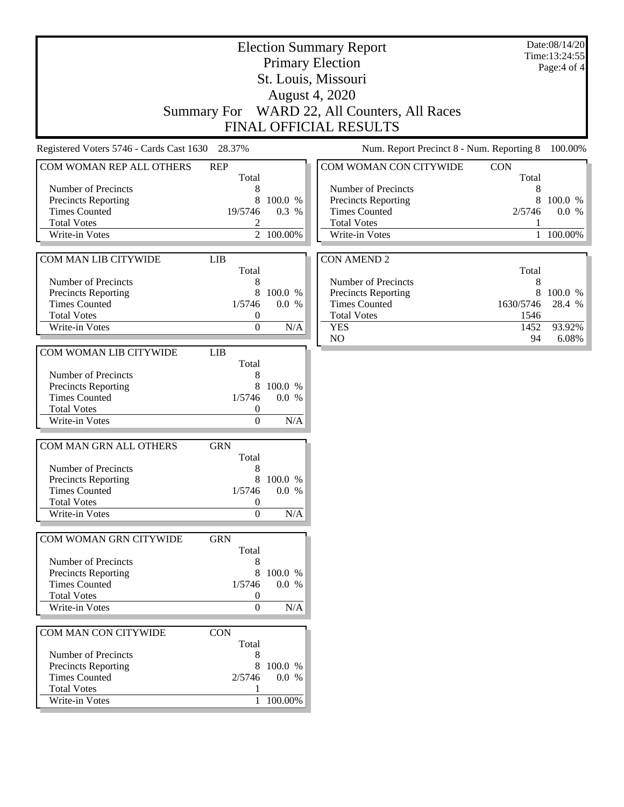| <b>Election Summary Report</b><br><b>Primary Election</b><br>St. Louis, Missouri<br>August 4, 2020<br>Summary For WARD 22, All Counters, All Races<br>FINAL OFFICIAL RESULTS |                                                                   |                                            |                                                                                                                     |                                                    | Date:08/14/20<br>Time: 13:24:55<br>Page:4 of 4 |
|------------------------------------------------------------------------------------------------------------------------------------------------------------------------------|-------------------------------------------------------------------|--------------------------------------------|---------------------------------------------------------------------------------------------------------------------|----------------------------------------------------|------------------------------------------------|
| Registered Voters 5746 - Cards Cast 1630 28.37%                                                                                                                              |                                                                   |                                            | Num. Report Precinct 8 - Num. Reporting 8                                                                           |                                                    | 100.00%                                        |
| COM WOMAN REP ALL OTHERS                                                                                                                                                     | <b>REP</b>                                                        |                                            | COM WOMAN CON CITYWIDE                                                                                              | <b>CON</b>                                         |                                                |
| Number of Precincts<br><b>Precincts Reporting</b><br><b>Times Counted</b><br><b>Total Votes</b><br>Write-in Votes                                                            | Total<br>8<br>8<br>19/5746<br>2                                   | 100.0 %<br>0.3 %<br>$\overline{2}$ 100.00% | Number of Precincts<br><b>Precincts Reporting</b><br><b>Times Counted</b><br><b>Total Votes</b><br>Write-in Votes   | Total<br>8<br>8<br>2/5746                          | 100.0 %<br>0.0 %<br>1 100.00%                  |
| COM MAN LIB CITYWIDE                                                                                                                                                         | <b>LIB</b>                                                        |                                            | <b>CON AMEND 2</b>                                                                                                  |                                                    |                                                |
| Number of Precincts<br><b>Precincts Reporting</b><br><b>Times Counted</b><br><b>Total Votes</b><br>Write-in Votes                                                            | Total<br>8<br>8<br>1/5746<br>$\boldsymbol{0}$<br>$\boldsymbol{0}$ | 100.0 %<br>0.0 %<br>N/A                    | Number of Precincts<br><b>Precincts Reporting</b><br><b>Times Counted</b><br><b>Total Votes</b><br><b>YES</b><br>NO | Total<br>8<br>8<br>1630/5746<br>1546<br>1452<br>94 | 100.0 %<br>28.4 %<br>93.92%<br>6.08%           |
| COM WOMAN LIB CITYWIDE                                                                                                                                                       | LIB                                                               |                                            |                                                                                                                     |                                                    |                                                |
| Number of Precincts<br><b>Precincts Reporting</b><br><b>Times Counted</b><br><b>Total Votes</b><br>Write-in Votes                                                            | Total<br>8<br>8<br>1/5746<br>$\boldsymbol{0}$<br>$\boldsymbol{0}$ | 100.0 %<br>0.0 %<br>N/A                    |                                                                                                                     |                                                    |                                                |
| COM MAN GRN ALL OTHERS                                                                                                                                                       | <b>GRN</b><br>Total                                               |                                            |                                                                                                                     |                                                    |                                                |
| Number of Precincts<br><b>Precincts Reporting</b><br><b>Times Counted</b><br><b>Total Votes</b><br>Write-in Votes                                                            | $\theta$<br>$\mathbf{0}$                                          | 8 100.0 %<br>1/5746  0.0 %<br>N/A          |                                                                                                                     |                                                    |                                                |
| COM WOMAN GRN CITYWIDE                                                                                                                                                       | <b>GRN</b>                                                        |                                            |                                                                                                                     |                                                    |                                                |
| Number of Precincts<br><b>Precincts Reporting</b><br><b>Times Counted</b><br><b>Total Votes</b><br>Write-in Votes                                                            | Total<br>8<br>8<br>1/5746<br>$\boldsymbol{0}$<br>$\mathbf{0}$     | 100.0 %<br>0.0 %<br>$\rm N/A$              |                                                                                                                     |                                                    |                                                |
| COM MAN CON CITYWIDE                                                                                                                                                         | <b>CON</b>                                                        |                                            |                                                                                                                     |                                                    |                                                |
| Number of Precincts<br><b>Precincts Reporting</b><br><b>Times Counted</b><br><b>Total Votes</b><br>Write-in Votes                                                            | Total<br>8<br>2/5746                                              | 100.0 %<br>0.0 %<br>1 100.00%              |                                                                                                                     |                                                    |                                                |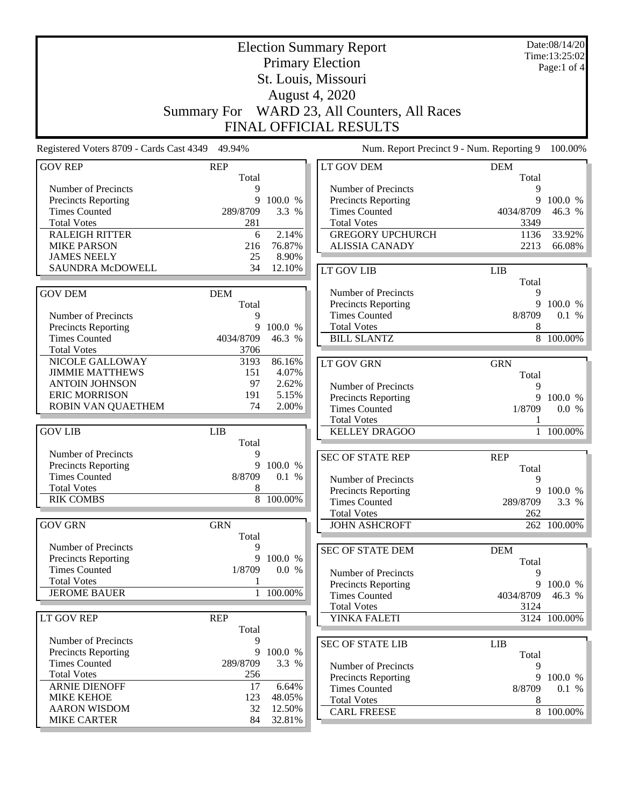|                                                 |                     |                 | <b>Election Summary Report</b>                   |                     | Date:08/14/20<br>Time:13:25:02 |
|-------------------------------------------------|---------------------|-----------------|--------------------------------------------------|---------------------|--------------------------------|
|                                                 |                     |                 | <b>Primary Election</b>                          |                     | Page:1 of 4                    |
|                                                 |                     |                 | St. Louis, Missouri                              |                     |                                |
|                                                 |                     |                 | August 4, 2020                                   |                     |                                |
|                                                 |                     |                 | WARD 23, All Counters, All Races                 |                     |                                |
|                                                 | <b>Summary For</b>  |                 | <b>FINAL OFFICIAL RESULTS</b>                    |                     |                                |
|                                                 |                     |                 |                                                  |                     |                                |
| Registered Voters 8709 - Cards Cast 4349 49.94% |                     |                 | Num. Report Precinct 9 - Num. Reporting 9        |                     | 100.00%                        |
| <b>GOV REP</b>                                  | <b>REP</b><br>Total |                 | LT GOV DEM                                       | <b>DEM</b><br>Total |                                |
| Number of Precincts                             | 9                   |                 | Number of Precincts                              | 9                   |                                |
| Precincts Reporting                             | 9                   | 100.0 %         | Precincts Reporting                              | 9                   | 100.0 %                        |
| <b>Times Counted</b>                            | 289/8709            | 3.3 %           | <b>Times Counted</b>                             | 4034/8709           | 46.3 %                         |
| <b>Total Votes</b>                              | 281                 |                 | <b>Total Votes</b>                               | 3349                |                                |
| <b>RALEIGH RITTER</b><br><b>MIKE PARSON</b>     | 6<br>216            | 2.14%<br>76.87% | <b>GREGORY UPCHURCH</b><br><b>ALISSIA CANADY</b> | 1136<br>2213        | 33.92%<br>66.08%               |
| <b>JAMES NEELY</b>                              | 25                  | 8.90%           |                                                  |                     |                                |
| SAUNDRA McDOWELL                                | 34                  | 12.10%          | <b>LT GOV LIB</b>                                | <b>LIB</b>          |                                |
|                                                 |                     |                 |                                                  | Total               |                                |
| <b>GOV DEM</b>                                  | <b>DEM</b>          |                 | Number of Precincts                              | 9                   |                                |
|                                                 | Total               |                 | Precincts Reporting                              | 9                   | 100.0 %                        |
| Number of Precincts                             | 9                   |                 | <b>Times Counted</b>                             | 8/8709              | 0.1 %                          |
| <b>Precincts Reporting</b>                      | 9                   | 100.0 %         | <b>Total Votes</b>                               | 8                   |                                |
| <b>Times Counted</b>                            | 4034/8709           | 46.3 %          | <b>BILL SLANTZ</b>                               |                     | 8 100.00%                      |
| <b>Total Votes</b>                              | 3706                |                 |                                                  |                     |                                |
| NICOLE GALLOWAY                                 | 3193                | 86.16%          | <b>LT GOV GRN</b>                                | <b>GRN</b>          |                                |
| <b>JIMMIE MATTHEWS</b>                          | 151                 | 4.07%           |                                                  | Total               |                                |
| <b>ANTOIN JOHNSON</b>                           | 97                  | 2.62%           | Number of Precincts                              | 9                   |                                |
| <b>ERIC MORRISON</b>                            | 191                 | 5.15%           | <b>Precincts Reporting</b>                       | 9                   | 100.0 %                        |
| ROBIN VAN QUAETHEM                              | 74                  | 2.00%           | <b>Times Counted</b>                             | 1/8709              | 0.0 %                          |
|                                                 |                     |                 | <b>Total Votes</b>                               |                     |                                |
| <b>GOV LIB</b>                                  | LIB                 |                 | <b>KELLEY DRAGOO</b>                             | $\mathbf{1}$        | 100.00%                        |
|                                                 | Total               |                 |                                                  |                     |                                |
| Number of Precincts                             | 9                   |                 | <b>SEC OF STATE REP</b>                          | <b>REP</b>          |                                |
| Precincts Reporting<br><b>Times Counted</b>     | 9                   | 100.0 %         |                                                  | Total               |                                |
| <b>Total Votes</b>                              | 8/8709<br>8         | 0.1 %           | Number of Precincts                              | 9                   |                                |
| <b>RIK COMBS</b>                                |                     | 8 100.00%       | <b>Precincts Reporting</b>                       |                     | 9 100.0 %                      |
|                                                 |                     |                 | <b>Times Counted</b>                             | 289/8709            | 3.3 %                          |
| <b>GOV GRN</b>                                  | <b>GRN</b>          |                 | <b>Total Votes</b><br><b>JOHN ASHCROFT</b>       | 262                 | 262 100.00%                    |
|                                                 | Total               |                 |                                                  |                     |                                |
| Number of Precincts                             | 9                   |                 |                                                  |                     |                                |
| <b>Precincts Reporting</b>                      | 9                   | 100.0 %         | <b>SEC OF STATE DEM</b>                          | <b>DEM</b><br>Total |                                |
| <b>Times Counted</b>                            | 1/8709              | 0.0 %           | Number of Precincts                              | 9                   |                                |
| <b>Total Votes</b>                              |                     |                 | Precincts Reporting                              |                     | 9 100.0 %                      |
| <b>JEROME BAUER</b>                             |                     | 1 100.00%       | <b>Times Counted</b>                             | 4034/8709           | 46.3 %                         |
|                                                 |                     |                 | <b>Total Votes</b>                               | 3124                |                                |
| LT GOV REP                                      | <b>REP</b>          |                 | YINKA FALETI                                     |                     | 3124 100.00%                   |
|                                                 | Total               |                 |                                                  |                     |                                |
| Number of Precincts                             | 9                   |                 | <b>SEC OF STATE LIB</b>                          | <b>LIB</b>          |                                |
| <b>Precincts Reporting</b>                      | 9                   | 100.0 %         |                                                  | Total               |                                |
| <b>Times Counted</b>                            | 289/8709            | 3.3 %           | Number of Precincts                              | 9                   |                                |
| <b>Total Votes</b>                              | 256                 |                 | Precincts Reporting                              | 9                   | 100.0 %                        |
| <b>ARNIE DIENOFF</b>                            | 17                  | 6.64%           | <b>Times Counted</b>                             | 8/8709              | 0.1 %                          |
| <b>MIKE KEHOE</b>                               | 123                 | 48.05%          | <b>Total Votes</b>                               | 8                   |                                |
| <b>AARON WISDOM</b>                             | 32                  | 12.50%          | <b>CARL FREESE</b>                               |                     | 8 100.00%                      |
| <b>MIKE CARTER</b>                              | 84                  | 32.81%          |                                                  |                     |                                |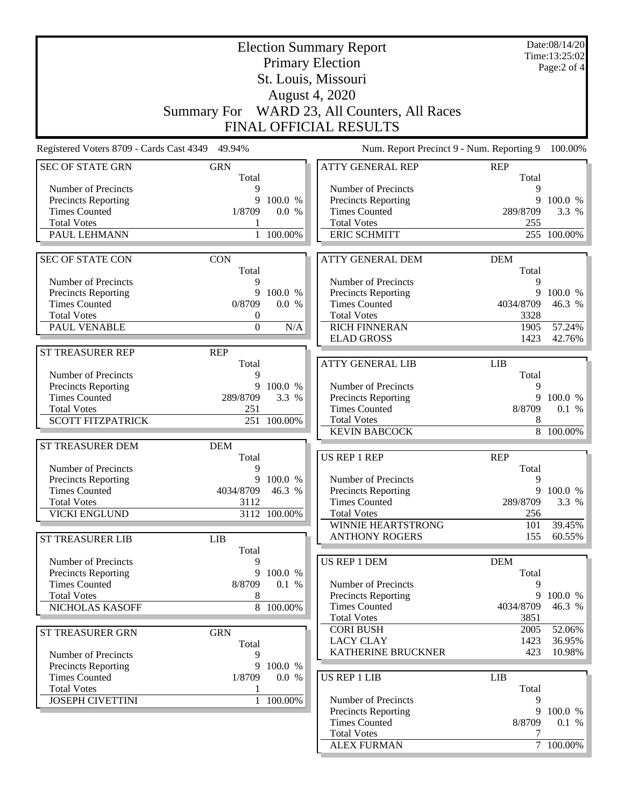|                                                    |                     |                  | <b>Election Summary Report</b>               |                     | Date:08/14/20<br>Time:13:25:02 |
|----------------------------------------------------|---------------------|------------------|----------------------------------------------|---------------------|--------------------------------|
|                                                    |                     |                  | <b>Primary Election</b>                      |                     | Page:2 of 4                    |
|                                                    |                     |                  | St. Louis, Missouri                          |                     |                                |
|                                                    |                     |                  | <b>August 4, 2020</b>                        |                     |                                |
|                                                    |                     |                  |                                              |                     |                                |
|                                                    |                     |                  | Summary For WARD 23, All Counters, All Races |                     |                                |
|                                                    |                     |                  | FINAL OFFICIAL RESULTS                       |                     |                                |
| Registered Voters 8709 - Cards Cast 4349 49.94%    |                     |                  | Num. Report Precinct 9 - Num. Reporting 9    |                     | 100.00%                        |
| <b>SEC OF STATE GRN</b>                            | <b>GRN</b><br>Total |                  | <b>ATTY GENERAL REP</b>                      | <b>REP</b><br>Total |                                |
| Number of Precincts                                | 9                   |                  | Number of Precincts                          | 9                   |                                |
| <b>Precincts Reporting</b><br><b>Times Counted</b> | 9<br>1/8709         | 100.0 %<br>0.0 % | Precincts Reporting<br><b>Times Counted</b>  | 9<br>289/8709       | 100.0 %<br>3.3 %               |
| <b>Total Votes</b>                                 |                     |                  | <b>Total Votes</b>                           | 255                 |                                |
| PAUL LEHMANN                                       |                     | 1 100.00%        | <b>ERIC SCHMITT</b>                          | 255                 | 100.00%                        |
|                                                    |                     |                  |                                              |                     |                                |
| <b>SEC OF STATE CON</b>                            | <b>CON</b><br>Total |                  | <b>ATTY GENERAL DEM</b>                      | <b>DEM</b><br>Total |                                |
| Number of Precincts                                | 9                   |                  | Number of Precincts                          | 9                   |                                |
| <b>Precincts Reporting</b>                         | 9                   | 100.0 %          | <b>Precincts Reporting</b>                   | 9                   | 100.0 %                        |
| <b>Times Counted</b>                               | 0/8709              | 0.0 %            | <b>Times Counted</b>                         | 4034/8709           | 46.3 %                         |
| <b>Total Votes</b>                                 | $\boldsymbol{0}$    |                  | <b>Total Votes</b>                           | 3328                |                                |
| PAUL VENABLE                                       | $\mathbf{0}$        | N/A              | <b>RICH FINNERAN</b><br><b>ELAD GROSS</b>    | 1905                | 57.24%                         |
|                                                    |                     |                  |                                              | 1423                | 42.76%                         |
| ST TREASURER REP                                   | <b>REP</b><br>Total |                  | <b>ATTY GENERAL LIB</b>                      | <b>LIB</b>          |                                |
| Number of Precincts                                | 9                   |                  |                                              | Total               |                                |
| <b>Precincts Reporting</b>                         |                     | 9 100.0 %        | Number of Precincts                          | 9                   |                                |
| <b>Times Counted</b>                               | 289/8709            | 3.3 %            | Precincts Reporting                          | 9                   | 100.0 %                        |
| <b>Total Votes</b>                                 | 251                 |                  | <b>Times Counted</b>                         | 8/8709              | 0.1 %                          |
| <b>SCOTT FITZPATRICK</b>                           |                     | 251 100.00%      | <b>Total Votes</b><br><b>KEVIN BABCOCK</b>   | 8<br>$\overline{8}$ | 100.00%                        |
| ST TREASURER DEM                                   | <b>DEM</b>          |                  |                                              |                     |                                |
|                                                    | Total               |                  | <b>US REP 1 REP</b>                          | <b>REP</b>          |                                |
| Number of Precincts                                | 9                   |                  |                                              | Total               |                                |
| <b>Precincts Reporting</b>                         |                     | 9 100.0 %        | Number of Precincts                          | 9                   |                                |
| <b>Times Counted</b>                               | 4034/8709           | 46.3 %           | <b>Precincts Reporting</b>                   | 9                   | 100.0 %                        |
| <b>Total Votes</b>                                 | 3112                |                  | <b>Times Counted</b>                         | 289/8709            | 3.3 $%$                        |
| <b>VICKI ENGLUND</b>                               |                     | 3112 100.00%     | <b>Total Votes</b>                           | 256                 |                                |
|                                                    |                     |                  | WINNIE HEARTSTRONG                           | 101                 | 39.45%                         |
| <b>ST TREASURER LIB</b>                            | LIB                 |                  | <b>ANTHONY ROGERS</b>                        | 155                 | $60.55\%$                      |
|                                                    | Total               |                  | <b>US REP 1 DEM</b>                          | <b>DEM</b>          |                                |
| Number of Precincts<br>Precincts Reporting         | 9<br>9              | 100.0 %          |                                              | Total               |                                |
| <b>Times Counted</b>                               | 8/8709              | 0.1 %            | Number of Precincts                          | 9                   |                                |
| <b>Total Votes</b>                                 | 8                   |                  | <b>Precincts Reporting</b>                   | 9                   | 100.0 %                        |
| NICHOLAS KASOFF                                    | 8                   | 100.00%          | <b>Times Counted</b>                         | 4034/8709           | 46.3 %                         |
|                                                    |                     |                  | <b>Total Votes</b>                           | 3851                |                                |
| ST TREASURER GRN                                   | <b>GRN</b>          |                  | <b>CORI BUSH</b>                             | 2005                | 52.06%                         |
|                                                    | Total               |                  | <b>LACY CLAY</b>                             | 1423                | 36.95%                         |
| Number of Precincts                                | 9                   |                  | KATHERINE BRUCKNER                           | 423                 | 10.98%                         |
| Precincts Reporting                                |                     | 9 100.0 %        |                                              |                     |                                |
| <b>Times Counted</b><br><b>Total Votes</b>         | 1/8709              | 0.0 %            | <b>US REP 1 LIB</b>                          | <b>LIB</b><br>Total |                                |
| <b>JOSEPH CIVETTINI</b>                            |                     | $1\quad100.00\%$ | Number of Precincts                          | 9                   |                                |
|                                                    |                     |                  | <b>Precincts Reporting</b>                   | 9                   | 100.0 %                        |
|                                                    |                     |                  | <b>Times Counted</b>                         | 8/8709              | 0.1 %                          |
|                                                    |                     |                  | <b>Total Votes</b>                           | 7                   |                                |
|                                                    |                     |                  | <b>ALEX FURMAN</b>                           |                     | $\frac{1}{7}$ 100.00%          |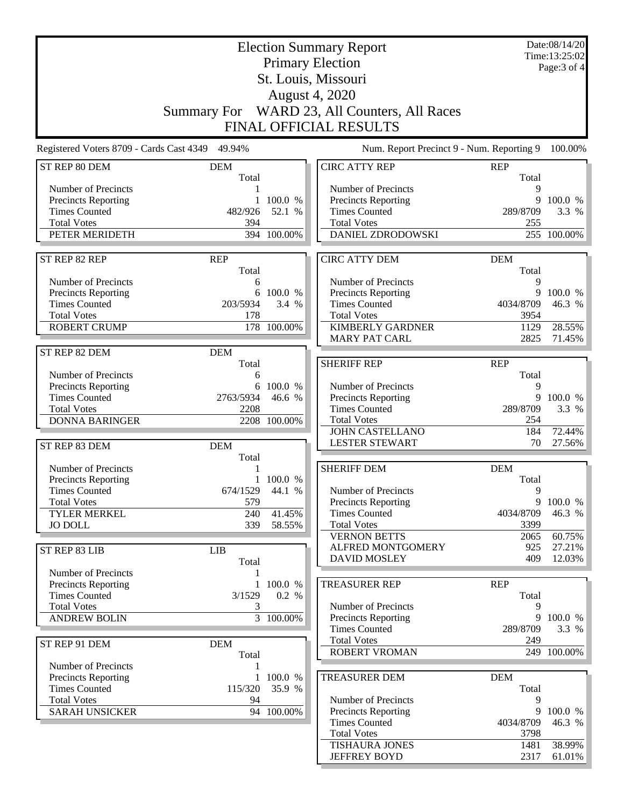|                                                    |                     |                    | <b>Election Summary Report</b>                     |                   | Date:08/14/20<br>Time:13:25:02 |
|----------------------------------------------------|---------------------|--------------------|----------------------------------------------------|-------------------|--------------------------------|
|                                                    |                     |                    | <b>Primary Election</b>                            |                   | Page: 3 of 4                   |
|                                                    |                     |                    | St. Louis, Missouri                                |                   |                                |
|                                                    |                     |                    | August 4, 2020                                     |                   |                                |
|                                                    |                     |                    |                                                    |                   |                                |
|                                                    |                     |                    | Summary For WARD 23, All Counters, All Races       |                   |                                |
|                                                    |                     |                    | FINAL OFFICIAL RESULTS                             |                   |                                |
| Registered Voters 8709 - Cards Cast 4349 49.94%    |                     |                    | Num. Report Precinct 9 - Num. Reporting 9          |                   | 100.00%                        |
| ST REP 80 DEM                                      | <b>DEM</b>          |                    | <b>CIRC ATTY REP</b>                               | <b>REP</b>        |                                |
|                                                    | Total               |                    |                                                    | Total             |                                |
| Number of Precincts                                | 1                   | 100.0 %            | Number of Precincts                                | 9<br>9            | 100.0 %                        |
| <b>Precincts Reporting</b><br><b>Times Counted</b> | 482/926             | 52.1 %             | <b>Precincts Reporting</b><br><b>Times Counted</b> | 289/8709          | 3.3 %                          |
| <b>Total Votes</b>                                 | 394                 |                    | <b>Total Votes</b>                                 | 255               |                                |
| PETER MERIDETH                                     |                     | 394 100.00%        | DANIEL ZDRODOWSKI                                  |                   | 255 100.00%                    |
|                                                    |                     |                    |                                                    |                   |                                |
| ST REP 82 REP                                      | <b>REP</b>          |                    | <b>CIRC ATTY DEM</b>                               | <b>DEM</b>        |                                |
|                                                    | Total               |                    |                                                    | Total             |                                |
| Number of Precincts                                | 6                   |                    | Number of Precincts                                | 9                 |                                |
| Precincts Reporting<br><b>Times Counted</b>        | 203/5934            | 6 100.0 %<br>3.4 % | Precincts Reporting<br><b>Times Counted</b>        | 9<br>4034/8709    | 100.0 %<br>46.3 %              |
| <b>Total Votes</b>                                 | 178                 |                    | <b>Total Votes</b>                                 | 3954              |                                |
| <b>ROBERT CRUMP</b>                                |                     | 178 100.00%        | <b>KIMBERLY GARDNER</b>                            | 1129              | 28.55%                         |
|                                                    |                     |                    | <b>MARY PAT CARL</b>                               | 2825              | 71.45%                         |
| ST REP 82 DEM                                      | <b>DEM</b>          |                    |                                                    |                   |                                |
|                                                    | Total               |                    | <b>SHERIFF REP</b>                                 | <b>REP</b>        |                                |
| Number of Precincts                                | 6                   |                    |                                                    | Total             |                                |
| Precincts Reporting                                | 6                   | 100.0 %            | Number of Precincts                                | 9                 |                                |
| <b>Times Counted</b>                               | 2763/5934           | 46.6 %             | Precincts Reporting                                | 9                 | 100.0 %                        |
| <b>Total Votes</b><br><b>DONNA BARINGER</b>        | 2208                | 2208 100.00%       | <b>Times Counted</b><br><b>Total Votes</b>         | 289/8709<br>254   | 3.3 %                          |
|                                                    |                     |                    | <b>JOHN CASTELLANO</b>                             | 184               | 72.44%                         |
| ST REP 83 DEM                                      | <b>DEM</b>          |                    | <b>LESTER STEWART</b>                              | 70                | 27.56%                         |
|                                                    | Total               |                    |                                                    |                   |                                |
| Number of Precincts                                |                     |                    | <b>SHERIFF DEM</b>                                 | <b>DEM</b>        |                                |
| <b>Precincts Reporting</b>                         |                     | 100.0 %            |                                                    | Total             |                                |
| <b>Times Counted</b>                               | 674/1529            | 44.1 %             | Number of Precincts                                | 9                 |                                |
| <b>Total Votes</b>                                 | 579                 |                    | <b>Precincts Reporting</b><br><b>Times Counted</b> |                   | 9 100.0 %                      |
| <b>TYLER MERKEL</b><br><b>JO DOLL</b>              | 240<br>339          | 41.45%<br>58.55%   | <b>Total Votes</b>                                 | 4034/8709<br>3399 | 46.3 %                         |
|                                                    |                     |                    | <b>VERNON BETTS</b>                                | 2065              | 60.75%                         |
| ST REP 83 LIB                                      | <b>LIB</b>          |                    | ALFRED MONTGOMERY                                  | 925               | 27.21%                         |
|                                                    | Total               |                    | <b>DAVID MOSLEY</b>                                | 409               | 12.03%                         |
| Number of Precincts                                |                     |                    |                                                    |                   |                                |
| Precincts Reporting                                | 1                   | 100.0 %            | <b>TREASURER REP</b>                               | <b>REP</b>        |                                |
| <b>Times Counted</b>                               | 3/1529              | 0.2 %              |                                                    | Total             |                                |
| <b>Total Votes</b>                                 | 3                   |                    | Number of Precincts                                | 9                 |                                |
| <b>ANDREW BOLIN</b>                                |                     | 3 100.00%          | <b>Precincts Reporting</b><br><b>Times Counted</b> | 9<br>289/8709     | 100.0 %<br>3.3 %               |
|                                                    |                     |                    | <b>Total Votes</b>                                 | 249               |                                |
| ST REP 91 DEM                                      | <b>DEM</b><br>Total |                    | <b>ROBERT VROMAN</b>                               |                   | 249 100.00%                    |
| Number of Precincts                                | 1                   |                    |                                                    |                   |                                |
| Precincts Reporting                                | $\mathbf{1}$        | 100.0 %            | <b>TREASURER DEM</b>                               | <b>DEM</b>        |                                |
| <b>Times Counted</b>                               | 115/320             | 35.9 %             |                                                    | Total             |                                |
| <b>Total Votes</b>                                 | 94                  |                    | Number of Precincts                                | 9                 |                                |
| <b>SARAH UNSICKER</b>                              |                     | 94 100.00%         | <b>Precincts Reporting</b>                         | 9                 | 100.0 %                        |
|                                                    |                     |                    | <b>Times Counted</b><br><b>Total Votes</b>         | 4034/8709<br>3798 | 46.3 %                         |
|                                                    |                     |                    | <b>TISHAURA JONES</b>                              | 1481              | 38.99%                         |
|                                                    |                     |                    | <b>JEFFREY BOYD</b>                                | 2317              | $61.01\%$                      |
|                                                    |                     |                    |                                                    |                   |                                |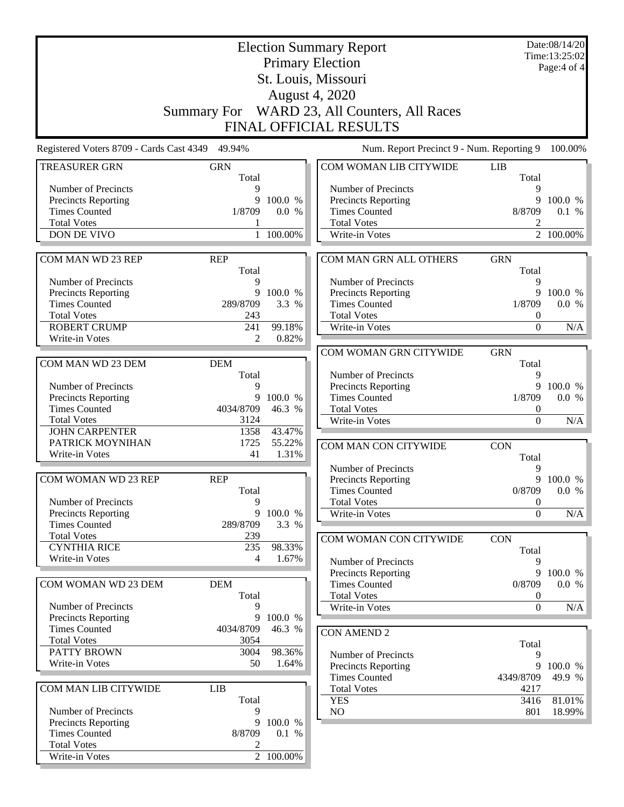|                                             |              |                 | <b>Election Summary Report</b>               |                              | Date:08/14/20<br>Time:13:25:02 |
|---------------------------------------------|--------------|-----------------|----------------------------------------------|------------------------------|--------------------------------|
|                                             |              |                 | <b>Primary Election</b>                      |                              | Page:4 of 4                    |
|                                             |              |                 | St. Louis, Missouri                          |                              |                                |
|                                             |              |                 | <b>August 4, 2020</b>                        |                              |                                |
|                                             |              |                 |                                              |                              |                                |
|                                             |              |                 | Summary For WARD 23, All Counters, All Races |                              |                                |
|                                             |              |                 | FINAL OFFICIAL RESULTS                       |                              |                                |
| Registered Voters 8709 - Cards Cast 4349    | 49.94%       |                 | Num. Report Precinct 9 - Num. Reporting 9    |                              | 100.00%                        |
| <b>TREASURER GRN</b>                        | <b>GRN</b>   |                 | COM WOMAN LIB CITYWIDE                       | <b>LIB</b>                   |                                |
|                                             | Total        |                 |                                              | Total                        |                                |
| Number of Precincts                         | 9<br>9       | 100.0 %         | Number of Precincts<br>Precincts Reporting   | 9<br>9                       | 100.0 %                        |
| Precincts Reporting<br><b>Times Counted</b> | 1/8709       | 0.0 %           | <b>Times Counted</b>                         | 8/8709                       | 0.1 %                          |
| <b>Total Votes</b>                          | 1            |                 | <b>Total Votes</b>                           | 2                            |                                |
| <b>DON DE VIVO</b>                          |              | 100.00%         | Write-in Votes                               |                              | $\overline{2}$ 100.00%         |
|                                             |              |                 |                                              |                              |                                |
| COM MAN WD 23 REP                           | <b>REP</b>   |                 | COM MAN GRN ALL OTHERS                       | <b>GRN</b>                   |                                |
|                                             | Total        |                 |                                              | Total                        |                                |
| Number of Precincts                         | 9            |                 | Number of Precincts                          | 9                            |                                |
| Precincts Reporting                         | 9            | 100.0 %         | Precincts Reporting                          | 9                            | 100.0 %                        |
| <b>Times Counted</b>                        | 289/8709     | 3.3 %           | <b>Times Counted</b>                         | 1/8709                       | 0.0 %                          |
| <b>Total Votes</b>                          | 243          |                 | <b>Total Votes</b><br>Write-in Votes         | $\boldsymbol{0}$             |                                |
| <b>ROBERT CRUMP</b><br>Write-in Votes       | 241<br>2     | 99.18%<br>0.82% |                                              | $\boldsymbol{0}$             | N/A                            |
|                                             |              |                 |                                              |                              |                                |
| COM MAN WD 23 DEM                           | <b>DEM</b>   |                 | COM WOMAN GRN CITYWIDE                       | <b>GRN</b><br>Total          |                                |
|                                             | Total        |                 | Number of Precincts                          | 9                            |                                |
| Number of Precincts                         | 9            |                 | Precincts Reporting                          | 9                            | 100.0 %                        |
| Precincts Reporting                         | 9            | 100.0 %         | <b>Times Counted</b>                         | 1/8709                       | 0.0 %                          |
| <b>Times Counted</b>                        | 4034/8709    | 46.3 %          | <b>Total Votes</b>                           | $\boldsymbol{0}$             |                                |
| <b>Total Votes</b>                          | 3124         |                 | Write-in Votes                               | $\mathbf{0}$                 | N/A                            |
| <b>JOHN CARPENTER</b>                       | 1358         | 43.47%          |                                              |                              |                                |
| PATRICK MOYNIHAN                            | 1725         | 55.22%          | COM MAN CON CITYWIDE                         | <b>CON</b>                   |                                |
| Write-in Votes                              | 41           | 1.31%           |                                              | Total                        |                                |
|                                             |              |                 | Number of Precincts                          | 9                            |                                |
| COM WOMAN WD 23 REP                         | <b>REP</b>   |                 | <b>Precincts Reporting</b>                   | 9                            | 100.0 %                        |
| Number of Precincts                         | Total        |                 | <b>Times Counted</b>                         | 0/8709                       | 0.0 %                          |
| <b>Precincts Reporting</b>                  | 9            | 9 100.0 %       | <b>Total Votes</b><br>Write-in Votes         | $\boldsymbol{0}$<br>$\theta$ | N/A                            |
| <b>Times Counted</b>                        | 289/8709     | 3.3 %           |                                              |                              |                                |
| <b>Total Votes</b>                          | 239          |                 | COM WOMAN CON CITYWIDE                       | <b>CON</b>                   |                                |
| <b>CYNTHIA RICE</b>                         | 235          | 98.33%          |                                              | Total                        |                                |
| Write-in Votes                              | 4            | 1.67%           | Number of Precincts                          | 9                            |                                |
|                                             |              |                 | Precincts Reporting                          | 9                            | 100.0 %                        |
| COM WOMAN WD 23 DEM                         | <b>DEM</b>   |                 | <b>Times Counted</b>                         | 0/8709                       | 0.0 %                          |
|                                             | Total        |                 | <b>Total Votes</b>                           | $\boldsymbol{0}$             |                                |
| Number of Precincts                         | 9            |                 | Write-in Votes                               | $\mathbf{0}$                 | $\overline{N}/A$               |
| <b>Precincts Reporting</b>                  | 9            | 100.0 %         |                                              |                              |                                |
| <b>Times Counted</b>                        | 4034/8709    | 46.3 %          | <b>CON AMEND 2</b>                           |                              |                                |
| <b>Total Votes</b><br>PATTY BROWN           | 3054<br>3004 | 98.36%          |                                              | Total                        |                                |
| Write-in Votes                              | 50           | 1.64%           | Number of Precincts                          | 9                            |                                |
|                                             |              |                 | Precincts Reporting                          | 9                            | 100.0 %                        |
| COM MAN LIB CITYWIDE                        | <b>LIB</b>   |                 | <b>Times Counted</b><br><b>Total Votes</b>   | 4349/8709<br>4217            | 49.9 %                         |
|                                             | Total        |                 | <b>YES</b>                                   | 3416                         | 81.01%                         |
| Number of Precincts                         | 9            |                 | NO                                           | 801                          | 18.99%                         |
| Precincts Reporting                         | 9            | 100.0 %         |                                              |                              |                                |
| <b>Times Counted</b>                        | 8/8709       | 0.1 %           |                                              |                              |                                |
| <b>Total Votes</b>                          | 2            |                 |                                              |                              |                                |
| Write-in Votes                              |              | 2 100.00%       |                                              |                              |                                |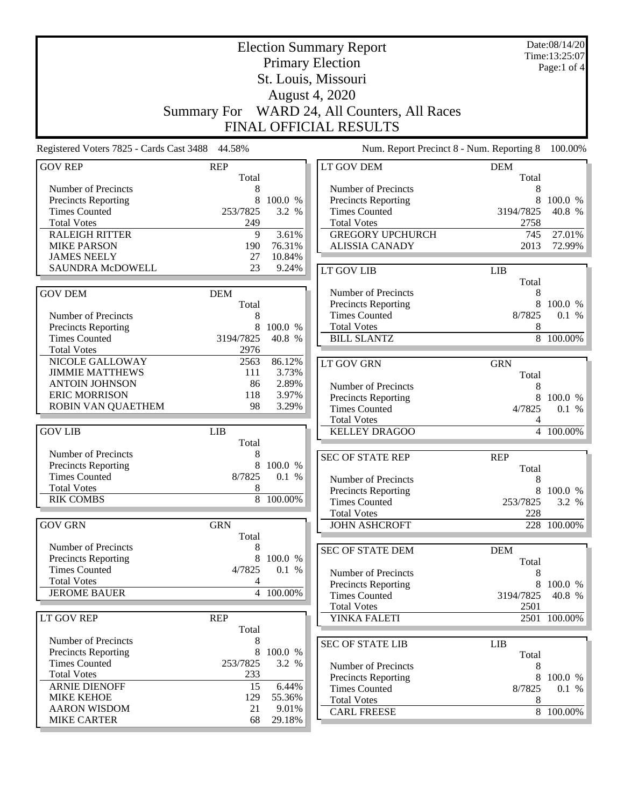|                                                 |                     |                  | <b>Election Summary Report</b>              |                     | Date:08/14/20<br>Time:13:25:07 |
|-------------------------------------------------|---------------------|------------------|---------------------------------------------|---------------------|--------------------------------|
|                                                 |                     |                  | <b>Primary Election</b>                     |                     | Page:1 of 4                    |
|                                                 |                     |                  | St. Louis, Missouri                         |                     |                                |
|                                                 |                     |                  | <b>August 4, 2020</b>                       |                     |                                |
|                                                 |                     |                  | WARD 24, All Counters, All Races            |                     |                                |
|                                                 | <b>Summary For</b>  |                  | <b>FINAL OFFICIAL RESULTS</b>               |                     |                                |
|                                                 |                     |                  |                                             |                     |                                |
| Registered Voters 7825 - Cards Cast 3488 44.58% |                     |                  | Num. Report Precinct 8 - Num. Reporting 8   |                     | 100.00%                        |
| <b>GOV REP</b>                                  | <b>REP</b><br>Total |                  | LT GOV DEM                                  | <b>DEM</b><br>Total |                                |
| Number of Precincts                             | 8                   |                  | Number of Precincts                         | 8                   |                                |
| Precincts Reporting                             | 8                   | 100.0 %          | Precincts Reporting                         | 8                   | 100.0 %                        |
| <b>Times Counted</b>                            | 253/7825            | 3.2 %            | <b>Times Counted</b>                        | 3194/7825           | 40.8 %                         |
| <b>Total Votes</b>                              | 249                 |                  | <b>Total Votes</b>                          | 2758                |                                |
| <b>RALEIGH RITTER</b>                           | 9                   | 3.61%            | <b>GREGORY UPCHURCH</b>                     | 745                 | 27.01%                         |
| <b>MIKE PARSON</b><br><b>JAMES NEELY</b>        | 190<br>27           | 76.31%<br>10.84% | <b>ALISSIA CANADY</b>                       | 2013                | 72.99%                         |
| SAUNDRA McDOWELL                                | 23                  | 9.24%            |                                             |                     |                                |
|                                                 |                     |                  | <b>LT GOV LIB</b>                           | <b>LIB</b><br>Total |                                |
| <b>GOV DEM</b>                                  | <b>DEM</b>          |                  | Number of Precincts                         | 8                   |                                |
|                                                 | Total               |                  | Precincts Reporting                         | 8                   | 100.0 %                        |
| Number of Precincts                             | 8                   |                  | <b>Times Counted</b>                        | 8/7825              | 0.1 %                          |
| Precincts Reporting                             | 8                   | 100.0 %          | <b>Total Votes</b>                          | 8                   |                                |
| <b>Times Counted</b>                            | 3194/7825           | 40.8 %           | <b>BILL SLANTZ</b>                          |                     | 8 100.00%                      |
| <b>Total Votes</b>                              | 2976                |                  |                                             |                     |                                |
| NICOLE GALLOWAY                                 | 2563                | 86.12%           | <b>LT GOV GRN</b>                           | <b>GRN</b>          |                                |
| <b>JIMMIE MATTHEWS</b>                          | 111                 | 3.73%            |                                             | Total               |                                |
| <b>ANTOIN JOHNSON</b>                           | 86                  | 2.89%            | Number of Precincts                         | 8                   |                                |
| <b>ERIC MORRISON</b>                            | 118                 | 3.97%            | Precincts Reporting                         | 8                   | 100.0 %                        |
| ROBIN VAN QUAETHEM                              | 98                  | 3.29%            | <b>Times Counted</b>                        | 4/7825              | 0.1 %                          |
|                                                 |                     |                  | <b>Total Votes</b>                          | 4                   |                                |
| <b>GOV LIB</b>                                  | LIB                 |                  | <b>KELLEY DRAGOO</b>                        |                     | 4 100.00%                      |
|                                                 | Total               |                  |                                             |                     |                                |
| Number of Precincts                             | 8                   |                  | <b>SEC OF STATE REP</b>                     | <b>REP</b>          |                                |
| Precincts Reporting                             | 8                   | 100.0 %          |                                             | Total               |                                |
| <b>Times Counted</b>                            | 8/7825              | 0.1 %            | Number of Precincts                         | 8                   |                                |
| <b>Total Votes</b><br><b>RIK COMBS</b>          | 8                   | 8 100.00%        | <b>Precincts Reporting</b>                  | 8                   | 100.0 %                        |
|                                                 |                     |                  | <b>Times Counted</b>                        | 253/7825            | 3.2 %                          |
| <b>GOV GRN</b>                                  | <b>GRN</b>          |                  | <b>Total Votes</b><br><b>JOHN ASHCROFT</b>  | 228                 |                                |
|                                                 | Total               |                  |                                             |                     | 228 100.00%                    |
| Number of Precincts                             | 8                   |                  |                                             |                     |                                |
| <b>Precincts Reporting</b>                      | 8                   | 100.0 %          | <b>SEC OF STATE DEM</b>                     | <b>DEM</b>          |                                |
| <b>Times Counted</b>                            | 4/7825              | 0.1 %            |                                             | Total               |                                |
| <b>Total Votes</b>                              | 4                   |                  | Number of Precincts                         | 8                   | 8 100.0 %                      |
| <b>JEROME BAUER</b>                             |                     | 4 100.00%        | Precincts Reporting<br><b>Times Counted</b> | 3194/7825           | 40.8 %                         |
|                                                 |                     |                  | <b>Total Votes</b>                          | 2501                |                                |
| LT GOV REP                                      | <b>REP</b>          |                  | YINKA FALETI                                |                     | $\overline{2501}^{-100.00\%}$  |
|                                                 | Total               |                  |                                             |                     |                                |
| Number of Precincts                             | 8                   |                  | <b>SEC OF STATE LIB</b>                     | <b>LIB</b>          |                                |
| <b>Precincts Reporting</b>                      | 8                   | 100.0 %          |                                             | Total               |                                |
| <b>Times Counted</b>                            | 253/7825            | 3.2 %            | Number of Precincts                         | 8                   |                                |
| <b>Total Votes</b>                              | 233                 |                  | Precincts Reporting                         | 8                   | 100.0 %                        |
| <b>ARNIE DIENOFF</b>                            | 15                  | 6.44%            | <b>Times Counted</b>                        | 8/7825              | 0.1 %                          |
| <b>MIKE KEHOE</b>                               | 129                 | 55.36%           | <b>Total Votes</b>                          | 8                   |                                |
| <b>AARON WISDOM</b>                             | 21                  | 9.01%            | <b>CARL FREESE</b>                          |                     | 8 100.00%                      |
| <b>MIKE CARTER</b>                              | 68                  | 29.18%           |                                             |                     |                                |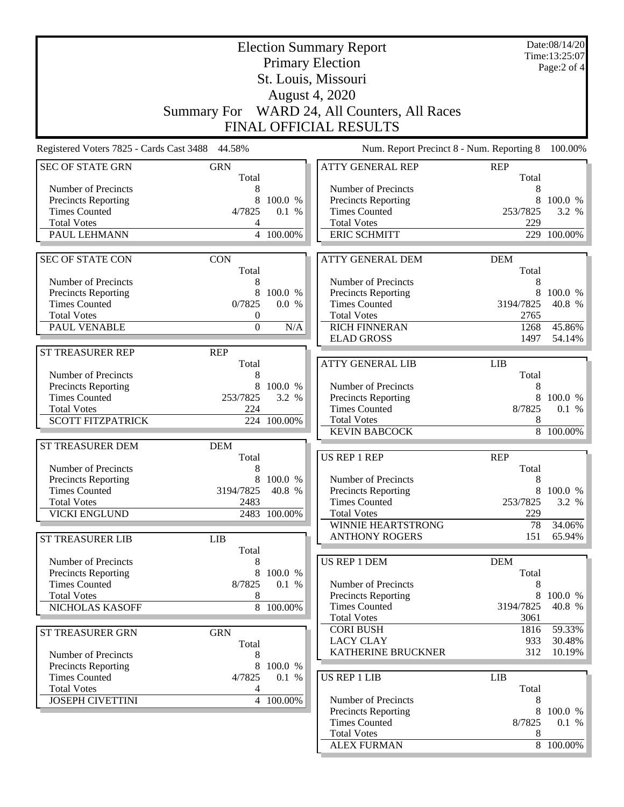|                                                 |                     |              | <b>Election Summary Report</b>            |                     | Date:08/14/20                |
|-------------------------------------------------|---------------------|--------------|-------------------------------------------|---------------------|------------------------------|
|                                                 |                     |              | <b>Primary Election</b>                   |                     | Time:13:25:07<br>Page:2 of 4 |
|                                                 |                     |              | St. Louis, Missouri                       |                     |                              |
|                                                 |                     |              | <b>August 4, 2020</b>                     |                     |                              |
|                                                 |                     |              |                                           |                     |                              |
|                                                 | <b>Summary For</b>  |              | WARD 24, All Counters, All Races          |                     |                              |
|                                                 |                     |              | FINAL OFFICIAL RESULTS                    |                     |                              |
| Registered Voters 7825 - Cards Cast 3488 44.58% |                     |              | Num. Report Precinct 8 - Num. Reporting 8 |                     | 100.00%                      |
| <b>SEC OF STATE GRN</b>                         | <b>GRN</b><br>Total |              | <b>ATTY GENERAL REP</b>                   | <b>REP</b><br>Total |                              |
| Number of Precincts                             | 8                   |              | Number of Precincts                       | 8                   |                              |
| <b>Precincts Reporting</b>                      | 8                   | 100.0 %      | <b>Precincts Reporting</b>                | 8                   | 100.0 %                      |
| <b>Times Counted</b>                            | 4/7825              | 0.1 %        | <b>Times Counted</b>                      | 253/7825            | 3.2 %                        |
| <b>Total Votes</b>                              | 4<br>$\overline{4}$ |              | <b>Total Votes</b>                        | 229<br>229          |                              |
| PAUL LEHMANN                                    |                     | 100.00%      | <b>ERIC SCHMITT</b>                       |                     | 100.00%                      |
| <b>SEC OF STATE CON</b>                         | <b>CON</b>          |              | <b>ATTY GENERAL DEM</b>                   | <b>DEM</b>          |                              |
|                                                 | Total               |              |                                           | Total               |                              |
| Number of Precincts                             | 8                   |              | Number of Precincts                       | 8                   |                              |
| <b>Precincts Reporting</b>                      | 8                   | 100.0 %      | Precincts Reporting                       | 8                   | 100.0 %                      |
| <b>Times Counted</b>                            | 0/7825              | 0.0 %        | <b>Times Counted</b>                      | 3194/7825           | 40.8 %                       |
| <b>Total Votes</b>                              | 0                   |              | <b>Total Votes</b>                        | 2765                |                              |
| PAUL VENABLE                                    | $\mathbf{0}$        | N/A          | <b>RICH FINNERAN</b><br><b>ELAD GROSS</b> | 1268<br>1497        | 45.86%<br>54.14%             |
| <b>ST TREASURER REP</b>                         | <b>REP</b>          |              |                                           |                     |                              |
|                                                 | Total               |              | <b>ATTY GENERAL LIB</b>                   | <b>LIB</b>          |                              |
| Number of Precincts                             | 8                   |              |                                           | Total               |                              |
| <b>Precincts Reporting</b>                      | 8                   | 100.0 %      | Number of Precincts                       | 8                   |                              |
| <b>Times Counted</b>                            | 253/7825            | 3.2 %        | <b>Precincts Reporting</b>                | 8                   | 100.0 %                      |
| <b>Total Votes</b>                              | 224                 |              | <b>Times Counted</b>                      | 8/7825              | 0.1 %                        |
| <b>SCOTT FITZPATRICK</b>                        |                     | 224 100.00%  | <b>Total Votes</b>                        | 8                   |                              |
|                                                 |                     |              | <b>KEVIN BABCOCK</b>                      | 8                   | 100.00%                      |
| ST TREASURER DEM                                | <b>DEM</b>          |              |                                           |                     |                              |
| Number of Precincts                             | Total<br>8          |              | <b>US REP 1 REP</b>                       | <b>REP</b><br>Total |                              |
| Precincts Reporting                             |                     | 100.0 %      | Number of Precincts                       | 8                   |                              |
| <b>Times Counted</b>                            | 3194/7825           | 40.8 %       | Precincts Reporting                       | 8                   | 100.0 %                      |
| <b>Total Votes</b>                              | 2483                |              | <b>Times Counted</b>                      | 253/7825            | 3.2 %                        |
| <b>VICKI ENGLUND</b>                            |                     | 2483 100.00% | <b>Total Votes</b>                        | 229                 |                              |
|                                                 |                     |              | WINNIE HEARTSTRONG                        | 78                  | 34.06%                       |
| <b>ST TREASURER LIB</b>                         | LIB                 |              | <b>ANTHONY ROGERS</b>                     | 151                 | 65.94%                       |
|                                                 | Total               |              |                                           |                     |                              |
| Number of Precincts                             | 8<br>8              | 100.0 %      | <b>US REP 1 DEM</b>                       | <b>DEM</b><br>Total |                              |
| Precincts Reporting<br><b>Times Counted</b>     | 8/7825              | 0.1 %        | Number of Precincts                       | 8                   |                              |
| <b>Total Votes</b>                              | 8                   |              | Precincts Reporting                       | 8                   | 100.0 %                      |
| NICHOLAS KASOFF                                 | 8                   | 100.00%      | <b>Times Counted</b>                      | 3194/7825           | 40.8 %                       |
|                                                 |                     |              | <b>Total Votes</b>                        | 3061                |                              |
| ST TREASURER GRN                                | <b>GRN</b>          |              | <b>CORI BUSH</b>                          | 1816                | 59.33%                       |
|                                                 | Total               |              | <b>LACY CLAY</b>                          | 933                 | 30.48%                       |
| Number of Precincts                             | 8                   |              | KATHERINE BRUCKNER                        | 312                 | 10.19%                       |
| Precincts Reporting                             | 8                   | 100.0 %      |                                           |                     |                              |
| <b>Times Counted</b>                            | 4/7825              | 0.1 %        | <b>US REP 1 LIB</b>                       | <b>LIB</b>          |                              |
| <b>Total Votes</b><br><b>JOSEPH CIVETTINI</b>   | 4                   | 4 100.00%    | Number of Precincts                       | Total<br>8          |                              |
|                                                 |                     |              | <b>Precincts Reporting</b>                | 8                   | 100.0 %                      |
|                                                 |                     |              | <b>Times Counted</b>                      | 8/7825              | 0.1 %                        |
|                                                 |                     |              | <b>Total Votes</b>                        | 8                   |                              |
|                                                 |                     |              | <b>ALEX FURMAN</b>                        |                     | 8 100.00%                    |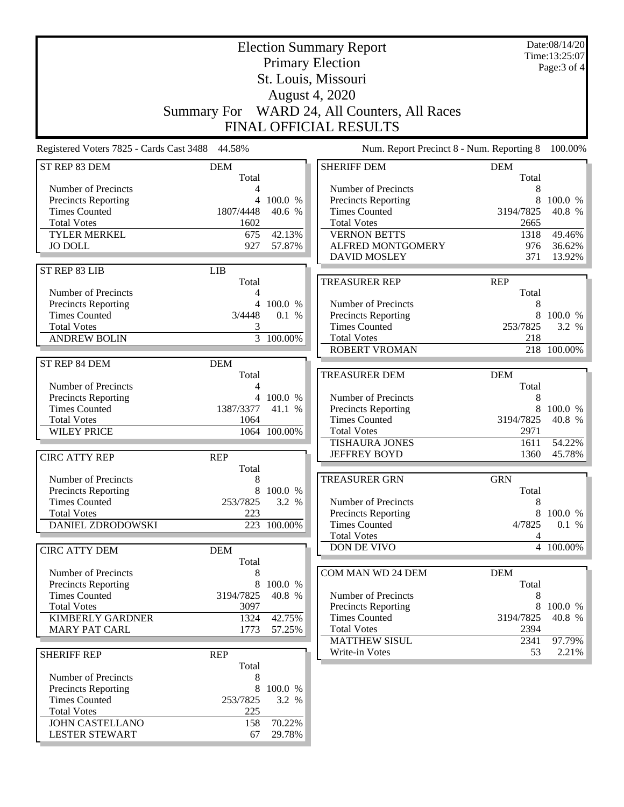|                                                 |                             |                   | <b>Election Summary Report</b>               |                | Date:08/14/20<br>Time:13:25:07<br>Page: 3 of 4 |  |
|-------------------------------------------------|-----------------------------|-------------------|----------------------------------------------|----------------|------------------------------------------------|--|
|                                                 | <b>Primary Election</b>     |                   |                                              |                |                                                |  |
|                                                 | St. Louis, Missouri         |                   |                                              |                |                                                |  |
|                                                 |                             |                   | August 4, 2020                               |                |                                                |  |
|                                                 |                             |                   | Summary For WARD 24, All Counters, All Races |                |                                                |  |
|                                                 |                             |                   | FINAL OFFICIAL RESULTS                       |                |                                                |  |
| Registered Voters 7825 - Cards Cast 3488 44.58% |                             |                   | Num. Report Precinct 8 - Num. Reporting 8    |                | 100.00%                                        |  |
| ST REP 83 DEM                                   | <b>DEM</b>                  |                   | <b>SHERIFF DEM</b>                           | <b>DEM</b>     |                                                |  |
|                                                 | Total                       |                   |                                              | Total          |                                                |  |
| Number of Precincts                             | 4                           |                   | Number of Precincts                          | 8              |                                                |  |
| Precincts Reporting<br><b>Times Counted</b>     | $\overline{4}$<br>1807/4448 | 100.0 %<br>40.6 % | Precincts Reporting<br><b>Times Counted</b>  | 8<br>3194/7825 | 100.0 %<br>40.8 %                              |  |
|                                                 |                             |                   | <b>Total Votes</b>                           |                |                                                |  |
| <b>Total Votes</b><br><b>TYLER MERKEL</b>       | 1602<br>675                 | 42.13%            | <b>VERNON BETTS</b>                          | 2665<br>1318   | 49.46%                                         |  |
| <b>JO DOLL</b>                                  | 927                         | 57.87%            | ALFRED MONTGOMERY                            | 976            | 36.62%                                         |  |
|                                                 |                             |                   | <b>DAVID MOSLEY</b>                          | 371            | 13.92%                                         |  |
| <b>ST REP 83 LIB</b>                            | <b>LIB</b>                  |                   |                                              |                |                                                |  |
|                                                 | Total                       |                   | <b>TREASURER REP</b>                         | <b>REP</b>     |                                                |  |
| Number of Precincts                             | 4                           |                   |                                              | Total          |                                                |  |
| Precincts Reporting                             |                             | 4 100.0 %         | Number of Precincts                          | 8              |                                                |  |
| <b>Times Counted</b>                            | 3/4448                      | 0.1 %             | Precincts Reporting                          | 8              | 100.0 %                                        |  |
| <b>Total Votes</b>                              | 3                           |                   | <b>Times Counted</b>                         | 253/7825       | 3.2 %                                          |  |
| <b>ANDREW BOLIN</b>                             |                             | 3 100.00%         | <b>Total Votes</b>                           | 218            |                                                |  |
|                                                 |                             |                   | <b>ROBERT VROMAN</b>                         |                | 218 100.00%                                    |  |
| ST REP 84 DEM                                   | <b>DEM</b>                  |                   |                                              |                |                                                |  |
|                                                 | Total                       |                   | <b>TREASURER DEM</b>                         | <b>DEM</b>     |                                                |  |
| Number of Precincts                             | 4                           |                   |                                              | Total          |                                                |  |
| Precincts Reporting                             |                             | 4 100.0 %         | Number of Precincts                          | 8              |                                                |  |
| <b>Times Counted</b>                            | 1387/3377                   | 41.1 %            | Precincts Reporting                          | 8              | 100.0 %                                        |  |
| <b>Total Votes</b>                              | 1064                        |                   | <b>Times Counted</b>                         | 3194/7825      | 40.8 %                                         |  |
| <b>WILEY PRICE</b>                              |                             | 1064 100.00%      | <b>Total Votes</b>                           | 2971           |                                                |  |
|                                                 |                             |                   | <b>TISHAURA JONES</b>                        | 1611           | 54.22%                                         |  |
| <b>CIRC ATTY REP</b>                            | <b>REP</b>                  |                   | <b>JEFFREY BOYD</b>                          | 1360           | 45.78%                                         |  |
|                                                 | Total                       |                   |                                              |                |                                                |  |
| Number of Precincts                             | 8                           |                   | <b>TREASURER GRN</b>                         | <b>GRN</b>     |                                                |  |
| <b>Precincts Reporting</b>                      | 8                           | 100.0 %           |                                              | Total          |                                                |  |
| <b>Times Counted</b>                            | 253/7825                    | 3.2 %             | Number of Precincts                          | $\,8$          |                                                |  |
| <b>Total Votes</b>                              | 223                         |                   | Precincts Reporting                          |                | 8 100.0 %                                      |  |
| <b>DANIEL ZDRODOWSKI</b>                        |                             | 223 100.00%       | <b>Times Counted</b>                         | 4/7825         | 0.1 %                                          |  |
|                                                 |                             |                   | <b>Total Votes</b>                           | 4              |                                                |  |
| <b>CIRC ATTY DEM</b>                            | <b>DEM</b>                  |                   | <b>DON DE VIVO</b>                           |                | 4 100.00%                                      |  |
|                                                 | Total                       |                   |                                              |                |                                                |  |
| Number of Precincts                             | 8                           |                   | COM MAN WD 24 DEM                            | <b>DEM</b>     |                                                |  |
| Precincts Reporting                             | 8                           | 100.0 %           |                                              | Total          |                                                |  |
| <b>Times Counted</b>                            | 3194/7825                   | 40.8 %            | <b>Number of Precincts</b>                   | 8              |                                                |  |
| <b>Total Votes</b>                              | 3097                        |                   | Precincts Reporting                          | 8              | 100.0 %                                        |  |
| <b>KIMBERLY GARDNER</b>                         | 1324                        | 42.75%            | <b>Times Counted</b>                         | 3194/7825      | 40.8 %                                         |  |
| <b>MARY PAT CARL</b>                            | 1773                        | 57.25%            | <b>Total Votes</b>                           | 2394           |                                                |  |
|                                                 |                             |                   | <b>MATTHEW SISUL</b>                         | 2341           | 97.79%                                         |  |
| <b>SHERIFF REP</b>                              | <b>REP</b>                  |                   | Write-in Votes                               | 53             | 2.21%                                          |  |
|                                                 | Total                       |                   |                                              |                |                                                |  |
| Number of Precincts                             | 8                           |                   |                                              |                |                                                |  |
| Precincts Reporting                             | 8                           | 100.0 %           |                                              |                |                                                |  |
| <b>Times Counted</b>                            | 253/7825                    | 3.2 %             |                                              |                |                                                |  |
| <b>Total Votes</b>                              | 225                         |                   |                                              |                |                                                |  |
| JOHN CASTELLANO                                 | 158                         | 70.22%            |                                              |                |                                                |  |
| <b>LESTER STEWART</b>                           | 67                          | 29.78%            |                                              |                |                                                |  |

a sa kabila sa kasang sa kalawang sa kasang sa kasang sa kasang sa kasang sa kasang sa kasang sa kasang sa kas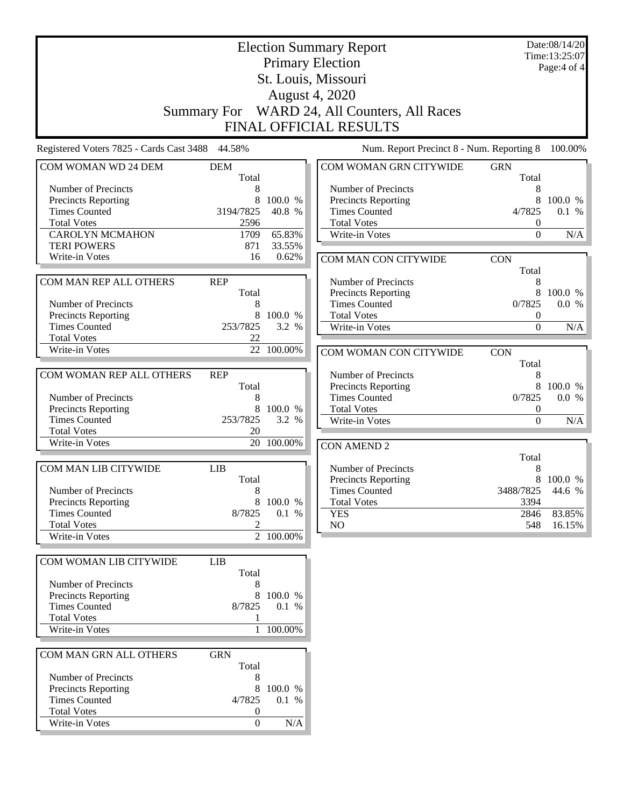| <b>Primary Election</b><br>Page:4 of 4<br>St. Louis, Missouri<br><b>August 4, 2020</b><br>Summary For WARD 24, All Counters, All Races<br><b>FINAL OFFICIAL RESULTS</b><br>Registered Voters 7825 - Cards Cast 3488<br>44.58%<br>Num. Report Precinct 8 - Num. Reporting 8<br>100.00%<br>COM WOMAN GRN CITYWIDE<br>COM WOMAN WD 24 DEM<br><b>DEM</b><br><b>GRN</b><br>Total<br>Total<br>Number of Precincts<br>Number of Precincts<br>8<br>8<br>Precincts Reporting<br>8<br>100.0 %<br>Precincts Reporting<br>8<br>100.0 %<br>3194/7825<br><b>Times Counted</b><br>40.8 %<br><b>Times Counted</b><br>4/7825<br>0.1 %<br><b>Total Votes</b><br>2596<br><b>Total Votes</b><br>$\boldsymbol{0}$<br><b>CAROLYN MCMAHON</b><br>65.83%<br>Write-in Votes<br>$\boldsymbol{0}$<br>N/A<br>1709<br><b>TERI POWERS</b><br>871<br>33.55%<br><b>Write-in Votes</b><br>16<br>0.62%<br>COM MAN CON CITYWIDE<br><b>CON</b><br>Total<br>COM MAN REP ALL OTHERS<br><b>REP</b><br>Number of Precincts<br>8<br>8<br>Total<br><b>Precincts Reporting</b><br>100.0 %<br>0/7825<br>Number of Precincts<br><b>Times Counted</b><br>0.0 %<br>8<br>8<br>100.0 %<br>Precincts Reporting<br><b>Total Votes</b><br>$\theta$<br>3.2 %<br><b>Times Counted</b><br>253/7825<br>N/A<br>Write-in Votes<br>$\mathbf{0}$<br><b>Total Votes</b><br>22<br>Write-in Votes<br>22 100.00%<br>COM WOMAN CON CITYWIDE<br><b>CON</b><br>Total<br>COM WOMAN REP ALL OTHERS<br><b>REP</b><br>Number of Precincts<br>8<br>Total<br>Precincts Reporting<br>8<br>100.0 %<br>0/7825<br><b>Times Counted</b><br>0.0 %<br>Number of Precincts<br>8<br>Precincts Reporting<br>8<br>100.0 %<br><b>Total Votes</b><br>$\boldsymbol{0}$<br><b>Times Counted</b><br>253/7825<br>3.2 %<br>Write-in Votes<br>$\boldsymbol{0}$<br>N/A<br><b>Total Votes</b><br>20<br>Write-in Votes<br>20 100.00%<br><b>CON AMEND 2</b><br>Total<br>COM MAN LIB CITYWIDE<br><b>LIB</b><br>Number of Precincts<br>Total<br><b>Precincts Reporting</b><br>8<br>100.0 %<br>3488/7825<br>8<br><b>Times Counted</b><br>44.6 %<br>Number of Precincts<br>8 100.0 %<br><b>Precincts Reporting</b><br><b>Total Votes</b><br>3394<br><b>Times Counted</b><br>8/7825<br>0.1 %<br><b>YES</b><br>2846<br>83.85%<br><b>Total Votes</b><br>NO.<br>548<br>2<br>16.15%<br>2 100.00%<br>Write-in Votes<br>LIB<br>COM WOMAN LIB CITYWIDE<br>Total<br>Number of Precincts<br>8<br><b>Precincts Reporting</b><br>8<br>100.0 %<br><b>Times Counted</b><br>8/7825<br>0.1 %<br><b>Total Votes</b><br>1<br>Write-in Votes<br>100.00%<br>1<br>COM MAN GRN ALL OTHERS<br><b>GRN</b><br>Total<br>Number of Precincts<br>8<br><b>Precincts Reporting</b><br>8<br>100.0 %<br><b>Times Counted</b><br>4/7825<br>0.1 %<br><b>Total Votes</b><br>$\boldsymbol{0}$<br>Write-in Votes<br>$\boldsymbol{0}$<br>N/A |  | <b>Election Summary Report</b> | Date:08/14/20<br>Time:13:25:07 |
|----------------------------------------------------------------------------------------------------------------------------------------------------------------------------------------------------------------------------------------------------------------------------------------------------------------------------------------------------------------------------------------------------------------------------------------------------------------------------------------------------------------------------------------------------------------------------------------------------------------------------------------------------------------------------------------------------------------------------------------------------------------------------------------------------------------------------------------------------------------------------------------------------------------------------------------------------------------------------------------------------------------------------------------------------------------------------------------------------------------------------------------------------------------------------------------------------------------------------------------------------------------------------------------------------------------------------------------------------------------------------------------------------------------------------------------------------------------------------------------------------------------------------------------------------------------------------------------------------------------------------------------------------------------------------------------------------------------------------------------------------------------------------------------------------------------------------------------------------------------------------------------------------------------------------------------------------------------------------------------------------------------------------------------------------------------------------------------------------------------------------------------------------------------------------------------------------------------------------------------------------------------------------------------------------------------------------------------------------------------------------------------------------------------------------------------------------------------------------------------------------------------------------------------------------------------------------------------------------------------------------------------------------------------------------------------------------------------------------------------------------------------------------------------------------|--|--------------------------------|--------------------------------|
|                                                                                                                                                                                                                                                                                                                                                                                                                                                                                                                                                                                                                                                                                                                                                                                                                                                                                                                                                                                                                                                                                                                                                                                                                                                                                                                                                                                                                                                                                                                                                                                                                                                                                                                                                                                                                                                                                                                                                                                                                                                                                                                                                                                                                                                                                                                                                                                                                                                                                                                                                                                                                                                                                                                                                                                                    |  |                                |                                |
|                                                                                                                                                                                                                                                                                                                                                                                                                                                                                                                                                                                                                                                                                                                                                                                                                                                                                                                                                                                                                                                                                                                                                                                                                                                                                                                                                                                                                                                                                                                                                                                                                                                                                                                                                                                                                                                                                                                                                                                                                                                                                                                                                                                                                                                                                                                                                                                                                                                                                                                                                                                                                                                                                                                                                                                                    |  |                                |                                |
|                                                                                                                                                                                                                                                                                                                                                                                                                                                                                                                                                                                                                                                                                                                                                                                                                                                                                                                                                                                                                                                                                                                                                                                                                                                                                                                                                                                                                                                                                                                                                                                                                                                                                                                                                                                                                                                                                                                                                                                                                                                                                                                                                                                                                                                                                                                                                                                                                                                                                                                                                                                                                                                                                                                                                                                                    |  |                                |                                |
|                                                                                                                                                                                                                                                                                                                                                                                                                                                                                                                                                                                                                                                                                                                                                                                                                                                                                                                                                                                                                                                                                                                                                                                                                                                                                                                                                                                                                                                                                                                                                                                                                                                                                                                                                                                                                                                                                                                                                                                                                                                                                                                                                                                                                                                                                                                                                                                                                                                                                                                                                                                                                                                                                                                                                                                                    |  |                                |                                |
|                                                                                                                                                                                                                                                                                                                                                                                                                                                                                                                                                                                                                                                                                                                                                                                                                                                                                                                                                                                                                                                                                                                                                                                                                                                                                                                                                                                                                                                                                                                                                                                                                                                                                                                                                                                                                                                                                                                                                                                                                                                                                                                                                                                                                                                                                                                                                                                                                                                                                                                                                                                                                                                                                                                                                                                                    |  |                                |                                |
|                                                                                                                                                                                                                                                                                                                                                                                                                                                                                                                                                                                                                                                                                                                                                                                                                                                                                                                                                                                                                                                                                                                                                                                                                                                                                                                                                                                                                                                                                                                                                                                                                                                                                                                                                                                                                                                                                                                                                                                                                                                                                                                                                                                                                                                                                                                                                                                                                                                                                                                                                                                                                                                                                                                                                                                                    |  |                                |                                |
|                                                                                                                                                                                                                                                                                                                                                                                                                                                                                                                                                                                                                                                                                                                                                                                                                                                                                                                                                                                                                                                                                                                                                                                                                                                                                                                                                                                                                                                                                                                                                                                                                                                                                                                                                                                                                                                                                                                                                                                                                                                                                                                                                                                                                                                                                                                                                                                                                                                                                                                                                                                                                                                                                                                                                                                                    |  |                                |                                |
|                                                                                                                                                                                                                                                                                                                                                                                                                                                                                                                                                                                                                                                                                                                                                                                                                                                                                                                                                                                                                                                                                                                                                                                                                                                                                                                                                                                                                                                                                                                                                                                                                                                                                                                                                                                                                                                                                                                                                                                                                                                                                                                                                                                                                                                                                                                                                                                                                                                                                                                                                                                                                                                                                                                                                                                                    |  |                                |                                |
|                                                                                                                                                                                                                                                                                                                                                                                                                                                                                                                                                                                                                                                                                                                                                                                                                                                                                                                                                                                                                                                                                                                                                                                                                                                                                                                                                                                                                                                                                                                                                                                                                                                                                                                                                                                                                                                                                                                                                                                                                                                                                                                                                                                                                                                                                                                                                                                                                                                                                                                                                                                                                                                                                                                                                                                                    |  |                                |                                |
|                                                                                                                                                                                                                                                                                                                                                                                                                                                                                                                                                                                                                                                                                                                                                                                                                                                                                                                                                                                                                                                                                                                                                                                                                                                                                                                                                                                                                                                                                                                                                                                                                                                                                                                                                                                                                                                                                                                                                                                                                                                                                                                                                                                                                                                                                                                                                                                                                                                                                                                                                                                                                                                                                                                                                                                                    |  |                                |                                |
|                                                                                                                                                                                                                                                                                                                                                                                                                                                                                                                                                                                                                                                                                                                                                                                                                                                                                                                                                                                                                                                                                                                                                                                                                                                                                                                                                                                                                                                                                                                                                                                                                                                                                                                                                                                                                                                                                                                                                                                                                                                                                                                                                                                                                                                                                                                                                                                                                                                                                                                                                                                                                                                                                                                                                                                                    |  |                                |                                |
|                                                                                                                                                                                                                                                                                                                                                                                                                                                                                                                                                                                                                                                                                                                                                                                                                                                                                                                                                                                                                                                                                                                                                                                                                                                                                                                                                                                                                                                                                                                                                                                                                                                                                                                                                                                                                                                                                                                                                                                                                                                                                                                                                                                                                                                                                                                                                                                                                                                                                                                                                                                                                                                                                                                                                                                                    |  |                                |                                |
|                                                                                                                                                                                                                                                                                                                                                                                                                                                                                                                                                                                                                                                                                                                                                                                                                                                                                                                                                                                                                                                                                                                                                                                                                                                                                                                                                                                                                                                                                                                                                                                                                                                                                                                                                                                                                                                                                                                                                                                                                                                                                                                                                                                                                                                                                                                                                                                                                                                                                                                                                                                                                                                                                                                                                                                                    |  |                                |                                |
|                                                                                                                                                                                                                                                                                                                                                                                                                                                                                                                                                                                                                                                                                                                                                                                                                                                                                                                                                                                                                                                                                                                                                                                                                                                                                                                                                                                                                                                                                                                                                                                                                                                                                                                                                                                                                                                                                                                                                                                                                                                                                                                                                                                                                                                                                                                                                                                                                                                                                                                                                                                                                                                                                                                                                                                                    |  |                                |                                |
|                                                                                                                                                                                                                                                                                                                                                                                                                                                                                                                                                                                                                                                                                                                                                                                                                                                                                                                                                                                                                                                                                                                                                                                                                                                                                                                                                                                                                                                                                                                                                                                                                                                                                                                                                                                                                                                                                                                                                                                                                                                                                                                                                                                                                                                                                                                                                                                                                                                                                                                                                                                                                                                                                                                                                                                                    |  |                                |                                |
|                                                                                                                                                                                                                                                                                                                                                                                                                                                                                                                                                                                                                                                                                                                                                                                                                                                                                                                                                                                                                                                                                                                                                                                                                                                                                                                                                                                                                                                                                                                                                                                                                                                                                                                                                                                                                                                                                                                                                                                                                                                                                                                                                                                                                                                                                                                                                                                                                                                                                                                                                                                                                                                                                                                                                                                                    |  |                                |                                |
|                                                                                                                                                                                                                                                                                                                                                                                                                                                                                                                                                                                                                                                                                                                                                                                                                                                                                                                                                                                                                                                                                                                                                                                                                                                                                                                                                                                                                                                                                                                                                                                                                                                                                                                                                                                                                                                                                                                                                                                                                                                                                                                                                                                                                                                                                                                                                                                                                                                                                                                                                                                                                                                                                                                                                                                                    |  |                                |                                |
|                                                                                                                                                                                                                                                                                                                                                                                                                                                                                                                                                                                                                                                                                                                                                                                                                                                                                                                                                                                                                                                                                                                                                                                                                                                                                                                                                                                                                                                                                                                                                                                                                                                                                                                                                                                                                                                                                                                                                                                                                                                                                                                                                                                                                                                                                                                                                                                                                                                                                                                                                                                                                                                                                                                                                                                                    |  |                                |                                |
|                                                                                                                                                                                                                                                                                                                                                                                                                                                                                                                                                                                                                                                                                                                                                                                                                                                                                                                                                                                                                                                                                                                                                                                                                                                                                                                                                                                                                                                                                                                                                                                                                                                                                                                                                                                                                                                                                                                                                                                                                                                                                                                                                                                                                                                                                                                                                                                                                                                                                                                                                                                                                                                                                                                                                                                                    |  |                                |                                |
|                                                                                                                                                                                                                                                                                                                                                                                                                                                                                                                                                                                                                                                                                                                                                                                                                                                                                                                                                                                                                                                                                                                                                                                                                                                                                                                                                                                                                                                                                                                                                                                                                                                                                                                                                                                                                                                                                                                                                                                                                                                                                                                                                                                                                                                                                                                                                                                                                                                                                                                                                                                                                                                                                                                                                                                                    |  |                                |                                |
|                                                                                                                                                                                                                                                                                                                                                                                                                                                                                                                                                                                                                                                                                                                                                                                                                                                                                                                                                                                                                                                                                                                                                                                                                                                                                                                                                                                                                                                                                                                                                                                                                                                                                                                                                                                                                                                                                                                                                                                                                                                                                                                                                                                                                                                                                                                                                                                                                                                                                                                                                                                                                                                                                                                                                                                                    |  |                                |                                |
|                                                                                                                                                                                                                                                                                                                                                                                                                                                                                                                                                                                                                                                                                                                                                                                                                                                                                                                                                                                                                                                                                                                                                                                                                                                                                                                                                                                                                                                                                                                                                                                                                                                                                                                                                                                                                                                                                                                                                                                                                                                                                                                                                                                                                                                                                                                                                                                                                                                                                                                                                                                                                                                                                                                                                                                                    |  |                                |                                |
|                                                                                                                                                                                                                                                                                                                                                                                                                                                                                                                                                                                                                                                                                                                                                                                                                                                                                                                                                                                                                                                                                                                                                                                                                                                                                                                                                                                                                                                                                                                                                                                                                                                                                                                                                                                                                                                                                                                                                                                                                                                                                                                                                                                                                                                                                                                                                                                                                                                                                                                                                                                                                                                                                                                                                                                                    |  |                                |                                |
|                                                                                                                                                                                                                                                                                                                                                                                                                                                                                                                                                                                                                                                                                                                                                                                                                                                                                                                                                                                                                                                                                                                                                                                                                                                                                                                                                                                                                                                                                                                                                                                                                                                                                                                                                                                                                                                                                                                                                                                                                                                                                                                                                                                                                                                                                                                                                                                                                                                                                                                                                                                                                                                                                                                                                                                                    |  |                                |                                |
|                                                                                                                                                                                                                                                                                                                                                                                                                                                                                                                                                                                                                                                                                                                                                                                                                                                                                                                                                                                                                                                                                                                                                                                                                                                                                                                                                                                                                                                                                                                                                                                                                                                                                                                                                                                                                                                                                                                                                                                                                                                                                                                                                                                                                                                                                                                                                                                                                                                                                                                                                                                                                                                                                                                                                                                                    |  |                                |                                |
|                                                                                                                                                                                                                                                                                                                                                                                                                                                                                                                                                                                                                                                                                                                                                                                                                                                                                                                                                                                                                                                                                                                                                                                                                                                                                                                                                                                                                                                                                                                                                                                                                                                                                                                                                                                                                                                                                                                                                                                                                                                                                                                                                                                                                                                                                                                                                                                                                                                                                                                                                                                                                                                                                                                                                                                                    |  |                                |                                |
|                                                                                                                                                                                                                                                                                                                                                                                                                                                                                                                                                                                                                                                                                                                                                                                                                                                                                                                                                                                                                                                                                                                                                                                                                                                                                                                                                                                                                                                                                                                                                                                                                                                                                                                                                                                                                                                                                                                                                                                                                                                                                                                                                                                                                                                                                                                                                                                                                                                                                                                                                                                                                                                                                                                                                                                                    |  |                                |                                |
|                                                                                                                                                                                                                                                                                                                                                                                                                                                                                                                                                                                                                                                                                                                                                                                                                                                                                                                                                                                                                                                                                                                                                                                                                                                                                                                                                                                                                                                                                                                                                                                                                                                                                                                                                                                                                                                                                                                                                                                                                                                                                                                                                                                                                                                                                                                                                                                                                                                                                                                                                                                                                                                                                                                                                                                                    |  |                                |                                |
|                                                                                                                                                                                                                                                                                                                                                                                                                                                                                                                                                                                                                                                                                                                                                                                                                                                                                                                                                                                                                                                                                                                                                                                                                                                                                                                                                                                                                                                                                                                                                                                                                                                                                                                                                                                                                                                                                                                                                                                                                                                                                                                                                                                                                                                                                                                                                                                                                                                                                                                                                                                                                                                                                                                                                                                                    |  |                                |                                |
|                                                                                                                                                                                                                                                                                                                                                                                                                                                                                                                                                                                                                                                                                                                                                                                                                                                                                                                                                                                                                                                                                                                                                                                                                                                                                                                                                                                                                                                                                                                                                                                                                                                                                                                                                                                                                                                                                                                                                                                                                                                                                                                                                                                                                                                                                                                                                                                                                                                                                                                                                                                                                                                                                                                                                                                                    |  |                                |                                |
|                                                                                                                                                                                                                                                                                                                                                                                                                                                                                                                                                                                                                                                                                                                                                                                                                                                                                                                                                                                                                                                                                                                                                                                                                                                                                                                                                                                                                                                                                                                                                                                                                                                                                                                                                                                                                                                                                                                                                                                                                                                                                                                                                                                                                                                                                                                                                                                                                                                                                                                                                                                                                                                                                                                                                                                                    |  |                                |                                |
|                                                                                                                                                                                                                                                                                                                                                                                                                                                                                                                                                                                                                                                                                                                                                                                                                                                                                                                                                                                                                                                                                                                                                                                                                                                                                                                                                                                                                                                                                                                                                                                                                                                                                                                                                                                                                                                                                                                                                                                                                                                                                                                                                                                                                                                                                                                                                                                                                                                                                                                                                                                                                                                                                                                                                                                                    |  |                                |                                |
|                                                                                                                                                                                                                                                                                                                                                                                                                                                                                                                                                                                                                                                                                                                                                                                                                                                                                                                                                                                                                                                                                                                                                                                                                                                                                                                                                                                                                                                                                                                                                                                                                                                                                                                                                                                                                                                                                                                                                                                                                                                                                                                                                                                                                                                                                                                                                                                                                                                                                                                                                                                                                                                                                                                                                                                                    |  |                                |                                |
|                                                                                                                                                                                                                                                                                                                                                                                                                                                                                                                                                                                                                                                                                                                                                                                                                                                                                                                                                                                                                                                                                                                                                                                                                                                                                                                                                                                                                                                                                                                                                                                                                                                                                                                                                                                                                                                                                                                                                                                                                                                                                                                                                                                                                                                                                                                                                                                                                                                                                                                                                                                                                                                                                                                                                                                                    |  |                                |                                |
|                                                                                                                                                                                                                                                                                                                                                                                                                                                                                                                                                                                                                                                                                                                                                                                                                                                                                                                                                                                                                                                                                                                                                                                                                                                                                                                                                                                                                                                                                                                                                                                                                                                                                                                                                                                                                                                                                                                                                                                                                                                                                                                                                                                                                                                                                                                                                                                                                                                                                                                                                                                                                                                                                                                                                                                                    |  |                                |                                |
|                                                                                                                                                                                                                                                                                                                                                                                                                                                                                                                                                                                                                                                                                                                                                                                                                                                                                                                                                                                                                                                                                                                                                                                                                                                                                                                                                                                                                                                                                                                                                                                                                                                                                                                                                                                                                                                                                                                                                                                                                                                                                                                                                                                                                                                                                                                                                                                                                                                                                                                                                                                                                                                                                                                                                                                                    |  |                                |                                |
|                                                                                                                                                                                                                                                                                                                                                                                                                                                                                                                                                                                                                                                                                                                                                                                                                                                                                                                                                                                                                                                                                                                                                                                                                                                                                                                                                                                                                                                                                                                                                                                                                                                                                                                                                                                                                                                                                                                                                                                                                                                                                                                                                                                                                                                                                                                                                                                                                                                                                                                                                                                                                                                                                                                                                                                                    |  |                                |                                |
|                                                                                                                                                                                                                                                                                                                                                                                                                                                                                                                                                                                                                                                                                                                                                                                                                                                                                                                                                                                                                                                                                                                                                                                                                                                                                                                                                                                                                                                                                                                                                                                                                                                                                                                                                                                                                                                                                                                                                                                                                                                                                                                                                                                                                                                                                                                                                                                                                                                                                                                                                                                                                                                                                                                                                                                                    |  |                                |                                |
|                                                                                                                                                                                                                                                                                                                                                                                                                                                                                                                                                                                                                                                                                                                                                                                                                                                                                                                                                                                                                                                                                                                                                                                                                                                                                                                                                                                                                                                                                                                                                                                                                                                                                                                                                                                                                                                                                                                                                                                                                                                                                                                                                                                                                                                                                                                                                                                                                                                                                                                                                                                                                                                                                                                                                                                                    |  |                                |                                |
|                                                                                                                                                                                                                                                                                                                                                                                                                                                                                                                                                                                                                                                                                                                                                                                                                                                                                                                                                                                                                                                                                                                                                                                                                                                                                                                                                                                                                                                                                                                                                                                                                                                                                                                                                                                                                                                                                                                                                                                                                                                                                                                                                                                                                                                                                                                                                                                                                                                                                                                                                                                                                                                                                                                                                                                                    |  |                                |                                |
|                                                                                                                                                                                                                                                                                                                                                                                                                                                                                                                                                                                                                                                                                                                                                                                                                                                                                                                                                                                                                                                                                                                                                                                                                                                                                                                                                                                                                                                                                                                                                                                                                                                                                                                                                                                                                                                                                                                                                                                                                                                                                                                                                                                                                                                                                                                                                                                                                                                                                                                                                                                                                                                                                                                                                                                                    |  |                                |                                |
|                                                                                                                                                                                                                                                                                                                                                                                                                                                                                                                                                                                                                                                                                                                                                                                                                                                                                                                                                                                                                                                                                                                                                                                                                                                                                                                                                                                                                                                                                                                                                                                                                                                                                                                                                                                                                                                                                                                                                                                                                                                                                                                                                                                                                                                                                                                                                                                                                                                                                                                                                                                                                                                                                                                                                                                                    |  |                                |                                |
|                                                                                                                                                                                                                                                                                                                                                                                                                                                                                                                                                                                                                                                                                                                                                                                                                                                                                                                                                                                                                                                                                                                                                                                                                                                                                                                                                                                                                                                                                                                                                                                                                                                                                                                                                                                                                                                                                                                                                                                                                                                                                                                                                                                                                                                                                                                                                                                                                                                                                                                                                                                                                                                                                                                                                                                                    |  |                                |                                |
|                                                                                                                                                                                                                                                                                                                                                                                                                                                                                                                                                                                                                                                                                                                                                                                                                                                                                                                                                                                                                                                                                                                                                                                                                                                                                                                                                                                                                                                                                                                                                                                                                                                                                                                                                                                                                                                                                                                                                                                                                                                                                                                                                                                                                                                                                                                                                                                                                                                                                                                                                                                                                                                                                                                                                                                                    |  |                                |                                |
|                                                                                                                                                                                                                                                                                                                                                                                                                                                                                                                                                                                                                                                                                                                                                                                                                                                                                                                                                                                                                                                                                                                                                                                                                                                                                                                                                                                                                                                                                                                                                                                                                                                                                                                                                                                                                                                                                                                                                                                                                                                                                                                                                                                                                                                                                                                                                                                                                                                                                                                                                                                                                                                                                                                                                                                                    |  |                                |                                |
|                                                                                                                                                                                                                                                                                                                                                                                                                                                                                                                                                                                                                                                                                                                                                                                                                                                                                                                                                                                                                                                                                                                                                                                                                                                                                                                                                                                                                                                                                                                                                                                                                                                                                                                                                                                                                                                                                                                                                                                                                                                                                                                                                                                                                                                                                                                                                                                                                                                                                                                                                                                                                                                                                                                                                                                                    |  |                                |                                |
|                                                                                                                                                                                                                                                                                                                                                                                                                                                                                                                                                                                                                                                                                                                                                                                                                                                                                                                                                                                                                                                                                                                                                                                                                                                                                                                                                                                                                                                                                                                                                                                                                                                                                                                                                                                                                                                                                                                                                                                                                                                                                                                                                                                                                                                                                                                                                                                                                                                                                                                                                                                                                                                                                                                                                                                                    |  |                                |                                |
|                                                                                                                                                                                                                                                                                                                                                                                                                                                                                                                                                                                                                                                                                                                                                                                                                                                                                                                                                                                                                                                                                                                                                                                                                                                                                                                                                                                                                                                                                                                                                                                                                                                                                                                                                                                                                                                                                                                                                                                                                                                                                                                                                                                                                                                                                                                                                                                                                                                                                                                                                                                                                                                                                                                                                                                                    |  |                                |                                |
|                                                                                                                                                                                                                                                                                                                                                                                                                                                                                                                                                                                                                                                                                                                                                                                                                                                                                                                                                                                                                                                                                                                                                                                                                                                                                                                                                                                                                                                                                                                                                                                                                                                                                                                                                                                                                                                                                                                                                                                                                                                                                                                                                                                                                                                                                                                                                                                                                                                                                                                                                                                                                                                                                                                                                                                                    |  |                                |                                |
|                                                                                                                                                                                                                                                                                                                                                                                                                                                                                                                                                                                                                                                                                                                                                                                                                                                                                                                                                                                                                                                                                                                                                                                                                                                                                                                                                                                                                                                                                                                                                                                                                                                                                                                                                                                                                                                                                                                                                                                                                                                                                                                                                                                                                                                                                                                                                                                                                                                                                                                                                                                                                                                                                                                                                                                                    |  |                                |                                |
|                                                                                                                                                                                                                                                                                                                                                                                                                                                                                                                                                                                                                                                                                                                                                                                                                                                                                                                                                                                                                                                                                                                                                                                                                                                                                                                                                                                                                                                                                                                                                                                                                                                                                                                                                                                                                                                                                                                                                                                                                                                                                                                                                                                                                                                                                                                                                                                                                                                                                                                                                                                                                                                                                                                                                                                                    |  |                                |                                |
|                                                                                                                                                                                                                                                                                                                                                                                                                                                                                                                                                                                                                                                                                                                                                                                                                                                                                                                                                                                                                                                                                                                                                                                                                                                                                                                                                                                                                                                                                                                                                                                                                                                                                                                                                                                                                                                                                                                                                                                                                                                                                                                                                                                                                                                                                                                                                                                                                                                                                                                                                                                                                                                                                                                                                                                                    |  |                                |                                |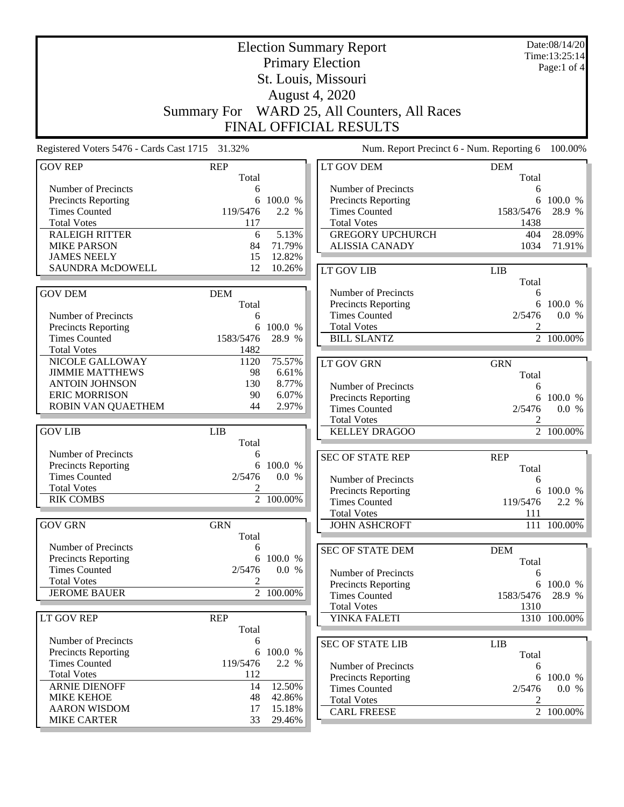|                                                    |                     |                        | <b>Election Summary Report</b>             |                     | Date:08/14/20<br>Time: 13:25:14 |
|----------------------------------------------------|---------------------|------------------------|--------------------------------------------|---------------------|---------------------------------|
|                                                    |                     |                        | <b>Primary Election</b>                    |                     | Page:1 of 4                     |
|                                                    |                     |                        | St. Louis, Missouri                        |                     |                                 |
|                                                    |                     |                        | August 4, 2020                             |                     |                                 |
|                                                    |                     |                        | WARD 25, All Counters, All Races           |                     |                                 |
|                                                    | <b>Summary For</b>  |                        |                                            |                     |                                 |
|                                                    |                     |                        | <b>FINAL OFFICIAL RESULTS</b>              |                     |                                 |
| Registered Voters 5476 - Cards Cast 1715 31.32%    |                     |                        | Num. Report Precinct 6 - Num. Reporting 6  |                     | 100.00%                         |
| <b>GOV REP</b>                                     | <b>REP</b><br>Total |                        | <b>LT GOV DEM</b>                          | <b>DEM</b><br>Total |                                 |
| Number of Precincts                                | 6                   |                        | Number of Precincts                        | 6                   |                                 |
| Precincts Reporting                                | 6                   | 100.0 %                | <b>Precincts Reporting</b>                 | 6                   | 100.0 %                         |
| <b>Times Counted</b>                               | 119/5476            | 2.2 %                  | <b>Times Counted</b>                       | 1583/5476           | 28.9 %                          |
| <b>Total Votes</b>                                 | 117                 |                        | <b>Total Votes</b>                         | 1438                |                                 |
| <b>RALEIGH RITTER</b>                              | 6                   | 5.13%                  | <b>GREGORY UPCHURCH</b>                    | 404                 | 28.09%                          |
| <b>MIKE PARSON</b>                                 | 84                  | 71.79%                 | <b>ALISSIA CANADY</b>                      | 1034                | 71.91%                          |
| <b>JAMES NEELY</b><br><b>SAUNDRA McDOWELL</b>      | 15                  | 12.82%                 |                                            |                     |                                 |
|                                                    | 12                  | 10.26%                 | LT GOV LIB                                 | <b>LIB</b>          |                                 |
|                                                    |                     |                        | Number of Precincts                        | Total               |                                 |
| <b>GOV DEM</b>                                     | <b>DEM</b><br>Total |                        | Precincts Reporting                        | 6<br>6              | 100.0 %                         |
| Number of Precincts                                | 6                   |                        | <b>Times Counted</b>                       | 2/5476              | 0.0 %                           |
| Precincts Reporting                                | 6                   | 100.0 %                | <b>Total Votes</b>                         | 2                   |                                 |
| <b>Times Counted</b>                               | 1583/5476           | 28.9 %                 | <b>BILL SLANTZ</b>                         |                     | 2 100.00%                       |
| <b>Total Votes</b>                                 | 1482                |                        |                                            |                     |                                 |
| NICOLE GALLOWAY                                    | 1120                | 75.57%                 | <b>LT GOV GRN</b>                          | <b>GRN</b>          |                                 |
| <b>JIMMIE MATTHEWS</b>                             | 98                  | 6.61%                  |                                            | Total               |                                 |
| <b>ANTOIN JOHNSON</b>                              | 130                 | 8.77%                  | Number of Precincts                        | 6                   |                                 |
| <b>ERIC MORRISON</b>                               | 90                  | 6.07%                  | Precincts Reporting                        | 6                   | 100.0 %                         |
| ROBIN VAN QUAETHEM                                 | 44                  | 2.97%                  | <b>Times Counted</b>                       | 2/5476              | 0.0 %                           |
|                                                    |                     |                        | <b>Total Votes</b>                         | 2                   |                                 |
| <b>GOV LIB</b>                                     | <b>LIB</b><br>Total |                        | <b>KELLEY DRAGOO</b>                       |                     | 2 100.00%                       |
| Number of Precincts                                | 6                   |                        |                                            |                     |                                 |
| Precincts Reporting                                | 6                   | 100.0 %                | <b>SEC OF STATE REP</b>                    | <b>REP</b>          |                                 |
| <b>Times Counted</b>                               | 2/5476              | 0.0 %                  | Number of Precincts                        | Total<br>6          |                                 |
| <b>Total Votes</b>                                 | 2                   |                        | <b>Precincts Reporting</b>                 |                     | 6 100.0 %                       |
| <b>RIK COMBS</b>                                   |                     | 2 100.00%              | <b>Times Counted</b>                       | 119/5476            | 2.2 %                           |
|                                                    |                     |                        | <b>Total Votes</b>                         | 111                 |                                 |
| <b>GOV GRN</b>                                     | <b>GRN</b>          |                        | <b>JOHN ASHCROFT</b>                       |                     | 111 100.00%                     |
|                                                    | Total               |                        |                                            |                     |                                 |
| Number of Precincts                                | 6                   |                        | <b>SEC OF STATE DEM</b>                    | <b>DEM</b>          |                                 |
| <b>Precincts Reporting</b><br><b>Times Counted</b> | 6                   | 100.0 %<br>0.0 %       |                                            | Total               |                                 |
| <b>Total Votes</b>                                 | 2/5476<br>2         |                        | Number of Precincts                        | 6                   |                                 |
| <b>JEROME BAUER</b>                                |                     | $\overline{2}$ 100.00% | <b>Precincts Reporting</b>                 |                     | 6 100.0 %                       |
|                                                    |                     |                        | <b>Times Counted</b><br><b>Total Votes</b> | 1583/5476<br>1310   | 28.9 %                          |
| LT GOV REP                                         | <b>REP</b>          |                        | YINKA FALETI                               |                     | 1310 100.00%                    |
|                                                    | Total               |                        |                                            |                     |                                 |
| Number of Precincts                                | 6                   |                        | <b>SEC OF STATE LIB</b>                    | LIB                 |                                 |
| <b>Precincts Reporting</b>                         | 6                   | 100.0 %                |                                            | Total               |                                 |
| <b>Times Counted</b>                               | 119/5476            | 2.2 %                  | Number of Precincts                        | 6                   |                                 |
| <b>Total Votes</b>                                 | 112                 |                        | Precincts Reporting                        |                     | 6 100.0 %                       |
| <b>ARNIE DIENOFF</b>                               | 14                  | 12.50%                 | <b>Times Counted</b>                       | 2/5476              | 0.0 %                           |
| <b>MIKE KEHOE</b>                                  | 48                  | 42.86%                 | <b>Total Votes</b>                         | 2                   |                                 |
| <b>AARON WISDOM</b>                                | 17                  | 15.18%                 | <b>CARL FREESE</b>                         |                     | 2 100.00%                       |
| <b>MIKE CARTER</b>                                 | 33                  | 29.46%                 |                                            |                     |                                 |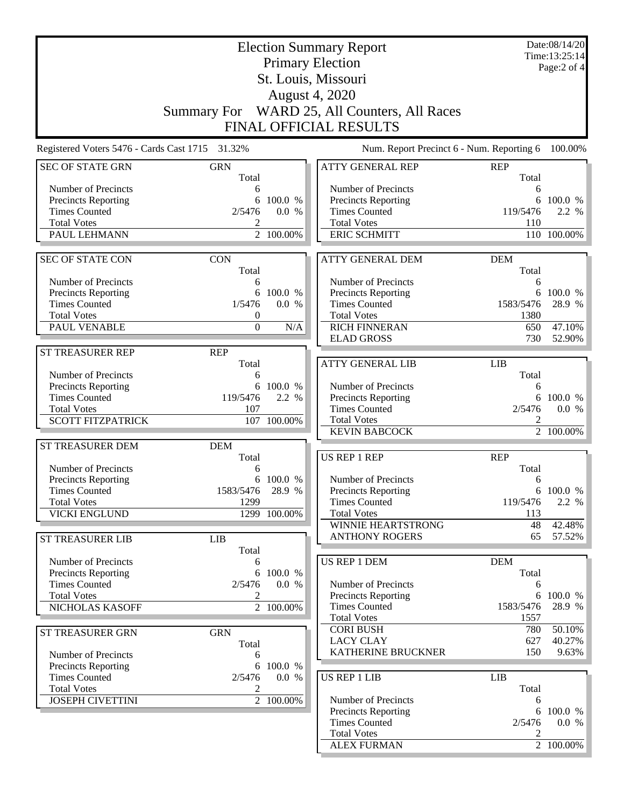|                                                   |                                      |                        | <b>Election Summary Report</b>             |                     | Date:08/14/20<br>Time:13:25:14 |  |
|---------------------------------------------------|--------------------------------------|------------------------|--------------------------------------------|---------------------|--------------------------------|--|
|                                                   | <b>Primary Election</b>              |                        |                                            |                     |                                |  |
|                                                   |                                      |                        | St. Louis, Missouri                        |                     | Page:2 of 4                    |  |
|                                                   |                                      |                        | August 4, 2020                             |                     |                                |  |
|                                                   |                                      |                        |                                            |                     |                                |  |
|                                                   | Summary For                          |                        | WARD 25, All Counters, All Races           |                     |                                |  |
|                                                   |                                      |                        | FINAL OFFICIAL RESULTS                     |                     |                                |  |
| Registered Voters 5476 - Cards Cast 1715 31.32%   |                                      |                        | Num. Report Precinct 6 - Num. Reporting 6  |                     | 100.00%                        |  |
| <b>SEC OF STATE GRN</b>                           | <b>GRN</b><br>Total                  |                        | <b>ATTY GENERAL REP</b>                    | <b>REP</b><br>Total |                                |  |
| Number of Precincts                               | 6                                    |                        | Number of Precincts                        | 6                   |                                |  |
| <b>Precincts Reporting</b>                        | 6                                    | 100.0 %                | Precincts Reporting                        | 6                   | 100.0 %                        |  |
| <b>Times Counted</b>                              | 2/5476                               | 0.0 %                  | <b>Times Counted</b>                       | 119/5476            | 2.2 %                          |  |
| <b>Total Votes</b><br>PAUL LEHMANN                | 2                                    | $\overline{2}$ 100.00% | <b>Total Votes</b><br><b>ERIC SCHMITT</b>  | 110                 | 110 100.00%                    |  |
|                                                   |                                      |                        |                                            |                     |                                |  |
| <b>SEC OF STATE CON</b>                           | <b>CON</b>                           |                        | ATTY GENERAL DEM                           | <b>DEM</b>          |                                |  |
|                                                   | Total                                |                        |                                            | Total               |                                |  |
| Number of Precincts                               | 6                                    |                        | Number of Precincts                        | 6                   |                                |  |
| <b>Precincts Reporting</b>                        |                                      | 6 100.0 %              | <b>Precincts Reporting</b>                 |                     | 6 100.0 %                      |  |
| <b>Times Counted</b>                              | 1/5476                               | 0.0 %                  | <b>Times Counted</b>                       | 1583/5476           | 28.9 %                         |  |
| <b>Total Votes</b><br>PAUL VENABLE                | $\boldsymbol{0}$<br>$\boldsymbol{0}$ | N/A                    | <b>Total Votes</b><br><b>RICH FINNERAN</b> | 1380<br>650         | 47.10%                         |  |
|                                                   |                                      |                        | <b>ELAD GROSS</b>                          | 730                 | 52.90%                         |  |
| <b>ST TREASURER REP</b>                           | <b>REP</b>                           |                        |                                            |                     |                                |  |
|                                                   | Total                                |                        | <b>ATTY GENERAL LIB</b>                    | <b>LIB</b>          |                                |  |
| Number of Precincts                               | 6                                    |                        |                                            | Total               |                                |  |
| <b>Precincts Reporting</b>                        | 6                                    | 100.0 %                | Number of Precincts                        | 6                   |                                |  |
| <b>Times Counted</b>                              | 119/5476                             | 2.2 %                  | <b>Precincts Reporting</b>                 | 6                   | 100.0 %                        |  |
| <b>Total Votes</b>                                | 107                                  |                        | <b>Times Counted</b>                       | 2/5476              | 0.0 %                          |  |
| <b>SCOTT FITZPATRICK</b>                          |                                      | 107 100.00%            | <b>Total Votes</b><br><b>KEVIN BABCOCK</b> | 2                   | 2 100.00%                      |  |
| <b>ST TREASURER DEM</b>                           | <b>DEM</b>                           |                        |                                            |                     |                                |  |
|                                                   | Total                                |                        | <b>US REP 1 REP</b>                        | <b>REP</b>          |                                |  |
| Number of Precincts                               | 6                                    |                        |                                            | Total               |                                |  |
| <b>Precincts Reporting</b>                        |                                      | 6 100.0 %              | Number of Precincts                        | 6                   |                                |  |
| <b>Times Counted</b>                              | 1583/5476                            | 28.9 %                 | Precincts Reporting                        |                     | 6 100.0 %                      |  |
| <b>Total Votes</b>                                | 1299                                 |                        | <b>Times Counted</b>                       | 119/5476            | 2.2 %                          |  |
| <b>VICKI ENGLUND</b>                              |                                      | 1299 100.00%           | <b>Total Votes</b>                         | 113                 |                                |  |
|                                                   |                                      |                        | <b>WINNIE HEARTSTRONG</b>                  | 48                  | 42.48%                         |  |
| <b>ST TREASURER LIB</b>                           | <b>LIB</b>                           |                        | <b>ANTHONY ROGERS</b>                      | 65                  | 57.52%                         |  |
|                                                   | Total                                |                        | <b>US REP 1 DEM</b>                        |                     |                                |  |
| Number of Precincts<br><b>Precincts Reporting</b> | 6<br>6                               | 100.0 %                |                                            | <b>DEM</b><br>Total |                                |  |
| <b>Times Counted</b>                              | 2/5476                               | 0.0 %                  | Number of Precincts                        | 6                   |                                |  |
| <b>Total Votes</b>                                | 2                                    |                        | <b>Precincts Reporting</b>                 | 6                   | 100.0 %                        |  |
| NICHOLAS KASOFF                                   |                                      | 2 100.00%              | <b>Times Counted</b>                       | 1583/5476           | 28.9 %                         |  |
|                                                   |                                      |                        | <b>Total Votes</b>                         | 1557                |                                |  |
| ST TREASURER GRN                                  | <b>GRN</b>                           |                        | <b>CORI BUSH</b>                           | 780                 | 50.10%                         |  |
|                                                   | Total                                |                        | <b>LACY CLAY</b><br>KATHERINE BRUCKNER     | 627<br>150          | 40.27%                         |  |
| Number of Precincts                               | 6                                    |                        |                                            |                     | 9.63%                          |  |
| Precincts Reporting                               | 6                                    | 100.0 %                |                                            | <b>LIB</b>          |                                |  |
| <b>Times Counted</b><br><b>Total Votes</b>        | 2/5476<br>2                          | 0.0 %                  | <b>US REP 1 LIB</b>                        | Total               |                                |  |
| <b>JOSEPH CIVETTINI</b>                           |                                      | 2 100.00%              | Number of Precincts                        | 6                   |                                |  |
|                                                   |                                      |                        | <b>Precincts Reporting</b>                 | 6                   | 100.0 %                        |  |
|                                                   |                                      |                        | <b>Times Counted</b>                       | 2/5476              | 0.0 %                          |  |
|                                                   |                                      |                        | <b>Total Votes</b>                         | 2                   |                                |  |
|                                                   |                                      |                        | <b>ALEX FURMAN</b>                         |                     | 2 100.00%                      |  |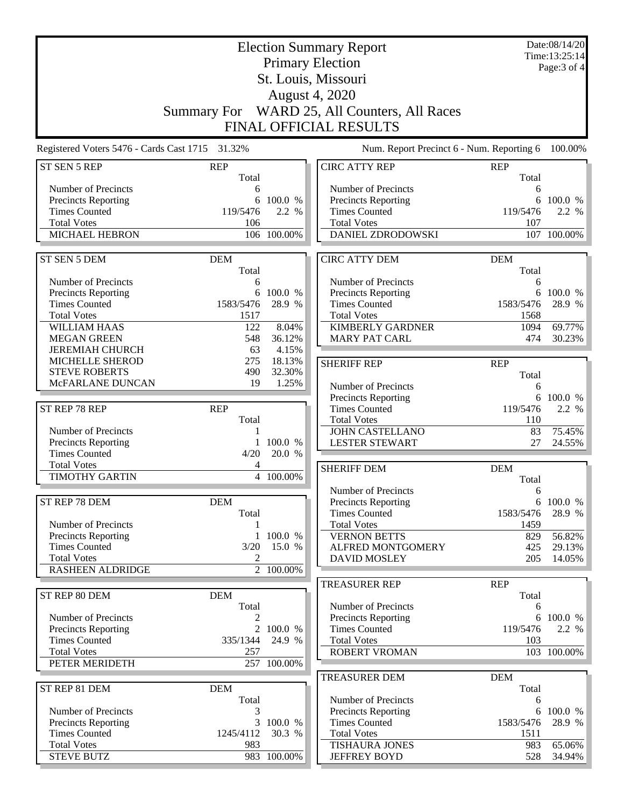|                                                 |                     |                |                                                   | Date:08/14/20<br><b>Election Summary Report</b><br>Time: 13:25:14 |                     |  |  |  |
|-------------------------------------------------|---------------------|----------------|---------------------------------------------------|-------------------------------------------------------------------|---------------------|--|--|--|
|                                                 |                     |                | <b>Primary Election</b>                           |                                                                   | Page: 3 of 4        |  |  |  |
|                                                 |                     |                | St. Louis, Missouri                               |                                                                   |                     |  |  |  |
|                                                 |                     |                | <b>August 4, 2020</b>                             |                                                                   |                     |  |  |  |
|                                                 |                     |                | Summary For WARD 25, All Counters, All Races      |                                                                   |                     |  |  |  |
|                                                 |                     |                | <b>FINAL OFFICIAL RESULTS</b>                     |                                                                   |                     |  |  |  |
|                                                 |                     |                |                                                   |                                                                   |                     |  |  |  |
| Registered Voters 5476 - Cards Cast 1715 31.32% |                     |                | Num. Report Precinct 6 - Num. Reporting 6         |                                                                   | 100.00%             |  |  |  |
| ST SEN 5 REP                                    | <b>REP</b><br>Total |                | <b>CIRC ATTY REP</b>                              | <b>REP</b>                                                        |                     |  |  |  |
| Number of Precincts                             | 6                   |                | Number of Precincts                               | Total<br>6                                                        |                     |  |  |  |
| <b>Precincts Reporting</b>                      |                     | 6 100.0 %      | Precincts Reporting                               |                                                                   | 6 100.0 %           |  |  |  |
| <b>Times Counted</b>                            | 119/5476            | 2.2 %          | <b>Times Counted</b>                              | 119/5476                                                          | 2.2 %               |  |  |  |
| <b>Total Votes</b>                              | 106                 |                | <b>Total Votes</b>                                | 107                                                               |                     |  |  |  |
| <b>MICHAEL HEBRON</b>                           |                     | 106 100.00%    | DANIEL ZDRODOWSKI                                 |                                                                   | 107 100.00%         |  |  |  |
|                                                 |                     |                |                                                   |                                                                   |                     |  |  |  |
| ST SEN 5 DEM                                    | <b>DEM</b><br>Total |                | <b>CIRC ATTY DEM</b>                              | <b>DEM</b><br>Total                                               |                     |  |  |  |
| Number of Precincts                             | 6                   |                | Number of Precincts                               | 6                                                                 |                     |  |  |  |
| <b>Precincts Reporting</b>                      | 6                   | 100.0 %        | Precincts Reporting                               | 6                                                                 | 100.0 %             |  |  |  |
| <b>Times Counted</b><br><b>Total Votes</b>      | 1583/5476<br>1517   | 28.9 %         | <b>Times Counted</b><br><b>Total Votes</b>        | 1583/5476<br>1568                                                 | 28.9 %              |  |  |  |
| <b>WILLIAM HAAS</b>                             | 122                 | 8.04%          | <b>KIMBERLY GARDNER</b>                           | 1094                                                              | 69.77%              |  |  |  |
| <b>MEGAN GREEN</b>                              | 548                 | 36.12%         | <b>MARY PAT CARL</b>                              | 474                                                               | 30.23%              |  |  |  |
| <b>JEREMIAH CHURCH</b>                          | 63                  | 4.15%          |                                                   |                                                                   |                     |  |  |  |
| MICHELLE SHEROD                                 | 275                 | 18.13%         | <b>SHERIFF REP</b>                                | <b>REP</b>                                                        |                     |  |  |  |
| <b>STEVE ROBERTS</b>                            | 490                 | 32.30%         |                                                   | Total                                                             |                     |  |  |  |
| McFARLANE DUNCAN                                | 19                  | 1.25%          | Number of Precincts                               | 6                                                                 |                     |  |  |  |
|                                                 |                     |                | Precincts Reporting                               | 6                                                                 | 100.0 %             |  |  |  |
| ST REP 78 REP                                   | <b>REP</b><br>Total |                | <b>Times Counted</b><br><b>Total Votes</b>        | 119/5476<br>110                                                   | 2.2 %               |  |  |  |
| Number of Precincts                             | -1                  |                | <b>JOHN CASTELLANO</b>                            | 83                                                                | 75.45%              |  |  |  |
| <b>Precincts Reporting</b>                      | 1                   | 100.0 %        | <b>LESTER STEWART</b>                             | 27                                                                | 24.55%              |  |  |  |
| <b>Times Counted</b>                            | 4/20                | 20.0 %         |                                                   |                                                                   |                     |  |  |  |
| <b>Total Votes</b>                              | 4                   |                | <b>SHERIFF DEM</b>                                | <b>DEM</b>                                                        |                     |  |  |  |
| <b>TIMOTHY GARTIN</b>                           |                     | $4 - 100.00\%$ |                                                   | Total                                                             |                     |  |  |  |
| ST REP 78 DEM                                   | <b>DEM</b>          |                | Number of Precincts<br><b>Precincts Reporting</b> | 6                                                                 |                     |  |  |  |
|                                                 | Total               |                | <b>Times Counted</b>                              | 1583/5476                                                         | 6 100.0 %<br>28.9 % |  |  |  |
| Number of Precincts                             |                     |                | <b>Total Votes</b>                                | 1459                                                              |                     |  |  |  |
| <b>Precincts Reporting</b>                      | 1                   | 100.0 %        | <b>VERNON BETTS</b>                               | 829                                                               | 56.82%              |  |  |  |
| <b>Times Counted</b>                            | 3/20                | 15.0 %         | <b>ALFRED MONTGOMERY</b>                          | 425                                                               | 29.13%              |  |  |  |
| <b>Total Votes</b>                              | 2                   |                | <b>DAVID MOSLEY</b>                               | 205                                                               | 14.05%              |  |  |  |
| <b>RASHEEN ALDRIDGE</b>                         |                     | 2 100.00%      |                                                   |                                                                   |                     |  |  |  |
| ST REP 80 DEM                                   | <b>DEM</b>          |                | <b>TREASURER REP</b>                              | <b>REP</b><br>Total                                               |                     |  |  |  |
|                                                 | Total               |                | Number of Precincts                               | 6                                                                 |                     |  |  |  |
| Number of Precincts                             | 2                   |                | <b>Precincts Reporting</b>                        | 6                                                                 | 100.0 %             |  |  |  |
| <b>Precincts Reporting</b>                      |                     | 2 100.0 %      | <b>Times Counted</b>                              | 119/5476                                                          | 2.2 %               |  |  |  |
| <b>Times Counted</b>                            | 335/1344            | 24.9 %         | <b>Total Votes</b>                                | 103                                                               |                     |  |  |  |
| <b>Total Votes</b>                              | 257                 |                | <b>ROBERT VROMAN</b>                              |                                                                   | 103 100.00%         |  |  |  |
| PETER MERIDETH                                  |                     | 257 100.00%    | <b>TREASURER DEM</b>                              | <b>DEM</b>                                                        |                     |  |  |  |
| ST REP 81 DEM                                   | <b>DEM</b>          |                |                                                   | Total                                                             |                     |  |  |  |
|                                                 | Total               |                | Number of Precincts                               | 6                                                                 |                     |  |  |  |
| Number of Precincts                             | 3                   |                | <b>Precincts Reporting</b>                        | 6                                                                 | 100.0 %             |  |  |  |
| <b>Precincts Reporting</b>                      | 3                   | 100.0 %        | <b>Times Counted</b>                              | 1583/5476                                                         | 28.9 %              |  |  |  |
| <b>Times Counted</b><br><b>Total Votes</b>      | 1245/4112<br>983    | 30.3 %         | <b>Total Votes</b>                                | 1511                                                              |                     |  |  |  |
| <b>STEVE BUTZ</b>                               |                     | 983 100.00%    | <b>TISHAURA JONES</b><br><b>JEFFREY BOYD</b>      | 983<br>528                                                        | 65.06%<br>34.94%    |  |  |  |
|                                                 |                     |                |                                                   |                                                                   |                     |  |  |  |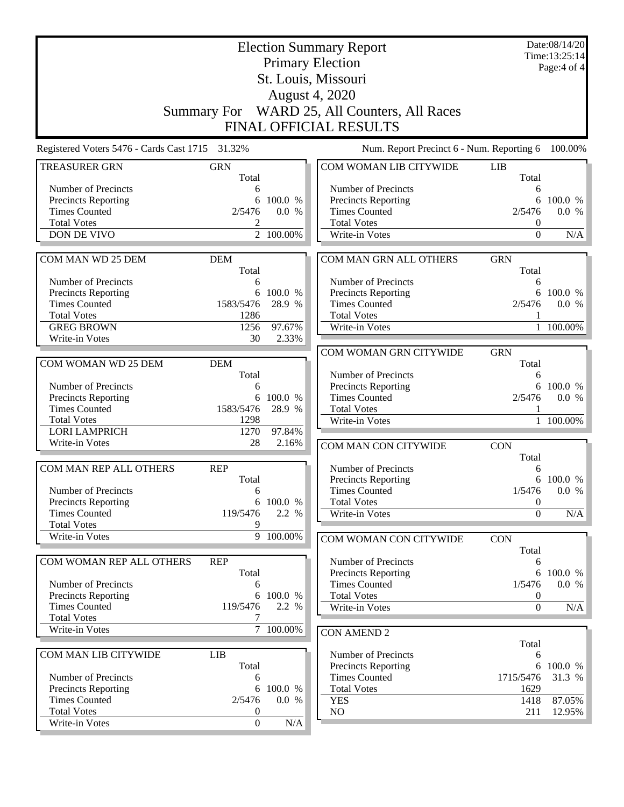|                                                   |                     |                        | <b>Election Summary Report</b><br><b>Primary Election</b> |                     | Date:08/14/20<br>Time: 13:25:14<br>Page: $4$ of $4$ |
|---------------------------------------------------|---------------------|------------------------|-----------------------------------------------------------|---------------------|-----------------------------------------------------|
|                                                   |                     |                        | St. Louis, Missouri                                       |                     |                                                     |
|                                                   |                     |                        | <b>August 4, 2020</b>                                     |                     |                                                     |
|                                                   |                     |                        | Summary For WARD 25, All Counters, All Races              |                     |                                                     |
|                                                   |                     |                        | FINAL OFFICIAL RESULTS                                    |                     |                                                     |
| Registered Voters 5476 - Cards Cast 1715 31.32%   |                     |                        | Num. Report Precinct 6 - Num. Reporting 6                 |                     | 100.00%                                             |
| <b>TREASURER GRN</b>                              | <b>GRN</b>          |                        | COM WOMAN LIB CITYWIDE                                    | LIB                 |                                                     |
|                                                   | Total               |                        |                                                           | Total               |                                                     |
| Number of Precincts                               | 6                   |                        | Number of Precincts                                       | 6                   |                                                     |
| Precincts Reporting                               | 6                   | 100.0 %                | <b>Precincts Reporting</b>                                | 6                   | 100.0 %                                             |
| <b>Times Counted</b>                              | 2/5476              | 0.0 %                  | <b>Times Counted</b>                                      | 2/5476              | 0.0 %                                               |
| <b>Total Votes</b><br>DON DE VIVO                 | 2                   | $\overline{2}$ 100.00% | <b>Total Votes</b><br>Write-in Votes                      | 0<br>$\theta$       |                                                     |
|                                                   |                     |                        |                                                           |                     | N/A                                                 |
| COM MAN WD 25 DEM                                 | <b>DEM</b><br>Total |                        | COM MAN GRN ALL OTHERS                                    | <b>GRN</b><br>Total |                                                     |
| Number of Precincts                               | 6                   |                        | Number of Precincts                                       | 6                   |                                                     |
| Precincts Reporting                               | 6                   | 100.0 %                | Precincts Reporting                                       | 6                   | 100.0 %                                             |
| <b>Times Counted</b>                              | 1583/5476           | 28.9 %                 | <b>Times Counted</b>                                      | 2/5476              | 0.0 %                                               |
| <b>Total Votes</b>                                | 1286                |                        | <b>Total Votes</b>                                        |                     |                                                     |
| <b>GREG BROWN</b>                                 | 1256                | 97.67%                 | Write-in Votes                                            |                     | 1 100.00%                                           |
| Write-in Votes                                    | 30                  | 2.33%                  |                                                           |                     |                                                     |
|                                                   |                     |                        | COM WOMAN GRN CITYWIDE                                    | <b>GRN</b>          |                                                     |
| COM WOMAN WD 25 DEM                               | <b>DEM</b><br>Total |                        | Number of Precincts                                       | Total               |                                                     |
| Number of Precincts                               | 6                   |                        | Precincts Reporting                                       | 6<br>6              | 100.0 %                                             |
| Precincts Reporting                               | 6                   | 100.0 %                | <b>Times Counted</b>                                      | 2/5476              | 0.0 %                                               |
| <b>Times Counted</b>                              | 1583/5476           | 28.9 %                 | <b>Total Votes</b>                                        |                     |                                                     |
| <b>Total Votes</b>                                | 1298                |                        | Write-in Votes                                            |                     | 1 100.00%                                           |
| <b>LORI LAMPRICH</b>                              | 1270                | 97.84%                 |                                                           |                     |                                                     |
| Write-in Votes                                    | 28                  | 2.16%                  | COM MAN CON CITYWIDE                                      | <b>CON</b>          |                                                     |
|                                                   |                     |                        |                                                           | Total               |                                                     |
| COM MAN REP ALL OTHERS                            | <b>REP</b>          |                        | Number of Precincts                                       | 6                   |                                                     |
|                                                   | Total               |                        | Precincts Reporting                                       |                     | 6 100.0 %                                           |
| Number of Precincts<br><b>Precincts Reporting</b> | 6                   | 6 100.0 %              | <b>Times Counted</b><br><b>Total Votes</b>                | 0                   | 1/5476  0.0 %                                       |
| <b>Times Counted</b>                              | 119/5476            | 2.2 %                  | Write-in Votes                                            | $\theta$            | N/A                                                 |
| <b>Total Votes</b>                                | 9                   |                        |                                                           |                     |                                                     |
| Write-in Votes                                    |                     | 9 100.00%              | COM WOMAN CON CITYWIDE                                    | <b>CON</b>          |                                                     |
|                                                   |                     |                        |                                                           | Total               |                                                     |
| COM WOMAN REP ALL OTHERS                          | <b>REP</b>          |                        | Number of Precincts                                       | 6                   |                                                     |
|                                                   | Total               |                        | <b>Precincts Reporting</b>                                | 6                   | 100.0 %                                             |
| Number of Precincts                               | 6                   |                        | <b>Times Counted</b>                                      | 1/5476              | 0.0 %                                               |
| <b>Precincts Reporting</b>                        | 6                   | 100.0 %                | <b>Total Votes</b>                                        | $\boldsymbol{0}$    |                                                     |
| <b>Times Counted</b><br><b>Total Votes</b>        | 119/5476<br>7       | 2.2 %                  | Write-in Votes                                            | $\boldsymbol{0}$    | N/A                                                 |
| Write-in Votes                                    |                     | 7 100.00%              | <b>CON AMEND 2</b>                                        |                     |                                                     |
|                                                   |                     |                        |                                                           | Total               |                                                     |
| COM MAN LIB CITYWIDE                              | <b>LIB</b>          |                        | Number of Precincts                                       | 6                   |                                                     |
|                                                   | Total               |                        | <b>Precincts Reporting</b>                                |                     | 6 100.0 %                                           |
| Number of Precincts                               | 6                   |                        | <b>Times Counted</b>                                      | 1715/5476           | 31.3 %                                              |
| Precincts Reporting                               | 6                   | 100.0 %                | <b>Total Votes</b>                                        | 1629                |                                                     |
| <b>Times Counted</b>                              | 2/5476              | 0.0 %                  | <b>YES</b>                                                | 1418                | 87.05%                                              |
| <b>Total Votes</b>                                | 0                   |                        | NO                                                        | 211                 | 12.95%                                              |
| Write-in Votes                                    | $\boldsymbol{0}$    | $\rm N/A$              |                                                           |                     |                                                     |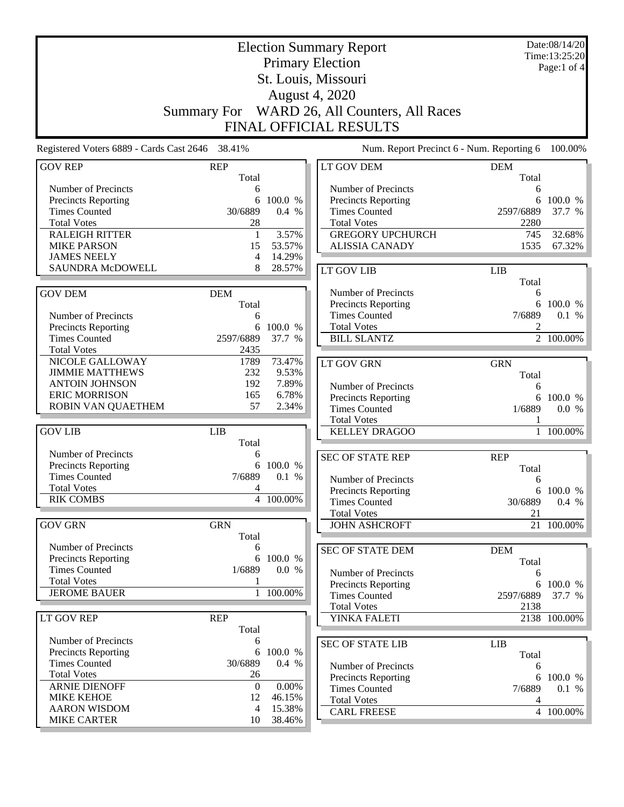| <b>Primary Election</b><br>Page:1 of 4<br>St. Louis, Missouri<br>August 4, 2020<br>WARD 26, All Counters, All Races<br><b>Summary For</b><br>FINAL OFFICIAL RESULTS<br>Registered Voters 6889 - Cards Cast 2646 38.41%<br>Num. Report Precinct 6 - Num. Reporting 6<br>100.00%<br>LT GOV DEM<br><b>GOV REP</b><br><b>REP</b><br><b>DEM</b><br>Total<br>Total<br>Number of Precincts<br>Number of Precincts<br>6<br>6<br>100.0 %<br>100.0 %<br><b>Precincts Reporting</b><br>6<br><b>Precincts Reporting</b><br>6<br><b>Times Counted</b><br>30/6889<br>0.4 %<br><b>Times Counted</b><br>2597/6889<br>37.7 %<br><b>Total Votes</b><br><b>Total Votes</b><br>28<br>2280<br>3.57%<br><b>GREGORY UPCHURCH</b><br>745<br>32.68%<br><b>RALEIGH RITTER</b><br>1<br>15<br>53.57%<br><b>ALISSIA CANADY</b><br>1535<br>67.32%<br><b>MIKE PARSON</b><br><b>JAMES NEELY</b><br>14.29%<br>4<br>SAUNDRA McDOWELL<br>8<br>28.57%<br>LT GOV LIB<br><b>LIB</b><br>Total<br><b>GOV DEM</b><br>Number of Precincts<br><b>DEM</b><br>6<br>Precincts Reporting<br>100.0 %<br>6<br>Total<br><b>Times Counted</b><br>7/6889<br>0.1 %<br>Number of Precincts<br>6<br><b>Total Votes</b><br>Precincts Reporting<br>100.0 %<br>2<br>6<br><b>BILL SLANTZ</b><br>2 100.00%<br><b>Times Counted</b><br>2597/6889<br>37.7 %<br><b>Total Votes</b><br>2435<br>1789<br>73.47%<br>NICOLE GALLOWAY<br><b>LT GOV GRN</b><br><b>GRN</b><br><b>JIMMIE MATTHEWS</b><br>232<br>9.53%<br>Total<br>7.89%<br><b>ANTOIN JOHNSON</b><br>192<br>Number of Precincts<br>6<br><b>ERIC MORRISON</b><br>165<br>6.78%<br>Precincts Reporting<br>6<br>100.0 %<br>ROBIN VAN QUAETHEM<br>57<br>2.34%<br><b>Times Counted</b><br>1/6889<br>0.0 %<br><b>Total Votes</b><br>1<br><b>GOV LIB</b><br><b>LIB</b><br>$\mathbf{1}$<br>100.00%<br><b>KELLEY DRAGOO</b><br>Total<br>Number of Precincts<br>6<br><b>SEC OF STATE REP</b><br><b>REP</b><br>Precincts Reporting<br>6<br>100.0 %<br>Total<br><b>Times Counted</b><br>7/6889<br>0.1 %<br>Number of Precincts<br>6<br><b>Total Votes</b><br>4<br>6 100.0 %<br><b>Precincts Reporting</b><br><b>RIK COMBS</b><br>4 100.00%<br><b>Times Counted</b><br>30/6889<br><b>Total Votes</b><br>21<br><b>GOV GRN</b><br><b>GRN</b><br><b>JOHN ASHCROFT</b><br>Total<br>Number of Precincts<br>6<br><b>SEC OF STATE DEM</b><br><b>DEM</b><br><b>Precincts Reporting</b><br>6 100.0 %<br>Total<br><b>Times Counted</b><br>1/6889<br>0.0 %<br>Number of Precincts<br>6<br><b>Total Votes</b><br><b>Precincts Reporting</b><br>6<br><b>JEROME BAUER</b><br>100.00%<br>$\mathbf{1}$<br><b>Times Counted</b><br>37.7 %<br>2597/6889<br><b>Total Votes</b><br>2138<br>LT GOV REP<br>YINKA FALETI<br><b>REP</b><br>Total<br>Number of Precincts<br>6<br><b>SEC OF STATE LIB</b><br><b>LIB</b><br>Precincts Reporting<br>100.0 %<br>6<br>Total<br><b>Times Counted</b><br>30/6889<br>0.4 %<br>Number of Precincts<br>6<br><b>Total Votes</b><br>26<br>Precincts Reporting<br>6 100.0 %<br><b>ARNIE DIENOFF</b><br>$\boldsymbol{0}$<br>0.00%<br><b>Times Counted</b><br>7/6889<br><b>MIKE KEHOE</b><br>46.15%<br>12<br><b>Total Votes</b><br>4<br><b>AARON WISDOM</b><br>$\overline{4}$<br>15.38%<br><b>CARL FREESE</b><br><b>MIKE CARTER</b><br>10<br>38.46% |  | <b>Election Summary Report</b> | Date:08/14/20<br>Time:13:25:20 |
|--------------------------------------------------------------------------------------------------------------------------------------------------------------------------------------------------------------------------------------------------------------------------------------------------------------------------------------------------------------------------------------------------------------------------------------------------------------------------------------------------------------------------------------------------------------------------------------------------------------------------------------------------------------------------------------------------------------------------------------------------------------------------------------------------------------------------------------------------------------------------------------------------------------------------------------------------------------------------------------------------------------------------------------------------------------------------------------------------------------------------------------------------------------------------------------------------------------------------------------------------------------------------------------------------------------------------------------------------------------------------------------------------------------------------------------------------------------------------------------------------------------------------------------------------------------------------------------------------------------------------------------------------------------------------------------------------------------------------------------------------------------------------------------------------------------------------------------------------------------------------------------------------------------------------------------------------------------------------------------------------------------------------------------------------------------------------------------------------------------------------------------------------------------------------------------------------------------------------------------------------------------------------------------------------------------------------------------------------------------------------------------------------------------------------------------------------------------------------------------------------------------------------------------------------------------------------------------------------------------------------------------------------------------------------------------------------------------------------------------------------------------------------------------------------------------------------------------------------------------------------------------------------------------------------------------------------------------------------------------------------------------------------------------------------------------------------------------------------------------------------------------------------------------------------------------------------------------------------------------|--|--------------------------------|--------------------------------|
|                                                                                                                                                                                                                                                                                                                                                                                                                                                                                                                                                                                                                                                                                                                                                                                                                                                                                                                                                                                                                                                                                                                                                                                                                                                                                                                                                                                                                                                                                                                                                                                                                                                                                                                                                                                                                                                                                                                                                                                                                                                                                                                                                                                                                                                                                                                                                                                                                                                                                                                                                                                                                                                                                                                                                                                                                                                                                                                                                                                                                                                                                                                                                                                                                                      |  |                                |                                |
|                                                                                                                                                                                                                                                                                                                                                                                                                                                                                                                                                                                                                                                                                                                                                                                                                                                                                                                                                                                                                                                                                                                                                                                                                                                                                                                                                                                                                                                                                                                                                                                                                                                                                                                                                                                                                                                                                                                                                                                                                                                                                                                                                                                                                                                                                                                                                                                                                                                                                                                                                                                                                                                                                                                                                                                                                                                                                                                                                                                                                                                                                                                                                                                                                                      |  |                                |                                |
|                                                                                                                                                                                                                                                                                                                                                                                                                                                                                                                                                                                                                                                                                                                                                                                                                                                                                                                                                                                                                                                                                                                                                                                                                                                                                                                                                                                                                                                                                                                                                                                                                                                                                                                                                                                                                                                                                                                                                                                                                                                                                                                                                                                                                                                                                                                                                                                                                                                                                                                                                                                                                                                                                                                                                                                                                                                                                                                                                                                                                                                                                                                                                                                                                                      |  |                                |                                |
|                                                                                                                                                                                                                                                                                                                                                                                                                                                                                                                                                                                                                                                                                                                                                                                                                                                                                                                                                                                                                                                                                                                                                                                                                                                                                                                                                                                                                                                                                                                                                                                                                                                                                                                                                                                                                                                                                                                                                                                                                                                                                                                                                                                                                                                                                                                                                                                                                                                                                                                                                                                                                                                                                                                                                                                                                                                                                                                                                                                                                                                                                                                                                                                                                                      |  |                                |                                |
|                                                                                                                                                                                                                                                                                                                                                                                                                                                                                                                                                                                                                                                                                                                                                                                                                                                                                                                                                                                                                                                                                                                                                                                                                                                                                                                                                                                                                                                                                                                                                                                                                                                                                                                                                                                                                                                                                                                                                                                                                                                                                                                                                                                                                                                                                                                                                                                                                                                                                                                                                                                                                                                                                                                                                                                                                                                                                                                                                                                                                                                                                                                                                                                                                                      |  |                                |                                |
|                                                                                                                                                                                                                                                                                                                                                                                                                                                                                                                                                                                                                                                                                                                                                                                                                                                                                                                                                                                                                                                                                                                                                                                                                                                                                                                                                                                                                                                                                                                                                                                                                                                                                                                                                                                                                                                                                                                                                                                                                                                                                                                                                                                                                                                                                                                                                                                                                                                                                                                                                                                                                                                                                                                                                                                                                                                                                                                                                                                                                                                                                                                                                                                                                                      |  |                                |                                |
|                                                                                                                                                                                                                                                                                                                                                                                                                                                                                                                                                                                                                                                                                                                                                                                                                                                                                                                                                                                                                                                                                                                                                                                                                                                                                                                                                                                                                                                                                                                                                                                                                                                                                                                                                                                                                                                                                                                                                                                                                                                                                                                                                                                                                                                                                                                                                                                                                                                                                                                                                                                                                                                                                                                                                                                                                                                                                                                                                                                                                                                                                                                                                                                                                                      |  |                                |                                |
|                                                                                                                                                                                                                                                                                                                                                                                                                                                                                                                                                                                                                                                                                                                                                                                                                                                                                                                                                                                                                                                                                                                                                                                                                                                                                                                                                                                                                                                                                                                                                                                                                                                                                                                                                                                                                                                                                                                                                                                                                                                                                                                                                                                                                                                                                                                                                                                                                                                                                                                                                                                                                                                                                                                                                                                                                                                                                                                                                                                                                                                                                                                                                                                                                                      |  |                                |                                |
|                                                                                                                                                                                                                                                                                                                                                                                                                                                                                                                                                                                                                                                                                                                                                                                                                                                                                                                                                                                                                                                                                                                                                                                                                                                                                                                                                                                                                                                                                                                                                                                                                                                                                                                                                                                                                                                                                                                                                                                                                                                                                                                                                                                                                                                                                                                                                                                                                                                                                                                                                                                                                                                                                                                                                                                                                                                                                                                                                                                                                                                                                                                                                                                                                                      |  |                                |                                |
|                                                                                                                                                                                                                                                                                                                                                                                                                                                                                                                                                                                                                                                                                                                                                                                                                                                                                                                                                                                                                                                                                                                                                                                                                                                                                                                                                                                                                                                                                                                                                                                                                                                                                                                                                                                                                                                                                                                                                                                                                                                                                                                                                                                                                                                                                                                                                                                                                                                                                                                                                                                                                                                                                                                                                                                                                                                                                                                                                                                                                                                                                                                                                                                                                                      |  |                                |                                |
|                                                                                                                                                                                                                                                                                                                                                                                                                                                                                                                                                                                                                                                                                                                                                                                                                                                                                                                                                                                                                                                                                                                                                                                                                                                                                                                                                                                                                                                                                                                                                                                                                                                                                                                                                                                                                                                                                                                                                                                                                                                                                                                                                                                                                                                                                                                                                                                                                                                                                                                                                                                                                                                                                                                                                                                                                                                                                                                                                                                                                                                                                                                                                                                                                                      |  |                                |                                |
|                                                                                                                                                                                                                                                                                                                                                                                                                                                                                                                                                                                                                                                                                                                                                                                                                                                                                                                                                                                                                                                                                                                                                                                                                                                                                                                                                                                                                                                                                                                                                                                                                                                                                                                                                                                                                                                                                                                                                                                                                                                                                                                                                                                                                                                                                                                                                                                                                                                                                                                                                                                                                                                                                                                                                                                                                                                                                                                                                                                                                                                                                                                                                                                                                                      |  |                                |                                |
|                                                                                                                                                                                                                                                                                                                                                                                                                                                                                                                                                                                                                                                                                                                                                                                                                                                                                                                                                                                                                                                                                                                                                                                                                                                                                                                                                                                                                                                                                                                                                                                                                                                                                                                                                                                                                                                                                                                                                                                                                                                                                                                                                                                                                                                                                                                                                                                                                                                                                                                                                                                                                                                                                                                                                                                                                                                                                                                                                                                                                                                                                                                                                                                                                                      |  |                                |                                |
|                                                                                                                                                                                                                                                                                                                                                                                                                                                                                                                                                                                                                                                                                                                                                                                                                                                                                                                                                                                                                                                                                                                                                                                                                                                                                                                                                                                                                                                                                                                                                                                                                                                                                                                                                                                                                                                                                                                                                                                                                                                                                                                                                                                                                                                                                                                                                                                                                                                                                                                                                                                                                                                                                                                                                                                                                                                                                                                                                                                                                                                                                                                                                                                                                                      |  |                                |                                |
|                                                                                                                                                                                                                                                                                                                                                                                                                                                                                                                                                                                                                                                                                                                                                                                                                                                                                                                                                                                                                                                                                                                                                                                                                                                                                                                                                                                                                                                                                                                                                                                                                                                                                                                                                                                                                                                                                                                                                                                                                                                                                                                                                                                                                                                                                                                                                                                                                                                                                                                                                                                                                                                                                                                                                                                                                                                                                                                                                                                                                                                                                                                                                                                                                                      |  |                                |                                |
|                                                                                                                                                                                                                                                                                                                                                                                                                                                                                                                                                                                                                                                                                                                                                                                                                                                                                                                                                                                                                                                                                                                                                                                                                                                                                                                                                                                                                                                                                                                                                                                                                                                                                                                                                                                                                                                                                                                                                                                                                                                                                                                                                                                                                                                                                                                                                                                                                                                                                                                                                                                                                                                                                                                                                                                                                                                                                                                                                                                                                                                                                                                                                                                                                                      |  |                                |                                |
|                                                                                                                                                                                                                                                                                                                                                                                                                                                                                                                                                                                                                                                                                                                                                                                                                                                                                                                                                                                                                                                                                                                                                                                                                                                                                                                                                                                                                                                                                                                                                                                                                                                                                                                                                                                                                                                                                                                                                                                                                                                                                                                                                                                                                                                                                                                                                                                                                                                                                                                                                                                                                                                                                                                                                                                                                                                                                                                                                                                                                                                                                                                                                                                                                                      |  |                                |                                |
|                                                                                                                                                                                                                                                                                                                                                                                                                                                                                                                                                                                                                                                                                                                                                                                                                                                                                                                                                                                                                                                                                                                                                                                                                                                                                                                                                                                                                                                                                                                                                                                                                                                                                                                                                                                                                                                                                                                                                                                                                                                                                                                                                                                                                                                                                                                                                                                                                                                                                                                                                                                                                                                                                                                                                                                                                                                                                                                                                                                                                                                                                                                                                                                                                                      |  |                                |                                |
|                                                                                                                                                                                                                                                                                                                                                                                                                                                                                                                                                                                                                                                                                                                                                                                                                                                                                                                                                                                                                                                                                                                                                                                                                                                                                                                                                                                                                                                                                                                                                                                                                                                                                                                                                                                                                                                                                                                                                                                                                                                                                                                                                                                                                                                                                                                                                                                                                                                                                                                                                                                                                                                                                                                                                                                                                                                                                                                                                                                                                                                                                                                                                                                                                                      |  |                                |                                |
|                                                                                                                                                                                                                                                                                                                                                                                                                                                                                                                                                                                                                                                                                                                                                                                                                                                                                                                                                                                                                                                                                                                                                                                                                                                                                                                                                                                                                                                                                                                                                                                                                                                                                                                                                                                                                                                                                                                                                                                                                                                                                                                                                                                                                                                                                                                                                                                                                                                                                                                                                                                                                                                                                                                                                                                                                                                                                                                                                                                                                                                                                                                                                                                                                                      |  |                                |                                |
|                                                                                                                                                                                                                                                                                                                                                                                                                                                                                                                                                                                                                                                                                                                                                                                                                                                                                                                                                                                                                                                                                                                                                                                                                                                                                                                                                                                                                                                                                                                                                                                                                                                                                                                                                                                                                                                                                                                                                                                                                                                                                                                                                                                                                                                                                                                                                                                                                                                                                                                                                                                                                                                                                                                                                                                                                                                                                                                                                                                                                                                                                                                                                                                                                                      |  |                                |                                |
|                                                                                                                                                                                                                                                                                                                                                                                                                                                                                                                                                                                                                                                                                                                                                                                                                                                                                                                                                                                                                                                                                                                                                                                                                                                                                                                                                                                                                                                                                                                                                                                                                                                                                                                                                                                                                                                                                                                                                                                                                                                                                                                                                                                                                                                                                                                                                                                                                                                                                                                                                                                                                                                                                                                                                                                                                                                                                                                                                                                                                                                                                                                                                                                                                                      |  |                                |                                |
|                                                                                                                                                                                                                                                                                                                                                                                                                                                                                                                                                                                                                                                                                                                                                                                                                                                                                                                                                                                                                                                                                                                                                                                                                                                                                                                                                                                                                                                                                                                                                                                                                                                                                                                                                                                                                                                                                                                                                                                                                                                                                                                                                                                                                                                                                                                                                                                                                                                                                                                                                                                                                                                                                                                                                                                                                                                                                                                                                                                                                                                                                                                                                                                                                                      |  |                                |                                |
| 0.4 %<br>21 100.00%                                                                                                                                                                                                                                                                                                                                                                                                                                                                                                                                                                                                                                                                                                                                                                                                                                                                                                                                                                                                                                                                                                                                                                                                                                                                                                                                                                                                                                                                                                                                                                                                                                                                                                                                                                                                                                                                                                                                                                                                                                                                                                                                                                                                                                                                                                                                                                                                                                                                                                                                                                                                                                                                                                                                                                                                                                                                                                                                                                                                                                                                                                                                                                                                                  |  |                                |                                |
|                                                                                                                                                                                                                                                                                                                                                                                                                                                                                                                                                                                                                                                                                                                                                                                                                                                                                                                                                                                                                                                                                                                                                                                                                                                                                                                                                                                                                                                                                                                                                                                                                                                                                                                                                                                                                                                                                                                                                                                                                                                                                                                                                                                                                                                                                                                                                                                                                                                                                                                                                                                                                                                                                                                                                                                                                                                                                                                                                                                                                                                                                                                                                                                                                                      |  |                                |                                |
|                                                                                                                                                                                                                                                                                                                                                                                                                                                                                                                                                                                                                                                                                                                                                                                                                                                                                                                                                                                                                                                                                                                                                                                                                                                                                                                                                                                                                                                                                                                                                                                                                                                                                                                                                                                                                                                                                                                                                                                                                                                                                                                                                                                                                                                                                                                                                                                                                                                                                                                                                                                                                                                                                                                                                                                                                                                                                                                                                                                                                                                                                                                                                                                                                                      |  |                                |                                |
|                                                                                                                                                                                                                                                                                                                                                                                                                                                                                                                                                                                                                                                                                                                                                                                                                                                                                                                                                                                                                                                                                                                                                                                                                                                                                                                                                                                                                                                                                                                                                                                                                                                                                                                                                                                                                                                                                                                                                                                                                                                                                                                                                                                                                                                                                                                                                                                                                                                                                                                                                                                                                                                                                                                                                                                                                                                                                                                                                                                                                                                                                                                                                                                                                                      |  |                                |                                |
|                                                                                                                                                                                                                                                                                                                                                                                                                                                                                                                                                                                                                                                                                                                                                                                                                                                                                                                                                                                                                                                                                                                                                                                                                                                                                                                                                                                                                                                                                                                                                                                                                                                                                                                                                                                                                                                                                                                                                                                                                                                                                                                                                                                                                                                                                                                                                                                                                                                                                                                                                                                                                                                                                                                                                                                                                                                                                                                                                                                                                                                                                                                                                                                                                                      |  |                                |                                |
|                                                                                                                                                                                                                                                                                                                                                                                                                                                                                                                                                                                                                                                                                                                                                                                                                                                                                                                                                                                                                                                                                                                                                                                                                                                                                                                                                                                                                                                                                                                                                                                                                                                                                                                                                                                                                                                                                                                                                                                                                                                                                                                                                                                                                                                                                                                                                                                                                                                                                                                                                                                                                                                                                                                                                                                                                                                                                                                                                                                                                                                                                                                                                                                                                                      |  |                                |                                |
|                                                                                                                                                                                                                                                                                                                                                                                                                                                                                                                                                                                                                                                                                                                                                                                                                                                                                                                                                                                                                                                                                                                                                                                                                                                                                                                                                                                                                                                                                                                                                                                                                                                                                                                                                                                                                                                                                                                                                                                                                                                                                                                                                                                                                                                                                                                                                                                                                                                                                                                                                                                                                                                                                                                                                                                                                                                                                                                                                                                                                                                                                                                                                                                                                                      |  |                                |                                |
|                                                                                                                                                                                                                                                                                                                                                                                                                                                                                                                                                                                                                                                                                                                                                                                                                                                                                                                                                                                                                                                                                                                                                                                                                                                                                                                                                                                                                                                                                                                                                                                                                                                                                                                                                                                                                                                                                                                                                                                                                                                                                                                                                                                                                                                                                                                                                                                                                                                                                                                                                                                                                                                                                                                                                                                                                                                                                                                                                                                                                                                                                                                                                                                                                                      |  |                                |                                |
|                                                                                                                                                                                                                                                                                                                                                                                                                                                                                                                                                                                                                                                                                                                                                                                                                                                                                                                                                                                                                                                                                                                                                                                                                                                                                                                                                                                                                                                                                                                                                                                                                                                                                                                                                                                                                                                                                                                                                                                                                                                                                                                                                                                                                                                                                                                                                                                                                                                                                                                                                                                                                                                                                                                                                                                                                                                                                                                                                                                                                                                                                                                                                                                                                                      |  |                                |                                |
|                                                                                                                                                                                                                                                                                                                                                                                                                                                                                                                                                                                                                                                                                                                                                                                                                                                                                                                                                                                                                                                                                                                                                                                                                                                                                                                                                                                                                                                                                                                                                                                                                                                                                                                                                                                                                                                                                                                                                                                                                                                                                                                                                                                                                                                                                                                                                                                                                                                                                                                                                                                                                                                                                                                                                                                                                                                                                                                                                                                                                                                                                                                                                                                                                                      |  |                                |                                |
|                                                                                                                                                                                                                                                                                                                                                                                                                                                                                                                                                                                                                                                                                                                                                                                                                                                                                                                                                                                                                                                                                                                                                                                                                                                                                                                                                                                                                                                                                                                                                                                                                                                                                                                                                                                                                                                                                                                                                                                                                                                                                                                                                                                                                                                                                                                                                                                                                                                                                                                                                                                                                                                                                                                                                                                                                                                                                                                                                                                                                                                                                                                                                                                                                                      |  |                                |                                |
|                                                                                                                                                                                                                                                                                                                                                                                                                                                                                                                                                                                                                                                                                                                                                                                                                                                                                                                                                                                                                                                                                                                                                                                                                                                                                                                                                                                                                                                                                                                                                                                                                                                                                                                                                                                                                                                                                                                                                                                                                                                                                                                                                                                                                                                                                                                                                                                                                                                                                                                                                                                                                                                                                                                                                                                                                                                                                                                                                                                                                                                                                                                                                                                                                                      |  |                                |                                |
|                                                                                                                                                                                                                                                                                                                                                                                                                                                                                                                                                                                                                                                                                                                                                                                                                                                                                                                                                                                                                                                                                                                                                                                                                                                                                                                                                                                                                                                                                                                                                                                                                                                                                                                                                                                                                                                                                                                                                                                                                                                                                                                                                                                                                                                                                                                                                                                                                                                                                                                                                                                                                                                                                                                                                                                                                                                                                                                                                                                                                                                                                                                                                                                                                                      |  |                                |                                |
|                                                                                                                                                                                                                                                                                                                                                                                                                                                                                                                                                                                                                                                                                                                                                                                                                                                                                                                                                                                                                                                                                                                                                                                                                                                                                                                                                                                                                                                                                                                                                                                                                                                                                                                                                                                                                                                                                                                                                                                                                                                                                                                                                                                                                                                                                                                                                                                                                                                                                                                                                                                                                                                                                                                                                                                                                                                                                                                                                                                                                                                                                                                                                                                                                                      |  |                                |                                |
| 100.0 %<br>2138 100.00%<br>0.1 %<br>4 100.00%                                                                                                                                                                                                                                                                                                                                                                                                                                                                                                                                                                                                                                                                                                                                                                                                                                                                                                                                                                                                                                                                                                                                                                                                                                                                                                                                                                                                                                                                                                                                                                                                                                                                                                                                                                                                                                                                                                                                                                                                                                                                                                                                                                                                                                                                                                                                                                                                                                                                                                                                                                                                                                                                                                                                                                                                                                                                                                                                                                                                                                                                                                                                                                                        |  |                                |                                |
|                                                                                                                                                                                                                                                                                                                                                                                                                                                                                                                                                                                                                                                                                                                                                                                                                                                                                                                                                                                                                                                                                                                                                                                                                                                                                                                                                                                                                                                                                                                                                                                                                                                                                                                                                                                                                                                                                                                                                                                                                                                                                                                                                                                                                                                                                                                                                                                                                                                                                                                                                                                                                                                                                                                                                                                                                                                                                                                                                                                                                                                                                                                                                                                                                                      |  |                                |                                |
|                                                                                                                                                                                                                                                                                                                                                                                                                                                                                                                                                                                                                                                                                                                                                                                                                                                                                                                                                                                                                                                                                                                                                                                                                                                                                                                                                                                                                                                                                                                                                                                                                                                                                                                                                                                                                                                                                                                                                                                                                                                                                                                                                                                                                                                                                                                                                                                                                                                                                                                                                                                                                                                                                                                                                                                                                                                                                                                                                                                                                                                                                                                                                                                                                                      |  |                                |                                |
|                                                                                                                                                                                                                                                                                                                                                                                                                                                                                                                                                                                                                                                                                                                                                                                                                                                                                                                                                                                                                                                                                                                                                                                                                                                                                                                                                                                                                                                                                                                                                                                                                                                                                                                                                                                                                                                                                                                                                                                                                                                                                                                                                                                                                                                                                                                                                                                                                                                                                                                                                                                                                                                                                                                                                                                                                                                                                                                                                                                                                                                                                                                                                                                                                                      |  |                                |                                |
|                                                                                                                                                                                                                                                                                                                                                                                                                                                                                                                                                                                                                                                                                                                                                                                                                                                                                                                                                                                                                                                                                                                                                                                                                                                                                                                                                                                                                                                                                                                                                                                                                                                                                                                                                                                                                                                                                                                                                                                                                                                                                                                                                                                                                                                                                                                                                                                                                                                                                                                                                                                                                                                                                                                                                                                                                                                                                                                                                                                                                                                                                                                                                                                                                                      |  |                                |                                |
|                                                                                                                                                                                                                                                                                                                                                                                                                                                                                                                                                                                                                                                                                                                                                                                                                                                                                                                                                                                                                                                                                                                                                                                                                                                                                                                                                                                                                                                                                                                                                                                                                                                                                                                                                                                                                                                                                                                                                                                                                                                                                                                                                                                                                                                                                                                                                                                                                                                                                                                                                                                                                                                                                                                                                                                                                                                                                                                                                                                                                                                                                                                                                                                                                                      |  |                                |                                |
|                                                                                                                                                                                                                                                                                                                                                                                                                                                                                                                                                                                                                                                                                                                                                                                                                                                                                                                                                                                                                                                                                                                                                                                                                                                                                                                                                                                                                                                                                                                                                                                                                                                                                                                                                                                                                                                                                                                                                                                                                                                                                                                                                                                                                                                                                                                                                                                                                                                                                                                                                                                                                                                                                                                                                                                                                                                                                                                                                                                                                                                                                                                                                                                                                                      |  |                                |                                |
|                                                                                                                                                                                                                                                                                                                                                                                                                                                                                                                                                                                                                                                                                                                                                                                                                                                                                                                                                                                                                                                                                                                                                                                                                                                                                                                                                                                                                                                                                                                                                                                                                                                                                                                                                                                                                                                                                                                                                                                                                                                                                                                                                                                                                                                                                                                                                                                                                                                                                                                                                                                                                                                                                                                                                                                                                                                                                                                                                                                                                                                                                                                                                                                                                                      |  |                                |                                |
|                                                                                                                                                                                                                                                                                                                                                                                                                                                                                                                                                                                                                                                                                                                                                                                                                                                                                                                                                                                                                                                                                                                                                                                                                                                                                                                                                                                                                                                                                                                                                                                                                                                                                                                                                                                                                                                                                                                                                                                                                                                                                                                                                                                                                                                                                                                                                                                                                                                                                                                                                                                                                                                                                                                                                                                                                                                                                                                                                                                                                                                                                                                                                                                                                                      |  |                                |                                |
|                                                                                                                                                                                                                                                                                                                                                                                                                                                                                                                                                                                                                                                                                                                                                                                                                                                                                                                                                                                                                                                                                                                                                                                                                                                                                                                                                                                                                                                                                                                                                                                                                                                                                                                                                                                                                                                                                                                                                                                                                                                                                                                                                                                                                                                                                                                                                                                                                                                                                                                                                                                                                                                                                                                                                                                                                                                                                                                                                                                                                                                                                                                                                                                                                                      |  |                                |                                |
|                                                                                                                                                                                                                                                                                                                                                                                                                                                                                                                                                                                                                                                                                                                                                                                                                                                                                                                                                                                                                                                                                                                                                                                                                                                                                                                                                                                                                                                                                                                                                                                                                                                                                                                                                                                                                                                                                                                                                                                                                                                                                                                                                                                                                                                                                                                                                                                                                                                                                                                                                                                                                                                                                                                                                                                                                                                                                                                                                                                                                                                                                                                                                                                                                                      |  |                                |                                |
|                                                                                                                                                                                                                                                                                                                                                                                                                                                                                                                                                                                                                                                                                                                                                                                                                                                                                                                                                                                                                                                                                                                                                                                                                                                                                                                                                                                                                                                                                                                                                                                                                                                                                                                                                                                                                                                                                                                                                                                                                                                                                                                                                                                                                                                                                                                                                                                                                                                                                                                                                                                                                                                                                                                                                                                                                                                                                                                                                                                                                                                                                                                                                                                                                                      |  |                                |                                |
|                                                                                                                                                                                                                                                                                                                                                                                                                                                                                                                                                                                                                                                                                                                                                                                                                                                                                                                                                                                                                                                                                                                                                                                                                                                                                                                                                                                                                                                                                                                                                                                                                                                                                                                                                                                                                                                                                                                                                                                                                                                                                                                                                                                                                                                                                                                                                                                                                                                                                                                                                                                                                                                                                                                                                                                                                                                                                                                                                                                                                                                                                                                                                                                                                                      |  |                                |                                |
|                                                                                                                                                                                                                                                                                                                                                                                                                                                                                                                                                                                                                                                                                                                                                                                                                                                                                                                                                                                                                                                                                                                                                                                                                                                                                                                                                                                                                                                                                                                                                                                                                                                                                                                                                                                                                                                                                                                                                                                                                                                                                                                                                                                                                                                                                                                                                                                                                                                                                                                                                                                                                                                                                                                                                                                                                                                                                                                                                                                                                                                                                                                                                                                                                                      |  |                                |                                |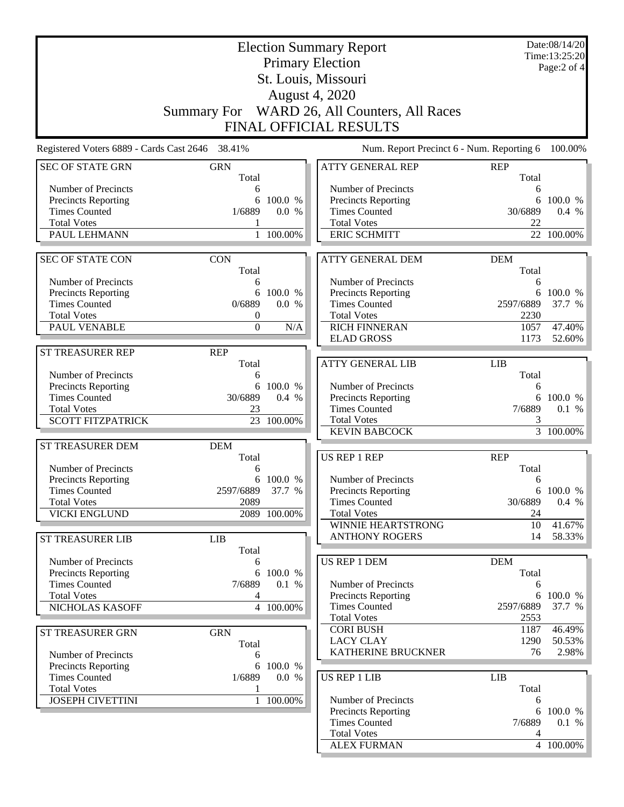|                                                 |                            |              | <b>Election Summary Report</b>               |                     | Date:08/14/20<br>Time:13:25:20 |
|-------------------------------------------------|----------------------------|--------------|----------------------------------------------|---------------------|--------------------------------|
|                                                 |                            |              | <b>Primary Election</b>                      |                     | Page:2 of 4                    |
|                                                 |                            |              | St. Louis, Missouri                          |                     |                                |
|                                                 |                            |              | <b>August 4, 2020</b>                        |                     |                                |
|                                                 |                            |              |                                              |                     |                                |
|                                                 |                            |              | Summary For WARD 26, All Counters, All Races |                     |                                |
|                                                 |                            |              | FINAL OFFICIAL RESULTS                       |                     |                                |
| Registered Voters 6889 - Cards Cast 2646 38.41% |                            |              | Num. Report Precinct 6 - Num. Reporting 6    |                     | 100.00%                        |
| <b>SEC OF STATE GRN</b>                         | <b>GRN</b><br>Total        |              | <b>ATTY GENERAL REP</b>                      | <b>REP</b><br>Total |                                |
| Number of Precincts                             | 6                          |              | Number of Precincts                          | 6                   |                                |
| <b>Precincts Reporting</b>                      | 6                          | 100.0 %      | Precincts Reporting                          | 6                   | 100.0 %                        |
| <b>Times Counted</b>                            | 1/6889                     | 0.0 %        | <b>Times Counted</b>                         | 30/6889             | 0.4 %                          |
| <b>Total Votes</b><br>PAUL LEHMANN              |                            | 1 100.00%    | <b>Total Votes</b><br><b>ERIC SCHMITT</b>    | 22<br>22            | 100.00%                        |
|                                                 |                            |              |                                              |                     |                                |
| <b>SEC OF STATE CON</b>                         | <b>CON</b>                 |              | <b>ATTY GENERAL DEM</b>                      | <b>DEM</b>          |                                |
|                                                 | Total                      |              |                                              | Total               |                                |
| Number of Precincts                             | 6                          |              | Number of Precincts                          | 6                   |                                |
| <b>Precincts Reporting</b>                      |                            | 6 100.0 %    | <b>Precincts Reporting</b>                   |                     | 6 100.0 %                      |
| <b>Times Counted</b><br><b>Total Votes</b>      | 0/6889<br>$\boldsymbol{0}$ | 0.0 %        | <b>Times Counted</b><br><b>Total Votes</b>   | 2597/6889<br>2230   | 37.7 %                         |
| PAUL VENABLE                                    | $\mathbf{0}$               | N/A          | <b>RICH FINNERAN</b>                         | 1057                | 47.40%                         |
|                                                 |                            |              | <b>ELAD GROSS</b>                            | 1173                | 52.60%                         |
| ST TREASURER REP                                | <b>REP</b>                 |              |                                              |                     |                                |
|                                                 | Total                      |              | <b>ATTY GENERAL LIB</b>                      | <b>LIB</b>          |                                |
| Number of Precincts                             | 6                          |              |                                              | Total               |                                |
| <b>Precincts Reporting</b>                      | 6                          | 100.0 %      | Number of Precincts                          | 6                   |                                |
| <b>Times Counted</b>                            | 30/6889                    | 0.4 %        | Precincts Reporting                          |                     | 6 100.0 %                      |
| <b>Total Votes</b>                              | 23                         |              | <b>Times Counted</b>                         | 7/6889              | 0.1 %                          |
| <b>SCOTT FITZPATRICK</b>                        | 23                         | 100.00%      | <b>Total Votes</b>                           | 3                   |                                |
|                                                 |                            |              | <b>KEVIN BABCOCK</b>                         |                     | $\overline{3}$ 100.00%         |
| ST TREASURER DEM                                | <b>DEM</b><br>Total        |              | <b>US REP 1 REP</b>                          | <b>REP</b>          |                                |
| Number of Precincts                             | 6                          |              |                                              | Total               |                                |
| <b>Precincts Reporting</b>                      | 6                          | 100.0 %      | Number of Precincts                          | 6                   |                                |
| <b>Times Counted</b>                            | 2597/6889                  | 37.7 %       | <b>Precincts Reporting</b>                   |                     | 6 100.0 %                      |
| <b>Total Votes</b>                              | 2089                       |              | <b>Times Counted</b>                         | 30/6889             | 0.4 %                          |
| <b>VICKI ENGLUND</b>                            |                            | 2089 100.00% | <b>Total Votes</b>                           | 24                  |                                |
|                                                 |                            |              | WINNIE HEARTSTRONG                           | 10                  | 41.67%                         |
| <b>ST TREASURER LIB</b>                         | LIB                        |              | <b>ANTHONY ROGERS</b>                        | 14                  | 58.33%                         |
| Number of Precincts                             | Total                      |              | <b>US REP 1 DEM</b>                          | <b>DEM</b>          |                                |
| Precincts Reporting                             | 6<br>6                     | 100.0 %      |                                              | Total               |                                |
| <b>Times Counted</b>                            | 7/6889                     | 0.1 %        | Number of Precincts                          | 6                   |                                |
| <b>Total Votes</b>                              | 4                          |              | <b>Precincts Reporting</b>                   | 6                   | 100.0 %                        |
| NICHOLAS KASOFF                                 |                            | 4 100.00%    | <b>Times Counted</b>                         | 2597/6889           | 37.7 %                         |
|                                                 |                            |              | <b>Total Votes</b>                           | 2553                |                                |
| ST TREASURER GRN                                | <b>GRN</b>                 |              | <b>CORI BUSH</b>                             | 1187                | 46.49%                         |
|                                                 | Total                      |              | <b>LACY CLAY</b>                             | 1290                | 50.53%                         |
| Number of Precincts                             | 6                          |              | KATHERINE BRUCKNER                           | 76                  | $2.98\%$                       |
| Precincts Reporting                             |                            | 6 100.0 %    |                                              |                     |                                |
| <b>Times Counted</b><br><b>Total Votes</b>      | 1/6889                     | 0.0 %        | <b>US REP 1 LIB</b>                          | <b>LIB</b><br>Total |                                |
| <b>JOSEPH CIVETTINI</b>                         |                            | 1 100.00%    | Number of Precincts                          | 6                   |                                |
|                                                 |                            |              | <b>Precincts Reporting</b>                   | 6                   | 100.0 %                        |
|                                                 |                            |              | <b>Times Counted</b>                         | 7/6889              | 0.1 %                          |
|                                                 |                            |              | <b>Total Votes</b>                           | 4                   |                                |
|                                                 |                            |              | <b>ALEX FURMAN</b>                           |                     | 4 100.00%                      |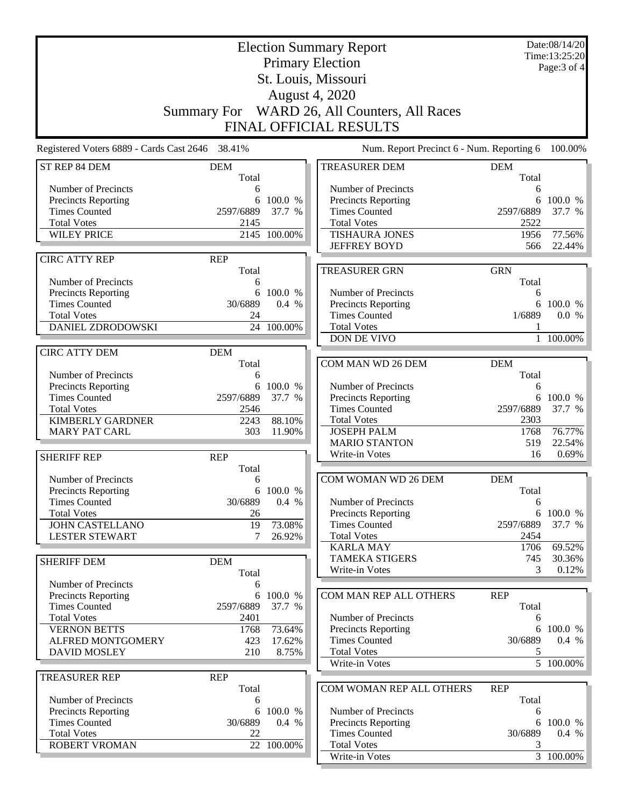|                                                 | Date:08/14/20<br><b>Election Summary Report</b> |              |                                             |             |                               |  |
|-------------------------------------------------|-------------------------------------------------|--------------|---------------------------------------------|-------------|-------------------------------|--|
|                                                 |                                                 |              | <b>Primary Election</b>                     |             | Time:13:25:20<br>Page: 3 of 4 |  |
|                                                 | St. Louis, Missouri                             |              |                                             |             |                               |  |
|                                                 | <b>August 4, 2020</b>                           |              |                                             |             |                               |  |
|                                                 |                                                 |              |                                             |             |                               |  |
|                                                 | <b>Summary For</b>                              |              | WARD 26, All Counters, All Races            |             |                               |  |
|                                                 |                                                 |              | <b>FINAL OFFICIAL RESULTS</b>               |             |                               |  |
| Registered Voters 6889 - Cards Cast 2646 38.41% |                                                 |              | Num. Report Precinct 6 - Num. Reporting 6   |             | 100.00%                       |  |
| ST REP 84 DEM                                   | <b>DEM</b>                                      |              | <b>TREASURER DEM</b>                        | <b>DEM</b>  |                               |  |
|                                                 | Total                                           |              |                                             | Total       |                               |  |
| Number of Precincts                             | 6                                               |              | Number of Precincts                         | 6           |                               |  |
| <b>Precincts Reporting</b>                      | 6                                               | 100.0 %      | Precincts Reporting                         | 6           | 100.0 %                       |  |
| <b>Times Counted</b>                            | 2597/6889                                       | 37.7 %       | <b>Times Counted</b>                        | 2597/6889   | 37.7 %                        |  |
| <b>Total Votes</b><br><b>WILEY PRICE</b>        | 2145                                            |              | <b>Total Votes</b><br><b>TISHAURA JONES</b> | 2522        | 77.56%                        |  |
|                                                 |                                                 | 2145 100.00% | <b>JEFFREY BOYD</b>                         | 1956<br>566 | 22.44%                        |  |
| <b>CIRC ATTY REP</b>                            | <b>REP</b>                                      |              |                                             |             |                               |  |
|                                                 | Total                                           |              | <b>TREASURER GRN</b>                        | <b>GRN</b>  |                               |  |
| Number of Precincts                             | 6                                               |              |                                             | Total       |                               |  |
| <b>Precincts Reporting</b>                      |                                                 | 6 100.0 %    | Number of Precincts                         | 6           |                               |  |
| <b>Times Counted</b>                            | 30/6889                                         | 0.4 %        | Precincts Reporting                         | 6           | 100.0 %                       |  |
| <b>Total Votes</b>                              | 24                                              |              | <b>Times Counted</b>                        | 1/6889      | 0.0 %                         |  |
| DANIEL ZDRODOWSKI                               |                                                 | 24 100.00%   | <b>Total Votes</b>                          | 1           |                               |  |
|                                                 |                                                 |              | DON DE VIVO                                 |             | 1 100.00%                     |  |
| <b>CIRC ATTY DEM</b>                            | <b>DEM</b>                                      |              |                                             |             |                               |  |
|                                                 | Total                                           |              | COM MAN WD 26 DEM                           | <b>DEM</b>  |                               |  |
| Number of Precincts                             | 6                                               |              |                                             | Total       |                               |  |
| <b>Precincts Reporting</b>                      | 6                                               | 100.0 %      | Number of Precincts                         | 6           |                               |  |
| <b>Times Counted</b>                            | 2597/6889                                       | 37.7 %       | Precincts Reporting                         |             | 6 100.0 %                     |  |
| <b>Total Votes</b>                              | 2546                                            |              | <b>Times Counted</b>                        | 2597/6889   | 37.7 %                        |  |
| <b>KIMBERLY GARDNER</b>                         | 2243                                            | 88.10%       | <b>Total Votes</b><br><b>JOSEPH PALM</b>    | 2303        |                               |  |
| <b>MARY PAT CARL</b>                            | 303                                             | 11.90%       | <b>MARIO STANTON</b>                        | 1768<br>519 | 76.77%<br>22.54%              |  |
|                                                 |                                                 |              | Write-in Votes                              | 16          | 0.69%                         |  |
| <b>SHERIFF REP</b>                              | <b>REP</b><br>Total                             |              |                                             |             |                               |  |
| Number of Precincts                             | 6                                               |              | COM WOMAN WD 26 DEM                         | <b>DEM</b>  |                               |  |
| <b>Precincts Reporting</b>                      |                                                 | 6 100.0 %    |                                             | Total       |                               |  |
| <b>Times Counted</b>                            | 30/6889                                         | 0.4 %        | Number of Precincts                         | 6           |                               |  |
| <b>Total Votes</b>                              | 26                                              |              | <b>Precincts Reporting</b>                  |             | 6 100.0 %                     |  |
| <b>JOHN CASTELLANO</b>                          | 19                                              | 73.08%       | <b>Times Counted</b>                        | 2597/6889   | 37.7 %                        |  |
| <b>LESTER STEWART</b>                           | 7                                               | 26.92%       | <b>Total Votes</b>                          | 2454        |                               |  |
|                                                 |                                                 |              | <b>KARLA MAY</b>                            | 1706        | 69.52%                        |  |
| <b>SHERIFF DEM</b>                              | <b>DEM</b>                                      |              | <b>TAMEKA STIGERS</b>                       | 745         | 30.36%                        |  |
|                                                 | Total                                           |              | Write-in Votes                              | 3           | 0.12%                         |  |
| Number of Precincts                             | 6                                               |              |                                             |             |                               |  |
| <b>Precincts Reporting</b>                      | 6                                               | 100.0 %      | COM MAN REP ALL OTHERS                      | <b>REP</b>  |                               |  |
| <b>Times Counted</b>                            | 2597/6889                                       | 37.7 %       |                                             | Total       |                               |  |
| <b>Total Votes</b>                              | 2401                                            |              | Number of Precincts                         | 6           |                               |  |
| <b>VERNON BETTS</b>                             | 1768                                            | 73.64%       | Precincts Reporting                         |             | 6 100.0 %                     |  |
| ALFRED MONTGOMERY                               | 423                                             | 17.62%       | <b>Times Counted</b>                        | 30/6889     | 0.4 %                         |  |
| <b>DAVID MOSLEY</b>                             | 210                                             | 8.75%        | <b>Total Votes</b>                          | 5           |                               |  |
|                                                 |                                                 |              | Write-in Votes                              |             | 5 100.00%                     |  |
| <b>TREASURER REP</b>                            | <b>REP</b>                                      |              |                                             |             |                               |  |
|                                                 | Total                                           |              | COM WOMAN REP ALL OTHERS                    | <b>REP</b>  |                               |  |
| Number of Precincts                             | 6                                               |              |                                             | Total       |                               |  |
| <b>Precincts Reporting</b>                      | 6                                               | 100.0 %      | Number of Precincts                         | 6           |                               |  |
| <b>Times Counted</b>                            | 30/6889                                         | 0.4 %        | <b>Precincts Reporting</b>                  | 6           | 100.0 %                       |  |
| <b>Total Votes</b>                              | 22                                              |              | <b>Times Counted</b>                        | 30/6889     | 0.4 %                         |  |
| <b>ROBERT VROMAN</b>                            |                                                 | 22 100.00%   | <b>Total Votes</b>                          | 3           |                               |  |
|                                                 |                                                 |              | Write-in Votes                              |             | $\frac{1}{3}$ 100.00%         |  |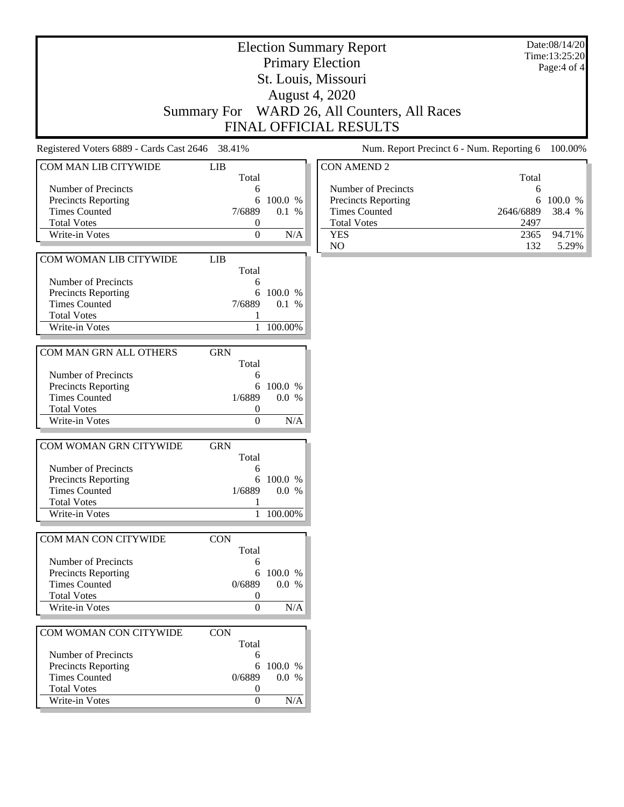## Election Summary Report Primary Election St. Louis, Missouri August 4, 2020 Summary For WARD 26, All Counters, All Races FINAL OFFICIAL RESULTS

Registered Voters 6889 - Cards Cast 2646 38.41% Num. Report Precinct 6 - Num. Reporting 6 100.00%

Date:08/14/20 Time:13:25:20 Page:4 of 4

| <b>COM MAN LIB CITYWIDE</b>          | <b>LIB</b> |                     |         |
|--------------------------------------|------------|---------------------|---------|
|                                      |            | Total               |         |
| Number of Precincts                  |            | 6                   |         |
| <b>Precincts Reporting</b>           |            | 6                   | 100.0 % |
| <b>Times Counted</b>                 |            | 7/6889              | 0.1 %   |
| <b>Total Votes</b>                   |            | 0                   |         |
| Write-in Votes                       |            | 0                   | N/A     |
|                                      |            |                     |         |
| <b>COM WOMAN LIB CITYWIDE</b>        | <b>LIB</b> |                     |         |
|                                      |            | Total               |         |
| Number of Precincts                  |            | 6                   |         |
| <b>Precincts Reporting</b>           |            | 6                   | 100.0 % |
| <b>Times Counted</b>                 |            | 7/6889              | 0.1 %   |
| <b>Total Votes</b>                   |            | 1                   |         |
| <b>Write-in Votes</b>                |            | 1                   | 100.00% |
|                                      |            |                     |         |
|                                      |            |                     |         |
| COM MAN GRN ALL OTHERS               | <b>GRN</b> |                     |         |
|                                      |            | Total               |         |
| Number of Precincts                  |            | 6                   |         |
| <b>Precincts Reporting</b>           |            | 6                   | 100.0 % |
| <b>Times Counted</b>                 |            | 1/6889              | 0.0 %   |
| <b>Total Votes</b>                   |            | 0                   |         |
| Write-in Votes                       |            | 0                   | N/A     |
|                                      |            |                     |         |
|                                      |            |                     |         |
| COM WOMAN GRN CITYWIDE               | <b>GRN</b> |                     |         |
|                                      |            | Total               |         |
| Number of Precincts                  |            | 6                   |         |
| <b>Precincts Reporting</b>           |            | 6                   | 100.0 % |
| <b>Times Counted</b>                 |            | 1/6889              | 0.0 %   |
|                                      |            | 1                   |         |
| <b>Total Votes</b><br>Write-in Votes |            | 1                   | 100.00% |
|                                      |            |                     |         |
|                                      |            |                     |         |
| <b>COM MAN CON CITYWIDE</b>          | <b>CON</b> |                     |         |
|                                      |            | Total               |         |
| Number of Precincts                  |            | 6                   |         |
| <b>Precincts Reporting</b>           |            | 6                   | 100.0 % |
| <b>Times Counted</b>                 |            | 0/6889              | $0.0\%$ |
| <b>Total Votes</b>                   |            | 0                   |         |
| Write-in Votes                       |            | $\overline{0}$      | N/A     |
|                                      |            |                     |         |
| <b>COM WOMAN CON CITYWIDE</b>        | <b>CON</b> |                     |         |
|                                      |            | Total               |         |
| Number of Precincts                  |            | 6                   |         |
| <b>Precincts Reporting</b>           |            | 6                   | 100.0 % |
| <b>Times Counted</b>                 |            | 0/6889              | 0.0 %   |
| <b>Total Votes</b><br>Write-in Votes |            | 0<br>$\overline{0}$ | N/A     |

| CON AMEND 2                |                  |                 |
|----------------------------|------------------|-----------------|
|                            | Total            |                 |
| Number of Precincts        | 6                |                 |
| <b>Precincts Reporting</b> |                  | $6\quad100.0\%$ |
| <b>Times Counted</b>       | 2646/6889 38.4 % |                 |
| <b>Total Votes</b>         | 2497             |                 |
| YES                        | 2365             | 94.71%          |
| NΟ                         | 132.             | 5.29%           |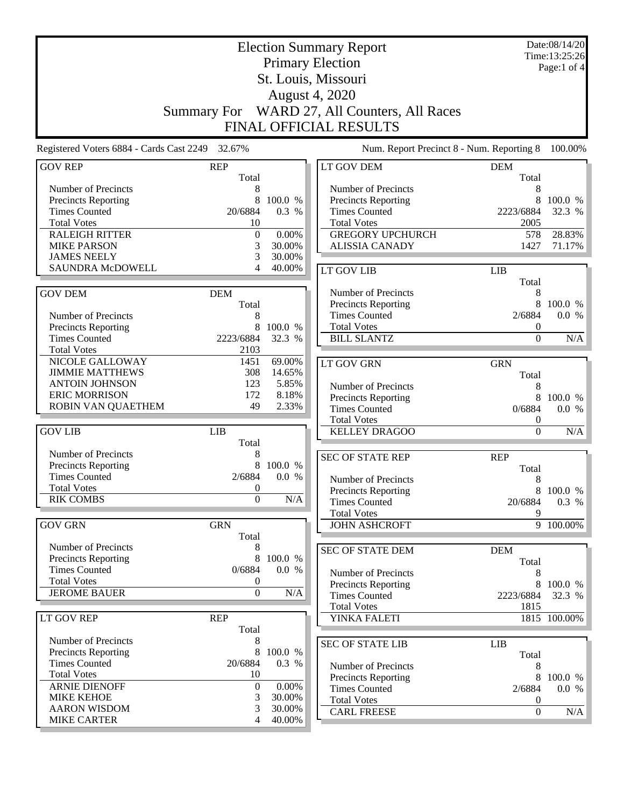|                                                 |                        |         | <b>Election Summary Report</b>              |                     | Date:08/14/20<br>Time:13:25:26 |
|-------------------------------------------------|------------------------|---------|---------------------------------------------|---------------------|--------------------------------|
|                                                 |                        |         | <b>Primary Election</b>                     |                     | Page:1 of 4                    |
|                                                 |                        |         | St. Louis, Missouri                         |                     |                                |
|                                                 |                        |         | August 4, 2020                              |                     |                                |
|                                                 |                        |         |                                             |                     |                                |
|                                                 | <b>Summary For</b>     |         | WARD 27, All Counters, All Races            |                     |                                |
|                                                 |                        |         | FINAL OFFICIAL RESULTS                      |                     |                                |
| Registered Voters 6884 - Cards Cast 2249 32.67% |                        |         | Num. Report Precinct 8 - Num. Reporting 8   |                     | 100.00%                        |
| <b>GOV REP</b>                                  | <b>REP</b><br>Total    |         | LT GOV DEM                                  | <b>DEM</b><br>Total |                                |
| Number of Precincts                             | 8                      |         | Number of Precincts                         | 8                   |                                |
| <b>Precincts Reporting</b>                      | 8                      | 100.0 % | <b>Precincts Reporting</b>                  | 8                   | 100.0 %                        |
| <b>Times Counted</b>                            | 20/6884                | 0.3 %   | <b>Times Counted</b>                        | 2223/6884           | 32.3 %                         |
| <b>Total Votes</b>                              | 10                     |         | <b>Total Votes</b>                          | 2005                |                                |
| <b>RALEIGH RITTER</b>                           | $\boldsymbol{0}$       | 0.00%   | <b>GREGORY UPCHURCH</b>                     | 578                 | 28.83%                         |
| <b>MIKE PARSON</b>                              | 3                      | 30.00%  | <b>ALISSIA CANADY</b>                       | 1427                | 71.17%                         |
| <b>JAMES NEELY</b>                              | 3                      | 30.00%  |                                             |                     |                                |
| SAUNDRA McDOWELL                                | 4                      | 40.00%  | LT GOV LIB                                  | <b>LIB</b>          |                                |
|                                                 |                        |         |                                             | Total               |                                |
| <b>GOV DEM</b>                                  | <b>DEM</b>             |         | Number of Precincts                         | 8                   |                                |
|                                                 | Total                  |         | Precincts Reporting<br><b>Times Counted</b> | 8<br>2/6884         | 100.0 %<br>0.0 %               |
| Number of Precincts<br>Precincts Reporting      | 8<br>8                 | 100.0 % | <b>Total Votes</b>                          | 0                   |                                |
| <b>Times Counted</b>                            | 2223/6884              | 32.3 %  | <b>BILL SLANTZ</b>                          | $\boldsymbol{0}$    | N/A                            |
| <b>Total Votes</b>                              | 2103                   |         |                                             |                     |                                |
| NICOLE GALLOWAY                                 | 1451                   | 69.00%  | <b>LT GOV GRN</b>                           | <b>GRN</b>          |                                |
| <b>JIMMIE MATTHEWS</b>                          | 308                    | 14.65%  |                                             | Total               |                                |
| <b>ANTOIN JOHNSON</b>                           | 123                    | 5.85%   | Number of Precincts                         | 8                   |                                |
| <b>ERIC MORRISON</b>                            | 172                    | 8.18%   | Precincts Reporting                         | 8                   | 100.0 %                        |
| ROBIN VAN QUAETHEM                              | 49                     | 2.33%   | <b>Times Counted</b>                        | 0/6884              | 0.0 %                          |
|                                                 |                        |         | <b>Total Votes</b>                          | 0                   |                                |
| <b>GOV LIB</b>                                  | <b>LIB</b>             |         | <b>KELLEY DRAGOO</b>                        | $\mathbf{0}$        | N/A                            |
|                                                 | Total                  |         |                                             |                     |                                |
| Number of Precincts                             | 8                      |         | <b>SEC OF STATE REP</b>                     | <b>REP</b>          |                                |
| Precincts Reporting                             | 8                      | 100.0 % |                                             | Total               |                                |
| <b>Times Counted</b><br><b>Total Votes</b>      | 2/6884<br>$\mathbf{0}$ | 0.0 %   | Number of Precincts                         | 8                   |                                |
| <b>RIK COMBS</b>                                | $\boldsymbol{0}$       | N/A     | <b>Precincts Reporting</b>                  | 8                   | 100.0 %                        |
|                                                 |                        |         | <b>Times Counted</b>                        | 20/6884             | 0.3 %                          |
| <b>GOV GRN</b>                                  | <b>GRN</b>             |         | <b>Total Votes</b><br><b>JOHN ASHCROFT</b>  | 9                   | 9 100.00%                      |
|                                                 | Total                  |         |                                             |                     |                                |
| Number of Precincts                             | 8                      |         | <b>SEC OF STATE DEM</b>                     | <b>DEM</b>          |                                |
| Precincts Reporting                             | 8                      | 100.0 % |                                             | Total               |                                |
| <b>Times Counted</b>                            | 0/6884                 | 0.0 %   | Number of Precincts                         | 8                   |                                |
| <b>Total Votes</b>                              | 0                      |         | <b>Precincts Reporting</b>                  | 8                   | 100.0 %                        |
| <b>JEROME BAUER</b>                             | $\overline{0}$         | N/A     | <b>Times Counted</b>                        | 2223/6884           | 32.3 %                         |
|                                                 |                        |         | <b>Total Votes</b>                          | 1815                |                                |
| LT GOV REP                                      | <b>REP</b>             |         | YINKA FALETI                                |                     | $\overline{1815}$ 100.00%      |
|                                                 | Total                  |         |                                             |                     |                                |
| Number of Precincts                             | 8                      |         | <b>SEC OF STATE LIB</b>                     | LIB                 |                                |
| Precincts Reporting                             | 8                      | 100.0 % |                                             | Total               |                                |
| <b>Times Counted</b><br><b>Total Votes</b>      | 20/6884                | 0.3 %   | Number of Precincts                         | 8                   |                                |
| <b>ARNIE DIENOFF</b>                            | 10<br>$\mathbf{0}$     | 0.00%   | Precincts Reporting                         |                     | 8 100.0 %                      |
| <b>MIKE KEHOE</b>                               | 3                      | 30.00%  | <b>Times Counted</b>                        | 2/6884              | 0.0 %                          |
| <b>AARON WISDOM</b>                             | 3                      | 30.00%  | <b>Total Votes</b>                          | $\boldsymbol{0}$    |                                |
| <b>MIKE CARTER</b>                              | 4                      | 40.00%  | <b>CARL FREESE</b>                          | $\boldsymbol{0}$    | N/A                            |
|                                                 |                        |         |                                             |                     |                                |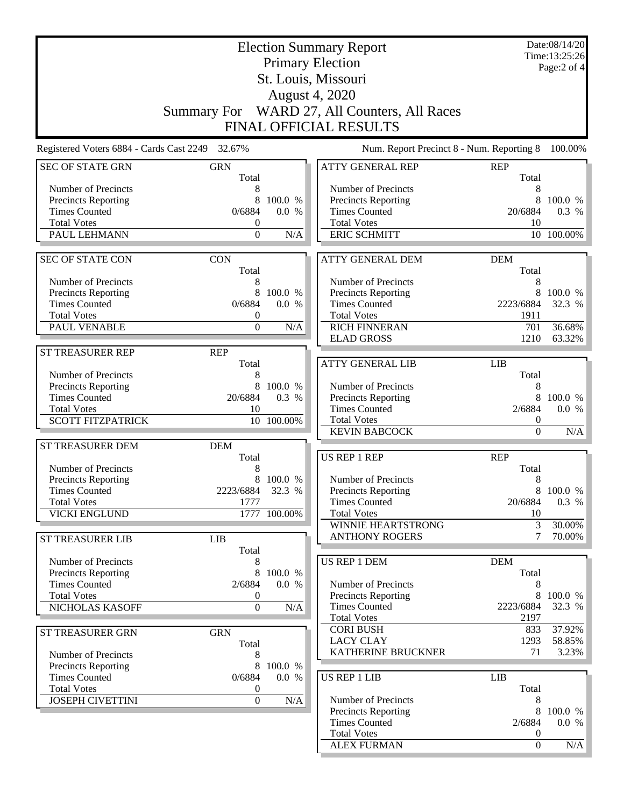|                                                    |                                      |                   | <b>Election Summary Report</b>                    |                     | Date:08/14/20<br>Time:13:25:26 |
|----------------------------------------------------|--------------------------------------|-------------------|---------------------------------------------------|---------------------|--------------------------------|
|                                                    |                                      |                   | <b>Primary Election</b>                           |                     | Page:2 of 4                    |
|                                                    |                                      |                   | St. Louis, Missouri                               |                     |                                |
|                                                    |                                      |                   | <b>August 4, 2020</b>                             |                     |                                |
|                                                    |                                      |                   |                                                   |                     |                                |
|                                                    |                                      |                   | Summary For WARD 27, All Counters, All Races      |                     |                                |
|                                                    |                                      |                   | FINAL OFFICIAL RESULTS                            |                     |                                |
| Registered Voters 6884 - Cards Cast 2249 32.67%    |                                      |                   | Num. Report Precinct 8 - Num. Reporting 8         |                     | 100.00%                        |
| <b>SEC OF STATE GRN</b>                            | <b>GRN</b><br>Total                  |                   | <b>ATTY GENERAL REP</b>                           | <b>REP</b><br>Total |                                |
| Number of Precincts                                | 8                                    |                   | Number of Precincts                               | 8                   |                                |
| <b>Precincts Reporting</b>                         | 8                                    | 100.0 %           | Precincts Reporting                               | 8                   | 100.0 %                        |
| <b>Times Counted</b>                               | 0/6884                               | 0.0 %             | <b>Times Counted</b>                              | 20/6884             | 0.3 %                          |
| <b>Total Votes</b>                                 | 0                                    |                   | <b>Total Votes</b>                                | 10                  |                                |
| PAUL LEHMANN                                       | $\Omega$                             | N/A               | <b>ERIC SCHMITT</b>                               | 10                  | 100.00%                        |
| <b>SEC OF STATE CON</b>                            | <b>CON</b>                           |                   | <b>ATTY GENERAL DEM</b>                           | <b>DEM</b>          |                                |
| Number of Precincts                                | Total<br>8                           |                   | Number of Precincts                               | Total<br>8          |                                |
| <b>Precincts Reporting</b>                         | 8                                    | 100.0 %           | <b>Precincts Reporting</b>                        | 8                   | 100.0 %                        |
| <b>Times Counted</b>                               | 0/6884                               | 0.0 %             | <b>Times Counted</b>                              | 2223/6884           | 32.3 %                         |
| <b>Total Votes</b>                                 | $\boldsymbol{0}$                     |                   | <b>Total Votes</b>                                | 1911                |                                |
| PAUL VENABLE                                       | $\mathbf{0}$                         | N/A               | <b>RICH FINNERAN</b>                              | 701                 | 36.68%                         |
|                                                    |                                      |                   | <b>ELAD GROSS</b>                                 | 1210                | 63.32%                         |
| ST TREASURER REP                                   | <b>REP</b>                           |                   |                                                   |                     |                                |
|                                                    | Total                                |                   | <b>ATTY GENERAL LIB</b>                           | <b>LIB</b>          |                                |
| Number of Precincts                                | 8                                    |                   |                                                   | Total               |                                |
| <b>Precincts Reporting</b><br><b>Times Counted</b> | 8<br>20/6884                         | 100.0 %<br>0.3 %  | Number of Precincts<br>Precincts Reporting        | 8<br>8              | 100.0 %                        |
| <b>Total Votes</b>                                 | 10                                   |                   | <b>Times Counted</b>                              | 2/6884              | 0.0 %                          |
| <b>SCOTT FITZPATRICK</b>                           |                                      | 10 100.00%        | <b>Total Votes</b>                                | $\boldsymbol{0}$    |                                |
|                                                    |                                      |                   | <b>KEVIN BABCOCK</b>                              | $\Omega$            | N/A                            |
| ST TREASURER DEM                                   | <b>DEM</b>                           |                   |                                                   |                     |                                |
|                                                    | Total                                |                   | <b>US REP 1 REP</b>                               | <b>REP</b>          |                                |
| Number of Precincts                                | 8                                    |                   |                                                   | Total               |                                |
| <b>Precincts Reporting</b><br><b>Times Counted</b> | 2223/6884                            | 100.0 %<br>32.3 % | Number of Precincts<br><b>Precincts Reporting</b> | 8<br>8              | 100.0 %                        |
| <b>Total Votes</b>                                 | 1777                                 |                   | <b>Times Counted</b>                              | 20/6884             | 0.3 %                          |
| <b>VICKI ENGLUND</b>                               |                                      | 1777 100.00%      | <b>Total Votes</b>                                | 10                  |                                |
|                                                    |                                      |                   | WINNIE HEARTSTRONG                                | 3                   | 30.00%                         |
| <b>ST TREASURER LIB</b>                            | LIB                                  |                   | <b>ANTHONY ROGERS</b>                             | $\tau$              | 70.00%                         |
|                                                    | Total                                |                   |                                                   |                     |                                |
| Number of Precincts                                | 8                                    |                   | <b>US REP 1 DEM</b>                               | <b>DEM</b>          |                                |
| Precincts Reporting<br><b>Times Counted</b>        |                                      | 100.0 %           |                                                   | Total               |                                |
| <b>Total Votes</b>                                 | 2/6884<br>$\boldsymbol{0}$           | 0.0 %             | Number of Precincts<br><b>Precincts Reporting</b> | 8<br>8              | 100.0 %                        |
| NICHOLAS KASOFF                                    | $\boldsymbol{0}$                     | N/A               | <b>Times Counted</b>                              | 2223/6884           | 32.3 %                         |
|                                                    |                                      |                   | <b>Total Votes</b>                                | 2197                |                                |
| ST TREASURER GRN                                   | <b>GRN</b>                           |                   | <b>CORI BUSH</b>                                  | 833                 | 37.92%                         |
|                                                    | Total                                |                   | <b>LACY CLAY</b>                                  | 1293                | 58.85%                         |
| Number of Precincts                                | 8                                    |                   | KATHERINE BRUCKNER                                | 71                  | $3.23\%$                       |
| Precincts Reporting                                | 8                                    | 100.0 %           |                                                   |                     |                                |
| <b>Times Counted</b>                               | 0/6884                               | 0.0 %             | <b>US REP 1 LIB</b>                               | <b>LIB</b>          |                                |
| <b>Total Votes</b><br><b>JOSEPH CIVETTINI</b>      | $\boldsymbol{0}$<br>$\boldsymbol{0}$ | N/A               | Number of Precincts                               | Total<br>8          |                                |
|                                                    |                                      |                   | <b>Precincts Reporting</b>                        | 8                   | 100.0 %                        |
|                                                    |                                      |                   | <b>Times Counted</b>                              | 2/6884              | 0.0 %                          |
|                                                    |                                      |                   | <b>Total Votes</b>                                | $\boldsymbol{0}$    |                                |
|                                                    |                                      |                   | <b>ALEX FURMAN</b>                                | $\overline{0}$      | N/A                            |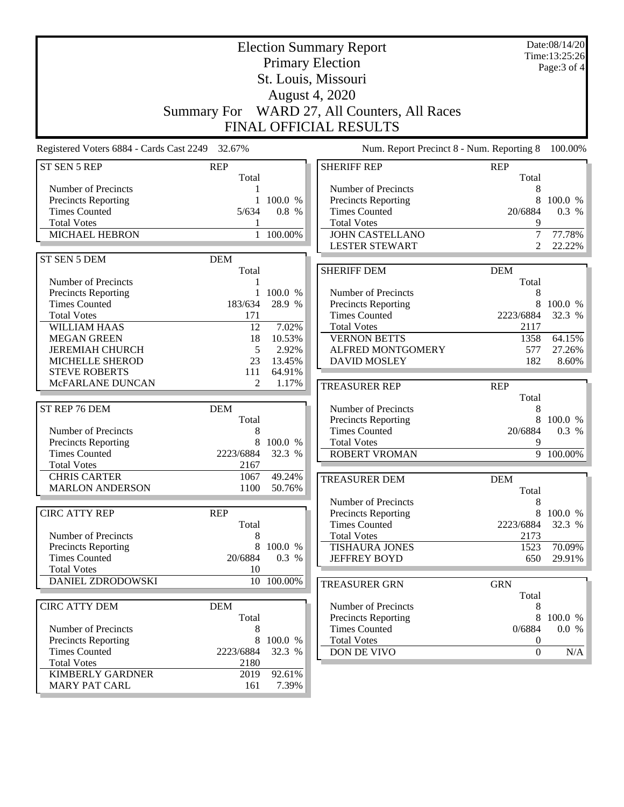| <b>Election Summary Report</b>                  |              |           |                                                 |                     | Date:08/14/20<br>Time:13:25:26 |
|-------------------------------------------------|--------------|-----------|-------------------------------------------------|---------------------|--------------------------------|
|                                                 |              |           | <b>Primary Election</b>                         |                     | Page: 3 of 4                   |
|                                                 |              |           | St. Louis, Missouri                             |                     |                                |
|                                                 |              |           | <b>August 4, 2020</b>                           |                     |                                |
|                                                 |              |           |                                                 |                     |                                |
|                                                 |              |           | Summary For WARD 27, All Counters, All Races    |                     |                                |
|                                                 |              |           | <b>FINAL OFFICIAL RESULTS</b>                   |                     |                                |
| Registered Voters 6884 - Cards Cast 2249 32.67% |              |           | Num. Report Precinct 8 - Num. Reporting 8       |                     | 100.00%                        |
| ST SEN 5 REP                                    | <b>REP</b>   |           | <b>SHERIFF REP</b>                              | <b>REP</b>          |                                |
|                                                 | Total        |           |                                                 | Total               |                                |
| Number of Precincts                             |              |           | Number of Precincts                             | 8                   |                                |
| <b>Precincts Reporting</b>                      | 1            | 100.0 %   | <b>Precincts Reporting</b>                      | 8                   | 100.0 %                        |
| <b>Times Counted</b>                            | 5/634        | 0.8 %     | <b>Times Counted</b>                            | 20/6884             | 0.3 %                          |
| <b>Total Votes</b>                              |              |           | <b>Total Votes</b>                              | 9                   |                                |
| MICHAEL HEBRON                                  | $\mathbf{1}$ | 100.00%   | <b>JOHN CASTELLANO</b><br><b>LESTER STEWART</b> | $\overline{7}$<br>2 | 77.78%                         |
|                                                 |              |           |                                                 |                     | 22.22%                         |
| ST SEN 5 DEM                                    | <b>DEM</b>   |           | <b>SHERIFF DEM</b>                              | <b>DEM</b>          |                                |
| Number of Precincts                             | Total<br>1   |           |                                                 | Total               |                                |
| Precincts Reporting                             |              | 1 100.0 % | Number of Precincts                             | 8                   |                                |
| <b>Times Counted</b>                            | 183/634      | 28.9 %    | <b>Precincts Reporting</b>                      |                     | 8 100.0 %                      |
| <b>Total Votes</b>                              | 171          |           | <b>Times Counted</b>                            | 2223/6884           | 32.3 %                         |
| <b>WILLIAM HAAS</b>                             | 12           | 7.02%     | <b>Total Votes</b>                              | 2117                |                                |
| <b>MEGAN GREEN</b>                              | 18           | 10.53%    | <b>VERNON BETTS</b>                             | 1358                | 64.15%                         |
| <b>JEREMIAH CHURCH</b>                          | 5            | 2.92%     | ALFRED MONTGOMERY                               | 577                 | 27.26%                         |
| MICHELLE SHEROD                                 | 23           | 13.45%    | <b>DAVID MOSLEY</b>                             | 182                 | 8.60%                          |
| <b>STEVE ROBERTS</b>                            | 111          | 64.91%    |                                                 |                     |                                |
| McFARLANE DUNCAN                                | 2            | 1.17%     | <b>TREASURER REP</b>                            | <b>REP</b>          |                                |
|                                                 |              |           |                                                 | Total               |                                |
| ST REP 76 DEM                                   | <b>DEM</b>   |           | Number of Precincts                             | 8                   |                                |
|                                                 | Total        |           | <b>Precincts Reporting</b>                      | 8                   | 100.0 %                        |
| Number of Precincts                             | 8            |           | <b>Times Counted</b>                            | 20/6884             | 0.3 %                          |
| <b>Precincts Reporting</b>                      | 8            | 100.0 %   | <b>Total Votes</b>                              | 9                   |                                |
| <b>Times Counted</b>                            | 2223/6884    | 32.3 %    | <b>ROBERT VROMAN</b>                            | 9                   | 100.00%                        |
| <b>Total Votes</b>                              | 2167         |           |                                                 |                     |                                |
| <b>CHRIS CARTER</b>                             | 1067         | 49.24%    | <b>TREASURER DEM</b>                            | <b>DEM</b>          |                                |
| <b>MARLON ANDERSON</b>                          | 1100         | 50.76%    |                                                 | Total               |                                |
|                                                 |              |           | Number of Precincts                             | 8                   |                                |
| <b>CIRC ATTY REP</b>                            | <b>REP</b>   |           | Precincts Reporting                             | 8                   | 100.0 %                        |
|                                                 | Total        |           | <b>Times Counted</b>                            | 2223/6884           | 32.3 %                         |
| Number of Precincts<br>Precincts Reporting      | 8<br>8       | 100.0 %   | <b>Total Votes</b>                              | 2173                |                                |
| <b>Times Counted</b>                            | 20/6884      | 0.3 %     | <b>TISHAURA JONES</b>                           | 1523                | 70.09%                         |
| <b>Total Votes</b>                              | 10           |           | <b>JEFFREY BOYD</b>                             | 650                 | 29.91%                         |
| DANIEL ZDRODOWSKI                               | 10           | 100.00%   |                                                 |                     |                                |
|                                                 |              |           | <b>TREASURER GRN</b>                            | <b>GRN</b>          |                                |
| <b>CIRC ATTY DEM</b>                            | <b>DEM</b>   |           | Number of Precincts                             | Total<br>8          |                                |
|                                                 | Total        |           | <b>Precincts Reporting</b>                      | 8                   | 100.0 %                        |
| Number of Precincts                             | 8            |           | <b>Times Counted</b>                            | 0/6884              | 0.0 %                          |
| Precincts Reporting                             | 8            | 100.0 %   | <b>Total Votes</b>                              | $\boldsymbol{0}$    |                                |
| <b>Times Counted</b>                            | 2223/6884    | 32.3 %    | DON DE VIVO                                     | $\boldsymbol{0}$    | N/A                            |
| <b>Total Votes</b>                              | 2180         |           |                                                 |                     |                                |
| <b>KIMBERLY GARDNER</b>                         | 2019         | 92.61%    |                                                 |                     |                                |
| <b>MARY PAT CARL</b>                            | 161          | 7.39%     |                                                 |                     |                                |
|                                                 |              |           |                                                 |                     |                                |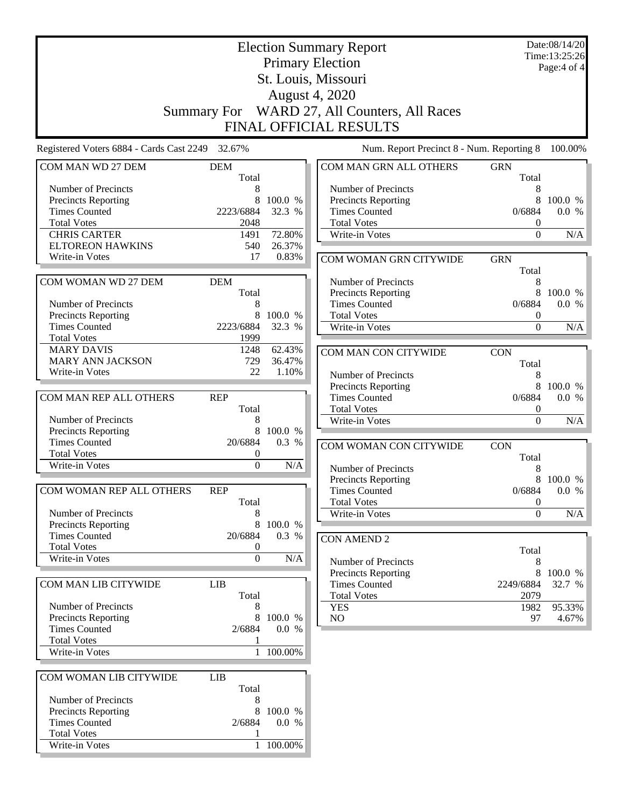|                                                 | <b>Election Summary Report</b> |           |                                                    |                  | Date:08/14/20<br>Time:13:25:26 |
|-------------------------------------------------|--------------------------------|-----------|----------------------------------------------------|------------------|--------------------------------|
|                                                 |                                |           | <b>Primary Election</b>                            |                  | Page:4 of 4                    |
|                                                 |                                |           | St. Louis, Missouri                                |                  |                                |
|                                                 |                                |           |                                                    |                  |                                |
|                                                 |                                |           | <b>August 4, 2020</b>                              |                  |                                |
|                                                 |                                |           | Summary For WARD 27, All Counters, All Races       |                  |                                |
|                                                 |                                |           | <b>FINAL OFFICIAL RESULTS</b>                      |                  |                                |
| Registered Voters 6884 - Cards Cast 2249 32.67% |                                |           | Num. Report Precinct 8 - Num. Reporting 8          |                  | 100.00%                        |
| COM MAN WD 27 DEM                               | <b>DEM</b>                     |           | COM MAN GRN ALL OTHERS                             | <b>GRN</b>       |                                |
|                                                 | Total                          |           |                                                    | Total            |                                |
| Number of Precincts                             | 8<br>8                         | 100.0 %   | Number of Precincts                                | 8<br>8           | 100.0 %                        |
| Precincts Reporting<br><b>Times Counted</b>     | 2223/6884                      | 32.3 %    | <b>Precincts Reporting</b><br><b>Times Counted</b> | 0/6884           | 0.0 %                          |
| <b>Total Votes</b>                              | 2048                           |           | <b>Total Votes</b>                                 | $\boldsymbol{0}$ |                                |
| <b>CHRIS CARTER</b>                             | 1491                           | 72.80%    | Write-in Votes                                     | $\mathbf{0}$     | N/A                            |
| <b>ELTOREON HAWKINS</b>                         | 540                            | 26.37%    |                                                    |                  |                                |
| Write-in Votes                                  | 17                             | 0.83%     | COM WOMAN GRN CITYWIDE                             | <b>GRN</b>       |                                |
|                                                 |                                |           |                                                    | Total            |                                |
| COM WOMAN WD 27 DEM                             | <b>DEM</b>                     |           | Number of Precincts                                | 8                |                                |
|                                                 | Total                          |           | <b>Precincts Reporting</b>                         | 8                | 100.0 %                        |
| Number of Precincts                             | 8                              |           | <b>Times Counted</b>                               | 0/6884           | 0.0 %                          |
| <b>Precincts Reporting</b>                      | 8                              | 100.0 %   | <b>Total Votes</b>                                 | $\boldsymbol{0}$ |                                |
| <b>Times Counted</b>                            | 2223/6884                      | 32.3 %    | Write-in Votes                                     | $\boldsymbol{0}$ | N/A                            |
| <b>Total Votes</b>                              | 1999                           |           |                                                    |                  |                                |
| <b>MARY DAVIS</b>                               | 1248                           | 62.43%    | COM MAN CON CITYWIDE                               | <b>CON</b>       |                                |
| <b>MARY ANN JACKSON</b>                         | 729                            | 36.47%    |                                                    | Total            |                                |
| Write-in Votes                                  | 22                             | 1.10%     | Number of Precincts                                | 8                |                                |
|                                                 |                                |           | <b>Precincts Reporting</b>                         | 8                | 100.0 %                        |
| COM MAN REP ALL OTHERS                          | <b>REP</b>                     |           | <b>Times Counted</b>                               | 0/6884           | 0.0 %                          |
|                                                 | Total                          |           | <b>Total Votes</b>                                 | $\boldsymbol{0}$ |                                |
| Number of Precincts                             | 8                              |           | Write-in Votes                                     | $\boldsymbol{0}$ | N/A                            |
| Precincts Reporting                             | 8                              | 100.0 %   |                                                    |                  |                                |
| <b>Times Counted</b>                            | 20/6884                        | 0.3 %     | COM WOMAN CON CITYWIDE                             | <b>CON</b>       |                                |
| <b>Total Votes</b>                              | $\boldsymbol{0}$               |           |                                                    | Total            |                                |
| Write-in Votes                                  | $\mathbf{0}$                   | N/A       | Number of Precincts                                | 8                |                                |
|                                                 |                                |           | <b>Precincts Reporting</b>                         |                  | 100.0 %                        |
| COM WOMAN REP ALL OTHERS                        | <b>REP</b>                     |           | Times Counted                                      | 0/6884           | 0.0 %                          |
|                                                 | Total                          |           | <b>Total Votes</b>                                 | $\boldsymbol{0}$ |                                |
| Number of Precincts                             | 8                              |           | Write-in Votes                                     | $\overline{0}$   | N/A                            |
| <b>Precincts Reporting</b>                      | 8                              | 100.0 %   |                                                    |                  |                                |
| <b>Times Counted</b><br><b>Total Votes</b>      | 20/6884<br>$\boldsymbol{0}$    | 0.3 %     | <b>CON AMEND 2</b>                                 |                  |                                |
| Write-in Votes                                  | $\mathbf{0}$                   | $\rm N/A$ |                                                    | Total            |                                |
|                                                 |                                |           | Number of Precincts                                | 8                |                                |
|                                                 |                                |           | Precincts Reporting                                | 8                | 100.0 %                        |
| COM MAN LIB CITYWIDE                            | <b>LIB</b>                     |           | <b>Times Counted</b>                               | 2249/6884        | 32.7 %                         |
| Number of Precincts                             | Total<br>8                     |           | <b>Total Votes</b><br><b>YES</b>                   | 2079<br>1982     | 95.33%                         |
| Precincts Reporting                             | 8                              | 100.0 %   | NO                                                 | 97               | 4.67%                          |
| <b>Times Counted</b>                            | 2/6884                         | 0.0 %     |                                                    |                  |                                |
| <b>Total Votes</b>                              | 1                              |           |                                                    |                  |                                |
| Write-in Votes                                  |                                | 1 100.00% |                                                    |                  |                                |
|                                                 |                                |           |                                                    |                  |                                |
| COM WOMAN LIB CITYWIDE                          | LIB                            |           |                                                    |                  |                                |
| Number of Precincts                             | Total<br>8                     |           |                                                    |                  |                                |
| Precincts Reporting                             | 8                              | 100.0 %   |                                                    |                  |                                |
| <b>Times Counted</b>                            | 2/6884                         | 0.0 %     |                                                    |                  |                                |
| <b>Total Votes</b>                              |                                |           |                                                    |                  |                                |
| Write-in Votes                                  |                                | 1 100.00% |                                                    |                  |                                |
|                                                 |                                |           |                                                    |                  |                                |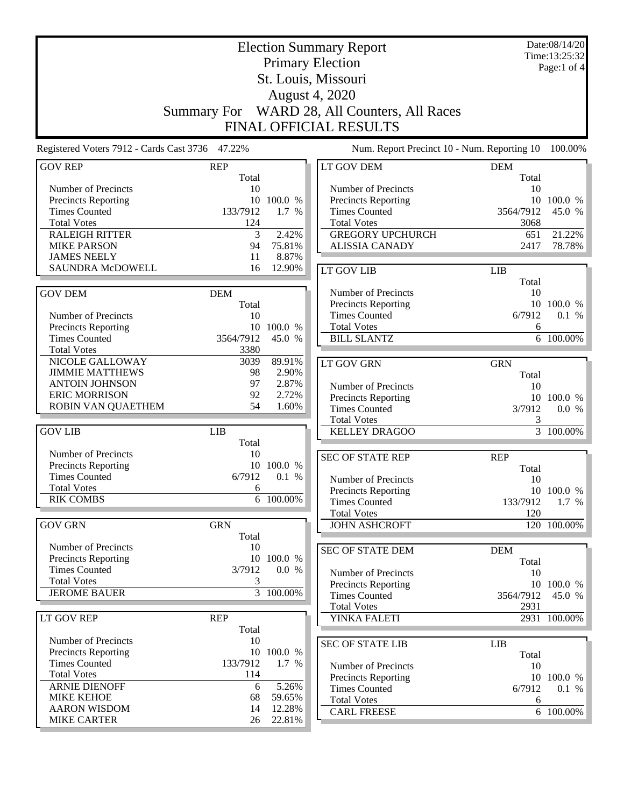|                                                 | <b>Election Summary Report</b><br><b>Primary Election</b> |                        |                                                    |                     | Date:08/14/20<br>Time:13:25:32<br>Page:1 of 4 |
|-------------------------------------------------|-----------------------------------------------------------|------------------------|----------------------------------------------------|---------------------|-----------------------------------------------|
|                                                 |                                                           |                        | St. Louis, Missouri                                |                     |                                               |
|                                                 |                                                           |                        | <b>August 4, 2020</b>                              |                     |                                               |
|                                                 | <b>Summary For</b>                                        |                        | WARD 28, All Counters, All Races                   |                     |                                               |
|                                                 |                                                           |                        | <b>FINAL OFFICIAL RESULTS</b>                      |                     |                                               |
| Registered Voters 7912 - Cards Cast 3736 47.22% |                                                           |                        | Num. Report Precinct 10 - Num. Reporting 10        |                     | 100.00%                                       |
| <b>GOV REP</b>                                  | <b>REP</b><br>Total                                       |                        | LT GOV DEM                                         | <b>DEM</b><br>Total |                                               |
| Number of Precincts                             | 10                                                        |                        | Number of Precincts                                | 10                  |                                               |
| <b>Precincts Reporting</b>                      | 10                                                        | 100.0 %                | <b>Precincts Reporting</b>                         | 10                  | 100.0 %                                       |
| <b>Times Counted</b>                            | 133/7912                                                  | 1.7 %                  | <b>Times Counted</b>                               | 3564/7912           | 45.0 %                                        |
| <b>Total Votes</b>                              | 124                                                       |                        | <b>Total Votes</b>                                 | 3068                |                                               |
| <b>RALEIGH RITTER</b>                           | 3                                                         | 2.42%                  | <b>GREGORY UPCHURCH</b>                            | 651                 | 21.22%                                        |
| <b>MIKE PARSON</b>                              | 94                                                        | 75.81%                 | <b>ALISSIA CANADY</b>                              | 2417                | 78.78%                                        |
| <b>JAMES NEELY</b>                              | 11                                                        | 8.87%                  |                                                    |                     |                                               |
| SAUNDRA McDOWELL                                | 16                                                        | 12.90%                 | <b>LT GOV LIB</b>                                  | <b>LIB</b>          |                                               |
|                                                 |                                                           |                        |                                                    | Total               |                                               |
| <b>GOV DEM</b>                                  | <b>DEM</b>                                                |                        | Number of Precincts                                | 10                  |                                               |
|                                                 | Total                                                     |                        | <b>Precincts Reporting</b><br><b>Times Counted</b> | 6/7912              | 10 100.0 %<br>0.1 %                           |
| Number of Precincts<br>Precincts Reporting      | 10                                                        | 10 100.0 %             | <b>Total Votes</b>                                 | 6                   |                                               |
| <b>Times Counted</b>                            | 3564/7912                                                 | 45.0 %                 | <b>BILL SLANTZ</b>                                 |                     | 6 100.00%                                     |
| <b>Total Votes</b>                              | 3380                                                      |                        |                                                    |                     |                                               |
| NICOLE GALLOWAY                                 | 3039                                                      | 89.91%                 | LT GOV GRN                                         | <b>GRN</b>          |                                               |
| <b>JIMMIE MATTHEWS</b>                          | 98                                                        | 2.90%                  |                                                    | Total               |                                               |
| <b>ANTOIN JOHNSON</b>                           | 97                                                        | 2.87%                  | Number of Precincts                                | 10                  |                                               |
| <b>ERIC MORRISON</b>                            | 92                                                        | 2.72%                  | <b>Precincts Reporting</b>                         |                     | 10 100.0 %                                    |
| ROBIN VAN QUAETHEM                              | 54                                                        | 1.60%                  | <b>Times Counted</b>                               | 3/7912              | 0.0 %                                         |
|                                                 |                                                           |                        | <b>Total Votes</b>                                 | 3                   |                                               |
| <b>GOV LIB</b>                                  | <b>LIB</b>                                                |                        | <b>KELLEY DRAGOO</b>                               |                     | $\overline{3}$ 100.00%                        |
|                                                 | Total                                                     |                        |                                                    |                     |                                               |
| Number of Precincts                             | 10                                                        |                        | <b>SEC OF STATE REP</b>                            | <b>REP</b>          |                                               |
| Precincts Reporting                             | 10                                                        | 100.0 %                |                                                    | Total               |                                               |
| <b>Times Counted</b>                            | 6/7912                                                    | 0.1 %                  | Number of Precincts                                | 10                  |                                               |
| <b>Total Votes</b><br><b>RIK COMBS</b>          | 6                                                         | 6 100.00%              | <b>Precincts Reporting</b>                         |                     | 10 100.0 %                                    |
|                                                 |                                                           |                        | <b>Times Counted</b>                               | 133/7912            | 1.7 %                                         |
| <b>GOV GRN</b>                                  | <b>GRN</b>                                                |                        | <b>Total Votes</b><br><b>JOHN ASHCROFT</b>         | 120                 | $\frac{120 - 100.00\%}{100.00\%}$             |
|                                                 | Total                                                     |                        |                                                    |                     |                                               |
| Number of Precincts                             | 10                                                        |                        |                                                    |                     |                                               |
| Precincts Reporting                             |                                                           | 10 100.0 %             | <b>SEC OF STATE DEM</b>                            | <b>DEM</b><br>Total |                                               |
| <b>Times Counted</b>                            | 3/7912                                                    | 0.0 %                  | Number of Precincts                                | 10                  |                                               |
| <b>Total Votes</b>                              | 3                                                         |                        | Precincts Reporting                                |                     | 10 100.0 %                                    |
| <b>JEROME BAUER</b>                             |                                                           | $\overline{3}$ 100.00% | <b>Times Counted</b>                               | 3564/7912           | 45.0 %                                        |
|                                                 |                                                           |                        | <b>Total Votes</b>                                 | 2931                |                                               |
| LT GOV REP                                      | <b>REP</b>                                                |                        | YINKA FALETI                                       |                     | 2931 100.00%                                  |
|                                                 | Total                                                     |                        |                                                    |                     |                                               |
| Number of Precincts                             | 10                                                        |                        | <b>SEC OF STATE LIB</b>                            | <b>LIB</b>          |                                               |
| Precincts Reporting                             |                                                           | 10 100.0 %             |                                                    | Total               |                                               |
| <b>Times Counted</b>                            | 133/7912                                                  | 1.7 %                  | Number of Precincts                                | 10                  |                                               |
| <b>Total Votes</b>                              | 114                                                       |                        | Precincts Reporting                                |                     | 10 100.0 %                                    |
| <b>ARNIE DIENOFF</b>                            | 6                                                         | 5.26%                  | <b>Times Counted</b>                               | 6/7912              | 0.1 %                                         |
| <b>MIKE KEHOE</b>                               | 68                                                        | 59.65%                 | <b>Total Votes</b>                                 | 6                   |                                               |
| <b>AARON WISDOM</b><br><b>MIKE CARTER</b>       | 14<br>26                                                  | 12.28%<br>22.81%       | <b>CARL FREESE</b>                                 |                     | 6 100.00%                                     |
|                                                 |                                                           |                        |                                                    |                     |                                               |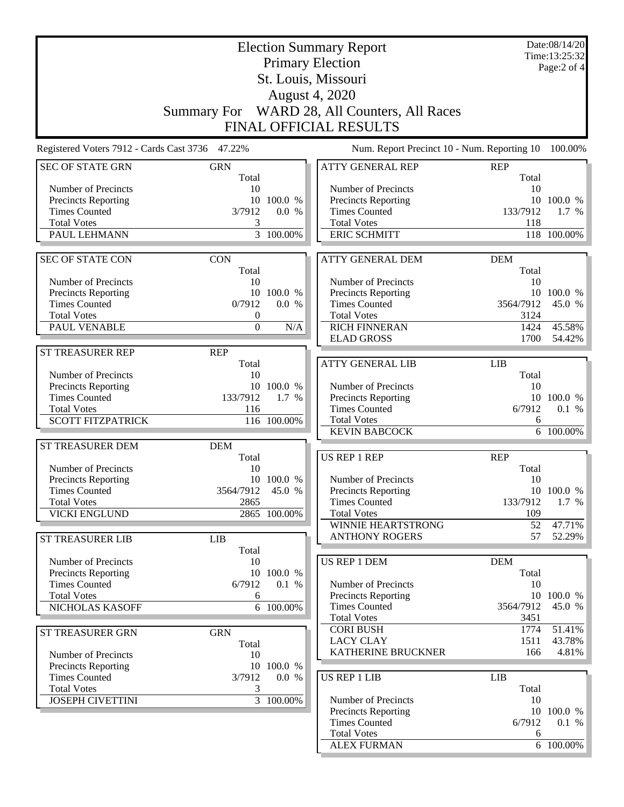|                                                    |                     |                     | <b>Election Summary Report</b>                    |                     | Date:08/14/20                |
|----------------------------------------------------|---------------------|---------------------|---------------------------------------------------|---------------------|------------------------------|
|                                                    |                     |                     | <b>Primary Election</b>                           |                     | Time:13:25:32<br>Page:2 of 4 |
|                                                    |                     |                     | St. Louis, Missouri                               |                     |                              |
|                                                    |                     |                     | August 4, 2020                                    |                     |                              |
|                                                    |                     |                     |                                                   |                     |                              |
|                                                    | Summary For         |                     | WARD 28, All Counters, All Races                  |                     |                              |
|                                                    |                     |                     | FINAL OFFICIAL RESULTS                            |                     |                              |
| Registered Voters 7912 - Cards Cast 3736 47.22%    |                     |                     | Num. Report Precinct 10 - Num. Reporting 10       |                     | 100.00%                      |
| <b>SEC OF STATE GRN</b>                            | <b>GRN</b><br>Total |                     | <b>ATTY GENERAL REP</b>                           | <b>REP</b><br>Total |                              |
| Number of Precincts                                | 10                  |                     | Number of Precincts                               | 10                  |                              |
| <b>Precincts Reporting</b>                         | 10                  | 100.0 %             | <b>Precincts Reporting</b>                        | 10                  | 100.0 %                      |
| <b>Times Counted</b>                               | 3/7912              | 0.0 %               | <b>Times Counted</b>                              | 133/7912            | $1.7\%$                      |
| <b>Total Votes</b><br>PAUL LEHMANN                 | 3<br>$\overline{3}$ | 100.00%             | <b>Total Votes</b><br><b>ERIC SCHMITT</b>         | 118                 | 118 100.00%                  |
|                                                    |                     |                     |                                                   |                     |                              |
| <b>SEC OF STATE CON</b>                            | <b>CON</b>          |                     | <b>ATTY GENERAL DEM</b>                           | <b>DEM</b>          |                              |
| Number of Precincts                                | Total<br>10         |                     | Number of Precincts                               | Total<br>10         |                              |
| <b>Precincts Reporting</b>                         |                     | 10 100.0 %          | Precincts Reporting                               |                     | 10 100.0 %                   |
| <b>Times Counted</b>                               | 0/7912              | 0.0 %               | <b>Times Counted</b>                              | 3564/7912           | 45.0 %                       |
| <b>Total Votes</b>                                 | $\boldsymbol{0}$    |                     | <b>Total Votes</b>                                | 3124                |                              |
| PAUL VENABLE                                       | $\boldsymbol{0}$    | N/A                 | <b>RICH FINNERAN</b>                              | 1424                | 45.58%                       |
|                                                    |                     |                     | <b>ELAD GROSS</b>                                 | 1700                | 54.42%                       |
| <b>ST TREASURER REP</b>                            | <b>REP</b>          |                     |                                                   |                     |                              |
|                                                    | Total               |                     | <b>ATTY GENERAL LIB</b>                           | <b>LIB</b>          |                              |
| Number of Precincts                                | 10                  |                     |                                                   | Total               |                              |
| <b>Precincts Reporting</b><br><b>Times Counted</b> | 133/7912            | 10 100.0 %<br>1.7 % | Number of Precincts<br><b>Precincts Reporting</b> | 10                  | 10 100.0 %                   |
| <b>Total Votes</b>                                 | 116                 |                     | <b>Times Counted</b>                              | 6/7912              | 0.1 %                        |
| <b>SCOTT FITZPATRICK</b>                           |                     | 116 100.00%         | <b>Total Votes</b>                                | 6                   |                              |
|                                                    |                     |                     | <b>KEVIN BABCOCK</b>                              |                     | 6 100.00%                    |
| ST TREASURER DEM                                   | <b>DEM</b>          |                     |                                                   |                     |                              |
|                                                    | Total               |                     | <b>US REP 1 REP</b>                               | <b>REP</b>          |                              |
| Number of Precincts                                | 10                  |                     |                                                   | Total               |                              |
| <b>Precincts Reporting</b>                         |                     | 10 100.0 %          | Number of Precincts                               | 10                  |                              |
| <b>Times Counted</b>                               | 3564/7912           | 45.0 %              | Precincts Reporting                               |                     | 10 100.0 %                   |
| <b>Total Votes</b>                                 | 2865                |                     | <b>Times Counted</b>                              | 133/7912            | 1.7 %                        |
| <b>VICKI ENGLUND</b>                               |                     | 2865 100.00%        | <b>Total Votes</b><br>WINNIE HEARTSTRONG          | 109                 |                              |
|                                                    |                     |                     | <b>ANTHONY ROGERS</b>                             | 52<br>57            | 47.71%<br>52.29%             |
| <b>ST TREASURER LIB</b>                            | <b>LIB</b><br>Total |                     |                                                   |                     |                              |
| Number of Precincts                                | 10                  |                     | <b>US REP 1 DEM</b>                               | <b>DEM</b>          |                              |
| <b>Precincts Reporting</b>                         | 10                  | 100.0 %             |                                                   | Total               |                              |
| <b>Times Counted</b>                               | 6/7912              | 0.1 %               | Number of Precincts                               | 10                  |                              |
| <b>Total Votes</b>                                 | 6                   |                     | Precincts Reporting                               |                     | 10 100.0 %                   |
| NICHOLAS KASOFF                                    | 6                   | 100.00%             | <b>Times Counted</b>                              | 3564/7912           | 45.0 %                       |
|                                                    |                     |                     | <b>Total Votes</b>                                | 3451                |                              |
| ST TREASURER GRN                                   | <b>GRN</b>          |                     | <b>CORI BUSH</b>                                  | 1774                | 51.41%                       |
|                                                    | Total               |                     | <b>LACY CLAY</b><br>KATHERINE BRUCKNER            | 1511                | 43.78%<br>$4.81\%$           |
| Number of Precincts                                | 10                  |                     |                                                   | 166                 |                              |
| Precincts Reporting                                |                     | 10 100.0 %          |                                                   |                     |                              |
| <b>Times Counted</b><br><b>Total Votes</b>         | 3/7912              | 0.0 %               | <b>US REP 1 LIB</b>                               | <b>LIB</b><br>Total |                              |
| <b>JOSEPH CIVETTINI</b>                            | 3                   | 3 100.00%           | Number of Precincts                               | 10                  |                              |
|                                                    |                     |                     | <b>Precincts Reporting</b>                        |                     | 10 100.0 %                   |
|                                                    |                     |                     | <b>Times Counted</b>                              | 6/7912              | 0.1 %                        |
|                                                    |                     |                     | <b>Total Votes</b>                                | 6                   |                              |
|                                                    |                     |                     | <b>ALEX FURMAN</b>                                |                     | 6 100.00%                    |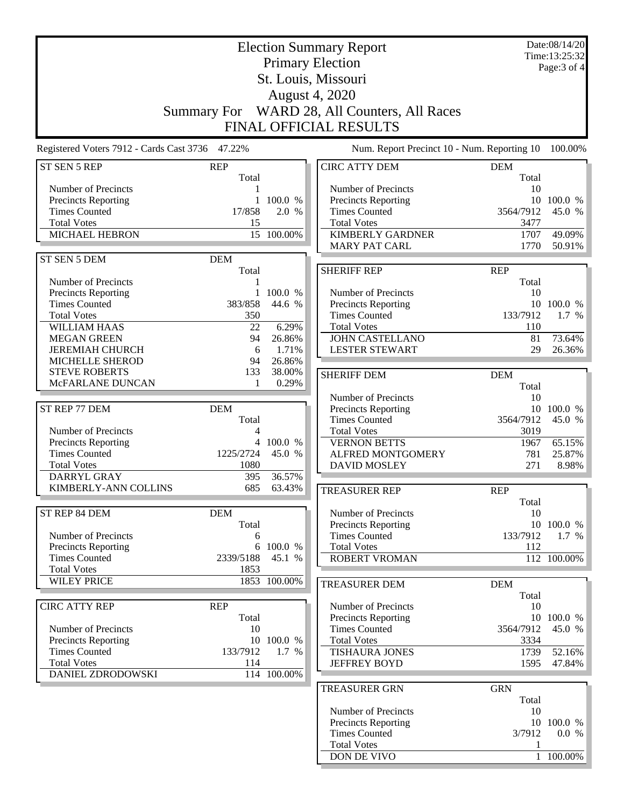| <b>Election Summary Report</b>                  |                     |              |                                              |                     | Date:08/14/20<br>Time:13:25:32 |
|-------------------------------------------------|---------------------|--------------|----------------------------------------------|---------------------|--------------------------------|
|                                                 |                     |              | <b>Primary Election</b>                      |                     | Page: 3 of 4                   |
|                                                 |                     |              | St. Louis, Missouri                          |                     |                                |
|                                                 |                     |              | <b>August 4, 2020</b>                        |                     |                                |
|                                                 |                     |              |                                              |                     |                                |
|                                                 |                     |              | Summary For WARD 28, All Counters, All Races |                     |                                |
|                                                 |                     |              | <b>FINAL OFFICIAL RESULTS</b>                |                     |                                |
| Registered Voters 7912 - Cards Cast 3736 47.22% |                     |              | Num. Report Precinct 10 - Num. Reporting 10  |                     | 100.00%                        |
| ST SEN 5 REP                                    | <b>REP</b><br>Total |              | <b>CIRC ATTY DEM</b>                         | <b>DEM</b><br>Total |                                |
| Number of Precincts                             |                     |              | Number of Precincts                          | 10                  |                                |
| <b>Precincts Reporting</b>                      | 1                   | 100.0 %      | <b>Precincts Reporting</b>                   |                     | 10 100.0 %                     |
| <b>Times Counted</b>                            | 17/858              | 2.0 %        | <b>Times Counted</b>                         | 3564/7912           | 45.0 %                         |
| <b>Total Votes</b>                              | 15                  |              | <b>Total Votes</b>                           | 3477                |                                |
| MICHAEL HEBRON                                  | 15                  | 100.00%      | <b>KIMBERLY GARDNER</b>                      | 1707                | 49.09%                         |
|                                                 |                     |              | <b>MARY PAT CARL</b>                         | 1770                | 50.91%                         |
| ST SEN 5 DEM                                    | <b>DEM</b>          |              |                                              |                     |                                |
|                                                 | Total               |              | <b>SHERIFF REP</b>                           | <b>REP</b>          |                                |
| Number of Precincts                             | 1                   |              |                                              | Total               |                                |
| Precincts Reporting                             | $\mathbf{1}$        | 100.0 %      | Number of Precincts                          | 10                  |                                |
| <b>Times Counted</b>                            | 383/858             | 44.6 %       | Precincts Reporting                          |                     | 10 100.0 %                     |
| <b>Total Votes</b>                              | 350                 |              | <b>Times Counted</b>                         | 133/7912            | 1.7 %                          |
| <b>WILLIAM HAAS</b>                             | 22                  | 6.29%        | <b>Total Votes</b>                           | 110                 |                                |
| <b>MEGAN GREEN</b>                              | 94                  | 26.86%       | <b>JOHN CASTELLANO</b>                       | 81                  | 73.64%                         |
| <b>JEREMIAH CHURCH</b>                          | 6                   | 1.71%        | <b>LESTER STEWART</b>                        | 29                  | 26.36%                         |
| MICHELLE SHEROD                                 | 94                  | 26.86%       |                                              |                     |                                |
| <b>STEVE ROBERTS</b>                            | 133                 | 38.00%       | <b>SHERIFF DEM</b>                           | <b>DEM</b>          |                                |
| McFARLANE DUNCAN                                | $\mathbf{1}$        | 0.29%        |                                              | Total               |                                |
|                                                 |                     |              | Number of Precincts                          | 10                  |                                |
| ST REP 77 DEM                                   | <b>DEM</b>          |              | Precincts Reporting                          |                     | 10 100.0 %                     |
|                                                 | Total               |              | <b>Times Counted</b>                         | 3564/7912           | 45.0 %                         |
| Number of Precincts                             | 4                   |              | <b>Total Votes</b>                           | 3019                |                                |
| Precincts Reporting                             |                     | 4 100.0 %    | <b>VERNON BETTS</b>                          | 1967                | 65.15%                         |
| <b>Times Counted</b><br><b>Total Votes</b>      | 1225/2724<br>1080   | 45.0 %       | <b>ALFRED MONTGOMERY</b>                     | 781                 | 25.87%                         |
| DARRYL GRAY                                     | 395                 | 36.57%       | <b>DAVID MOSLEY</b>                          | 271                 | 8.98%                          |
| KIMBERLY-ANN COLLINS                            | 685                 | 63.43%       |                                              |                     |                                |
|                                                 |                     |              | <b>TREASURER REP</b>                         | <b>REP</b>          |                                |
| ST REP 84 DEM                                   | <b>DEM</b>          |              | Number of Precincts                          | Total<br>10         |                                |
|                                                 | Total               |              | <b>Precincts Reporting</b>                   |                     | 10 100.0 %                     |
| <b>Number of Precincts</b>                      | 6                   |              | <b>Times Counted</b>                         | 133/7912            | 1.7 %                          |
| Precincts Reporting                             | 6                   | 100.0 %      | <b>Total Votes</b>                           | 112                 |                                |
| <b>Times Counted</b>                            | 2339/5188           | 45.1 %       | <b>ROBERT VROMAN</b>                         |                     | 112 100.00%                    |
| <b>Total Votes</b>                              | 1853                |              |                                              |                     |                                |
| <b>WILEY PRICE</b>                              |                     | 1853 100.00% | <b>TREASURER DEM</b>                         | <b>DEM</b>          |                                |
|                                                 |                     |              |                                              | Total               |                                |
| <b>CIRC ATTY REP</b>                            | <b>REP</b>          |              | Number of Precincts                          | 10                  |                                |
|                                                 | Total               |              | <b>Precincts Reporting</b>                   |                     | 10 100.0 %                     |
| Number of Precincts                             | 10                  |              | <b>Times Counted</b>                         | 3564/7912           | 45.0 %                         |
| <b>Precincts Reporting</b>                      |                     | 10 100.0 %   | <b>Total Votes</b>                           | 3334                |                                |
| <b>Times Counted</b>                            | 133/7912            | 1.7 %        | <b>TISHAURA JONES</b>                        | 1739                | 52.16%                         |
| <b>Total Votes</b>                              | 114                 |              | <b>JEFFREY BOYD</b>                          | 1595                | 47.84%                         |
| <b>DANIEL ZDRODOWSKI</b>                        |                     | 114 100.00%  |                                              |                     |                                |
|                                                 |                     |              | <b>TREASURER GRN</b>                         | <b>GRN</b><br>Total |                                |
|                                                 |                     |              | Number of Precincts                          | 10                  |                                |
|                                                 |                     |              | <b>Precincts Reporting</b>                   |                     | 10 100.0 %                     |
|                                                 |                     |              | <b>Times Counted</b>                         | 3/7912              | 0.0 %                          |
|                                                 |                     |              | <b>Total Votes</b>                           | 1                   |                                |
|                                                 |                     |              | DON DE VIVO                                  |                     | 1 100.00%                      |